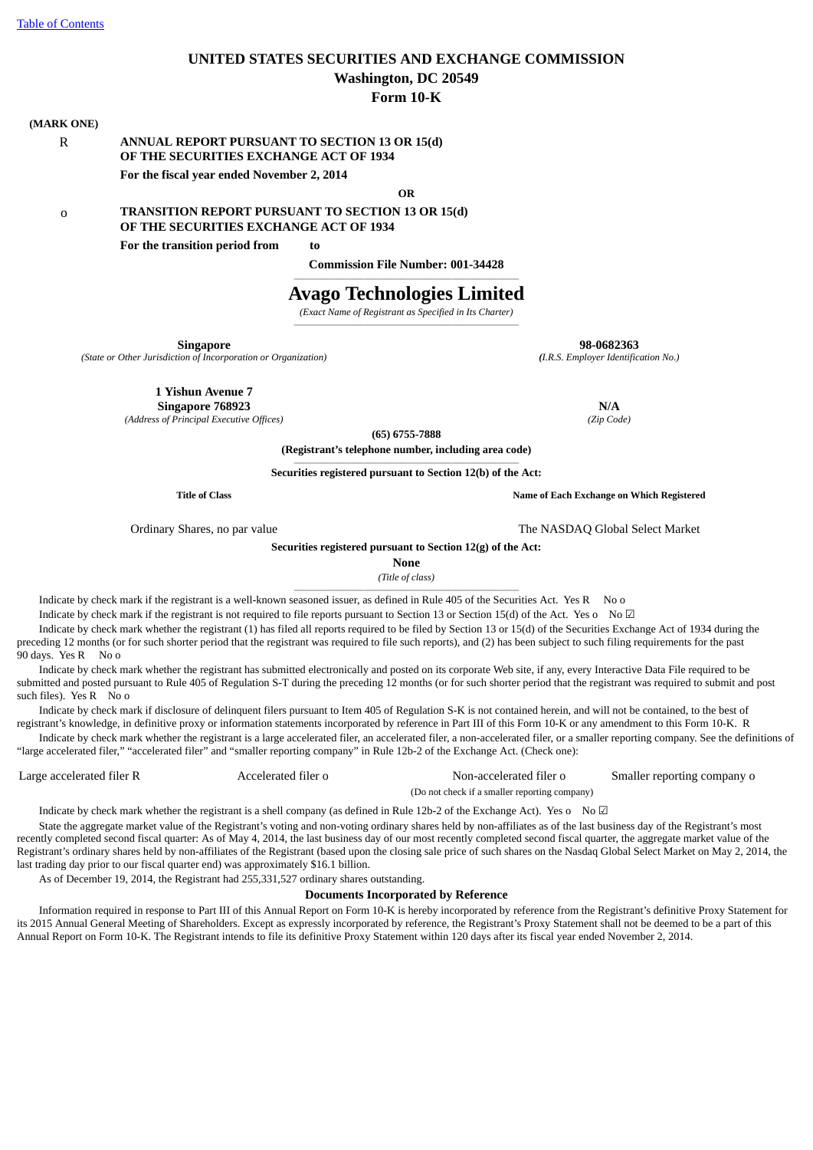# **UNITED STATES SECURITIES AND EXCHANGE COMMISSION Washington, DC 20549 Form 10-K**

#### **(MARK ONE)**

R **ANNUAL REPORT PURSUANT TO SECTION 13 OR 15(d) OF THE SECURITIES EXCHANGE ACT OF 1934 For the fiscal year ended November 2, 2014**

**OR**

o **TRANSITION REPORT PURSUANT TO SECTION 13 OR 15(d) OF THE SECURITIES EXCHANGE ACT OF 1934**

**For the transition period from to**

**Commission File Number: 001-34428**  $\mathcal{L}_\text{max} = \mathcal{L}_\text{max} = \mathcal{L}_\text{max} = \mathcal{L}_\text{max} = \mathcal{L}_\text{max} = \mathcal{L}_\text{max} = \mathcal{L}_\text{max} = \mathcal{L}_\text{max} = \mathcal{L}_\text{max} = \mathcal{L}_\text{max} = \mathcal{L}_\text{max} = \mathcal{L}_\text{max} = \mathcal{L}_\text{max} = \mathcal{L}_\text{max} = \mathcal{L}_\text{max} = \mathcal{L}_\text{max} = \mathcal{L}_\text{max} = \mathcal{L}_\text{max} = \mathcal{$ 

# **Avago Technologies Limited**

*(Exact Name of Registrant as Specified in Its Charter)*  $\mathcal{L}_\text{max} = \mathcal{L}_\text{max} = \mathcal{L}_\text{max} = \mathcal{L}_\text{max} = \mathcal{L}_\text{max} = \mathcal{L}_\text{max} = \mathcal{L}_\text{max} = \mathcal{L}_\text{max} = \mathcal{L}_\text{max} = \mathcal{L}_\text{max} = \mathcal{L}_\text{max} = \mathcal{L}_\text{max} = \mathcal{L}_\text{max} = \mathcal{L}_\text{max} = \mathcal{L}_\text{max} = \mathcal{L}_\text{max} = \mathcal{L}_\text{max} = \mathcal{L}_\text{max} = \mathcal{$ 

**Singapore**

*(State or Other Jurisdiction of Incorporation or Organization)*

**1 Yishun Avenue 7**

**Singapore 768923** *(Address of Principal Executive Offices)*

**(65) 6755-7888**

**N/A** *(Zip Code)*

**98-0682363** *(I.R.S. Employer Identification No.)*

**(Registrant's telephone number, including area code)** \_\_\_\_\_\_\_\_\_\_\_\_\_\_\_\_\_\_\_\_\_\_\_\_\_\_\_\_\_\_\_\_\_\_\_\_\_\_\_\_\_\_\_\_\_\_\_\_\_\_\_\_\_\_\_\_\_\_\_\_\_

**Securities registered pursuant to Section 12(b) of the Act:**

**Title of Class Name of Each Exchange on Which Registered**

**Securities registered pursuant to Section 12(g) of the Act:**

**None**

*(Title of class)*  $\mathcal{L}_\text{max} = \mathcal{L}_\text{max} = \mathcal{L}_\text{max} = \mathcal{L}_\text{max} = \mathcal{L}_\text{max} = \mathcal{L}_\text{max} = \mathcal{L}_\text{max} = \mathcal{L}_\text{max} = \mathcal{L}_\text{max} = \mathcal{L}_\text{max} = \mathcal{L}_\text{max} = \mathcal{L}_\text{max} = \mathcal{L}_\text{max} = \mathcal{L}_\text{max} = \mathcal{L}_\text{max} = \mathcal{L}_\text{max} = \mathcal{L}_\text{max} = \mathcal{L}_\text{max} = \mathcal{$ 

Indicate by check mark if the registrant is a well-known seasoned issuer, as defined in Rule 405 of the Securities Act. Yes R No o

Indicate by check mark if the registrant is not required to file reports pursuant to Section 13 or Section 15(d) of the Act. Yes o No ☑

Indicate by check mark whether the registrant (1) has filed all reports required to be filed by Section 13 or 15(d) of the Securities Exchange Act of 1934 during the preceding 12 months (or for such shorter period that the registrant was required to file such reports), and (2) has been subject to such filing requirements for the past 90 days. Yes R No o

Indicate by check mark whether the registrant has submitted electronically and posted on its corporate Web site, if any, every Interactive Data File required to be submitted and posted pursuant to Rule 405 of Regulation S-T during the preceding 12 months (or for such shorter period that the registrant was required to submit and post such files). Yes R No o

Indicate by check mark if disclosure of delinquent filers pursuant to Item 405 of Regulation S-K is not contained herein, and will not be contained, to the best of registrant's knowledge, in definitive proxy or information statements incorporated by reference in Part III of this Form 10-K or any amendment to this Form 10-K. R

Indicate by check mark whether the registrant is a large accelerated filer, an accelerated filer, a non-accelerated filer, or a smaller reporting company. See the definitions of "large accelerated filer," "accelerated filer" and "smaller reporting company" in Rule 12b-2 of the Exchange Act. (Check one):

Large accelerated filer R Accelerated filer o Non-accelerated filer o Smaller reporting company o (Do not check if a smaller reporting company)

Indicate by check mark whether the registrant is a shell company (as defined in Rule 12b-2 of the Exchange Act). Yes o No  $\Box$ 

State the aggregate market value of the Registrant's voting and non-voting ordinary shares held by non-affiliates as of the last business day of the Registrant's most recently completed second fiscal quarter: As of May 4, 2014, the last business day of our most recently completed second fiscal quarter, the aggregate market value of the Registrant's ordinary shares held by non-affiliates of the Registrant (based upon the closing sale price of such shares on the Nasdaq Global Select Market on May 2, 2014, the last trading day prior to our fiscal quarter end) was approximately \$16.1 billion.

As of December 19, 2014, the Registrant had 255,331,527 ordinary shares outstanding.

#### **Documents Incorporated by Reference**

<span id="page-0-0"></span>Information required in response to Part III of this Annual Report on Form 10-K is hereby incorporated by reference from the Registrant's definitive Proxy Statement for its 2015 Annual General Meeting of Shareholders. Except as expressly incorporated by reference, the Registrant's Proxy Statement shall not be deemed to be a part of this Annual Report on Form 10-K. The Registrant intends to file its definitive Proxy Statement within 120 days after its fiscal year ended November 2, 2014.

Ordinary Shares, no par value The NASDAQ Global Select Market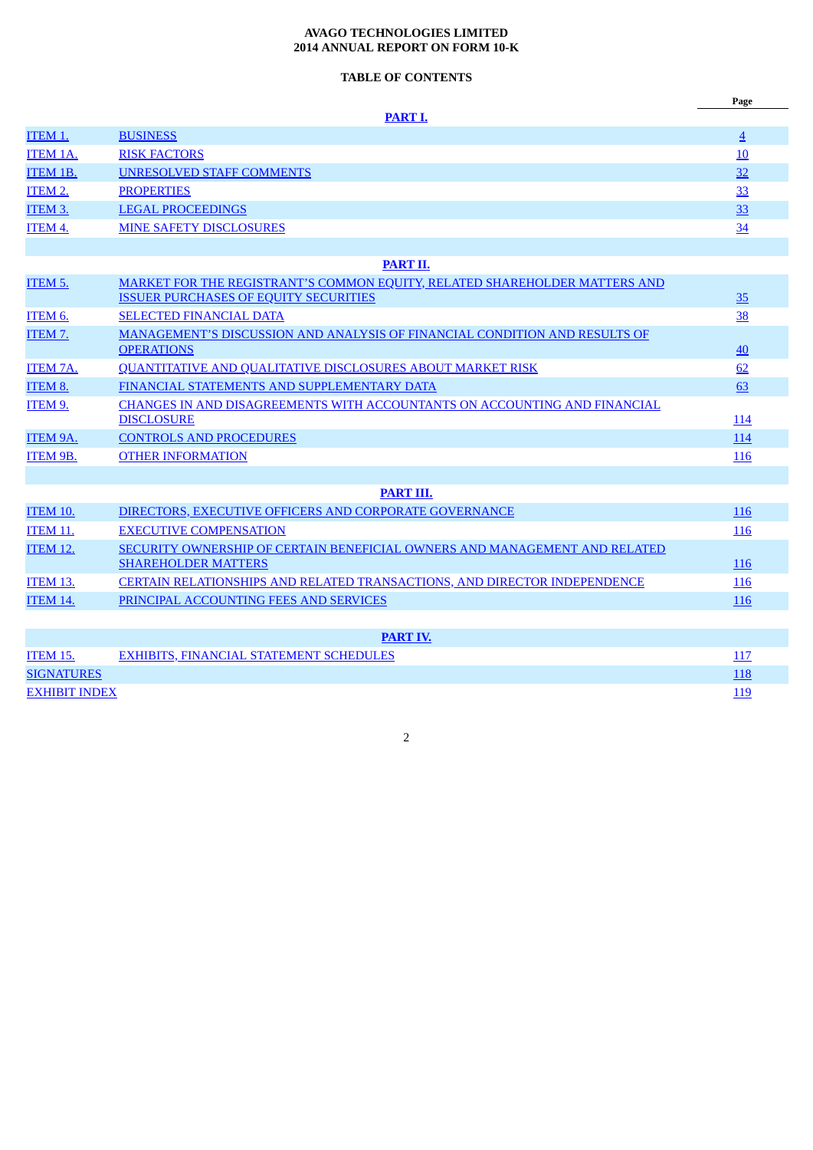### **AVAGO TECHNOLOGIES LIMITED 2014 ANNUAL REPORT ON FORM 10-K**

# **TABLE OF CONTENTS**

|                 |                                  | Page           |
|-----------------|----------------------------------|----------------|
|                 | <b>PART I.</b>                   |                |
| <u>ITEM 1.</u>  | <b>BUSINESS</b>                  | <u>4</u>       |
| ITEM 1A.        | <b>RISK FACTORS</b>              | 10             |
| <u>ITEM 1B.</u> | <b>UNRESOLVED STAFF COMMENTS</b> | 32             |
| ITEM 2.         | <b>PROPERTIES</b>                | <u>33</u>      |
| ITEM 3.         | <b>LEGAL PROCEEDINGS</b>         | 33             |
| ITEM 4.         | <b>MINE SAFETY DISCLOSURES</b>   | $\frac{34}{5}$ |
|                 |                                  |                |

# **[PART](#page-33-1) II.** [ITEM](#page-34-0) 5. MARKET FOR THE REGISTRANT'S COMMON EQUITY, RELATED [SHAREHOLDER](#page-34-0) MATTERS AND **ISSUER PURCHASES OF EQUITY SECURITIES [35](#page-34-0) CONSUMITION CONSUMING SECURITIES 35** [ITEM](#page-36-0) 6. SELECTED [FINANCIAL](#page-36-0) DATA [38](#page-36-0) [ITEM](#page-38-0) 7. [MANAGEMENT'S](#page-38-0) DISCUSSION AND ANALYSIS OF FINANCIAL CONDITION AND RESULTS OF **OPERATIONS** [40](#page-38-0) [ITEM](#page-61-0) 7A. [QUANTITATIVE](#page-61-0) AND QUALITATIVE DISCLOSURES ABOUT MARKET RISK [62](#page-61-0) [ITEM](#page-61-1) 8. FINANCIAL STATEMENTS AND [SUPPLEMENTARY](#page-61-1) DATA **EXAMPLEMENTARY DATA** [63](#page-61-1) [ITEM](#page-112-0) 9. CHANGES IN AND [DISAGREEMENTS](#page-112-0) WITH ACCOUNTANTS ON ACCOUNTING AND FINANCIAL DISCLOSURE [114](#page-112-0) **[ITEM](#page-113-0) 9A.** CONTROLS AND [PROCEDURES](#page-113-0) **[114](#page-113-0) [ITEM](#page-114-0) 9B.** OTHER [INFORMATION](#page-114-0) **[116](#page-114-0) [PART](#page-115-0) III.**

| <b>ITEM 10.</b>   | DIRECTORS, EXECUTIVE OFFICERS AND CORPORATE GOVERNANCE                                                   | <u> 116</u> |  |  |  |  |
|-------------------|----------------------------------------------------------------------------------------------------------|-------------|--|--|--|--|
| <u>ITEM 11.</u>   | <b>EXECUTIVE COMPENSATION</b>                                                                            | <b>116</b>  |  |  |  |  |
| <b>ITEM 12.</b>   | SECURITY OWNERSHIP OF CERTAIN BENEFICIAL OWNERS AND MANAGEMENT AND RELATED<br><b>SHAREHOLDER MATTERS</b> | <b>116</b>  |  |  |  |  |
| <b>ITEM 13.</b>   | CERTAIN RELATIONSHIPS AND RELATED TRANSACTIONS, AND DIRECTOR INDEPENDENCE                                | <b>116</b>  |  |  |  |  |
| <b>ITEM 14.</b>   | PRINCIPAL ACCOUNTING FEES AND SERVICES                                                                   | <b>116</b>  |  |  |  |  |
|                   |                                                                                                          |             |  |  |  |  |
| <b>PART IV.</b>   |                                                                                                          |             |  |  |  |  |
| <b>ITEM 15.</b>   | <b>EXHIBITS, FINANCIAL STATEMENT SCHEDULES</b>                                                           | <u>117</u>  |  |  |  |  |
| <b>SIGNATURES</b> |                                                                                                          | 118         |  |  |  |  |

<span id="page-1-0"></span>[EXHIBIT](#page-117-0) INDEX [119](#page-117-0)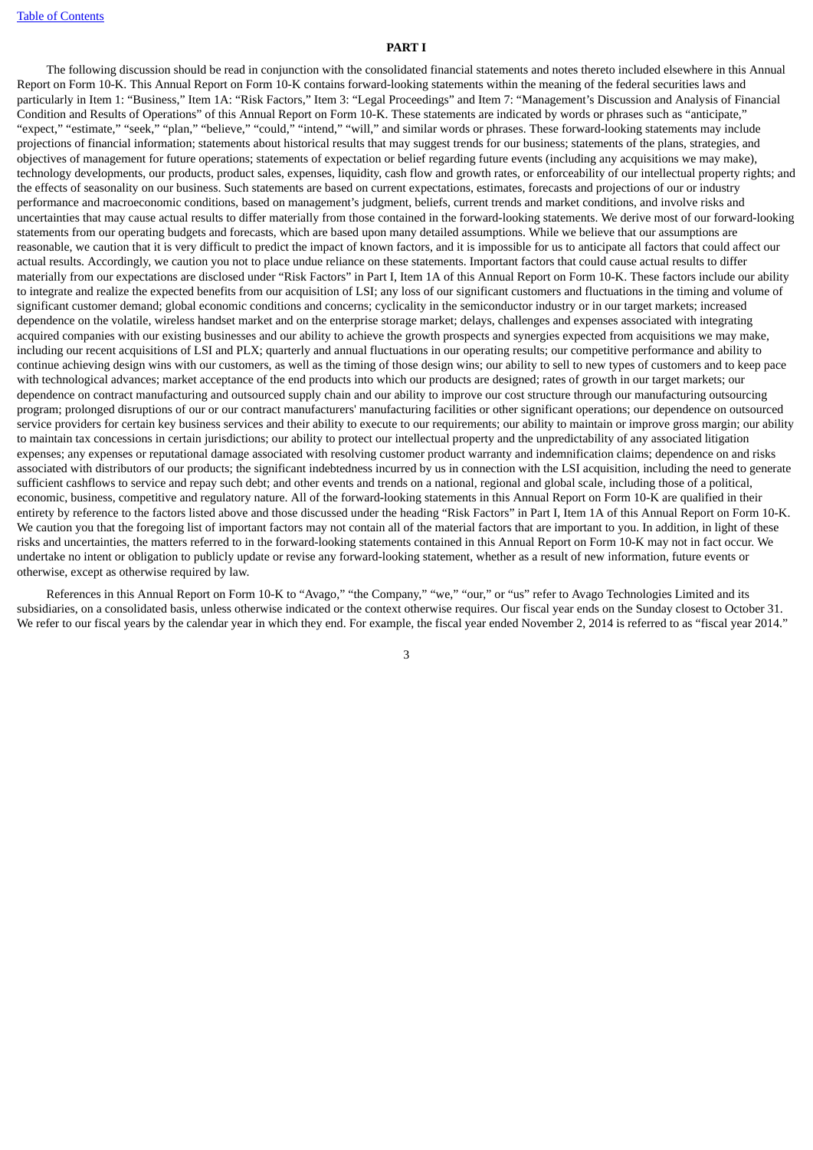#### **PART I**

The following discussion should be read in conjunction with the consolidated financial statements and notes thereto included elsewhere in this Annual Report on Form 10-K. This Annual Report on Form 10-K contains forward-looking statements within the meaning of the federal securities laws and particularly in Item 1: "Business," Item 1A: "Risk Factors," Item 3: "Legal Proceedings" and Item 7: "Management's Discussion and Analysis of Financial Condition and Results of Operations" of this Annual Report on Form 10-K. These statements are indicated by words or phrases such as "anticipate," "expect," "estimate," "seek," "plan," "believe," "could," "intend," "will," and similar words or phrases. These forward-looking statements may include projections of financial information; statements about historical results that may suggest trends for our business; statements of the plans, strategies, and objectives of management for future operations; statements of expectation or belief regarding future events (including any acquisitions we may make), technology developments, our products, product sales, expenses, liquidity, cash flow and growth rates, or enforceability of our intellectual property rights; and the effects of seasonality on our business. Such statements are based on current expectations, estimates, forecasts and projections of our or industry performance and macroeconomic conditions, based on management's judgment, beliefs, current trends and market conditions, and involve risks and uncertainties that may cause actual results to differ materially from those contained in the forward-looking statements. We derive most of our forward-looking statements from our operating budgets and forecasts, which are based upon many detailed assumptions. While we believe that our assumptions are reasonable, we caution that it is very difficult to predict the impact of known factors, and it is impossible for us to anticipate all factors that could affect our actual results. Accordingly, we caution you not to place undue reliance on these statements. Important factors that could cause actual results to differ materially from our expectations are disclosed under "Risk Factors" in Part I, Item 1A of this Annual Report on Form 10-K. These factors include our ability to integrate and realize the expected benefits from our acquisition of LSI; any loss of our significant customers and fluctuations in the timing and volume of significant customer demand; global economic conditions and concerns; cyclicality in the semiconductor industry or in our target markets; increased dependence on the volatile, wireless handset market and on the enterprise storage market; delays, challenges and expenses associated with integrating acquired companies with our existing businesses and our ability to achieve the growth prospects and synergies expected from acquisitions we may make, including our recent acquisitions of LSI and PLX; quarterly and annual fluctuations in our operating results; our competitive performance and ability to continue achieving design wins with our customers, as well as the timing of those design wins; our ability to sell to new types of customers and to keep pace with technological advances; market acceptance of the end products into which our products are designed; rates of growth in our target markets; our dependence on contract manufacturing and outsourced supply chain and our ability to improve our cost structure through our manufacturing outsourcing program; prolonged disruptions of our or our contract manufacturers' manufacturing facilities or other significant operations; our dependence on outsourced service providers for certain key business services and their ability to execute to our requirements; our ability to maintain or improve gross margin; our ability to maintain tax concessions in certain jurisdictions; our ability to protect our intellectual property and the unpredictability of any associated litigation expenses; any expenses or reputational damage associated with resolving customer product warranty and indemnification claims; dependence on and risks associated with distributors of our products; the significant indebtedness incurred by us in connection with the LSI acquisition, including the need to generate sufficient cashflows to service and repay such debt; and other events and trends on a national, regional and global scale, including those of a political, economic, business, competitive and regulatory nature. All of the forward-looking statements in this Annual Report on Form 10-K are qualified in their entirety by reference to the factors listed above and those discussed under the heading "Risk Factors" in Part I, Item 1A of this Annual Report on Form 10-K. We caution you that the foregoing list of important factors may not contain all of the material factors that are important to you. In addition, in light of these risks and uncertainties, the matters referred to in the forward-looking statements contained in this Annual Report on Form 10-K may not in fact occur. We undertake no intent or obligation to publicly update or revise any forward-looking statement, whether as a result of new information, future events or otherwise, except as otherwise required by law.

<span id="page-2-0"></span>References in this Annual Report on Form 10-K to "Avago," "the Company," "we," "our," or "us" refer to Avago Technologies Limited and its subsidiaries, on a consolidated basis, unless otherwise indicated or the context otherwise requires. Our fiscal year ends on the Sunday closest to October 31. We refer to our fiscal years by the calendar year in which they end. For example, the fiscal year ended November 2, 2014 is referred to as "fiscal year 2014."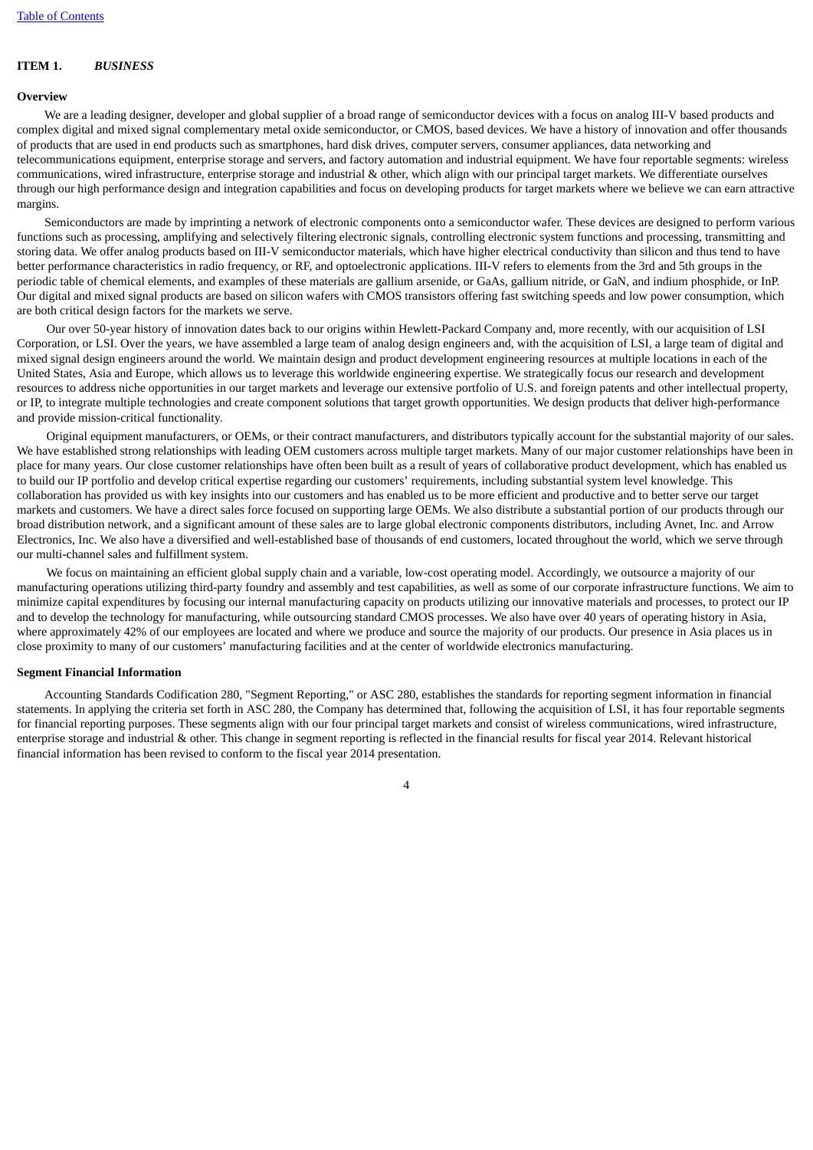# **ITEM 1.** *BUSINESS*

# **Overview**

We are a leading designer, developer and global supplier of a broad range of semiconductor devices with a focus on analog III-V based products and complex digital and mixed signal complementary metal oxide semiconductor, or CMOS, based devices. We have a history of innovation and offer thousands of products that are used in end products such as smartphones, hard disk drives, computer servers, consumer appliances, data networking and telecommunications equipment, enterprise storage and servers, and factory automation and industrial equipment. We have four reportable segments: wireless communications, wired infrastructure, enterprise storage and industrial & other, which align with our principal target markets. We differentiate ourselves through our high performance design and integration capabilities and focus on developing products for target markets where we believe we can earn attractive margins.

Semiconductors are made by imprinting a network of electronic components onto a semiconductor wafer. These devices are designed to perform various functions such as processing, amplifying and selectively filtering electronic signals, controlling electronic system functions and processing, transmitting and storing data. We offer analog products based on III-V semiconductor materials, which have higher electrical conductivity than silicon and thus tend to have better performance characteristics in radio frequency, or RF, and optoelectronic applications. III-V refers to elements from the 3rd and 5th groups in the periodic table of chemical elements, and examples of these materials are gallium arsenide, or GaAs, gallium nitride, or GaN, and indium phosphide, or InP. Our digital and mixed signal products are based on silicon wafers with CMOS transistors offering fast switching speeds and low power consumption, which are both critical design factors for the markets we serve.

Our over 50-year history of innovation dates back to our origins within Hewlett-Packard Company and, more recently, with our acquisition of LSI Corporation, or LSI. Over the years, we have assembled a large team of analog design engineers and, with the acquisition of LSI, a large team of digital and mixed signal design engineers around the world. We maintain design and product development engineering resources at multiple locations in each of the United States, Asia and Europe, which allows us to leverage this worldwide engineering expertise. We strategically focus our research and development resources to address niche opportunities in our target markets and leverage our extensive portfolio of U.S. and foreign patents and other intellectual property, or IP, to integrate multiple technologies and create component solutions that target growth opportunities. We design products that deliver high-performance and provide mission-critical functionality.

Original equipment manufacturers, or OEMs, or their contract manufacturers, and distributors typically account for the substantial majority of our sales. We have established strong relationships with leading OEM customers across multiple target markets. Many of our major customer relationships have been in place for many years. Our close customer relationships have often been built as a result of years of collaborative product development, which has enabled us to build our IP portfolio and develop critical expertise regarding our customers' requirements, including substantial system level knowledge. This collaboration has provided us with key insights into our customers and has enabled us to be more efficient and productive and to better serve our target markets and customers. We have a direct sales force focused on supporting large OEMs. We also distribute a substantial portion of our products through our broad distribution network, and a significant amount of these sales are to large global electronic components distributors, including Avnet, Inc. and Arrow Electronics, Inc. We also have a diversified and well-established base of thousands of end customers, located throughout the world, which we serve through our multi-channel sales and fulfillment system.

We focus on maintaining an efficient global supply chain and a variable, low-cost operating model. Accordingly, we outsource a majority of our manufacturing operations utilizing third-party foundry and assembly and test capabilities, as well as some of our corporate infrastructure functions. We aim to minimize capital expenditures by focusing our internal manufacturing capacity on products utilizing our innovative materials and processes, to protect our IP and to develop the technology for manufacturing, while outsourcing standard CMOS processes. We also have over 40 years of operating history in Asia, where approximately 42% of our employees are located and where we produce and source the majority of our products. Our presence in Asia places us in close proximity to many of our customers' manufacturing facilities and at the center of worldwide electronics manufacturing.

#### **Segment Financial Information**

Accounting Standards Codification 280, "Segment Reporting," or ASC 280, establishes the standards for reporting segment information in financial statements. In applying the criteria set forth in ASC 280, the Company has determined that, following the acquisition of LSI, it has four reportable segments for financial reporting purposes. These segments align with our four principal target markets and consist of wireless communications, wired infrastructure, enterprise storage and industrial & other. This change in segment reporting is reflected in the financial results for fiscal year 2014. Relevant historical financial information has been revised to conform to the fiscal year 2014 presentation.

 $\overline{A}$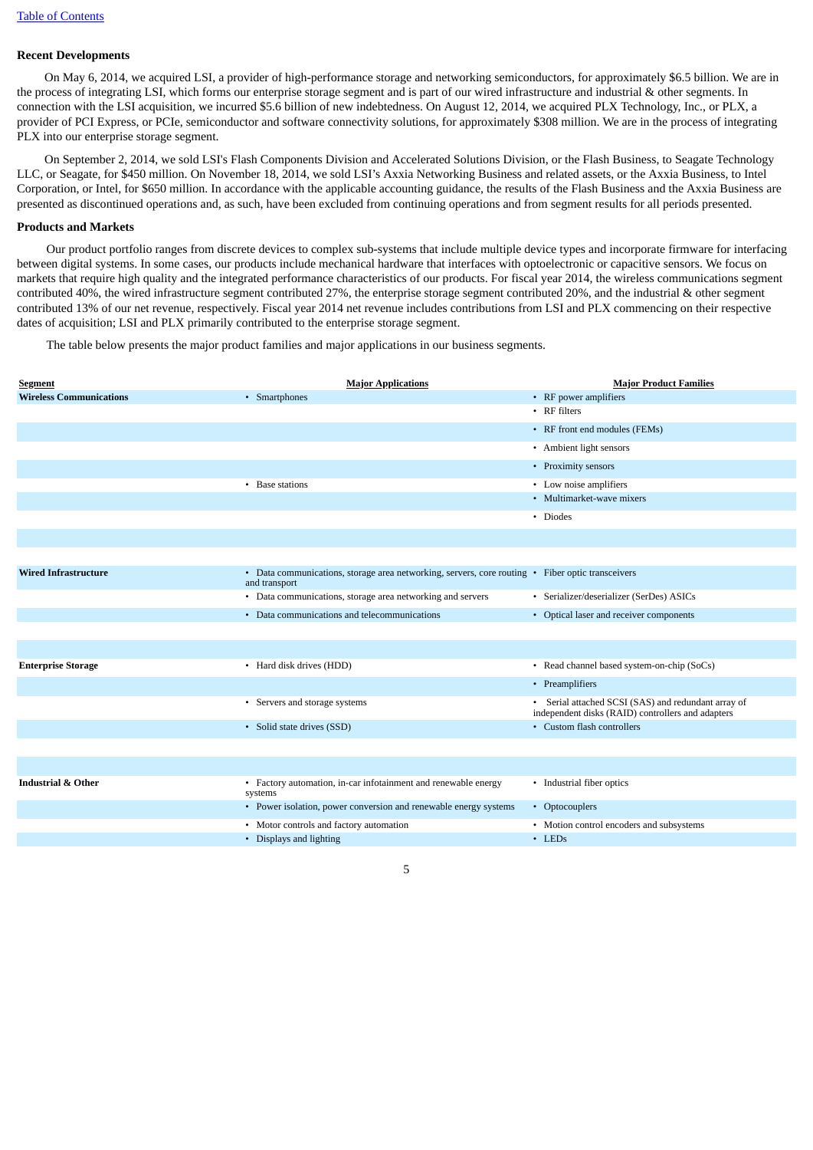#### **Recent Developments**

On May 6, 2014, we acquired LSI, a provider of high-performance storage and networking semiconductors, for approximately \$6.5 billion. We are in the process of integrating LSI, which forms our enterprise storage segment and is part of our wired infrastructure and industrial & other segments. In connection with the LSI acquisition, we incurred \$5.6 billion of new indebtedness. On August 12, 2014, we acquired PLX Technology, Inc., or PLX, a provider of PCI Express, or PCIe, semiconductor and software connectivity solutions, for approximately \$308 million. We are in the process of integrating PLX into our enterprise storage segment.

On September 2, 2014, we sold LSI's Flash Components Division and Accelerated Solutions Division, or the Flash Business, to Seagate Technology LLC, or Seagate, for \$450 million. On November 18, 2014, we sold LSI's Axxia Networking Business and related assets, or the Axxia Business, to Intel Corporation, or Intel, for \$650 million. In accordance with the applicable accounting guidance, the results of the Flash Business and the Axxia Business are presented as discontinued operations and, as such, have been excluded from continuing operations and from segment results for all periods presented.

#### **Products and Markets**

Our product portfolio ranges from discrete devices to complex sub-systems that include multiple device types and incorporate firmware for interfacing between digital systems. In some cases, our products include mechanical hardware that interfaces with optoelectronic or capacitive sensors. We focus on markets that require high quality and the integrated performance characteristics of our products. For fiscal year 2014, the wireless communications segment contributed 40%, the wired infrastructure segment contributed 27%, the enterprise storage segment contributed 20%, and the industrial & other segment contributed 13% of our net revenue, respectively. Fiscal year 2014 net revenue includes contributions from LSI and PLX commencing on their respective dates of acquisition; LSI and PLX primarily contributed to the enterprise storage segment.

The table below presents the major product families and major applications in our business segments.

| <b>Segment</b>                 | <b>Major Applications</b>                                                                                         | <b>Major Product Families</b>                                                                            |
|--------------------------------|-------------------------------------------------------------------------------------------------------------------|----------------------------------------------------------------------------------------------------------|
| <b>Wireless Communications</b> | • Smartphones                                                                                                     | • RF power amplifiers                                                                                    |
|                                |                                                                                                                   | • RF filters                                                                                             |
|                                |                                                                                                                   | • RF front end modules (FEMs)                                                                            |
|                                |                                                                                                                   | • Ambient light sensors                                                                                  |
|                                |                                                                                                                   | • Proximity sensors                                                                                      |
|                                | • Base stations                                                                                                   | • Low noise amplifiers                                                                                   |
|                                |                                                                                                                   | • Multimarket-wave mixers                                                                                |
|                                |                                                                                                                   | • Diodes                                                                                                 |
|                                |                                                                                                                   |                                                                                                          |
|                                |                                                                                                                   |                                                                                                          |
| <b>Wired Infrastructure</b>    | • Data communications, storage area networking, servers, core routing • Fiber optic transceivers<br>and transport |                                                                                                          |
|                                | • Data communications, storage area networking and servers                                                        | • Serializer/deserializer (SerDes) ASICs                                                                 |
|                                | • Data communications and telecommunications                                                                      | • Optical laser and receiver components                                                                  |
|                                |                                                                                                                   |                                                                                                          |
|                                |                                                                                                                   |                                                                                                          |
| <b>Enterprise Storage</b>      | • Hard disk drives (HDD)                                                                                          | • Read channel based system-on-chip (SoCs)                                                               |
|                                |                                                                                                                   | • Preamplifiers                                                                                          |
|                                | • Servers and storage systems                                                                                     | • Serial attached SCSI (SAS) and redundant array of<br>independent disks (RAID) controllers and adapters |
|                                | • Solid state drives (SSD)                                                                                        | • Custom flash controllers                                                                               |
|                                |                                                                                                                   |                                                                                                          |
|                                |                                                                                                                   |                                                                                                          |
| <b>Industrial &amp; Other</b>  | • Factory automation, in-car infotainment and renewable energy<br>systems                                         | • Industrial fiber optics                                                                                |
|                                | • Power isolation, power conversion and renewable energy systems                                                  | • Optocouplers                                                                                           |
|                                | • Motor controls and factory automation                                                                           | • Motion control encoders and subsystems                                                                 |
|                                | • Displays and lighting                                                                                           | $\cdot$ LEDs                                                                                             |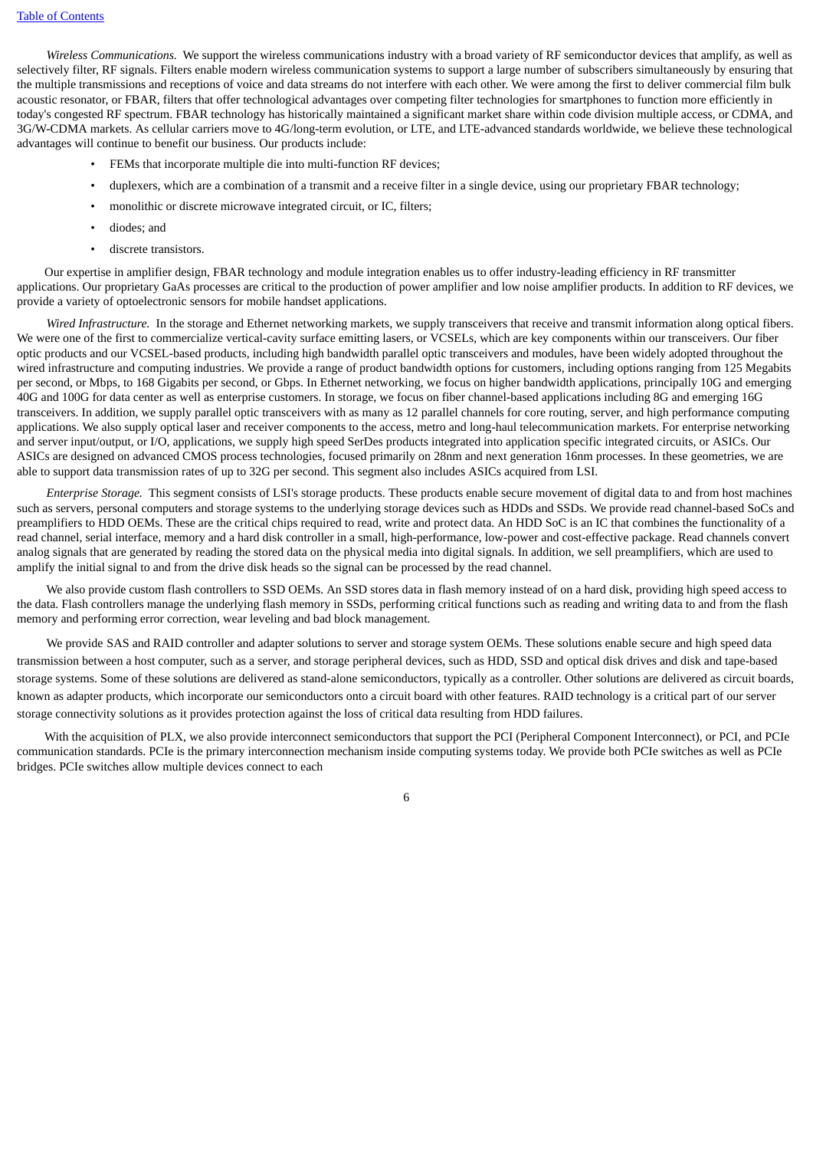*Wireless Communications.* We support the wireless communications industry with a broad variety of RF semiconductor devices that amplify, as well as selectively filter, RF signals. Filters enable modern wireless communication systems to support a large number of subscribers simultaneously by ensuring that the multiple transmissions and receptions of voice and data streams do not interfere with each other. We were among the first to deliver commercial film bulk acoustic resonator, or FBAR, filters that offer technological advantages over competing filter technologies for smartphones to function more efficiently in today's congested RF spectrum. FBAR technology has historically maintained a significant market share within code division multiple access, or CDMA, and 3G/W-CDMA markets. As cellular carriers move to 4G/long-term evolution, or LTE, and LTE-advanced standards worldwide, we believe these technological advantages will continue to benefit our business. Our products include:

- FEMs that incorporate multiple die into multi-function RF devices:
- duplexers, which are a combination of a transmit and a receive filter in a single device, using our proprietary FBAR technology;
- monolithic or discrete microwave integrated circuit, or IC, filters;
- diodes: and
- discrete transistors.

Our expertise in amplifier design, FBAR technology and module integration enables us to offer industry-leading efficiency in RF transmitter applications. Our proprietary GaAs processes are critical to the production of power amplifier and low noise amplifier products. In addition to RF devices, we provide a variety of optoelectronic sensors for mobile handset applications.

*Wired Infrastructure.* In the storage and Ethernet networking markets, we supply transceivers that receive and transmit information along optical fibers. We were one of the first to commercialize vertical-cavity surface emitting lasers, or VCSELs, which are key components within our transceivers. Our fiber optic products and our VCSEL-based products, including high bandwidth parallel optic transceivers and modules, have been widely adopted throughout the wired infrastructure and computing industries. We provide a range of product bandwidth options for customers, including options ranging from 125 Megabits per second, or Mbps, to 168 Gigabits per second, or Gbps. In Ethernet networking, we focus on higher bandwidth applications, principally 10G and emerging 40G and 100G for data center as well as enterprise customers. In storage, we focus on fiber channel-based applications including 8G and emerging 16G transceivers. In addition, we supply parallel optic transceivers with as many as 12 parallel channels for core routing, server, and high performance computing applications. We also supply optical laser and receiver components to the access, metro and long-haul telecommunication markets. For enterprise networking and server input/output, or I/O, applications, we supply high speed SerDes products integrated into application specific integrated circuits, or ASICs. Our ASICs are designed on advanced CMOS process technologies, focused primarily on 28nm and next generation 16nm processes. In these geometries, we are able to support data transmission rates of up to 32G per second. This segment also includes ASICs acquired from LSI.

*Enterprise Storage.* This segment consists of LSI's storage products. These products enable secure movement of digital data to and from host machines such as servers, personal computers and storage systems to the underlying storage devices such as HDDs and SSDs. We provide read channel-based SoCs and preamplifiers to HDD OEMs. These are the critical chips required to read, write and protect data. An HDD SoC is an IC that combines the functionality of a read channel, serial interface, memory and a hard disk controller in a small, high-performance, low-power and cost-effective package. Read channels convert analog signals that are generated by reading the stored data on the physical media into digital signals. In addition, we sell preamplifiers, which are used to amplify the initial signal to and from the drive disk heads so the signal can be processed by the read channel.

We also provide custom flash controllers to SSD OEMs. An SSD stores data in flash memory instead of on a hard disk, providing high speed access to the data. Flash controllers manage the underlying flash memory in SSDs, performing critical functions such as reading and writing data to and from the flash memory and performing error correction, wear leveling and bad block management.

We provide SAS and RAID controller and adapter solutions to server and storage system OEMs. These solutions enable secure and high speed data transmission between a host computer, such as a server, and storage peripheral devices, such as HDD, SSD and optical disk drives and disk and tape-based storage systems. Some of these solutions are delivered as stand-alone semiconductors, typically as a controller. Other solutions are delivered as circuit boards, known as adapter products, which incorporate our semiconductors onto a circuit board with other features. RAID technology is a critical part of our server storage connectivity solutions as it provides protection against the loss of critical data resulting from HDD failures.

With the acquisition of PLX, we also provide interconnect semiconductors that support the PCI (Peripheral Component Interconnect), or PCI, and PCIe communication standards. PCIe is the primary interconnection mechanism inside computing systems today. We provide both PCIe switches as well as PCIe bridges. PCIe switches allow multiple devices connect to each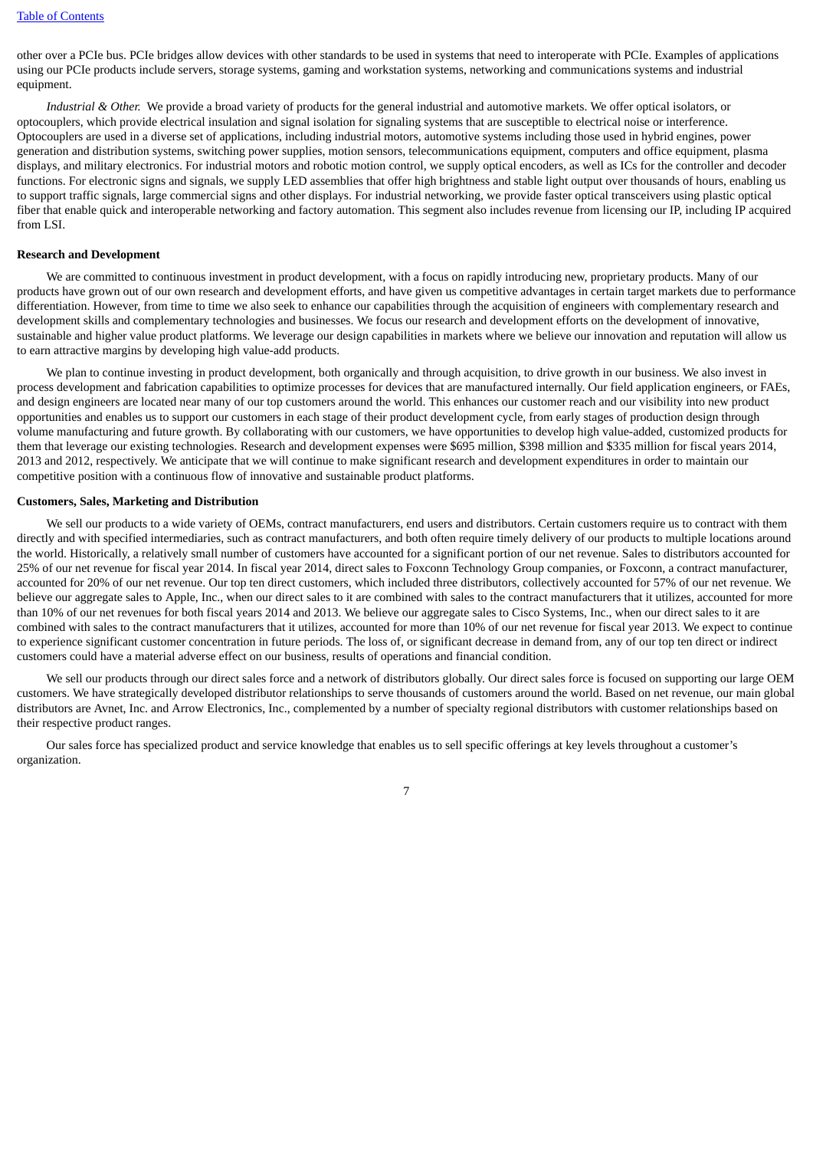other over a PCIe bus. PCIe bridges allow devices with other standards to be used in systems that need to interoperate with PCIe. Examples of applications using our PCIe products include servers, storage systems, gaming and workstation systems, networking and communications systems and industrial equipment.

*Industrial & Other.* We provide a broad variety of products for the general industrial and automotive markets. We offer optical isolators, or optocouplers, which provide electrical insulation and signal isolation for signaling systems that are susceptible to electrical noise or interference. Optocouplers are used in a diverse set of applications, including industrial motors, automotive systems including those used in hybrid engines, power generation and distribution systems, switching power supplies, motion sensors, telecommunications equipment, computers and office equipment, plasma displays, and military electronics. For industrial motors and robotic motion control, we supply optical encoders, as well as ICs for the controller and decoder functions. For electronic signs and signals, we supply LED assemblies that offer high brightness and stable light output over thousands of hours, enabling us to support traffic signals, large commercial signs and other displays. For industrial networking, we provide faster optical transceivers using plastic optical fiber that enable quick and interoperable networking and factory automation. This segment also includes revenue from licensing our IP, including IP acquired from LSI.

#### **Research and Development**

We are committed to continuous investment in product development, with a focus on rapidly introducing new, proprietary products. Many of our products have grown out of our own research and development efforts, and have given us competitive advantages in certain target markets due to performance differentiation. However, from time to time we also seek to enhance our capabilities through the acquisition of engineers with complementary research and development skills and complementary technologies and businesses. We focus our research and development efforts on the development of innovative, sustainable and higher value product platforms. We leverage our design capabilities in markets where we believe our innovation and reputation will allow us to earn attractive margins by developing high value-add products.

We plan to continue investing in product development, both organically and through acquisition, to drive growth in our business. We also invest in process development and fabrication capabilities to optimize processes for devices that are manufactured internally. Our field application engineers, or FAEs, and design engineers are located near many of our top customers around the world. This enhances our customer reach and our visibility into new product opportunities and enables us to support our customers in each stage of their product development cycle, from early stages of production design through volume manufacturing and future growth. By collaborating with our customers, we have opportunities to develop high value-added, customized products for them that leverage our existing technologies. Research and development expenses were \$695 million, \$398 million and \$335 million for fiscal years 2014, 2013 and 2012, respectively. We anticipate that we will continue to make significant research and development expenditures in order to maintain our competitive position with a continuous flow of innovative and sustainable product platforms.

#### **Customers, Sales, Marketing and Distribution**

We sell our products to a wide variety of OEMs, contract manufacturers, end users and distributors. Certain customers require us to contract with them directly and with specified intermediaries, such as contract manufacturers, and both often require timely delivery of our products to multiple locations around the world. Historically, a relatively small number of customers have accounted for a significant portion of our net revenue. Sales to distributors accounted for 25% of our net revenue for fiscal year 2014. In fiscal year 2014, direct sales to Foxconn Technology Group companies, or Foxconn, a contract manufacturer, accounted for 20% of our net revenue. Our top ten direct customers, which included three distributors, collectively accounted for 57% of our net revenue. We believe our aggregate sales to Apple, Inc., when our direct sales to it are combined with sales to the contract manufacturers that it utilizes, accounted for more than 10% of our net revenues for both fiscal years 2014 and 2013. We believe our aggregate sales to Cisco Systems, Inc., when our direct sales to it are combined with sales to the contract manufacturers that it utilizes, accounted for more than 10% of our net revenue for fiscal year 2013. We expect to continue to experience significant customer concentration in future periods. The loss of, or significant decrease in demand from, any of our top ten direct or indirect customers could have a material adverse effect on our business, results of operations and financial condition.

We sell our products through our direct sales force and a network of distributors globally. Our direct sales force is focused on supporting our large OEM customers. We have strategically developed distributor relationships to serve thousands of customers around the world. Based on net revenue, our main global distributors are Avnet, Inc. and Arrow Electronics, Inc., complemented by a number of specialty regional distributors with customer relationships based on their respective product ranges.

7

Our sales force has specialized product and service knowledge that enables us to sell specific offerings at key levels throughout a customer's organization.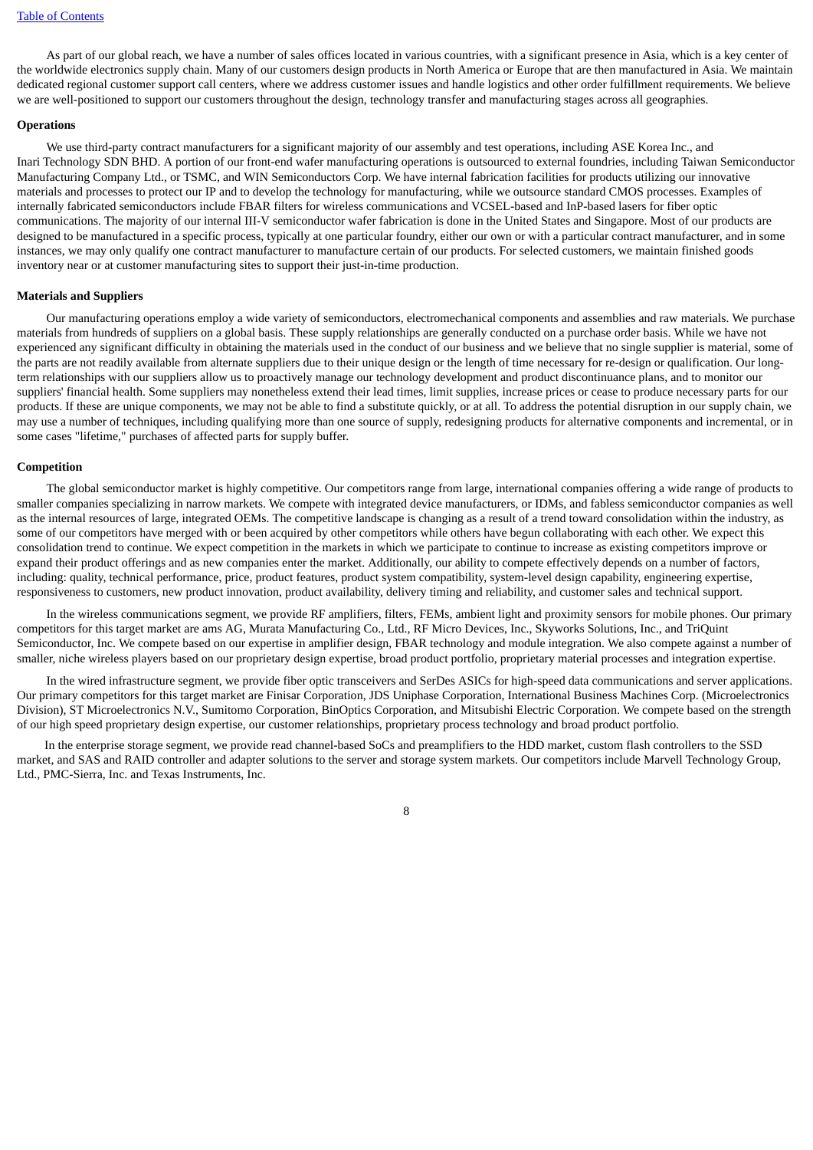As part of our global reach, we have a number of sales offices located in various countries, with a significant presence in Asia, which is a key center of the worldwide electronics supply chain. Many of our customers design products in North America or Europe that are then manufactured in Asia. We maintain dedicated regional customer support call centers, where we address customer issues and handle logistics and other order fulfillment requirements. We believe we are well-positioned to support our customers throughout the design, technology transfer and manufacturing stages across all geographies.

#### **Operations**

We use third-party contract manufacturers for a significant majority of our assembly and test operations, including ASE Korea Inc., and Inari Technology SDN BHD. A portion of our front-end wafer manufacturing operations is outsourced to external foundries, including Taiwan Semiconductor Manufacturing Company Ltd., or TSMC, and WIN Semiconductors Corp. We have internal fabrication facilities for products utilizing our innovative materials and processes to protect our IP and to develop the technology for manufacturing, while we outsource standard CMOS processes. Examples of internally fabricated semiconductors include FBAR filters for wireless communications and VCSEL-based and InP-based lasers for fiber optic communications. The majority of our internal III-V semiconductor wafer fabrication is done in the United States and Singapore. Most of our products are designed to be manufactured in a specific process, typically at one particular foundry, either our own or with a particular contract manufacturer, and in some instances, we may only qualify one contract manufacturer to manufacture certain of our products. For selected customers, we maintain finished goods inventory near or at customer manufacturing sites to support their just-in-time production.

#### **Materials and Suppliers**

Our manufacturing operations employ a wide variety of semiconductors, electromechanical components and assemblies and raw materials. We purchase materials from hundreds of suppliers on a global basis. These supply relationships are generally conducted on a purchase order basis. While we have not experienced any significant difficulty in obtaining the materials used in the conduct of our business and we believe that no single supplier is material, some of the parts are not readily available from alternate suppliers due to their unique design or the length of time necessary for re-design or qualification. Our longterm relationships with our suppliers allow us to proactively manage our technology development and product discontinuance plans, and to monitor our suppliers' financial health. Some suppliers may nonetheless extend their lead times, limit supplies, increase prices or cease to produce necessary parts for our products. If these are unique components, we may not be able to find a substitute quickly, or at all. To address the potential disruption in our supply chain, we may use a number of techniques, including qualifying more than one source of supply, redesigning products for alternative components and incremental, or in some cases "lifetime," purchases of affected parts for supply buffer.

#### **Competition**

The global semiconductor market is highly competitive. Our competitors range from large, international companies offering a wide range of products to smaller companies specializing in narrow markets. We compete with integrated device manufacturers, or IDMs, and fabless semiconductor companies as well as the internal resources of large, integrated OEMs. The competitive landscape is changing as a result of a trend toward consolidation within the industry, as some of our competitors have merged with or been acquired by other competitors while others have begun collaborating with each other. We expect this consolidation trend to continue. We expect competition in the markets in which we participate to continue to increase as existing competitors improve or expand their product offerings and as new companies enter the market. Additionally, our ability to compete effectively depends on a number of factors, including: quality, technical performance, price, product features, product system compatibility, system-level design capability, engineering expertise, responsiveness to customers, new product innovation, product availability, delivery timing and reliability, and customer sales and technical support.

In the wireless communications segment, we provide RF amplifiers, filters, FEMs, ambient light and proximity sensors for mobile phones. Our primary competitors for this target market are ams AG, Murata Manufacturing Co., Ltd., RF Micro Devices, Inc., Skyworks Solutions, Inc., and TriQuint Semiconductor, Inc. We compete based on our expertise in amplifier design, FBAR technology and module integration. We also compete against a number of smaller, niche wireless players based on our proprietary design expertise, broad product portfolio, proprietary material processes and integration expertise.

In the wired infrastructure segment, we provide fiber optic transceivers and SerDes ASICs for high-speed data communications and server applications. Our primary competitors for this target market are Finisar Corporation, JDS Uniphase Corporation, International Business Machines Corp. (Microelectronics Division), ST Microelectronics N.V., Sumitomo Corporation, BinOptics Corporation, and Mitsubishi Electric Corporation. We compete based on the strength of our high speed proprietary design expertise, our customer relationships, proprietary process technology and broad product portfolio.

In the enterprise storage segment, we provide read channel-based SoCs and preamplifiers to the HDD market, custom flash controllers to the SSD market, and SAS and RAID controller and adapter solutions to the server and storage system markets. Our competitors include Marvell Technology Group, Ltd., PMC-Sierra, Inc. and Texas Instruments, Inc.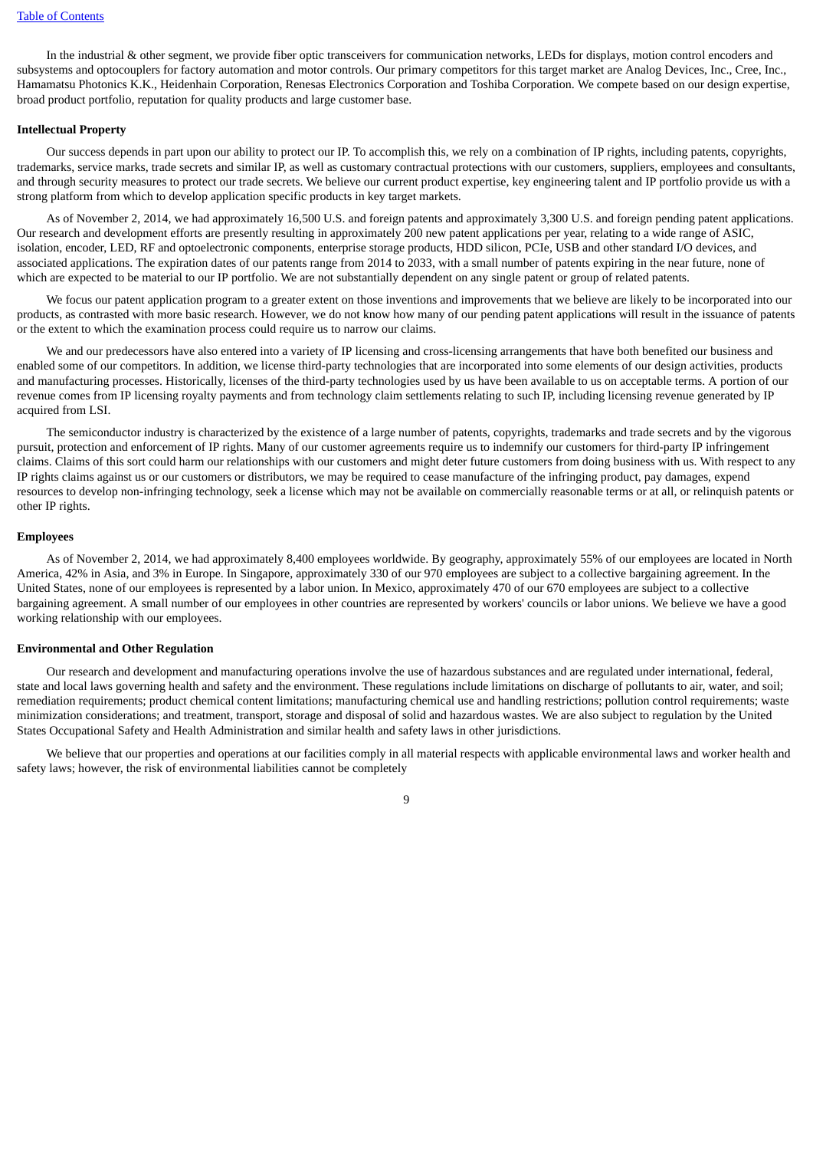In the industrial & other segment, we provide fiber optic transceivers for communication networks, LEDs for displays, motion control encoders and subsystems and optocouplers for factory automation and motor controls. Our primary competitors for this target market are Analog Devices, Inc., Cree, Inc., Hamamatsu Photonics K.K., Heidenhain Corporation, Renesas Electronics Corporation and Toshiba Corporation. We compete based on our design expertise, broad product portfolio, reputation for quality products and large customer base.

#### **Intellectual Property**

Our success depends in part upon our ability to protect our IP. To accomplish this, we rely on a combination of IP rights, including patents, copyrights, trademarks, service marks, trade secrets and similar IP, as well as customary contractual protections with our customers, suppliers, employees and consultants, and through security measures to protect our trade secrets. We believe our current product expertise, key engineering talent and IP portfolio provide us with a strong platform from which to develop application specific products in key target markets.

As of November 2, 2014, we had approximately 16,500 U.S. and foreign patents and approximately 3,300 U.S. and foreign pending patent applications. Our research and development efforts are presently resulting in approximately 200 new patent applications per year, relating to a wide range of ASIC, isolation, encoder, LED, RF and optoelectronic components, enterprise storage products, HDD silicon, PCIe, USB and other standard I/O devices, and associated applications. The expiration dates of our patents range from 2014 to 2033, with a small number of patents expiring in the near future, none of which are expected to be material to our IP portfolio. We are not substantially dependent on any single patent or group of related patents.

We focus our patent application program to a greater extent on those inventions and improvements that we believe are likely to be incorporated into our products, as contrasted with more basic research. However, we do not know how many of our pending patent applications will result in the issuance of patents or the extent to which the examination process could require us to narrow our claims.

We and our predecessors have also entered into a variety of IP licensing and cross-licensing arrangements that have both benefited our business and enabled some of our competitors. In addition, we license third-party technologies that are incorporated into some elements of our design activities, products and manufacturing processes. Historically, licenses of the third-party technologies used by us have been available to us on acceptable terms. A portion of our revenue comes from IP licensing royalty payments and from technology claim settlements relating to such IP, including licensing revenue generated by IP acquired from LSI.

The semiconductor industry is characterized by the existence of a large number of patents, copyrights, trademarks and trade secrets and by the vigorous pursuit, protection and enforcement of IP rights. Many of our customer agreements require us to indemnify our customers for third-party IP infringement claims. Claims of this sort could harm our relationships with our customers and might deter future customers from doing business with us. With respect to any IP rights claims against us or our customers or distributors, we may be required to cease manufacture of the infringing product, pay damages, expend resources to develop non-infringing technology, seek a license which may not be available on commercially reasonable terms or at all, or relinquish patents or other IP rights.

#### **Employees**

As of November 2, 2014, we had approximately 8,400 employees worldwide. By geography, approximately 55% of our employees are located in North America, 42% in Asia, and 3% in Europe. In Singapore, approximately 330 of our 970 employees are subject to a collective bargaining agreement. In the United States, none of our employees is represented by a labor union. In Mexico, approximately 470 of our 670 employees are subject to a collective bargaining agreement. A small number of our employees in other countries are represented by workers' councils or labor unions. We believe we have a good working relationship with our employees.

### **Environmental and Other Regulation**

Our research and development and manufacturing operations involve the use of hazardous substances and are regulated under international, federal, state and local laws governing health and safety and the environment. These regulations include limitations on discharge of pollutants to air, water, and soil; remediation requirements; product chemical content limitations; manufacturing chemical use and handling restrictions; pollution control requirements; waste minimization considerations; and treatment, transport, storage and disposal of solid and hazardous wastes. We are also subject to regulation by the United States Occupational Safety and Health Administration and similar health and safety laws in other jurisdictions.

We believe that our properties and operations at our facilities comply in all material respects with applicable environmental laws and worker health and safety laws; however, the risk of environmental liabilities cannot be completely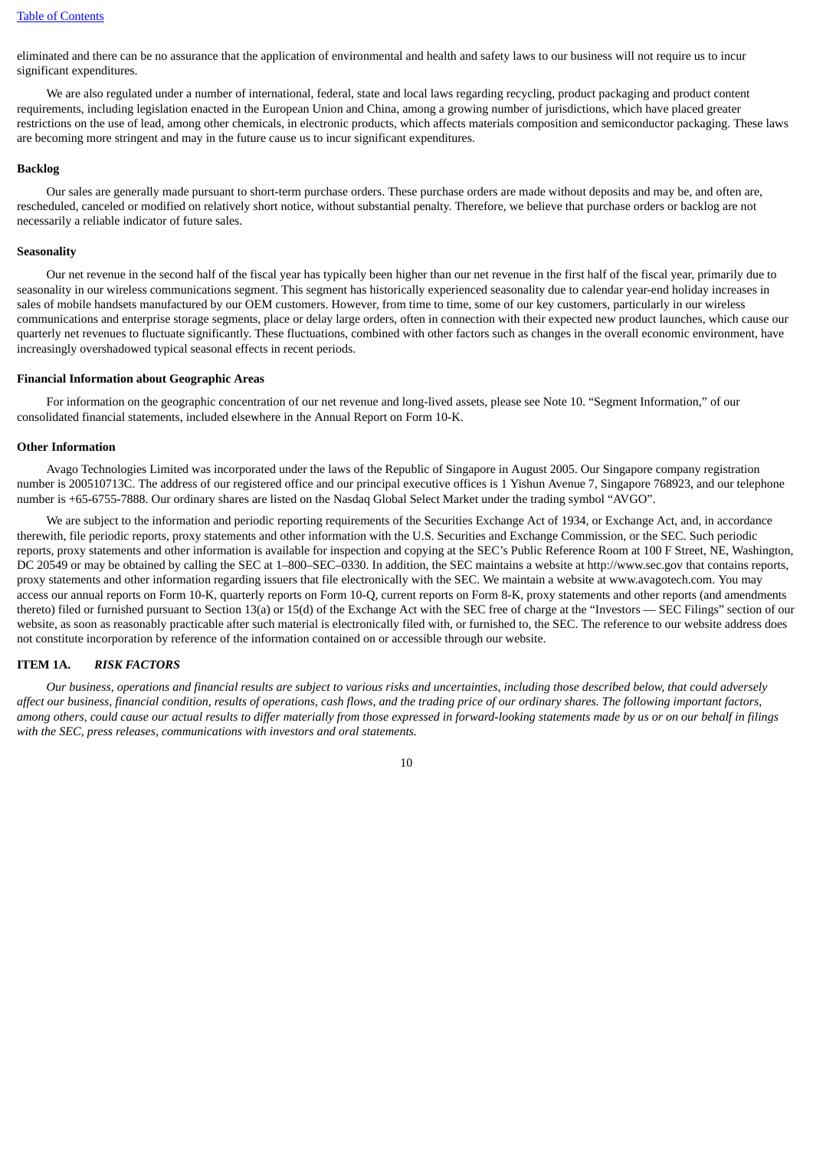eliminated and there can be no assurance that the application of environmental and health and safety laws to our business will not require us to incur significant expenditures.

We are also regulated under a number of international, federal, state and local laws regarding recycling, product packaging and product content requirements, including legislation enacted in the European Union and China, among a growing number of jurisdictions, which have placed greater restrictions on the use of lead, among other chemicals, in electronic products, which affects materials composition and semiconductor packaging. These laws are becoming more stringent and may in the future cause us to incur significant expenditures.

#### **Backlog**

Our sales are generally made pursuant to short-term purchase orders. These purchase orders are made without deposits and may be, and often are, rescheduled, canceled or modified on relatively short notice, without substantial penalty. Therefore, we believe that purchase orders or backlog are not necessarily a reliable indicator of future sales.

#### **Seasonality**

Our net revenue in the second half of the fiscal year has typically been higher than our net revenue in the first half of the fiscal year, primarily due to seasonality in our wireless communications segment. This segment has historically experienced seasonality due to calendar year-end holiday increases in sales of mobile handsets manufactured by our OEM customers. However, from time to time, some of our key customers, particularly in our wireless communications and enterprise storage segments, place or delay large orders, often in connection with their expected new product launches, which cause our quarterly net revenues to fluctuate significantly. These fluctuations, combined with other factors such as changes in the overall economic environment, have increasingly overshadowed typical seasonal effects in recent periods.

#### **Financial Information about Geographic Areas**

For information on the geographic concentration of our net revenue and long-lived assets, please see Note 10. "Segment Information," of our consolidated financial statements, included elsewhere in the Annual Report on Form 10-K.

#### **Other Information**

Avago Technologies Limited was incorporated under the laws of the Republic of Singapore in August 2005. Our Singapore company registration number is 200510713C. The address of our registered office and our principal executive offices is 1 Yishun Avenue 7, Singapore 768923, and our telephone number is +65-6755-7888. Our ordinary shares are listed on the Nasdaq Global Select Market under the trading symbol "AVGO".

We are subject to the information and periodic reporting requirements of the Securities Exchange Act of 1934, or Exchange Act, and, in accordance therewith, file periodic reports, proxy statements and other information with the U.S. Securities and Exchange Commission, or the SEC. Such periodic reports, proxy statements and other information is available for inspection and copying at the SEC's Public Reference Room at 100 F Street, NE, Washington, DC 20549 or may be obtained by calling the SEC at 1–800–SEC–0330. In addition, the SEC maintains a website at http://www.sec.gov that contains reports, proxy statements and other information regarding issuers that file electronically with the SEC. We maintain a website at www.avagotech.com. You may access our annual reports on Form 10-K, quarterly reports on Form 10-Q, current reports on Form 8-K, proxy statements and other reports (and amendments thereto) filed or furnished pursuant to Section 13(a) or 15(d) of the Exchange Act with the SEC free of charge at the "Investors — SEC Filings" section of our website, as soon as reasonably practicable after such material is electronically filed with, or furnished to, the SEC. The reference to our website address does not constitute incorporation by reference of the information contained on or accessible through our website.

### <span id="page-9-0"></span>**ITEM 1A.** *RISK FACTORS*

Our business, operations and financial results are subject to various risks and uncertainties, including those described below, that could adversely affect our business, financial condition, results of operations, cash flows, and the tradina price of our ordinary shares. The followina important factors, among others, could cause our actual results to differ materially from those expressed in forward-looking statements made by us or on our behalf in filings *with the SEC, press releases, communications with investors and oral statements.*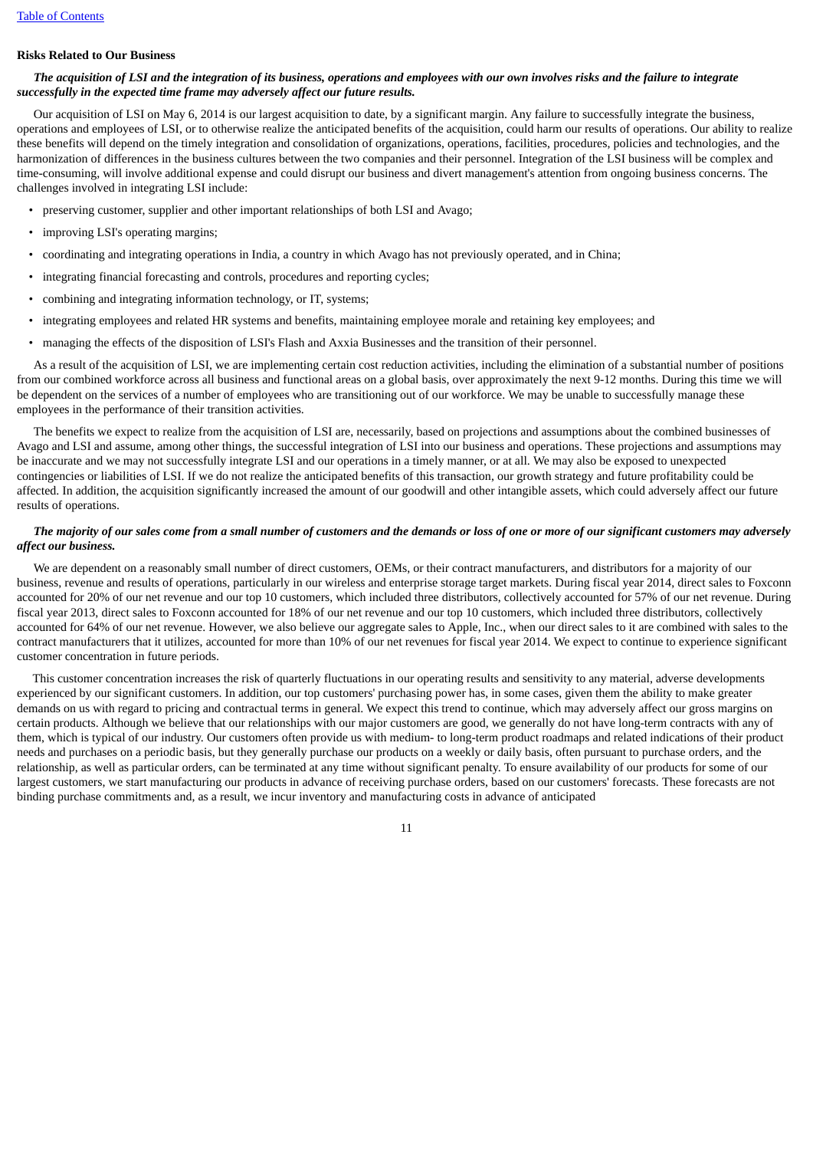# **Risks Related to Our Business**

### The acquisition of LSI and the integration of its business, operations and employees with our own involves risks and the failure to integrate *successfully in the expected time frame may adversely affect our future results.*

Our acquisition of LSI on May 6, 2014 is our largest acquisition to date, by a significant margin. Any failure to successfully integrate the business, operations and employees of LSI, or to otherwise realize the anticipated benefits of the acquisition, could harm our results of operations. Our ability to realize these benefits will depend on the timely integration and consolidation of organizations, operations, facilities, procedures, policies and technologies, and the harmonization of differences in the business cultures between the two companies and their personnel. Integration of the LSI business will be complex and time-consuming, will involve additional expense and could disrupt our business and divert management's attention from ongoing business concerns. The challenges involved in integrating LSI include:

- preserving customer, supplier and other important relationships of both LSI and Avago;
- improving LSI's operating margins;
- coordinating and integrating operations in India, a country in which Avago has not previously operated, and in China;
- integrating financial forecasting and controls, procedures and reporting cycles;
- combining and integrating information technology, or IT, systems;
- integrating employees and related HR systems and benefits, maintaining employee morale and retaining key employees; and
- managing the effects of the disposition of LSI's Flash and Axxia Businesses and the transition of their personnel.

As a result of the acquisition of LSI, we are implementing certain cost reduction activities, including the elimination of a substantial number of positions from our combined workforce across all business and functional areas on a global basis, over approximately the next 9-12 months. During this time we will be dependent on the services of a number of employees who are transitioning out of our workforce. We may be unable to successfully manage these employees in the performance of their transition activities.

The benefits we expect to realize from the acquisition of LSI are, necessarily, based on projections and assumptions about the combined businesses of Avago and LSI and assume, among other things, the successful integration of LSI into our business and operations. These projections and assumptions may be inaccurate and we may not successfully integrate LSI and our operations in a timely manner, or at all. We may also be exposed to unexpected contingencies or liabilities of LSI. If we do not realize the anticipated benefits of this transaction, our growth strategy and future profitability could be affected. In addition, the acquisition significantly increased the amount of our goodwill and other intangible assets, which could adversely affect our future results of operations.

### The majority of our sales come from a small number of customers and the demands or loss of one or more of our significant customers may adversely *affect our business.*

We are dependent on a reasonably small number of direct customers, OEMs, or their contract manufacturers, and distributors for a majority of our business, revenue and results of operations, particularly in our wireless and enterprise storage target markets. During fiscal year 2014, direct sales to Foxconn accounted for 20% of our net revenue and our top 10 customers, which included three distributors, collectively accounted for 57% of our net revenue. During fiscal year 2013, direct sales to Foxconn accounted for 18% of our net revenue and our top 10 customers, which included three distributors, collectively accounted for 64% of our net revenue. However, we also believe our aggregate sales to Apple, Inc., when our direct sales to it are combined with sales to the contract manufacturers that it utilizes, accounted for more than 10% of our net revenues for fiscal year 2014. We expect to continue to experience significant customer concentration in future periods.

This customer concentration increases the risk of quarterly fluctuations in our operating results and sensitivity to any material, adverse developments experienced by our significant customers. In addition, our top customers' purchasing power has, in some cases, given them the ability to make greater demands on us with regard to pricing and contractual terms in general. We expect this trend to continue, which may adversely affect our gross margins on certain products. Although we believe that our relationships with our major customers are good, we generally do not have long-term contracts with any of them, which is typical of our industry. Our customers often provide us with medium- to long-term product roadmaps and related indications of their product needs and purchases on a periodic basis, but they generally purchase our products on a weekly or daily basis, often pursuant to purchase orders, and the relationship, as well as particular orders, can be terminated at any time without significant penalty. To ensure availability of our products for some of our largest customers, we start manufacturing our products in advance of receiving purchase orders, based on our customers' forecasts. These forecasts are not binding purchase commitments and, as a result, we incur inventory and manufacturing costs in advance of anticipated

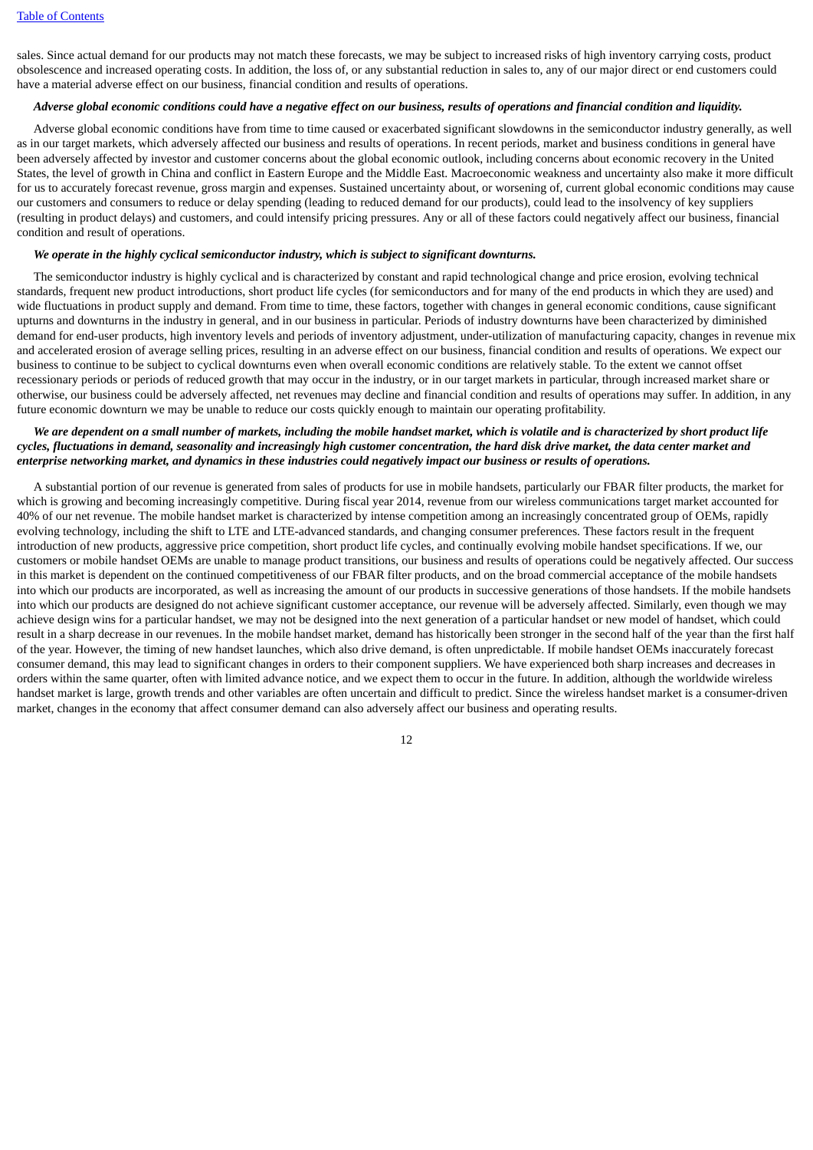sales. Since actual demand for our products may not match these forecasts, we may be subject to increased risks of high inventory carrying costs, product obsolescence and increased operating costs. In addition, the loss of, or any substantial reduction in sales to, any of our major direct or end customers could have a material adverse effect on our business, financial condition and results of operations.

#### Adverse global economic conditions could have a negative effect on our business, results of operations and financial condition and liquidity.

Adverse global economic conditions have from time to time caused or exacerbated significant slowdowns in the semiconductor industry generally, as well as in our target markets, which adversely affected our business and results of operations. In recent periods, market and business conditions in general have been adversely affected by investor and customer concerns about the global economic outlook, including concerns about economic recovery in the United States, the level of growth in China and conflict in Eastern Europe and the Middle East. Macroeconomic weakness and uncertainty also make it more difficult for us to accurately forecast revenue, gross margin and expenses. Sustained uncertainty about, or worsening of, current global economic conditions may cause our customers and consumers to reduce or delay spending (leading to reduced demand for our products), could lead to the insolvency of key suppliers (resulting in product delays) and customers, and could intensify pricing pressures. Any or all of these factors could negatively affect our business, financial condition and result of operations.

#### *We operate in the highly cyclical semiconductor industry, which is subject to significant downturns.*

The semiconductor industry is highly cyclical and is characterized by constant and rapid technological change and price erosion, evolving technical standards, frequent new product introductions, short product life cycles (for semiconductors and for many of the end products in which they are used) and wide fluctuations in product supply and demand. From time to time, these factors, together with changes in general economic conditions, cause significant upturns and downturns in the industry in general, and in our business in particular. Periods of industry downturns have been characterized by diminished demand for end-user products, high inventory levels and periods of inventory adjustment, under-utilization of manufacturing capacity, changes in revenue mix and accelerated erosion of average selling prices, resulting in an adverse effect on our business, financial condition and results of operations. We expect our business to continue to be subject to cyclical downturns even when overall economic conditions are relatively stable. To the extent we cannot offset recessionary periods or periods of reduced growth that may occur in the industry, or in our target markets in particular, through increased market share or otherwise, our business could be adversely affected, net revenues may decline and financial condition and results of operations may suffer. In addition, in any future economic downturn we may be unable to reduce our costs quickly enough to maintain our operating profitability.

### We are dependent on a small number of markets, including the mobile handset market, which is volatile and is characterized by short product life cycles, fluctuations in demand, seasonality and increasingly high customer concentration, the hard disk drive market, the data center market and enterprise networking market, and dynamics in these industries could negatively impact our business or results of operations.

A substantial portion of our revenue is generated from sales of products for use in mobile handsets, particularly our FBAR filter products, the market for which is growing and becoming increasingly competitive. During fiscal year 2014, revenue from our wireless communications target market accounted for 40% of our net revenue. The mobile handset market is characterized by intense competition among an increasingly concentrated group of OEMs, rapidly evolving technology, including the shift to LTE and LTE-advanced standards, and changing consumer preferences. These factors result in the frequent introduction of new products, aggressive price competition, short product life cycles, and continually evolving mobile handset specifications. If we, our customers or mobile handset OEMs are unable to manage product transitions, our business and results of operations could be negatively affected. Our success in this market is dependent on the continued competitiveness of our FBAR filter products, and on the broad commercial acceptance of the mobile handsets into which our products are incorporated, as well as increasing the amount of our products in successive generations of those handsets. If the mobile handsets into which our products are designed do not achieve significant customer acceptance, our revenue will be adversely affected. Similarly, even though we may achieve design wins for a particular handset, we may not be designed into the next generation of a particular handset or new model of handset, which could result in a sharp decrease in our revenues. In the mobile handset market, demand has historically been stronger in the second half of the year than the first half of the year. However, the timing of new handset launches, which also drive demand, is often unpredictable. If mobile handset OEMs inaccurately forecast consumer demand, this may lead to significant changes in orders to their component suppliers. We have experienced both sharp increases and decreases in orders within the same quarter, often with limited advance notice, and we expect them to occur in the future. In addition, although the worldwide wireless handset market is large, growth trends and other variables are often uncertain and difficult to predict. Since the wireless handset market is a consumer-driven market, changes in the economy that affect consumer demand can also adversely affect our business and operating results.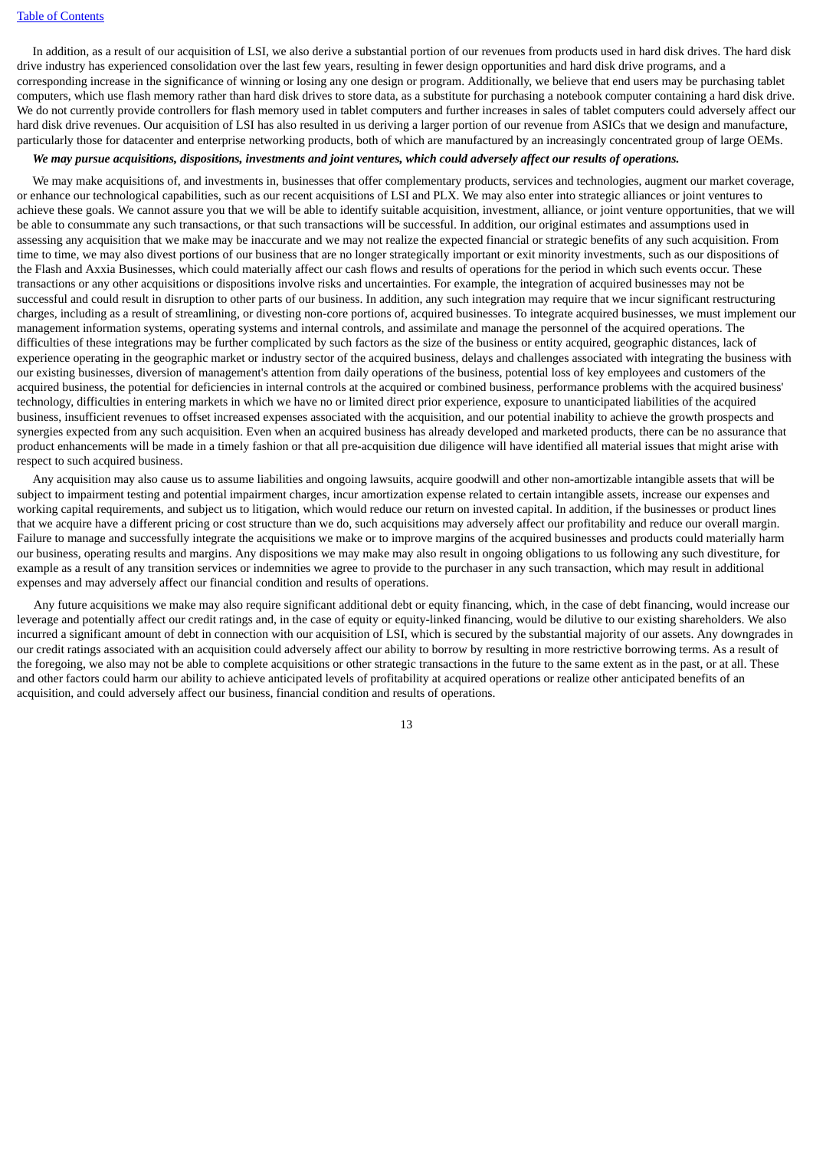In addition, as a result of our acquisition of LSI, we also derive a substantial portion of our revenues from products used in hard disk drives. The hard disk drive industry has experienced consolidation over the last few years, resulting in fewer design opportunities and hard disk drive programs, and a corresponding increase in the significance of winning or losing any one design or program. Additionally, we believe that end users may be purchasing tablet computers, which use flash memory rather than hard disk drives to store data, as a substitute for purchasing a notebook computer containing a hard disk drive. We do not currently provide controllers for flash memory used in tablet computers and further increases in sales of tablet computers could adversely affect our hard disk drive revenues. Our acquisition of LSI has also resulted in us deriving a larger portion of our revenue from ASICs that we design and manufacture, particularly those for datacenter and enterprise networking products, both of which are manufactured by an increasingly concentrated group of large OEMs.

#### We may pursue acquisitions, dispositions, investments and joint ventures, which could adversely affect our results of operations.

We may make acquisitions of, and investments in, businesses that offer complementary products, services and technologies, augment our market coverage, or enhance our technological capabilities, such as our recent acquisitions of LSI and PLX. We may also enter into strategic alliances or joint ventures to achieve these goals. We cannot assure you that we will be able to identify suitable acquisition, investment, alliance, or joint venture opportunities, that we will be able to consummate any such transactions, or that such transactions will be successful. In addition, our original estimates and assumptions used in assessing any acquisition that we make may be inaccurate and we may not realize the expected financial or strategic benefits of any such acquisition. From time to time, we may also divest portions of our business that are no longer strategically important or exit minority investments, such as our dispositions of the Flash and Axxia Businesses, which could materially affect our cash flows and results of operations for the period in which such events occur. These transactions or any other acquisitions or dispositions involve risks and uncertainties. For example, the integration of acquired businesses may not be successful and could result in disruption to other parts of our business. In addition, any such integration may require that we incur significant restructuring charges, including as a result of streamlining, or divesting non-core portions of, acquired businesses. To integrate acquired businesses, we must implement our management information systems, operating systems and internal controls, and assimilate and manage the personnel of the acquired operations. The difficulties of these integrations may be further complicated by such factors as the size of the business or entity acquired, geographic distances, lack of experience operating in the geographic market or industry sector of the acquired business, delays and challenges associated with integrating the business with our existing businesses, diversion of management's attention from daily operations of the business, potential loss of key employees and customers of the acquired business, the potential for deficiencies in internal controls at the acquired or combined business, performance problems with the acquired business' technology, difficulties in entering markets in which we have no or limited direct prior experience, exposure to unanticipated liabilities of the acquired business, insufficient revenues to offset increased expenses associated with the acquisition, and our potential inability to achieve the growth prospects and synergies expected from any such acquisition. Even when an acquired business has already developed and marketed products, there can be no assurance that product enhancements will be made in a timely fashion or that all pre-acquisition due diligence will have identified all material issues that might arise with respect to such acquired business.

Any acquisition may also cause us to assume liabilities and ongoing lawsuits, acquire goodwill and other non-amortizable intangible assets that will be subject to impairment testing and potential impairment charges, incur amortization expense related to certain intangible assets, increase our expenses and working capital requirements, and subject us to litigation, which would reduce our return on invested capital. In addition, if the businesses or product lines that we acquire have a different pricing or cost structure than we do, such acquisitions may adversely affect our profitability and reduce our overall margin. Failure to manage and successfully integrate the acquisitions we make or to improve margins of the acquired businesses and products could materially harm our business, operating results and margins. Any dispositions we may make may also result in ongoing obligations to us following any such divestiture, for example as a result of any transition services or indemnities we agree to provide to the purchaser in any such transaction, which may result in additional expenses and may adversely affect our financial condition and results of operations.

Any future acquisitions we make may also require significant additional debt or equity financing, which, in the case of debt financing, would increase our leverage and potentially affect our credit ratings and, in the case of equity or equity-linked financing, would be dilutive to our existing shareholders. We also incurred a significant amount of debt in connection with our acquisition of LSI, which is secured by the substantial majority of our assets. Any downgrades in our credit ratings associated with an acquisition could adversely affect our ability to borrow by resulting in more restrictive borrowing terms. As a result of the foregoing, we also may not be able to complete acquisitions or other strategic transactions in the future to the same extent as in the past, or at all. These and other factors could harm our ability to achieve anticipated levels of profitability at acquired operations or realize other anticipated benefits of an acquisition, and could adversely affect our business, financial condition and results of operations.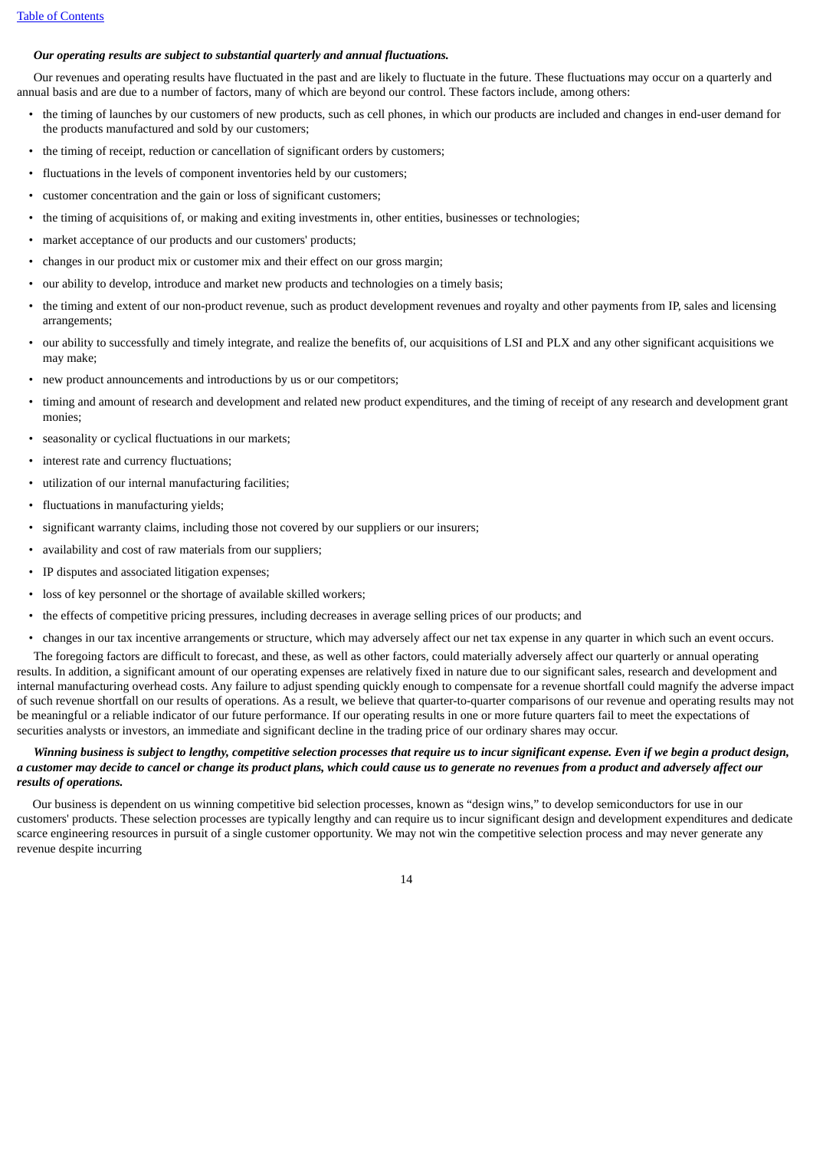#### *Our operating results are subject to substantial quarterly and annual fluctuations.*

Our revenues and operating results have fluctuated in the past and are likely to fluctuate in the future. These fluctuations may occur on a quarterly and annual basis and are due to a number of factors, many of which are beyond our control. These factors include, among others:

- the timing of launches by our customers of new products, such as cell phones, in which our products are included and changes in end-user demand for the products manufactured and sold by our customers;
- the timing of receipt, reduction or cancellation of significant orders by customers;
- fluctuations in the levels of component inventories held by our customers;
- customer concentration and the gain or loss of significant customers;
- the timing of acquisitions of, or making and exiting investments in, other entities, businesses or technologies;
- market acceptance of our products and our customers' products;
- changes in our product mix or customer mix and their effect on our gross margin;
- our ability to develop, introduce and market new products and technologies on a timely basis;
- the timing and extent of our non-product revenue, such as product development revenues and royalty and other payments from IP, sales and licensing arrangements;
- our ability to successfully and timely integrate, and realize the benefits of, our acquisitions of LSI and PLX and any other significant acquisitions we may make;
- new product announcements and introductions by us or our competitors;
- timing and amount of research and development and related new product expenditures, and the timing of receipt of any research and development grant monies;
- seasonality or cyclical fluctuations in our markets;
- interest rate and currency fluctuations:
- utilization of our internal manufacturing facilities;
- fluctuations in manufacturing yields;
- significant warranty claims, including those not covered by our suppliers or our insurers;
- availability and cost of raw materials from our suppliers;
- IP disputes and associated litigation expenses;
- loss of key personnel or the shortage of available skilled workers;
- the effects of competitive pricing pressures, including decreases in average selling prices of our products; and
- changes in our tax incentive arrangements or structure, which may adversely affect our net tax expense in any quarter in which such an event occurs.

The foregoing factors are difficult to forecast, and these, as well as other factors, could materially adversely affect our quarterly or annual operating results. In addition, a significant amount of our operating expenses are relatively fixed in nature due to our significant sales, research and development and internal manufacturing overhead costs. Any failure to adjust spending quickly enough to compensate for a revenue shortfall could magnify the adverse impact of such revenue shortfall on our results of operations. As a result, we believe that quarter-to-quarter comparisons of our revenue and operating results may not be meaningful or a reliable indicator of our future performance. If our operating results in one or more future quarters fail to meet the expectations of securities analysts or investors, an immediate and significant decline in the trading price of our ordinary shares may occur.

#### Winning business is subject to lengthy, competitive selection processes that require us to incur significant expense. Even if we begin a product design, a customer may decide to cancel or change its product plans, which could cause us to generate no revenues from a product and adversely affect our *results of operations.*

Our business is dependent on us winning competitive bid selection processes, known as "design wins," to develop semiconductors for use in our customers' products. These selection processes are typically lengthy and can require us to incur significant design and development expenditures and dedicate scarce engineering resources in pursuit of a single customer opportunity. We may not win the competitive selection process and may never generate any revenue despite incurring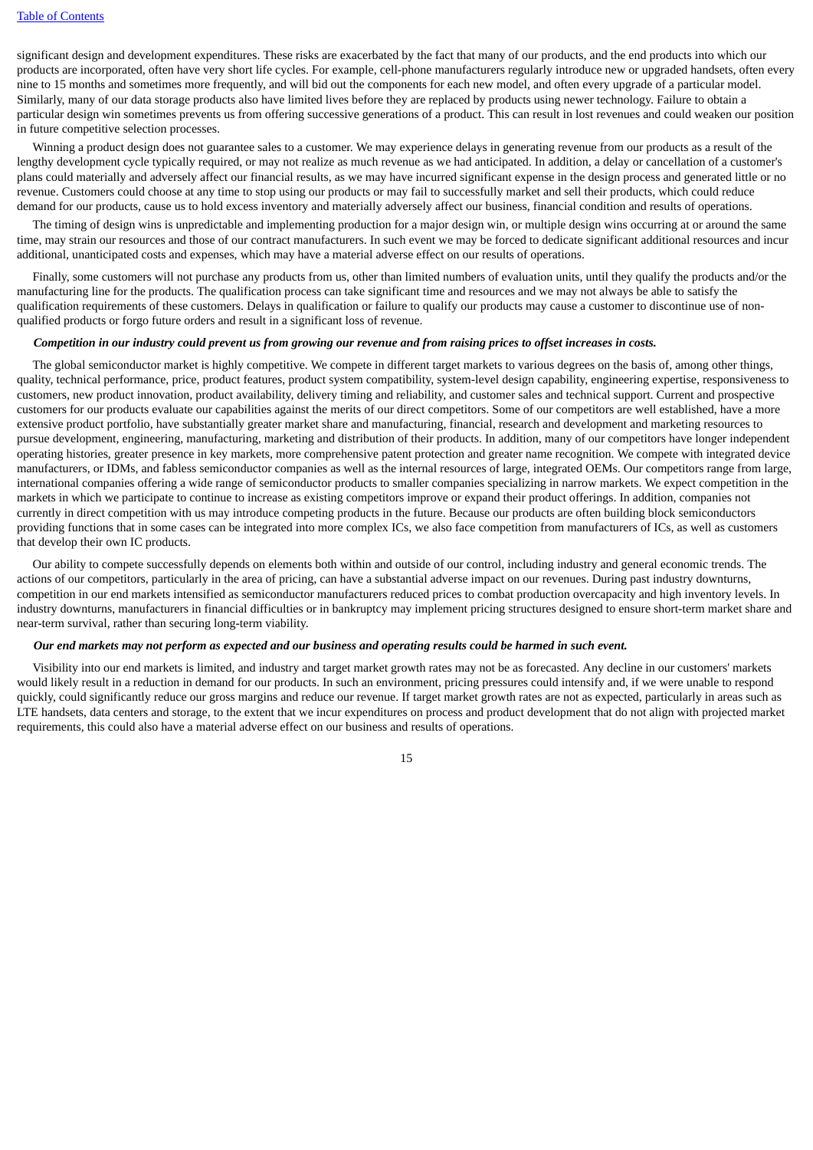significant design and development expenditures. These risks are exacerbated by the fact that many of our products, and the end products into which our products are incorporated, often have very short life cycles. For example, cell-phone manufacturers regularly introduce new or upgraded handsets, often every nine to 15 months and sometimes more frequently, and will bid out the components for each new model, and often every upgrade of a particular model. Similarly, many of our data storage products also have limited lives before they are replaced by products using newer technology. Failure to obtain a particular design win sometimes prevents us from offering successive generations of a product. This can result in lost revenues and could weaken our position in future competitive selection processes.

Winning a product design does not guarantee sales to a customer. We may experience delays in generating revenue from our products as a result of the lengthy development cycle typically required, or may not realize as much revenue as we had anticipated. In addition, a delay or cancellation of a customer's plans could materially and adversely affect our financial results, as we may have incurred significant expense in the design process and generated little or no revenue. Customers could choose at any time to stop using our products or may fail to successfully market and sell their products, which could reduce demand for our products, cause us to hold excess inventory and materially adversely affect our business, financial condition and results of operations.

The timing of design wins is unpredictable and implementing production for a major design win, or multiple design wins occurring at or around the same time, may strain our resources and those of our contract manufacturers. In such event we may be forced to dedicate significant additional resources and incur additional, unanticipated costs and expenses, which may have a material adverse effect on our results of operations.

Finally, some customers will not purchase any products from us, other than limited numbers of evaluation units, until they qualify the products and/or the manufacturing line for the products. The qualification process can take significant time and resources and we may not always be able to satisfy the qualification requirements of these customers. Delays in qualification or failure to qualify our products may cause a customer to discontinue use of nonqualified products or forgo future orders and result in a significant loss of revenue.

#### Competition in our industry could prevent us from growing our revenue and from raising prices to offset increases in costs.

The global semiconductor market is highly competitive. We compete in different target markets to various degrees on the basis of, among other things, quality, technical performance, price, product features, product system compatibility, system-level design capability, engineering expertise, responsiveness to customers, new product innovation, product availability, delivery timing and reliability, and customer sales and technical support. Current and prospective customers for our products evaluate our capabilities against the merits of our direct competitors. Some of our competitors are well established, have a more extensive product portfolio, have substantially greater market share and manufacturing, financial, research and development and marketing resources to pursue development, engineering, manufacturing, marketing and distribution of their products. In addition, many of our competitors have longer independent operating histories, greater presence in key markets, more comprehensive patent protection and greater name recognition. We compete with integrated device manufacturers, or IDMs, and fabless semiconductor companies as well as the internal resources of large, integrated OEMs. Our competitors range from large, international companies offering a wide range of semiconductor products to smaller companies specializing in narrow markets. We expect competition in the markets in which we participate to continue to increase as existing competitors improve or expand their product offerings. In addition, companies not currently in direct competition with us may introduce competing products in the future. Because our products are often building block semiconductors providing functions that in some cases can be integrated into more complex ICs, we also face competition from manufacturers of ICs, as well as customers that develop their own IC products.

Our ability to compete successfully depends on elements both within and outside of our control, including industry and general economic trends. The actions of our competitors, particularly in the area of pricing, can have a substantial adverse impact on our revenues. During past industry downturns, competition in our end markets intensified as semiconductor manufacturers reduced prices to combat production overcapacity and high inventory levels. In industry downturns, manufacturers in financial difficulties or in bankruptcy may implement pricing structures designed to ensure short-term market share and near-term survival, rather than securing long-term viability.

#### Our end markets may not perform as expected and our business and operating results could be harmed in such event.

Visibility into our end markets is limited, and industry and target market growth rates may not be as forecasted. Any decline in our customers' markets would likely result in a reduction in demand for our products. In such an environment, pricing pressures could intensify and, if we were unable to respond quickly, could significantly reduce our gross margins and reduce our revenue. If target market growth rates are not as expected, particularly in areas such as LTE handsets, data centers and storage, to the extent that we incur expenditures on process and product development that do not align with projected market requirements, this could also have a material adverse effect on our business and results of operations.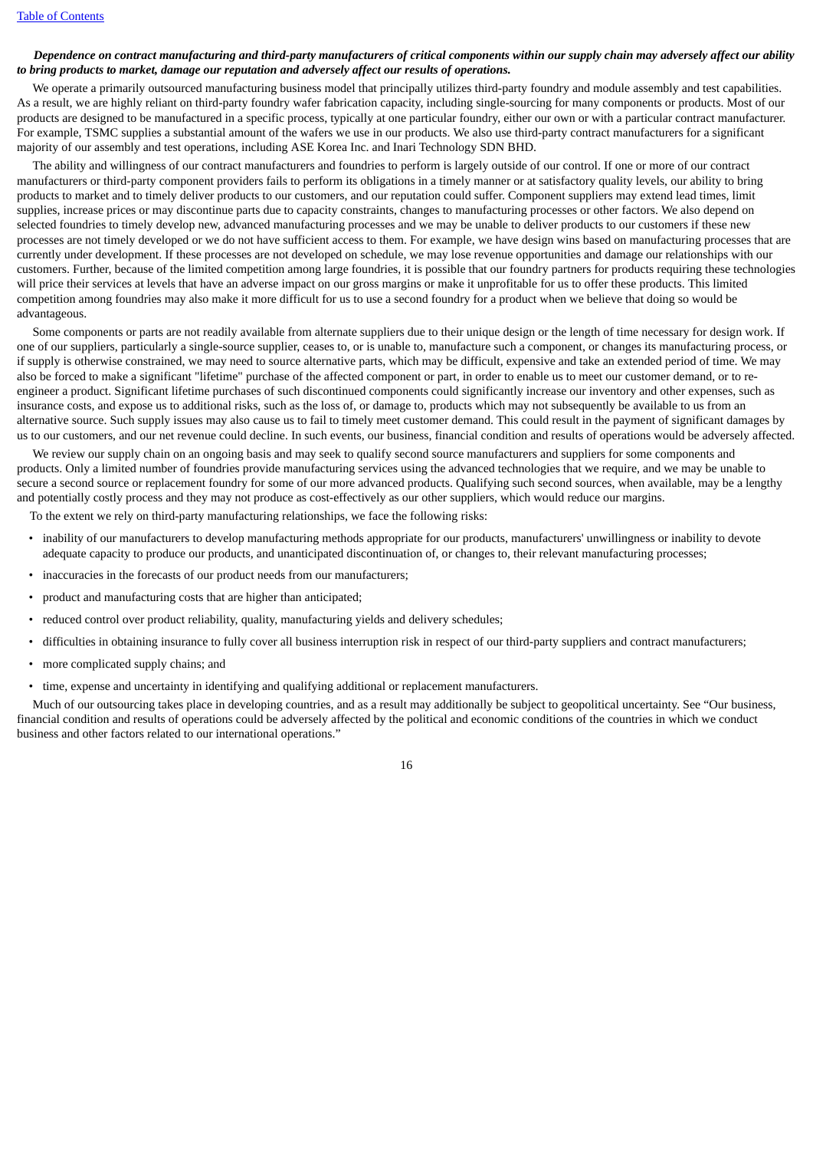### Dependence on contract manufacturing and third-party manufacturers of critical components within our supply chain may adversely affect our ability *to bring products to market, damage our reputation and adversely affect our results of operations.*

We operate a primarily outsourced manufacturing business model that principally utilizes third-party foundry and module assembly and test capabilities. As a result, we are highly reliant on third-party foundry wafer fabrication capacity, including single-sourcing for many components or products. Most of our products are designed to be manufactured in a specific process, typically at one particular foundry, either our own or with a particular contract manufacturer. For example, TSMC supplies a substantial amount of the wafers we use in our products. We also use third-party contract manufacturers for a significant majority of our assembly and test operations, including ASE Korea Inc. and Inari Technology SDN BHD.

The ability and willingness of our contract manufacturers and foundries to perform is largely outside of our control. If one or more of our contract manufacturers or third-party component providers fails to perform its obligations in a timely manner or at satisfactory quality levels, our ability to bring products to market and to timely deliver products to our customers, and our reputation could suffer. Component suppliers may extend lead times, limit supplies, increase prices or may discontinue parts due to capacity constraints, changes to manufacturing processes or other factors. We also depend on selected foundries to timely develop new, advanced manufacturing processes and we may be unable to deliver products to our customers if these new processes are not timely developed or we do not have sufficient access to them. For example, we have design wins based on manufacturing processes that are currently under development. If these processes are not developed on schedule, we may lose revenue opportunities and damage our relationships with our customers. Further, because of the limited competition among large foundries, it is possible that our foundry partners for products requiring these technologies will price their services at levels that have an adverse impact on our gross margins or make it unprofitable for us to offer these products. This limited competition among foundries may also make it more difficult for us to use a second foundry for a product when we believe that doing so would be advantageous.

Some components or parts are not readily available from alternate suppliers due to their unique design or the length of time necessary for design work. If one of our suppliers, particularly a single-source supplier, ceases to, or is unable to, manufacture such a component, or changes its manufacturing process, or if supply is otherwise constrained, we may need to source alternative parts, which may be difficult, expensive and take an extended period of time. We may also be forced to make a significant "lifetime" purchase of the affected component or part, in order to enable us to meet our customer demand, or to reengineer a product. Significant lifetime purchases of such discontinued components could significantly increase our inventory and other expenses, such as insurance costs, and expose us to additional risks, such as the loss of, or damage to, products which may not subsequently be available to us from an alternative source. Such supply issues may also cause us to fail to timely meet customer demand. This could result in the payment of significant damages by us to our customers, and our net revenue could decline. In such events, our business, financial condition and results of operations would be adversely affected.

We review our supply chain on an ongoing basis and may seek to qualify second source manufacturers and suppliers for some components and products. Only a limited number of foundries provide manufacturing services using the advanced technologies that we require, and we may be unable to secure a second source or replacement foundry for some of our more advanced products. Qualifying such second sources, when available, may be a lengthy and potentially costly process and they may not produce as cost-effectively as our other suppliers, which would reduce our margins.

To the extent we rely on third-party manufacturing relationships, we face the following risks:

- inability of our manufacturers to develop manufacturing methods appropriate for our products, manufacturers' unwillingness or inability to devote adequate capacity to produce our products, and unanticipated discontinuation of, or changes to, their relevant manufacturing processes;
- inaccuracies in the forecasts of our product needs from our manufacturers;
- product and manufacturing costs that are higher than anticipated;
- reduced control over product reliability, quality, manufacturing yields and delivery schedules;
- difficulties in obtaining insurance to fully cover all business interruption risk in respect of our third-party suppliers and contract manufacturers;
- more complicated supply chains; and
- time, expense and uncertainty in identifying and qualifying additional or replacement manufacturers.

Much of our outsourcing takes place in developing countries, and as a result may additionally be subject to geopolitical uncertainty. See "Our business, financial condition and results of operations could be adversely affected by the political and economic conditions of the countries in which we conduct business and other factors related to our international operations."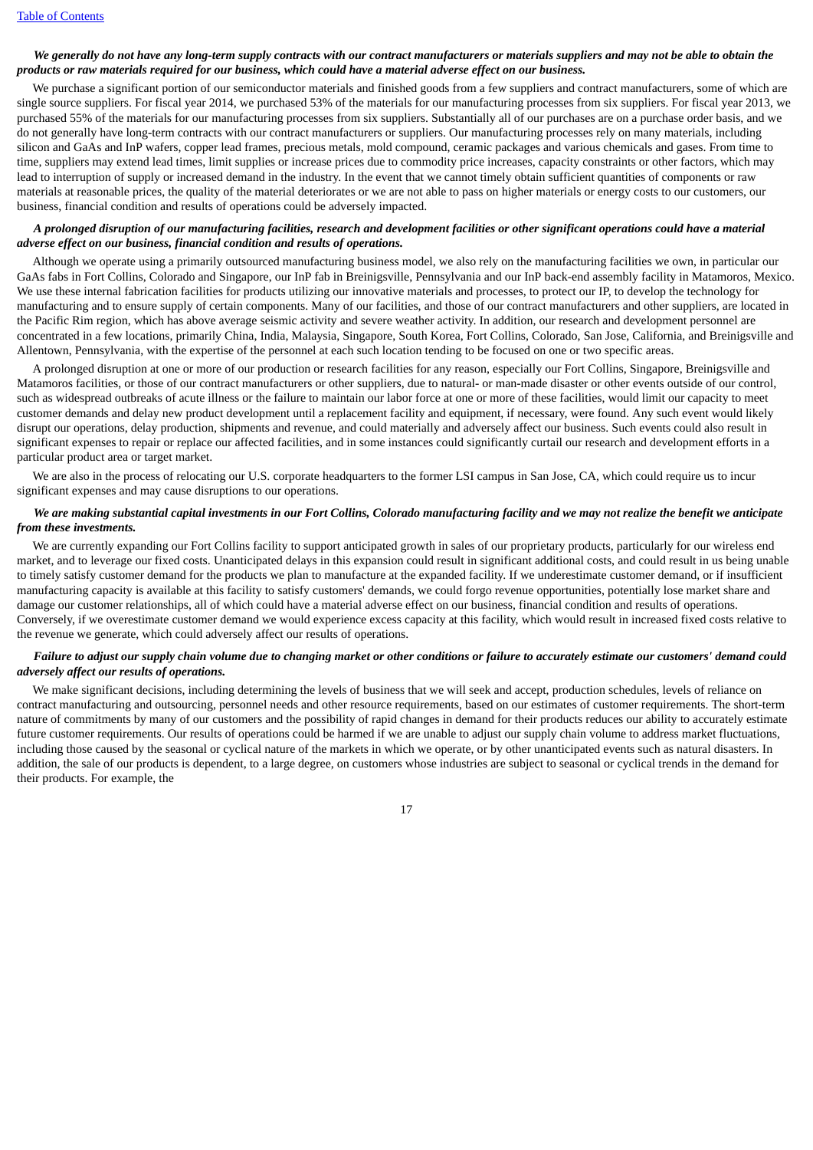#### We generally do not have any long-term supply contracts with our contract manufacturers or materials suppliers and may not be able to obtain the products or raw materials required for our business, which could have a material adverse effect on our business.

We purchase a significant portion of our semiconductor materials and finished goods from a few suppliers and contract manufacturers, some of which are single source suppliers. For fiscal year 2014, we purchased 53% of the materials for our manufacturing processes from six suppliers. For fiscal year 2013, we purchased 55% of the materials for our manufacturing processes from six suppliers. Substantially all of our purchases are on a purchase order basis, and we do not generally have long-term contracts with our contract manufacturers or suppliers. Our manufacturing processes rely on many materials, including silicon and GaAs and InP wafers, copper lead frames, precious metals, mold compound, ceramic packages and various chemicals and gases. From time to time, suppliers may extend lead times, limit supplies or increase prices due to commodity price increases, capacity constraints or other factors, which may lead to interruption of supply or increased demand in the industry. In the event that we cannot timely obtain sufficient quantities of components or raw materials at reasonable prices, the quality of the material deteriorates or we are not able to pass on higher materials or energy costs to our customers, our business, financial condition and results of operations could be adversely impacted.

### A prolonged disruption of our manufacturing facilities, research and development facilities or other significant operations could have a material *adverse effect on our business, financial condition and results of operations.*

Although we operate using a primarily outsourced manufacturing business model, we also rely on the manufacturing facilities we own, in particular our GaAs fabs in Fort Collins, Colorado and Singapore, our InP fab in Breinigsville, Pennsylvania and our InP back-end assembly facility in Matamoros, Mexico. We use these internal fabrication facilities for products utilizing our innovative materials and processes, to protect our IP, to develop the technology for manufacturing and to ensure supply of certain components. Many of our facilities, and those of our contract manufacturers and other suppliers, are located in the Pacific Rim region, which has above average seismic activity and severe weather activity. In addition, our research and development personnel are concentrated in a few locations, primarily China, India, Malaysia, Singapore, South Korea, Fort Collins, Colorado, San Jose, California, and Breinigsville and Allentown, Pennsylvania, with the expertise of the personnel at each such location tending to be focused on one or two specific areas.

A prolonged disruption at one or more of our production or research facilities for any reason, especially our Fort Collins, Singapore, Breinigsville and Matamoros facilities, or those of our contract manufacturers or other suppliers, due to natural- or man-made disaster or other events outside of our control, such as widespread outbreaks of acute illness or the failure to maintain our labor force at one or more of these facilities, would limit our capacity to meet customer demands and delay new product development until a replacement facility and equipment, if necessary, were found. Any such event would likely disrupt our operations, delay production, shipments and revenue, and could materially and adversely affect our business. Such events could also result in significant expenses to repair or replace our affected facilities, and in some instances could significantly curtail our research and development efforts in a particular product area or target market.

We are also in the process of relocating our U.S. corporate headquarters to the former LSI campus in San Jose, CA, which could require us to incur significant expenses and may cause disruptions to our operations.

### We are making substantial capital investments in our Fort Collins, Colorado manufacturing facility and we may not realize the benefit we anticipate *from these investments.*

We are currently expanding our Fort Collins facility to support anticipated growth in sales of our proprietary products, particularly for our wireless end market, and to leverage our fixed costs. Unanticipated delays in this expansion could result in significant additional costs, and could result in us being unable to timely satisfy customer demand for the products we plan to manufacture at the expanded facility. If we underestimate customer demand, or if insufficient manufacturing capacity is available at this facility to satisfy customers' demands, we could forgo revenue opportunities, potentially lose market share and damage our customer relationships, all of which could have a material adverse effect on our business, financial condition and results of operations. Conversely, if we overestimate customer demand we would experience excess capacity at this facility, which would result in increased fixed costs relative to the revenue we generate, which could adversely affect our results of operations.

### Failure to adjust our supply chain volume due to changing market or other conditions or failure to accurately estimate our customers' demand could *adversely affect our results of operations.*

We make significant decisions, including determining the levels of business that we will seek and accept, production schedules, levels of reliance on contract manufacturing and outsourcing, personnel needs and other resource requirements, based on our estimates of customer requirements. The short-term nature of commitments by many of our customers and the possibility of rapid changes in demand for their products reduces our ability to accurately estimate future customer requirements. Our results of operations could be harmed if we are unable to adjust our supply chain volume to address market fluctuations, including those caused by the seasonal or cyclical nature of the markets in which we operate, or by other unanticipated events such as natural disasters. In addition, the sale of our products is dependent, to a large degree, on customers whose industries are subject to seasonal or cyclical trends in the demand for their products. For example, the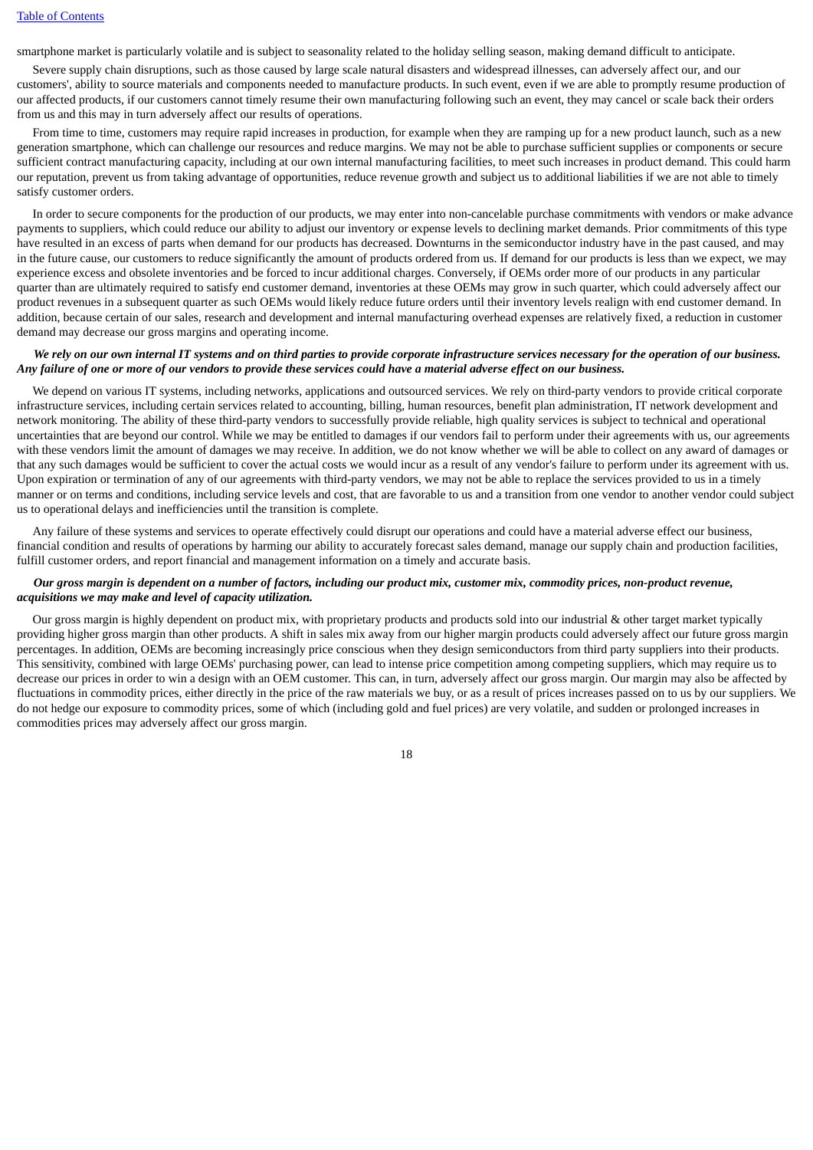smartphone market is particularly volatile and is subject to seasonality related to the holiday selling season, making demand difficult to anticipate.

Severe supply chain disruptions, such as those caused by large scale natural disasters and widespread illnesses, can adversely affect our, and our customers', ability to source materials and components needed to manufacture products. In such event, even if we are able to promptly resume production of our affected products, if our customers cannot timely resume their own manufacturing following such an event, they may cancel or scale back their orders from us and this may in turn adversely affect our results of operations.

From time to time, customers may require rapid increases in production, for example when they are ramping up for a new product launch, such as a new generation smartphone, which can challenge our resources and reduce margins. We may not be able to purchase sufficient supplies or components or secure sufficient contract manufacturing capacity, including at our own internal manufacturing facilities, to meet such increases in product demand. This could harm our reputation, prevent us from taking advantage of opportunities, reduce revenue growth and subject us to additional liabilities if we are not able to timely satisfy customer orders.

In order to secure components for the production of our products, we may enter into non-cancelable purchase commitments with vendors or make advance payments to suppliers, which could reduce our ability to adjust our inventory or expense levels to declining market demands. Prior commitments of this type have resulted in an excess of parts when demand for our products has decreased. Downturns in the semiconductor industry have in the past caused, and may in the future cause, our customers to reduce significantly the amount of products ordered from us. If demand for our products is less than we expect, we may experience excess and obsolete inventories and be forced to incur additional charges. Conversely, if OEMs order more of our products in any particular quarter than are ultimately required to satisfy end customer demand, inventories at these OEMs may grow in such quarter, which could adversely affect our product revenues in a subsequent quarter as such OEMs would likely reduce future orders until their inventory levels realign with end customer demand. In addition, because certain of our sales, research and development and internal manufacturing overhead expenses are relatively fixed, a reduction in customer demand may decrease our gross margins and operating income.

#### We rely on our own internal IT systems and on third parties to provide corporate infrastructure services necessary for the operation of our business. Any failure of one or more of our vendors to provide these services could have a material adverse effect on our business.

We depend on various IT systems, including networks, applications and outsourced services. We rely on third-party vendors to provide critical corporate infrastructure services, including certain services related to accounting, billing, human resources, benefit plan administration, IT network development and network monitoring. The ability of these third-party vendors to successfully provide reliable, high quality services is subject to technical and operational uncertainties that are beyond our control. While we may be entitled to damages if our vendors fail to perform under their agreements with us, our agreements with these vendors limit the amount of damages we may receive. In addition, we do not know whether we will be able to collect on any award of damages or that any such damages would be sufficient to cover the actual costs we would incur as a result of any vendor's failure to perform under its agreement with us. Upon expiration or termination of any of our agreements with third-party vendors, we may not be able to replace the services provided to us in a timely manner or on terms and conditions, including service levels and cost, that are favorable to us and a transition from one vendor to another vendor could subject us to operational delays and inefficiencies until the transition is complete.

Any failure of these systems and services to operate effectively could disrupt our operations and could have a material adverse effect our business, financial condition and results of operations by harming our ability to accurately forecast sales demand, manage our supply chain and production facilities, fulfill customer orders, and report financial and management information on a timely and accurate basis.

### Our gross margin is dependent on a number of factors, including our product mix, customer mix, commodity prices, non-product revenue, *acquisitions we may make and level of capacity utilization.*

Our gross margin is highly dependent on product mix, with proprietary products and products sold into our industrial & other target market typically providing higher gross margin than other products. A shift in sales mix away from our higher margin products could adversely affect our future gross margin percentages. In addition, OEMs are becoming increasingly price conscious when they design semiconductors from third party suppliers into their products. This sensitivity, combined with large OEMs' purchasing power, can lead to intense price competition among competing suppliers, which may require us to decrease our prices in order to win a design with an OEM customer. This can, in turn, adversely affect our gross margin. Our margin may also be affected by fluctuations in commodity prices, either directly in the price of the raw materials we buy, or as a result of prices increases passed on to us by our suppliers. We do not hedge our exposure to commodity prices, some of which (including gold and fuel prices) are very volatile, and sudden or prolonged increases in commodities prices may adversely affect our gross margin.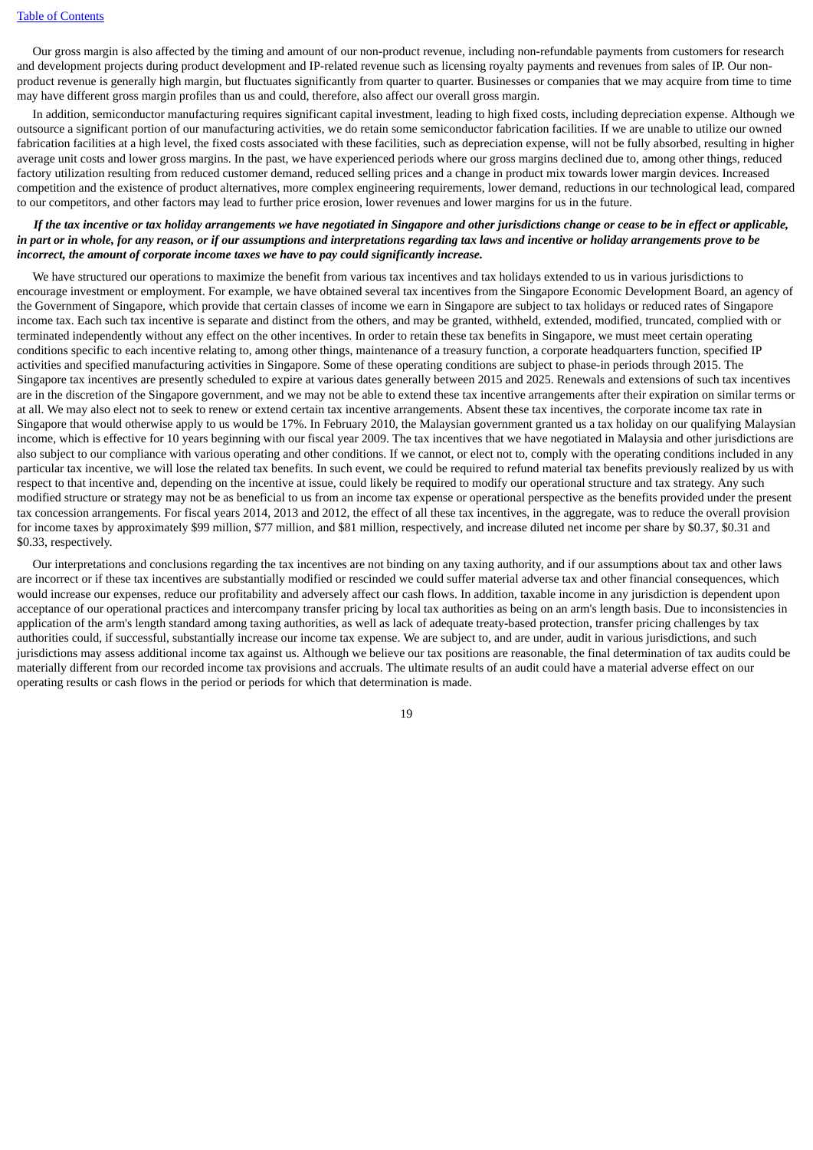Our gross margin is also affected by the timing and amount of our non-product revenue, including non-refundable payments from customers for research and development projects during product development and IP-related revenue such as licensing royalty payments and revenues from sales of IP. Our nonproduct revenue is generally high margin, but fluctuates significantly from quarter to quarter. Businesses or companies that we may acquire from time to time may have different gross margin profiles than us and could, therefore, also affect our overall gross margin.

In addition, semiconductor manufacturing requires significant capital investment, leading to high fixed costs, including depreciation expense. Although we outsource a significant portion of our manufacturing activities, we do retain some semiconductor fabrication facilities. If we are unable to utilize our owned fabrication facilities at a high level, the fixed costs associated with these facilities, such as depreciation expense, will not be fully absorbed, resulting in higher average unit costs and lower gross margins. In the past, we have experienced periods where our gross margins declined due to, among other things, reduced factory utilization resulting from reduced customer demand, reduced selling prices and a change in product mix towards lower margin devices. Increased competition and the existence of product alternatives, more complex engineering requirements, lower demand, reductions in our technological lead, compared to our competitors, and other factors may lead to further price erosion, lower revenues and lower margins for us in the future.

### If the tax incentive or tax holiday arrangements we have negotiated in Singapore and other jurisdictions change or cease to be in effect or applicable, in part or in whole, for any reason, or if our assumptions and interpretations regarding tax laws and incentive or holiday arrangements prove to be *incorrect, the amount of corporate income taxes we have to pay could significantly increase.*

We have structured our operations to maximize the benefit from various tax incentives and tax holidays extended to us in various jurisdictions to encourage investment or employment. For example, we have obtained several tax incentives from the Singapore Economic Development Board, an agency of the Government of Singapore, which provide that certain classes of income we earn in Singapore are subject to tax holidays or reduced rates of Singapore income tax. Each such tax incentive is separate and distinct from the others, and may be granted, withheld, extended, modified, truncated, complied with or terminated independently without any effect on the other incentives. In order to retain these tax benefits in Singapore, we must meet certain operating conditions specific to each incentive relating to, among other things, maintenance of a treasury function, a corporate headquarters function, specified IP activities and specified manufacturing activities in Singapore. Some of these operating conditions are subject to phase-in periods through 2015. The Singapore tax incentives are presently scheduled to expire at various dates generally between 2015 and 2025. Renewals and extensions of such tax incentives are in the discretion of the Singapore government, and we may not be able to extend these tax incentive arrangements after their expiration on similar terms or at all. We may also elect not to seek to renew or extend certain tax incentive arrangements. Absent these tax incentives, the corporate income tax rate in Singapore that would otherwise apply to us would be 17%. In February 2010, the Malaysian government granted us a tax holiday on our qualifying Malaysian income, which is effective for 10 years beginning with our fiscal year 2009. The tax incentives that we have negotiated in Malaysia and other jurisdictions are also subject to our compliance with various operating and other conditions. If we cannot, or elect not to, comply with the operating conditions included in any particular tax incentive, we will lose the related tax benefits. In such event, we could be required to refund material tax benefits previously realized by us with respect to that incentive and, depending on the incentive at issue, could likely be required to modify our operational structure and tax strategy. Any such modified structure or strategy may not be as beneficial to us from an income tax expense or operational perspective as the benefits provided under the present tax concession arrangements. For fiscal years 2014, 2013 and 2012, the effect of all these tax incentives, in the aggregate, was to reduce the overall provision for income taxes by approximately \$99 million, \$77 million, and \$81 million, respectively, and increase diluted net income per share by \$0.37, \$0.31 and \$0.33, respectively.

Our interpretations and conclusions regarding the tax incentives are not binding on any taxing authority, and if our assumptions about tax and other laws are incorrect or if these tax incentives are substantially modified or rescinded we could suffer material adverse tax and other financial consequences, which would increase our expenses, reduce our profitability and adversely affect our cash flows. In addition, taxable income in any jurisdiction is dependent upon acceptance of our operational practices and intercompany transfer pricing by local tax authorities as being on an arm's length basis. Due to inconsistencies in application of the arm's length standard among taxing authorities, as well as lack of adequate treaty-based protection, transfer pricing challenges by tax authorities could, if successful, substantially increase our income tax expense. We are subject to, and are under, audit in various jurisdictions, and such jurisdictions may assess additional income tax against us. Although we believe our tax positions are reasonable, the final determination of tax audits could be materially different from our recorded income tax provisions and accruals. The ultimate results of an audit could have a material adverse effect on our operating results or cash flows in the period or periods for which that determination is made.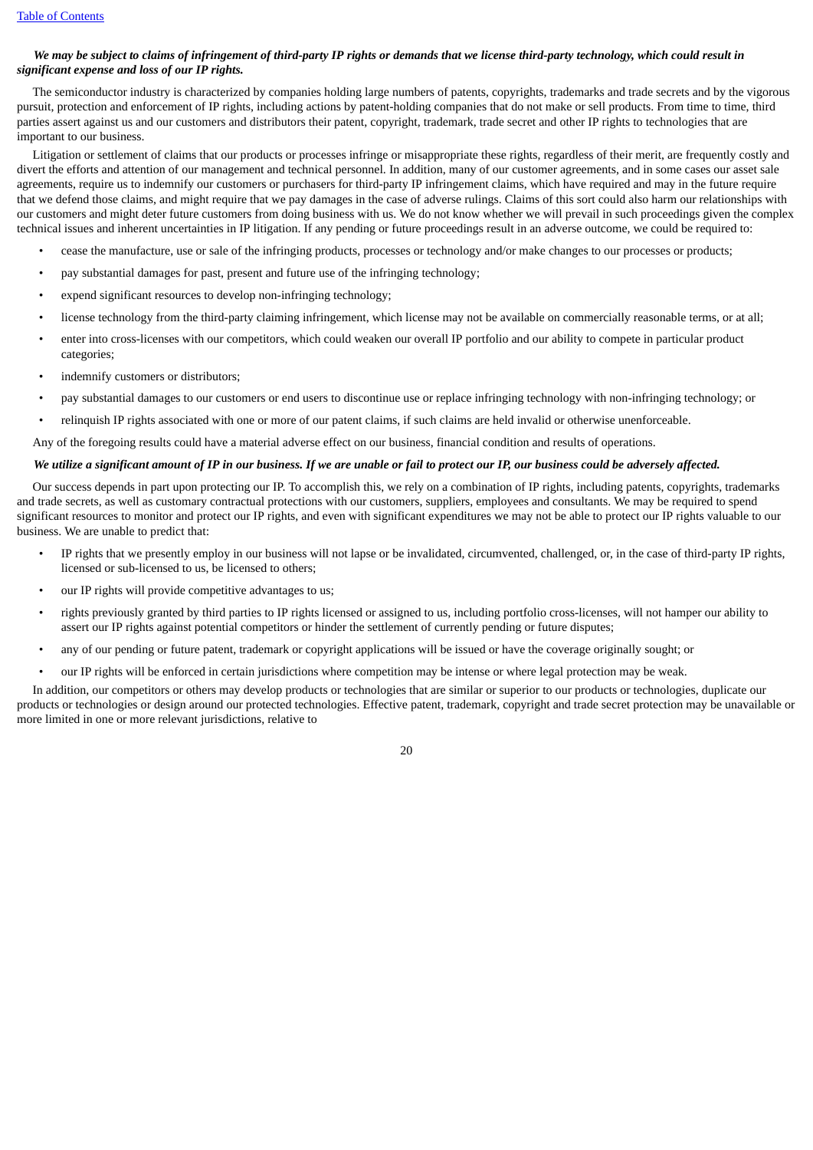### We may be subject to claims of infringement of third-party IP rights or demands that we license third-party technology, which could result in *significant expense and loss of our IP rights.*

The semiconductor industry is characterized by companies holding large numbers of patents, copyrights, trademarks and trade secrets and by the vigorous pursuit, protection and enforcement of IP rights, including actions by patent-holding companies that do not make or sell products. From time to time, third parties assert against us and our customers and distributors their patent, copyright, trademark, trade secret and other IP rights to technologies that are important to our business.

Litigation or settlement of claims that our products or processes infringe or misappropriate these rights, regardless of their merit, are frequently costly and divert the efforts and attention of our management and technical personnel. In addition, many of our customer agreements, and in some cases our asset sale agreements, require us to indemnify our customers or purchasers for third-party IP infringement claims, which have required and may in the future require that we defend those claims, and might require that we pay damages in the case of adverse rulings. Claims of this sort could also harm our relationships with our customers and might deter future customers from doing business with us. We do not know whether we will prevail in such proceedings given the complex technical issues and inherent uncertainties in IP litigation. If any pending or future proceedings result in an adverse outcome, we could be required to:

- cease the manufacture, use or sale of the infringing products, processes or technology and/or make changes to our processes or products;
- pay substantial damages for past, present and future use of the infringing technology;
- expend significant resources to develop non-infringing technology;
- license technology from the third-party claiming infringement, which license may not be available on commercially reasonable terms, or at all;
- enter into cross-licenses with our competitors, which could weaken our overall IP portfolio and our ability to compete in particular product categories;
- indemnify customers or distributors:
- pay substantial damages to our customers or end users to discontinue use or replace infringing technology with non-infringing technology; or
- relinquish IP rights associated with one or more of our patent claims, if such claims are held invalid or otherwise unenforceable.

Any of the foregoing results could have a material adverse effect on our business, financial condition and results of operations.

### We utilize a significant amount of IP in our business. If we are unable or fail to protect our IP, our business could be adversely affected.

Our success depends in part upon protecting our IP. To accomplish this, we rely on a combination of IP rights, including patents, copyrights, trademarks and trade secrets, as well as customary contractual protections with our customers, suppliers, employees and consultants. We may be required to spend significant resources to monitor and protect our IP rights, and even with significant expenditures we may not be able to protect our IP rights valuable to our business. We are unable to predict that:

- IP rights that we presently employ in our business will not lapse or be invalidated, circumvented, challenged, or, in the case of third-party IP rights, licensed or sub-licensed to us, be licensed to others;
- our IP rights will provide competitive advantages to us;
- rights previously granted by third parties to IP rights licensed or assigned to us, including portfolio cross-licenses, will not hamper our ability to assert our IP rights against potential competitors or hinder the settlement of currently pending or future disputes;
- any of our pending or future patent, trademark or copyright applications will be issued or have the coverage originally sought; or
- our IP rights will be enforced in certain jurisdictions where competition may be intense or where legal protection may be weak.

In addition, our competitors or others may develop products or technologies that are similar or superior to our products or technologies, duplicate our products or technologies or design around our protected technologies. Effective patent, trademark, copyright and trade secret protection may be unavailable or more limited in one or more relevant jurisdictions, relative to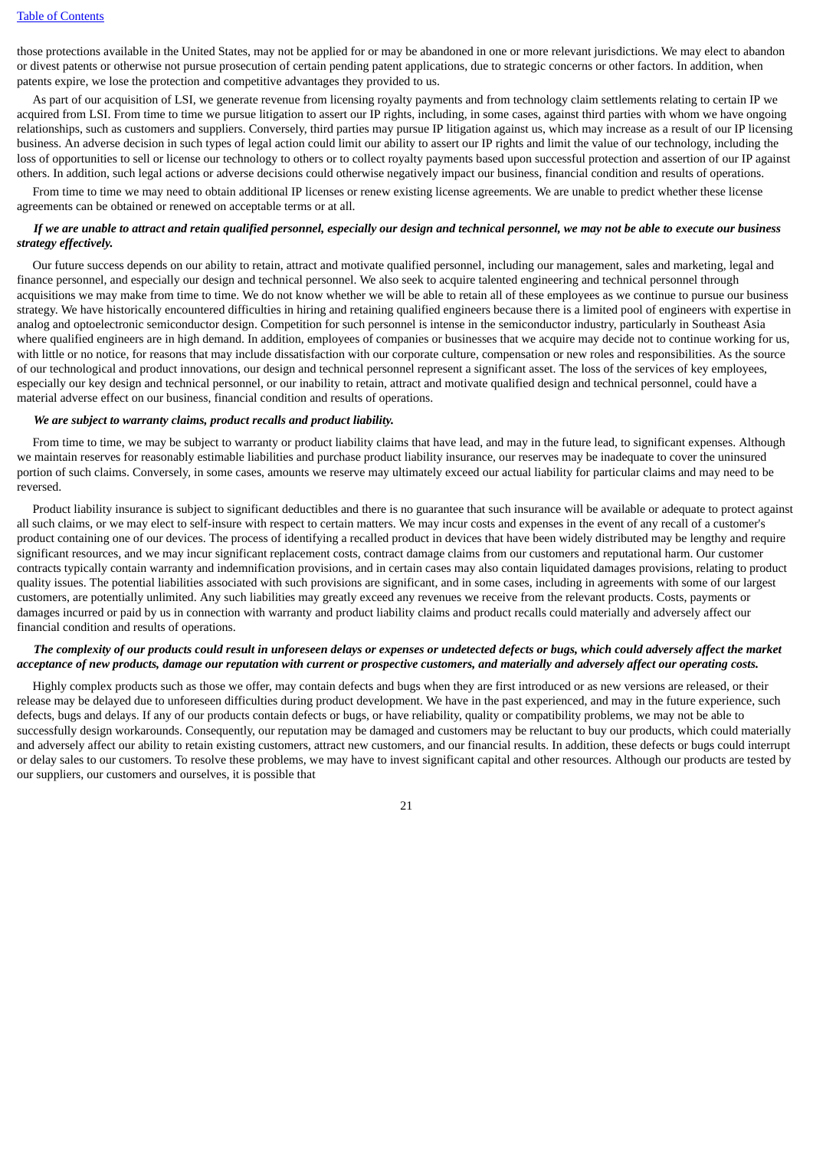those protections available in the United States, may not be applied for or may be abandoned in one or more relevant jurisdictions. We may elect to abandon or divest patents or otherwise not pursue prosecution of certain pending patent applications, due to strategic concerns or other factors. In addition, when patents expire, we lose the protection and competitive advantages they provided to us.

As part of our acquisition of LSI, we generate revenue from licensing royalty payments and from technology claim settlements relating to certain IP we acquired from LSI. From time to time we pursue litigation to assert our IP rights, including, in some cases, against third parties with whom we have ongoing relationships, such as customers and suppliers. Conversely, third parties may pursue IP litigation against us, which may increase as a result of our IP licensing business. An adverse decision in such types of legal action could limit our ability to assert our IP rights and limit the value of our technology, including the loss of opportunities to sell or license our technology to others or to collect royalty payments based upon successful protection and assertion of our IP against others. In addition, such legal actions or adverse decisions could otherwise negatively impact our business, financial condition and results of operations.

From time to time we may need to obtain additional IP licenses or renew existing license agreements. We are unable to predict whether these license agreements can be obtained or renewed on acceptable terms or at all.

#### If we are unable to attract and retain qualified personnel, especially our design and technical personnel, we may not be able to execute our business *strategy effectively.*

Our future success depends on our ability to retain, attract and motivate qualified personnel, including our management, sales and marketing, legal and finance personnel, and especially our design and technical personnel. We also seek to acquire talented engineering and technical personnel through acquisitions we may make from time to time. We do not know whether we will be able to retain all of these employees as we continue to pursue our business strategy. We have historically encountered difficulties in hiring and retaining qualified engineers because there is a limited pool of engineers with expertise in analog and optoelectronic semiconductor design. Competition for such personnel is intense in the semiconductor industry, particularly in Southeast Asia where qualified engineers are in high demand. In addition, employees of companies or businesses that we acquire may decide not to continue working for us, with little or no notice, for reasons that may include dissatisfaction with our corporate culture, compensation or new roles and responsibilities. As the source of our technological and product innovations, our design and technical personnel represent a significant asset. The loss of the services of key employees, especially our key design and technical personnel, or our inability to retain, attract and motivate qualified design and technical personnel, could have a material adverse effect on our business, financial condition and results of operations.

#### *We are subject to warranty claims, product recalls and product liability.*

From time to time, we may be subject to warranty or product liability claims that have lead, and may in the future lead, to significant expenses. Although we maintain reserves for reasonably estimable liabilities and purchase product liability insurance, our reserves may be inadequate to cover the uninsured portion of such claims. Conversely, in some cases, amounts we reserve may ultimately exceed our actual liability for particular claims and may need to be reversed.

Product liability insurance is subject to significant deductibles and there is no guarantee that such insurance will be available or adequate to protect against all such claims, or we may elect to self-insure with respect to certain matters. We may incur costs and expenses in the event of any recall of a customer's product containing one of our devices. The process of identifying a recalled product in devices that have been widely distributed may be lengthy and require significant resources, and we may incur significant replacement costs, contract damage claims from our customers and reputational harm. Our customer contracts typically contain warranty and indemnification provisions, and in certain cases may also contain liquidated damages provisions, relating to product quality issues. The potential liabilities associated with such provisions are significant, and in some cases, including in agreements with some of our largest customers, are potentially unlimited. Any such liabilities may greatly exceed any revenues we receive from the relevant products. Costs, payments or damages incurred or paid by us in connection with warranty and product liability claims and product recalls could materially and adversely affect our financial condition and results of operations.

### The complexity of our products could result in unforeseen delays or expenses or undetected defects or bugs, which could adversely affect the market acceptance of new products, damage our reputation with current or prospective customers, and materially and adversely affect our operating costs.

Highly complex products such as those we offer, may contain defects and bugs when they are first introduced or as new versions are released, or their release may be delayed due to unforeseen difficulties during product development. We have in the past experienced, and may in the future experience, such defects, bugs and delays. If any of our products contain defects or bugs, or have reliability, quality or compatibility problems, we may not be able to successfully design workarounds. Consequently, our reputation may be damaged and customers may be reluctant to buy our products, which could materially and adversely affect our ability to retain existing customers, attract new customers, and our financial results. In addition, these defects or bugs could interrupt or delay sales to our customers. To resolve these problems, we may have to invest significant capital and other resources. Although our products are tested by our suppliers, our customers and ourselves, it is possible that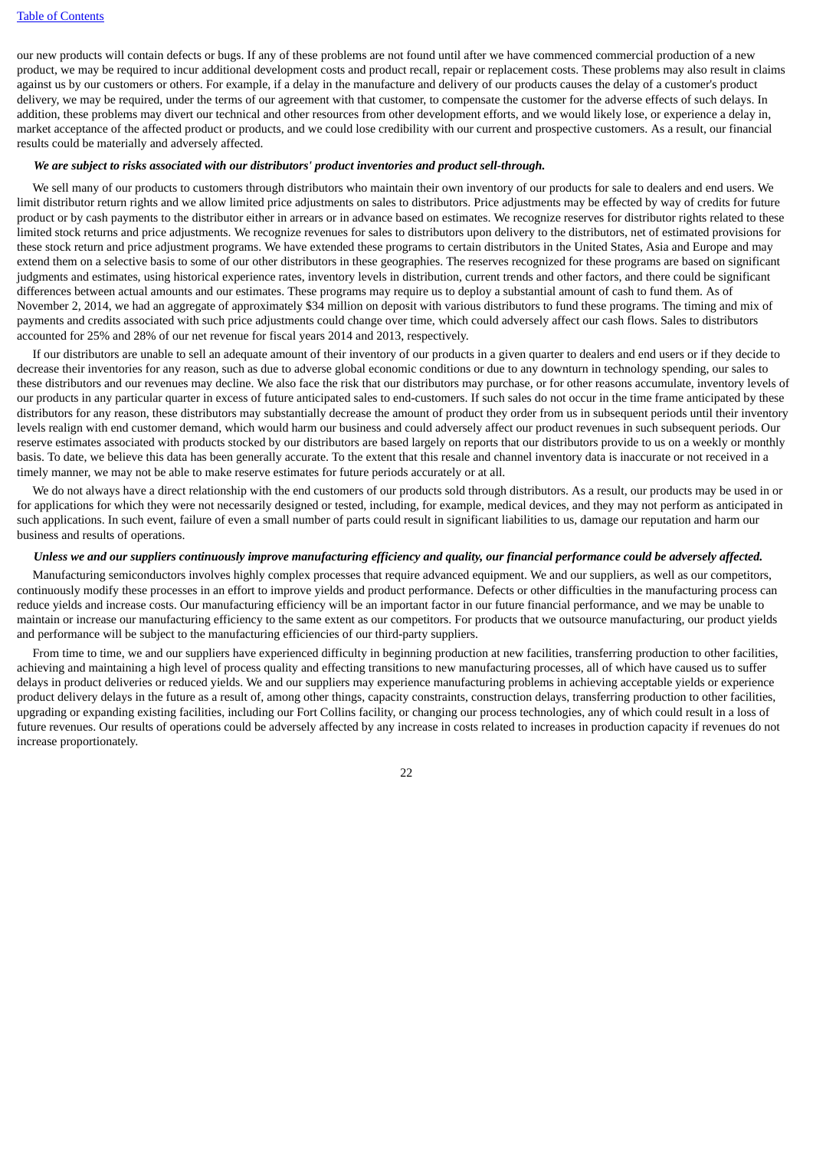our new products will contain defects or bugs. If any of these problems are not found until after we have commenced commercial production of a new product, we may be required to incur additional development costs and product recall, repair or replacement costs. These problems may also result in claims against us by our customers or others. For example, if a delay in the manufacture and delivery of our products causes the delay of a customer's product delivery, we may be required, under the terms of our agreement with that customer, to compensate the customer for the adverse effects of such delays. In addition, these problems may divert our technical and other resources from other development efforts, and we would likely lose, or experience a delay in, market acceptance of the affected product or products, and we could lose credibility with our current and prospective customers. As a result, our financial results could be materially and adversely affected.

#### *We are subject to risks associated with our distributors' product inventories and product sell-through.*

We sell many of our products to customers through distributors who maintain their own inventory of our products for sale to dealers and end users. We limit distributor return rights and we allow limited price adjustments on sales to distributors. Price adjustments may be effected by way of credits for future product or by cash payments to the distributor either in arrears or in advance based on estimates. We recognize reserves for distributor rights related to these limited stock returns and price adjustments. We recognize revenues for sales to distributors upon delivery to the distributors, net of estimated provisions for these stock return and price adjustment programs. We have extended these programs to certain distributors in the United States, Asia and Europe and may extend them on a selective basis to some of our other distributors in these geographies. The reserves recognized for these programs are based on significant judgments and estimates, using historical experience rates, inventory levels in distribution, current trends and other factors, and there could be significant differences between actual amounts and our estimates. These programs may require us to deploy a substantial amount of cash to fund them. As of November 2, 2014, we had an aggregate of approximately \$34 million on deposit with various distributors to fund these programs. The timing and mix of payments and credits associated with such price adjustments could change over time, which could adversely affect our cash flows. Sales to distributors accounted for 25% and 28% of our net revenue for fiscal years 2014 and 2013, respectively.

If our distributors are unable to sell an adequate amount of their inventory of our products in a given quarter to dealers and end users or if they decide to decrease their inventories for any reason, such as due to adverse global economic conditions or due to any downturn in technology spending, our sales to these distributors and our revenues may decline. We also face the risk that our distributors may purchase, or for other reasons accumulate, inventory levels of our products in any particular quarter in excess of future anticipated sales to end-customers. If such sales do not occur in the time frame anticipated by these distributors for any reason, these distributors may substantially decrease the amount of product they order from us in subsequent periods until their inventory levels realign with end customer demand, which would harm our business and could adversely affect our product revenues in such subsequent periods. Our reserve estimates associated with products stocked by our distributors are based largely on reports that our distributors provide to us on a weekly or monthly basis. To date, we believe this data has been generally accurate. To the extent that this resale and channel inventory data is inaccurate or not received in a timely manner, we may not be able to make reserve estimates for future periods accurately or at all.

We do not always have a direct relationship with the end customers of our products sold through distributors. As a result, our products may be used in or for applications for which they were not necessarily designed or tested, including, for example, medical devices, and they may not perform as anticipated in such applications. In such event, failure of even a small number of parts could result in significant liabilities to us, damage our reputation and harm our business and results of operations.

# Unless we and our suppliers continuously improve manufacturing efficiency and quality, our financial performance could be adversely affected.

Manufacturing semiconductors involves highly complex processes that require advanced equipment. We and our suppliers, as well as our competitors, continuously modify these processes in an effort to improve yields and product performance. Defects or other difficulties in the manufacturing process can reduce yields and increase costs. Our manufacturing efficiency will be an important factor in our future financial performance, and we may be unable to maintain or increase our manufacturing efficiency to the same extent as our competitors. For products that we outsource manufacturing, our product yields and performance will be subject to the manufacturing efficiencies of our third-party suppliers.

From time to time, we and our suppliers have experienced difficulty in beginning production at new facilities, transferring production to other facilities, achieving and maintaining a high level of process quality and effecting transitions to new manufacturing processes, all of which have caused us to suffer delays in product deliveries or reduced yields. We and our suppliers may experience manufacturing problems in achieving acceptable yields or experience product delivery delays in the future as a result of, among other things, capacity constraints, construction delays, transferring production to other facilities, upgrading or expanding existing facilities, including our Fort Collins facility, or changing our process technologies, any of which could result in a loss of future revenues. Our results of operations could be adversely affected by any increase in costs related to increases in production capacity if revenues do not increase proportionately.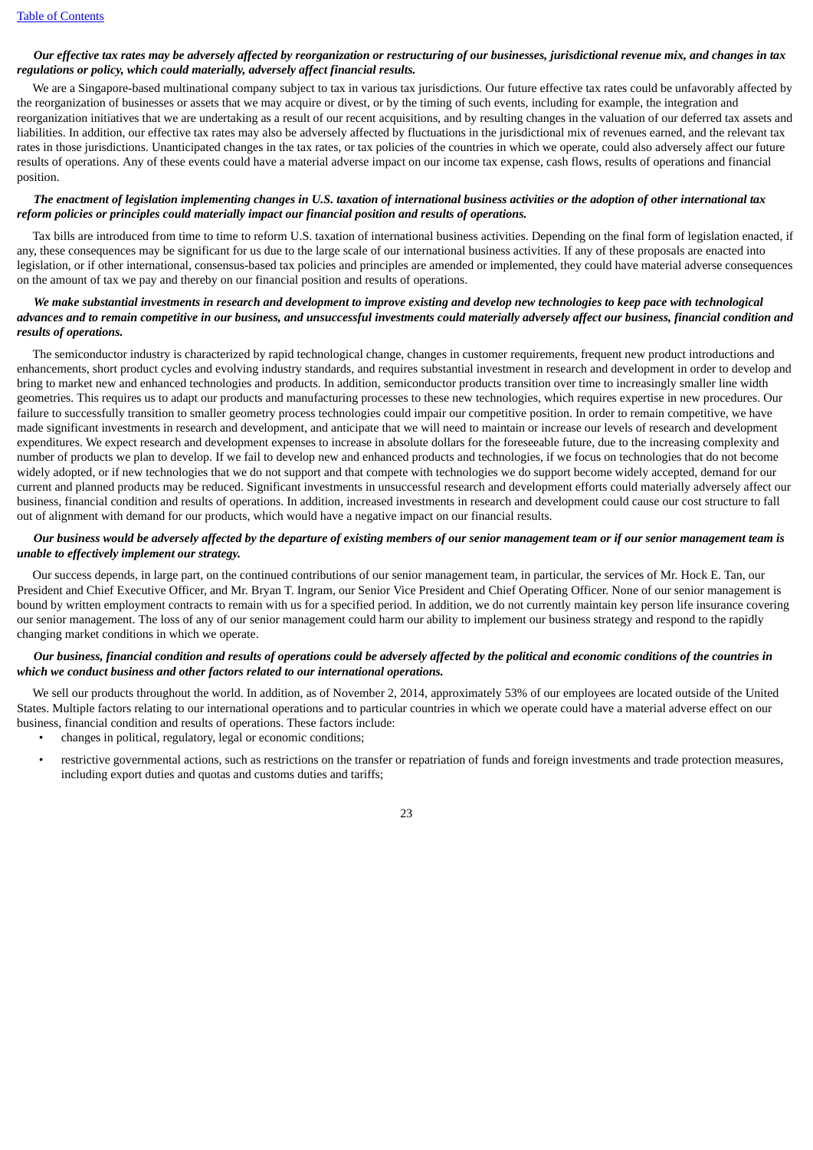### Our effective tax rates may be adversely affected by reorganization or restructuring of our businesses, jurisdictional revenue mix, and changes in tax *regulations or policy, which could materially, adversely affect financial results.*

We are a Singapore-based multinational company subject to tax in various tax jurisdictions. Our future effective tax rates could be unfavorably affected by the reorganization of businesses or assets that we may acquire or divest, or by the timing of such events, including for example, the integration and reorganization initiatives that we are undertaking as a result of our recent acquisitions, and by resulting changes in the valuation of our deferred tax assets and liabilities. In addition, our effective tax rates may also be adversely affected by fluctuations in the jurisdictional mix of revenues earned, and the relevant tax rates in those jurisdictions. Unanticipated changes in the tax rates, or tax policies of the countries in which we operate, could also adversely affect our future results of operations. Any of these events could have a material adverse impact on our income tax expense, cash flows, results of operations and financial position.

### The enactment of legislation implementing changes in U.S. taxation of international business activities or the adoption of other international tax *reform policies or principles could materially impact our financial position and results of operations.*

Tax bills are introduced from time to time to reform U.S. taxation of international business activities. Depending on the final form of legislation enacted, if any, these consequences may be significant for us due to the large scale of our international business activities. If any of these proposals are enacted into legislation, or if other international, consensus-based tax policies and principles are amended or implemented, they could have material adverse consequences on the amount of tax we pay and thereby on our financial position and results of operations.

### We make substantial investments in research and development to improve existing and develop new technologies to keep pace with technological advances and to remain competitive in our business, and unsuccessful investments could materially adversely affect our business, financial condition and *results of operations.*

The semiconductor industry is characterized by rapid technological change, changes in customer requirements, frequent new product introductions and enhancements, short product cycles and evolving industry standards, and requires substantial investment in research and development in order to develop and bring to market new and enhanced technologies and products. In addition, semiconductor products transition over time to increasingly smaller line width geometries. This requires us to adapt our products and manufacturing processes to these new technologies, which requires expertise in new procedures. Our failure to successfully transition to smaller geometry process technologies could impair our competitive position. In order to remain competitive, we have made significant investments in research and development, and anticipate that we will need to maintain or increase our levels of research and development expenditures. We expect research and development expenses to increase in absolute dollars for the foreseeable future, due to the increasing complexity and number of products we plan to develop. If we fail to develop new and enhanced products and technologies, if we focus on technologies that do not become widely adopted, or if new technologies that we do not support and that compete with technologies we do support become widely accepted, demand for our current and planned products may be reduced. Significant investments in unsuccessful research and development efforts could materially adversely affect our business, financial condition and results of operations. In addition, increased investments in research and development could cause our cost structure to fall out of alignment with demand for our products, which would have a negative impact on our financial results.

### Our business would be adversely affected by the departure of existing members of our senior management team or if our senior management team is *unable to effectively implement our strategy.*

Our success depends, in large part, on the continued contributions of our senior management team, in particular, the services of Mr. Hock E. Tan, our President and Chief Executive Officer, and Mr. Bryan T. Ingram, our Senior Vice President and Chief Operating Officer. None of our senior management is bound by written employment contracts to remain with us for a specified period. In addition, we do not currently maintain key person life insurance covering our senior management. The loss of any of our senior management could harm our ability to implement our business strategy and respond to the rapidly changing market conditions in which we operate.

### Our business, financial condition and results of operations could be adversely affected by the political and economic conditions of the countries in *which we conduct business and other factors related to our international operations.*

We sell our products throughout the world. In addition, as of November 2, 2014, approximately 53% of our employees are located outside of the United States. Multiple factors relating to our international operations and to particular countries in which we operate could have a material adverse effect on our business, financial condition and results of operations. These factors include:

- changes in political, regulatory, legal or economic conditions;
- restrictive governmental actions, such as restrictions on the transfer or repatriation of funds and foreign investments and trade protection measures, including export duties and quotas and customs duties and tariffs;

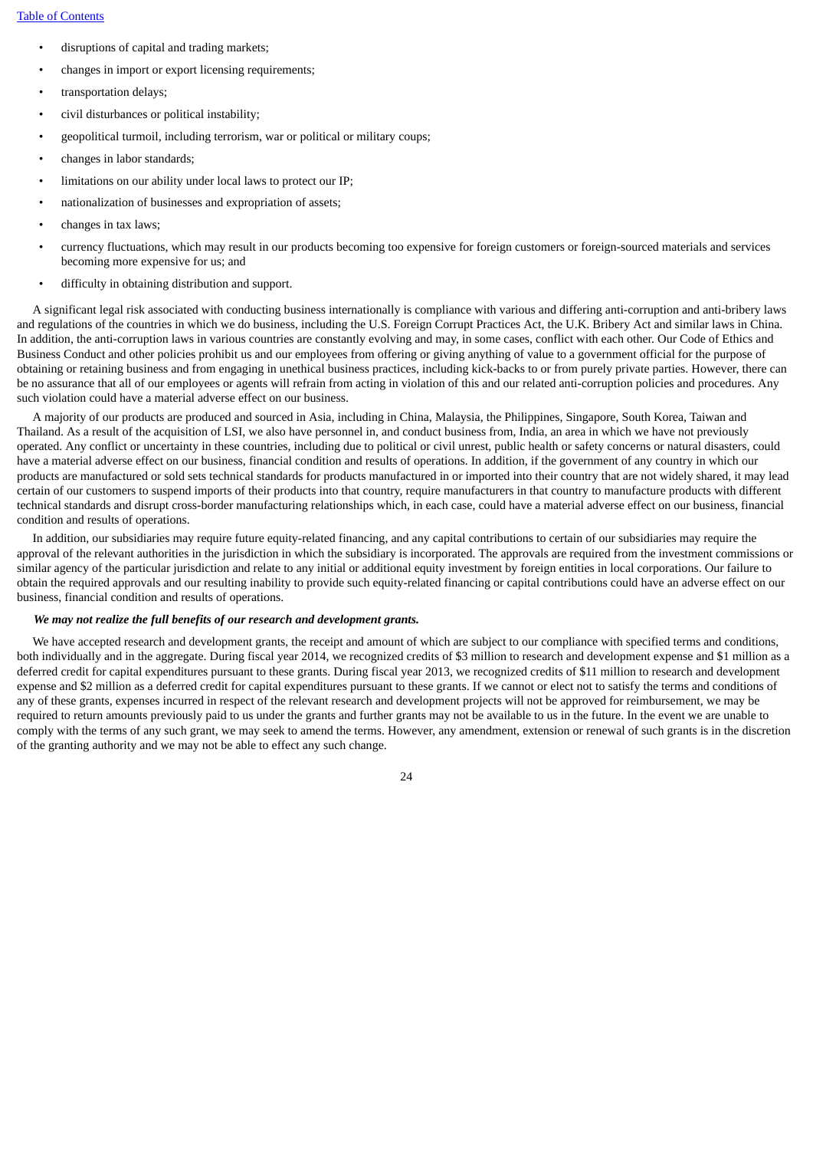#### Table of [Contents](#page-0-0)

- disruptions of capital and trading markets;
- changes in import or export licensing requirements;
- transportation delays;
- civil disturbances or political instability;
- geopolitical turmoil, including terrorism, war or political or military coups;
- changes in labor standards;
- limitations on our ability under local laws to protect our IP;
- nationalization of businesses and expropriation of assets;
- changes in tax laws;
- currency fluctuations, which may result in our products becoming too expensive for foreign customers or foreign-sourced materials and services becoming more expensive for us; and
- difficulty in obtaining distribution and support.

A significant legal risk associated with conducting business internationally is compliance with various and differing anti-corruption and anti-bribery laws and regulations of the countries in which we do business, including the U.S. Foreign Corrupt Practices Act, the U.K. Bribery Act and similar laws in China. In addition, the anti-corruption laws in various countries are constantly evolving and may, in some cases, conflict with each other. Our Code of Ethics and Business Conduct and other policies prohibit us and our employees from offering or giving anything of value to a government official for the purpose of obtaining or retaining business and from engaging in unethical business practices, including kick-backs to or from purely private parties. However, there can be no assurance that all of our employees or agents will refrain from acting in violation of this and our related anti-corruption policies and procedures. Any such violation could have a material adverse effect on our business.

A majority of our products are produced and sourced in Asia, including in China, Malaysia, the Philippines, Singapore, South Korea, Taiwan and Thailand. As a result of the acquisition of LSI, we also have personnel in, and conduct business from, India, an area in which we have not previously operated. Any conflict or uncertainty in these countries, including due to political or civil unrest, public health or safety concerns or natural disasters, could have a material adverse effect on our business, financial condition and results of operations. In addition, if the government of any country in which our products are manufactured or sold sets technical standards for products manufactured in or imported into their country that are not widely shared, it may lead certain of our customers to suspend imports of their products into that country, require manufacturers in that country to manufacture products with different technical standards and disrupt cross-border manufacturing relationships which, in each case, could have a material adverse effect on our business, financial condition and results of operations.

In addition, our subsidiaries may require future equity-related financing, and any capital contributions to certain of our subsidiaries may require the approval of the relevant authorities in the jurisdiction in which the subsidiary is incorporated. The approvals are required from the investment commissions or similar agency of the particular jurisdiction and relate to any initial or additional equity investment by foreign entities in local corporations. Our failure to obtain the required approvals and our resulting inability to provide such equity-related financing or capital contributions could have an adverse effect on our business, financial condition and results of operations.

# *We may not realize the full benefits of our research and development grants.*

We have accepted research and development grants, the receipt and amount of which are subject to our compliance with specified terms and conditions, both individually and in the aggregate. During fiscal year 2014, we recognized credits of \$3 million to research and development expense and \$1 million as a deferred credit for capital expenditures pursuant to these grants. During fiscal year 2013, we recognized credits of \$11 million to research and development expense and \$2 million as a deferred credit for capital expenditures pursuant to these grants. If we cannot or elect not to satisfy the terms and conditions of any of these grants, expenses incurred in respect of the relevant research and development projects will not be approved for reimbursement, we may be required to return amounts previously paid to us under the grants and further grants may not be available to us in the future. In the event we are unable to comply with the terms of any such grant, we may seek to amend the terms. However, any amendment, extension or renewal of such grants is in the discretion of the granting authority and we may not be able to effect any such change.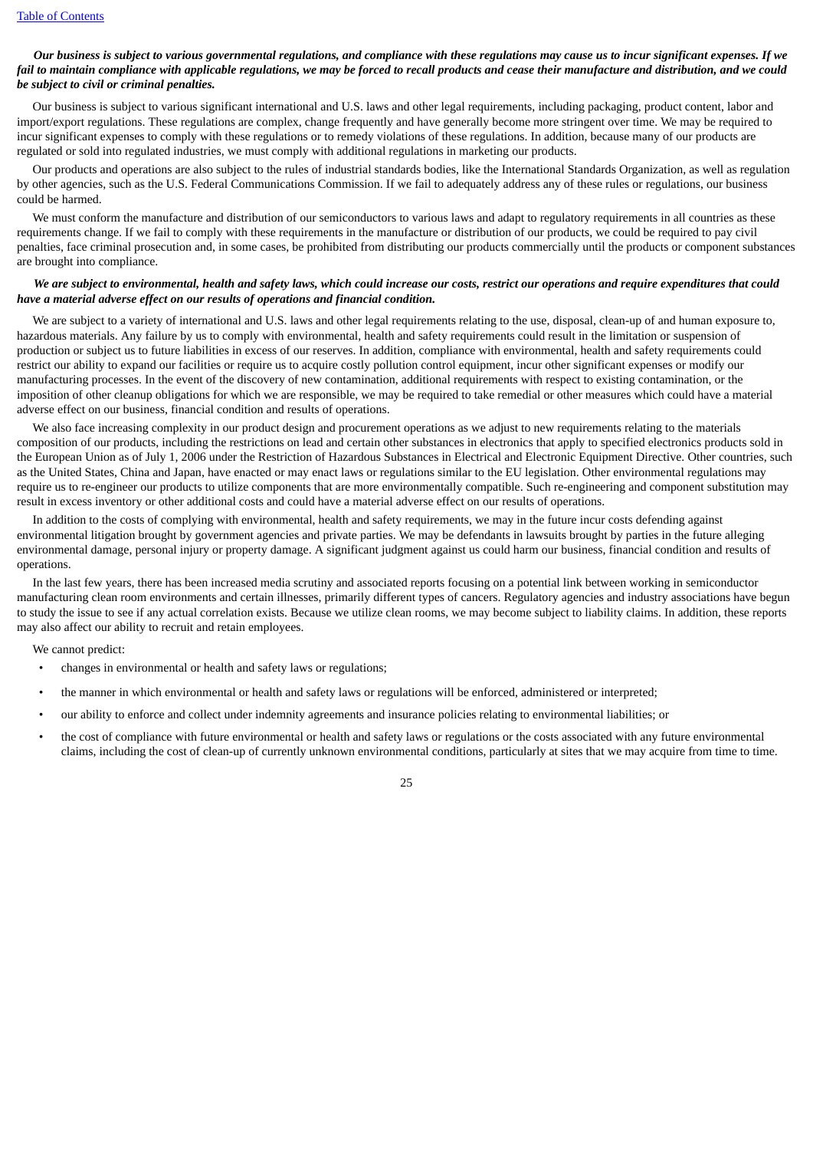### Our business is subject to various governmental regulations, and compliance with these regulations may cause us to incur significant expenses. If we fail to maintain compliance with applicable reaulations, we may be forced to recall products and cease their manufacture and distribution, and we could *be subject to civil or criminal penalties.*

Our business is subject to various significant international and U.S. laws and other legal requirements, including packaging, product content, labor and import/export regulations. These regulations are complex, change frequently and have generally become more stringent over time. We may be required to incur significant expenses to comply with these regulations or to remedy violations of these regulations. In addition, because many of our products are regulated or sold into regulated industries, we must comply with additional regulations in marketing our products.

Our products and operations are also subject to the rules of industrial standards bodies, like the International Standards Organization, as well as regulation by other agencies, such as the U.S. Federal Communications Commission. If we fail to adequately address any of these rules or regulations, our business could be harmed.

We must conform the manufacture and distribution of our semiconductors to various laws and adapt to regulatory requirements in all countries as these requirements change. If we fail to comply with these requirements in the manufacture or distribution of our products, we could be required to pay civil penalties, face criminal prosecution and, in some cases, be prohibited from distributing our products commercially until the products or component substances are brought into compliance.

### We are subject to environmental, health and safety laws, which could increase our costs, restrict our operations and require expenditures that could *have a material adverse effect on our results of operations and financial condition.*

We are subject to a variety of international and U.S. laws and other legal requirements relating to the use, disposal, clean-up of and human exposure to, hazardous materials. Any failure by us to comply with environmental, health and safety requirements could result in the limitation or suspension of production or subject us to future liabilities in excess of our reserves. In addition, compliance with environmental, health and safety requirements could restrict our ability to expand our facilities or require us to acquire costly pollution control equipment, incur other significant expenses or modify our manufacturing processes. In the event of the discovery of new contamination, additional requirements with respect to existing contamination, or the imposition of other cleanup obligations for which we are responsible, we may be required to take remedial or other measures which could have a material adverse effect on our business, financial condition and results of operations.

We also face increasing complexity in our product design and procurement operations as we adjust to new requirements relating to the materials composition of our products, including the restrictions on lead and certain other substances in electronics that apply to specified electronics products sold in the European Union as of July 1, 2006 under the Restriction of Hazardous Substances in Electrical and Electronic Equipment Directive. Other countries, such as the United States, China and Japan, have enacted or may enact laws or regulations similar to the EU legislation. Other environmental regulations may require us to re-engineer our products to utilize components that are more environmentally compatible. Such re-engineering and component substitution may result in excess inventory or other additional costs and could have a material adverse effect on our results of operations.

In addition to the costs of complying with environmental, health and safety requirements, we may in the future incur costs defending against environmental litigation brought by government agencies and private parties. We may be defendants in lawsuits brought by parties in the future alleging environmental damage, personal injury or property damage. A significant judgment against us could harm our business, financial condition and results of operations.

In the last few years, there has been increased media scrutiny and associated reports focusing on a potential link between working in semiconductor manufacturing clean room environments and certain illnesses, primarily different types of cancers. Regulatory agencies and industry associations have begun to study the issue to see if any actual correlation exists. Because we utilize clean rooms, we may become subject to liability claims. In addition, these reports may also affect our ability to recruit and retain employees.

We cannot predict:

- changes in environmental or health and safety laws or regulations;
- the manner in which environmental or health and safety laws or regulations will be enforced, administered or interpreted;
- our ability to enforce and collect under indemnity agreements and insurance policies relating to environmental liabilities; or
- the cost of compliance with future environmental or health and safety laws or regulations or the costs associated with any future environmental claims, including the cost of clean-up of currently unknown environmental conditions, particularly at sites that we may acquire from time to time.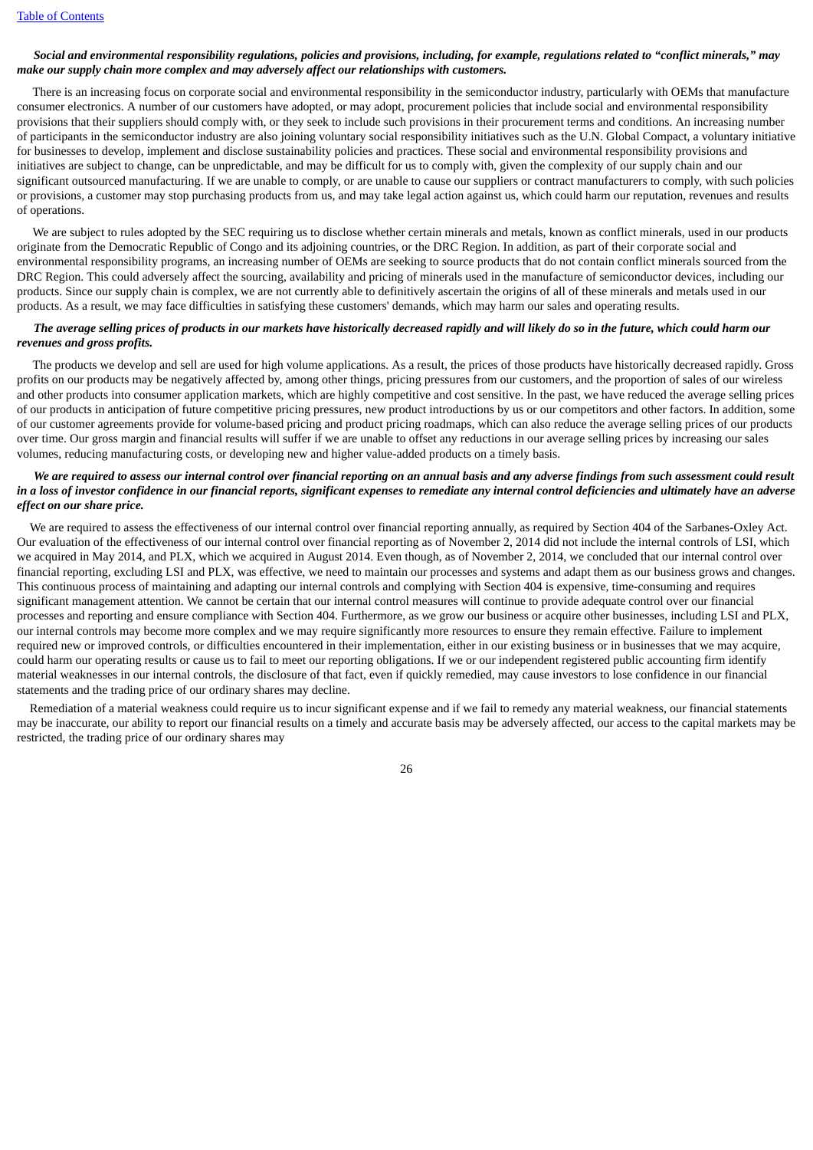### Social and environmental responsibility regulations, policies and provisions, including, for example, regulations related to "conflict minerals," may *make our supply chain more complex and may adversely affect our relationships with customers.*

There is an increasing focus on corporate social and environmental responsibility in the semiconductor industry, particularly with OEMs that manufacture consumer electronics. A number of our customers have adopted, or may adopt, procurement policies that include social and environmental responsibility provisions that their suppliers should comply with, or they seek to include such provisions in their procurement terms and conditions. An increasing number of participants in the semiconductor industry are also joining voluntary social responsibility initiatives such as the U.N. Global Compact, a voluntary initiative for businesses to develop, implement and disclose sustainability policies and practices. These social and environmental responsibility provisions and initiatives are subject to change, can be unpredictable, and may be difficult for us to comply with, given the complexity of our supply chain and our significant outsourced manufacturing. If we are unable to comply, or are unable to cause our suppliers or contract manufacturers to comply, with such policies or provisions, a customer may stop purchasing products from us, and may take legal action against us, which could harm our reputation, revenues and results of operations.

We are subject to rules adopted by the SEC requiring us to disclose whether certain minerals and metals, known as conflict minerals, used in our products originate from the Democratic Republic of Congo and its adjoining countries, or the DRC Region. In addition, as part of their corporate social and environmental responsibility programs, an increasing number of OEMs are seeking to source products that do not contain conflict minerals sourced from the DRC Region. This could adversely affect the sourcing, availability and pricing of minerals used in the manufacture of semiconductor devices, including our products. Since our supply chain is complex, we are not currently able to definitively ascertain the origins of all of these minerals and metals used in our products. As a result, we may face difficulties in satisfying these customers' demands, which may harm our sales and operating results.

#### The average selling prices of products in our markets have historically decreased rapidly and will likely do so in the future, which could harm our *revenues and gross profits.*

The products we develop and sell are used for high volume applications. As a result, the prices of those products have historically decreased rapidly. Gross profits on our products may be negatively affected by, among other things, pricing pressures from our customers, and the proportion of sales of our wireless and other products into consumer application markets, which are highly competitive and cost sensitive. In the past, we have reduced the average selling prices of our products in anticipation of future competitive pricing pressures, new product introductions by us or our competitors and other factors. In addition, some of our customer agreements provide for volume-based pricing and product pricing roadmaps, which can also reduce the average selling prices of our products over time. Our gross margin and financial results will suffer if we are unable to offset any reductions in our average selling prices by increasing our sales volumes, reducing manufacturing costs, or developing new and higher value-added products on a timely basis.

### We are required to assess our internal control over financial reporting on an annual basis and any adverse findings from such assessment could result in a loss of investor confidence in our financial reports, significant expenses to remediate any internal control deficiencies and ultimately have an adverse *effect on our share price.*

We are required to assess the effectiveness of our internal control over financial reporting annually, as required by Section 404 of the Sarbanes-Oxley Act. Our evaluation of the effectiveness of our internal control over financial reporting as of November 2, 2014 did not include the internal controls of LSI, which we acquired in May 2014, and PLX, which we acquired in August 2014. Even though, as of November 2, 2014, we concluded that our internal control over financial reporting, excluding LSI and PLX, was effective, we need to maintain our processes and systems and adapt them as our business grows and changes. This continuous process of maintaining and adapting our internal controls and complying with Section 404 is expensive, time-consuming and requires significant management attention. We cannot be certain that our internal control measures will continue to provide adequate control over our financial processes and reporting and ensure compliance with Section 404. Furthermore, as we grow our business or acquire other businesses, including LSI and PLX, our internal controls may become more complex and we may require significantly more resources to ensure they remain effective. Failure to implement required new or improved controls, or difficulties encountered in their implementation, either in our existing business or in businesses that we may acquire, could harm our operating results or cause us to fail to meet our reporting obligations. If we or our independent registered public accounting firm identify material weaknesses in our internal controls, the disclosure of that fact, even if quickly remedied, may cause investors to lose confidence in our financial statements and the trading price of our ordinary shares may decline.

Remediation of a material weakness could require us to incur significant expense and if we fail to remedy any material weakness, our financial statements may be inaccurate, our ability to report our financial results on a timely and accurate basis may be adversely affected, our access to the capital markets may be restricted, the trading price of our ordinary shares may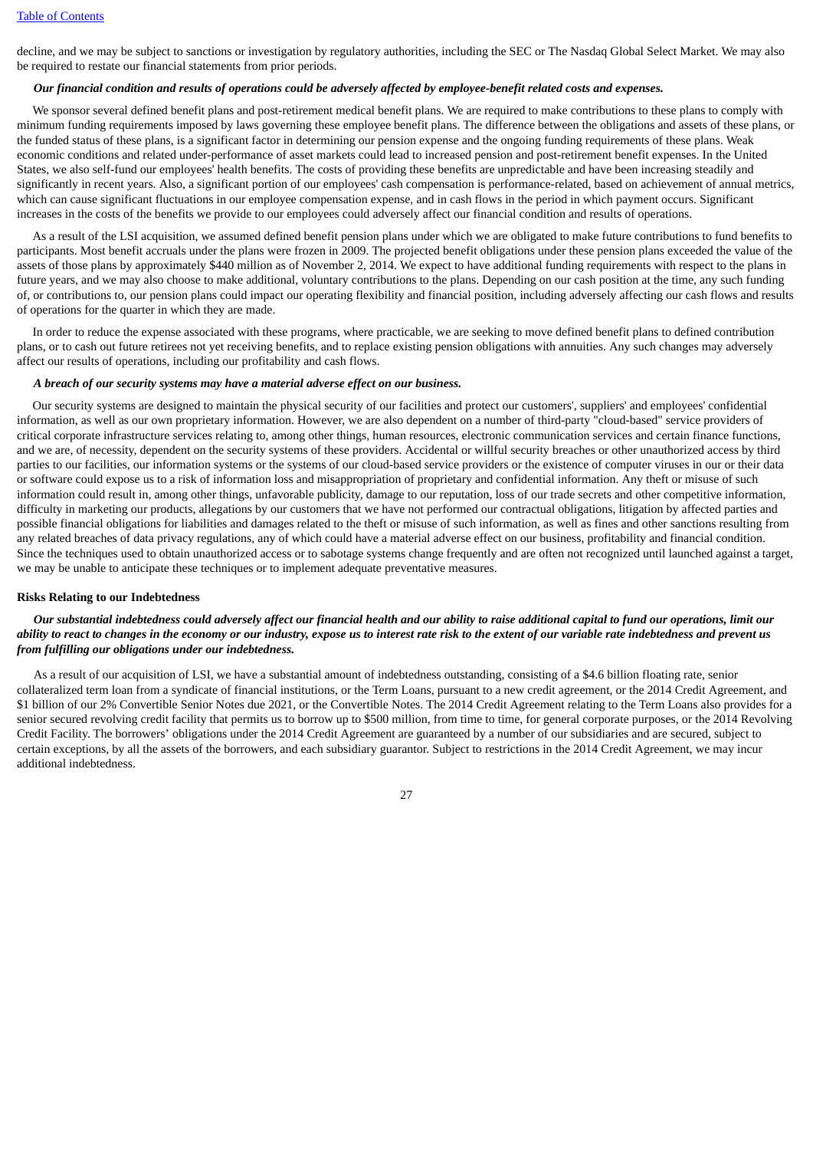decline, and we may be subject to sanctions or investigation by regulatory authorities, including the SEC or The Nasdaq Global Select Market. We may also be required to restate our financial statements from prior periods.

#### Our financial condition and results of operations could be adversely affected by employee-benefit related costs and expenses.

We sponsor several defined benefit plans and post-retirement medical benefit plans. We are required to make contributions to these plans to comply with minimum funding requirements imposed by laws governing these employee benefit plans. The difference between the obligations and assets of these plans, or the funded status of these plans, is a significant factor in determining our pension expense and the ongoing funding requirements of these plans. Weak economic conditions and related under-performance of asset markets could lead to increased pension and post-retirement benefit expenses. In the United States, we also self-fund our employees' health benefits. The costs of providing these benefits are unpredictable and have been increasing steadily and significantly in recent years. Also, a significant portion of our employees' cash compensation is performance-related, based on achievement of annual metrics, which can cause significant fluctuations in our employee compensation expense, and in cash flows in the period in which payment occurs. Significant increases in the costs of the benefits we provide to our employees could adversely affect our financial condition and results of operations.

As a result of the LSI acquisition, we assumed defined benefit pension plans under which we are obligated to make future contributions to fund benefits to participants. Most benefit accruals under the plans were frozen in 2009. The projected benefit obligations under these pension plans exceeded the value of the assets of those plans by approximately \$440 million as of November 2, 2014. We expect to have additional funding requirements with respect to the plans in future years, and we may also choose to make additional, voluntary contributions to the plans. Depending on our cash position at the time, any such funding of, or contributions to, our pension plans could impact our operating flexibility and financial position, including adversely affecting our cash flows and results of operations for the quarter in which they are made.

In order to reduce the expense associated with these programs, where practicable, we are seeking to move defined benefit plans to defined contribution plans, or to cash out future retirees not yet receiving benefits, and to replace existing pension obligations with annuities. Any such changes may adversely affect our results of operations, including our profitability and cash flows.

#### *A breach of our security systems may have a material adverse effect on our business.*

Our security systems are designed to maintain the physical security of our facilities and protect our customers', suppliers' and employees' confidential information, as well as our own proprietary information. However, we are also dependent on a number of third-party "cloud-based" service providers of critical corporate infrastructure services relating to, among other things, human resources, electronic communication services and certain finance functions, and we are, of necessity, dependent on the security systems of these providers. Accidental or willful security breaches or other unauthorized access by third parties to our facilities, our information systems or the systems of our cloud-based service providers or the existence of computer viruses in our or their data or software could expose us to a risk of information loss and misappropriation of proprietary and confidential information. Any theft or misuse of such information could result in, among other things, unfavorable publicity, damage to our reputation, loss of our trade secrets and other competitive information, difficulty in marketing our products, allegations by our customers that we have not performed our contractual obligations, litigation by affected parties and possible financial obligations for liabilities and damages related to the theft or misuse of such information, as well as fines and other sanctions resulting from any related breaches of data privacy regulations, any of which could have a material adverse effect on our business, profitability and financial condition. Since the techniques used to obtain unauthorized access or to sabotage systems change frequently and are often not recognized until launched against a target, we may be unable to anticipate these techniques or to implement adequate preventative measures.

#### **Risks Relating to our Indebtedness**

#### Our substantial indebtedness could adversely affect our financial health and our ability to raise additional capital to fund our operations, limit our ability to react to changes in the economy or our industry, expose us to interest rate risk to the extent of our variable rate indebtedness and prevent us *from fulfilling our obligations under our indebtedness.*

As a result of our acquisition of LSI, we have a substantial amount of indebtedness outstanding, consisting of a \$4.6 billion floating rate, senior collateralized term loan from a syndicate of financial institutions, or the Term Loans, pursuant to a new credit agreement, or the 2014 Credit Agreement, and \$1 billion of our 2% Convertible Senior Notes due 2021, or the Convertible Notes. The 2014 Credit Agreement relating to the Term Loans also provides for a senior secured revolving credit facility that permits us to borrow up to \$500 million, from time to time, for general corporate purposes, or the 2014 Revolving Credit Facility. The borrowers' obligations under the 2014 Credit Agreement are guaranteed by a number of our subsidiaries and are secured, subject to certain exceptions, by all the assets of the borrowers, and each subsidiary guarantor. Subject to restrictions in the 2014 Credit Agreement, we may incur additional indebtedness.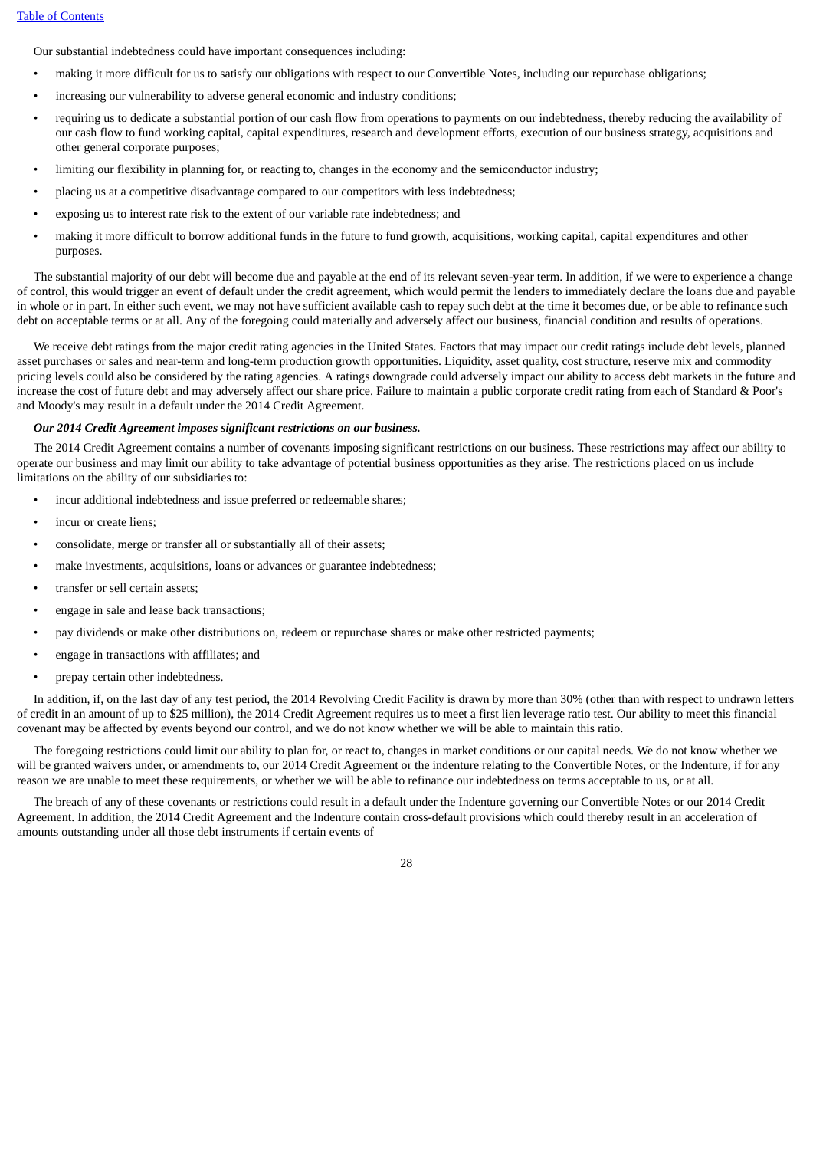#### Table of [Contents](#page-0-0)

Our substantial indebtedness could have important consequences including:

- making it more difficult for us to satisfy our obligations with respect to our Convertible Notes, including our repurchase obligations;
- increasing our vulnerability to adverse general economic and industry conditions;
- requiring us to dedicate a substantial portion of our cash flow from operations to payments on our indebtedness, thereby reducing the availability of our cash flow to fund working capital, capital expenditures, research and development efforts, execution of our business strategy, acquisitions and other general corporate purposes;
- limiting our flexibility in planning for, or reacting to, changes in the economy and the semiconductor industry;
- placing us at a competitive disadvantage compared to our competitors with less indebtedness;
- exposing us to interest rate risk to the extent of our variable rate indebtedness; and
- making it more difficult to borrow additional funds in the future to fund growth, acquisitions, working capital, capital expenditures and other purposes.

The substantial majority of our debt will become due and payable at the end of its relevant seven-year term. In addition, if we were to experience a change of control, this would trigger an event of default under the credit agreement, which would permit the lenders to immediately declare the loans due and payable in whole or in part. In either such event, we may not have sufficient available cash to repay such debt at the time it becomes due, or be able to refinance such debt on acceptable terms or at all. Any of the foregoing could materially and adversely affect our business, financial condition and results of operations.

We receive debt ratings from the major credit rating agencies in the United States. Factors that may impact our credit ratings include debt levels, planned asset purchases or sales and near-term and long-term production growth opportunities. Liquidity, asset quality, cost structure, reserve mix and commodity pricing levels could also be considered by the rating agencies. A ratings downgrade could adversely impact our ability to access debt markets in the future and increase the cost of future debt and may adversely affect our share price. Failure to maintain a public corporate credit rating from each of Standard & Poor's and Moody's may result in a default under the 2014 Credit Agreement.

# *Our 2014 Credit Agreement imposes significant restrictions on our business.*

The 2014 Credit Agreement contains a number of covenants imposing significant restrictions on our business. These restrictions may affect our ability to operate our business and may limit our ability to take advantage of potential business opportunities as they arise. The restrictions placed on us include limitations on the ability of our subsidiaries to:

- incur additional indebtedness and issue preferred or redeemable shares;
- incur or create liens:
- consolidate, merge or transfer all or substantially all of their assets;
- make investments, acquisitions, loans or advances or guarantee indebtedness;
- transfer or sell certain assets;
- engage in sale and lease back transactions;
- pay dividends or make other distributions on, redeem or repurchase shares or make other restricted payments;
- engage in transactions with affiliates; and
- prepay certain other indebtedness.

In addition, if, on the last day of any test period, the 2014 Revolving Credit Facility is drawn by more than 30% (other than with respect to undrawn letters of credit in an amount of up to \$25 million), the 2014 Credit Agreement requires us to meet a first lien leverage ratio test. Our ability to meet this financial covenant may be affected by events beyond our control, and we do not know whether we will be able to maintain this ratio.

The foregoing restrictions could limit our ability to plan for, or react to, changes in market conditions or our capital needs. We do not know whether we will be granted waivers under, or amendments to, our 2014 Credit Agreement or the indenture relating to the Convertible Notes, or the Indenture, if for any reason we are unable to meet these requirements, or whether we will be able to refinance our indebtedness on terms acceptable to us, or at all.

The breach of any of these covenants or restrictions could result in a default under the Indenture governing our Convertible Notes or our 2014 Credit Agreement. In addition, the 2014 Credit Agreement and the Indenture contain cross-default provisions which could thereby result in an acceleration of amounts outstanding under all those debt instruments if certain events of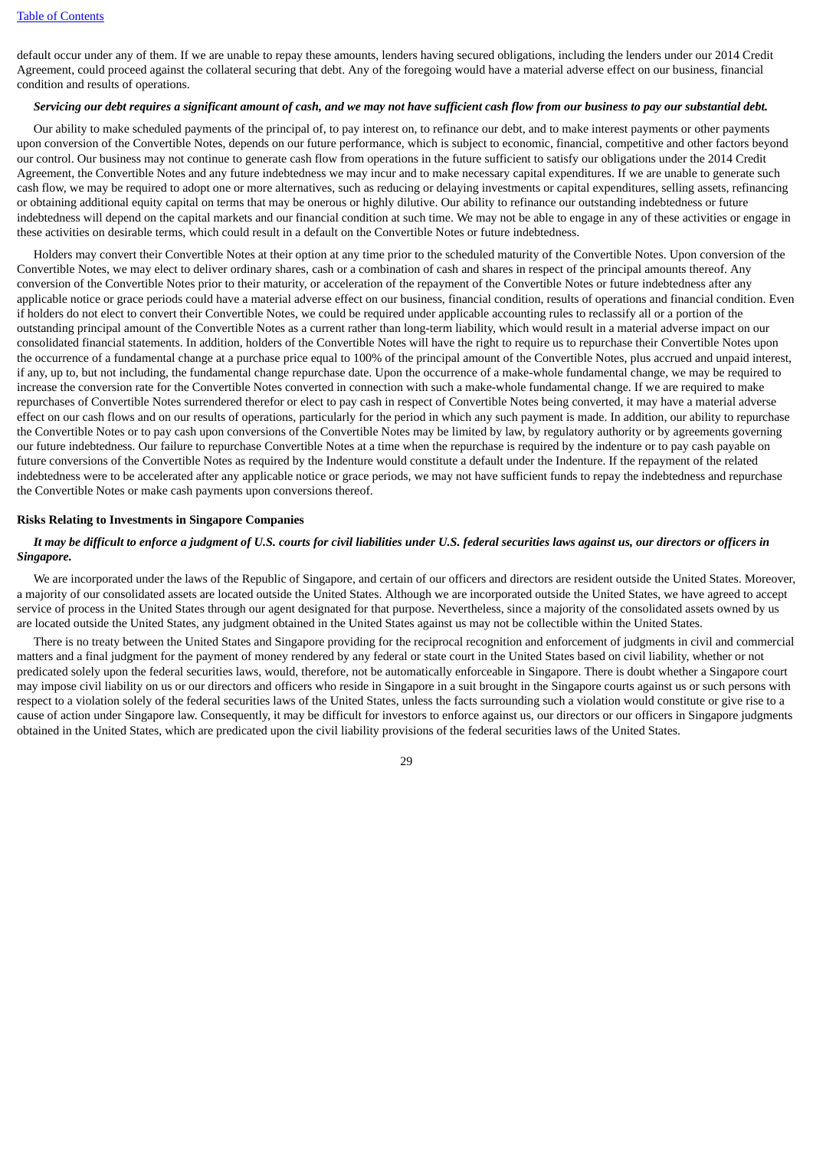default occur under any of them. If we are unable to repay these amounts, lenders having secured obligations, including the lenders under our 2014 Credit Agreement, could proceed against the collateral securing that debt. Any of the foregoing would have a material adverse effect on our business, financial condition and results of operations.

#### Servicing our debt requires a significant amount of cash, and we may not have sufficient cash flow from our business to pay our substantial debt.

Our ability to make scheduled payments of the principal of, to pay interest on, to refinance our debt, and to make interest payments or other payments upon conversion of the Convertible Notes, depends on our future performance, which is subject to economic, financial, competitive and other factors beyond our control. Our business may not continue to generate cash flow from operations in the future sufficient to satisfy our obligations under the 2014 Credit Agreement, the Convertible Notes and any future indebtedness we may incur and to make necessary capital expenditures. If we are unable to generate such cash flow, we may be required to adopt one or more alternatives, such as reducing or delaying investments or capital expenditures, selling assets, refinancing or obtaining additional equity capital on terms that may be onerous or highly dilutive. Our ability to refinance our outstanding indebtedness or future indebtedness will depend on the capital markets and our financial condition at such time. We may not be able to engage in any of these activities or engage in these activities on desirable terms, which could result in a default on the Convertible Notes or future indebtedness.

Holders may convert their Convertible Notes at their option at any time prior to the scheduled maturity of the Convertible Notes. Upon conversion of the Convertible Notes, we may elect to deliver ordinary shares, cash or a combination of cash and shares in respect of the principal amounts thereof. Any conversion of the Convertible Notes prior to their maturity, or acceleration of the repayment of the Convertible Notes or future indebtedness after any applicable notice or grace periods could have a material adverse effect on our business, financial condition, results of operations and financial condition. Even if holders do not elect to convert their Convertible Notes, we could be required under applicable accounting rules to reclassify all or a portion of the outstanding principal amount of the Convertible Notes as a current rather than long-term liability, which would result in a material adverse impact on our consolidated financial statements. In addition, holders of the Convertible Notes will have the right to require us to repurchase their Convertible Notes upon the occurrence of a fundamental change at a purchase price equal to 100% of the principal amount of the Convertible Notes, plus accrued and unpaid interest, if any, up to, but not including, the fundamental change repurchase date. Upon the occurrence of a make-whole fundamental change, we may be required to increase the conversion rate for the Convertible Notes converted in connection with such a make-whole fundamental change. If we are required to make repurchases of Convertible Notes surrendered therefor or elect to pay cash in respect of Convertible Notes being converted, it may have a material adverse effect on our cash flows and on our results of operations, particularly for the period in which any such payment is made. In addition, our ability to repurchase the Convertible Notes or to pay cash upon conversions of the Convertible Notes may be limited by law, by regulatory authority or by agreements governing our future indebtedness. Our failure to repurchase Convertible Notes at a time when the repurchase is required by the indenture or to pay cash payable on future conversions of the Convertible Notes as required by the Indenture would constitute a default under the Indenture. If the repayment of the related indebtedness were to be accelerated after any applicable notice or grace periods, we may not have sufficient funds to repay the indebtedness and repurchase the Convertible Notes or make cash payments upon conversions thereof.

#### **Risks Relating to Investments in Singapore Companies**

#### It may be difficult to enforce a judgment of U.S. courts for civil liabilities under U.S. federal securities laws against us, our directors or officers in *Singapore.*

We are incorporated under the laws of the Republic of Singapore, and certain of our officers and directors are resident outside the United States. Moreover, a majority of our consolidated assets are located outside the United States. Although we are incorporated outside the United States, we have agreed to accept service of process in the United States through our agent designated for that purpose. Nevertheless, since a majority of the consolidated assets owned by us are located outside the United States, any judgment obtained in the United States against us may not be collectible within the United States.

There is no treaty between the United States and Singapore providing for the reciprocal recognition and enforcement of judgments in civil and commercial matters and a final judgment for the payment of money rendered by any federal or state court in the United States based on civil liability, whether or not predicated solely upon the federal securities laws, would, therefore, not be automatically enforceable in Singapore. There is doubt whether a Singapore court may impose civil liability on us or our directors and officers who reside in Singapore in a suit brought in the Singapore courts against us or such persons with respect to a violation solely of the federal securities laws of the United States, unless the facts surrounding such a violation would constitute or give rise to a cause of action under Singapore law. Consequently, it may be difficult for investors to enforce against us, our directors or our officers in Singapore judgments obtained in the United States, which are predicated upon the civil liability provisions of the federal securities laws of the United States.

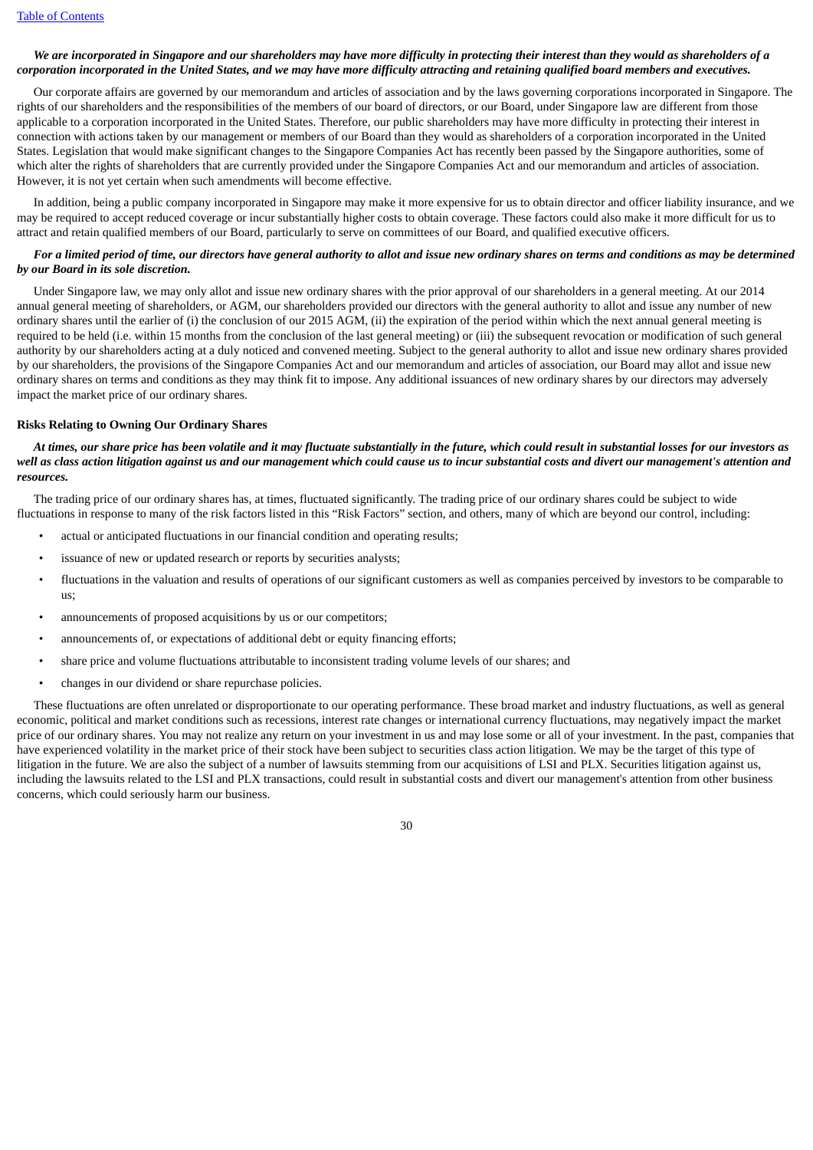### We are incorporated in Singapore and our shareholders may have more difficulty in protecting their interest than they would as shareholders of a corporation incorporated in the United States, and we may have more difficulty attracting and retaining qualified board members and executives.

Our corporate affairs are governed by our memorandum and articles of association and by the laws governing corporations incorporated in Singapore. The rights of our shareholders and the responsibilities of the members of our board of directors, or our Board, under Singapore law are different from those applicable to a corporation incorporated in the United States. Therefore, our public shareholders may have more difficulty in protecting their interest in connection with actions taken by our management or members of our Board than they would as shareholders of a corporation incorporated in the United States. Legislation that would make significant changes to the Singapore Companies Act has recently been passed by the Singapore authorities, some of which alter the rights of shareholders that are currently provided under the Singapore Companies Act and our memorandum and articles of association. However, it is not yet certain when such amendments will become effective.

In addition, being a public company incorporated in Singapore may make it more expensive for us to obtain director and officer liability insurance, and we may be required to accept reduced coverage or incur substantially higher costs to obtain coverage. These factors could also make it more difficult for us to attract and retain qualified members of our Board, particularly to serve on committees of our Board, and qualified executive officers.

#### For a limited period of time, our directors have general authority to allot and issue new ordinary shares on terms and conditions as may be determined *by our Board in its sole discretion.*

Under Singapore law, we may only allot and issue new ordinary shares with the prior approval of our shareholders in a general meeting. At our 2014 annual general meeting of shareholders, or AGM, our shareholders provided our directors with the general authority to allot and issue any number of new ordinary shares until the earlier of (i) the conclusion of our 2015 AGM, (ii) the expiration of the period within which the next annual general meeting is required to be held (i.e. within 15 months from the conclusion of the last general meeting) or (iii) the subsequent revocation or modification of such general authority by our shareholders acting at a duly noticed and convened meeting. Subject to the general authority to allot and issue new ordinary shares provided by our shareholders, the provisions of the Singapore Companies Act and our memorandum and articles of association, our Board may allot and issue new ordinary shares on terms and conditions as they may think fit to impose. Any additional issuances of new ordinary shares by our directors may adversely impact the market price of our ordinary shares.

### **Risks Relating to Owning Our Ordinary Shares**

At times, our share price has been volatile and it may fluctuate substantially in the future, which could result in substantial losses for our investors as well as class action litigation against us and our management which could cause us to incur substantial costs and divert our management's attention and *resources.*

The trading price of our ordinary shares has, at times, fluctuated significantly. The trading price of our ordinary shares could be subject to wide fluctuations in response to many of the risk factors listed in this "Risk Factors" section, and others, many of which are beyond our control, including:

- actual or anticipated fluctuations in our financial condition and operating results;
- issuance of new or updated research or reports by securities analysts;
- fluctuations in the valuation and results of operations of our significant customers as well as companies perceived by investors to be comparable to  $11S$
- announcements of proposed acquisitions by us or our competitors;
- announcements of, or expectations of additional debt or equity financing efforts;
- share price and volume fluctuations attributable to inconsistent trading volume levels of our shares; and
- changes in our dividend or share repurchase policies.

These fluctuations are often unrelated or disproportionate to our operating performance. These broad market and industry fluctuations, as well as general economic, political and market conditions such as recessions, interest rate changes or international currency fluctuations, may negatively impact the market price of our ordinary shares. You may not realize any return on your investment in us and may lose some or all of your investment. In the past, companies that have experienced volatility in the market price of their stock have been subject to securities class action litigation. We may be the target of this type of litigation in the future. We are also the subject of a number of lawsuits stemming from our acquisitions of LSI and PLX. Securities litigation against us, including the lawsuits related to the LSI and PLX transactions, could result in substantial costs and divert our management's attention from other business concerns, which could seriously harm our business.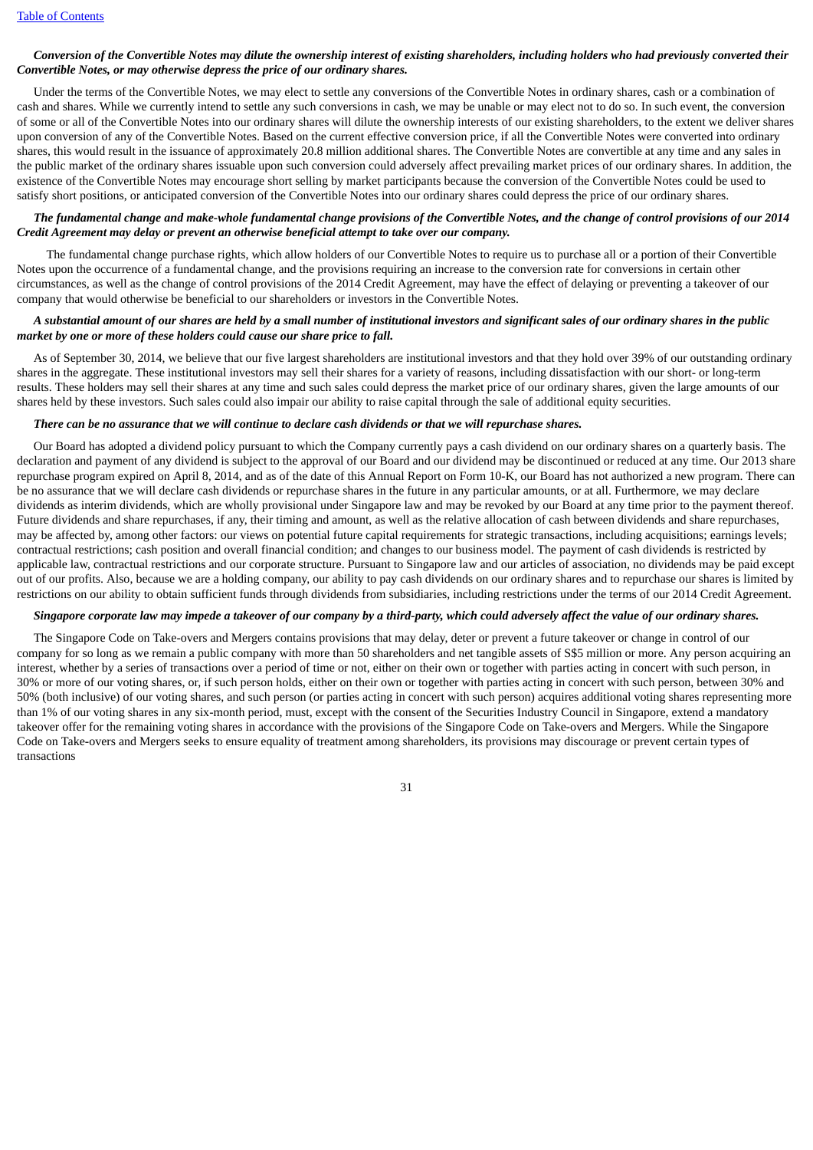### Conversion of the Convertible Notes may dilute the ownership interest of existing shareholders, including holders who had previously converted their *Convertible Notes, or may otherwise depress the price of our ordinary shares.*

Under the terms of the Convertible Notes, we may elect to settle any conversions of the Convertible Notes in ordinary shares, cash or a combination of cash and shares. While we currently intend to settle any such conversions in cash, we may be unable or may elect not to do so. In such event, the conversion of some or all of the Convertible Notes into our ordinary shares will dilute the ownership interests of our existing shareholders, to the extent we deliver shares upon conversion of any of the Convertible Notes. Based on the current effective conversion price, if all the Convertible Notes were converted into ordinary shares, this would result in the issuance of approximately 20.8 million additional shares. The Convertible Notes are convertible at any time and any sales in the public market of the ordinary shares issuable upon such conversion could adversely affect prevailing market prices of our ordinary shares. In addition, the existence of the Convertible Notes may encourage short selling by market participants because the conversion of the Convertible Notes could be used to satisfy short positions, or anticipated conversion of the Convertible Notes into our ordinary shares could depress the price of our ordinary shares.

### The fundamental change and make-whole fundamental change provisions of the Convertible Notes, and the change of control provisions of our 2014 *Credit Agreement may delay or prevent an otherwise beneficial attempt to take over our company.*

The fundamental change purchase rights, which allow holders of our Convertible Notes to require us to purchase all or a portion of their Convertible Notes upon the occurrence of a fundamental change, and the provisions requiring an increase to the conversion rate for conversions in certain other circumstances, as well as the change of control provisions of the 2014 Credit Agreement, may have the effect of delaying or preventing a takeover of our company that would otherwise be beneficial to our shareholders or investors in the Convertible Notes.

### A substantial amount of our shares are held by a small number of institutional investors and significant sales of our ordinary shares in the public *market by one or more of these holders could cause our share price to fall.*

As of September 30, 2014, we believe that our five largest shareholders are institutional investors and that they hold over 39% of our outstanding ordinary shares in the aggregate. These institutional investors may sell their shares for a variety of reasons, including dissatisfaction with our short- or long-term results. These holders may sell their shares at any time and such sales could depress the market price of our ordinary shares, given the large amounts of our shares held by these investors. Such sales could also impair our ability to raise capital through the sale of additional equity securities.

### There can be no assurance that we will continue to declare cash dividends or that we will repurchase shares.

Our Board has adopted a dividend policy pursuant to which the Company currently pays a cash dividend on our ordinary shares on a quarterly basis. The declaration and payment of any dividend is subject to the approval of our Board and our dividend may be discontinued or reduced at any time. Our 2013 share repurchase program expired on April 8, 2014, and as of the date of this Annual Report on Form 10-K, our Board has not authorized a new program. There can be no assurance that we will declare cash dividends or repurchase shares in the future in any particular amounts, or at all. Furthermore, we may declare dividends as interim dividends, which are wholly provisional under Singapore law and may be revoked by our Board at any time prior to the payment thereof. Future dividends and share repurchases, if any, their timing and amount, as well as the relative allocation of cash between dividends and share repurchases, may be affected by, among other factors: our views on potential future capital requirements for strategic transactions, including acquisitions; earnings levels; contractual restrictions; cash position and overall financial condition; and changes to our business model. The payment of cash dividends is restricted by applicable law, contractual restrictions and our corporate structure. Pursuant to Singapore law and our articles of association, no dividends may be paid except out of our profits. Also, because we are a holding company, our ability to pay cash dividends on our ordinary shares and to repurchase our shares is limited by restrictions on our ability to obtain sufficient funds through dividends from subsidiaries, including restrictions under the terms of our 2014 Credit Agreement.

#### Singapore corporate law may impede a takeover of our company by a third-party, which could adversely affect the value of our ordinary shares.

The Singapore Code on Take-overs and Mergers contains provisions that may delay, deter or prevent a future takeover or change in control of our company for so long as we remain a public company with more than 50 shareholders and net tangible assets of S\$5 million or more. Any person acquiring an interest, whether by a series of transactions over a period of time or not, either on their own or together with parties acting in concert with such person, in 30% or more of our voting shares, or, if such person holds, either on their own or together with parties acting in concert with such person, between 30% and 50% (both inclusive) of our voting shares, and such person (or parties acting in concert with such person) acquires additional voting shares representing more than 1% of our voting shares in any six-month period, must, except with the consent of the Securities Industry Council in Singapore, extend a mandatory takeover offer for the remaining voting shares in accordance with the provisions of the Singapore Code on Take-overs and Mergers. While the Singapore Code on Take-overs and Mergers seeks to ensure equality of treatment among shareholders, its provisions may discourage or prevent certain types of transactions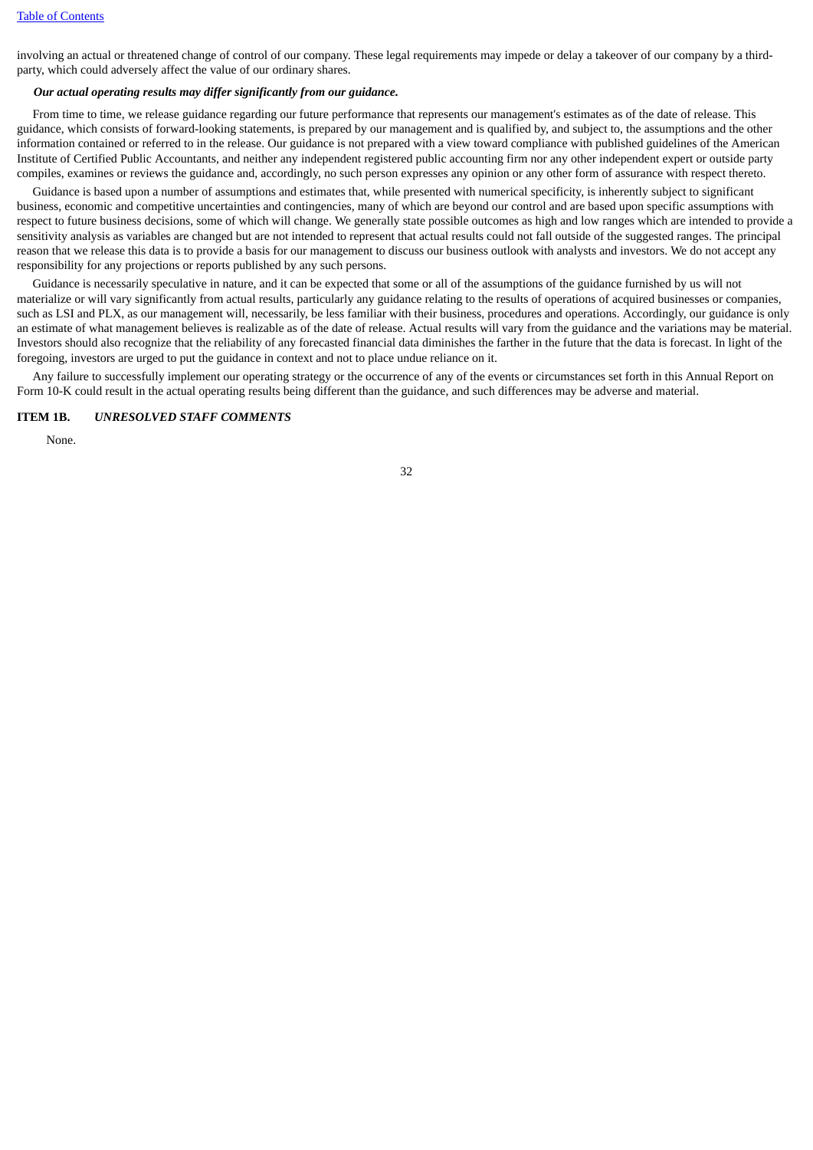involving an actual or threatened change of control of our company. These legal requirements may impede or delay a takeover of our company by a thirdparty, which could adversely affect the value of our ordinary shares.

#### *Our actual operating results may differ significantly from our guidance.*

From time to time, we release guidance regarding our future performance that represents our management's estimates as of the date of release. This guidance, which consists of forward-looking statements, is prepared by our management and is qualified by, and subject to, the assumptions and the other information contained or referred to in the release. Our guidance is not prepared with a view toward compliance with published guidelines of the American Institute of Certified Public Accountants, and neither any independent registered public accounting firm nor any other independent expert or outside party compiles, examines or reviews the guidance and, accordingly, no such person expresses any opinion or any other form of assurance with respect thereto.

Guidance is based upon a number of assumptions and estimates that, while presented with numerical specificity, is inherently subject to significant business, economic and competitive uncertainties and contingencies, many of which are beyond our control and are based upon specific assumptions with respect to future business decisions, some of which will change. We generally state possible outcomes as high and low ranges which are intended to provide a sensitivity analysis as variables are changed but are not intended to represent that actual results could not fall outside of the suggested ranges. The principal reason that we release this data is to provide a basis for our management to discuss our business outlook with analysts and investors. We do not accept any responsibility for any projections or reports published by any such persons.

Guidance is necessarily speculative in nature, and it can be expected that some or all of the assumptions of the guidance furnished by us will not materialize or will vary significantly from actual results, particularly any guidance relating to the results of operations of acquired businesses or companies, such as LSI and PLX, as our management will, necessarily, be less familiar with their business, procedures and operations. Accordingly, our guidance is only an estimate of what management believes is realizable as of the date of release. Actual results will vary from the guidance and the variations may be material. Investors should also recognize that the reliability of any forecasted financial data diminishes the farther in the future that the data is forecast. In light of the foregoing, investors are urged to put the guidance in context and not to place undue reliance on it.

Any failure to successfully implement our operating strategy or the occurrence of any of the events or circumstances set forth in this Annual Report on Form 10-K could result in the actual operating results being different than the guidance, and such differences may be adverse and material.

#### <span id="page-31-0"></span>**ITEM 1B.** *UNRESOLVED STAFF COMMENTS*

<span id="page-31-1"></span>None.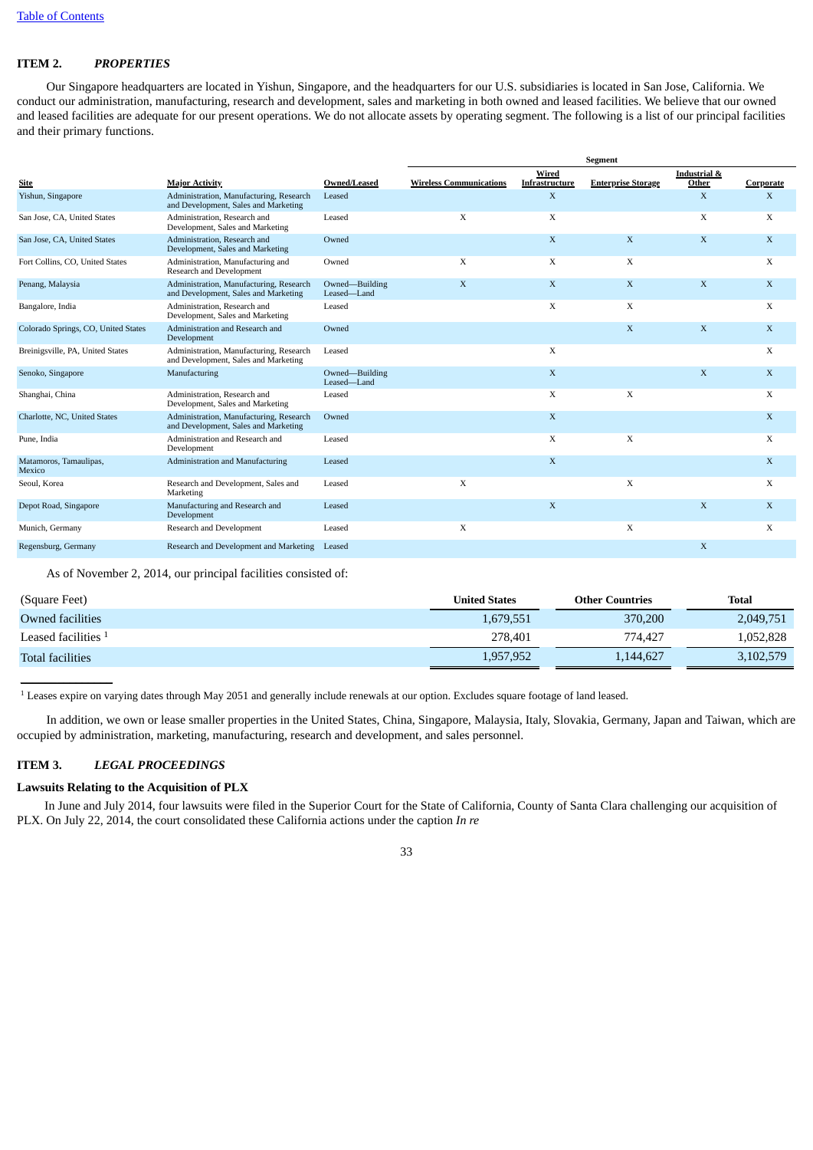# **ITEM 2.** *PROPERTIES*

Our Singapore headquarters are located in Yishun, Singapore, and the headquarters for our U.S. subsidiaries is located in San Jose, California. We conduct our administration, manufacturing, research and development, sales and marketing in both owned and leased facilities. We believe that our owned and leased facilities are adequate for our present operations. We do not allocate assets by operating segment. The following is a list of our principal facilities and their primary functions.

|                                     |                                                                                 |                               |                                |                         | Segment                   |                       |             |
|-------------------------------------|---------------------------------------------------------------------------------|-------------------------------|--------------------------------|-------------------------|---------------------------|-----------------------|-------------|
| <b>Site</b>                         | <b>Major Activity</b>                                                           | Owned/Leased                  | <b>Wireless Communications</b> | Wired<br>Infrastructure | <b>Enterprise Storage</b> | Industrial &<br>Other | Corporate   |
| Yishun, Singapore                   | Administration, Manufacturing, Research<br>and Development, Sales and Marketing | Leased                        |                                | $\mathbf X$             |                           | X                     | X           |
| San Jose, CA, United States         | Administration, Research and<br>Development, Sales and Marketing                | Leased                        | X                              | X                       |                           | X                     | X           |
| San Jose, CA, United States         | Administration. Research and<br>Development, Sales and Marketing                | Owned                         |                                | X                       | X                         | X                     | X           |
| Fort Collins, CO, United States     | Administration, Manufacturing and<br>Research and Development                   | Owned                         | X                              | X                       | X                         |                       | X           |
| Penang, Malaysia                    | Administration, Manufacturing, Research<br>and Development, Sales and Marketing | Owned-Building<br>Leased-Land | X                              | X                       | X                         | X                     | X           |
| Bangalore, India                    | Administration, Research and<br>Development, Sales and Marketing                | Leased                        |                                | X                       | X                         |                       | X           |
| Colorado Springs, CO, United States | Administration and Research and<br>Development                                  | Owned                         |                                |                         | X                         | X                     | X           |
| Breinigsville, PA, United States    | Administration, Manufacturing, Research<br>and Development, Sales and Marketing | Leased                        |                                | X                       |                           |                       | X           |
| Senoko, Singapore                   | Manufacturing                                                                   | Owned-Building<br>Leased-Land |                                | X                       |                           | X                     | X           |
| Shanghai, China                     | Administration. Research and<br>Development, Sales and Marketing                | Leased                        |                                | X                       | X                         |                       | X           |
| Charlotte, NC, United States        | Administration, Manufacturing, Research<br>and Development, Sales and Marketing | Owned                         |                                | $\mathbf X$             |                           |                       | $\mathbf X$ |
| Pune, India                         | Administration and Research and<br>Development                                  | Leased                        |                                | X                       | X                         |                       | X           |
| Matamoros, Tamaulipas,<br>Mexico    | Administration and Manufacturing                                                | Leased                        |                                | X                       |                           |                       | X           |
| Seoul, Korea                        | Research and Development, Sales and<br>Marketing                                | Leased                        | X                              |                         | X                         |                       | X           |
| Depot Road, Singapore               | Manufacturing and Research and<br>Development                                   | Leased                        |                                | $\mathbf X$             |                           | $\mathbf X$           | X           |
| Munich, Germany                     | Research and Development                                                        | Leased                        | X                              |                         | X                         |                       | X           |
| Regensburg, Germany                 | Research and Development and Marketing                                          | Leased                        |                                |                         |                           | X                     |             |

As of November 2, 2014, our principal facilities consisted of:

| (Square Feet)         | <b>United States</b> | <b>Other Countries</b> | Total     |
|-----------------------|----------------------|------------------------|-----------|
| Owned facilities      | 1,679,551            | 370,200                | 2,049,751 |
| Leased facilities $1$ | 278,401              | 774,427                | 1,052,828 |
| Total facilities      | 1,957,952            | 1,144,627              | 3,102,579 |

<sup>1</sup> Leases expire on varying dates through May 2051 and generally include renewals at our option. Excludes square footage of land leased.

In addition, we own or lease smaller properties in the United States, China, Singapore, Malaysia, Italy, Slovakia, Germany, Japan and Taiwan, which are occupied by administration, marketing, manufacturing, research and development, and sales personnel.

# <span id="page-32-0"></span>**ITEM 3.** *LEGAL PROCEEDINGS*

 $\mathcal{L}_\text{max}$  , we have the set of the set of the set of the set of the set of the set of the set of the set of the set of the set of the set of the set of the set of the set of the set of the set of the set of the set of

# **Lawsuits Relating to the Acquisition of PLX**

In June and July 2014, four lawsuits were filed in the Superior Court for the State of California, County of Santa Clara challenging our acquisition of PLX. On July 22, 2014, the court consolidated these California actions under the caption *In re*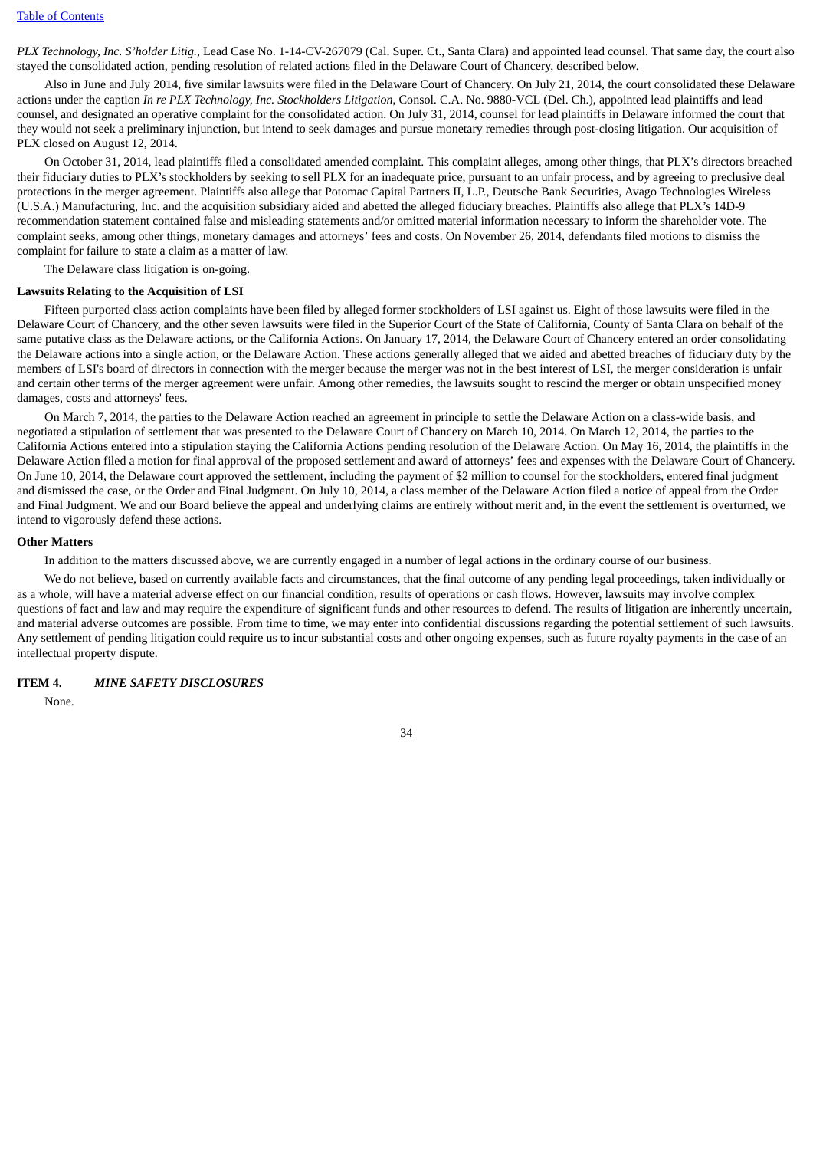*PLX Technology, Inc. S'holder Litig.*, Lead Case No. 1-14-CV-267079 (Cal. Super. Ct., Santa Clara) and appointed lead counsel. That same day, the court also stayed the consolidated action, pending resolution of related actions filed in the Delaware Court of Chancery, described below.

Also in June and July 2014, five similar lawsuits were filed in the Delaware Court of Chancery. On July 21, 2014, the court consolidated these Delaware actions under the caption *In re PLX Technology, Inc. Stockholders Litigation*, Consol. C.A. No. 9880-VCL (Del. Ch.), appointed lead plaintiffs and lead counsel, and designated an operative complaint for the consolidated action. On July 31, 2014, counsel for lead plaintiffs in Delaware informed the court that they would not seek a preliminary injunction, but intend to seek damages and pursue monetary remedies through post-closing litigation. Our acquisition of PLX closed on August 12, 2014.

On October 31, 2014, lead plaintiffs filed a consolidated amended complaint. This complaint alleges, among other things, that PLX's directors breached their fiduciary duties to PLX's stockholders by seeking to sell PLX for an inadequate price, pursuant to an unfair process, and by agreeing to preclusive deal protections in the merger agreement. Plaintiffs also allege that Potomac Capital Partners II, L.P., Deutsche Bank Securities, Avago Technologies Wireless (U.S.A.) Manufacturing, Inc. and the acquisition subsidiary aided and abetted the alleged fiduciary breaches. Plaintiffs also allege that PLX's 14D-9 recommendation statement contained false and misleading statements and/or omitted material information necessary to inform the shareholder vote. The complaint seeks, among other things, monetary damages and attorneys' fees and costs. On November 26, 2014, defendants filed motions to dismiss the complaint for failure to state a claim as a matter of law.

The Delaware class litigation is on-going.

#### **Lawsuits Relating to the Acquisition of LSI**

Fifteen purported class action complaints have been filed by alleged former stockholders of LSI against us. Eight of those lawsuits were filed in the Delaware Court of Chancery, and the other seven lawsuits were filed in the Superior Court of the State of California, County of Santa Clara on behalf of the same putative class as the Delaware actions, or the California Actions. On January 17, 2014, the Delaware Court of Chancery entered an order consolidating the Delaware actions into a single action, or the Delaware Action. These actions generally alleged that we aided and abetted breaches of fiduciary duty by the members of LSI's board of directors in connection with the merger because the merger was not in the best interest of LSI, the merger consideration is unfair and certain other terms of the merger agreement were unfair. Among other remedies, the lawsuits sought to rescind the merger or obtain unspecified money damages, costs and attorneys' fees.

On March 7, 2014, the parties to the Delaware Action reached an agreement in principle to settle the Delaware Action on a class-wide basis, and negotiated a stipulation of settlement that was presented to the Delaware Court of Chancery on March 10, 2014. On March 12, 2014, the parties to the California Actions entered into a stipulation staying the California Actions pending resolution of the Delaware Action. On May 16, 2014, the plaintiffs in the Delaware Action filed a motion for final approval of the proposed settlement and award of attorneys' fees and expenses with the Delaware Court of Chancery. On June 10, 2014, the Delaware court approved the settlement, including the payment of \$2 million to counsel for the stockholders, entered final judgment and dismissed the case, or the Order and Final Judgment. On July 10, 2014, a class member of the Delaware Action filed a notice of appeal from the Order and Final Judgment. We and our Board believe the appeal and underlying claims are entirely without merit and, in the event the settlement is overturned, we intend to vigorously defend these actions.

#### **Other Matters**

In addition to the matters discussed above, we are currently engaged in a number of legal actions in the ordinary course of our business.

We do not believe, based on currently available facts and circumstances, that the final outcome of any pending legal proceedings, taken individually or as a whole, will have a material adverse effect on our financial condition, results of operations or cash flows. However, lawsuits may involve complex questions of fact and law and may require the expenditure of significant funds and other resources to defend. The results of litigation are inherently uncertain, and material adverse outcomes are possible. From time to time, we may enter into confidential discussions regarding the potential settlement of such lawsuits. Any settlement of pending litigation could require us to incur substantial costs and other ongoing expenses, such as future royalty payments in the case of an intellectual property dispute.

#### <span id="page-33-0"></span>**ITEM 4.** *MINE SAFETY DISCLOSURES*

<span id="page-33-1"></span>None.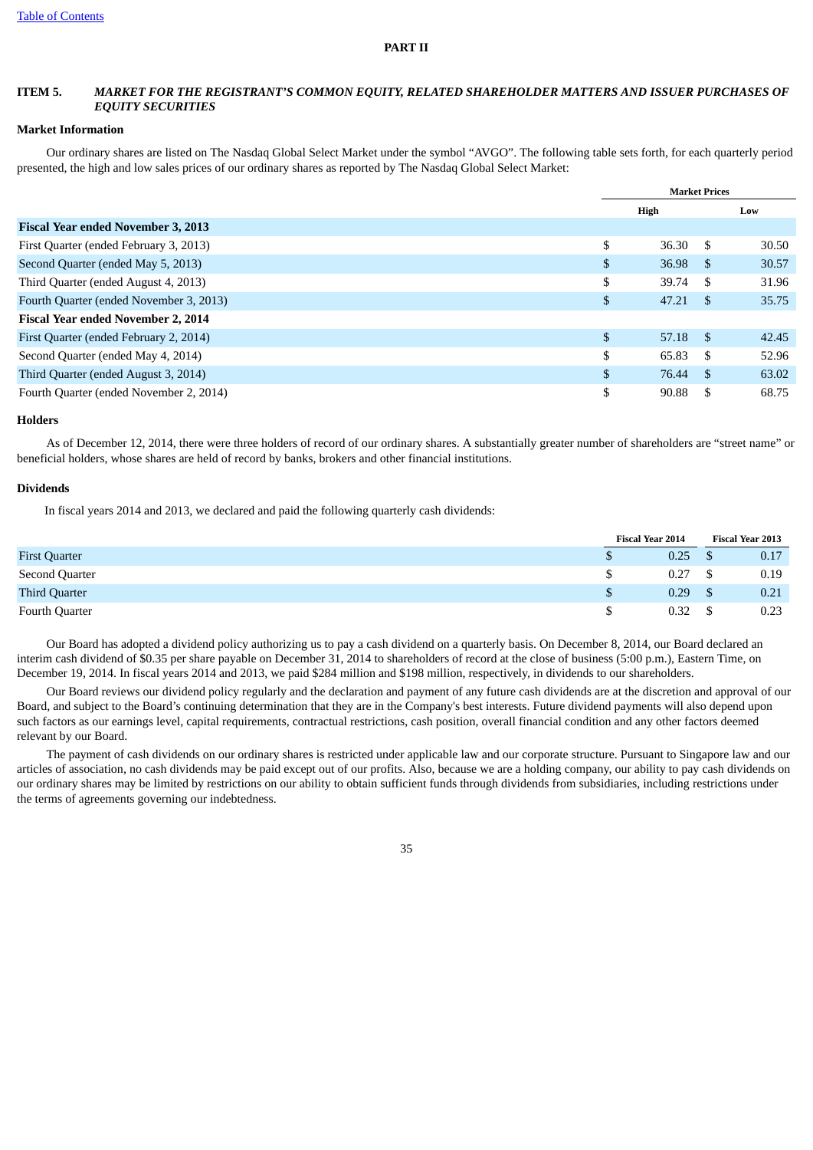#### **PART II**

#### <span id="page-34-0"></span>**ITEM 5.** *MARKET FOR THE REGISTRANT'S COMMON EQUITY, RELATED SHAREHOLDER MATTERS AND ISSUER PURCHASES OF EQUITY SECURITIES*

### **Market Information**

Our ordinary shares are listed on The Nasdaq Global Select Market under the symbol "AVGO". The following table sets forth, for each quarterly period presented, the high and low sales prices of our ordinary shares as reported by The Nasdaq Global Select Market:

|                                           | <b>Market Prices</b> |     |       |
|-------------------------------------------|----------------------|-----|-------|
|                                           | High                 |     | Low   |
| <b>Fiscal Year ended November 3, 2013</b> |                      |     |       |
| First Quarter (ended February 3, 2013)    | \$<br>36.30          | -\$ | 30.50 |
| Second Quarter (ended May 5, 2013)        | \$<br>36.98          | -\$ | 30.57 |
| Third Quarter (ended August 4, 2013)      | \$<br>39.74          | -\$ | 31.96 |
| Fourth Quarter (ended November 3, 2013)   | \$<br>47.21          | -S  | 35.75 |
| <b>Fiscal Year ended November 2, 2014</b> |                      |     |       |
| First Quarter (ended February 2, 2014)    | \$<br>57.18          | -\$ | 42.45 |
| Second Quarter (ended May 4, 2014)        | \$<br>65.83          | -\$ | 52.96 |
| Third Quarter (ended August 3, 2014)      | \$<br>76.44          | -\$ | 63.02 |
| Fourth Quarter (ended November 2, 2014)   | \$<br>90.88          | -S  | 68.75 |

#### **Holders**

As of December 12, 2014, there were three holders of record of our ordinary shares. A substantially greater number of shareholders are "street name" or beneficial holders, whose shares are held of record by banks, brokers and other financial institutions.

#### **Dividends**

In fiscal years 2014 and 2013, we declared and paid the following quarterly cash dividends:

|                      |    | <b>Fiscal Year 2014</b> |  | <b>Fiscal Year 2013</b> |  |
|----------------------|----|-------------------------|--|-------------------------|--|
| <b>First Quarter</b> | P  | 0.25                    |  | 0.17                    |  |
| Second Quarter       |    | 0.27                    |  | 0.19                    |  |
| <b>Third Quarter</b> | \$ | 0.29                    |  | 0.21                    |  |
| Fourth Quarter       |    | 0.32                    |  | 0.23                    |  |

Our Board has adopted a dividend policy authorizing us to pay a cash dividend on a quarterly basis. On December 8, 2014, our Board declared an interim cash dividend of \$0.35 per share payable on December 31, 2014 to shareholders of record at the close of business (5:00 p.m.), Eastern Time, on December 19, 2014. In fiscal years 2014 and 2013, we paid \$284 million and \$198 million, respectively, in dividends to our shareholders.

Our Board reviews our dividend policy regularly and the declaration and payment of any future cash dividends are at the discretion and approval of our Board, and subject to the Board's continuing determination that they are in the Company's best interests. Future dividend payments will also depend upon such factors as our earnings level, capital requirements, contractual restrictions, cash position, overall financial condition and any other factors deemed relevant by our Board.

The payment of cash dividends on our ordinary shares is restricted under applicable law and our corporate structure. Pursuant to Singapore law and our articles of association, no cash dividends may be paid except out of our profits. Also, because we are a holding company, our ability to pay cash dividends on our ordinary shares may be limited by restrictions on our ability to obtain sufficient funds through dividends from subsidiaries, including restrictions under the terms of agreements governing our indebtedness.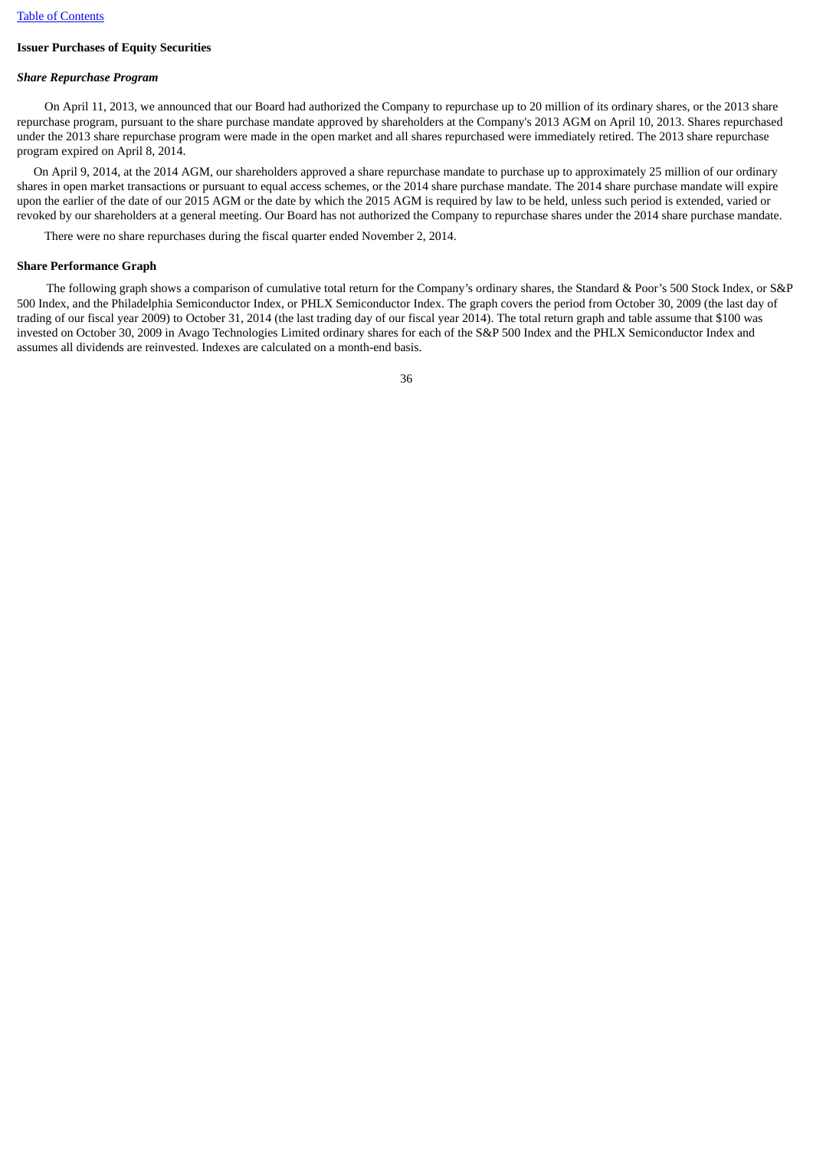# **Issuer Purchases of Equity Securities**

### *Share Repurchase Program*

On April 11, 2013, we announced that our Board had authorized the Company to repurchase up to 20 million of its ordinary shares, or the 2013 share repurchase program, pursuant to the share purchase mandate approved by shareholders at the Company's 2013 AGM on April 10, 2013. Shares repurchased under the 2013 share repurchase program were made in the open market and all shares repurchased were immediately retired. The 2013 share repurchase program expired on April 8, 2014.

On April 9, 2014, at the 2014 AGM, our shareholders approved a share repurchase mandate to purchase up to approximately 25 million of our ordinary shares in open market transactions or pursuant to equal access schemes, or the 2014 share purchase mandate. The 2014 share purchase mandate will expire upon the earlier of the date of our 2015 AGM or the date by which the 2015 AGM is required by law to be held, unless such period is extended, varied or revoked by our shareholders at a general meeting. Our Board has not authorized the Company to repurchase shares under the 2014 share purchase mandate.

There were no share repurchases during the fiscal quarter ended November 2, 2014.

# **Share Performance Graph**

The following graph shows a comparison of cumulative total return for the Company's ordinary shares, the Standard & Poor's 500 Stock Index, or S&P 500 Index, and the Philadelphia Semiconductor Index, or PHLX Semiconductor Index. The graph covers the period from October 30, 2009 (the last day of trading of our fiscal year 2009) to October 31, 2014 (the last trading day of our fiscal year 2014). The total return graph and table assume that \$100 was invested on October 30, 2009 in Avago Technologies Limited ordinary shares for each of the S&P 500 Index and the PHLX Semiconductor Index and assumes all dividends are reinvested. Indexes are calculated on a month-end basis.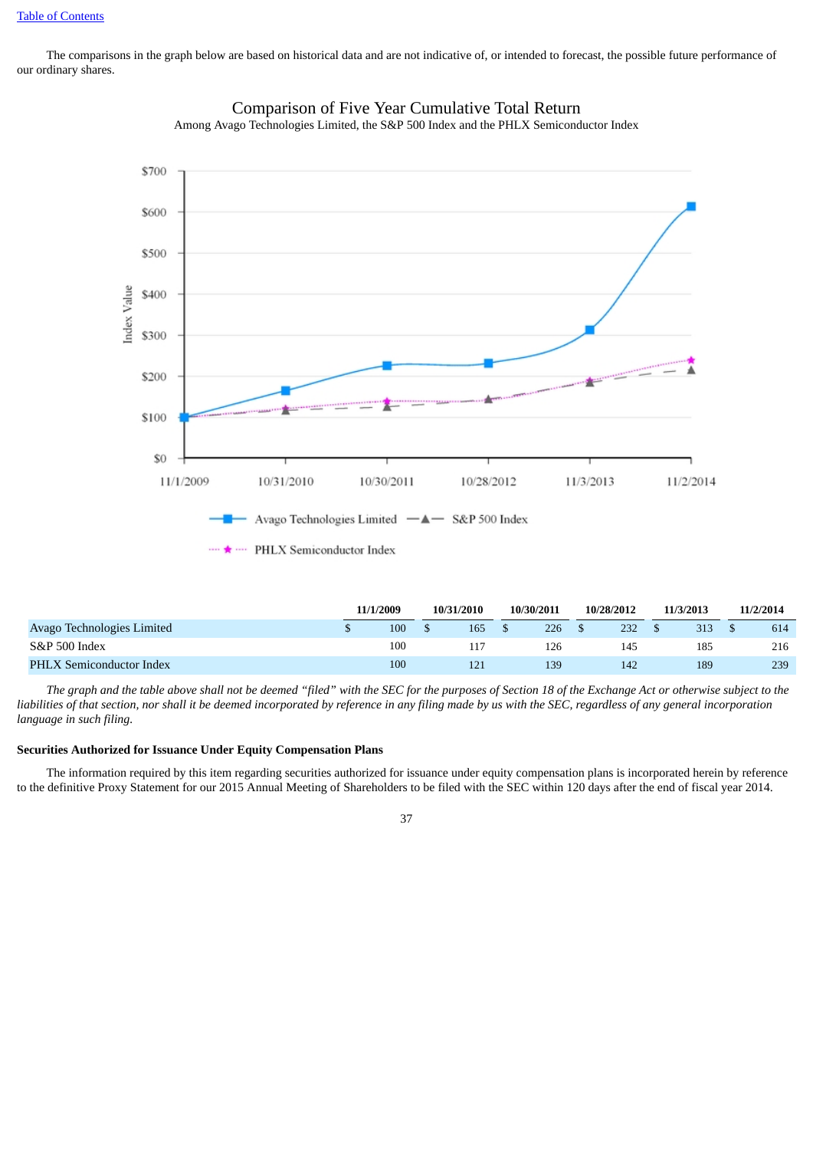The comparisons in the graph below are based on historical data and are not indicative of, or intended to forecast, the possible future performance of our ordinary shares.





Among Avago Technologies Limited, the S&P 500 Index and the PHLX Semiconductor Index

|                            | 11/1/2009 |  | 10/31/2010 |  | 10/30/2011 |  | 10/28/2012 |  | 11/3/2013 |  | 11/2/2014 |
|----------------------------|-----------|--|------------|--|------------|--|------------|--|-----------|--|-----------|
| Avago Technologies Limited | 100       |  | 165        |  | 226        |  | 232        |  | 313       |  | 614       |
| S&P 500 Index              | 100       |  |            |  | 126        |  | 145        |  | 185       |  | 216       |
| PHLX Semiconductor Index   | 100       |  | 121        |  | 139        |  | 142        |  | 189       |  | 239       |

The graph and the table above shall not be deemed "filed" with the SEC for the purposes of Section 18 of the Exchange Act or otherwise subject to the liabilities of that section, nor shall it be deemed incorporated by reference in any filing made by us with the SEC, regardless of any general incorporation *language in such filing.*

## **Securities Authorized for Issuance Under Equity Compensation Plans**

The information required by this item regarding securities authorized for issuance under equity compensation plans is incorporated herein by reference to the definitive Proxy Statement for our 2015 Annual Meeting of Shareholders to be filed with the SEC within 120 days after the end of fiscal year 2014.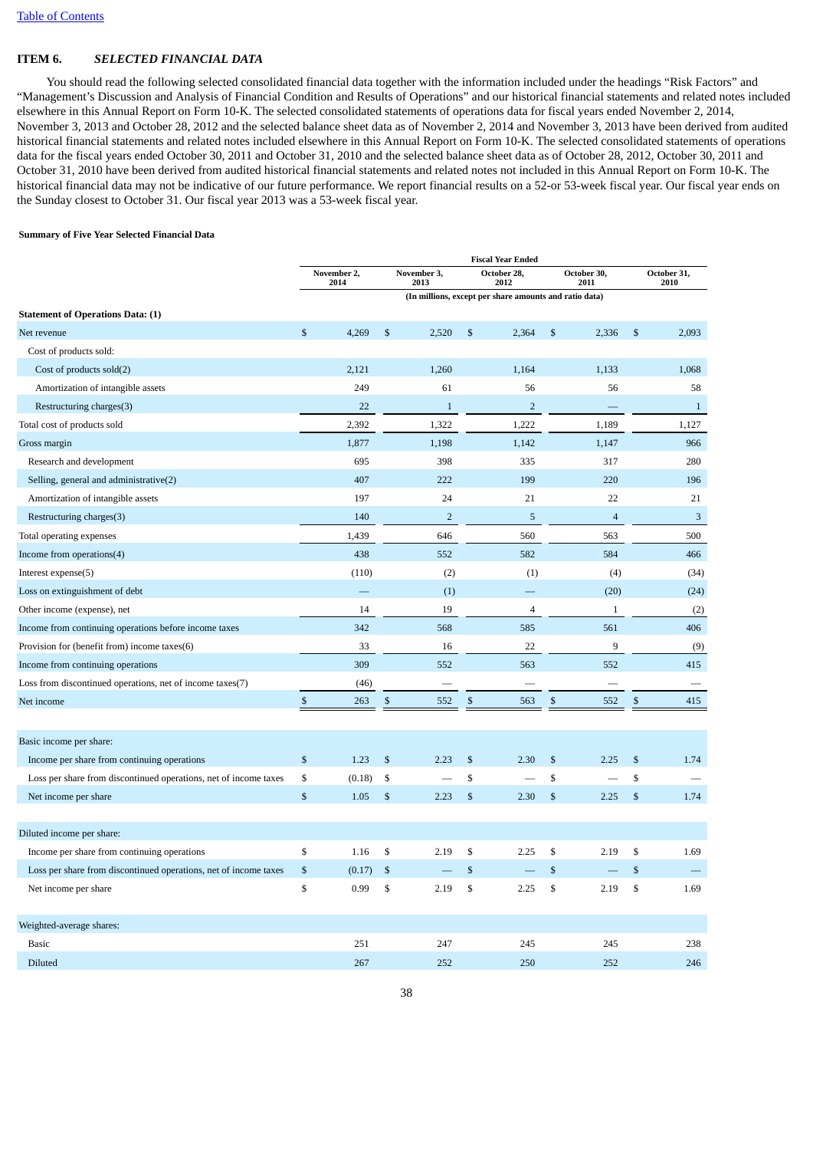## **ITEM 6.** *SELECTED FINANCIAL DATA*

You should read the following selected consolidated financial data together with the information included under the headings "Risk Factors" and "Management's Discussion and Analysis of Financial Condition and Results of Operations" and our historical financial statements and related notes included elsewhere in this Annual Report on Form 10-K. The selected consolidated statements of operations data for fiscal years ended November 2, 2014, November 3, 2013 and October 28, 2012 and the selected balance sheet data as of November 2, 2014 and November 3, 2013 have been derived from audited historical financial statements and related notes included elsewhere in this Annual Report on Form 10-K. The selected consolidated statements of operations data for the fiscal years ended October 30, 2011 and October 31, 2010 and the selected balance sheet data as of October 28, 2012, October 30, 2011 and October 31, 2010 have been derived from audited historical financial statements and related notes not included in this Annual Report on Form 10-K. The historical financial data may not be indicative of our future performance. We report financial results on a 52-or 53-week fiscal year. Our fiscal year ends on the Sunday closest to October 31. Our fiscal year 2013 was a 53-week fiscal year.

## **Summary of Five Year Selected Financial Data**

|                                                                  | <b>Fiscal Year Ended</b> |                     |              |                     |    |                                                        |    |                     |    |                     |
|------------------------------------------------------------------|--------------------------|---------------------|--------------|---------------------|----|--------------------------------------------------------|----|---------------------|----|---------------------|
|                                                                  |                          | November 2,<br>2014 |              | November 3,<br>2013 |    | October 28,<br>2012                                    |    | October 30,<br>2011 |    | October 31,<br>2010 |
|                                                                  |                          |                     |              |                     |    | (In millions, except per share amounts and ratio data) |    |                     |    |                     |
| <b>Statement of Operations Data: (1)</b>                         |                          |                     |              |                     |    |                                                        |    |                     |    |                     |
| Net revenue                                                      | $\mathbb{S}$             | 4,269               | \$           | 2,520               | \$ | 2,364                                                  | \$ | 2,336               | \$ | 2,093               |
| Cost of products sold:                                           |                          |                     |              |                     |    |                                                        |    |                     |    |                     |
| Cost of products $sold(2)$                                       |                          | 2,121               |              | 1,260               |    | 1,164                                                  |    | 1,133               |    | 1,068               |
| Amortization of intangible assets                                |                          | 249                 |              | 61                  |    | 56                                                     |    | 56                  |    | 58                  |
| Restructuring charges(3)                                         |                          | 22                  |              | $\mathbf{1}$        |    | $\overline{2}$                                         |    |                     |    | $\mathbf{1}$        |
| Total cost of products sold                                      |                          | 2,392               |              | 1,322               |    | 1,222                                                  |    | 1,189               |    | 1,127               |
| Gross margin                                                     |                          | 1,877               |              | 1,198               |    | 1,142                                                  |    | 1,147               |    | 966                 |
| Research and development                                         |                          | 695                 |              | 398                 |    | 335                                                    |    | 317                 |    | 280                 |
| Selling, general and administrative(2)                           |                          | 407                 |              | 222                 |    | 199                                                    |    | 220                 |    | 196                 |
| Amortization of intangible assets                                |                          | 197                 |              | 24                  |    | 21                                                     |    | 22                  |    | 21                  |
| Restructuring charges(3)                                         |                          | 140                 |              | $\overline{2}$      |    | 5                                                      |    | $\overline{4}$      |    | 3                   |
| Total operating expenses                                         |                          | 1,439               |              | 646                 |    | 560                                                    |    | 563                 |    | 500                 |
| Income from operations(4)                                        |                          | 438                 |              | 552                 |    | 582                                                    |    | 584                 |    | 466                 |
| Interest expense(5)                                              |                          | (110)               |              | (2)                 |    | (1)                                                    |    | (4)                 |    | (34)                |
| Loss on extinguishment of debt                                   |                          |                     |              | (1)                 |    |                                                        |    | (20)                |    | (24)                |
| Other income (expense), net                                      |                          | 14                  |              | 19                  |    | 4                                                      |    | $\mathbf{1}$        |    | (2)                 |
| Income from continuing operations before income taxes            |                          | 342                 |              | 568                 |    | 585                                                    |    | 561                 |    | 406                 |
| Provision for (benefit from) income taxes(6)                     |                          | 33                  |              | 16                  |    | 22                                                     |    | 9                   |    | (9)                 |
| Income from continuing operations                                |                          | 309                 |              | 552                 |    | 563                                                    |    | 552                 |    | 415                 |
| Loss from discontinued operations, net of income taxes(7)        |                          | (46)                |              |                     |    |                                                        |    |                     |    |                     |
| Net income                                                       | $\mathbb{S}$             | 263                 | \$           | 552                 | \$ | 563                                                    | \$ | 552                 | \$ | 415                 |
|                                                                  |                          |                     |              |                     |    |                                                        |    |                     |    |                     |
| Basic income per share:                                          |                          |                     |              |                     |    |                                                        |    |                     |    |                     |
| Income per share from continuing operations                      | \$                       | 1.23                | $\mathbb{S}$ | 2.23                | \$ | 2.30                                                   | \$ | 2.25                | \$ | 1.74                |
| Loss per share from discontinued operations, net of income taxes | \$                       | (0.18)              | \$           |                     | \$ |                                                        | \$ |                     | \$ |                     |
| Net income per share                                             | $\mathbb{S}$             | 1.05                | $\$$         | 2.23                | \$ | 2.30                                                   | \$ | 2.25                | \$ | 1.74                |
|                                                                  |                          |                     |              |                     |    |                                                        |    |                     |    |                     |
| Diluted income per share:                                        |                          |                     |              |                     |    |                                                        |    |                     |    |                     |
| Income per share from continuing operations                      | \$                       | 1.16                | \$           | 2.19                | \$ | 2.25                                                   | \$ | 2.19                | \$ | 1.69                |
| Loss per share from discontinued operations, net of income taxes | \$                       | (0.17)              | $\mathbb{S}$ |                     | \$ |                                                        | \$ |                     | \$ | —                   |
| Net income per share                                             | \$                       | 0.99                | \$           | 2.19                | \$ | 2.25                                                   | \$ | 2.19                | \$ | 1.69                |
| Weighted-average shares:                                         |                          |                     |              |                     |    |                                                        |    |                     |    |                     |
| Basic                                                            |                          | 251                 |              | 247                 |    | 245                                                    |    | 245                 |    | 238                 |
| Diluted                                                          |                          | 267                 |              | 252                 |    | 250                                                    |    | 252                 |    | 246                 |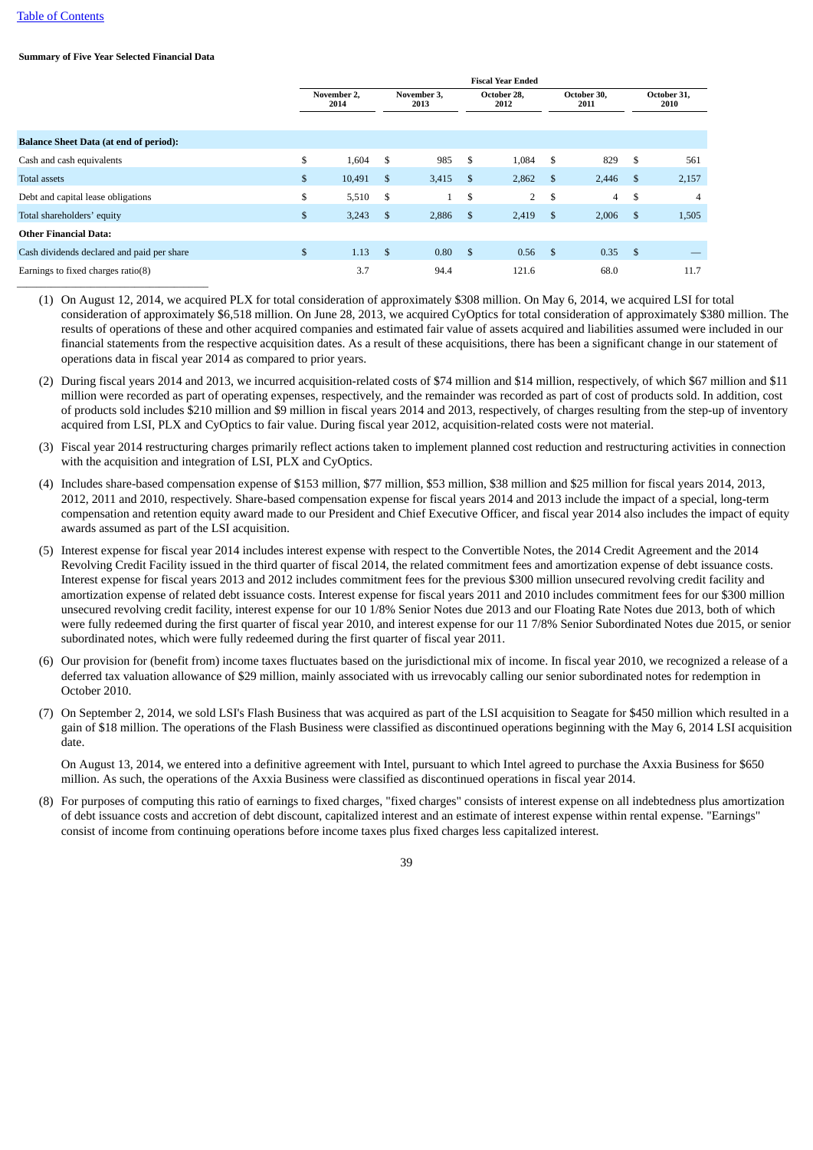## **Summary of Five Year Selected Financial Data**

|                                               | <b>Fiscal Year Ended</b> |                     |    |                     |               |                     |      |                     |      |                     |
|-----------------------------------------------|--------------------------|---------------------|----|---------------------|---------------|---------------------|------|---------------------|------|---------------------|
|                                               |                          | November 2,<br>2014 |    | November 3,<br>2013 |               | October 28,<br>2012 |      | October 30,<br>2011 |      | October 31,<br>2010 |
| <b>Balance Sheet Data (at end of period):</b> |                          |                     |    |                     |               |                     |      |                     |      |                     |
| Cash and cash equivalents                     | \$                       | 1,604               | \$ | 985                 | S             | 1,084               | \$   | 829                 | S    | 561                 |
| <b>Total assets</b>                           | \$                       | 10,491              | \$ | 3,415               | <sup>\$</sup> | 2,862               | -S   | 2,446               | \$   | 2,157               |
| Debt and capital lease obligations            | \$                       | 5,510               | \$ | $\mathbf{1}$        | \$            | $\overline{2}$      | \$   | $\overline{4}$      | S    | $\overline{4}$      |
| Total shareholders' equity                    | \$                       | 3,243               | \$ | 2,886               | - \$          | 2,419               | - \$ | 2,006               | - \$ | 1,505               |
| <b>Other Financial Data:</b>                  |                          |                     |    |                     |               |                     |      |                     |      |                     |
| Cash dividends declared and paid per share    | \$                       | 1.13                | \$ | 0.80                | $\mathbb{S}$  | 0.56                | - \$ | 0.35                | - \$ |                     |
| Earnings to fixed charges ratio(8)            |                          | 3.7                 |    | 94.4                |               | 121.6               |      | 68.0                |      | 11.7                |

(1) On August 12, 2014, we acquired PLX for total consideration of approximately \$308 million. On May 6, 2014, we acquired LSI for total consideration of approximately \$6,518 million. On June 28, 2013, we acquired CyOptics for total consideration of approximately \$380 million. The results of operations of these and other acquired companies and estimated fair value of assets acquired and liabilities assumed were included in our financial statements from the respective acquisition dates. As a result of these acquisitions, there has been a significant change in our statement of operations data in fiscal year 2014 as compared to prior years.

- (2) During fiscal years 2014 and 2013, we incurred acquisition-related costs of \$74 million and \$14 million, respectively, of which \$67 million and \$11 million were recorded as part of operating expenses, respectively, and the remainder was recorded as part of cost of products sold. In addition, cost of products sold includes \$210 million and \$9 million in fiscal years 2014 and 2013, respectively, of charges resulting from the step-up of inventory acquired from LSI, PLX and CyOptics to fair value. During fiscal year 2012, acquisition-related costs were not material.
- (3) Fiscal year 2014 restructuring charges primarily reflect actions taken to implement planned cost reduction and restructuring activities in connection with the acquisition and integration of LSI, PLX and CyOptics.
- (4) Includes share-based compensation expense of \$153 million, \$77 million, \$53 million, \$38 million and \$25 million for fiscal years 2014, 2013, 2012, 2011 and 2010, respectively. Share-based compensation expense for fiscal years 2014 and 2013 include the impact of a special, long-term compensation and retention equity award made to our President and Chief Executive Officer, and fiscal year 2014 also includes the impact of equity awards assumed as part of the LSI acquisition.
- (5) Interest expense for fiscal year 2014 includes interest expense with respect to the Convertible Notes, the 2014 Credit Agreement and the 2014 Revolving Credit Facility issued in the third quarter of fiscal 2014, the related commitment fees and amortization expense of debt issuance costs. Interest expense for fiscal years 2013 and 2012 includes commitment fees for the previous \$300 million unsecured revolving credit facility and amortization expense of related debt issuance costs. Interest expense for fiscal years 2011 and 2010 includes commitment fees for our \$300 million unsecured revolving credit facility, interest expense for our 10 1/8% Senior Notes due 2013 and our Floating Rate Notes due 2013, both of which were fully redeemed during the first quarter of fiscal year 2010, and interest expense for our 11 7/8% Senior Subordinated Notes due 2015, or senior subordinated notes, which were fully redeemed during the first quarter of fiscal year 2011.
- (6) Our provision for (benefit from) income taxes fluctuates based on the jurisdictional mix of income. In fiscal year 2010, we recognized a release of a deferred tax valuation allowance of \$29 million, mainly associated with us irrevocably calling our senior subordinated notes for redemption in October 2010.
- (7) On September 2, 2014, we sold LSI's Flash Business that was acquired as part of the LSI acquisition to Seagate for \$450 million which resulted in a gain of \$18 million. The operations of the Flash Business were classified as discontinued operations beginning with the May 6, 2014 LSI acquisition date.

On August 13, 2014, we entered into a definitive agreement with Intel, pursuant to which Intel agreed to purchase the Axxia Business for \$650 million. As such, the operations of the Axxia Business were classified as discontinued operations in fiscal year 2014.

(8) For purposes of computing this ratio of earnings to fixed charges, "fixed charges" consists of interest expense on all indebtedness plus amortization of debt issuance costs and accretion of debt discount, capitalized interest and an estimate of interest expense within rental expense. "Earnings" consist of income from continuing operations before income taxes plus fixed charges less capitalized interest.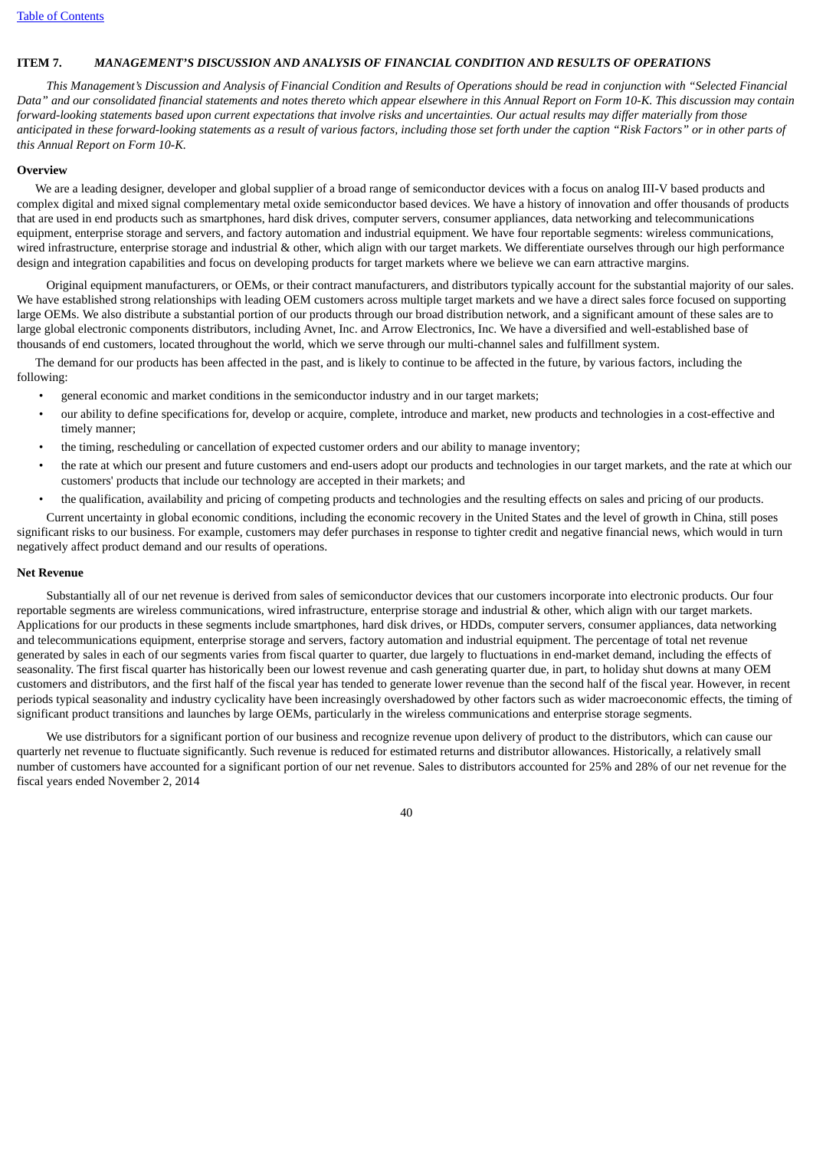## **ITEM 7.** *MANAGEMENT'S DISCUSSION AND ANALYSIS OF FINANCIAL CONDITION AND RESULTS OF OPERATIONS*

This Management's Discussion and Analysis of Financial Condition and Results of Operations should be read in conjunction with "Selected Financial Data" and our consolidated financial statements and notes thereto which appear elsewhere in this Annual Report on Form 10-K. This discussion may contain forward-looking statements based upon current expectations that involve risks and uncertainties. Our actual results may differ materially from those anticipated in these forward-looking statements as a result of various factors, including those set forth under the caption "Risk Factors" or in other parts of *this Annual Report on Form 10-K.*

### **Overview**

We are a leading designer, developer and global supplier of a broad range of semiconductor devices with a focus on analog III-V based products and complex digital and mixed signal complementary metal oxide semiconductor based devices. We have a history of innovation and offer thousands of products that are used in end products such as smartphones, hard disk drives, computer servers, consumer appliances, data networking and telecommunications equipment, enterprise storage and servers, and factory automation and industrial equipment. We have four reportable segments: wireless communications, wired infrastructure, enterprise storage and industrial & other, which align with our target markets. We differentiate ourselves through our high performance design and integration capabilities and focus on developing products for target markets where we believe we can earn attractive margins.

Original equipment manufacturers, or OEMs, or their contract manufacturers, and distributors typically account for the substantial majority of our sales. We have established strong relationships with leading OEM customers across multiple target markets and we have a direct sales force focused on supporting large OEMs. We also distribute a substantial portion of our products through our broad distribution network, and a significant amount of these sales are to large global electronic components distributors, including Avnet, Inc. and Arrow Electronics, Inc. We have a diversified and well-established base of thousands of end customers, located throughout the world, which we serve through our multi-channel sales and fulfillment system.

The demand for our products has been affected in the past, and is likely to continue to be affected in the future, by various factors, including the following:

- general economic and market conditions in the semiconductor industry and in our target markets;
- our ability to define specifications for, develop or acquire, complete, introduce and market, new products and technologies in a cost-effective and timely manner;
- the timing, rescheduling or cancellation of expected customer orders and our ability to manage inventory;
- the rate at which our present and future customers and end-users adopt our products and technologies in our target markets, and the rate at which our customers' products that include our technology are accepted in their markets; and
- the qualification, availability and pricing of competing products and technologies and the resulting effects on sales and pricing of our products.

Current uncertainty in global economic conditions, including the economic recovery in the United States and the level of growth in China, still poses significant risks to our business. For example, customers may defer purchases in response to tighter credit and negative financial news, which would in turn negatively affect product demand and our results of operations.

#### **Net Revenue**

Substantially all of our net revenue is derived from sales of semiconductor devices that our customers incorporate into electronic products. Our four reportable segments are wireless communications, wired infrastructure, enterprise storage and industrial & other, which align with our target markets. Applications for our products in these segments include smartphones, hard disk drives, or HDDs, computer servers, consumer appliances, data networking and telecommunications equipment, enterprise storage and servers, factory automation and industrial equipment. The percentage of total net revenue generated by sales in each of our segments varies from fiscal quarter to quarter, due largely to fluctuations in end-market demand, including the effects of seasonality. The first fiscal quarter has historically been our lowest revenue and cash generating quarter due, in part, to holiday shut downs at many OEM customers and distributors, and the first half of the fiscal year has tended to generate lower revenue than the second half of the fiscal year. However, in recent periods typical seasonality and industry cyclicality have been increasingly overshadowed by other factors such as wider macroeconomic effects, the timing of significant product transitions and launches by large OEMs, particularly in the wireless communications and enterprise storage segments.

We use distributors for a significant portion of our business and recognize revenue upon delivery of product to the distributors, which can cause our quarterly net revenue to fluctuate significantly. Such revenue is reduced for estimated returns and distributor allowances. Historically, a relatively small number of customers have accounted for a significant portion of our net revenue. Sales to distributors accounted for 25% and 28% of our net revenue for the fiscal years ended November 2, 2014

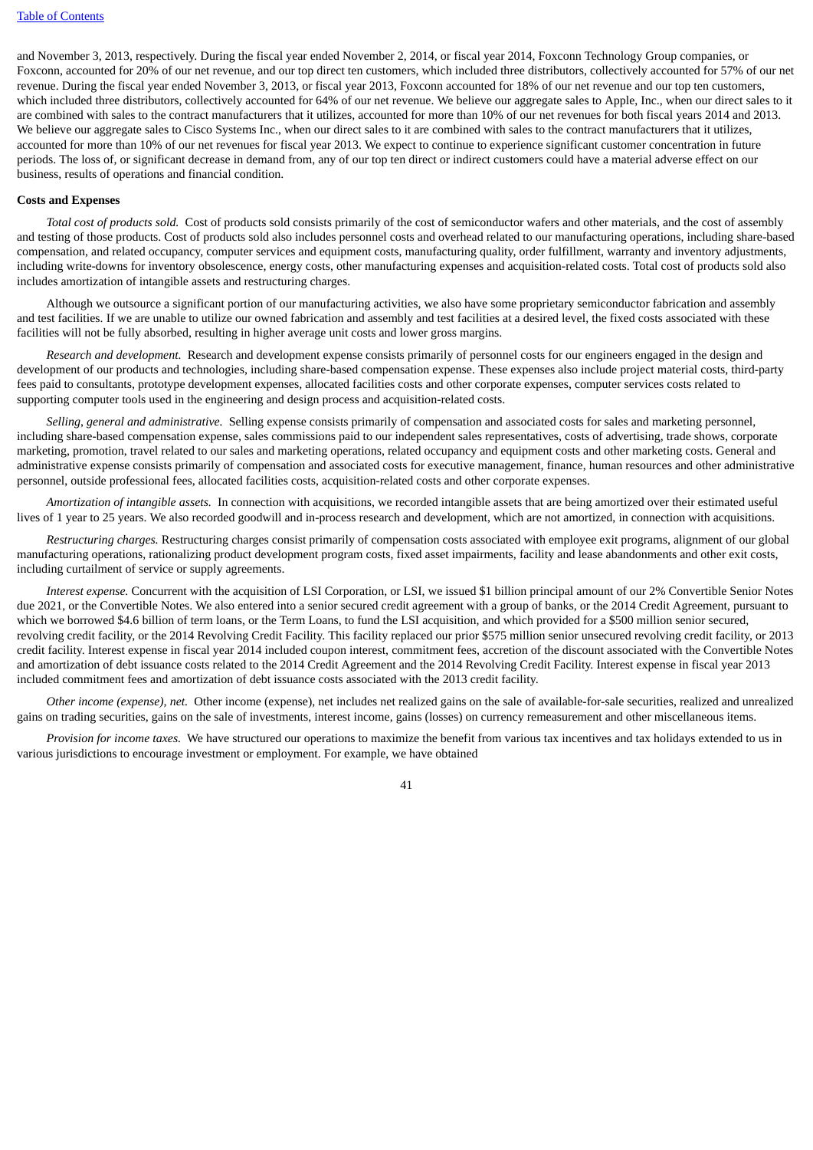and November 3, 2013, respectively. During the fiscal year ended November 2, 2014, or fiscal year 2014, Foxconn Technology Group companies, or Foxconn, accounted for 20% of our net revenue, and our top direct ten customers, which included three distributors, collectively accounted for 57% of our net revenue. During the fiscal year ended November 3, 2013, or fiscal year 2013, Foxconn accounted for 18% of our net revenue and our top ten customers, which included three distributors, collectively accounted for 64% of our net revenue. We believe our aggregate sales to Apple, Inc., when our direct sales to it are combined with sales to the contract manufacturers that it utilizes, accounted for more than 10% of our net revenues for both fiscal years 2014 and 2013. We believe our aggregate sales to Cisco Systems Inc., when our direct sales to it are combined with sales to the contract manufacturers that it utilizes, accounted for more than 10% of our net revenues for fiscal year 2013. We expect to continue to experience significant customer concentration in future periods. The loss of, or significant decrease in demand from, any of our top ten direct or indirect customers could have a material adverse effect on our business, results of operations and financial condition.

#### **Costs and Expenses**

*Total cost of products sold.* Cost of products sold consists primarily of the cost of semiconductor wafers and other materials, and the cost of assembly and testing of those products. Cost of products sold also includes personnel costs and overhead related to our manufacturing operations, including share-based compensation, and related occupancy, computer services and equipment costs, manufacturing quality, order fulfillment, warranty and inventory adjustments, including write-downs for inventory obsolescence, energy costs, other manufacturing expenses and acquisition-related costs. Total cost of products sold also includes amortization of intangible assets and restructuring charges.

Although we outsource a significant portion of our manufacturing activities, we also have some proprietary semiconductor fabrication and assembly and test facilities. If we are unable to utilize our owned fabrication and assembly and test facilities at a desired level, the fixed costs associated with these facilities will not be fully absorbed, resulting in higher average unit costs and lower gross margins.

*Research and development.* Research and development expense consists primarily of personnel costs for our engineers engaged in the design and development of our products and technologies, including share-based compensation expense. These expenses also include project material costs, third-party fees paid to consultants, prototype development expenses, allocated facilities costs and other corporate expenses, computer services costs related to supporting computer tools used in the engineering and design process and acquisition-related costs.

*Selling*, *general and administrative.* Selling expense consists primarily of compensation and associated costs for sales and marketing personnel, including share-based compensation expense, sales commissions paid to our independent sales representatives, costs of advertising, trade shows, corporate marketing, promotion, travel related to our sales and marketing operations, related occupancy and equipment costs and other marketing costs. General and administrative expense consists primarily of compensation and associated costs for executive management, finance, human resources and other administrative personnel, outside professional fees, allocated facilities costs, acquisition-related costs and other corporate expenses.

*Amortization of intangible assets.* In connection with acquisitions, we recorded intangible assets that are being amortized over their estimated useful lives of 1 year to 25 years. We also recorded goodwill and in-process research and development, which are not amortized, in connection with acquisitions.

*Restructuring charges.* Restructuring charges consist primarily of compensation costs associated with employee exit programs, alignment of our global manufacturing operations, rationalizing product development program costs, fixed asset impairments, facility and lease abandonments and other exit costs, including curtailment of service or supply agreements.

*Interest expense.* Concurrent with the acquisition of LSI Corporation, or LSI, we issued \$1 billion principal amount of our 2% Convertible Senior Notes due 2021, or the Convertible Notes. We also entered into a senior secured credit agreement with a group of banks, or the 2014 Credit Agreement, pursuant to which we borrowed \$4.6 billion of term loans, or the Term Loans, to fund the LSI acquisition, and which provided for a \$500 million senior secured, revolving credit facility, or the 2014 Revolving Credit Facility. This facility replaced our prior \$575 million senior unsecured revolving credit facility, or 2013 credit facility. Interest expense in fiscal year 2014 included coupon interest, commitment fees, accretion of the discount associated with the Convertible Notes and amortization of debt issuance costs related to the 2014 Credit Agreement and the 2014 Revolving Credit Facility. Interest expense in fiscal year 2013 included commitment fees and amortization of debt issuance costs associated with the 2013 credit facility.

*Other income (expense), net.* Other income (expense), net includes net realized gains on the sale of available-for-sale securities, realized and unrealized gains on trading securities, gains on the sale of investments, interest income, gains (losses) on currency remeasurement and other miscellaneous items.

*Provision for income taxes.* We have structured our operations to maximize the benefit from various tax incentives and tax holidays extended to us in various jurisdictions to encourage investment or employment. For example, we have obtained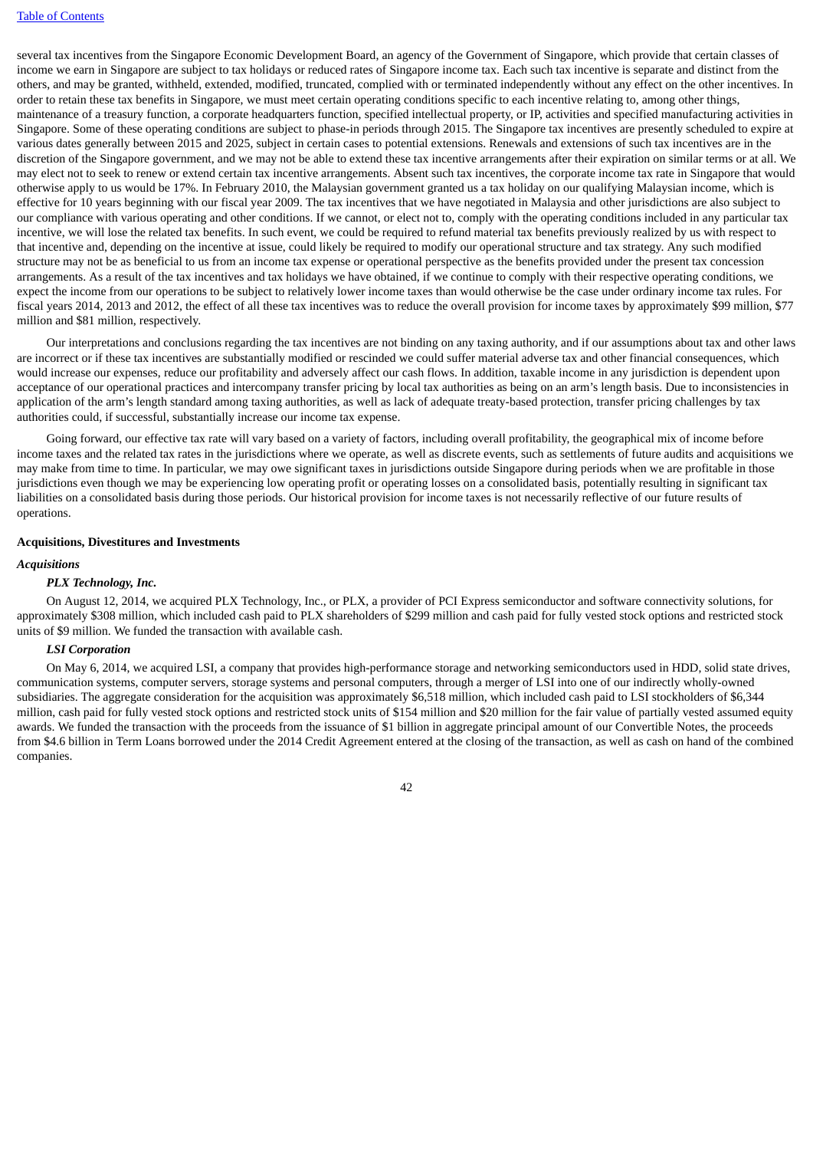several tax incentives from the Singapore Economic Development Board, an agency of the Government of Singapore, which provide that certain classes of income we earn in Singapore are subject to tax holidays or reduced rates of Singapore income tax. Each such tax incentive is separate and distinct from the others, and may be granted, withheld, extended, modified, truncated, complied with or terminated independently without any effect on the other incentives. In order to retain these tax benefits in Singapore, we must meet certain operating conditions specific to each incentive relating to, among other things, maintenance of a treasury function, a corporate headquarters function, specified intellectual property, or IP, activities and specified manufacturing activities in Singapore. Some of these operating conditions are subject to phase-in periods through 2015. The Singapore tax incentives are presently scheduled to expire at various dates generally between 2015 and 2025, subject in certain cases to potential extensions. Renewals and extensions of such tax incentives are in the discretion of the Singapore government, and we may not be able to extend these tax incentive arrangements after their expiration on similar terms or at all. We may elect not to seek to renew or extend certain tax incentive arrangements. Absent such tax incentives, the corporate income tax rate in Singapore that would otherwise apply to us would be 17%. In February 2010, the Malaysian government granted us a tax holiday on our qualifying Malaysian income, which is effective for 10 years beginning with our fiscal year 2009. The tax incentives that we have negotiated in Malaysia and other jurisdictions are also subject to our compliance with various operating and other conditions. If we cannot, or elect not to, comply with the operating conditions included in any particular tax incentive, we will lose the related tax benefits. In such event, we could be required to refund material tax benefits previously realized by us with respect to that incentive and, depending on the incentive at issue, could likely be required to modify our operational structure and tax strategy. Any such modified structure may not be as beneficial to us from an income tax expense or operational perspective as the benefits provided under the present tax concession arrangements. As a result of the tax incentives and tax holidays we have obtained, if we continue to comply with their respective operating conditions, we expect the income from our operations to be subject to relatively lower income taxes than would otherwise be the case under ordinary income tax rules. For fiscal years 2014, 2013 and 2012, the effect of all these tax incentives was to reduce the overall provision for income taxes by approximately \$99 million, \$77 million and \$81 million, respectively.

Our interpretations and conclusions regarding the tax incentives are not binding on any taxing authority, and if our assumptions about tax and other laws are incorrect or if these tax incentives are substantially modified or rescinded we could suffer material adverse tax and other financial consequences, which would increase our expenses, reduce our profitability and adversely affect our cash flows. In addition, taxable income in any jurisdiction is dependent upon acceptance of our operational practices and intercompany transfer pricing by local tax authorities as being on an arm's length basis. Due to inconsistencies in application of the arm's length standard among taxing authorities, as well as lack of adequate treaty-based protection, transfer pricing challenges by tax authorities could, if successful, substantially increase our income tax expense.

Going forward, our effective tax rate will vary based on a variety of factors, including overall profitability, the geographical mix of income before income taxes and the related tax rates in the jurisdictions where we operate, as well as discrete events, such as settlements of future audits and acquisitions we may make from time to time. In particular, we may owe significant taxes in jurisdictions outside Singapore during periods when we are profitable in those jurisdictions even though we may be experiencing low operating profit or operating losses on a consolidated basis, potentially resulting in significant tax liabilities on a consolidated basis during those periods. Our historical provision for income taxes is not necessarily reflective of our future results of operations.

### **Acquisitions, Divestitures and Investments**

### *Acquisitions*

#### *PLX Technology, Inc.*

On August 12, 2014, we acquired PLX Technology, Inc., or PLX, a provider of PCI Express semiconductor and software connectivity solutions, for approximately \$308 million, which included cash paid to PLX shareholders of \$299 million and cash paid for fully vested stock options and restricted stock units of \$9 million. We funded the transaction with available cash.

## *LSI Corporation*

On May 6, 2014, we acquired LSI, a company that provides high-performance storage and networking semiconductors used in HDD, solid state drives, communication systems, computer servers, storage systems and personal computers, through a merger of LSI into one of our indirectly wholly-owned subsidiaries. The aggregate consideration for the acquisition was approximately \$6,518 million, which included cash paid to LSI stockholders of \$6,344 million, cash paid for fully vested stock options and restricted stock units of \$154 million and \$20 million for the fair value of partially vested assumed equity awards. We funded the transaction with the proceeds from the issuance of \$1 billion in aggregate principal amount of our Convertible Notes, the proceeds from \$4.6 billion in Term Loans borrowed under the 2014 Credit Agreement entered at the closing of the transaction, as well as cash on hand of the combined companies.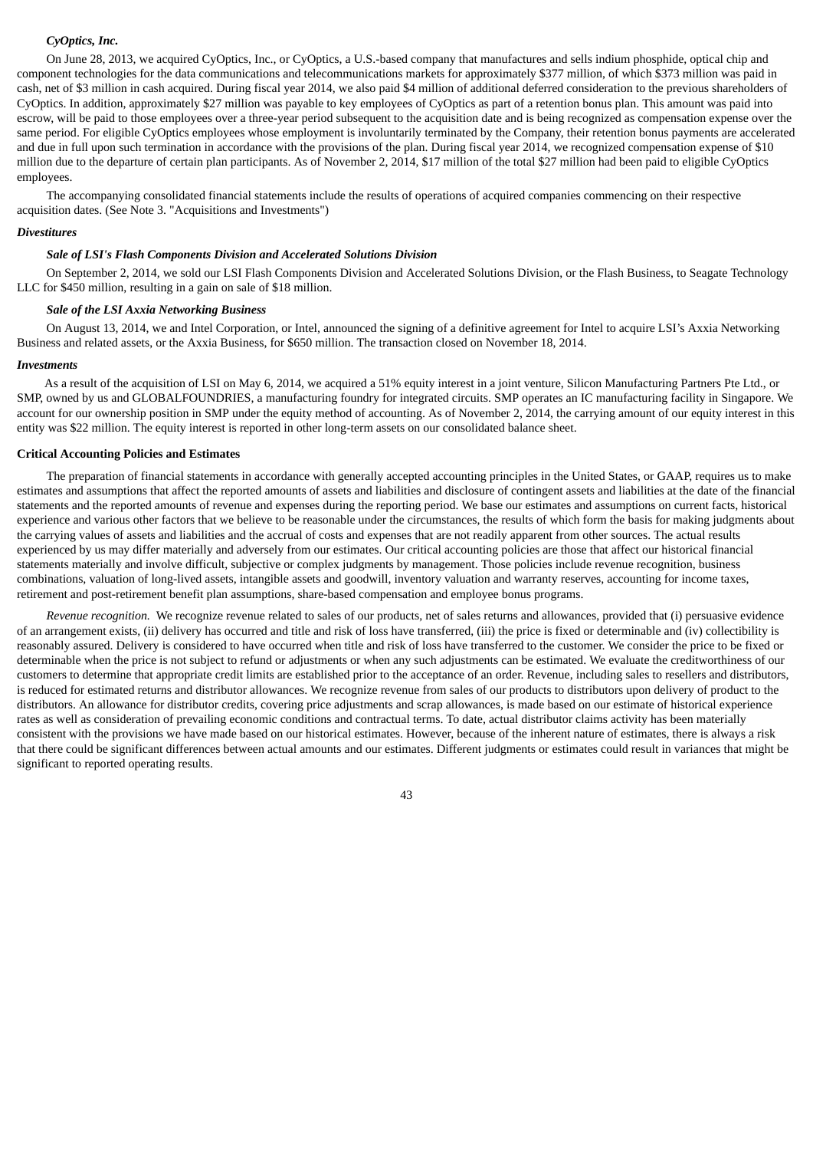#### *CyOptics, Inc.*

On June 28, 2013, we acquired CyOptics, Inc., or CyOptics, a U.S.-based company that manufactures and sells indium phosphide, optical chip and component technologies for the data communications and telecommunications markets for approximately \$377 million, of which \$373 million was paid in cash, net of \$3 million in cash acquired. During fiscal year 2014, we also paid \$4 million of additional deferred consideration to the previous shareholders of CyOptics. In addition, approximately \$27 million was payable to key employees of CyOptics as part of a retention bonus plan. This amount was paid into escrow, will be paid to those employees over a three-year period subsequent to the acquisition date and is being recognized as compensation expense over the same period. For eligible CyOptics employees whose employment is involuntarily terminated by the Company, their retention bonus payments are accelerated and due in full upon such termination in accordance with the provisions of the plan. During fiscal year 2014, we recognized compensation expense of \$10 million due to the departure of certain plan participants. As of November 2, 2014, \$17 million of the total \$27 million had been paid to eligible CyOptics employees.

The accompanying consolidated financial statements include the results of operations of acquired companies commencing on their respective acquisition dates. (See Note 3. "Acquisitions and Investments")

#### *Divestitures*

#### *Sale of LSI's Flash Components Division and Accelerated Solutions Division*

On September 2, 2014, we sold our LSI Flash Components Division and Accelerated Solutions Division, or the Flash Business, to Seagate Technology LLC for \$450 million, resulting in a gain on sale of \$18 million.

#### *Sale of the LSI Axxia Networking Business*

On August 13, 2014, we and Intel Corporation, or Intel, announced the signing of a definitive agreement for Intel to acquire LSI's Axxia Networking Business and related assets, or the Axxia Business, for \$650 million. The transaction closed on November 18, 2014.

#### *Investments*

As a result of the acquisition of LSI on May 6, 2014, we acquired a 51% equity interest in a joint venture, Silicon Manufacturing Partners Pte Ltd., or SMP, owned by us and GLOBALFOUNDRIES, a manufacturing foundry for integrated circuits. SMP operates an IC manufacturing facility in Singapore. We account for our ownership position in SMP under the equity method of accounting. As of November 2, 2014, the carrying amount of our equity interest in this entity was \$22 million. The equity interest is reported in other long-term assets on our consolidated balance sheet.

## **Critical Accounting Policies and Estimates**

The preparation of financial statements in accordance with generally accepted accounting principles in the United States, or GAAP, requires us to make estimates and assumptions that affect the reported amounts of assets and liabilities and disclosure of contingent assets and liabilities at the date of the financial statements and the reported amounts of revenue and expenses during the reporting period. We base our estimates and assumptions on current facts, historical experience and various other factors that we believe to be reasonable under the circumstances, the results of which form the basis for making judgments about the carrying values of assets and liabilities and the accrual of costs and expenses that are not readily apparent from other sources. The actual results experienced by us may differ materially and adversely from our estimates. Our critical accounting policies are those that affect our historical financial statements materially and involve difficult, subjective or complex judgments by management. Those policies include revenue recognition, business combinations, valuation of long-lived assets, intangible assets and goodwill, inventory valuation and warranty reserves, accounting for income taxes, retirement and post-retirement benefit plan assumptions, share-based compensation and employee bonus programs.

*Revenue recognition.* We recognize revenue related to sales of our products, net of sales returns and allowances, provided that (i) persuasive evidence of an arrangement exists, (ii) delivery has occurred and title and risk of loss have transferred, (iii) the price is fixed or determinable and (iv) collectibility is reasonably assured. Delivery is considered to have occurred when title and risk of loss have transferred to the customer. We consider the price to be fixed or determinable when the price is not subject to refund or adjustments or when any such adjustments can be estimated. We evaluate the creditworthiness of our customers to determine that appropriate credit limits are established prior to the acceptance of an order. Revenue, including sales to resellers and distributors, is reduced for estimated returns and distributor allowances. We recognize revenue from sales of our products to distributors upon delivery of product to the distributors. An allowance for distributor credits, covering price adjustments and scrap allowances, is made based on our estimate of historical experience rates as well as consideration of prevailing economic conditions and contractual terms. To date, actual distributor claims activity has been materially consistent with the provisions we have made based on our historical estimates. However, because of the inherent nature of estimates, there is always a risk that there could be significant differences between actual amounts and our estimates. Different judgments or estimates could result in variances that might be significant to reported operating results.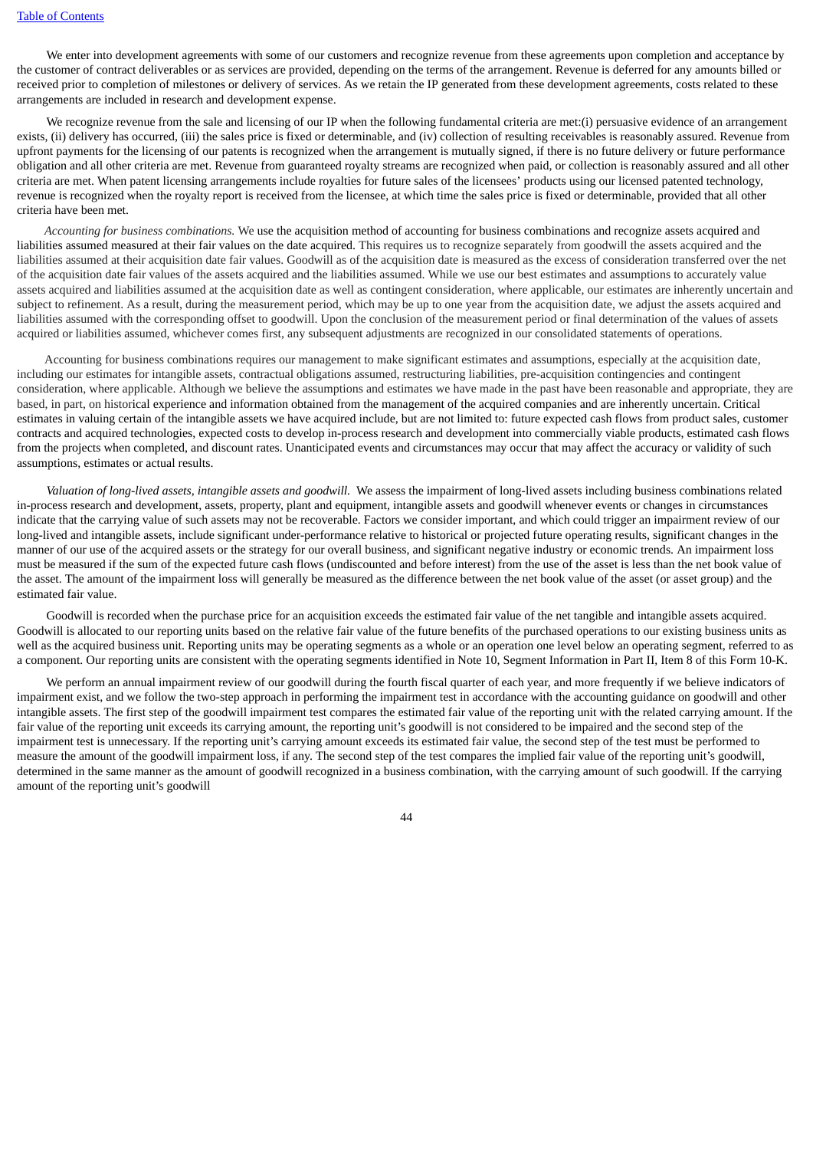We enter into development agreements with some of our customers and recognize revenue from these agreements upon completion and acceptance by the customer of contract deliverables or as services are provided, depending on the terms of the arrangement. Revenue is deferred for any amounts billed or received prior to completion of milestones or delivery of services. As we retain the IP generated from these development agreements, costs related to these arrangements are included in research and development expense.

We recognize revenue from the sale and licensing of our IP when the following fundamental criteria are met:(i) persuasive evidence of an arrangement exists, (ii) delivery has occurred, (iii) the sales price is fixed or determinable, and (iv) collection of resulting receivables is reasonably assured. Revenue from upfront payments for the licensing of our patents is recognized when the arrangement is mutually signed, if there is no future delivery or future performance obligation and all other criteria are met. Revenue from guaranteed royalty streams are recognized when paid, or collection is reasonably assured and all other criteria are met. When patent licensing arrangements include royalties for future sales of the licensees' products using our licensed patented technology, revenue is recognized when the royalty report is received from the licensee, at which time the sales price is fixed or determinable, provided that all other criteria have been met.

*Accounting for business combinations.* We use the acquisition method of accounting for business combinations and recognize assets acquired and liabilities assumed measured at their fair values on the date acquired. This requires us to recognize separately from goodwill the assets acquired and the liabilities assumed at their acquisition date fair values. Goodwill as of the acquisition date is measured as the excess of consideration transferred over the net of the acquisition date fair values of the assets acquired and the liabilities assumed. While we use our best estimates and assumptions to accurately value assets acquired and liabilities assumed at the acquisition date as well as contingent consideration, where applicable, our estimates are inherently uncertain and subject to refinement. As a result, during the measurement period, which may be up to one year from the acquisition date, we adjust the assets acquired and liabilities assumed with the corresponding offset to goodwill. Upon the conclusion of the measurement period or final determination of the values of assets acquired or liabilities assumed, whichever comes first, any subsequent adjustments are recognized in our consolidated statements of operations.

Accounting for business combinations requires our management to make significant estimates and assumptions, especially at the acquisition date, including our estimates for intangible assets, contractual obligations assumed, restructuring liabilities, pre-acquisition contingencies and contingent consideration, where applicable. Although we believe the assumptions and estimates we have made in the past have been reasonable and appropriate, they are based, in part, on historical experience and information obtained from the management of the acquired companies and are inherently uncertain. Critical estimates in valuing certain of the intangible assets we have acquired include, but are not limited to: future expected cash flows from product sales, customer contracts and acquired technologies, expected costs to develop in-process research and development into commercially viable products, estimated cash flows from the projects when completed, and discount rates. Unanticipated events and circumstances may occur that may affect the accuracy or validity of such assumptions, estimates or actual results.

*Valuation of long-lived assets, intangible assets and goodwill.* We assess the impairment of long-lived assets including business combinations related in-process research and development, assets, property, plant and equipment, intangible assets and goodwill whenever events or changes in circumstances indicate that the carrying value of such assets may not be recoverable. Factors we consider important, and which could trigger an impairment review of our long-lived and intangible assets, include significant under-performance relative to historical or projected future operating results, significant changes in the manner of our use of the acquired assets or the strategy for our overall business, and significant negative industry or economic trends. An impairment loss must be measured if the sum of the expected future cash flows (undiscounted and before interest) from the use of the asset is less than the net book value of the asset. The amount of the impairment loss will generally be measured as the difference between the net book value of the asset (or asset group) and the estimated fair value.

Goodwill is recorded when the purchase price for an acquisition exceeds the estimated fair value of the net tangible and intangible assets acquired. Goodwill is allocated to our reporting units based on the relative fair value of the future benefits of the purchased operations to our existing business units as well as the acquired business unit. Reporting units may be operating segments as a whole or an operation one level below an operating segment, referred to as a component. Our reporting units are consistent with the operating segments identified in Note 10, Segment Information in Part II, Item 8 of this Form 10-K.

We perform an annual impairment review of our goodwill during the fourth fiscal quarter of each year, and more frequently if we believe indicators of impairment exist, and we follow the two-step approach in performing the impairment test in accordance with the accounting guidance on goodwill and other intangible assets. The first step of the goodwill impairment test compares the estimated fair value of the reporting unit with the related carrying amount. If the fair value of the reporting unit exceeds its carrying amount, the reporting unit's goodwill is not considered to be impaired and the second step of the impairment test is unnecessary. If the reporting unit's carrying amount exceeds its estimated fair value, the second step of the test must be performed to measure the amount of the goodwill impairment loss, if any. The second step of the test compares the implied fair value of the reporting unit's goodwill, determined in the same manner as the amount of goodwill recognized in a business combination, with the carrying amount of such goodwill. If the carrying amount of the reporting unit's goodwill

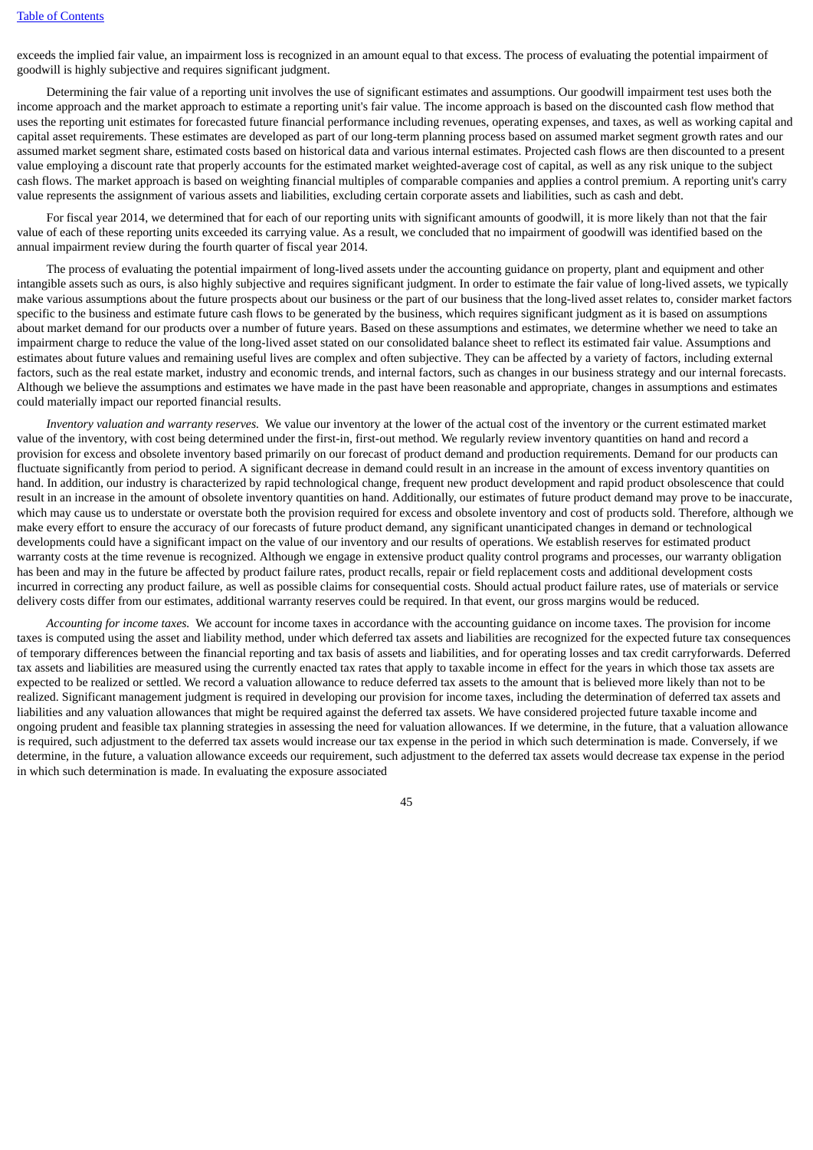exceeds the implied fair value, an impairment loss is recognized in an amount equal to that excess. The process of evaluating the potential impairment of goodwill is highly subjective and requires significant judgment.

Determining the fair value of a reporting unit involves the use of significant estimates and assumptions. Our goodwill impairment test uses both the income approach and the market approach to estimate a reporting unit's fair value. The income approach is based on the discounted cash flow method that uses the reporting unit estimates for forecasted future financial performance including revenues, operating expenses, and taxes, as well as working capital and capital asset requirements. These estimates are developed as part of our long-term planning process based on assumed market segment growth rates and our assumed market segment share, estimated costs based on historical data and various internal estimates. Projected cash flows are then discounted to a present value employing a discount rate that properly accounts for the estimated market weighted-average cost of capital, as well as any risk unique to the subject cash flows. The market approach is based on weighting financial multiples of comparable companies and applies a control premium. A reporting unit's carry value represents the assignment of various assets and liabilities, excluding certain corporate assets and liabilities, such as cash and debt.

For fiscal year 2014, we determined that for each of our reporting units with significant amounts of goodwill, it is more likely than not that the fair value of each of these reporting units exceeded its carrying value. As a result, we concluded that no impairment of goodwill was identified based on the annual impairment review during the fourth quarter of fiscal year 2014.

The process of evaluating the potential impairment of long-lived assets under the accounting guidance on property, plant and equipment and other intangible assets such as ours, is also highly subjective and requires significant judgment. In order to estimate the fair value of long-lived assets, we typically make various assumptions about the future prospects about our business or the part of our business that the long-lived asset relates to, consider market factors specific to the business and estimate future cash flows to be generated by the business, which requires significant judgment as it is based on assumptions about market demand for our products over a number of future years. Based on these assumptions and estimates, we determine whether we need to take an impairment charge to reduce the value of the long-lived asset stated on our consolidated balance sheet to reflect its estimated fair value. Assumptions and estimates about future values and remaining useful lives are complex and often subjective. They can be affected by a variety of factors, including external factors, such as the real estate market, industry and economic trends, and internal factors, such as changes in our business strategy and our internal forecasts. Although we believe the assumptions and estimates we have made in the past have been reasonable and appropriate, changes in assumptions and estimates could materially impact our reported financial results.

*Inventory valuation and warranty reserves.* We value our inventory at the lower of the actual cost of the inventory or the current estimated market value of the inventory, with cost being determined under the first-in, first-out method. We regularly review inventory quantities on hand and record a provision for excess and obsolete inventory based primarily on our forecast of product demand and production requirements. Demand for our products can fluctuate significantly from period to period. A significant decrease in demand could result in an increase in the amount of excess inventory quantities on hand. In addition, our industry is characterized by rapid technological change, frequent new product development and rapid product obsolescence that could result in an increase in the amount of obsolete inventory quantities on hand. Additionally, our estimates of future product demand may prove to be inaccurate, which may cause us to understate or overstate both the provision required for excess and obsolete inventory and cost of products sold. Therefore, although we make every effort to ensure the accuracy of our forecasts of future product demand, any significant unanticipated changes in demand or technological developments could have a significant impact on the value of our inventory and our results of operations. We establish reserves for estimated product warranty costs at the time revenue is recognized. Although we engage in extensive product quality control programs and processes, our warranty obligation has been and may in the future be affected by product failure rates, product recalls, repair or field replacement costs and additional development costs incurred in correcting any product failure, as well as possible claims for consequential costs. Should actual product failure rates, use of materials or service delivery costs differ from our estimates, additional warranty reserves could be required. In that event, our gross margins would be reduced.

*Accounting for income taxes.* We account for income taxes in accordance with the accounting guidance on income taxes. The provision for income taxes is computed using the asset and liability method, under which deferred tax assets and liabilities are recognized for the expected future tax consequences of temporary differences between the financial reporting and tax basis of assets and liabilities, and for operating losses and tax credit carryforwards. Deferred tax assets and liabilities are measured using the currently enacted tax rates that apply to taxable income in effect for the years in which those tax assets are expected to be realized or settled. We record a valuation allowance to reduce deferred tax assets to the amount that is believed more likely than not to be realized. Significant management judgment is required in developing our provision for income taxes, including the determination of deferred tax assets and liabilities and any valuation allowances that might be required against the deferred tax assets. We have considered projected future taxable income and ongoing prudent and feasible tax planning strategies in assessing the need for valuation allowances. If we determine, in the future, that a valuation allowance is required, such adjustment to the deferred tax assets would increase our tax expense in the period in which such determination is made. Conversely, if we determine, in the future, a valuation allowance exceeds our requirement, such adjustment to the deferred tax assets would decrease tax expense in the period in which such determination is made. In evaluating the exposure associated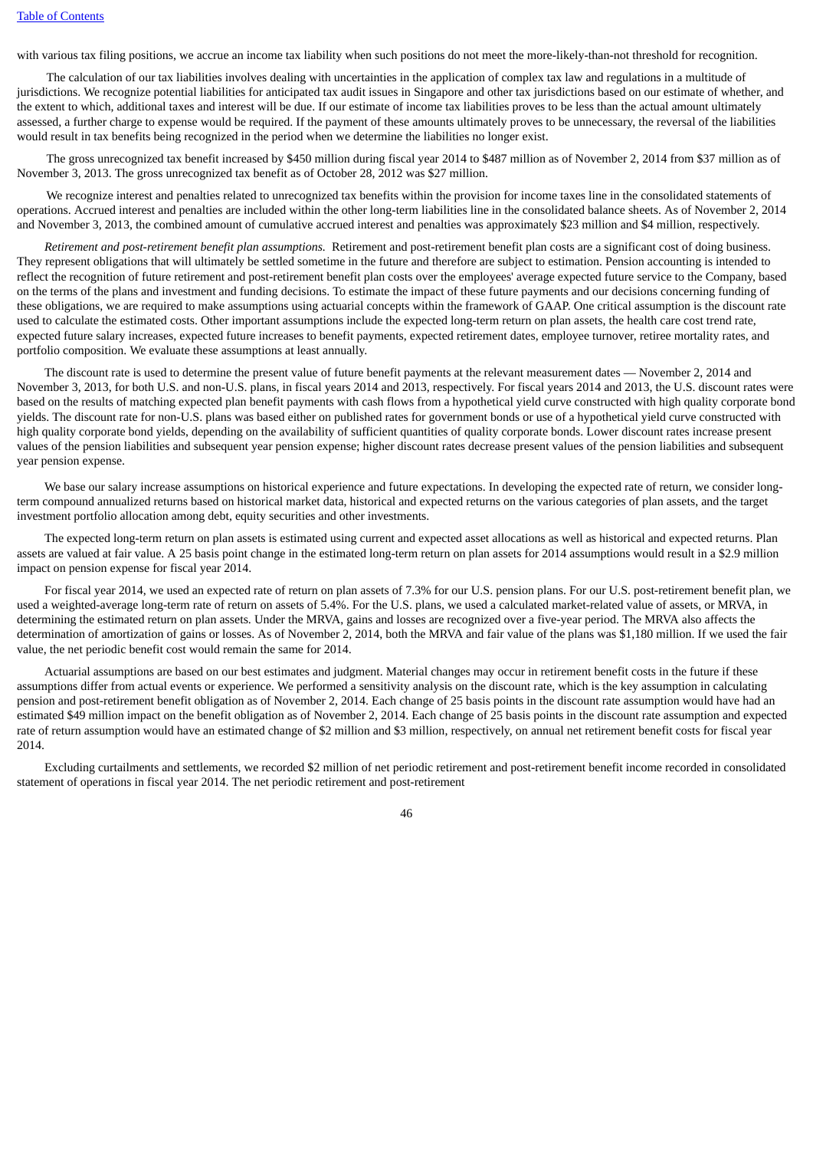with various tax filing positions, we accrue an income tax liability when such positions do not meet the more-likely-than-not threshold for recognition.

The calculation of our tax liabilities involves dealing with uncertainties in the application of complex tax law and regulations in a multitude of jurisdictions. We recognize potential liabilities for anticipated tax audit issues in Singapore and other tax jurisdictions based on our estimate of whether, and the extent to which, additional taxes and interest will be due. If our estimate of income tax liabilities proves to be less than the actual amount ultimately assessed, a further charge to expense would be required. If the payment of these amounts ultimately proves to be unnecessary, the reversal of the liabilities would result in tax benefits being recognized in the period when we determine the liabilities no longer exist.

The gross unrecognized tax benefit increased by \$450 million during fiscal year 2014 to \$487 million as of November 2, 2014 from \$37 million as of November 3, 2013. The gross unrecognized tax benefit as of October 28, 2012 was \$27 million.

We recognize interest and penalties related to unrecognized tax benefits within the provision for income taxes line in the consolidated statements of operations. Accrued interest and penalties are included within the other long-term liabilities line in the consolidated balance sheets. As of November 2, 2014 and November 3, 2013, the combined amount of cumulative accrued interest and penalties was approximately \$23 million and \$4 million, respectively.

*Retirement and post-retirement benefit plan assumptions.* Retirement and post-retirement benefit plan costs are a significant cost of doing business. They represent obligations that will ultimately be settled sometime in the future and therefore are subject to estimation. Pension accounting is intended to reflect the recognition of future retirement and post-retirement benefit plan costs over the employees' average expected future service to the Company, based on the terms of the plans and investment and funding decisions. To estimate the impact of these future payments and our decisions concerning funding of these obligations, we are required to make assumptions using actuarial concepts within the framework of GAAP. One critical assumption is the discount rate used to calculate the estimated costs. Other important assumptions include the expected long-term return on plan assets, the health care cost trend rate, expected future salary increases, expected future increases to benefit payments, expected retirement dates, employee turnover, retiree mortality rates, and portfolio composition. We evaluate these assumptions at least annually.

The discount rate is used to determine the present value of future benefit payments at the relevant measurement dates — November 2, 2014 and November 3, 2013, for both U.S. and non-U.S. plans, in fiscal years 2014 and 2013, respectively. For fiscal years 2014 and 2013, the U.S. discount rates were based on the results of matching expected plan benefit payments with cash flows from a hypothetical yield curve constructed with high quality corporate bond yields. The discount rate for non-U.S. plans was based either on published rates for government bonds or use of a hypothetical yield curve constructed with high quality corporate bond yields, depending on the availability of sufficient quantities of quality corporate bonds. Lower discount rates increase present values of the pension liabilities and subsequent year pension expense; higher discount rates decrease present values of the pension liabilities and subsequent year pension expense.

We base our salary increase assumptions on historical experience and future expectations. In developing the expected rate of return, we consider longterm compound annualized returns based on historical market data, historical and expected returns on the various categories of plan assets, and the target investment portfolio allocation among debt, equity securities and other investments.

The expected long-term return on plan assets is estimated using current and expected asset allocations as well as historical and expected returns. Plan assets are valued at fair value. A 25 basis point change in the estimated long-term return on plan assets for 2014 assumptions would result in a \$2.9 million impact on pension expense for fiscal year 2014.

For fiscal year 2014, we used an expected rate of return on plan assets of 7.3% for our U.S. pension plans. For our U.S. post-retirement benefit plan, we used a weighted-average long-term rate of return on assets of 5.4%. For the U.S. plans, we used a calculated market-related value of assets, or MRVA, in determining the estimated return on plan assets. Under the MRVA, gains and losses are recognized over a five-year period. The MRVA also affects the determination of amortization of gains or losses. As of November 2, 2014, both the MRVA and fair value of the plans was \$1,180 million. If we used the fair value, the net periodic benefit cost would remain the same for 2014.

Actuarial assumptions are based on our best estimates and judgment. Material changes may occur in retirement benefit costs in the future if these assumptions differ from actual events or experience. We performed a sensitivity analysis on the discount rate, which is the key assumption in calculating pension and post-retirement benefit obligation as of November 2, 2014. Each change of 25 basis points in the discount rate assumption would have had an estimated \$49 million impact on the benefit obligation as of November 2, 2014. Each change of 25 basis points in the discount rate assumption and expected rate of return assumption would have an estimated change of \$2 million and \$3 million, respectively, on annual net retirement benefit costs for fiscal year 2014.

Excluding curtailments and settlements, we recorded \$2 million of net periodic retirement and post-retirement benefit income recorded in consolidated statement of operations in fiscal year 2014. The net periodic retirement and post-retirement

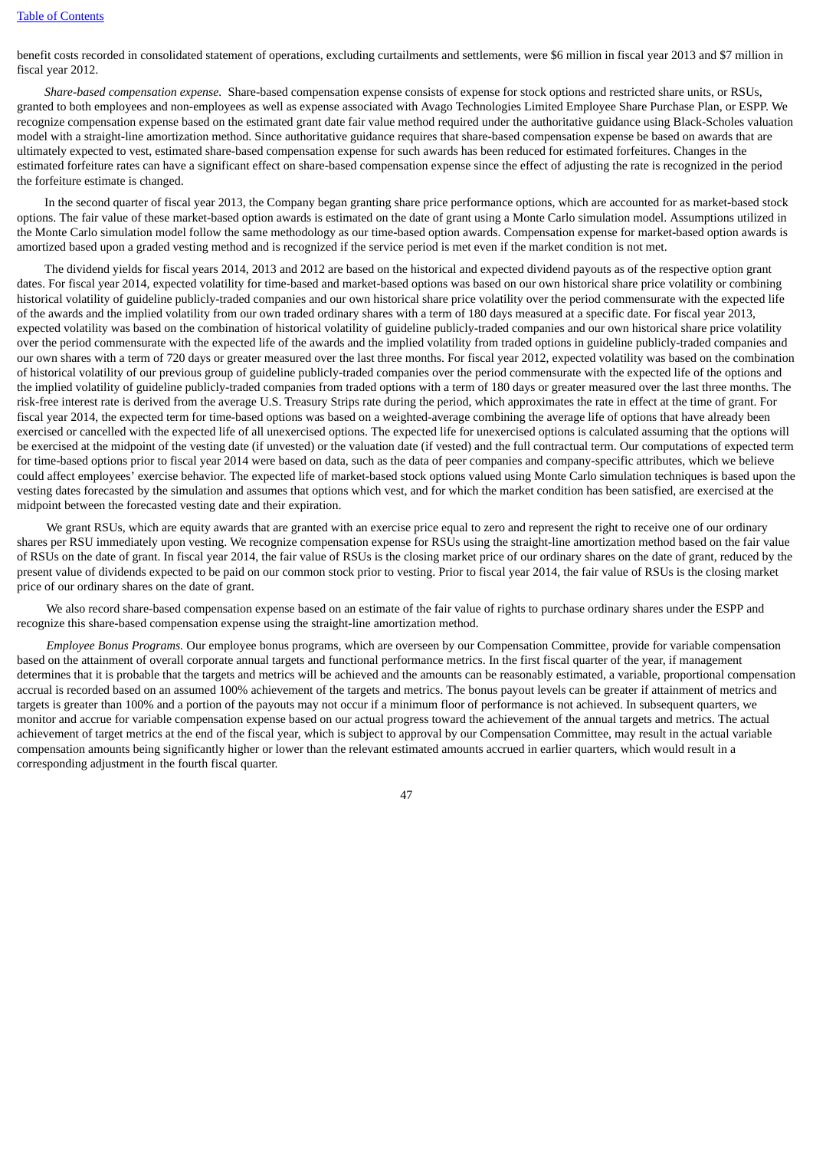benefit costs recorded in consolidated statement of operations, excluding curtailments and settlements, were \$6 million in fiscal year 2013 and \$7 million in fiscal year 2012.

*Share-based compensation expense.* Share-based compensation expense consists of expense for stock options and restricted share units, or RSUs, granted to both employees and non-employees as well as expense associated with Avago Technologies Limited Employee Share Purchase Plan, or ESPP. We recognize compensation expense based on the estimated grant date fair value method required under the authoritative guidance using Black-Scholes valuation model with a straight-line amortization method. Since authoritative guidance requires that share-based compensation expense be based on awards that are ultimately expected to vest, estimated share-based compensation expense for such awards has been reduced for estimated forfeitures. Changes in the estimated forfeiture rates can have a significant effect on share-based compensation expense since the effect of adjusting the rate is recognized in the period the forfeiture estimate is changed.

In the second quarter of fiscal year 2013, the Company began granting share price performance options, which are accounted for as market-based stock options. The fair value of these market-based option awards is estimated on the date of grant using a Monte Carlo simulation model. Assumptions utilized in the Monte Carlo simulation model follow the same methodology as our time-based option awards. Compensation expense for market-based option awards is amortized based upon a graded vesting method and is recognized if the service period is met even if the market condition is not met.

The dividend yields for fiscal years 2014, 2013 and 2012 are based on the historical and expected dividend payouts as of the respective option grant dates. For fiscal year 2014, expected volatility for time-based and market-based options was based on our own historical share price volatility or combining historical volatility of guideline publicly-traded companies and our own historical share price volatility over the period commensurate with the expected life of the awards and the implied volatility from our own traded ordinary shares with a term of 180 days measured at a specific date. For fiscal year 2013, expected volatility was based on the combination of historical volatility of guideline publicly-traded companies and our own historical share price volatility over the period commensurate with the expected life of the awards and the implied volatility from traded options in guideline publicly-traded companies and our own shares with a term of 720 days or greater measured over the last three months. For fiscal year 2012, expected volatility was based on the combination of historical volatility of our previous group of guideline publicly-traded companies over the period commensurate with the expected life of the options and the implied volatility of guideline publicly-traded companies from traded options with a term of 180 days or greater measured over the last three months. The risk-free interest rate is derived from the average U.S. Treasury Strips rate during the period, which approximates the rate in effect at the time of grant. For fiscal year 2014, the expected term for time-based options was based on a weighted-average combining the average life of options that have already been exercised or cancelled with the expected life of all unexercised options. The expected life for unexercised options is calculated assuming that the options will be exercised at the midpoint of the vesting date (if unvested) or the valuation date (if vested) and the full contractual term. Our computations of expected term for time-based options prior to fiscal year 2014 were based on data, such as the data of peer companies and company-specific attributes, which we believe could affect employees' exercise behavior. The expected life of market-based stock options valued using Monte Carlo simulation techniques is based upon the vesting dates forecasted by the simulation and assumes that options which vest, and for which the market condition has been satisfied, are exercised at the midpoint between the forecasted vesting date and their expiration.

We grant RSUs, which are equity awards that are granted with an exercise price equal to zero and represent the right to receive one of our ordinary shares per RSU immediately upon vesting. We recognize compensation expense for RSUs using the straight-line amortization method based on the fair value of RSUs on the date of grant. In fiscal year 2014, the fair value of RSUs is the closing market price of our ordinary shares on the date of grant, reduced by the present value of dividends expected to be paid on our common stock prior to vesting. Prior to fiscal year 2014, the fair value of RSUs is the closing market price of our ordinary shares on the date of grant.

We also record share-based compensation expense based on an estimate of the fair value of rights to purchase ordinary shares under the ESPP and recognize this share-based compensation expense using the straight-line amortization method.

*Employee Bonus Programs.* Our employee bonus programs, which are overseen by our Compensation Committee, provide for variable compensation based on the attainment of overall corporate annual targets and functional performance metrics. In the first fiscal quarter of the year, if management determines that it is probable that the targets and metrics will be achieved and the amounts can be reasonably estimated, a variable, proportional compensation accrual is recorded based on an assumed 100% achievement of the targets and metrics. The bonus payout levels can be greater if attainment of metrics and targets is greater than 100% and a portion of the payouts may not occur if a minimum floor of performance is not achieved. In subsequent quarters, we monitor and accrue for variable compensation expense based on our actual progress toward the achievement of the annual targets and metrics. The actual achievement of target metrics at the end of the fiscal year, which is subject to approval by our Compensation Committee, may result in the actual variable compensation amounts being significantly higher or lower than the relevant estimated amounts accrued in earlier quarters, which would result in a corresponding adjustment in the fourth fiscal quarter.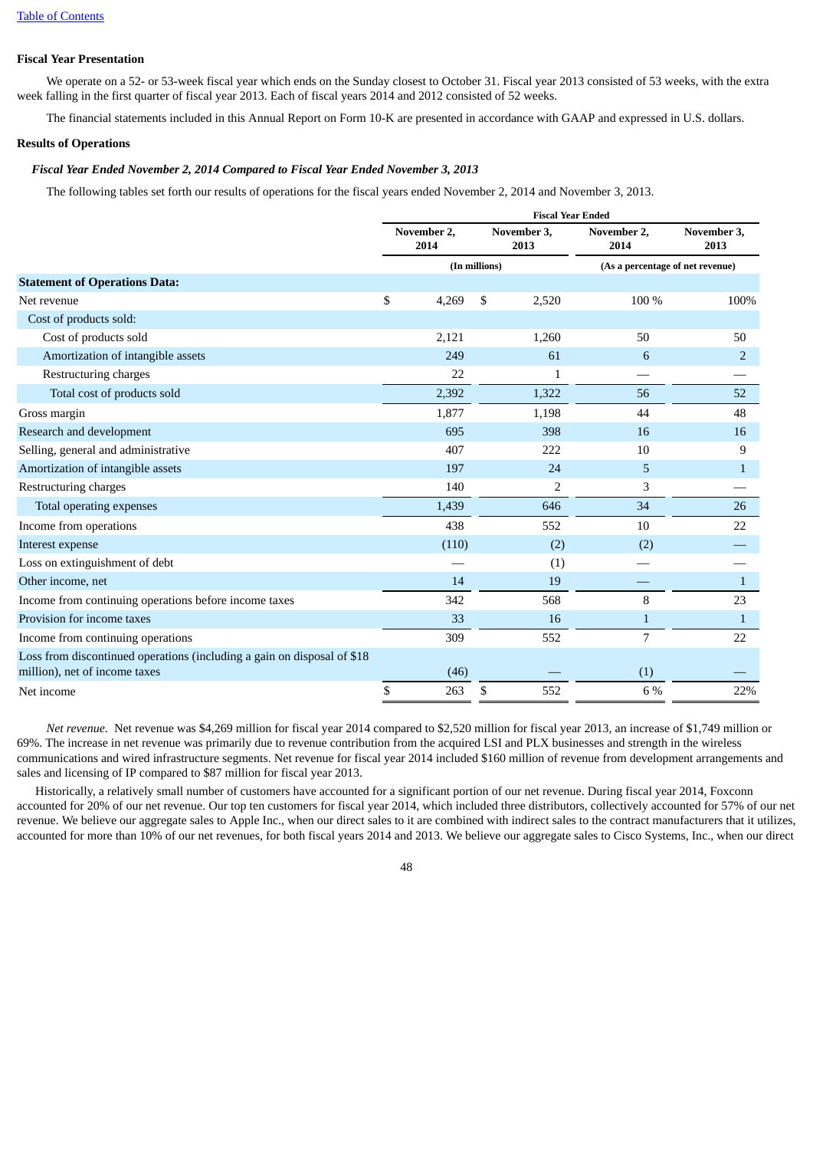### **Fiscal Year Presentation**

We operate on a 52- or 53-week fiscal year which ends on the Sunday closest to October 31. Fiscal year 2013 consisted of 53 weeks, with the extra week falling in the first quarter of fiscal year 2013. Each of fiscal years 2014 and 2012 consisted of 52 weeks.

The financial statements included in this Annual Report on Form 10-K are presented in accordance with GAAP and expressed in U.S. dollars.

## **Results of Operations**

## *Fiscal Year Ended November 2, 2014 Compared to Fiscal Year Ended November 3, 2013*

The following tables set forth our results of operations for the fiscal years ended November 2, 2014 and November 3, 2013.

| <b>Fiscal Year Ended</b> |       |             |              |                              |                                  |  |  |  |
|--------------------------|-------|-------------|--------------|------------------------------|----------------------------------|--|--|--|
|                          | 2014  |             | 2013         | November 2,<br>2014          | November 3,<br>2013              |  |  |  |
|                          |       |             |              |                              |                                  |  |  |  |
|                          |       |             |              |                              |                                  |  |  |  |
| \$                       | 4,269 | \$          | 2,520        | 100 %                        | 100%                             |  |  |  |
|                          |       |             |              |                              |                                  |  |  |  |
|                          | 2,121 |             | 1,260        | 50                           | 50                               |  |  |  |
|                          | 249   |             | 61           | 6                            | $\overline{2}$                   |  |  |  |
|                          | 22    |             | $\mathbf{1}$ |                              |                                  |  |  |  |
|                          | 2,392 |             | 1,322        | 56                           | 52                               |  |  |  |
|                          | 1,877 |             | 1,198        | 44                           | 48                               |  |  |  |
|                          | 695   |             | 398          | 16                           | 16                               |  |  |  |
|                          | 407   |             | 222          | 10                           | 9                                |  |  |  |
|                          | 197   |             | 24           | 5                            | $\mathbf{1}$                     |  |  |  |
|                          | 140   |             | 2            | 3                            |                                  |  |  |  |
|                          | 1,439 |             | 646          | 34                           | 26                               |  |  |  |
|                          | 438   |             | 552          | 10                           | 22                               |  |  |  |
|                          | (110) |             | (2)          | (2)                          |                                  |  |  |  |
|                          |       |             | (1)          |                              |                                  |  |  |  |
|                          | 14    |             | 19           |                              | $\mathbf{1}$                     |  |  |  |
|                          | 342   |             | 568          | 8                            | 23                               |  |  |  |
|                          | 33    |             | 16           | $\mathbf{1}$                 | $\mathbf{1}$                     |  |  |  |
|                          | 309   |             | 552          | 7                            | 22                               |  |  |  |
|                          | (46)  |             |              | (1)                          |                                  |  |  |  |
| \$                       | 263   | \$          | 552          | 6 %                          | 22%                              |  |  |  |
|                          |       | November 2, |              | November 3,<br>(In millions) | (As a percentage of net revenue) |  |  |  |

*Net revenue.* Net revenue was \$4,269 million for fiscal year 2014 compared to \$2,520 million for fiscal year 2013, an increase of \$1,749 million or 69%. The increase in net revenue was primarily due to revenue contribution from the acquired LSI and PLX businesses and strength in the wireless communications and wired infrastructure segments. Net revenue for fiscal year 2014 included \$160 million of revenue from development arrangements and sales and licensing of IP compared to \$87 million for fiscal year 2013.

Historically, a relatively small number of customers have accounted for a significant portion of our net revenue. During fiscal year 2014, Foxconn accounted for 20% of our net revenue. Our top ten customers for fiscal year 2014, which included three distributors, collectively accounted for 57% of our net revenue. We believe our aggregate sales to Apple Inc., when our direct sales to it are combined with indirect sales to the contract manufacturers that it utilizes, accounted for more than 10% of our net revenues, for both fiscal years 2014 and 2013. We believe our aggregate sales to Cisco Systems, Inc., when our direct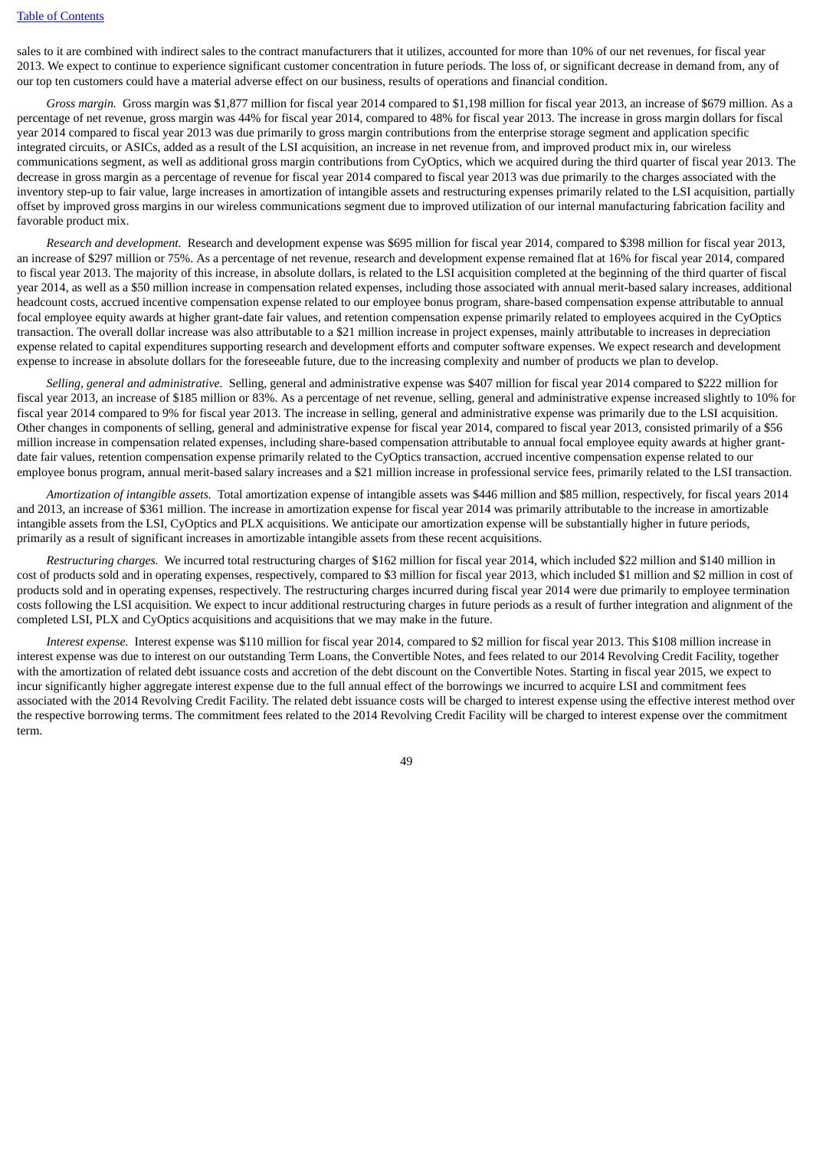sales to it are combined with indirect sales to the contract manufacturers that it utilizes, accounted for more than 10% of our net revenues, for fiscal year 2013. We expect to continue to experience significant customer concentration in future periods. The loss of, or significant decrease in demand from, any of our top ten customers could have a material adverse effect on our business, results of operations and financial condition.

*Gross margin.* Gross margin was \$1,877 million for fiscal year 2014 compared to \$1,198 million for fiscal year 2013, an increase of \$679 million. As a percentage of net revenue, gross margin was 44% for fiscal year 2014, compared to 48% for fiscal year 2013. The increase in gross margin dollars for fiscal year 2014 compared to fiscal year 2013 was due primarily to gross margin contributions from the enterprise storage segment and application specific integrated circuits, or ASICs, added as a result of the LSI acquisition, an increase in net revenue from, and improved product mix in, our wireless communications segment, as well as additional gross margin contributions from CyOptics, which we acquired during the third quarter of fiscal year 2013. The decrease in gross margin as a percentage of revenue for fiscal year 2014 compared to fiscal year 2013 was due primarily to the charges associated with the inventory step-up to fair value, large increases in amortization of intangible assets and restructuring expenses primarily related to the LSI acquisition, partially offset by improved gross margins in our wireless communications segment due to improved utilization of our internal manufacturing fabrication facility and favorable product mix.

*Research and development.* Research and development expense was \$695 million for fiscal year 2014, compared to \$398 million for fiscal year 2013, an increase of \$297 million or 75%. As a percentage of net revenue, research and development expense remained flat at 16% for fiscal year 2014, compared to fiscal year 2013. The majority of this increase, in absolute dollars, is related to the LSI acquisition completed at the beginning of the third quarter of fiscal year 2014, as well as a \$50 million increase in compensation related expenses, including those associated with annual merit-based salary increases, additional headcount costs, accrued incentive compensation expense related to our employee bonus program, share-based compensation expense attributable to annual focal employee equity awards at higher grant-date fair values, and retention compensation expense primarily related to employees acquired in the CyOptics transaction. The overall dollar increase was also attributable to a \$21 million increase in project expenses, mainly attributable to increases in depreciation expense related to capital expenditures supporting research and development efforts and computer software expenses. We expect research and development expense to increase in absolute dollars for the foreseeable future, due to the increasing complexity and number of products we plan to develop.

*Selling, general and administrative.* Selling, general and administrative expense was \$407 million for fiscal year 2014 compared to \$222 million for fiscal year 2013, an increase of \$185 million or 83%. As a percentage of net revenue, selling, general and administrative expense increased slightly to 10% for fiscal year 2014 compared to 9% for fiscal year 2013. The increase in selling, general and administrative expense was primarily due to the LSI acquisition. Other changes in components of selling, general and administrative expense for fiscal year 2014, compared to fiscal year 2013, consisted primarily of a \$56 million increase in compensation related expenses, including share-based compensation attributable to annual focal employee equity awards at higher grantdate fair values, retention compensation expense primarily related to the CyOptics transaction, accrued incentive compensation expense related to our employee bonus program, annual merit-based salary increases and a \$21 million increase in professional service fees, primarily related to the LSI transaction.

*Amortization of intangible assets.* Total amortization expense of intangible assets was \$446 million and \$85 million, respectively, for fiscal years 2014 and 2013, an increase of \$361 million. The increase in amortization expense for fiscal year 2014 was primarily attributable to the increase in amortizable intangible assets from the LSI, CyOptics and PLX acquisitions. We anticipate our amortization expense will be substantially higher in future periods, primarily as a result of significant increases in amortizable intangible assets from these recent acquisitions.

*Restructuring charges.* We incurred total restructuring charges of \$162 million for fiscal year 2014, which included \$22 million and \$140 million in cost of products sold and in operating expenses, respectively, compared to \$3 million for fiscal year 2013, which included \$1 million and \$2 million in cost of products sold and in operating expenses, respectively. The restructuring charges incurred during fiscal year 2014 were due primarily to employee termination costs following the LSI acquisition. We expect to incur additional restructuring charges in future periods as a result of further integration and alignment of the completed LSI, PLX and CyOptics acquisitions and acquisitions that we may make in the future.

*Interest expense.* Interest expense was \$110 million for fiscal year 2014, compared to \$2 million for fiscal year 2013. This \$108 million increase in interest expense was due to interest on our outstanding Term Loans, the Convertible Notes, and fees related to our 2014 Revolving Credit Facility, together with the amortization of related debt issuance costs and accretion of the debt discount on the Convertible Notes. Starting in fiscal year 2015, we expect to incur significantly higher aggregate interest expense due to the full annual effect of the borrowings we incurred to acquire LSI and commitment fees associated with the 2014 Revolving Credit Facility. The related debt issuance costs will be charged to interest expense using the effective interest method over the respective borrowing terms. The commitment fees related to the 2014 Revolving Credit Facility will be charged to interest expense over the commitment term.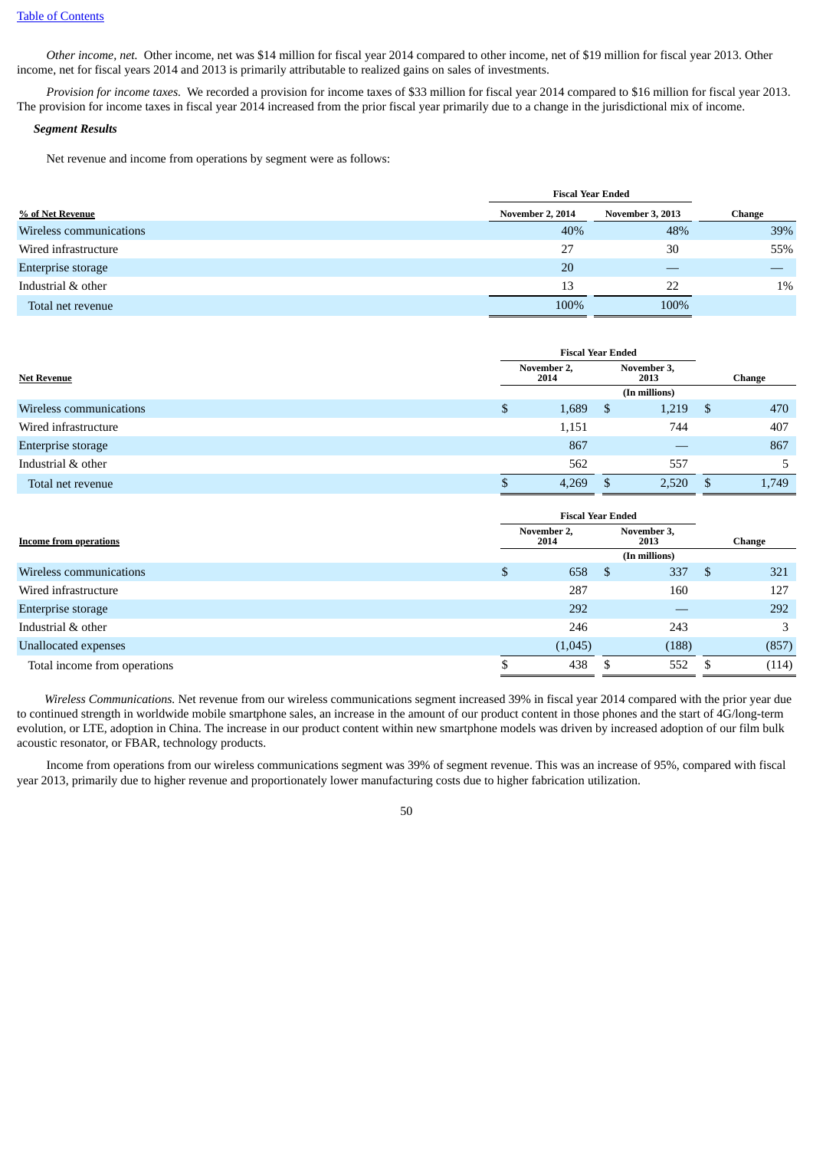*Other income, net.* Other income, net was \$14 million for fiscal year 2014 compared to other income, net of \$19 million for fiscal year 2013. Other income, net for fiscal years 2014 and 2013 is primarily attributable to realized gains on sales of investments.

*Provision for income taxes.* We recorded a provision for income taxes of \$33 million for fiscal year 2014 compared to \$16 million for fiscal year 2013. The provision for income taxes in fiscal year 2014 increased from the prior fiscal year primarily due to a change in the jurisdictional mix of income.

## *Segment Results*

Net revenue and income from operations by segment were as follows:

|                         |                         | <b>Fiscal Year Ended</b> |        |  |  |  |
|-------------------------|-------------------------|--------------------------|--------|--|--|--|
| % of Net Revenue        | <b>November 2, 2014</b> | <b>November 3, 2013</b>  | Change |  |  |  |
| Wireless communications | 40%                     | 48%                      | 39%    |  |  |  |
| Wired infrastructure    | -27                     | 30                       | 55%    |  |  |  |
| Enterprise storage      | 20                      |                          |        |  |  |  |
| Industrial & other      | 13                      | 22                       | 1%     |  |  |  |
| Total net revenue       | 100%                    | 100%                     |        |  |  |  |

|                         |    | <b>Fiscal Year Ended</b> |                     |               |               |
|-------------------------|----|--------------------------|---------------------|---------------|---------------|
| <b>Net Revenue</b>      |    | November 2,<br>2014      | November 3,<br>2013 |               | <b>Change</b> |
|                         |    |                          | (In millions)       |               |               |
| Wireless communications | \$ | 1,689                    | 1,219<br>- \$       | <sup>\$</sup> | 470           |
| Wired infrastructure    |    | 1,151                    | 744                 |               | 407           |
| Enterprise storage      |    | 867                      |                     |               | 867           |
| Industrial & other      |    | 562                      | 557                 |               | 5             |
| Total net revenue       |    | 4,269                    | 2,520               |               | 1,749         |

|                              | <b>Fiscal Year Ended</b> |                     |     |                     |     |        |
|------------------------------|--------------------------|---------------------|-----|---------------------|-----|--------|
| Income from operations       |                          | November 2,<br>2014 |     | November 3,<br>2013 |     | Change |
|                              |                          |                     |     | (In millions)       |     |        |
| Wireless communications      |                          | 658                 | - S | 337                 | -\$ | 321    |
| Wired infrastructure         |                          | 287                 |     | 160                 |     | 127    |
| Enterprise storage           |                          | 292                 |     |                     |     | 292    |
| Industrial & other           |                          | 246                 |     | 243                 |     | 3      |
| Unallocated expenses         |                          | (1,045)             |     | (188)               |     | (857)  |
| Total income from operations |                          | 438                 |     | 552                 |     | (114)  |

*Wireless Communications.* Net revenue from our wireless communications segment increased 39% in fiscal year 2014 compared with the prior year due to continued strength in worldwide mobile smartphone sales, an increase in the amount of our product content in those phones and the start of 4G/long-term evolution, or LTE, adoption in China. The increase in our product content within new smartphone models was driven by increased adoption of our film bulk acoustic resonator, or FBAR, technology products.

Income from operations from our wireless communications segment was 39% of segment revenue. This was an increase of 95%, compared with fiscal year 2013, primarily due to higher revenue and proportionately lower manufacturing costs due to higher fabrication utilization.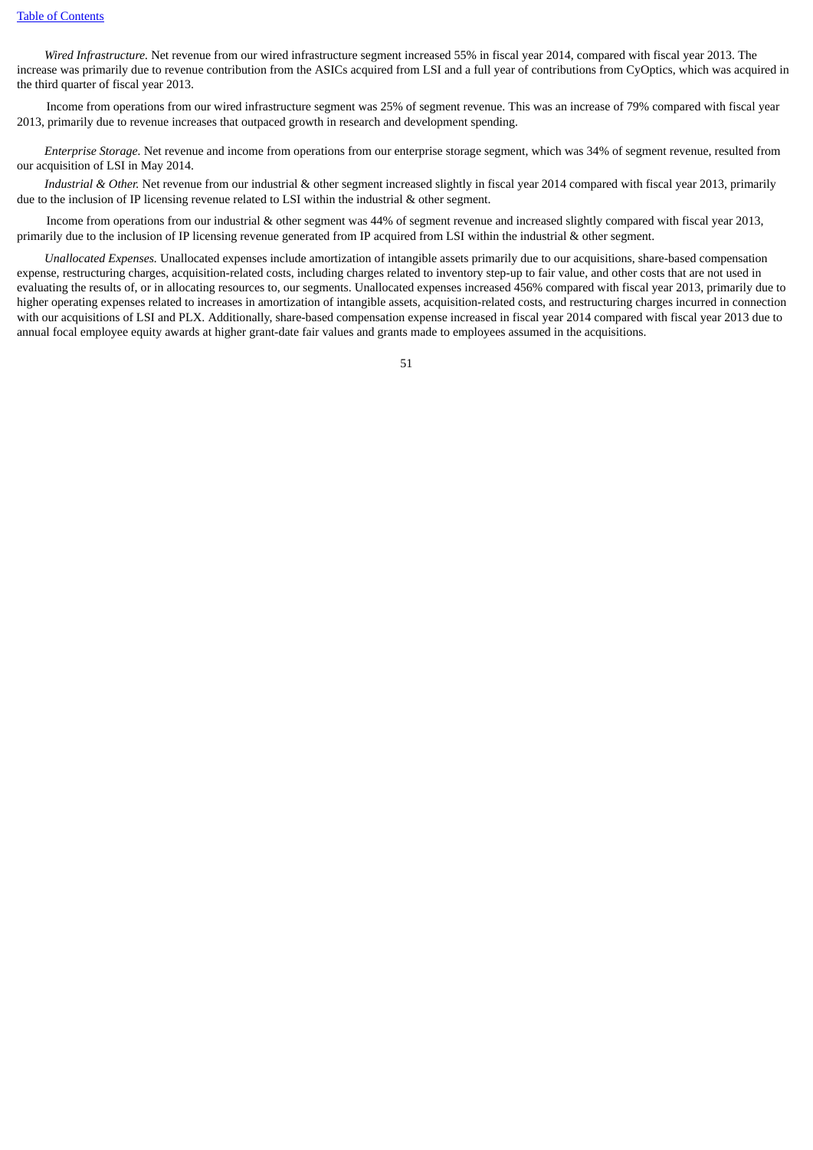*Wired Infrastructure.* Net revenue from our wired infrastructure segment increased 55% in fiscal year 2014, compared with fiscal year 2013. The increase was primarily due to revenue contribution from the ASICs acquired from LSI and a full year of contributions from CyOptics, which was acquired in the third quarter of fiscal year 2013.

Income from operations from our wired infrastructure segment was 25% of segment revenue. This was an increase of 79% compared with fiscal year 2013, primarily due to revenue increases that outpaced growth in research and development spending.

*Enterprise Storage.* Net revenue and income from operations from our enterprise storage segment, which was 34% of segment revenue, resulted from our acquisition of LSI in May 2014.

*Industrial & Other.* Net revenue from our industrial & other segment increased slightly in fiscal year 2014 compared with fiscal year 2013, primarily due to the inclusion of IP licensing revenue related to LSI within the industrial & other segment.

Income from operations from our industrial & other segment was 44% of segment revenue and increased slightly compared with fiscal year 2013, primarily due to the inclusion of IP licensing revenue generated from IP acquired from LSI within the industrial & other segment.

*Unallocated Expenses.* Unallocated expenses include amortization of intangible assets primarily due to our acquisitions, share-based compensation expense, restructuring charges, acquisition-related costs, including charges related to inventory step-up to fair value, and other costs that are not used in evaluating the results of, or in allocating resources to, our segments. Unallocated expenses increased 456% compared with fiscal year 2013, primarily due to higher operating expenses related to increases in amortization of intangible assets, acquisition-related costs, and restructuring charges incurred in connection with our acquisitions of LSI and PLX. Additionally, share-based compensation expense increased in fiscal year 2014 compared with fiscal year 2013 due to annual focal employee equity awards at higher grant-date fair values and grants made to employees assumed in the acquisitions.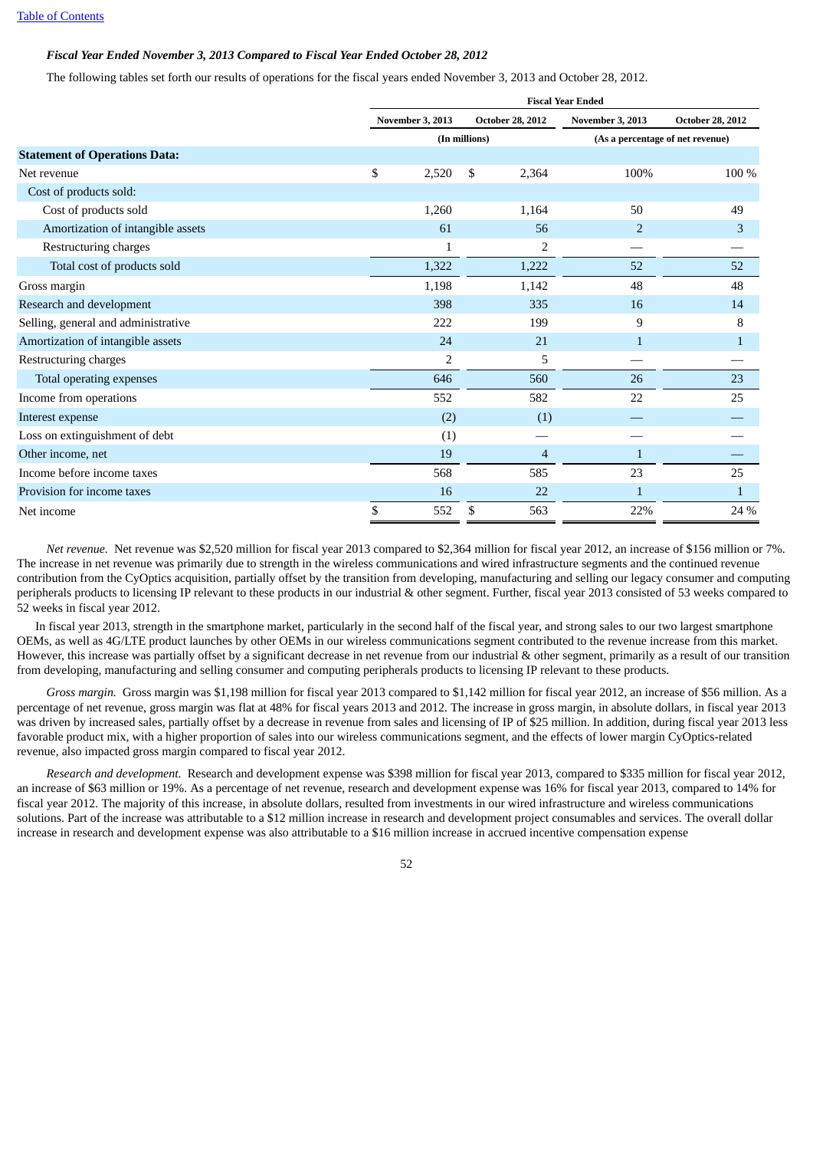## *Fiscal Year Ended November 3, 2013 Compared to Fiscal Year Ended October 28, 2012*

The following tables set forth our results of operations for the fiscal years ended November 3, 2013 and October 28, 2012.

|                                      | <b>Fiscal Year Ended</b> |                         |                         |                         |                                  |  |  |  |  |  |  |
|--------------------------------------|--------------------------|-------------------------|-------------------------|-------------------------|----------------------------------|--|--|--|--|--|--|
|                                      |                          | <b>November 3, 2013</b> | <b>October 28, 2012</b> | <b>November 3, 2013</b> | <b>October 28, 2012</b>          |  |  |  |  |  |  |
|                                      |                          |                         | (In millions)           |                         | (As a percentage of net revenue) |  |  |  |  |  |  |
| <b>Statement of Operations Data:</b> |                          |                         |                         |                         |                                  |  |  |  |  |  |  |
| Net revenue                          | \$                       | 2,520                   | \$<br>2,364             | 100%                    | 100 %                            |  |  |  |  |  |  |
| Cost of products sold:               |                          |                         |                         |                         |                                  |  |  |  |  |  |  |
| Cost of products sold                |                          | 1,260                   | 1,164                   | 50                      | 49                               |  |  |  |  |  |  |
| Amortization of intangible assets    |                          | 61                      | 56                      | 2                       | 3                                |  |  |  |  |  |  |
| Restructuring charges                |                          | 1                       | 2                       | –                       |                                  |  |  |  |  |  |  |
| Total cost of products sold          |                          | 1,322                   | 1,222                   | 52                      | 52                               |  |  |  |  |  |  |
| Gross margin                         |                          | 1,198                   | 1,142                   | 48                      | 48                               |  |  |  |  |  |  |
| Research and development             |                          | 398                     | 335                     | 16                      | 14                               |  |  |  |  |  |  |
| Selling, general and administrative  |                          | 222                     | 199                     | 9                       | 8                                |  |  |  |  |  |  |
| Amortization of intangible assets    |                          | 24                      | 21                      | $\mathbf{1}$            | $\mathbf{1}$                     |  |  |  |  |  |  |
| Restructuring charges                |                          | 2                       | 5                       |                         |                                  |  |  |  |  |  |  |
| Total operating expenses             |                          | 646                     | 560                     | 26                      | 23                               |  |  |  |  |  |  |
| Income from operations               |                          | 552                     | 582                     | 22                      | 25                               |  |  |  |  |  |  |
| Interest expense                     |                          | (2)                     | (1)                     |                         |                                  |  |  |  |  |  |  |
| Loss on extinguishment of debt       |                          | (1)                     |                         |                         |                                  |  |  |  |  |  |  |
| Other income, net                    |                          | 19                      | $\overline{4}$          | 1                       |                                  |  |  |  |  |  |  |
| Income before income taxes           |                          | 568                     | 585                     | 23                      | 25                               |  |  |  |  |  |  |
| Provision for income taxes           |                          | 16                      | 22                      | 1                       | $\mathbf{1}$                     |  |  |  |  |  |  |
| Net income                           | \$                       | 552                     | 563<br>\$               | 22%                     | 24 %                             |  |  |  |  |  |  |

*Net revenue.* Net revenue was \$2,520 million for fiscal year 2013 compared to \$2,364 million for fiscal year 2012, an increase of \$156 million or 7%. The increase in net revenue was primarily due to strength in the wireless communications and wired infrastructure segments and the continued revenue contribution from the CyOptics acquisition, partially offset by the transition from developing, manufacturing and selling our legacy consumer and computing peripherals products to licensing IP relevant to these products in our industrial & other segment. Further, fiscal year 2013 consisted of 53 weeks compared to 52 weeks in fiscal year 2012.

In fiscal year 2013, strength in the smartphone market, particularly in the second half of the fiscal year, and strong sales to our two largest smartphone OEMs, as well as 4G/LTE product launches by other OEMs in our wireless communications segment contributed to the revenue increase from this market. However, this increase was partially offset by a significant decrease in net revenue from our industrial & other segment, primarily as a result of our transition from developing, manufacturing and selling consumer and computing peripherals products to licensing IP relevant to these products.

*Gross margin.* Gross margin was \$1,198 million for fiscal year 2013 compared to \$1,142 million for fiscal year 2012, an increase of \$56 million. As a percentage of net revenue, gross margin was flat at 48% for fiscal years 2013 and 2012. The increase in gross margin, in absolute dollars, in fiscal year 2013 was driven by increased sales, partially offset by a decrease in revenue from sales and licensing of IP of \$25 million. In addition, during fiscal year 2013 less favorable product mix, with a higher proportion of sales into our wireless communications segment, and the effects of lower margin CyOptics-related revenue, also impacted gross margin compared to fiscal year 2012.

*Research and development.* Research and development expense was \$398 million for fiscal year 2013, compared to \$335 million for fiscal year 2012, an increase of \$63 million or 19%. As a percentage of net revenue, research and development expense was 16% for fiscal year 2013, compared to 14% for fiscal year 2012. The majority of this increase, in absolute dollars, resulted from investments in our wired infrastructure and wireless communications solutions. Part of the increase was attributable to a \$12 million increase in research and development project consumables and services. The overall dollar increase in research and development expense was also attributable to a \$16 million increase in accrued incentive compensation expense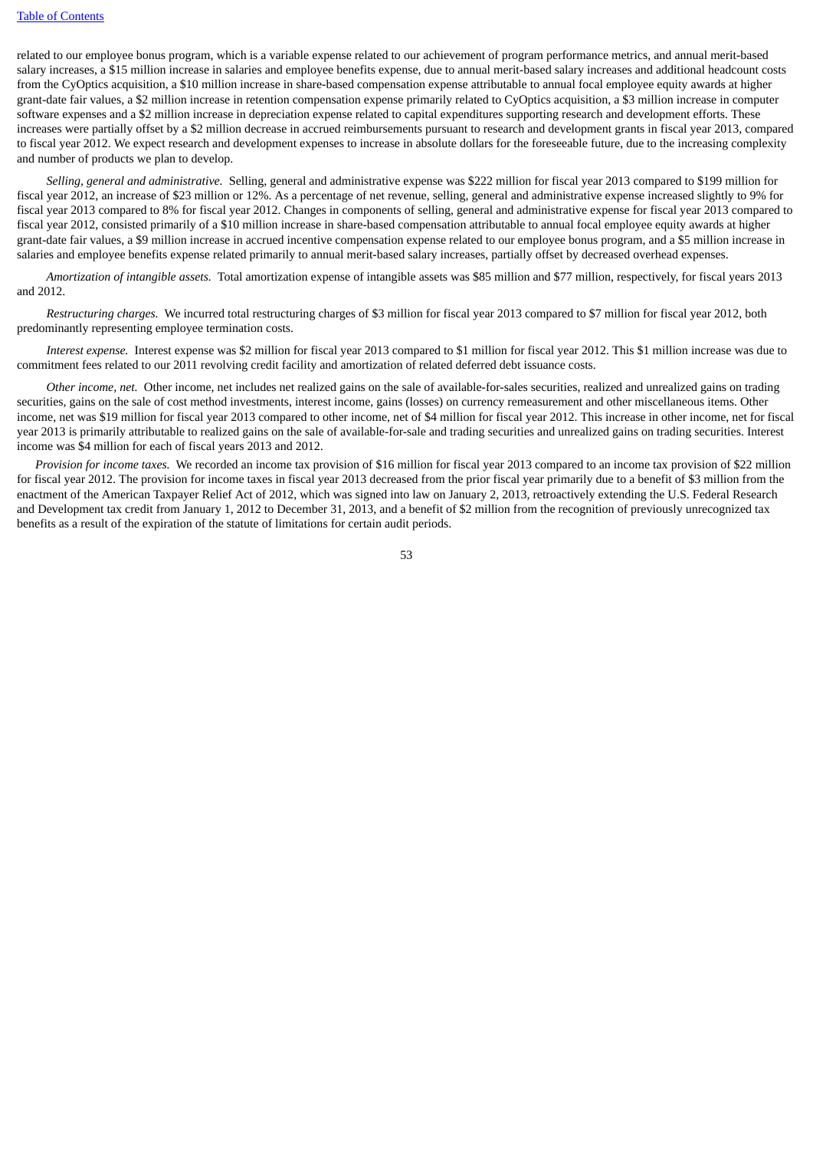related to our employee bonus program, which is a variable expense related to our achievement of program performance metrics, and annual merit-based salary increases, a \$15 million increase in salaries and employee benefits expense, due to annual merit-based salary increases and additional headcount costs from the CyOptics acquisition, a \$10 million increase in share-based compensation expense attributable to annual focal employee equity awards at higher grant-date fair values, a \$2 million increase in retention compensation expense primarily related to CyOptics acquisition, a \$3 million increase in computer software expenses and a \$2 million increase in depreciation expense related to capital expenditures supporting research and development efforts. These increases were partially offset by a \$2 million decrease in accrued reimbursements pursuant to research and development grants in fiscal year 2013, compared to fiscal year 2012. We expect research and development expenses to increase in absolute dollars for the foreseeable future, due to the increasing complexity and number of products we plan to develop.

*Selling, general and administrative.* Selling, general and administrative expense was \$222 million for fiscal year 2013 compared to \$199 million for fiscal year 2012, an increase of \$23 million or 12%. As a percentage of net revenue, selling, general and administrative expense increased slightly to 9% for fiscal year 2013 compared to 8% for fiscal year 2012. Changes in components of selling, general and administrative expense for fiscal year 2013 compared to fiscal year 2012, consisted primarily of a \$10 million increase in share-based compensation attributable to annual focal employee equity awards at higher grant-date fair values, a \$9 million increase in accrued incentive compensation expense related to our employee bonus program, and a \$5 million increase in salaries and employee benefits expense related primarily to annual merit-based salary increases, partially offset by decreased overhead expenses.

*Amortization of intangible assets.* Total amortization expense of intangible assets was \$85 million and \$77 million, respectively, for fiscal years 2013 and 2012.

*Restructuring charges.* We incurred total restructuring charges of \$3 million for fiscal year 2013 compared to \$7 million for fiscal year 2012, both predominantly representing employee termination costs.

*Interest expense.* Interest expense was \$2 million for fiscal year 2013 compared to \$1 million for fiscal year 2012. This \$1 million increase was due to commitment fees related to our 2011 revolving credit facility and amortization of related deferred debt issuance costs.

*Other income, net.* Other income, net includes net realized gains on the sale of available-for-sales securities, realized and unrealized gains on trading securities, gains on the sale of cost method investments, interest income, gains (losses) on currency remeasurement and other miscellaneous items. Other income, net was \$19 million for fiscal year 2013 compared to other income, net of \$4 million for fiscal year 2012. This increase in other income, net for fiscal year 2013 is primarily attributable to realized gains on the sale of available-for-sale and trading securities and unrealized gains on trading securities. Interest income was \$4 million for each of fiscal years 2013 and 2012.

*Provision for income taxes.* We recorded an income tax provision of \$16 million for fiscal year 2013 compared to an income tax provision of \$22 million for fiscal year 2012. The provision for income taxes in fiscal year 2013 decreased from the prior fiscal year primarily due to a benefit of \$3 million from the enactment of the American Taxpayer Relief Act of 2012, which was signed into law on January 2, 2013, retroactively extending the U.S. Federal Research and Development tax credit from January 1, 2012 to December 31, 2013, and a benefit of \$2 million from the recognition of previously unrecognized tax benefits as a result of the expiration of the statute of limitations for certain audit periods.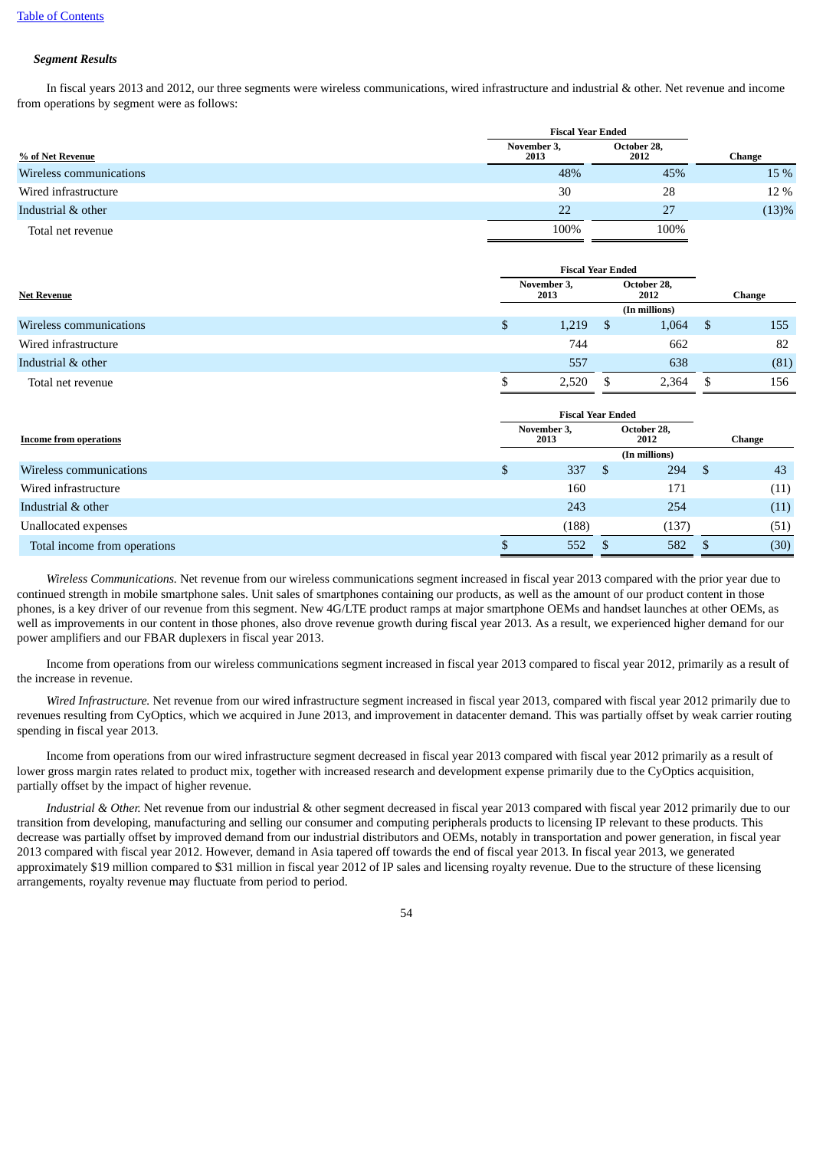### *Segment Results*

In fiscal years 2013 and 2012, our three segments were wireless communications, wired infrastructure and industrial & other. Net revenue and income from operations by segment were as follows:

|                         |                     | <b>Fiscal Year Ended</b> |        |  |  |  |  |
|-------------------------|---------------------|--------------------------|--------|--|--|--|--|
| % of Net Revenue        | November 3,<br>2013 | October 28,<br>2012      | Change |  |  |  |  |
| Wireless communications | 48%                 | 45%                      | 15 %   |  |  |  |  |
| Wired infrastructure    | 30                  | 28                       | 12 %   |  |  |  |  |
| Industrial & other      | 22                  | 27                       | (13)%  |  |  |  |  |
| Total net revenue       | 100%                | 100%                     |        |  |  |  |  |

|                         |    | <b>Fiscal Year Ended</b> |    |                     |               |      |  |
|-------------------------|----|--------------------------|----|---------------------|---------------|------|--|
| <b>Net Revenue</b>      |    | November 3,<br>2013      |    | October 28,<br>2012 | <b>Change</b> |      |  |
|                         |    |                          |    | (In millions)       |               |      |  |
| Wireless communications | S. | 1,219                    | -S | 1,064               | \$            | 155  |  |
| Wired infrastructure    |    | 744                      |    | 662                 |               | 82   |  |
| Industrial & other      |    | 557                      |    | 638                 |               | (81) |  |
| Total net revenue       |    | 2,520                    |    | 2,364               | S             | 156  |  |

|                               |  | <b>Fiscal Year Ended</b> |                     |               |      |        |  |
|-------------------------------|--|--------------------------|---------------------|---------------|------|--------|--|
| <b>Income from operations</b> |  | November 3,<br>2013      | October 28,<br>2012 |               |      | Change |  |
|                               |  |                          |                     | (In millions) |      |        |  |
| Wireless communications       |  | 337                      | -S                  | 294           | - \$ | 43     |  |
| Wired infrastructure          |  | 160                      |                     | 171           |      | (11)   |  |
| Industrial & other            |  | 243                      |                     | 254           |      | (11)   |  |
| Unallocated expenses          |  | (188)                    |                     | (137)         |      | (51)   |  |
| Total income from operations  |  | 552                      |                     | 582           |      | (30)   |  |

*Wireless Communications.* Net revenue from our wireless communications segment increased in fiscal year 2013 compared with the prior year due to continued strength in mobile smartphone sales. Unit sales of smartphones containing our products, as well as the amount of our product content in those phones, is a key driver of our revenue from this segment. New 4G/LTE product ramps at major smartphone OEMs and handset launches at other OEMs, as well as improvements in our content in those phones, also drove revenue growth during fiscal year 2013. As a result, we experienced higher demand for our power amplifiers and our FBAR duplexers in fiscal year 2013.

Income from operations from our wireless communications segment increased in fiscal year 2013 compared to fiscal year 2012, primarily as a result of the increase in revenue.

*Wired Infrastructure.* Net revenue from our wired infrastructure segment increased in fiscal year 2013, compared with fiscal year 2012 primarily due to revenues resulting from CyOptics, which we acquired in June 2013, and improvement in datacenter demand. This was partially offset by weak carrier routing spending in fiscal year 2013.

Income from operations from our wired infrastructure segment decreased in fiscal year 2013 compared with fiscal year 2012 primarily as a result of lower gross margin rates related to product mix, together with increased research and development expense primarily due to the CyOptics acquisition, partially offset by the impact of higher revenue.

*Industrial & Other.* Net revenue from our industrial & other segment decreased in fiscal year 2013 compared with fiscal year 2012 primarily due to our transition from developing, manufacturing and selling our consumer and computing peripherals products to licensing IP relevant to these products. This decrease was partially offset by improved demand from our industrial distributors and OEMs, notably in transportation and power generation, in fiscal year 2013 compared with fiscal year 2012. However, demand in Asia tapered off towards the end of fiscal year 2013. In fiscal year 2013, we generated approximately \$19 million compared to \$31 million in fiscal year 2012 of IP sales and licensing royalty revenue. Due to the structure of these licensing arrangements, royalty revenue may fluctuate from period to period.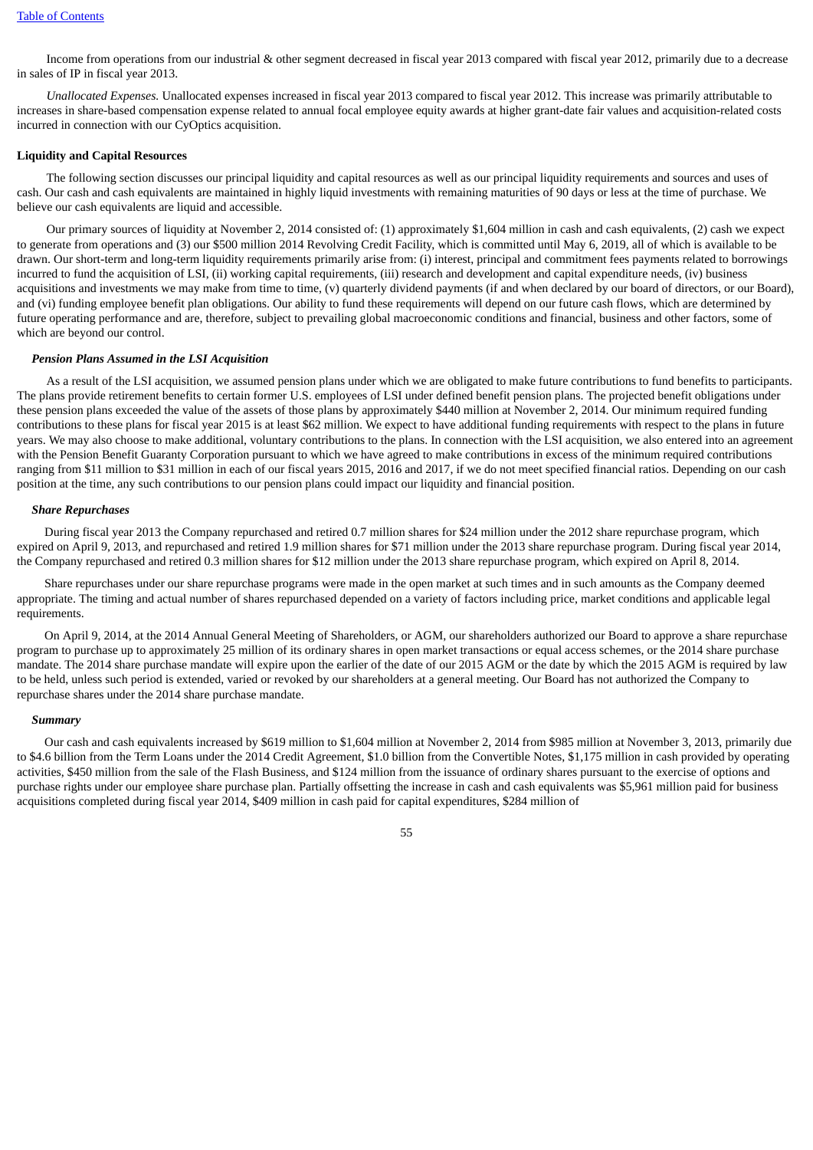Income from operations from our industrial & other segment decreased in fiscal year 2013 compared with fiscal year 2012, primarily due to a decrease in sales of IP in fiscal year 2013.

*Unallocated Expenses.* Unallocated expenses increased in fiscal year 2013 compared to fiscal year 2012. This increase was primarily attributable to increases in share-based compensation expense related to annual focal employee equity awards at higher grant-date fair values and acquisition-related costs incurred in connection with our CyOptics acquisition.

## **Liquidity and Capital Resources**

The following section discusses our principal liquidity and capital resources as well as our principal liquidity requirements and sources and uses of cash. Our cash and cash equivalents are maintained in highly liquid investments with remaining maturities of 90 days or less at the time of purchase. We believe our cash equivalents are liquid and accessible.

Our primary sources of liquidity at November 2, 2014 consisted of: (1) approximately \$1,604 million in cash and cash equivalents, (2) cash we expect to generate from operations and (3) our \$500 million 2014 Revolving Credit Facility, which is committed until May 6, 2019, all of which is available to be drawn. Our short-term and long-term liquidity requirements primarily arise from: (i) interest, principal and commitment fees payments related to borrowings incurred to fund the acquisition of LSI, (ii) working capital requirements, (iii) research and development and capital expenditure needs, (iv) business acquisitions and investments we may make from time to time, (v) quarterly dividend payments (if and when declared by our board of directors, or our Board), and (vi) funding employee benefit plan obligations. Our ability to fund these requirements will depend on our future cash flows, which are determined by future operating performance and are, therefore, subject to prevailing global macroeconomic conditions and financial, business and other factors, some of which are beyond our control.

### *Pension Plans Assumed in the LSI Acquisition*

As a result of the LSI acquisition, we assumed pension plans under which we are obligated to make future contributions to fund benefits to participants. The plans provide retirement benefits to certain former U.S. employees of LSI under defined benefit pension plans. The projected benefit obligations under these pension plans exceeded the value of the assets of those plans by approximately \$440 million at November 2, 2014. Our minimum required funding contributions to these plans for fiscal year 2015 is at least \$62 million. We expect to have additional funding requirements with respect to the plans in future years. We may also choose to make additional, voluntary contributions to the plans. In connection with the LSI acquisition, we also entered into an agreement with the Pension Benefit Guaranty Corporation pursuant to which we have agreed to make contributions in excess of the minimum required contributions ranging from \$11 million to \$31 million in each of our fiscal years 2015, 2016 and 2017, if we do not meet specified financial ratios. Depending on our cash position at the time, any such contributions to our pension plans could impact our liquidity and financial position.

#### *Share Repurchases*

During fiscal year 2013 the Company repurchased and retired 0.7 million shares for \$24 million under the 2012 share repurchase program, which expired on April 9, 2013, and repurchased and retired 1.9 million shares for \$71 million under the 2013 share repurchase program. During fiscal year 2014, the Company repurchased and retired 0.3 million shares for \$12 million under the 2013 share repurchase program, which expired on April 8, 2014.

Share repurchases under our share repurchase programs were made in the open market at such times and in such amounts as the Company deemed appropriate. The timing and actual number of shares repurchased depended on a variety of factors including price, market conditions and applicable legal requirements.

On April 9, 2014, at the 2014 Annual General Meeting of Shareholders, or AGM, our shareholders authorized our Board to approve a share repurchase program to purchase up to approximately 25 million of its ordinary shares in open market transactions or equal access schemes, or the 2014 share purchase mandate. The 2014 share purchase mandate will expire upon the earlier of the date of our 2015 AGM or the date by which the 2015 AGM is required by law to be held, unless such period is extended, varied or revoked by our shareholders at a general meeting. Our Board has not authorized the Company to repurchase shares under the 2014 share purchase mandate.

#### *Summary*

Our cash and cash equivalents increased by \$619 million to \$1,604 million at November 2, 2014 from \$985 million at November 3, 2013, primarily due to \$4.6 billion from the Term Loans under the 2014 Credit Agreement, \$1.0 billion from the Convertible Notes, \$1,175 million in cash provided by operating activities, \$450 million from the sale of the Flash Business, and \$124 million from the issuance of ordinary shares pursuant to the exercise of options and purchase rights under our employee share purchase plan. Partially offsetting the increase in cash and cash equivalents was \$5,961 million paid for business acquisitions completed during fiscal year 2014, \$409 million in cash paid for capital expenditures, \$284 million of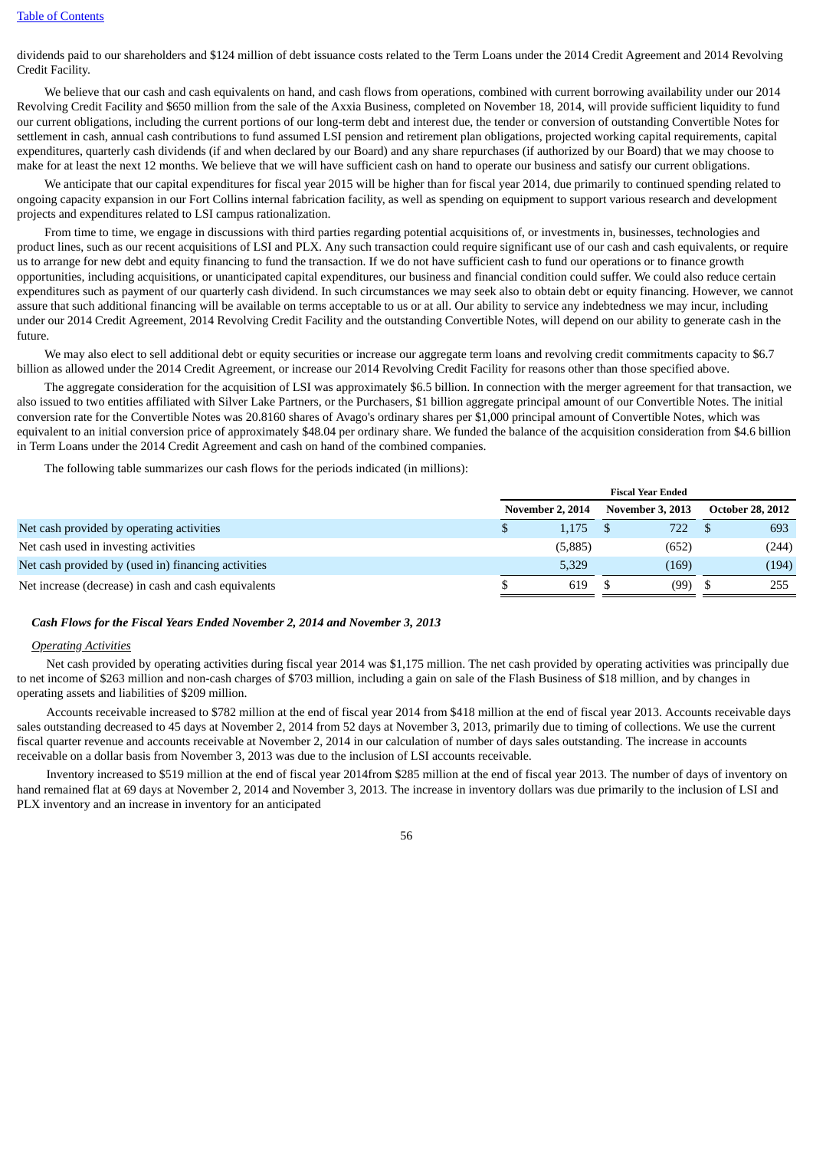dividends paid to our shareholders and \$124 million of debt issuance costs related to the Term Loans under the 2014 Credit Agreement and 2014 Revolving Credit Facility.

We believe that our cash and cash equivalents on hand, and cash flows from operations, combined with current borrowing availability under our 2014 Revolving Credit Facility and \$650 million from the sale of the Axxia Business, completed on November 18, 2014, will provide sufficient liquidity to fund our current obligations, including the current portions of our long-term debt and interest due, the tender or conversion of outstanding Convertible Notes for settlement in cash, annual cash contributions to fund assumed LSI pension and retirement plan obligations, projected working capital requirements, capital expenditures, quarterly cash dividends (if and when declared by our Board) and any share repurchases (if authorized by our Board) that we may choose to make for at least the next 12 months. We believe that we will have sufficient cash on hand to operate our business and satisfy our current obligations.

We anticipate that our capital expenditures for fiscal year 2015 will be higher than for fiscal year 2014, due primarily to continued spending related to ongoing capacity expansion in our Fort Collins internal fabrication facility, as well as spending on equipment to support various research and development projects and expenditures related to LSI campus rationalization.

From time to time, we engage in discussions with third parties regarding potential acquisitions of, or investments in, businesses, technologies and product lines, such as our recent acquisitions of LSI and PLX. Any such transaction could require significant use of our cash and cash equivalents, or require us to arrange for new debt and equity financing to fund the transaction. If we do not have sufficient cash to fund our operations or to finance growth opportunities, including acquisitions, or unanticipated capital expenditures, our business and financial condition could suffer. We could also reduce certain expenditures such as payment of our quarterly cash dividend. In such circumstances we may seek also to obtain debt or equity financing. However, we cannot assure that such additional financing will be available on terms acceptable to us or at all. Our ability to service any indebtedness we may incur, including under our 2014 Credit Agreement, 2014 Revolving Credit Facility and the outstanding Convertible Notes, will depend on our ability to generate cash in the future.

We may also elect to sell additional debt or equity securities or increase our aggregate term loans and revolving credit commitments capacity to \$6.7 billion as allowed under the 2014 Credit Agreement, or increase our 2014 Revolving Credit Facility for reasons other than those specified above.

The aggregate consideration for the acquisition of LSI was approximately \$6.5 billion. In connection with the merger agreement for that transaction, we also issued to two entities affiliated with Silver Lake Partners, or the Purchasers, \$1 billion aggregate principal amount of our Convertible Notes. The initial conversion rate for the Convertible Notes was 20.8160 shares of Avago's ordinary shares per \$1,000 principal amount of Convertible Notes, which was equivalent to an initial conversion price of approximately \$48.04 per ordinary share. We funded the balance of the acquisition consideration from \$4.6 billion in Term Loans under the 2014 Credit Agreement and cash on hand of the combined companies.

The following table summarizes our cash flows for the periods indicated (in millions):

|                                                      | <b>Fiscal Year Ended</b> |         |                         |       |                         |       |  |
|------------------------------------------------------|--------------------------|---------|-------------------------|-------|-------------------------|-------|--|
|                                                      | <b>November 2, 2014</b>  |         | <b>November 3, 2013</b> |       | <b>October 28, 2012</b> |       |  |
| Net cash provided by operating activities            |                          | 1.175   |                         | 722   |                         | 693   |  |
| Net cash used in investing activities                |                          | (5,885) |                         | (652) |                         | (244) |  |
| Net cash provided by (used in) financing activities  |                          | 5,329   |                         | (169) |                         | (194) |  |
| Net increase (decrease) in cash and cash equivalents |                          | 619     |                         | (99)  |                         | 255   |  |

### *Cash Flows for the Fiscal Years Ended November 2, 2014 and November 3, 2013*

#### *Operating Activities*

Net cash provided by operating activities during fiscal year 2014 was \$1,175 million. The net cash provided by operating activities was principally due to net income of \$263 million and non-cash charges of \$703 million, including a gain on sale of the Flash Business of \$18 million, and by changes in operating assets and liabilities of \$209 million.

Accounts receivable increased to \$782 million at the end of fiscal year 2014 from \$418 million at the end of fiscal year 2013. Accounts receivable days sales outstanding decreased to 45 days at November 2, 2014 from 52 days at November 3, 2013, primarily due to timing of collections. We use the current fiscal quarter revenue and accounts receivable at November 2, 2014 in our calculation of number of days sales outstanding. The increase in accounts receivable on a dollar basis from November 3, 2013 was due to the inclusion of LSI accounts receivable.

Inventory increased to \$519 million at the end of fiscal year 2014from \$285 million at the end of fiscal year 2013. The number of days of inventory on hand remained flat at 69 days at November 2, 2014 and November 3, 2013. The increase in inventory dollars was due primarily to the inclusion of LSI and PLX inventory and an increase in inventory for an anticipated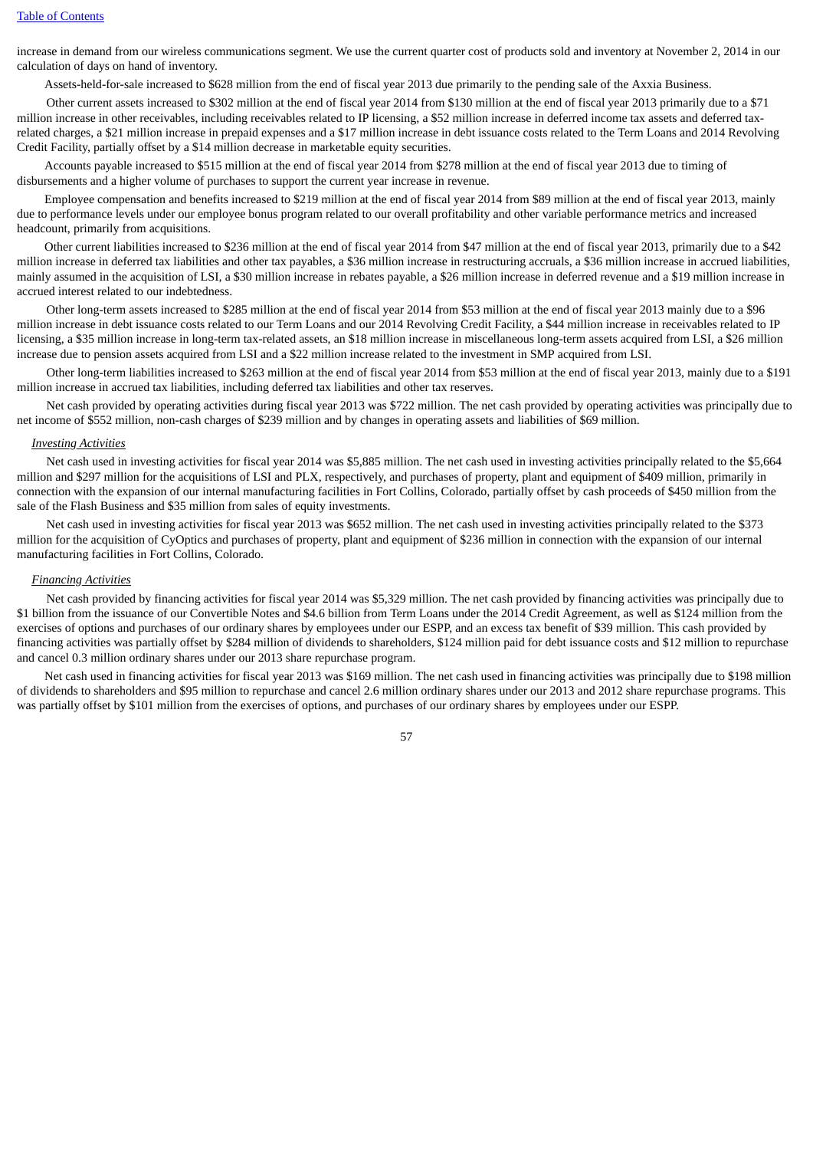increase in demand from our wireless communications segment. We use the current quarter cost of products sold and inventory at November 2, 2014 in our calculation of days on hand of inventory.

Assets-held-for-sale increased to \$628 million from the end of fiscal year 2013 due primarily to the pending sale of the Axxia Business.

Other current assets increased to \$302 million at the end of fiscal year 2014 from \$130 million at the end of fiscal year 2013 primarily due to a \$71 million increase in other receivables, including receivables related to IP licensing, a \$52 million increase in deferred income tax assets and deferred taxrelated charges, a \$21 million increase in prepaid expenses and a \$17 million increase in debt issuance costs related to the Term Loans and 2014 Revolving Credit Facility, partially offset by a \$14 million decrease in marketable equity securities.

Accounts payable increased to \$515 million at the end of fiscal year 2014 from \$278 million at the end of fiscal year 2013 due to timing of disbursements and a higher volume of purchases to support the current year increase in revenue.

Employee compensation and benefits increased to \$219 million at the end of fiscal year 2014 from \$89 million at the end of fiscal year 2013, mainly due to performance levels under our employee bonus program related to our overall profitability and other variable performance metrics and increased headcount, primarily from acquisitions.

Other current liabilities increased to \$236 million at the end of fiscal year 2014 from \$47 million at the end of fiscal year 2013, primarily due to a \$42 million increase in deferred tax liabilities and other tax payables, a \$36 million increase in restructuring accruals, a \$36 million increase in accrued liabilities, mainly assumed in the acquisition of LSI, a \$30 million increase in rebates payable, a \$26 million increase in deferred revenue and a \$19 million increase in accrued interest related to our indebtedness.

Other long-term assets increased to \$285 million at the end of fiscal year 2014 from \$53 million at the end of fiscal year 2013 mainly due to a \$96 million increase in debt issuance costs related to our Term Loans and our 2014 Revolving Credit Facility, a \$44 million increase in receivables related to IP licensing, a \$35 million increase in long-term tax-related assets, an \$18 million increase in miscellaneous long-term assets acquired from LSI, a \$26 million increase due to pension assets acquired from LSI and a \$22 million increase related to the investment in SMP acquired from LSI.

Other long-term liabilities increased to \$263 million at the end of fiscal year 2014 from \$53 million at the end of fiscal year 2013, mainly due to a \$191 million increase in accrued tax liabilities, including deferred tax liabilities and other tax reserves.

Net cash provided by operating activities during fiscal year 2013 was \$722 million. The net cash provided by operating activities was principally due to net income of \$552 million, non-cash charges of \$239 million and by changes in operating assets and liabilities of \$69 million.

## *Investing Activities*

Net cash used in investing activities for fiscal year 2014 was \$5,885 million. The net cash used in investing activities principally related to the \$5,664 million and \$297 million for the acquisitions of LSI and PLX, respectively, and purchases of property, plant and equipment of \$409 million, primarily in connection with the expansion of our internal manufacturing facilities in Fort Collins, Colorado, partially offset by cash proceeds of \$450 million from the sale of the Flash Business and \$35 million from sales of equity investments.

Net cash used in investing activities for fiscal year 2013 was \$652 million. The net cash used in investing activities principally related to the \$373 million for the acquisition of CyOptics and purchases of property, plant and equipment of \$236 million in connection with the expansion of our internal manufacturing facilities in Fort Collins, Colorado.

### *Financing Activities*

Net cash provided by financing activities for fiscal year 2014 was \$5,329 million. The net cash provided by financing activities was principally due to \$1 billion from the issuance of our Convertible Notes and \$4.6 billion from Term Loans under the 2014 Credit Agreement, as well as \$124 million from the exercises of options and purchases of our ordinary shares by employees under our ESPP, and an excess tax benefit of \$39 million. This cash provided by financing activities was partially offset by \$284 million of dividends to shareholders, \$124 million paid for debt issuance costs and \$12 million to repurchase and cancel 0.3 million ordinary shares under our 2013 share repurchase program.

Net cash used in financing activities for fiscal year 2013 was \$169 million. The net cash used in financing activities was principally due to \$198 million of dividends to shareholders and \$95 million to repurchase and cancel 2.6 million ordinary shares under our 2013 and 2012 share repurchase programs. This was partially offset by \$101 million from the exercises of options, and purchases of our ordinary shares by employees under our ESPP.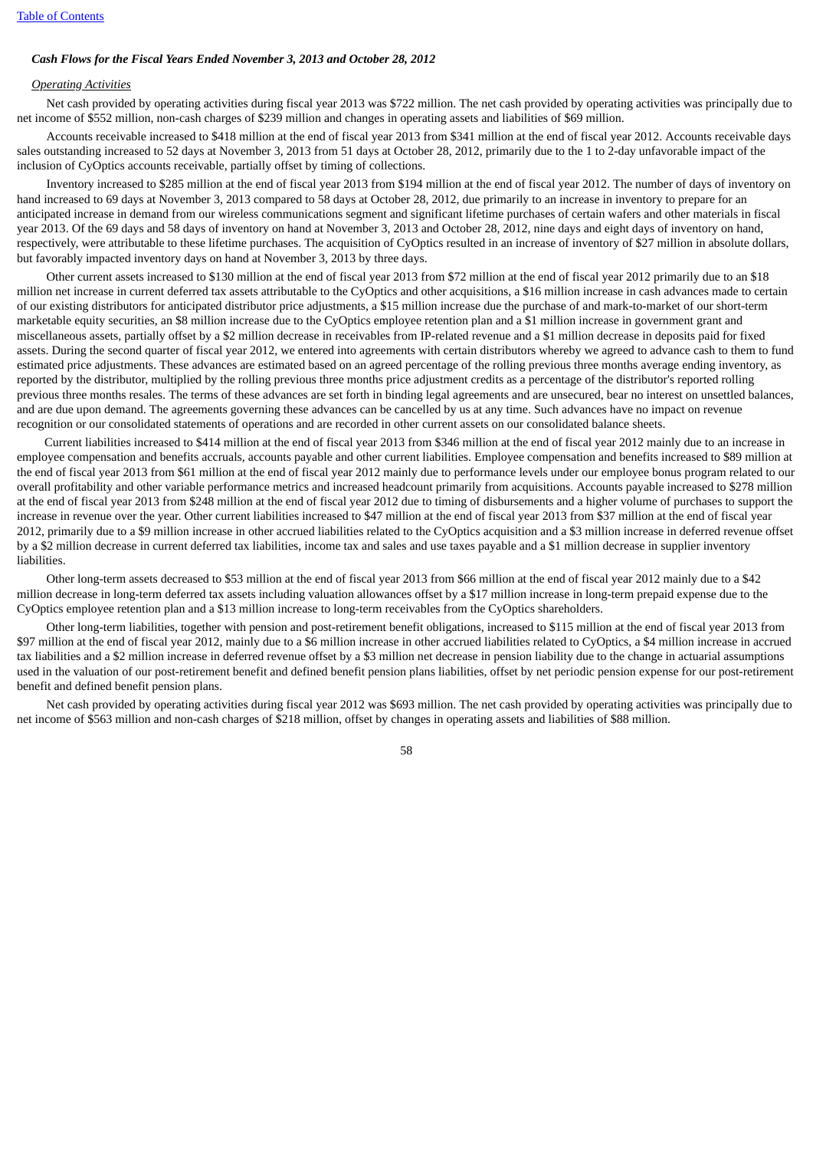## *Cash Flows for the Fiscal Years Ended November 3, 2013 and October 28, 2012*

## *Operating Activities*

Net cash provided by operating activities during fiscal year 2013 was \$722 million. The net cash provided by operating activities was principally due to net income of \$552 million, non-cash charges of \$239 million and changes in operating assets and liabilities of \$69 million.

Accounts receivable increased to \$418 million at the end of fiscal year 2013 from \$341 million at the end of fiscal year 2012. Accounts receivable days sales outstanding increased to 52 days at November 3, 2013 from 51 days at October 28, 2012, primarily due to the 1 to 2-day unfavorable impact of the inclusion of CyOptics accounts receivable, partially offset by timing of collections.

Inventory increased to \$285 million at the end of fiscal year 2013 from \$194 million at the end of fiscal year 2012. The number of days of inventory on hand increased to 69 days at November 3, 2013 compared to 58 days at October 28, 2012, due primarily to an increase in inventory to prepare for an anticipated increase in demand from our wireless communications segment and significant lifetime purchases of certain wafers and other materials in fiscal year 2013. Of the 69 days and 58 days of inventory on hand at November 3, 2013 and October 28, 2012, nine days and eight days of inventory on hand, respectively, were attributable to these lifetime purchases. The acquisition of CyOptics resulted in an increase of inventory of \$27 million in absolute dollars, but favorably impacted inventory days on hand at November 3, 2013 by three days.

Other current assets increased to \$130 million at the end of fiscal year 2013 from \$72 million at the end of fiscal year 2012 primarily due to an \$18 million net increase in current deferred tax assets attributable to the CyOptics and other acquisitions, a \$16 million increase in cash advances made to certain of our existing distributors for anticipated distributor price adjustments, a \$15 million increase due the purchase of and mark-to-market of our short-term marketable equity securities, an \$8 million increase due to the CyOptics employee retention plan and a \$1 million increase in government grant and miscellaneous assets, partially offset by a \$2 million decrease in receivables from IP-related revenue and a \$1 million decrease in deposits paid for fixed assets. During the second quarter of fiscal year 2012, we entered into agreements with certain distributors whereby we agreed to advance cash to them to fund estimated price adjustments. These advances are estimated based on an agreed percentage of the rolling previous three months average ending inventory, as reported by the distributor, multiplied by the rolling previous three months price adjustment credits as a percentage of the distributor's reported rolling previous three months resales. The terms of these advances are set forth in binding legal agreements and are unsecured, bear no interest on unsettled balances, and are due upon demand. The agreements governing these advances can be cancelled by us at any time. Such advances have no impact on revenue recognition or our consolidated statements of operations and are recorded in other current assets on our consolidated balance sheets.

Current liabilities increased to \$414 million at the end of fiscal year 2013 from \$346 million at the end of fiscal year 2012 mainly due to an increase in employee compensation and benefits accruals, accounts payable and other current liabilities. Employee compensation and benefits increased to \$89 million at the end of fiscal year 2013 from \$61 million at the end of fiscal year 2012 mainly due to performance levels under our employee bonus program related to our overall profitability and other variable performance metrics and increased headcount primarily from acquisitions. Accounts payable increased to \$278 million at the end of fiscal year 2013 from \$248 million at the end of fiscal year 2012 due to timing of disbursements and a higher volume of purchases to support the increase in revenue over the year. Other current liabilities increased to \$47 million at the end of fiscal year 2013 from \$37 million at the end of fiscal year 2012, primarily due to a \$9 million increase in other accrued liabilities related to the CyOptics acquisition and a \$3 million increase in deferred revenue offset by a \$2 million decrease in current deferred tax liabilities, income tax and sales and use taxes payable and a \$1 million decrease in supplier inventory liabilities.

Other long-term assets decreased to \$53 million at the end of fiscal year 2013 from \$66 million at the end of fiscal year 2012 mainly due to a \$42 million decrease in long-term deferred tax assets including valuation allowances offset by a \$17 million increase in long-term prepaid expense due to the CyOptics employee retention plan and a \$13 million increase to long-term receivables from the CyOptics shareholders.

Other long-term liabilities, together with pension and post-retirement benefit obligations, increased to \$115 million at the end of fiscal year 2013 from \$97 million at the end of fiscal year 2012, mainly due to a \$6 million increase in other accrued liabilities related to CyOptics, a \$4 million increase in accrued tax liabilities and a \$2 million increase in deferred revenue offset by a \$3 million net decrease in pension liability due to the change in actuarial assumptions used in the valuation of our post-retirement benefit and defined benefit pension plans liabilities, offset by net periodic pension expense for our post-retirement benefit and defined benefit pension plans.

Net cash provided by operating activities during fiscal year 2012 was \$693 million. The net cash provided by operating activities was principally due to net income of \$563 million and non-cash charges of \$218 million, offset by changes in operating assets and liabilities of \$88 million.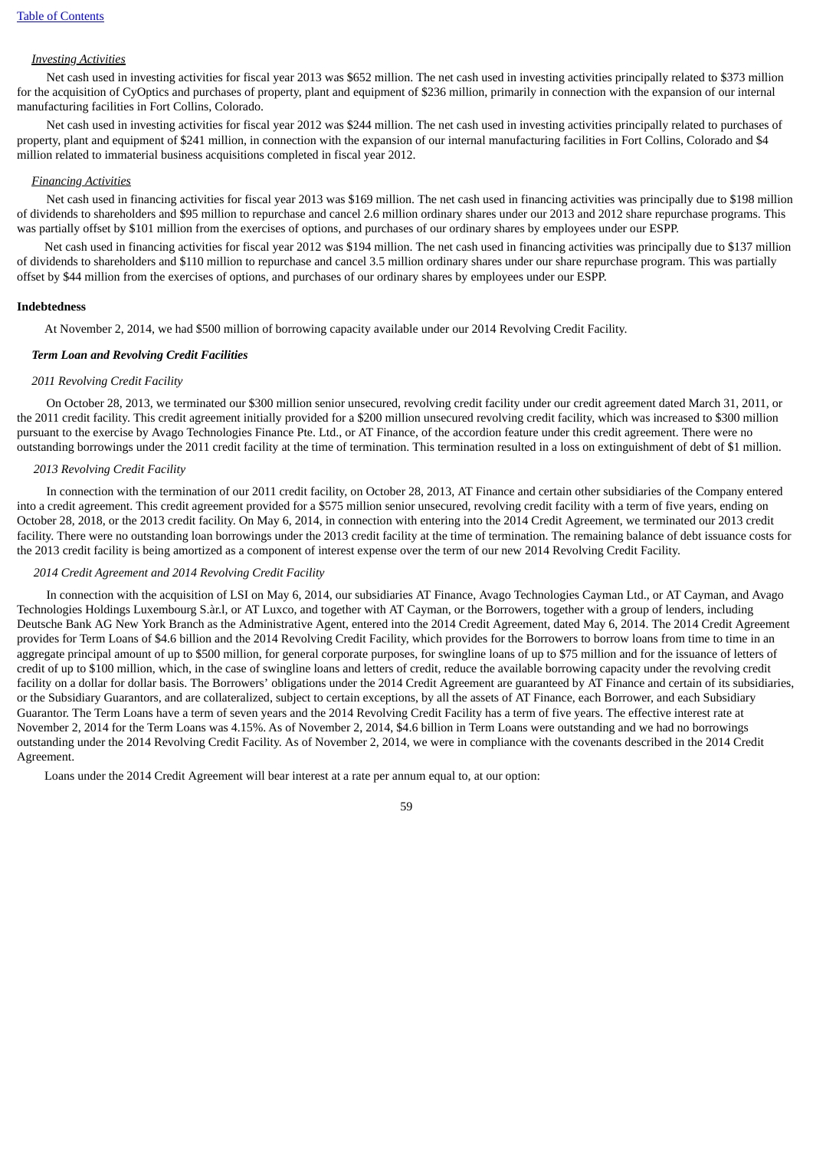#### *Investing Activities*

Net cash used in investing activities for fiscal year 2013 was \$652 million. The net cash used in investing activities principally related to \$373 million for the acquisition of CyOptics and purchases of property, plant and equipment of \$236 million, primarily in connection with the expansion of our internal manufacturing facilities in Fort Collins, Colorado.

Net cash used in investing activities for fiscal year 2012 was \$244 million. The net cash used in investing activities principally related to purchases of property, plant and equipment of \$241 million, in connection with the expansion of our internal manufacturing facilities in Fort Collins, Colorado and \$4 million related to immaterial business acquisitions completed in fiscal year 2012.

### *Financing Activities*

Net cash used in financing activities for fiscal year 2013 was \$169 million. The net cash used in financing activities was principally due to \$198 million of dividends to shareholders and \$95 million to repurchase and cancel 2.6 million ordinary shares under our 2013 and 2012 share repurchase programs. This was partially offset by \$101 million from the exercises of options, and purchases of our ordinary shares by employees under our ESPP.

Net cash used in financing activities for fiscal year 2012 was \$194 million. The net cash used in financing activities was principally due to \$137 million of dividends to shareholders and \$110 million to repurchase and cancel 3.5 million ordinary shares under our share repurchase program. This was partially offset by \$44 million from the exercises of options, and purchases of our ordinary shares by employees under our ESPP.

#### **Indebtedness**

At November 2, 2014, we had \$500 million of borrowing capacity available under our 2014 Revolving Credit Facility.

#### *Term Loan and Revolving Credit Facilities*

#### *2011 Revolving Credit Facility*

On October 28, 2013, we terminated our \$300 million senior unsecured, revolving credit facility under our credit agreement dated March 31, 2011, or the 2011 credit facility. This credit agreement initially provided for a \$200 million unsecured revolving credit facility, which was increased to \$300 million pursuant to the exercise by Avago Technologies Finance Pte. Ltd., or AT Finance, of the accordion feature under this credit agreement. There were no outstanding borrowings under the 2011 credit facility at the time of termination. This termination resulted in a loss on extinguishment of debt of \$1 million.

## *2013 Revolving Credit Facility*

In connection with the termination of our 2011 credit facility, on October 28, 2013, AT Finance and certain other subsidiaries of the Company entered into a credit agreement. This credit agreement provided for a \$575 million senior unsecured, revolving credit facility with a term of five years, ending on October 28, 2018, or the 2013 credit facility. On May 6, 2014, in connection with entering into the 2014 Credit Agreement, we terminated our 2013 credit facility. There were no outstanding loan borrowings under the 2013 credit facility at the time of termination. The remaining balance of debt issuance costs for the 2013 credit facility is being amortized as a component of interest expense over the term of our new 2014 Revolving Credit Facility.

## *2014 Credit Agreement and 2014 Revolving Credit Facility*

In connection with the acquisition of LSI on May 6, 2014, our subsidiaries AT Finance, Avago Technologies Cayman Ltd., or AT Cayman, and Avago Technologies Holdings Luxembourg S.àr.l, or AT Luxco, and together with AT Cayman, or the Borrowers, together with a group of lenders, including Deutsche Bank AG New York Branch as the Administrative Agent, entered into the 2014 Credit Agreement, dated May 6, 2014. The 2014 Credit Agreement provides for Term Loans of \$4.6 billion and the 2014 Revolving Credit Facility, which provides for the Borrowers to borrow loans from time to time in an aggregate principal amount of up to \$500 million, for general corporate purposes, for swingline loans of up to \$75 million and for the issuance of letters of credit of up to \$100 million, which, in the case of swingline loans and letters of credit, reduce the available borrowing capacity under the revolving credit facility on a dollar for dollar basis. The Borrowers' obligations under the 2014 Credit Agreement are guaranteed by AT Finance and certain of its subsidiaries, or the Subsidiary Guarantors, and are collateralized, subject to certain exceptions, by all the assets of AT Finance, each Borrower, and each Subsidiary Guarantor. The Term Loans have a term of seven years and the 2014 Revolving Credit Facility has a term of five years. The effective interest rate at November 2, 2014 for the Term Loans was 4.15%. As of November 2, 2014, \$4.6 billion in Term Loans were outstanding and we had no borrowings outstanding under the 2014 Revolving Credit Facility. As of November 2, 2014, we were in compliance with the covenants described in the 2014 Credit Agreement.

Loans under the 2014 Credit Agreement will bear interest at a rate per annum equal to, at our option: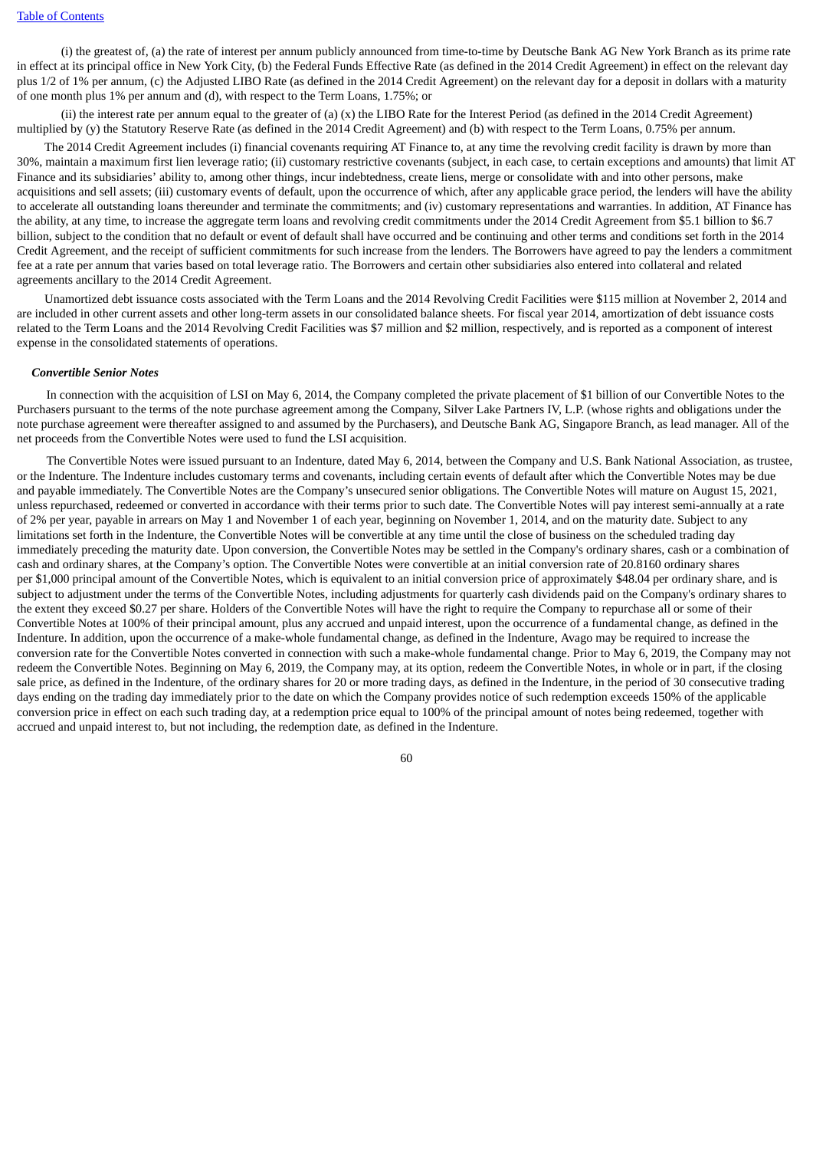(i) the greatest of, (a) the rate of interest per annum publicly announced from time-to-time by Deutsche Bank AG New York Branch as its prime rate in effect at its principal office in New York City, (b) the Federal Funds Effective Rate (as defined in the 2014 Credit Agreement) in effect on the relevant day plus 1/2 of 1% per annum, (c) the Adjusted LIBO Rate (as defined in the 2014 Credit Agreement) on the relevant day for a deposit in dollars with a maturity of one month plus 1% per annum and (d), with respect to the Term Loans, 1.75%; or

(ii) the interest rate per annum equal to the greater of (a)  $(x)$  the LIBO Rate for the Interest Period (as defined in the 2014 Credit Agreement) multiplied by (y) the Statutory Reserve Rate (as defined in the 2014 Credit Agreement) and (b) with respect to the Term Loans, 0.75% per annum.

The 2014 Credit Agreement includes (i) financial covenants requiring AT Finance to, at any time the revolving credit facility is drawn by more than 30%, maintain a maximum first lien leverage ratio; (ii) customary restrictive covenants (subject, in each case, to certain exceptions and amounts) that limit AT Finance and its subsidiaries' ability to, among other things, incur indebtedness, create liens, merge or consolidate with and into other persons, make acquisitions and sell assets; (iii) customary events of default, upon the occurrence of which, after any applicable grace period, the lenders will have the ability to accelerate all outstanding loans thereunder and terminate the commitments; and (iv) customary representations and warranties. In addition, AT Finance has the ability, at any time, to increase the aggregate term loans and revolving credit commitments under the 2014 Credit Agreement from \$5.1 billion to \$6.7 billion, subject to the condition that no default or event of default shall have occurred and be continuing and other terms and conditions set forth in the 2014 Credit Agreement, and the receipt of sufficient commitments for such increase from the lenders. The Borrowers have agreed to pay the lenders a commitment fee at a rate per annum that varies based on total leverage ratio. The Borrowers and certain other subsidiaries also entered into collateral and related agreements ancillary to the 2014 Credit Agreement.

Unamortized debt issuance costs associated with the Term Loans and the 2014 Revolving Credit Facilities were \$115 million at November 2, 2014 and are included in other current assets and other long-term assets in our consolidated balance sheets. For fiscal year 2014, amortization of debt issuance costs related to the Term Loans and the 2014 Revolving Credit Facilities was \$7 million and \$2 million, respectively, and is reported as a component of interest expense in the consolidated statements of operations.

#### *Convertible Senior Notes*

In connection with the acquisition of LSI on May 6, 2014, the Company completed the private placement of \$1 billion of our Convertible Notes to the Purchasers pursuant to the terms of the note purchase agreement among the Company, Silver Lake Partners IV, L.P. (whose rights and obligations under the note purchase agreement were thereafter assigned to and assumed by the Purchasers), and Deutsche Bank AG, Singapore Branch, as lead manager. All of the net proceeds from the Convertible Notes were used to fund the LSI acquisition.

The Convertible Notes were issued pursuant to an Indenture, dated May 6, 2014, between the Company and U.S. Bank National Association, as trustee, or the Indenture. The Indenture includes customary terms and covenants, including certain events of default after which the Convertible Notes may be due and payable immediately. The Convertible Notes are the Company's unsecured senior obligations. The Convertible Notes will mature on August 15, 2021, unless repurchased, redeemed or converted in accordance with their terms prior to such date. The Convertible Notes will pay interest semi-annually at a rate of 2% per year, payable in arrears on May 1 and November 1 of each year, beginning on November 1, 2014, and on the maturity date. Subject to any limitations set forth in the Indenture, the Convertible Notes will be convertible at any time until the close of business on the scheduled trading day immediately preceding the maturity date. Upon conversion, the Convertible Notes may be settled in the Company's ordinary shares, cash or a combination of cash and ordinary shares, at the Company's option. The Convertible Notes were convertible at an initial conversion rate of 20.8160 ordinary shares per \$1,000 principal amount of the Convertible Notes, which is equivalent to an initial conversion price of approximately \$48.04 per ordinary share, and is subject to adjustment under the terms of the Convertible Notes, including adjustments for quarterly cash dividends paid on the Company's ordinary shares to the extent they exceed \$0.27 per share. Holders of the Convertible Notes will have the right to require the Company to repurchase all or some of their Convertible Notes at 100% of their principal amount, plus any accrued and unpaid interest, upon the occurrence of a fundamental change, as defined in the Indenture. In addition, upon the occurrence of a make-whole fundamental change, as defined in the Indenture, Avago may be required to increase the conversion rate for the Convertible Notes converted in connection with such a make-whole fundamental change. Prior to May 6, 2019, the Company may not redeem the Convertible Notes. Beginning on May 6, 2019, the Company may, at its option, redeem the Convertible Notes, in whole or in part, if the closing sale price, as defined in the Indenture, of the ordinary shares for 20 or more trading days, as defined in the Indenture, in the period of 30 consecutive trading days ending on the trading day immediately prior to the date on which the Company provides notice of such redemption exceeds 150% of the applicable conversion price in effect on each such trading day, at a redemption price equal to 100% of the principal amount of notes being redeemed, together with accrued and unpaid interest to, but not including, the redemption date, as defined in the Indenture.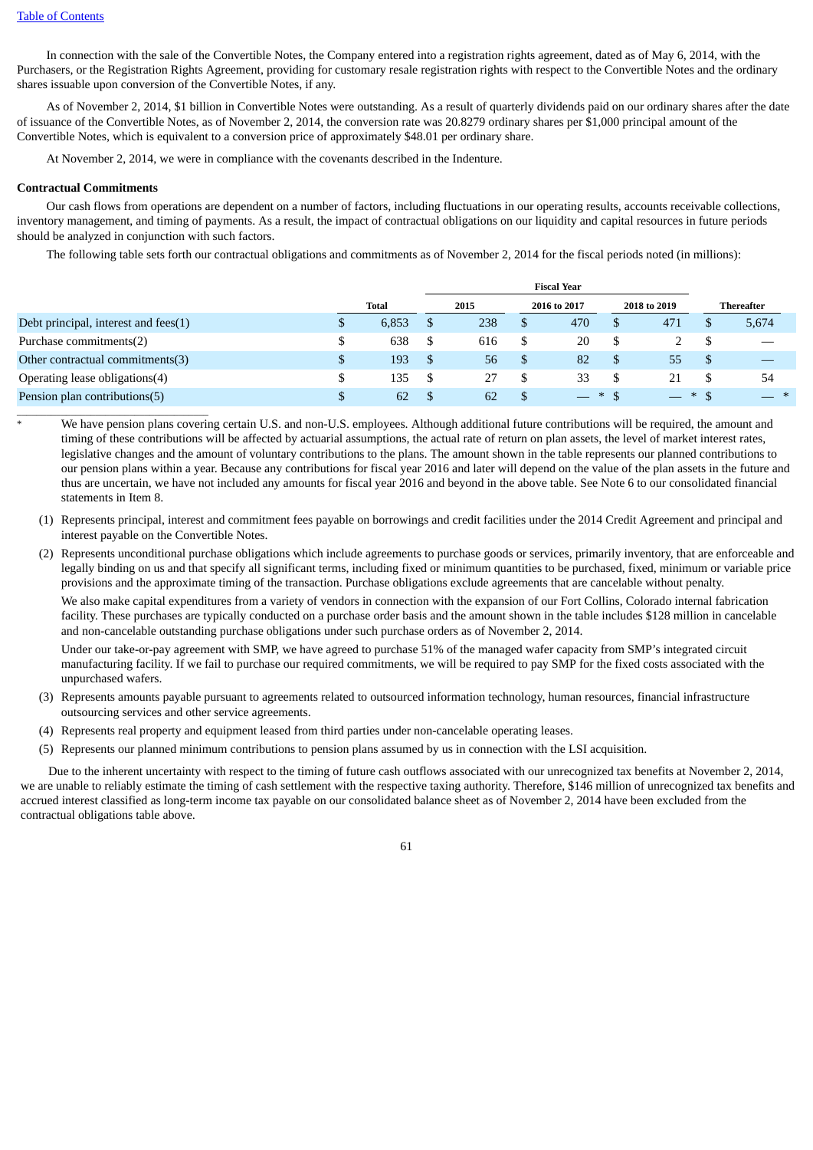In connection with the sale of the Convertible Notes, the Company entered into a registration rights agreement, dated as of May 6, 2014, with the Purchasers, or the Registration Rights Agreement, providing for customary resale registration rights with respect to the Convertible Notes and the ordinary shares issuable upon conversion of the Convertible Notes, if any.

As of November 2, 2014, \$1 billion in Convertible Notes were outstanding. As a result of quarterly dividends paid on our ordinary shares after the date of issuance of the Convertible Notes, as of November 2, 2014, the conversion rate was 20.8279 ordinary shares per \$1,000 principal amount of the Convertible Notes, which is equivalent to a conversion price of approximately \$48.01 per ordinary share.

At November 2, 2014, we were in compliance with the covenants described in the Indenture.

### **Contractual Commitments**

 $\mathcal{L}_\text{max}$  , and the set of the set of the set of the set of the set of the set of the set of the set of the set of the set of the set of the set of the set of the set of the set of the set of the set of the set of the

Our cash flows from operations are dependent on a number of factors, including fluctuations in our operating results, accounts receivable collections, inventory management, and timing of payments. As a result, the impact of contractual obligations on our liquidity and capital resources in future periods should be analyzed in conjunction with such factors.

The following table sets forth our contractual obligations and commitments as of November 2, 2014 for the fiscal periods noted (in millions):

|                                      |              | <b>Fiscal Year</b> |      |  |              |  |                          |        |            |
|--------------------------------------|--------------|--------------------|------|--|--------------|--|--------------------------|--------|------------|
|                                      | <b>Total</b> |                    | 2015 |  | 2016 to 2017 |  | 2018 to 2019             |        | Thereafter |
| Debt principal, interest and fees(1) | 6.853        |                    | 238  |  | 470          |  | 471                      |        | 5,674      |
| Purchase commitments(2)              | 638          | -S                 | 616  |  | 20           |  |                          |        |            |
| Other contractual commitments(3)     | 193          |                    | 56   |  | 82           |  | 55                       | S      |            |
| Operating lease obligations(4)       | 135          |                    | 27   |  | 33           |  | 21                       | S      | 54         |
| Pension plan contributions(5)        | 62           | -S                 | 62   |  | $-$ * \$     |  | $\overline{\phantom{0}}$ | $*$ \$ |            |

We have pension plans covering certain U.S. and non-U.S. employees. Although additional future contributions will be required, the amount and timing of these contributions will be affected by actuarial assumptions, the actual rate of return on plan assets, the level of market interest rates, legislative changes and the amount of voluntary contributions to the plans. The amount shown in the table represents our planned contributions to our pension plans within a year. Because any contributions for fiscal year 2016 and later will depend on the value of the plan assets in the future and thus are uncertain, we have not included any amounts for fiscal year 2016 and beyond in the above table. See Note 6 to our consolidated financial statements in Item 8.

(1) Represents principal, interest and commitment fees payable on borrowings and credit facilities under the 2014 Credit Agreement and principal and interest payable on the Convertible Notes.

(2) Represents unconditional purchase obligations which include agreements to purchase goods or services, primarily inventory, that are enforceable and legally binding on us and that specify all significant terms, including fixed or minimum quantities to be purchased, fixed, minimum or variable price provisions and the approximate timing of the transaction. Purchase obligations exclude agreements that are cancelable without penalty.

We also make capital expenditures from a variety of vendors in connection with the expansion of our Fort Collins, Colorado internal fabrication facility. These purchases are typically conducted on a purchase order basis and the amount shown in the table includes \$128 million in cancelable and non-cancelable outstanding purchase obligations under such purchase orders as of November 2, 2014.

Under our take-or-pay agreement with SMP, we have agreed to purchase 51% of the managed wafer capacity from SMP's integrated circuit manufacturing facility. If we fail to purchase our required commitments, we will be required to pay SMP for the fixed costs associated with the unpurchased wafers.

- (3) Represents amounts payable pursuant to agreements related to outsourced information technology, human resources, financial infrastructure outsourcing services and other service agreements.
- (4) Represents real property and equipment leased from third parties under non-cancelable operating leases.
- (5) Represents our planned minimum contributions to pension plans assumed by us in connection with the LSI acquisition.

Due to the inherent uncertainty with respect to the timing of future cash outflows associated with our unrecognized tax benefits at November 2, 2014, we are unable to reliably estimate the timing of cash settlement with the respective taxing authority. Therefore, \$146 million of unrecognized tax benefits and accrued interest classified as long-term income tax payable on our consolidated balance sheet as of November 2, 2014 have been excluded from the contractual obligations table above.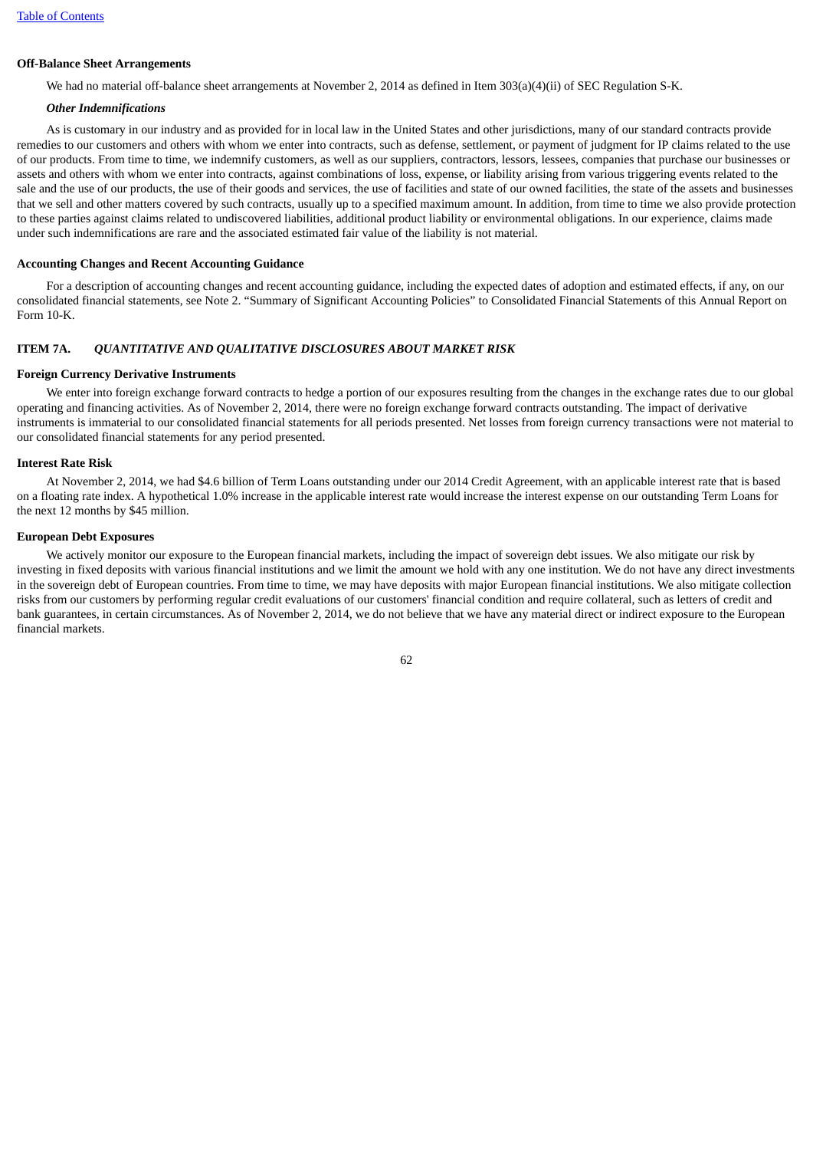## **Off-Balance Sheet Arrangements**

We had no material off-balance sheet arrangements at November 2, 2014 as defined in Item 303(a)(4)(ii) of SEC Regulation S-K.

## *Other Indemnifications*

As is customary in our industry and as provided for in local law in the United States and other jurisdictions, many of our standard contracts provide remedies to our customers and others with whom we enter into contracts, such as defense, settlement, or payment of judgment for IP claims related to the use of our products. From time to time, we indemnify customers, as well as our suppliers, contractors, lessors, lessees, companies that purchase our businesses or assets and others with whom we enter into contracts, against combinations of loss, expense, or liability arising from various triggering events related to the sale and the use of our products, the use of their goods and services, the use of facilities and state of our owned facilities, the state of the assets and businesses that we sell and other matters covered by such contracts, usually up to a specified maximum amount. In addition, from time to time we also provide protection to these parties against claims related to undiscovered liabilities, additional product liability or environmental obligations. In our experience, claims made under such indemnifications are rare and the associated estimated fair value of the liability is not material.

## **Accounting Changes and Recent Accounting Guidance**

For a description of accounting changes and recent accounting guidance, including the expected dates of adoption and estimated effects, if any, on our consolidated financial statements, see Note 2. "Summary of Significant Accounting Policies" to Consolidated Financial Statements of this Annual Report on Form 10-K.

## **ITEM 7A.** *QUANTITATIVE AND QUALITATIVE DISCLOSURES ABOUT MARKET RISK*

## **Foreign Currency Derivative Instruments**

We enter into foreign exchange forward contracts to hedge a portion of our exposures resulting from the changes in the exchange rates due to our global operating and financing activities. As of November 2, 2014, there were no foreign exchange forward contracts outstanding. The impact of derivative instruments is immaterial to our consolidated financial statements for all periods presented. Net losses from foreign currency transactions were not material to our consolidated financial statements for any period presented.

## **Interest Rate Risk**

At November 2, 2014, we had \$4.6 billion of Term Loans outstanding under our 2014 Credit Agreement, with an applicable interest rate that is based on a floating rate index. A hypothetical 1.0% increase in the applicable interest rate would increase the interest expense on our outstanding Term Loans for the next 12 months by \$45 million.

## **European Debt Exposures**

We actively monitor our exposure to the European financial markets, including the impact of sovereign debt issues. We also mitigate our risk by investing in fixed deposits with various financial institutions and we limit the amount we hold with any one institution. We do not have any direct investments in the sovereign debt of European countries. From time to time, we may have deposits with major European financial institutions. We also mitigate collection risks from our customers by performing regular credit evaluations of our customers' financial condition and require collateral, such as letters of credit and bank guarantees, in certain circumstances. As of November 2, 2014, we do not believe that we have any material direct or indirect exposure to the European financial markets.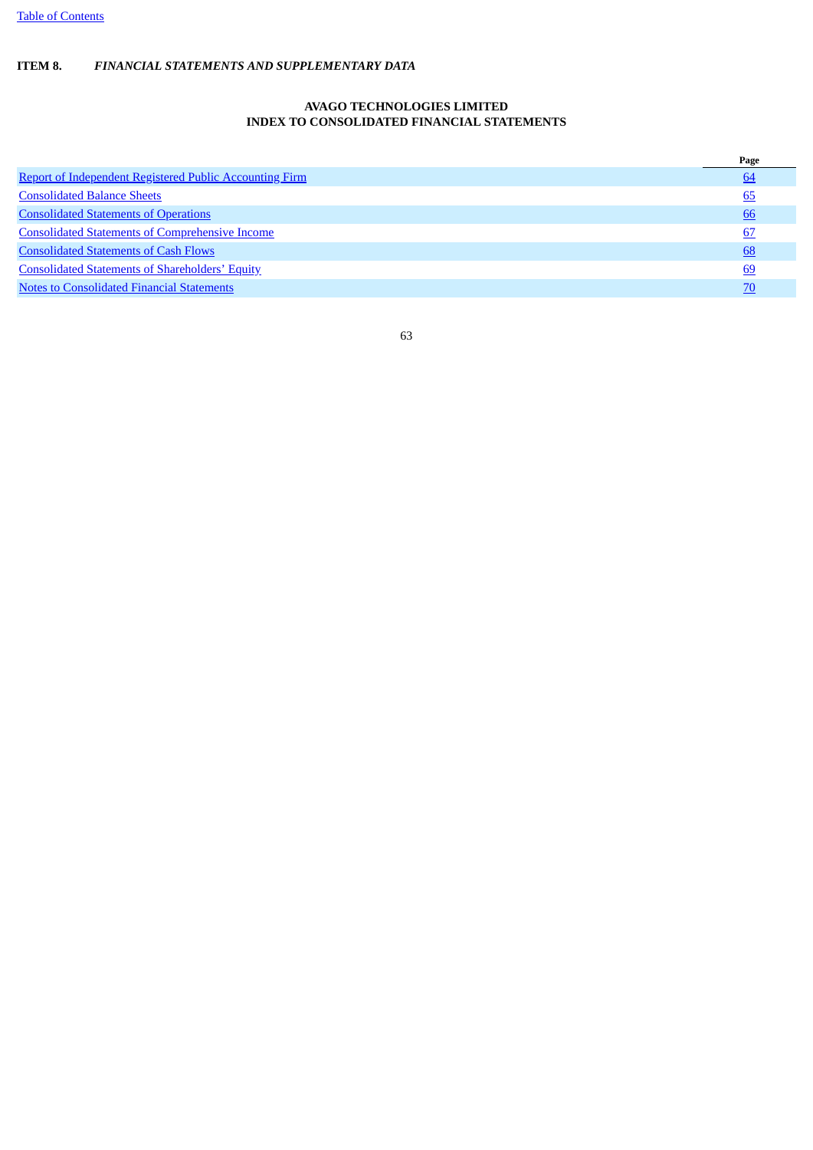# **ITEM 8.** *FINANCIAL STATEMENTS AND SUPPLEMENTARY DATA*

## **AVAGO TECHNOLOGIES LIMITED INDEX TO CONSOLIDATED FINANCIAL STATEMENTS**

<span id="page-62-0"></span>

|                                                         | Page            |
|---------------------------------------------------------|-----------------|
| Report of Independent Registered Public Accounting Firm | <u>64</u>       |
| <b>Consolidated Balance Sheets</b>                      | <u>65</u>       |
| <b>Consolidated Statements of Operations</b>            | <u>66</u>       |
| <b>Consolidated Statements of Comprehensive Income</b>  | 67              |
| <b>Consolidated Statements of Cash Flows</b>            | <u>68</u>       |
| <b>Consolidated Statements of Shareholders' Equity</b>  | <u>69</u>       |
| <b>Notes to Consolidated Financial Statements</b>       | $\overline{20}$ |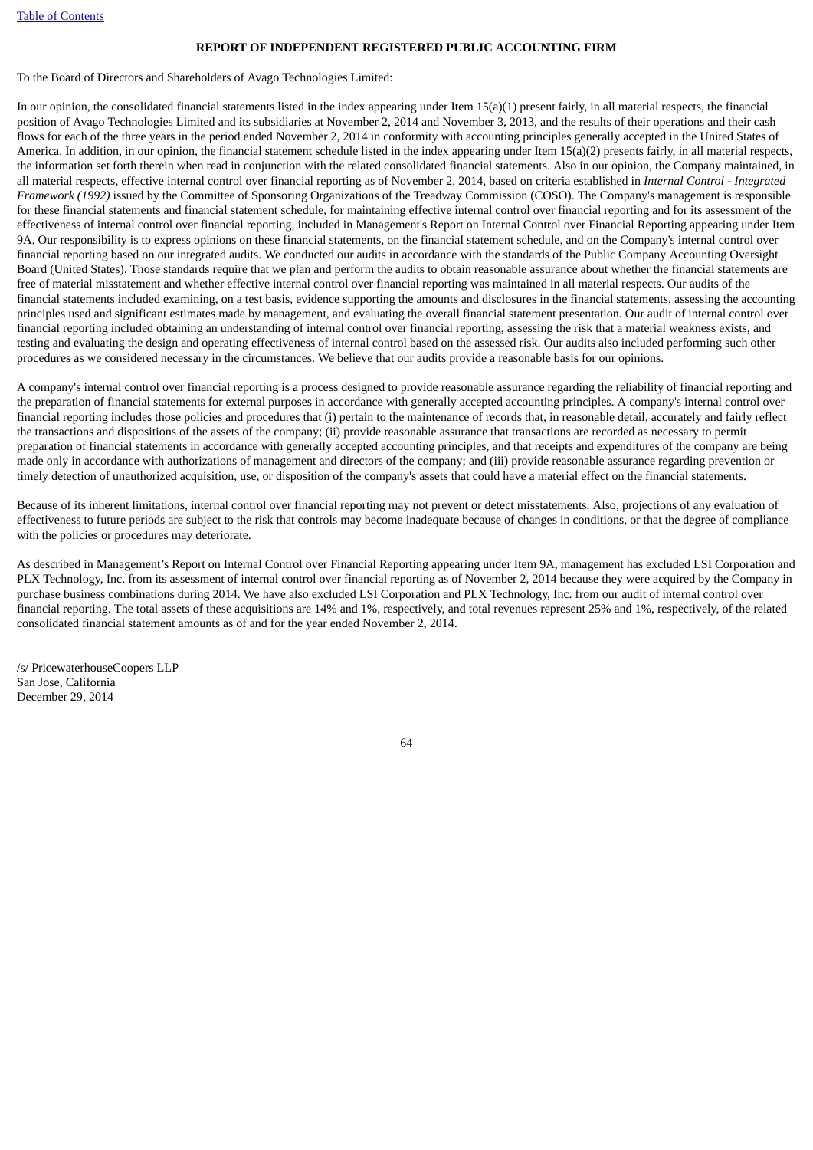## **REPORT OF INDEPENDENT REGISTERED PUBLIC ACCOUNTING FIRM**

To the Board of Directors and Shareholders of Avago Technologies Limited:

In our opinion, the consolidated financial statements listed in the index appearing under Item  $15(a)(1)$  present fairly, in all material respects, the financial position of Avago Technologies Limited and its subsidiaries at November 2, 2014 and November 3, 2013, and the results of their operations and their cash flows for each of the three years in the period ended November 2, 2014 in conformity with accounting principles generally accepted in the United States of America. In addition, in our opinion, the financial statement schedule listed in the index appearing under Item 15(a)(2) presents fairly, in all material respects, the information set forth therein when read in conjunction with the related consolidated financial statements. Also in our opinion, the Company maintained, in all material respects, effective internal control over financial reporting as of November 2, 2014, based on criteria established in *Internal Control - Integrated Framework (1992)* issued by the Committee of Sponsoring Organizations of the Treadway Commission (COSO). The Company's management is responsible for these financial statements and financial statement schedule, for maintaining effective internal control over financial reporting and for its assessment of the effectiveness of internal control over financial reporting, included in Management's Report on Internal Control over Financial Reporting appearing under Item 9A. Our responsibility is to express opinions on these financial statements, on the financial statement schedule, and on the Company's internal control over financial reporting based on our integrated audits. We conducted our audits in accordance with the standards of the Public Company Accounting Oversight Board (United States). Those standards require that we plan and perform the audits to obtain reasonable assurance about whether the financial statements are free of material misstatement and whether effective internal control over financial reporting was maintained in all material respects. Our audits of the financial statements included examining, on a test basis, evidence supporting the amounts and disclosures in the financial statements, assessing the accounting principles used and significant estimates made by management, and evaluating the overall financial statement presentation. Our audit of internal control over financial reporting included obtaining an understanding of internal control over financial reporting, assessing the risk that a material weakness exists, and testing and evaluating the design and operating effectiveness of internal control based on the assessed risk. Our audits also included performing such other procedures as we considered necessary in the circumstances. We believe that our audits provide a reasonable basis for our opinions.

A company's internal control over financial reporting is a process designed to provide reasonable assurance regarding the reliability of financial reporting and the preparation of financial statements for external purposes in accordance with generally accepted accounting principles. A company's internal control over financial reporting includes those policies and procedures that (i) pertain to the maintenance of records that, in reasonable detail, accurately and fairly reflect the transactions and dispositions of the assets of the company; (ii) provide reasonable assurance that transactions are recorded as necessary to permit preparation of financial statements in accordance with generally accepted accounting principles, and that receipts and expenditures of the company are being made only in accordance with authorizations of management and directors of the company; and (iii) provide reasonable assurance regarding prevention or timely detection of unauthorized acquisition, use, or disposition of the company's assets that could have a material effect on the financial statements.

Because of its inherent limitations, internal control over financial reporting may not prevent or detect misstatements. Also, projections of any evaluation of effectiveness to future periods are subject to the risk that controls may become inadequate because of changes in conditions, or that the degree of compliance with the policies or procedures may deteriorate.

As described in Management's Report on Internal Control over Financial Reporting appearing under Item 9A, management has excluded LSI Corporation and PLX Technology, Inc. from its assessment of internal control over financial reporting as of November 2, 2014 because they were acquired by the Company in purchase business combinations during 2014. We have also excluded LSI Corporation and PLX Technology, Inc. from our audit of internal control over financial reporting. The total assets of these acquisitions are 14% and 1%, respectively, and total revenues represent 25% and 1%, respectively, of the related consolidated financial statement amounts as of and for the year ended November 2, 2014.

<span id="page-63-0"></span>/s/ PricewaterhouseCoopers LLP San Jose, California December 29, 2014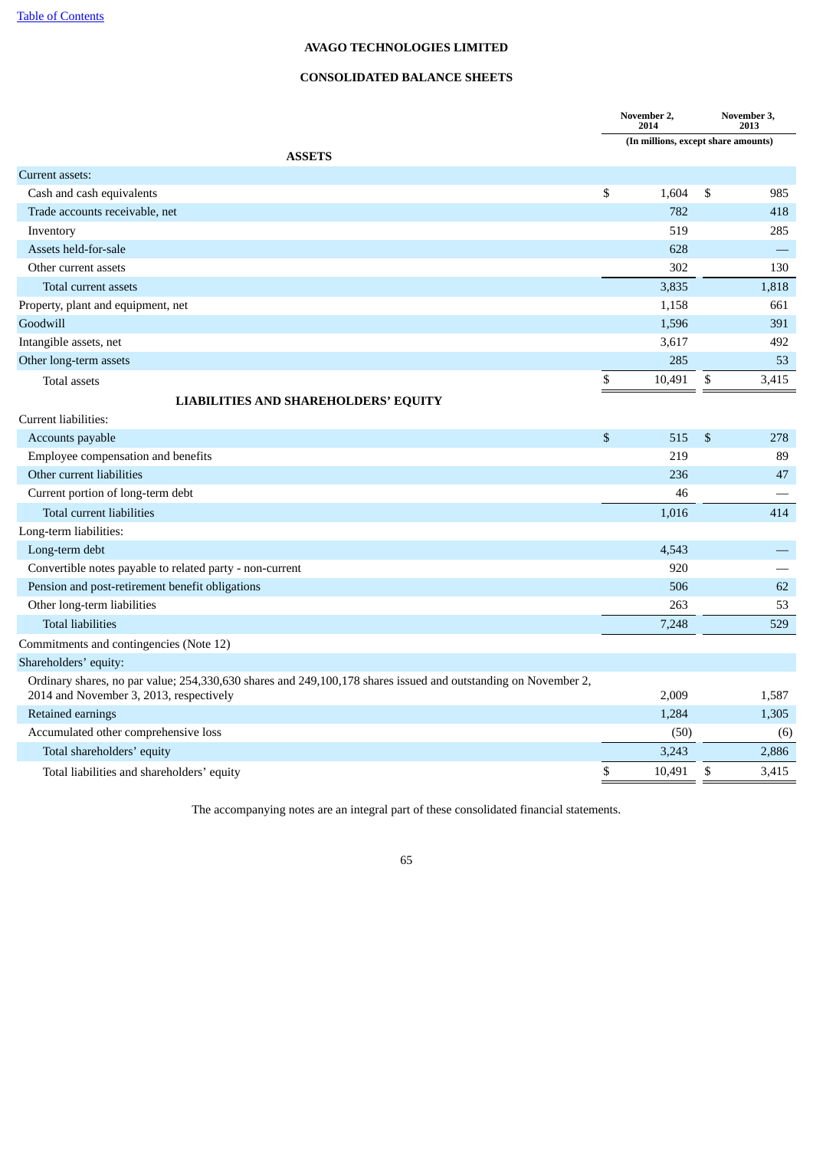# **CONSOLIDATED BALANCE SHEETS**

|                                                                                                                                                           |                | November 2,<br>2014                 | November 3,<br>2013 |       |
|-----------------------------------------------------------------------------------------------------------------------------------------------------------|----------------|-------------------------------------|---------------------|-------|
| <b>ASSETS</b>                                                                                                                                             |                | (In millions, except share amounts) |                     |       |
| Current assets:                                                                                                                                           |                |                                     |                     |       |
| Cash and cash equivalents                                                                                                                                 | \$             | 1,604                               | \$                  | 985   |
| Trade accounts receivable, net                                                                                                                            |                | 782                                 |                     | 418   |
| Inventory                                                                                                                                                 |                | 519                                 |                     | 285   |
| Assets held-for-sale                                                                                                                                      |                | 628                                 |                     |       |
| Other current assets                                                                                                                                      |                | 302                                 |                     | 130   |
| Total current assets                                                                                                                                      |                | 3,835                               |                     | 1,818 |
| Property, plant and equipment, net                                                                                                                        |                | 1,158                               |                     | 661   |
| Goodwill                                                                                                                                                  |                | 1,596                               |                     | 391   |
| Intangible assets, net                                                                                                                                    |                | 3,617                               |                     | 492   |
| Other long-term assets                                                                                                                                    |                | 285                                 |                     | 53    |
| Total assets                                                                                                                                              | \$             | 10,491                              | \$                  | 3,415 |
| <b>LIABILITIES AND SHAREHOLDERS' EQUITY</b>                                                                                                               |                |                                     |                     |       |
| Current liabilities:                                                                                                                                      |                |                                     |                     |       |
| Accounts payable                                                                                                                                          | $\mathfrak{s}$ | 515                                 | \$                  | 278   |
| Employee compensation and benefits                                                                                                                        |                | 219                                 |                     | 89    |
| Other current liabilities                                                                                                                                 |                | 236                                 |                     | 47    |
| Current portion of long-term debt                                                                                                                         |                | 46                                  |                     |       |
| <b>Total current liabilities</b>                                                                                                                          |                | 1,016                               |                     | 414   |
| Long-term liabilities:                                                                                                                                    |                |                                     |                     |       |
| Long-term debt                                                                                                                                            |                | 4,543                               |                     |       |
| Convertible notes payable to related party - non-current                                                                                                  |                | 920                                 |                     |       |
| Pension and post-retirement benefit obligations                                                                                                           |                | 506                                 |                     | 62    |
| Other long-term liabilities                                                                                                                               |                | 263                                 |                     | 53    |
| <b>Total liabilities</b>                                                                                                                                  |                | 7,248                               |                     | 529   |
| Commitments and contingencies (Note 12)                                                                                                                   |                |                                     |                     |       |
| Shareholders' equity:                                                                                                                                     |                |                                     |                     |       |
| Ordinary shares, no par value; 254,330,630 shares and 249,100,178 shares issued and outstanding on November 2,<br>2014 and November 3, 2013, respectively |                | 2,009                               |                     | 1,587 |
| <b>Retained earnings</b>                                                                                                                                  |                | 1,284                               |                     | 1,305 |
| Accumulated other comprehensive loss                                                                                                                      |                | (50)                                |                     | (6)   |
| Total shareholders' equity                                                                                                                                |                | 3,243                               |                     | 2,886 |
| Total liabilities and shareholders' equity                                                                                                                | \$             | 10,491                              | \$                  | 3,415 |

<span id="page-64-0"></span>The accompanying notes are an integral part of these consolidated financial statements.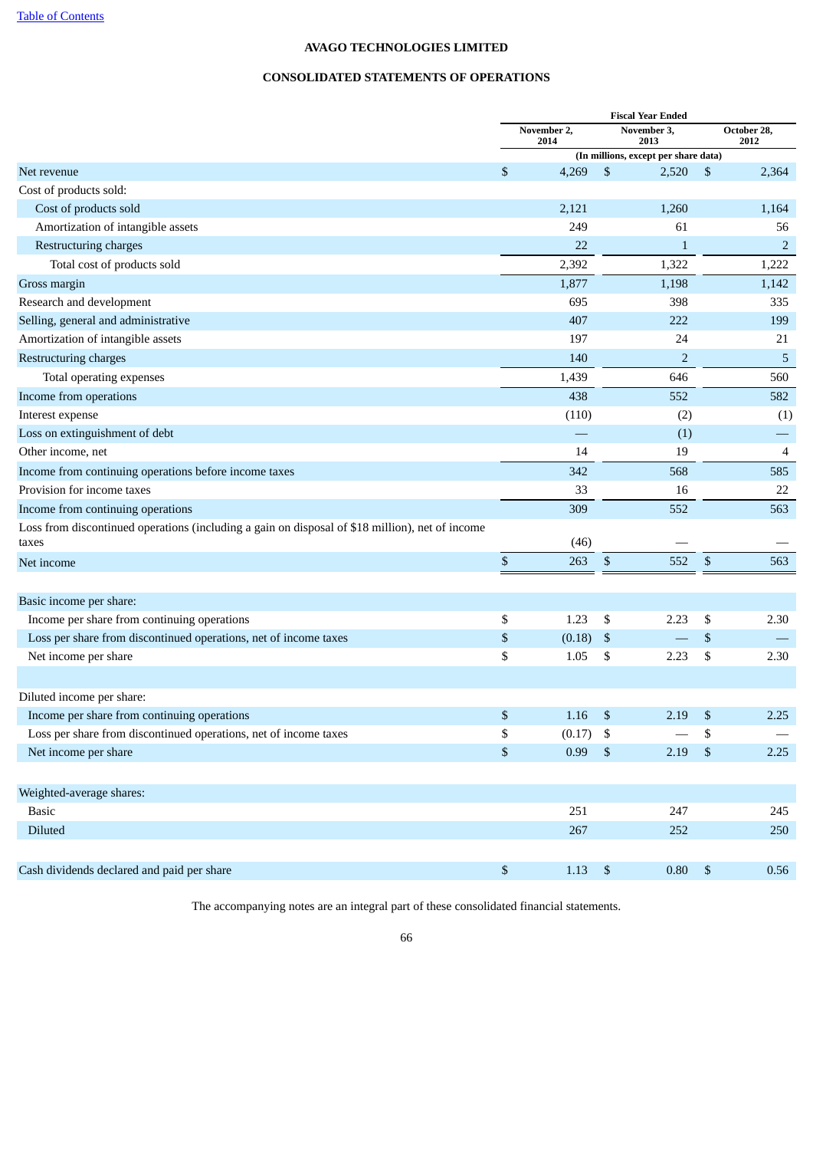# **CONSOLIDATED STATEMENTS OF OPERATIONS**

| November 2,<br>November 3,<br>October 28,<br>2014<br>2012<br>2013<br>(In millions, except per share data)<br>\$<br>4,269<br>\$<br>\$<br>2,520<br>2,364<br>Net revenue<br>Cost of products sold:<br>Cost of products sold<br>2,121<br>1,260<br>1,164<br>Amortization of intangible assets<br>249<br>61<br>56<br>Restructuring charges<br>22<br>$\overline{2}$<br>$\mathbf{1}$<br>1,222<br>Total cost of products sold<br>2,392<br>1,322<br>1,877<br>1,198<br>1,142<br>Gross margin<br>Research and development<br>695<br>398<br>335<br>Selling, general and administrative<br>407<br>222<br>199<br>Amortization of intangible assets<br>197<br>24<br>21<br>140<br>$\overline{2}$<br>5<br>Restructuring charges<br>Total operating expenses<br>1,439<br>646<br>560<br>438<br>582<br>Income from operations<br>552<br>(110)<br>(2)<br>(1)<br>Interest expense<br>Loss on extinguishment of debt<br>(1) |
|-----------------------------------------------------------------------------------------------------------------------------------------------------------------------------------------------------------------------------------------------------------------------------------------------------------------------------------------------------------------------------------------------------------------------------------------------------------------------------------------------------------------------------------------------------------------------------------------------------------------------------------------------------------------------------------------------------------------------------------------------------------------------------------------------------------------------------------------------------------------------------------------------------|
|                                                                                                                                                                                                                                                                                                                                                                                                                                                                                                                                                                                                                                                                                                                                                                                                                                                                                                     |
|                                                                                                                                                                                                                                                                                                                                                                                                                                                                                                                                                                                                                                                                                                                                                                                                                                                                                                     |
|                                                                                                                                                                                                                                                                                                                                                                                                                                                                                                                                                                                                                                                                                                                                                                                                                                                                                                     |
|                                                                                                                                                                                                                                                                                                                                                                                                                                                                                                                                                                                                                                                                                                                                                                                                                                                                                                     |
|                                                                                                                                                                                                                                                                                                                                                                                                                                                                                                                                                                                                                                                                                                                                                                                                                                                                                                     |
|                                                                                                                                                                                                                                                                                                                                                                                                                                                                                                                                                                                                                                                                                                                                                                                                                                                                                                     |
|                                                                                                                                                                                                                                                                                                                                                                                                                                                                                                                                                                                                                                                                                                                                                                                                                                                                                                     |
|                                                                                                                                                                                                                                                                                                                                                                                                                                                                                                                                                                                                                                                                                                                                                                                                                                                                                                     |
|                                                                                                                                                                                                                                                                                                                                                                                                                                                                                                                                                                                                                                                                                                                                                                                                                                                                                                     |
|                                                                                                                                                                                                                                                                                                                                                                                                                                                                                                                                                                                                                                                                                                                                                                                                                                                                                                     |
|                                                                                                                                                                                                                                                                                                                                                                                                                                                                                                                                                                                                                                                                                                                                                                                                                                                                                                     |
|                                                                                                                                                                                                                                                                                                                                                                                                                                                                                                                                                                                                                                                                                                                                                                                                                                                                                                     |
|                                                                                                                                                                                                                                                                                                                                                                                                                                                                                                                                                                                                                                                                                                                                                                                                                                                                                                     |
|                                                                                                                                                                                                                                                                                                                                                                                                                                                                                                                                                                                                                                                                                                                                                                                                                                                                                                     |
|                                                                                                                                                                                                                                                                                                                                                                                                                                                                                                                                                                                                                                                                                                                                                                                                                                                                                                     |
|                                                                                                                                                                                                                                                                                                                                                                                                                                                                                                                                                                                                                                                                                                                                                                                                                                                                                                     |
|                                                                                                                                                                                                                                                                                                                                                                                                                                                                                                                                                                                                                                                                                                                                                                                                                                                                                                     |
| Other income, net<br>19<br>$\overline{4}$<br>14                                                                                                                                                                                                                                                                                                                                                                                                                                                                                                                                                                                                                                                                                                                                                                                                                                                     |
| 568<br>585<br>Income from continuing operations before income taxes<br>342                                                                                                                                                                                                                                                                                                                                                                                                                                                                                                                                                                                                                                                                                                                                                                                                                          |
| Provision for income taxes<br>33<br>22<br>16                                                                                                                                                                                                                                                                                                                                                                                                                                                                                                                                                                                                                                                                                                                                                                                                                                                        |
| 309<br>552<br>563<br>Income from continuing operations                                                                                                                                                                                                                                                                                                                                                                                                                                                                                                                                                                                                                                                                                                                                                                                                                                              |
| Loss from discontinued operations (including a gain on disposal of \$18 million), net of income                                                                                                                                                                                                                                                                                                                                                                                                                                                                                                                                                                                                                                                                                                                                                                                                     |
| (46)<br>taxes                                                                                                                                                                                                                                                                                                                                                                                                                                                                                                                                                                                                                                                                                                                                                                                                                                                                                       |
| $\mathbb{S}$<br>$\mathfrak{s}$<br>\$<br>552<br>263<br>563<br>Net income                                                                                                                                                                                                                                                                                                                                                                                                                                                                                                                                                                                                                                                                                                                                                                                                                             |
|                                                                                                                                                                                                                                                                                                                                                                                                                                                                                                                                                                                                                                                                                                                                                                                                                                                                                                     |
| Basic income per share:                                                                                                                                                                                                                                                                                                                                                                                                                                                                                                                                                                                                                                                                                                                                                                                                                                                                             |
| \$<br>Income per share from continuing operations<br>1.23<br>\$<br>2.23<br>\$<br>2.30                                                                                                                                                                                                                                                                                                                                                                                                                                                                                                                                                                                                                                                                                                                                                                                                               |
| Loss per share from discontinued operations, net of income taxes<br>\$<br>$\boldsymbol{\mathsf{S}}$<br>\$<br>(0.18)                                                                                                                                                                                                                                                                                                                                                                                                                                                                                                                                                                                                                                                                                                                                                                                 |
| \$<br>\$<br>\$<br>2.23<br>2.30<br>Net income per share<br>1.05                                                                                                                                                                                                                                                                                                                                                                                                                                                                                                                                                                                                                                                                                                                                                                                                                                      |
|                                                                                                                                                                                                                                                                                                                                                                                                                                                                                                                                                                                                                                                                                                                                                                                                                                                                                                     |
| Diluted income per share:                                                                                                                                                                                                                                                                                                                                                                                                                                                                                                                                                                                                                                                                                                                                                                                                                                                                           |
| \$<br>Income per share from continuing operations<br>1.16<br>\$<br>2.19<br>\$<br>2.25                                                                                                                                                                                                                                                                                                                                                                                                                                                                                                                                                                                                                                                                                                                                                                                                               |
| Loss per share from discontinued operations, net of income taxes<br>\$<br>\$<br>$(0.17)$ \$                                                                                                                                                                                                                                                                                                                                                                                                                                                                                                                                                                                                                                                                                                                                                                                                         |
| Net income per share<br>\$<br>0.99<br>$\boldsymbol{\mathsf{S}}$<br>$\boldsymbol{\mathsf{S}}$<br>2.19<br>2.25                                                                                                                                                                                                                                                                                                                                                                                                                                                                                                                                                                                                                                                                                                                                                                                        |
|                                                                                                                                                                                                                                                                                                                                                                                                                                                                                                                                                                                                                                                                                                                                                                                                                                                                                                     |
| Weighted-average shares:                                                                                                                                                                                                                                                                                                                                                                                                                                                                                                                                                                                                                                                                                                                                                                                                                                                                            |
| 251<br>Basic<br>247<br>245                                                                                                                                                                                                                                                                                                                                                                                                                                                                                                                                                                                                                                                                                                                                                                                                                                                                          |
| 267<br>Diluted<br>252<br>250                                                                                                                                                                                                                                                                                                                                                                                                                                                                                                                                                                                                                                                                                                                                                                                                                                                                        |
|                                                                                                                                                                                                                                                                                                                                                                                                                                                                                                                                                                                                                                                                                                                                                                                                                                                                                                     |
| Cash dividends declared and paid per share<br>$\mathbb S$<br>$\mathbb{S}$<br>0.80<br>$\mathfrak{F}$<br>1.13<br>0.56                                                                                                                                                                                                                                                                                                                                                                                                                                                                                                                                                                                                                                                                                                                                                                                 |

<span id="page-65-0"></span>The accompanying notes are an integral part of these consolidated financial statements.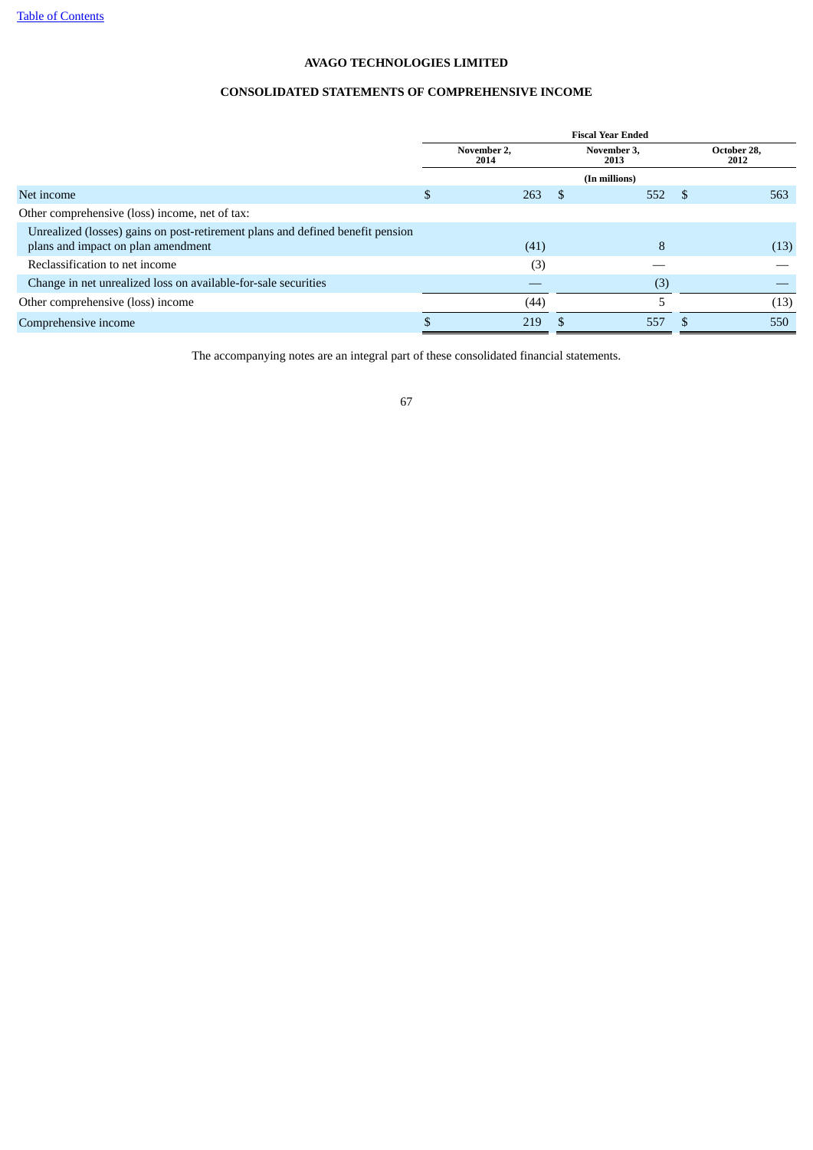# **CONSOLIDATED STATEMENTS OF COMPREHENSIVE INCOME**

|                                                                                | <b>Fiscal Year Ended</b> |                                            |  |               |    |                     |  |
|--------------------------------------------------------------------------------|--------------------------|--------------------------------------------|--|---------------|----|---------------------|--|
|                                                                                |                          | November 2,<br>November 3,<br>2013<br>2014 |  |               |    | October 28,<br>2012 |  |
|                                                                                |                          |                                            |  | (In millions) |    |                     |  |
| Net income                                                                     |                          | 263                                        |  | 552           | -S | 563                 |  |
| Other comprehensive (loss) income, net of tax:                                 |                          |                                            |  |               |    |                     |  |
| Unrealized (losses) gains on post-retirement plans and defined benefit pension |                          |                                            |  |               |    |                     |  |
| plans and impact on plan amendment                                             |                          | (41)                                       |  | 8             |    | (13)                |  |
| Reclassification to net income                                                 |                          | (3)                                        |  |               |    |                     |  |
| Change in net unrealized loss on available-for-sale securities                 |                          |                                            |  | (3)           |    |                     |  |
| Other comprehensive (loss) income                                              |                          | (44)                                       |  |               |    | (13)                |  |
| Comprehensive income                                                           |                          | 219                                        |  | 557           |    | 550                 |  |

<span id="page-66-0"></span>The accompanying notes are an integral part of these consolidated financial statements.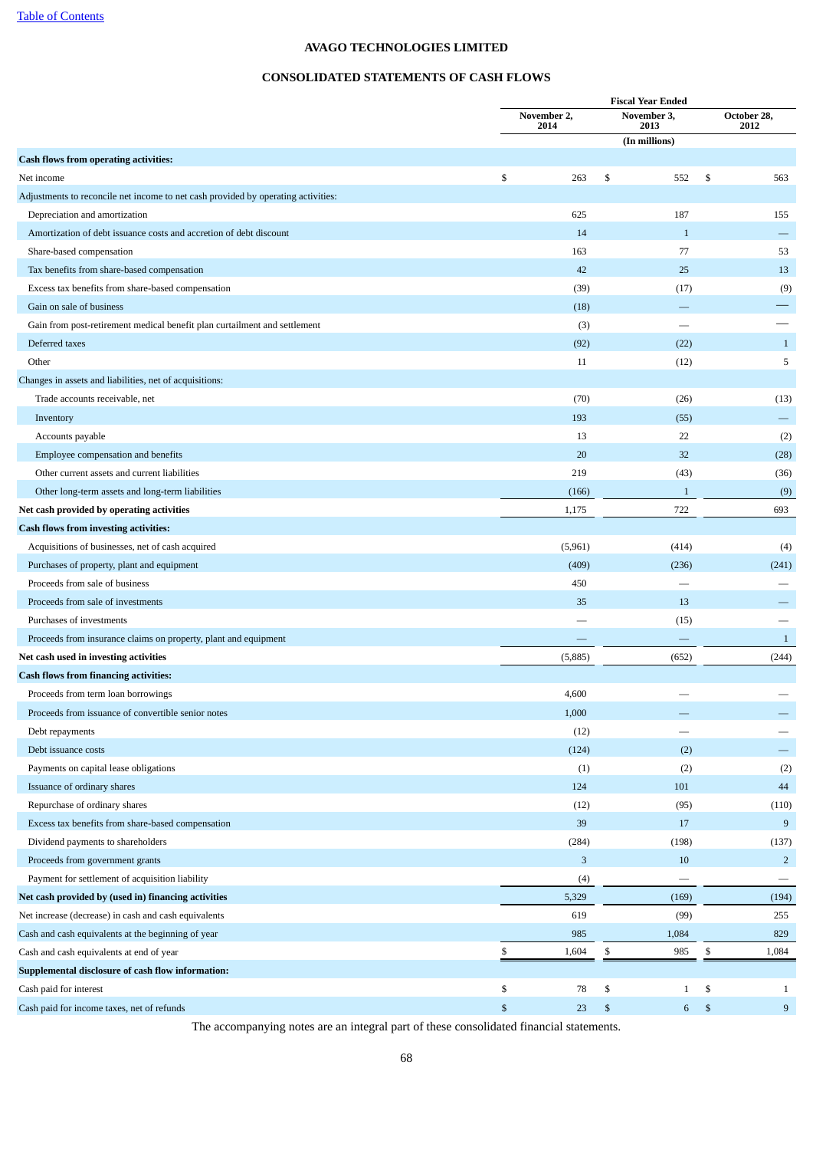# **CONSOLIDATED STATEMENTS OF CASH FLOWS**

|                                                                                   | <b>Fiscal Year Ended</b> |              |                     |    |                     |  |  |
|-----------------------------------------------------------------------------------|--------------------------|--------------|---------------------|----|---------------------|--|--|
|                                                                                   | November 2,<br>2014      |              | November 3,<br>2013 |    | October 28,<br>2012 |  |  |
|                                                                                   |                          |              | (In millions)       |    |                     |  |  |
| <b>Cash flows from operating activities:</b>                                      |                          |              |                     |    |                     |  |  |
| Net income                                                                        | \$<br>263                | \$           | 552                 | \$ | 563                 |  |  |
| Adjustments to reconcile net income to net cash provided by operating activities: |                          |              |                     |    |                     |  |  |
| Depreciation and amortization                                                     | 625                      |              | 187                 |    | 155                 |  |  |
| Amortization of debt issuance costs and accretion of debt discount                | 14                       |              | $\mathbf{1}$        |    |                     |  |  |
| Share-based compensation                                                          | 163                      |              | 77                  |    | 53                  |  |  |
| Tax benefits from share-based compensation                                        | 42                       |              | 25                  |    | 13                  |  |  |
| Excess tax benefits from share-based compensation                                 | (39)                     |              | (17)                |    | (9)                 |  |  |
| Gain on sale of business                                                          | (18)                     |              |                     |    |                     |  |  |
| Gain from post-retirement medical benefit plan curtailment and settlement         | (3)                      |              |                     |    |                     |  |  |
| Deferred taxes                                                                    | (92)                     |              | (22)                |    | $\mathbf{1}$        |  |  |
| Other                                                                             | 11                       |              | (12)                |    | 5                   |  |  |
| Changes in assets and liabilities, net of acquisitions:                           |                          |              |                     |    |                     |  |  |
| Trade accounts receivable, net                                                    | (70)                     |              | (26)                |    | (13)                |  |  |
| Inventory                                                                         | 193                      |              | (55)                |    |                     |  |  |
| Accounts payable                                                                  | 13                       |              | 22                  |    | (2)                 |  |  |
| Employee compensation and benefits                                                | 20                       |              | 32                  |    | (28)                |  |  |
| Other current assets and current liabilities                                      | 219                      |              | (43)                |    | (36)                |  |  |
| Other long-term assets and long-term liabilities                                  | (166)                    |              | $\mathbf{1}$        |    | (9)                 |  |  |
| Net cash provided by operating activities                                         | 1,175                    |              | 722                 |    | 693                 |  |  |
| <b>Cash flows from investing activities:</b>                                      |                          |              |                     |    |                     |  |  |
| Acquisitions of businesses, net of cash acquired                                  | (5,961)                  |              | (414)               |    | (4)                 |  |  |
| Purchases of property, plant and equipment                                        | (409)                    |              | (236)               |    | (241)               |  |  |
| Proceeds from sale of business                                                    | 450                      |              |                     |    |                     |  |  |
| Proceeds from sale of investments                                                 | 35                       |              | 13                  |    |                     |  |  |
| Purchases of investments                                                          |                          |              | (15)                |    |                     |  |  |
| Proceeds from insurance claims on property, plant and equipment                   |                          |              |                     |    | $\mathbf{1}$        |  |  |
| Net cash used in investing activities                                             | (5,885)                  |              | (652)               |    | (244)               |  |  |
| <b>Cash flows from financing activities:</b>                                      |                          |              |                     |    |                     |  |  |
| Proceeds from term loan borrowings                                                | 4,600                    |              |                     |    |                     |  |  |
| Proceeds from issuance of convertible senior notes                                | 1,000                    |              |                     |    |                     |  |  |
| Debt repayments                                                                   | (12)                     |              |                     |    |                     |  |  |
| Debt issuance costs                                                               | (124)                    |              | (2)                 |    |                     |  |  |
| Payments on capital lease obligations                                             | (1)                      |              | (2)                 |    | (2)                 |  |  |
| Issuance of ordinary shares                                                       | 124                      |              | 101                 |    | 44                  |  |  |
| Repurchase of ordinary shares                                                     | (12)                     |              | (95)                |    | (110)               |  |  |
| Excess tax benefits from share-based compensation                                 | 39                       |              | 17                  |    | 9                   |  |  |
| Dividend payments to shareholders                                                 | (284)                    |              | (198)               |    | (137)               |  |  |
| Proceeds from government grants                                                   | $\mathbf{3}$             |              | 10                  |    | $\overline{2}$      |  |  |
| Payment for settlement of acquisition liability                                   | (4)                      |              |                     |    | $\hspace{0.05cm}$   |  |  |
| Net cash provided by (used in) financing activities                               | 5,329                    |              | (169)               |    | (194)               |  |  |
| Net increase (decrease) in cash and cash equivalents                              | 619                      |              | (99)                |    | 255                 |  |  |
| Cash and cash equivalents at the beginning of year                                | 985                      |              | 1,084               |    | 829                 |  |  |
| Cash and cash equivalents at end of year                                          | \$<br>1,604              | \$           | 985                 | \$ | 1,084               |  |  |
| Supplemental disclosure of cash flow information:                                 |                          |              |                     |    |                     |  |  |
| Cash paid for interest                                                            | \$<br>78                 | \$           | $\mathbf{1}$        | \$ | $\mathbf{1}$        |  |  |
| Cash paid for income taxes, net of refunds                                        | \$<br>23                 | $\mathbb{S}$ | $6\quad$ \$         |    | 9                   |  |  |

<span id="page-67-0"></span>The accompanying notes are an integral part of these consolidated financial statements.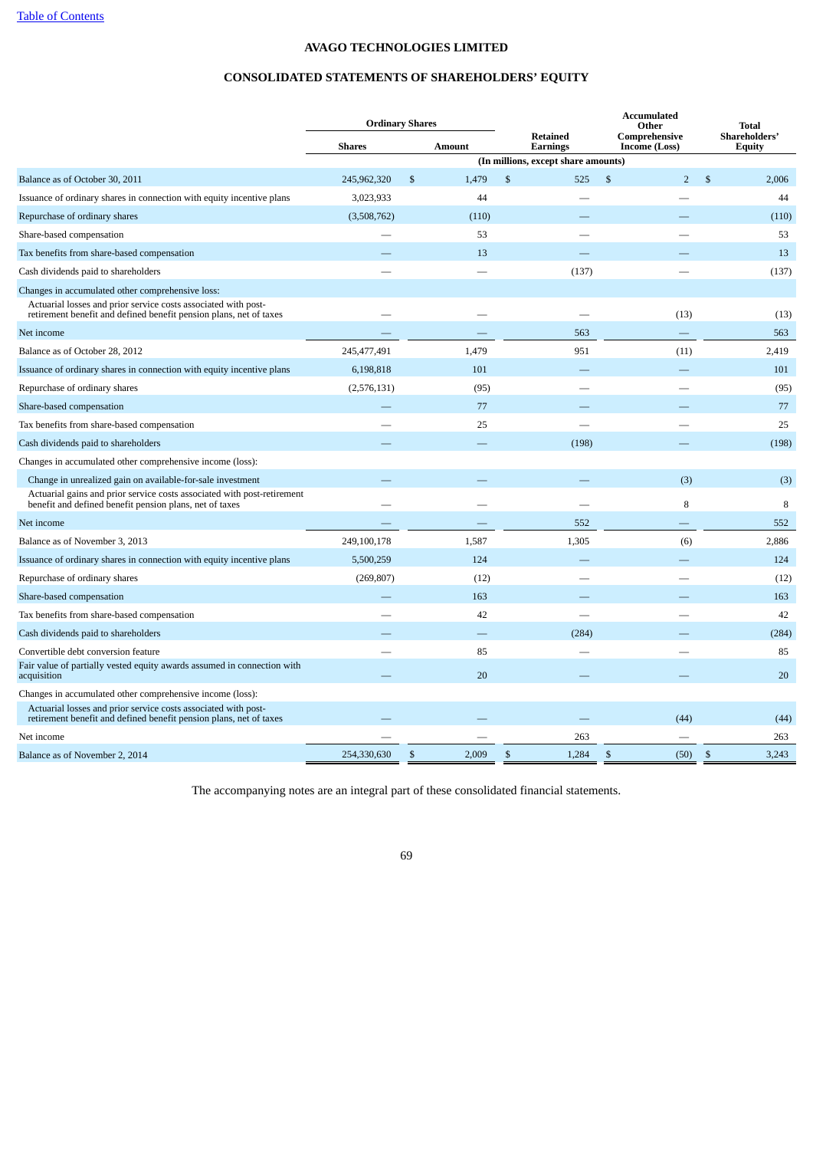# **CONSOLIDATED STATEMENTS OF SHAREHOLDERS' EQUITY**

|                                                                                                                                      | <b>Ordinary Shares</b>         |              |       |                 | <b>Retained</b>                     | <b>Accumulated</b><br>Other<br>Comprehensive |               | <b>Total</b><br>Shareholders' |
|--------------------------------------------------------------------------------------------------------------------------------------|--------------------------------|--------------|-------|-----------------|-------------------------------------|----------------------------------------------|---------------|-------------------------------|
|                                                                                                                                      | <b>Shares</b><br><b>Amount</b> |              |       | <b>Earnings</b> | Income (Loss)                       |                                              | <b>Equity</b> |                               |
|                                                                                                                                      |                                |              |       |                 | (In millions, except share amounts) |                                              |               |                               |
| Balance as of October 30, 2011                                                                                                       | 245,962,320                    | $\mathbb{S}$ | 1.479 | $\mathfrak{s}$  | 525                                 | $\overline{2}$<br>£.                         | \$            | 2,006                         |
| Issuance of ordinary shares in connection with equity incentive plans                                                                | 3,023,933                      |              | 44    |                 |                                     |                                              |               | 44                            |
| Repurchase of ordinary shares                                                                                                        | (3,508,762)                    |              | (110) |                 |                                     |                                              |               | (110)                         |
| Share-based compensation                                                                                                             |                                |              | 53    |                 |                                     |                                              |               | 53                            |
| Tax benefits from share-based compensation                                                                                           |                                |              | 13    |                 |                                     |                                              |               | 13                            |
| Cash dividends paid to shareholders                                                                                                  |                                |              |       |                 | (137)                               |                                              |               | (137)                         |
| Changes in accumulated other comprehensive loss:                                                                                     |                                |              |       |                 |                                     |                                              |               |                               |
| Actuarial losses and prior service costs associated with post-<br>retirement benefit and defined benefit pension plans, net of taxes |                                |              |       |                 |                                     | (13)                                         |               | (13)                          |
| Net income                                                                                                                           |                                |              |       |                 | 563                                 |                                              |               | 563                           |
| Balance as of October 28, 2012                                                                                                       | 245,477,491                    |              | 1,479 |                 | 951                                 | (11)                                         |               | 2,419                         |
| Issuance of ordinary shares in connection with equity incentive plans                                                                | 6,198,818                      |              | 101   |                 |                                     |                                              |               | 101                           |
| Repurchase of ordinary shares                                                                                                        | (2,576,131)                    |              | (95)  |                 |                                     |                                              |               | (95)                          |
| Share-based compensation                                                                                                             |                                |              | 77    |                 |                                     |                                              |               | 77                            |
| Tax benefits from share-based compensation                                                                                           |                                |              | 25    |                 |                                     |                                              |               | 25                            |
| Cash dividends paid to shareholders                                                                                                  |                                |              |       |                 | (198)                               |                                              |               | (198)                         |
| Changes in accumulated other comprehensive income (loss):                                                                            |                                |              |       |                 |                                     |                                              |               |                               |
| Change in unrealized gain on available-for-sale investment                                                                           |                                |              |       |                 |                                     | (3)                                          |               | (3)                           |
| Actuarial gains and prior service costs associated with post-retirement<br>benefit and defined benefit pension plans, net of taxes   |                                |              |       |                 |                                     | 8                                            |               | 8                             |
| Net income                                                                                                                           |                                |              |       |                 | 552                                 |                                              |               | 552                           |
| Balance as of November 3, 2013                                                                                                       | 249,100,178                    |              | 1,587 |                 | 1,305                               | (6)                                          |               | 2,886                         |
| Issuance of ordinary shares in connection with equity incentive plans                                                                | 5,500,259                      |              | 124   |                 |                                     |                                              |               | 124                           |
| Repurchase of ordinary shares                                                                                                        | (269, 807)                     |              | (12)  |                 |                                     |                                              |               | (12)                          |
| Share-based compensation                                                                                                             |                                |              | 163   |                 |                                     |                                              |               | 163                           |
| Tax benefits from share-based compensation                                                                                           |                                |              | 42    |                 |                                     |                                              |               | 42                            |
| Cash dividends paid to shareholders                                                                                                  |                                |              |       |                 | (284)                               |                                              |               | (284)                         |
| Convertible debt conversion feature                                                                                                  |                                |              | 85    |                 |                                     |                                              |               | 85                            |
| Fair value of partially vested equity awards assumed in connection with<br>acquisition                                               |                                |              | 20    |                 |                                     |                                              |               | 20                            |
| Changes in accumulated other comprehensive income (loss):                                                                            |                                |              |       |                 |                                     |                                              |               |                               |
| Actuarial losses and prior service costs associated with post-<br>retirement benefit and defined benefit pension plans, net of taxes |                                |              |       |                 |                                     | (44)                                         |               | (44)                          |
| Net income                                                                                                                           |                                |              |       |                 | 263                                 |                                              |               | 263                           |
| Balance as of November 2, 2014                                                                                                       | 254,330,630                    | \$           | 2,009 | $\mathbb{S}$    | 1,284                               | $\mathfrak{s}$<br>(50)                       | $\mathbb{S}$  | 3,243                         |

<span id="page-68-0"></span>The accompanying notes are an integral part of these consolidated financial statements.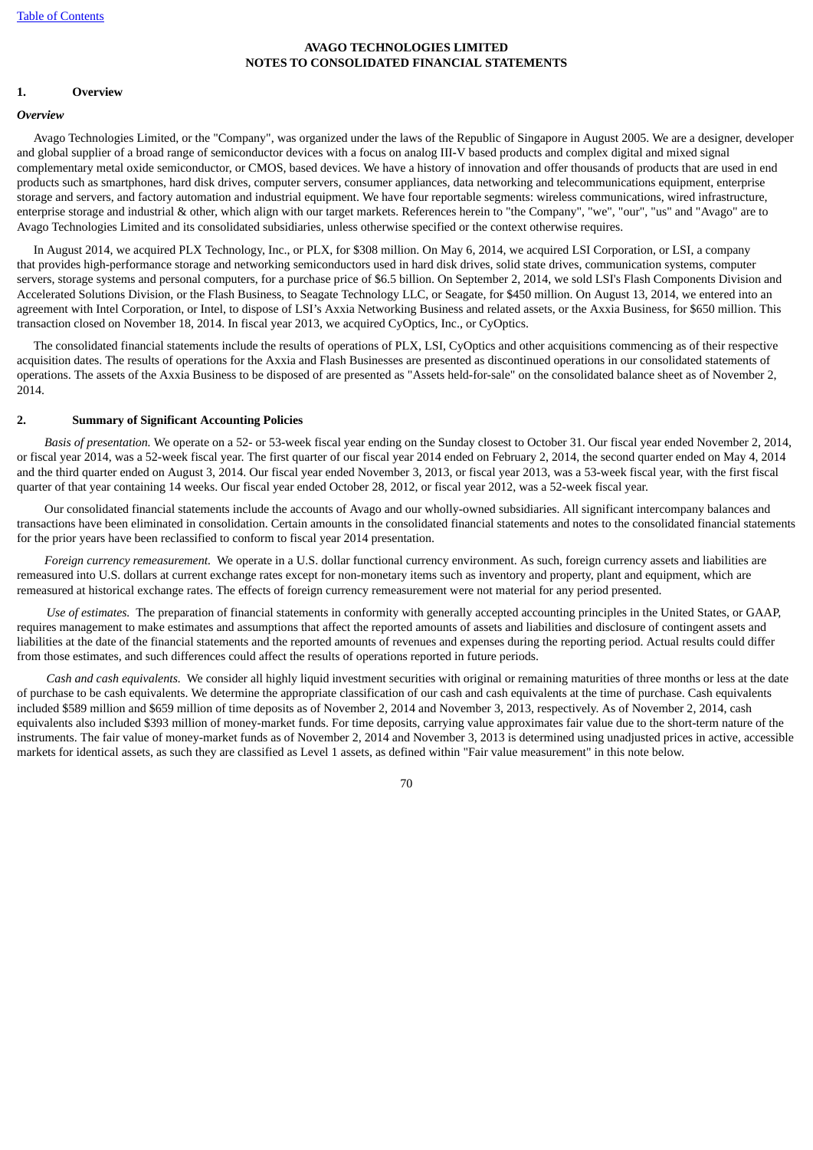## **AVAGO TECHNOLOGIES LIMITED NOTES TO CONSOLIDATED FINANCIAL STATEMENTS**

### **1. Overview**

## *Overview*

Avago Technologies Limited, or the "Company", was organized under the laws of the Republic of Singapore in August 2005. We are a designer, developer and global supplier of a broad range of semiconductor devices with a focus on analog III-V based products and complex digital and mixed signal complementary metal oxide semiconductor, or CMOS, based devices. We have a history of innovation and offer thousands of products that are used in end products such as smartphones, hard disk drives, computer servers, consumer appliances, data networking and telecommunications equipment, enterprise storage and servers, and factory automation and industrial equipment. We have four reportable segments: wireless communications, wired infrastructure, enterprise storage and industrial & other, which align with our target markets. References herein to "the Company", "we", "our", "us" and "Avago" are to Avago Technologies Limited and its consolidated subsidiaries, unless otherwise specified or the context otherwise requires.

In August 2014, we acquired PLX Technology, Inc., or PLX, for \$308 million. On May 6, 2014, we acquired LSI Corporation, or LSI, a company that provides high-performance storage and networking semiconductors used in hard disk drives, solid state drives, communication systems, computer servers, storage systems and personal computers, for a purchase price of \$6.5 billion. On September 2, 2014, we sold LSI's Flash Components Division and Accelerated Solutions Division, or the Flash Business, to Seagate Technology LLC, or Seagate, for \$450 million. On August 13, 2014, we entered into an agreement with Intel Corporation, or Intel, to dispose of LSI's Axxia Networking Business and related assets, or the Axxia Business, for \$650 million. This transaction closed on November 18, 2014. In fiscal year 2013, we acquired CyOptics, Inc., or CyOptics.

The consolidated financial statements include the results of operations of PLX, LSI, CyOptics and other acquisitions commencing as of their respective acquisition dates. The results of operations for the Axxia and Flash Businesses are presented as discontinued operations in our consolidated statements of operations. The assets of the Axxia Business to be disposed of are presented as "Assets held-for-sale" on the consolidated balance sheet as of November 2, 2014.

## **2. Summary of Significant Accounting Policies**

*Basis of presentation.* We operate on a 52- or 53-week fiscal year ending on the Sunday closest to October 31. Our fiscal year ended November 2, 2014, or fiscal year 2014, was a 52-week fiscal year. The first quarter of our fiscal year 2014 ended on February 2, 2014, the second quarter ended on May 4, 2014 and the third quarter ended on August 3, 2014. Our fiscal year ended November 3, 2013, or fiscal year 2013, was a 53-week fiscal year, with the first fiscal quarter of that year containing 14 weeks. Our fiscal year ended October 28, 2012, or fiscal year 2012, was a 52-week fiscal year.

Our consolidated financial statements include the accounts of Avago and our wholly-owned subsidiaries. All significant intercompany balances and transactions have been eliminated in consolidation. Certain amounts in the consolidated financial statements and notes to the consolidated financial statements for the prior years have been reclassified to conform to fiscal year 2014 presentation.

*Foreign currency remeasurement.* We operate in a U.S. dollar functional currency environment. As such, foreign currency assets and liabilities are remeasured into U.S. dollars at current exchange rates except for non-monetary items such as inventory and property, plant and equipment, which are remeasured at historical exchange rates. The effects of foreign currency remeasurement were not material for any period presented.

*Use of estimates.* The preparation of financial statements in conformity with generally accepted accounting principles in the United States, or GAAP, requires management to make estimates and assumptions that affect the reported amounts of assets and liabilities and disclosure of contingent assets and liabilities at the date of the financial statements and the reported amounts of revenues and expenses during the reporting period. Actual results could differ from those estimates, and such differences could affect the results of operations reported in future periods.

*Cash and cash equivalents.* We consider all highly liquid investment securities with original or remaining maturities of three months or less at the date of purchase to be cash equivalents. We determine the appropriate classification of our cash and cash equivalents at the time of purchase. Cash equivalents included \$589 million and \$659 million of time deposits as of November 2, 2014 and November 3, 2013, respectively. As of November 2, 2014, cash equivalents also included \$393 million of money-market funds. For time deposits, carrying value approximates fair value due to the short-term nature of the instruments. The fair value of money-market funds as of November 2, 2014 and November 3, 2013 is determined using unadjusted prices in active, accessible markets for identical assets, as such they are classified as Level 1 assets, as defined within "Fair value measurement" in this note below.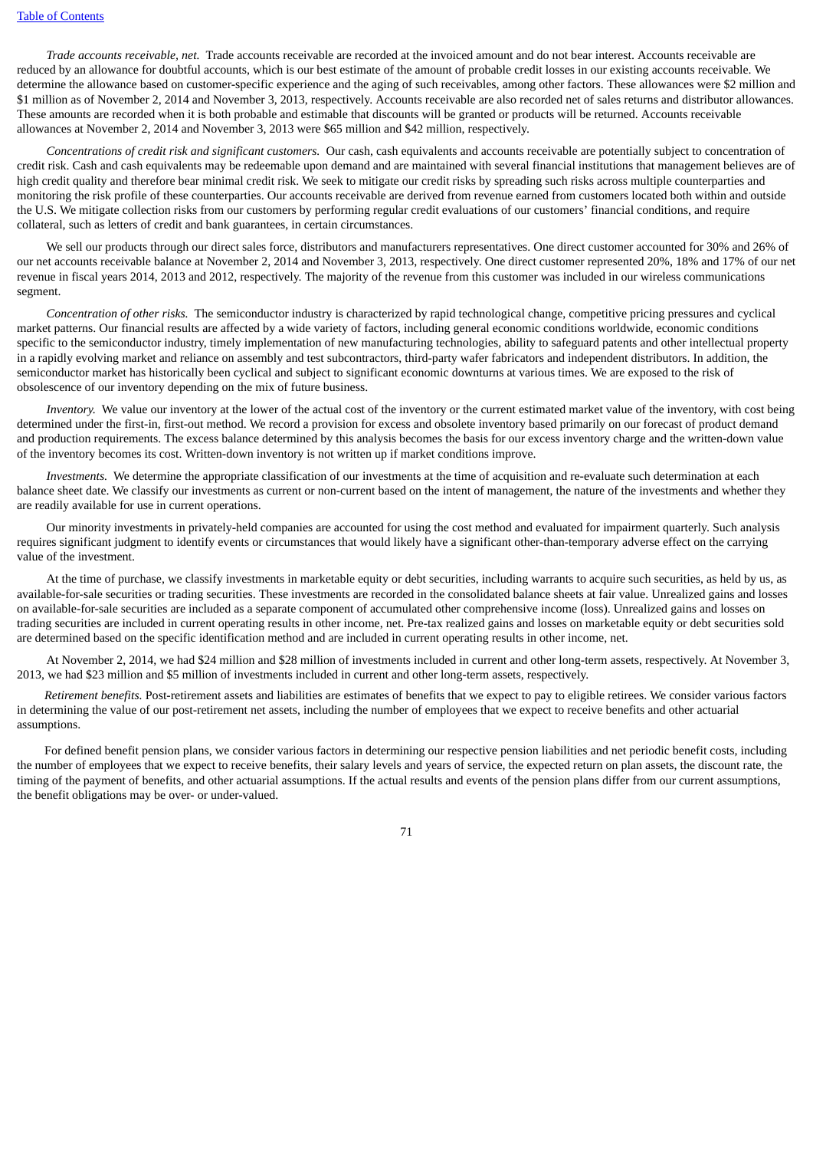*Trade accounts receivable, net.* Trade accounts receivable are recorded at the invoiced amount and do not bear interest. Accounts receivable are reduced by an allowance for doubtful accounts, which is our best estimate of the amount of probable credit losses in our existing accounts receivable. We determine the allowance based on customer-specific experience and the aging of such receivables, among other factors. These allowances were \$2 million and \$1 million as of November 2, 2014 and November 3, 2013, respectively. Accounts receivable are also recorded net of sales returns and distributor allowances. These amounts are recorded when it is both probable and estimable that discounts will be granted or products will be returned. Accounts receivable allowances at November 2, 2014 and November 3, 2013 were \$65 million and \$42 million, respectively.

*Concentrations of credit risk and significant customers.* Our cash, cash equivalents and accounts receivable are potentially subject to concentration of credit risk. Cash and cash equivalents may be redeemable upon demand and are maintained with several financial institutions that management believes are of high credit quality and therefore bear minimal credit risk. We seek to mitigate our credit risks by spreading such risks across multiple counterparties and monitoring the risk profile of these counterparties. Our accounts receivable are derived from revenue earned from customers located both within and outside the U.S. We mitigate collection risks from our customers by performing regular credit evaluations of our customers' financial conditions, and require collateral, such as letters of credit and bank guarantees, in certain circumstances.

We sell our products through our direct sales force, distributors and manufacturers representatives. One direct customer accounted for 30% and 26% of our net accounts receivable balance at November 2, 2014 and November 3, 2013, respectively. One direct customer represented 20%, 18% and 17% of our net revenue in fiscal years 2014, 2013 and 2012, respectively. The majority of the revenue from this customer was included in our wireless communications segment.

*Concentration of other risks.* The semiconductor industry is characterized by rapid technological change, competitive pricing pressures and cyclical market patterns. Our financial results are affected by a wide variety of factors, including general economic conditions worldwide, economic conditions specific to the semiconductor industry, timely implementation of new manufacturing technologies, ability to safeguard patents and other intellectual property in a rapidly evolving market and reliance on assembly and test subcontractors, third-party wafer fabricators and independent distributors. In addition, the semiconductor market has historically been cyclical and subject to significant economic downturns at various times. We are exposed to the risk of obsolescence of our inventory depending on the mix of future business.

*Inventory.* We value our inventory at the lower of the actual cost of the inventory or the current estimated market value of the inventory, with cost being determined under the first-in, first-out method. We record a provision for excess and obsolete inventory based primarily on our forecast of product demand and production requirements. The excess balance determined by this analysis becomes the basis for our excess inventory charge and the written-down value of the inventory becomes its cost. Written-down inventory is not written up if market conditions improve.

*Investments.* We determine the appropriate classification of our investments at the time of acquisition and re-evaluate such determination at each balance sheet date. We classify our investments as current or non-current based on the intent of management, the nature of the investments and whether they are readily available for use in current operations.

Our minority investments in privately-held companies are accounted for using the cost method and evaluated for impairment quarterly. Such analysis requires significant judgment to identify events or circumstances that would likely have a significant other-than-temporary adverse effect on the carrying value of the investment.

At the time of purchase, we classify investments in marketable equity or debt securities, including warrants to acquire such securities, as held by us, as available-for-sale securities or trading securities. These investments are recorded in the consolidated balance sheets at fair value. Unrealized gains and losses on available-for-sale securities are included as a separate component of accumulated other comprehensive income (loss). Unrealized gains and losses on trading securities are included in current operating results in other income, net. Pre-tax realized gains and losses on marketable equity or debt securities sold are determined based on the specific identification method and are included in current operating results in other income, net.

At November 2, 2014, we had \$24 million and \$28 million of investments included in current and other long-term assets, respectively. At November 3, 2013, we had \$23 million and \$5 million of investments included in current and other long-term assets, respectively.

*Retirement benefits.* Post-retirement assets and liabilities are estimates of benefits that we expect to pay to eligible retirees. We consider various factors in determining the value of our post-retirement net assets, including the number of employees that we expect to receive benefits and other actuarial assumptions.

For defined benefit pension plans, we consider various factors in determining our respective pension liabilities and net periodic benefit costs, including the number of employees that we expect to receive benefits, their salary levels and years of service, the expected return on plan assets, the discount rate, the timing of the payment of benefits, and other actuarial assumptions. If the actual results and events of the pension plans differ from our current assumptions, the benefit obligations may be over- or under-valued.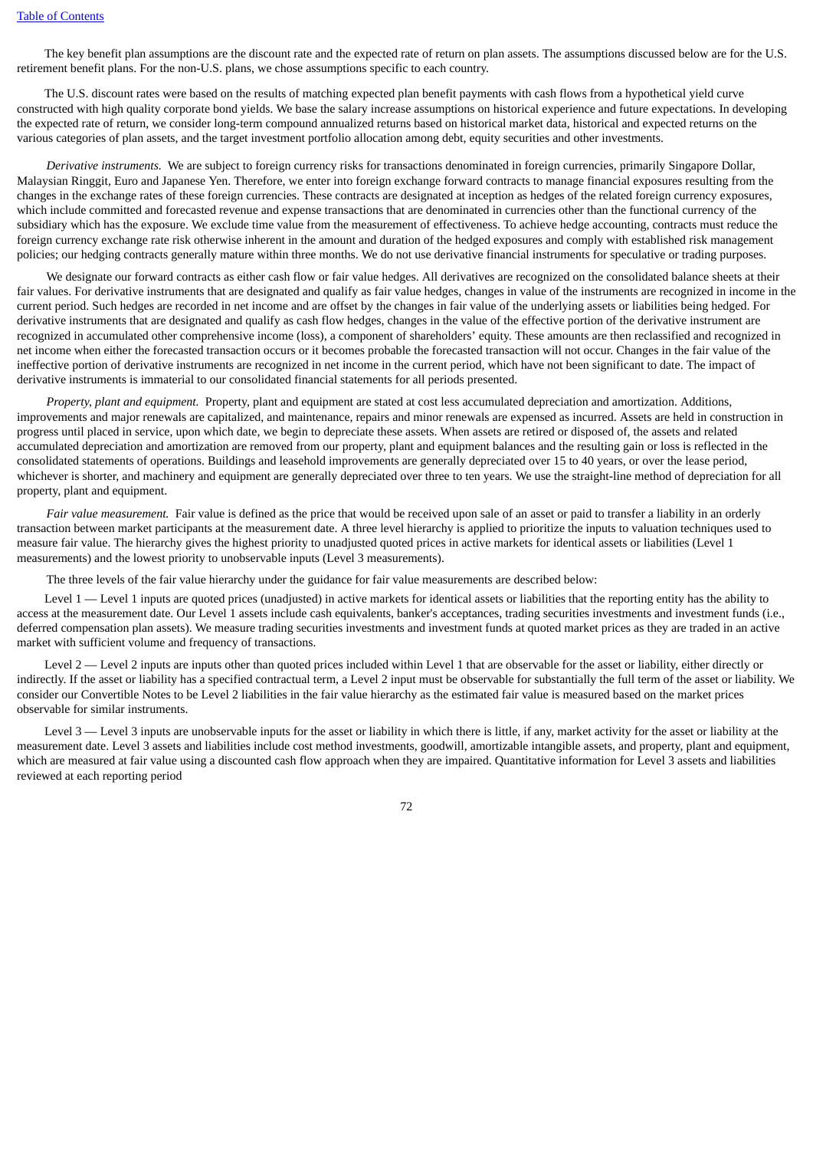The key benefit plan assumptions are the discount rate and the expected rate of return on plan assets. The assumptions discussed below are for the U.S. retirement benefit plans. For the non-U.S. plans, we chose assumptions specific to each country.

The U.S. discount rates were based on the results of matching expected plan benefit payments with cash flows from a hypothetical yield curve constructed with high quality corporate bond yields. We base the salary increase assumptions on historical experience and future expectations. In developing the expected rate of return, we consider long-term compound annualized returns based on historical market data, historical and expected returns on the various categories of plan assets, and the target investment portfolio allocation among debt, equity securities and other investments.

*Derivative instruments.* We are subject to foreign currency risks for transactions denominated in foreign currencies, primarily Singapore Dollar, Malaysian Ringgit, Euro and Japanese Yen. Therefore, we enter into foreign exchange forward contracts to manage financial exposures resulting from the changes in the exchange rates of these foreign currencies. These contracts are designated at inception as hedges of the related foreign currency exposures, which include committed and forecasted revenue and expense transactions that are denominated in currencies other than the functional currency of the subsidiary which has the exposure. We exclude time value from the measurement of effectiveness. To achieve hedge accounting, contracts must reduce the foreign currency exchange rate risk otherwise inherent in the amount and duration of the hedged exposures and comply with established risk management policies; our hedging contracts generally mature within three months. We do not use derivative financial instruments for speculative or trading purposes.

We designate our forward contracts as either cash flow or fair value hedges. All derivatives are recognized on the consolidated balance sheets at their fair values. For derivative instruments that are designated and qualify as fair value hedges, changes in value of the instruments are recognized in income in the current period. Such hedges are recorded in net income and are offset by the changes in fair value of the underlying assets or liabilities being hedged. For derivative instruments that are designated and qualify as cash flow hedges, changes in the value of the effective portion of the derivative instrument are recognized in accumulated other comprehensive income (loss), a component of shareholders' equity. These amounts are then reclassified and recognized in net income when either the forecasted transaction occurs or it becomes probable the forecasted transaction will not occur. Changes in the fair value of the ineffective portion of derivative instruments are recognized in net income in the current period, which have not been significant to date. The impact of derivative instruments is immaterial to our consolidated financial statements for all periods presented.

*Property, plant and equipment.* Property, plant and equipment are stated at cost less accumulated depreciation and amortization. Additions, improvements and major renewals are capitalized, and maintenance, repairs and minor renewals are expensed as incurred. Assets are held in construction in progress until placed in service, upon which date, we begin to depreciate these assets. When assets are retired or disposed of, the assets and related accumulated depreciation and amortization are removed from our property, plant and equipment balances and the resulting gain or loss is reflected in the consolidated statements of operations. Buildings and leasehold improvements are generally depreciated over 15 to 40 years, or over the lease period, whichever is shorter, and machinery and equipment are generally depreciated over three to ten years. We use the straight-line method of depreciation for all property, plant and equipment.

*Fair value measurement.* Fair value is defined as the price that would be received upon sale of an asset or paid to transfer a liability in an orderly transaction between market participants at the measurement date. A three level hierarchy is applied to prioritize the inputs to valuation techniques used to measure fair value. The hierarchy gives the highest priority to unadjusted quoted prices in active markets for identical assets or liabilities (Level 1 measurements) and the lowest priority to unobservable inputs (Level 3 measurements).

The three levels of the fair value hierarchy under the guidance for fair value measurements are described below:

Level 1 — Level 1 inputs are quoted prices (unadjusted) in active markets for identical assets or liabilities that the reporting entity has the ability to access at the measurement date. Our Level 1 assets include cash equivalents, banker's acceptances, trading securities investments and investment funds (i.e., deferred compensation plan assets). We measure trading securities investments and investment funds at quoted market prices as they are traded in an active market with sufficient volume and frequency of transactions.

Level 2 — Level 2 inputs are inputs other than quoted prices included within Level 1 that are observable for the asset or liability, either directly or indirectly. If the asset or liability has a specified contractual term, a Level 2 input must be observable for substantially the full term of the asset or liability. We consider our Convertible Notes to be Level 2 liabilities in the fair value hierarchy as the estimated fair value is measured based on the market prices observable for similar instruments.

Level 3 — Level 3 inputs are unobservable inputs for the asset or liability in which there is little, if any, market activity for the asset or liability at the measurement date. Level 3 assets and liabilities include cost method investments, goodwill, amortizable intangible assets, and property, plant and equipment, which are measured at fair value using a discounted cash flow approach when they are impaired. Quantitative information for Level 3 assets and liabilities reviewed at each reporting period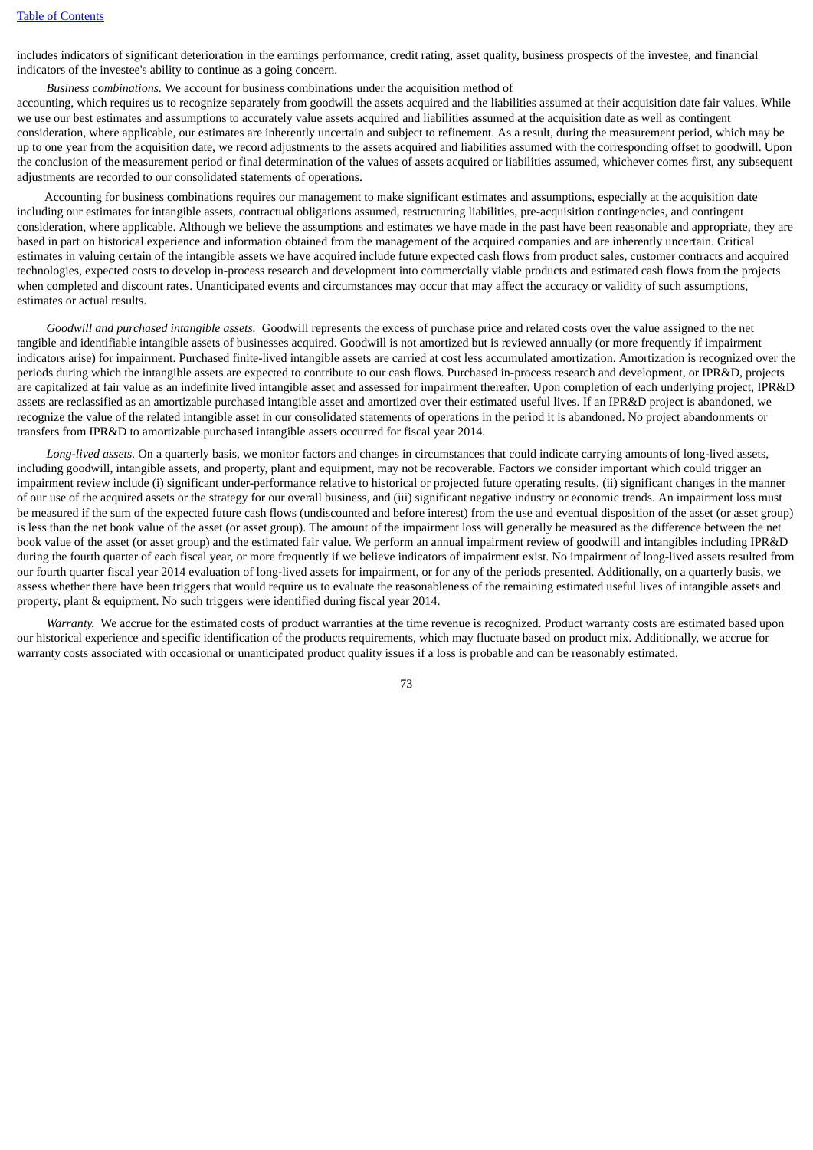includes indicators of significant deterioration in the earnings performance, credit rating, asset quality, business prospects of the investee, and financial indicators of the investee's ability to continue as a going concern.

*Business combinations.* We account for business combinations under the acquisition method of

accounting, which requires us to recognize separately from goodwill the assets acquired and the liabilities assumed at their acquisition date fair values. While we use our best estimates and assumptions to accurately value assets acquired and liabilities assumed at the acquisition date as well as contingent consideration, where applicable, our estimates are inherently uncertain and subject to refinement. As a result, during the measurement period, which may be up to one year from the acquisition date, we record adjustments to the assets acquired and liabilities assumed with the corresponding offset to goodwill. Upon the conclusion of the measurement period or final determination of the values of assets acquired or liabilities assumed, whichever comes first, any subsequent adjustments are recorded to our consolidated statements of operations.

Accounting for business combinations requires our management to make significant estimates and assumptions, especially at the acquisition date including our estimates for intangible assets, contractual obligations assumed, restructuring liabilities, pre-acquisition contingencies, and contingent consideration, where applicable. Although we believe the assumptions and estimates we have made in the past have been reasonable and appropriate, they are based in part on historical experience and information obtained from the management of the acquired companies and are inherently uncertain. Critical estimates in valuing certain of the intangible assets we have acquired include future expected cash flows from product sales, customer contracts and acquired technologies, expected costs to develop in-process research and development into commercially viable products and estimated cash flows from the projects when completed and discount rates. Unanticipated events and circumstances may occur that may affect the accuracy or validity of such assumptions, estimates or actual results.

*Goodwill and purchased intangible assets.* Goodwill represents the excess of purchase price and related costs over the value assigned to the net tangible and identifiable intangible assets of businesses acquired. Goodwill is not amortized but is reviewed annually (or more frequently if impairment indicators arise) for impairment. Purchased finite-lived intangible assets are carried at cost less accumulated amortization. Amortization is recognized over the periods during which the intangible assets are expected to contribute to our cash flows. Purchased in-process research and development, or IPR&D, projects are capitalized at fair value as an indefinite lived intangible asset and assessed for impairment thereafter. Upon completion of each underlying project, IPR&D assets are reclassified as an amortizable purchased intangible asset and amortized over their estimated useful lives. If an IPR&D project is abandoned, we recognize the value of the related intangible asset in our consolidated statements of operations in the period it is abandoned. No project abandonments or transfers from IPR&D to amortizable purchased intangible assets occurred for fiscal year 2014.

*Long-lived assets.* On a quarterly basis, we monitor factors and changes in circumstances that could indicate carrying amounts of long-lived assets, including goodwill, intangible assets, and property, plant and equipment, may not be recoverable. Factors we consider important which could trigger an impairment review include (i) significant under-performance relative to historical or projected future operating results, (ii) significant changes in the manner of our use of the acquired assets or the strategy for our overall business, and (iii) significant negative industry or economic trends. An impairment loss must be measured if the sum of the expected future cash flows (undiscounted and before interest) from the use and eventual disposition of the asset (or asset group) is less than the net book value of the asset (or asset group). The amount of the impairment loss will generally be measured as the difference between the net book value of the asset (or asset group) and the estimated fair value. We perform an annual impairment review of goodwill and intangibles including IPR&D during the fourth quarter of each fiscal year, or more frequently if we believe indicators of impairment exist. No impairment of long-lived assets resulted from our fourth quarter fiscal year 2014 evaluation of long-lived assets for impairment, or for any of the periods presented. Additionally, on a quarterly basis, we assess whether there have been triggers that would require us to evaluate the reasonableness of the remaining estimated useful lives of intangible assets and property, plant & equipment. No such triggers were identified during fiscal year 2014.

*Warranty.* We accrue for the estimated costs of product warranties at the time revenue is recognized. Product warranty costs are estimated based upon our historical experience and specific identification of the products requirements, which may fluctuate based on product mix. Additionally, we accrue for warranty costs associated with occasional or unanticipated product quality issues if a loss is probable and can be reasonably estimated.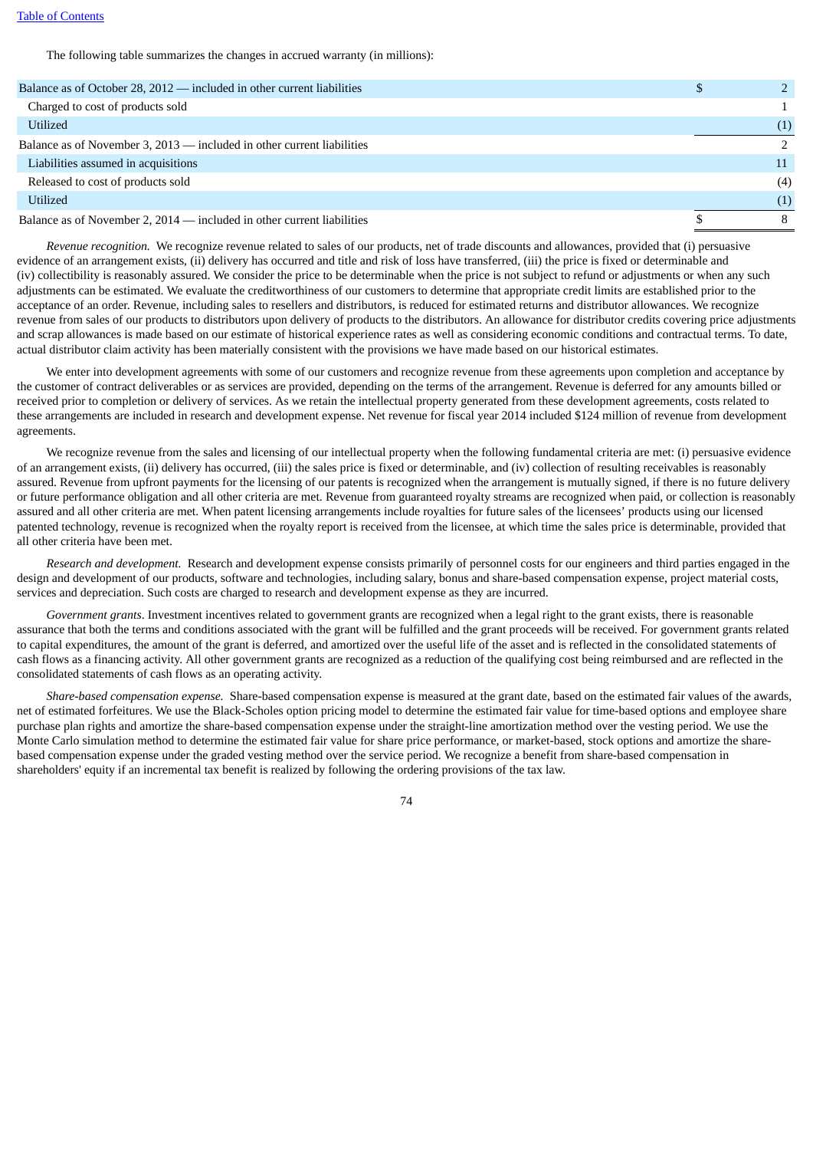The following table summarizes the changes in accrued warranty (in millions):

| Balance as of October 28, 2012 — included in other current liabilities | \$  |
|------------------------------------------------------------------------|-----|
| Charged to cost of products sold                                       |     |
| Utilized                                                               | (1) |
| Balance as of November 3, 2013 — included in other current liabilities |     |
| Liabilities assumed in acquisitions                                    |     |
| Released to cost of products sold                                      | (4) |
| Utilized                                                               | (1) |
| Balance as of November 2, 2014 — included in other current liabilities | 8   |

*Revenue recognition.* We recognize revenue related to sales of our products, net of trade discounts and allowances, provided that (i) persuasive evidence of an arrangement exists, (ii) delivery has occurred and title and risk of loss have transferred, (iii) the price is fixed or determinable and (iv) collectibility is reasonably assured. We consider the price to be determinable when the price is not subject to refund or adjustments or when any such adjustments can be estimated. We evaluate the creditworthiness of our customers to determine that appropriate credit limits are established prior to the acceptance of an order. Revenue, including sales to resellers and distributors, is reduced for estimated returns and distributor allowances. We recognize revenue from sales of our products to distributors upon delivery of products to the distributors. An allowance for distributor credits covering price adjustments and scrap allowances is made based on our estimate of historical experience rates as well as considering economic conditions and contractual terms. To date, actual distributor claim activity has been materially consistent with the provisions we have made based on our historical estimates.

We enter into development agreements with some of our customers and recognize revenue from these agreements upon completion and acceptance by the customer of contract deliverables or as services are provided, depending on the terms of the arrangement. Revenue is deferred for any amounts billed or received prior to completion or delivery of services. As we retain the intellectual property generated from these development agreements, costs related to these arrangements are included in research and development expense. Net revenue for fiscal year 2014 included \$124 million of revenue from development agreements.

We recognize revenue from the sales and licensing of our intellectual property when the following fundamental criteria are met: (i) persuasive evidence of an arrangement exists, (ii) delivery has occurred, (iii) the sales price is fixed or determinable, and (iv) collection of resulting receivables is reasonably assured. Revenue from upfront payments for the licensing of our patents is recognized when the arrangement is mutually signed, if there is no future delivery or future performance obligation and all other criteria are met. Revenue from guaranteed royalty streams are recognized when paid, or collection is reasonably assured and all other criteria are met. When patent licensing arrangements include royalties for future sales of the licensees' products using our licensed patented technology, revenue is recognized when the royalty report is received from the licensee, at which time the sales price is determinable, provided that all other criteria have been met.

*Research and development.* Research and development expense consists primarily of personnel costs for our engineers and third parties engaged in the design and development of our products, software and technologies, including salary, bonus and share-based compensation expense, project material costs, services and depreciation. Such costs are charged to research and development expense as they are incurred.

*Government grants*. Investment incentives related to government grants are recognized when a legal right to the grant exists, there is reasonable assurance that both the terms and conditions associated with the grant will be fulfilled and the grant proceeds will be received. For government grants related to capital expenditures, the amount of the grant is deferred, and amortized over the useful life of the asset and is reflected in the consolidated statements of cash flows as a financing activity. All other government grants are recognized as a reduction of the qualifying cost being reimbursed and are reflected in the consolidated statements of cash flows as an operating activity.

*Share-based compensation expense.* Share-based compensation expense is measured at the grant date, based on the estimated fair values of the awards, net of estimated forfeitures. We use the Black-Scholes option pricing model to determine the estimated fair value for time-based options and employee share purchase plan rights and amortize the share-based compensation expense under the straight-line amortization method over the vesting period. We use the Monte Carlo simulation method to determine the estimated fair value for share price performance, or market-based, stock options and amortize the sharebased compensation expense under the graded vesting method over the service period. We recognize a benefit from share-based compensation in shareholders' equity if an incremental tax benefit is realized by following the ordering provisions of the tax law.

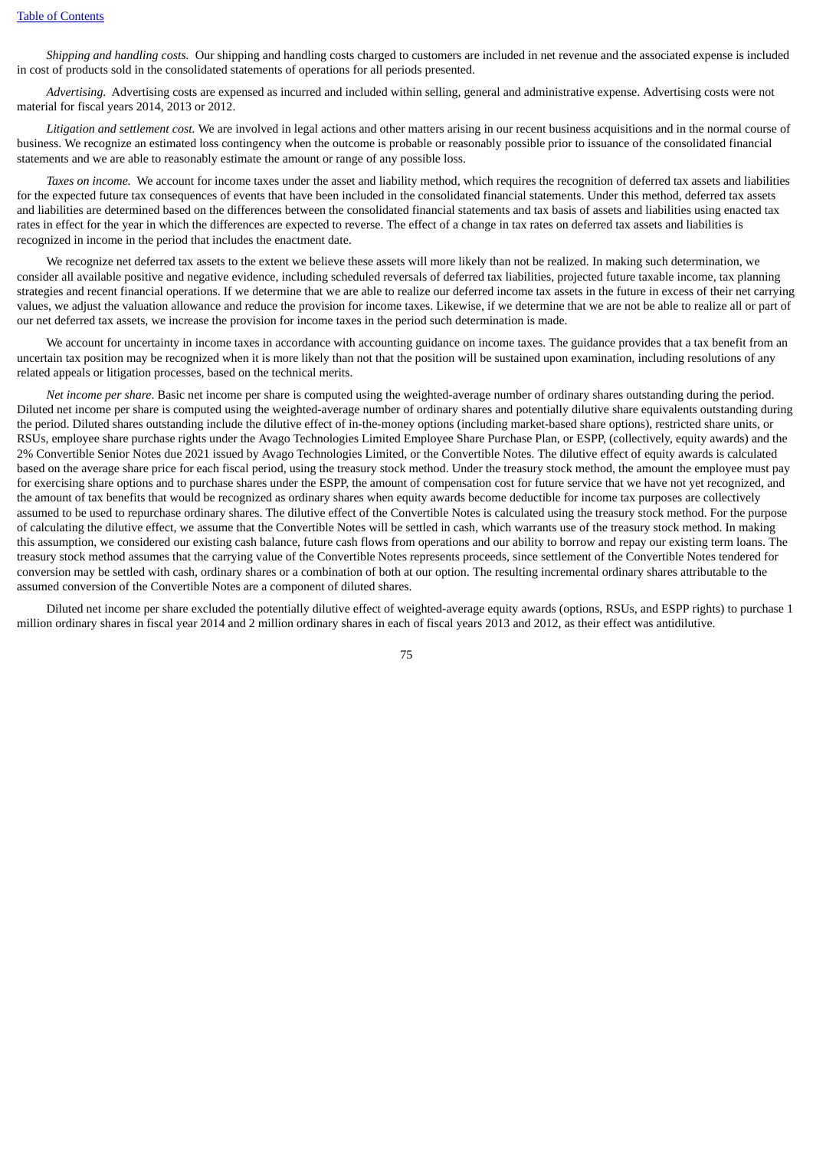*Shipping and handling costs.* Our shipping and handling costs charged to customers are included in net revenue and the associated expense is included in cost of products sold in the consolidated statements of operations for all periods presented.

*Advertising.* Advertising costs are expensed as incurred and included within selling, general and administrative expense. Advertising costs were not material for fiscal years 2014, 2013 or 2012.

*Litigation and settlement cost.* We are involved in legal actions and other matters arising in our recent business acquisitions and in the normal course of business. We recognize an estimated loss contingency when the outcome is probable or reasonably possible prior to issuance of the consolidated financial statements and we are able to reasonably estimate the amount or range of any possible loss.

*Taxes on income.* We account for income taxes under the asset and liability method, which requires the recognition of deferred tax assets and liabilities for the expected future tax consequences of events that have been included in the consolidated financial statements. Under this method, deferred tax assets and liabilities are determined based on the differences between the consolidated financial statements and tax basis of assets and liabilities using enacted tax rates in effect for the year in which the differences are expected to reverse. The effect of a change in tax rates on deferred tax assets and liabilities is recognized in income in the period that includes the enactment date.

We recognize net deferred tax assets to the extent we believe these assets will more likely than not be realized. In making such determination, we consider all available positive and negative evidence, including scheduled reversals of deferred tax liabilities, projected future taxable income, tax planning strategies and recent financial operations. If we determine that we are able to realize our deferred income tax assets in the future in excess of their net carrying values, we adjust the valuation allowance and reduce the provision for income taxes. Likewise, if we determine that we are not be able to realize all or part of our net deferred tax assets, we increase the provision for income taxes in the period such determination is made.

We account for uncertainty in income taxes in accordance with accounting guidance on income taxes. The guidance provides that a tax benefit from an uncertain tax position may be recognized when it is more likely than not that the position will be sustained upon examination, including resolutions of any related appeals or litigation processes, based on the technical merits.

*Net income per share*. Basic net income per share is computed using the weighted-average number of ordinary shares outstanding during the period. Diluted net income per share is computed using the weighted-average number of ordinary shares and potentially dilutive share equivalents outstanding during the period. Diluted shares outstanding include the dilutive effect of in-the-money options (including market-based share options), restricted share units, or RSUs, employee share purchase rights under the Avago Technologies Limited Employee Share Purchase Plan, or ESPP, (collectively, equity awards) and the 2% Convertible Senior Notes due 2021 issued by Avago Technologies Limited, or the Convertible Notes. The dilutive effect of equity awards is calculated based on the average share price for each fiscal period, using the treasury stock method. Under the treasury stock method, the amount the employee must pay for exercising share options and to purchase shares under the ESPP, the amount of compensation cost for future service that we have not yet recognized, and the amount of tax benefits that would be recognized as ordinary shares when equity awards become deductible for income tax purposes are collectively assumed to be used to repurchase ordinary shares. The dilutive effect of the Convertible Notes is calculated using the treasury stock method. For the purpose of calculating the dilutive effect, we assume that the Convertible Notes will be settled in cash, which warrants use of the treasury stock method. In making this assumption, we considered our existing cash balance, future cash flows from operations and our ability to borrow and repay our existing term loans. The treasury stock method assumes that the carrying value of the Convertible Notes represents proceeds, since settlement of the Convertible Notes tendered for conversion may be settled with cash, ordinary shares or a combination of both at our option. The resulting incremental ordinary shares attributable to the assumed conversion of the Convertible Notes are a component of diluted shares.

Diluted net income per share excluded the potentially dilutive effect of weighted-average equity awards (options, RSUs, and ESPP rights) to purchase 1 million ordinary shares in fiscal year 2014 and 2 million ordinary shares in each of fiscal years 2013 and 2012, as their effect was antidilutive.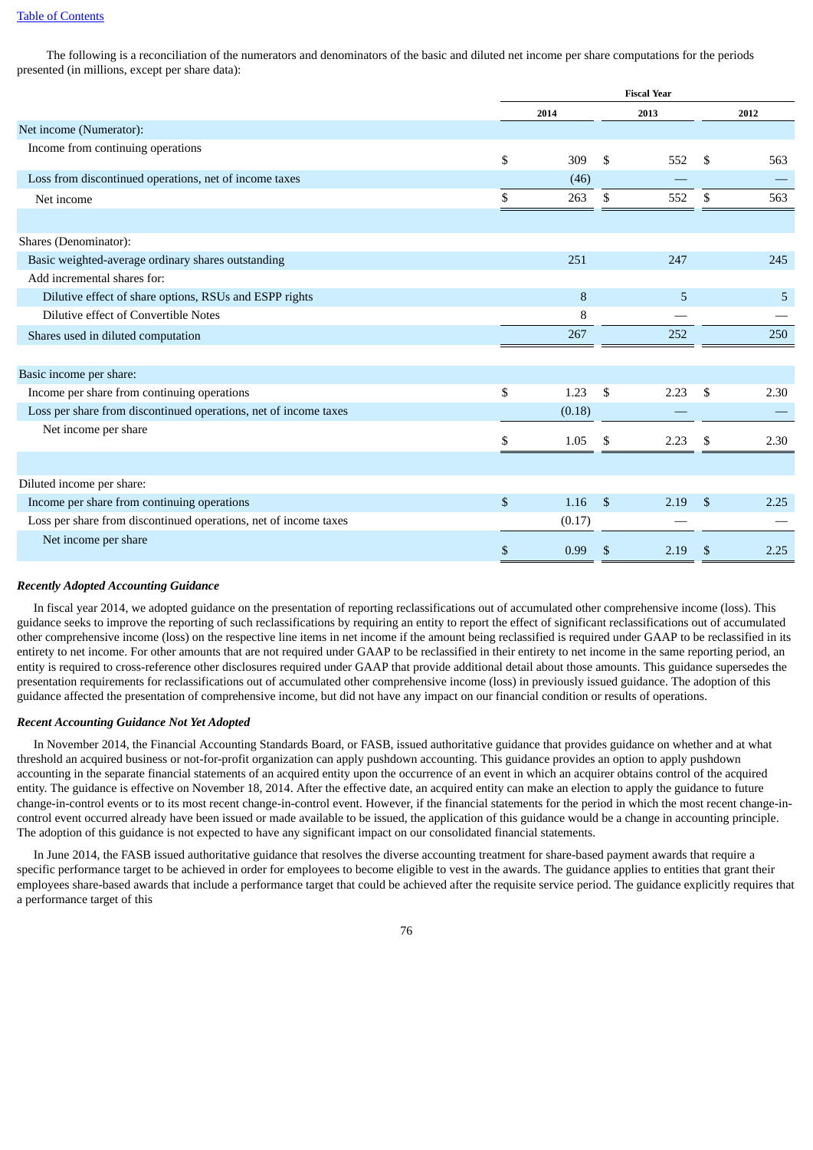The following is a reconciliation of the numerators and denominators of the basic and diluted net income per share computations for the periods presented (in millions, except per share data):

|                                                                  |                | <b>Fiscal Year</b> |               |      |     |      |
|------------------------------------------------------------------|----------------|--------------------|---------------|------|-----|------|
|                                                                  |                | 2014               |               | 2013 |     | 2012 |
| Net income (Numerator):                                          |                |                    |               |      |     |      |
| Income from continuing operations                                | \$             | 309                | \$            | 552  | \$  | 563  |
| Loss from discontinued operations, net of income taxes           |                | (46)               |               |      |     |      |
| Net income                                                       | \$             | 263                | \$            | 552  | \$  | 563  |
| Shares (Denominator):                                            |                |                    |               |      |     |      |
| Basic weighted-average ordinary shares outstanding               |                | 251                |               | 247  |     | 245  |
| Add incremental shares for:                                      |                |                    |               |      |     |      |
| Dilutive effect of share options, RSUs and ESPP rights           |                | 8                  |               | 5    |     | 5    |
| Dilutive effect of Convertible Notes                             |                | 8                  |               |      |     |      |
| Shares used in diluted computation                               |                | 267                |               | 252  |     | 250  |
| Basic income per share:                                          |                |                    |               |      |     |      |
| Income per share from continuing operations                      | \$             | 1.23               | \$            | 2.23 | \$  | 2.30 |
| Loss per share from discontinued operations, net of income taxes |                | (0.18)             |               |      |     |      |
| Net income per share                                             | \$             | 1.05               |               | 2.23 |     | 2.30 |
|                                                                  |                |                    |               |      |     |      |
| Diluted income per share:                                        |                |                    |               |      |     |      |
| Income per share from continuing operations                      | $\mathfrak{S}$ | 1.16               | <sup>\$</sup> | 2.19 | \$. | 2.25 |
| Loss per share from discontinued operations, net of income taxes |                | (0.17)             |               |      |     |      |
| Net income per share                                             | \$             | 0.99               | <sup>\$</sup> | 2.19 | \$  | 2.25 |

#### *Recently Adopted Accounting Guidance*

In fiscal year 2014, we adopted guidance on the presentation of reporting reclassifications out of accumulated other comprehensive income (loss). This guidance seeks to improve the reporting of such reclassifications by requiring an entity to report the effect of significant reclassifications out of accumulated other comprehensive income (loss) on the respective line items in net income if the amount being reclassified is required under GAAP to be reclassified in its entirety to net income. For other amounts that are not required under GAAP to be reclassified in their entirety to net income in the same reporting period, an entity is required to cross-reference other disclosures required under GAAP that provide additional detail about those amounts. This guidance supersedes the presentation requirements for reclassifications out of accumulated other comprehensive income (loss) in previously issued guidance. The adoption of this guidance affected the presentation of comprehensive income, but did not have any impact on our financial condition or results of operations.

#### *Recent Accounting Guidance Not Yet Adopted*

In November 2014, the Financial Accounting Standards Board, or FASB, issued authoritative guidance that provides guidance on whether and at what threshold an acquired business or not-for-profit organization can apply pushdown accounting. This guidance provides an option to apply pushdown accounting in the separate financial statements of an acquired entity upon the occurrence of an event in which an acquirer obtains control of the acquired entity. The guidance is effective on November 18, 2014. After the effective date, an acquired entity can make an election to apply the guidance to future change-in-control events or to its most recent change-in-control event. However, if the financial statements for the period in which the most recent change-incontrol event occurred already have been issued or made available to be issued, the application of this guidance would be a change in accounting principle. The adoption of this guidance is not expected to have any significant impact on our consolidated financial statements.

In June 2014, the FASB issued authoritative guidance that resolves the diverse accounting treatment for share-based payment awards that require a specific performance target to be achieved in order for employees to become eligible to vest in the awards. The guidance applies to entities that grant their employees share-based awards that include a performance target that could be achieved after the requisite service period. The guidance explicitly requires that a performance target of this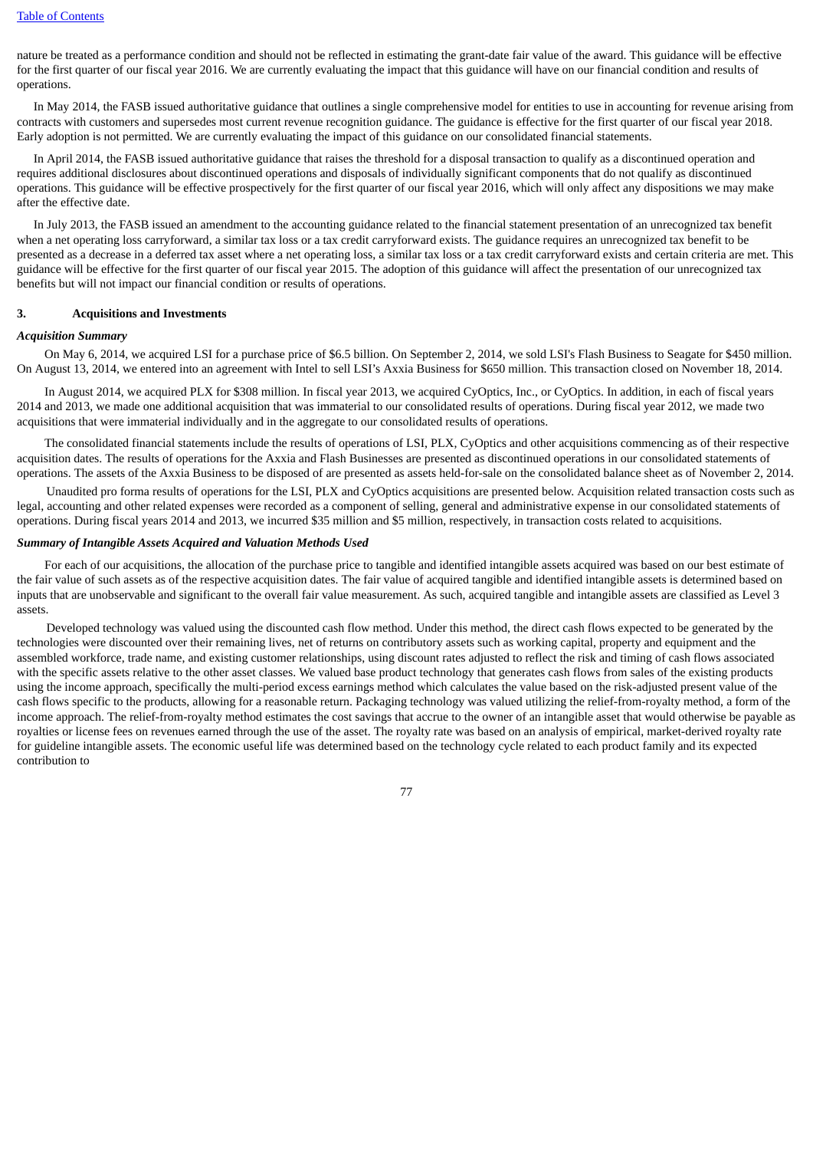nature be treated as a performance condition and should not be reflected in estimating the grant-date fair value of the award. This guidance will be effective for the first quarter of our fiscal year 2016. We are currently evaluating the impact that this guidance will have on our financial condition and results of operations.

In May 2014, the FASB issued authoritative guidance that outlines a single comprehensive model for entities to use in accounting for revenue arising from contracts with customers and supersedes most current revenue recognition guidance. The guidance is effective for the first quarter of our fiscal year 2018. Early adoption is not permitted. We are currently evaluating the impact of this guidance on our consolidated financial statements.

In April 2014, the FASB issued authoritative guidance that raises the threshold for a disposal transaction to qualify as a discontinued operation and requires additional disclosures about discontinued operations and disposals of individually significant components that do not qualify as discontinued operations. This guidance will be effective prospectively for the first quarter of our fiscal year 2016, which will only affect any dispositions we may make after the effective date.

In July 2013, the FASB issued an amendment to the accounting guidance related to the financial statement presentation of an unrecognized tax benefit when a net operating loss carryforward, a similar tax loss or a tax credit carryforward exists. The guidance requires an unrecognized tax benefit to be presented as a decrease in a deferred tax asset where a net operating loss, a similar tax loss or a tax credit carryforward exists and certain criteria are met. This guidance will be effective for the first quarter of our fiscal year 2015. The adoption of this guidance will affect the presentation of our unrecognized tax benefits but will not impact our financial condition or results of operations.

#### **3. Acquisitions and Investments**

## *Acquisition Summary*

On May 6, 2014, we acquired LSI for a purchase price of \$6.5 billion. On September 2, 2014, we sold LSI's Flash Business to Seagate for \$450 million. On August 13, 2014, we entered into an agreement with Intel to sell LSI's Axxia Business for \$650 million. This transaction closed on November 18, 2014.

In August 2014, we acquired PLX for \$308 million. In fiscal year 2013, we acquired CyOptics, Inc., or CyOptics. In addition, in each of fiscal years 2014 and 2013, we made one additional acquisition that was immaterial to our consolidated results of operations. During fiscal year 2012, we made two acquisitions that were immaterial individually and in the aggregate to our consolidated results of operations.

The consolidated financial statements include the results of operations of LSI, PLX, CyOptics and other acquisitions commencing as of their respective acquisition dates. The results of operations for the Axxia and Flash Businesses are presented as discontinued operations in our consolidated statements of operations. The assets of the Axxia Business to be disposed of are presented as assets held-for-sale on the consolidated balance sheet as of November 2, 2014.

Unaudited pro forma results of operations for the LSI, PLX and CyOptics acquisitions are presented below. Acquisition related transaction costs such as legal, accounting and other related expenses were recorded as a component of selling, general and administrative expense in our consolidated statements of operations. During fiscal years 2014 and 2013, we incurred \$35 million and \$5 million, respectively, in transaction costs related to acquisitions.

#### *Summary of Intangible Assets Acquired and Valuation Methods Used*

For each of our acquisitions, the allocation of the purchase price to tangible and identified intangible assets acquired was based on our best estimate of the fair value of such assets as of the respective acquisition dates. The fair value of acquired tangible and identified intangible assets is determined based on inputs that are unobservable and significant to the overall fair value measurement. As such, acquired tangible and intangible assets are classified as Level 3 assets.

Developed technology was valued using the discounted cash flow method. Under this method, the direct cash flows expected to be generated by the technologies were discounted over their remaining lives, net of returns on contributory assets such as working capital, property and equipment and the assembled workforce, trade name, and existing customer relationships, using discount rates adjusted to reflect the risk and timing of cash flows associated with the specific assets relative to the other asset classes. We valued base product technology that generates cash flows from sales of the existing products using the income approach, specifically the multi-period excess earnings method which calculates the value based on the risk-adjusted present value of the cash flows specific to the products, allowing for a reasonable return. Packaging technology was valued utilizing the relief-from-royalty method, a form of the income approach. The relief-from-royalty method estimates the cost savings that accrue to the owner of an intangible asset that would otherwise be payable as royalties or license fees on revenues earned through the use of the asset. The royalty rate was based on an analysis of empirical, market-derived royalty rate for guideline intangible assets. The economic useful life was determined based on the technology cycle related to each product family and its expected contribution to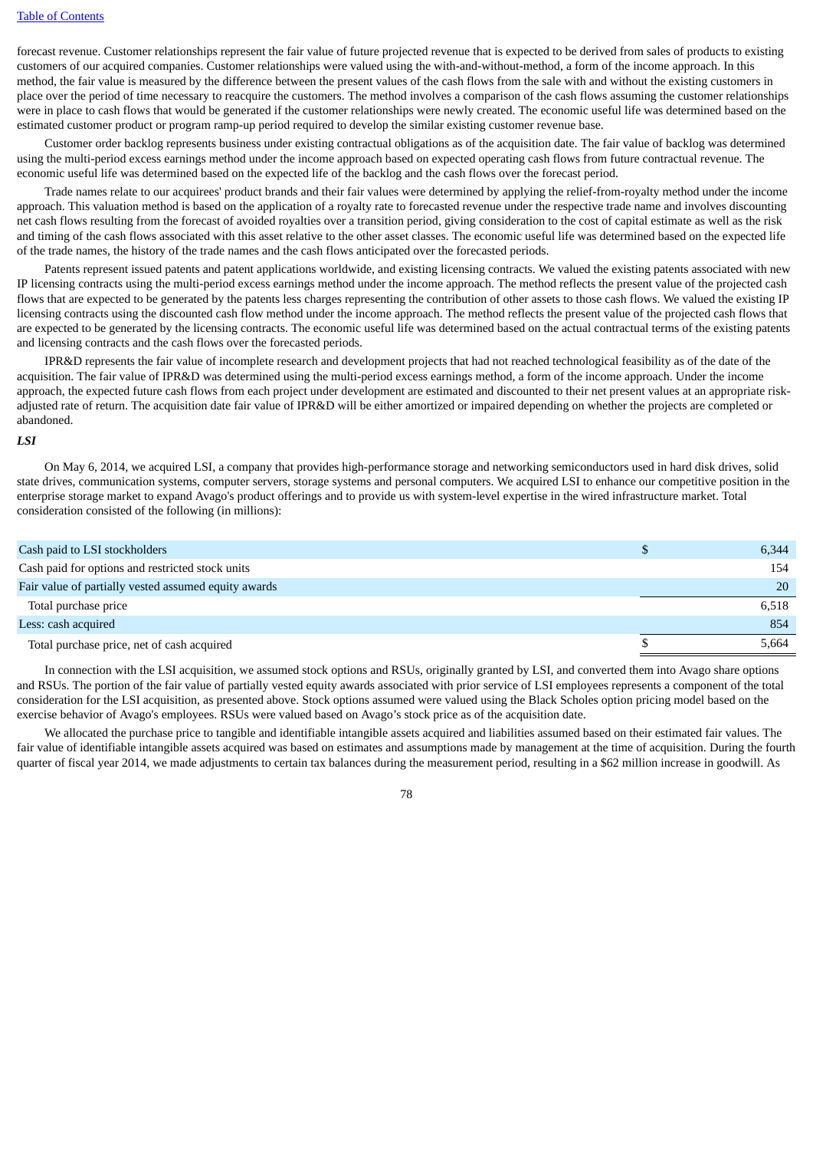forecast revenue. Customer relationships represent the fair value of future projected revenue that is expected to be derived from sales of products to existing customers of our acquired companies. Customer relationships were valued using the with-and-without-method, a form of the income approach. In this method, the fair value is measured by the difference between the present values of the cash flows from the sale with and without the existing customers in place over the period of time necessary to reacquire the customers. The method involves a comparison of the cash flows assuming the customer relationships were in place to cash flows that would be generated if the customer relationships were newly created. The economic useful life was determined based on the estimated customer product or program ramp-up period required to develop the similar existing customer revenue base.

Customer order backlog represents business under existing contractual obligations as of the acquisition date. The fair value of backlog was determined using the multi-period excess earnings method under the income approach based on expected operating cash flows from future contractual revenue. The economic useful life was determined based on the expected life of the backlog and the cash flows over the forecast period.

Trade names relate to our acquirees' product brands and their fair values were determined by applying the relief-from-royalty method under the income approach. This valuation method is based on the application of a royalty rate to forecasted revenue under the respective trade name and involves discounting net cash flows resulting from the forecast of avoided royalties over a transition period, giving consideration to the cost of capital estimate as well as the risk and timing of the cash flows associated with this asset relative to the other asset classes. The economic useful life was determined based on the expected life of the trade names, the history of the trade names and the cash flows anticipated over the forecasted periods.

Patents represent issued patents and patent applications worldwide, and existing licensing contracts. We valued the existing patents associated with new IP licensing contracts using the multi-period excess earnings method under the income approach. The method reflects the present value of the projected cash flows that are expected to be generated by the patents less charges representing the contribution of other assets to those cash flows. We valued the existing IP licensing contracts using the discounted cash flow method under the income approach. The method reflects the present value of the projected cash flows that are expected to be generated by the licensing contracts. The economic useful life was determined based on the actual contractual terms of the existing patents and licensing contracts and the cash flows over the forecasted periods.

IPR&D represents the fair value of incomplete research and development projects that had not reached technological feasibility as of the date of the acquisition. The fair value of IPR&D was determined using the multi-period excess earnings method, a form of the income approach. Under the income approach, the expected future cash flows from each project under development are estimated and discounted to their net present values at an appropriate riskadjusted rate of return. The acquisition date fair value of IPR&D will be either amortized or impaired depending on whether the projects are completed or abandoned.

## *LSI*

On May 6, 2014, we acquired LSI, a company that provides high-performance storage and networking semiconductors used in hard disk drives, solid state drives, communication systems, computer servers, storage systems and personal computers. We acquired LSI to enhance our competitive position in the enterprise storage market to expand Avago's product offerings and to provide us with system-level expertise in the wired infrastructure market. Total consideration consisted of the following (in millions):

| Cash paid to LSI stockholders                        | 6,344 |
|------------------------------------------------------|-------|
| Cash paid for options and restricted stock units     | 154   |
| Fair value of partially vested assumed equity awards | 20    |
| Total purchase price                                 | 6,518 |
| Less: cash acquired                                  | 854   |
| Total purchase price, net of cash acquired           | 5,664 |

In connection with the LSI acquisition, we assumed stock options and RSUs, originally granted by LSI, and converted them into Avago share options and RSUs. The portion of the fair value of partially vested equity awards associated with prior service of LSI employees represents a component of the total consideration for the LSI acquisition, as presented above. Stock options assumed were valued using the Black Scholes option pricing model based on the exercise behavior of Avago's employees. RSUs were valued based on Avago's stock price as of the acquisition date.

We allocated the purchase price to tangible and identifiable intangible assets acquired and liabilities assumed based on their estimated fair values. The fair value of identifiable intangible assets acquired was based on estimates and assumptions made by management at the time of acquisition. During the fourth quarter of fiscal year 2014, we made adjustments to certain tax balances during the measurement period, resulting in a \$62 million increase in goodwill. As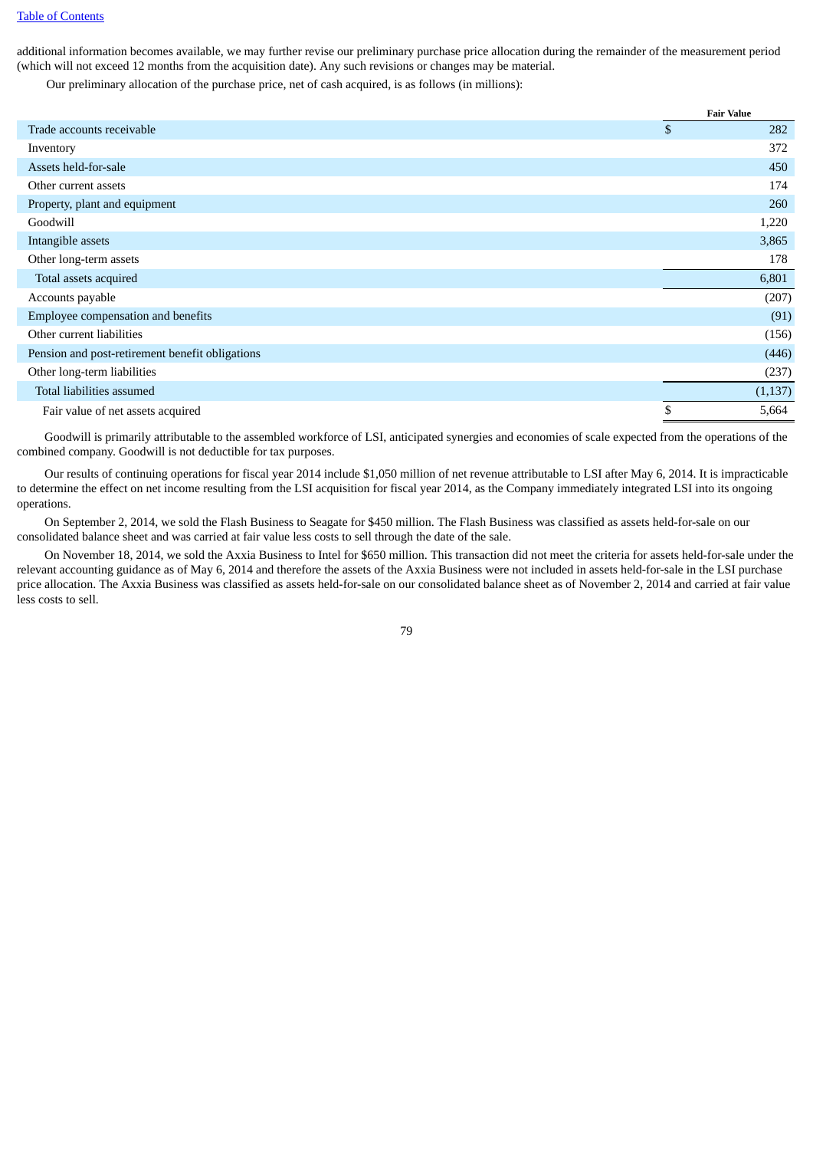additional information becomes available, we may further revise our preliminary purchase price allocation during the remainder of the measurement period (which will not exceed 12 months from the acquisition date). Any such revisions or changes may be material.

Our preliminary allocation of the purchase price, net of cash acquired, is as follows (in millions):

|                                                 |                | <b>Fair Value</b> |
|-------------------------------------------------|----------------|-------------------|
| Trade accounts receivable                       | $\mathfrak{L}$ | 282               |
| Inventory                                       |                | 372               |
| Assets held-for-sale                            |                | 450               |
| Other current assets                            |                | 174               |
| Property, plant and equipment                   |                | 260               |
| Goodwill                                        |                | 1,220             |
| Intangible assets                               |                | 3,865             |
| Other long-term assets                          |                | 178               |
| Total assets acquired                           |                | 6,801             |
| Accounts payable                                |                | (207)             |
| Employee compensation and benefits              |                | (91)              |
| Other current liabilities                       |                | (156)             |
| Pension and post-retirement benefit obligations |                | (446)             |
| Other long-term liabilities                     |                | (237)             |
| Total liabilities assumed                       |                | (1, 137)          |
| Fair value of net assets acquired               | \$             | 5,664             |

Goodwill is primarily attributable to the assembled workforce of LSI, anticipated synergies and economies of scale expected from the operations of the combined company. Goodwill is not deductible for tax purposes.

Our results of continuing operations for fiscal year 2014 include \$1,050 million of net revenue attributable to LSI after May 6, 2014. It is impracticable to determine the effect on net income resulting from the LSI acquisition for fiscal year 2014, as the Company immediately integrated LSI into its ongoing operations.

On September 2, 2014, we sold the Flash Business to Seagate for \$450 million. The Flash Business was classified as assets held-for-sale on our consolidated balance sheet and was carried at fair value less costs to sell through the date of the sale.

On November 18, 2014, we sold the Axxia Business to Intel for \$650 million. This transaction did not meet the criteria for assets held-for-sale under the relevant accounting guidance as of May 6, 2014 and therefore the assets of the Axxia Business were not included in assets held-for-sale in the LSI purchase price allocation. The Axxia Business was classified as assets held-for-sale on our consolidated balance sheet as of November 2, 2014 and carried at fair value less costs to sell.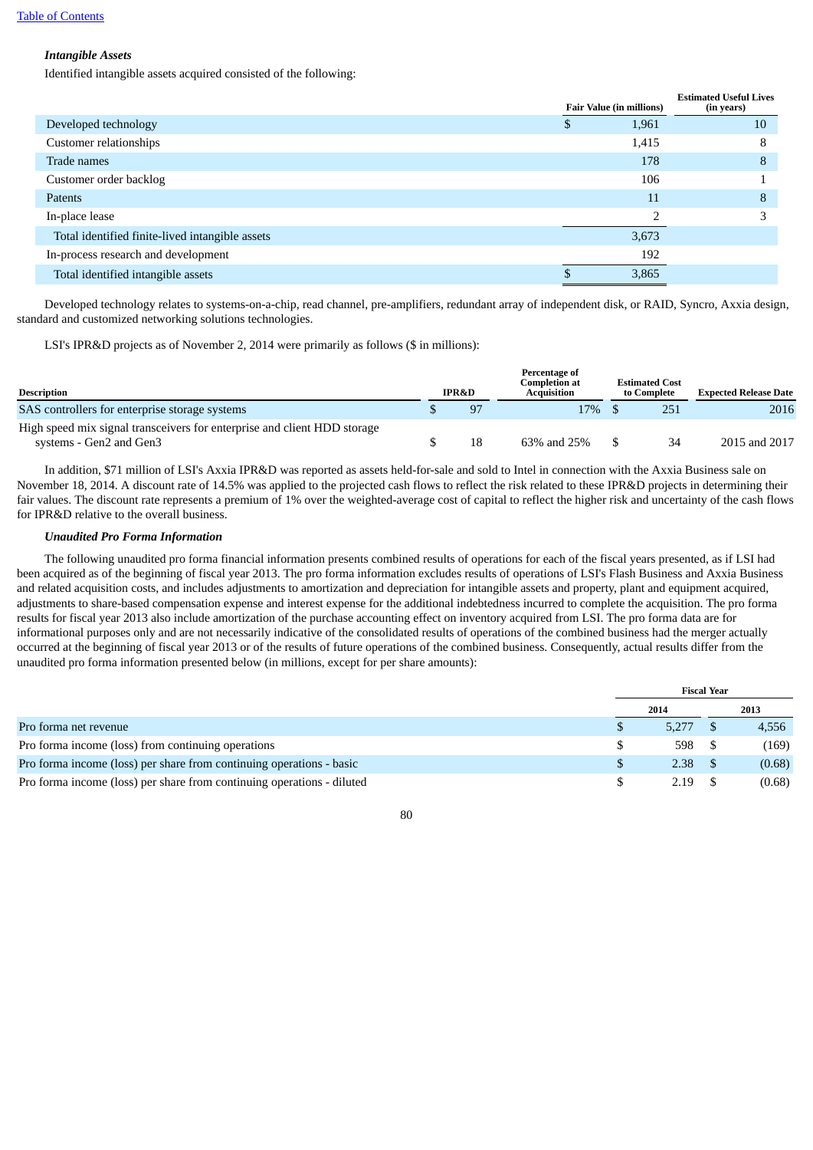## *Intangible Assets*

Identified intangible assets acquired consisted of the following:

| <b>Fair Value (in millions)</b>                 |       | (in years) |
|-------------------------------------------------|-------|------------|
| Developed technology<br>Ъ                       | 1,961 | 10         |
| Customer relationships                          | 1,415 | 8          |
| Trade names                                     | 178   | 8          |
| Customer order backlog                          | 106   |            |
| <b>Patents</b>                                  | 11    | 8          |
| In-place lease                                  |       | 3          |
| Total identified finite-lived intangible assets | 3,673 |            |
| In-process research and development             | 192   |            |
| Total identified intangible assets              | 3,865 |            |

Developed technology relates to systems-on-a-chip, read channel, pre-amplifiers, redundant array of independent disk, or RAID, Syncro, Axxia design, standard and customized networking solutions technologies.

LSI's IPR&D projects as of November 2, 2014 were primarily as follows (\$ in millions):

| <b>Description</b>                                                                                  |  | <b>IPR&amp;D</b> | Percentage of<br>Completion at<br><b>Acquisition</b> |  | <b>Estimated Cost</b><br>to Complete | <b>Expected Release Date</b> |  |
|-----------------------------------------------------------------------------------------------------|--|------------------|------------------------------------------------------|--|--------------------------------------|------------------------------|--|
| SAS controllers for enterprise storage systems                                                      |  | 97               | 17%                                                  |  | 251                                  | 2016                         |  |
| High speed mix signal transceivers for enterprise and client HDD storage<br>systems - Gen2 and Gen3 |  | 18               | 63% and 25%                                          |  | 34                                   | 2015 and 2017                |  |

In addition, \$71 million of LSI's Axxia IPR&D was reported as assets held-for-sale and sold to Intel in connection with the Axxia Business sale on November 18, 2014. A discount rate of 14.5% was applied to the projected cash flows to reflect the risk related to these IPR&D projects in determining their fair values. The discount rate represents a premium of 1% over the weighted-average cost of capital to reflect the higher risk and uncertainty of the cash flows for IPR&D relative to the overall business.

## *Unaudited Pro Forma Information*

The following unaudited pro forma financial information presents combined results of operations for each of the fiscal years presented, as if LSI had been acquired as of the beginning of fiscal year 2013. The pro forma information excludes results of operations of LSI's Flash Business and Axxia Business and related acquisition costs, and includes adjustments to amortization and depreciation for intangible assets and property, plant and equipment acquired, adjustments to share-based compensation expense and interest expense for the additional indebtedness incurred to complete the acquisition. The pro forma results for fiscal year 2013 also include amortization of the purchase accounting effect on inventory acquired from LSI. The pro forma data are for informational purposes only and are not necessarily indicative of the consolidated results of operations of the combined business had the merger actually occurred at the beginning of fiscal year 2013 or of the results of future operations of the combined business. Consequently, actual results differ from the unaudited pro forma information presented below (in millions, except for per share amounts):

| <b>Fiscal Year</b> |       |  |        |
|--------------------|-------|--|--------|
|                    | 2014  |  | 2013   |
|                    | 5.277 |  | 4.556  |
|                    | 598   |  | (169)  |
| \$.                | 2.38  |  | (0.68) |
|                    | 2.19  |  | (0.68) |
|                    |       |  |        |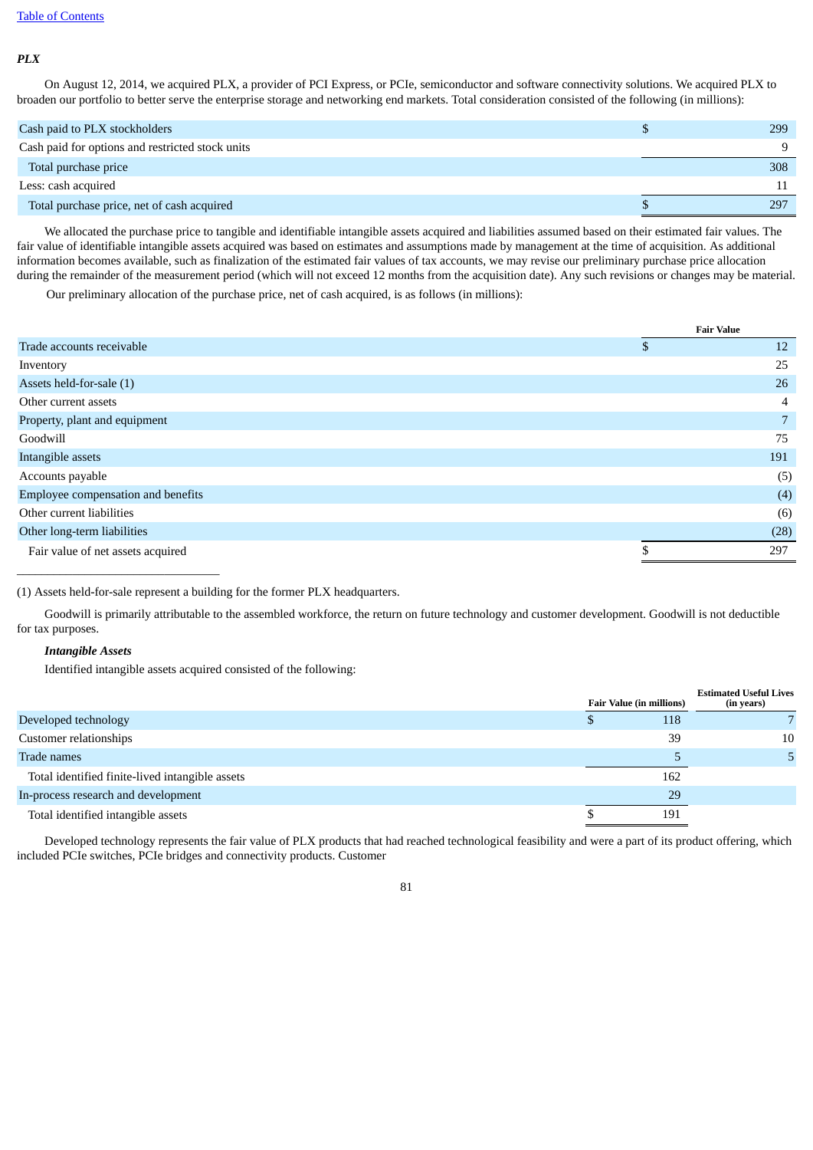# *PLX*

On August 12, 2014, we acquired PLX, a provider of PCI Express, or PCIe, semiconductor and software connectivity solutions. We acquired PLX to broaden our portfolio to better serve the enterprise storage and networking end markets. Total consideration consisted of the following (in millions):

| Cash paid to PLX stockholders                    | 299 |
|--------------------------------------------------|-----|
| Cash paid for options and restricted stock units |     |
| Total purchase price                             | 308 |
| Less: cash acquired                              |     |
| Total purchase price, net of cash acquired       | 297 |

We allocated the purchase price to tangible and identifiable intangible assets acquired and liabilities assumed based on their estimated fair values. The fair value of identifiable intangible assets acquired was based on estimates and assumptions made by management at the time of acquisition. As additional information becomes available, such as finalization of the estimated fair values of tax accounts, we may revise our preliminary purchase price allocation during the remainder of the measurement period (which will not exceed 12 months from the acquisition date). Any such revisions or changes may be material.

Our preliminary allocation of the purchase price, net of cash acquired, is as follows (in millions):

|                                    | <b>Fair Value</b> |                |
|------------------------------------|-------------------|----------------|
| Trade accounts receivable          | S                 | 12             |
| Inventory                          |                   | 25             |
| Assets held-for-sale (1)           |                   | 26             |
| Other current assets               |                   | $\overline{4}$ |
| Property, plant and equipment      |                   | 7              |
| Goodwill                           |                   | 75             |
| Intangible assets                  |                   | 191            |
| Accounts payable                   |                   | (5)            |
| Employee compensation and benefits |                   | (4)            |
| Other current liabilities          |                   | (6)            |
| Other long-term liabilities        |                   | (28)           |
| Fair value of net assets acquired  |                   | 297            |

(1) Assets held-for-sale represent a building for the former PLX headquarters.

Goodwill is primarily attributable to the assembled workforce, the return on future technology and customer development. Goodwill is not deductible for tax purposes.

## *Intangible Assets*

\_\_\_\_\_\_\_\_\_\_\_\_\_\_\_\_\_\_\_\_\_\_\_\_\_\_\_\_\_\_\_\_\_

Identified intangible assets acquired consisted of the following:

|                                                 | <b>Fair Value (in millions)</b> | <b>Estimated Useful Lives</b><br>(in years) |
|-------------------------------------------------|---------------------------------|---------------------------------------------|
| Developed technology                            | 118                             |                                             |
| Customer relationships                          | 39                              | 10                                          |
| Trade names                                     |                                 |                                             |
| Total identified finite-lived intangible assets | 162                             |                                             |
| In-process research and development             | 29                              |                                             |
| Total identified intangible assets              | 191                             |                                             |

Developed technology represents the fair value of PLX products that had reached technological feasibility and were a part of its product offering, which included PCIe switches, PCIe bridges and connectivity products. Customer

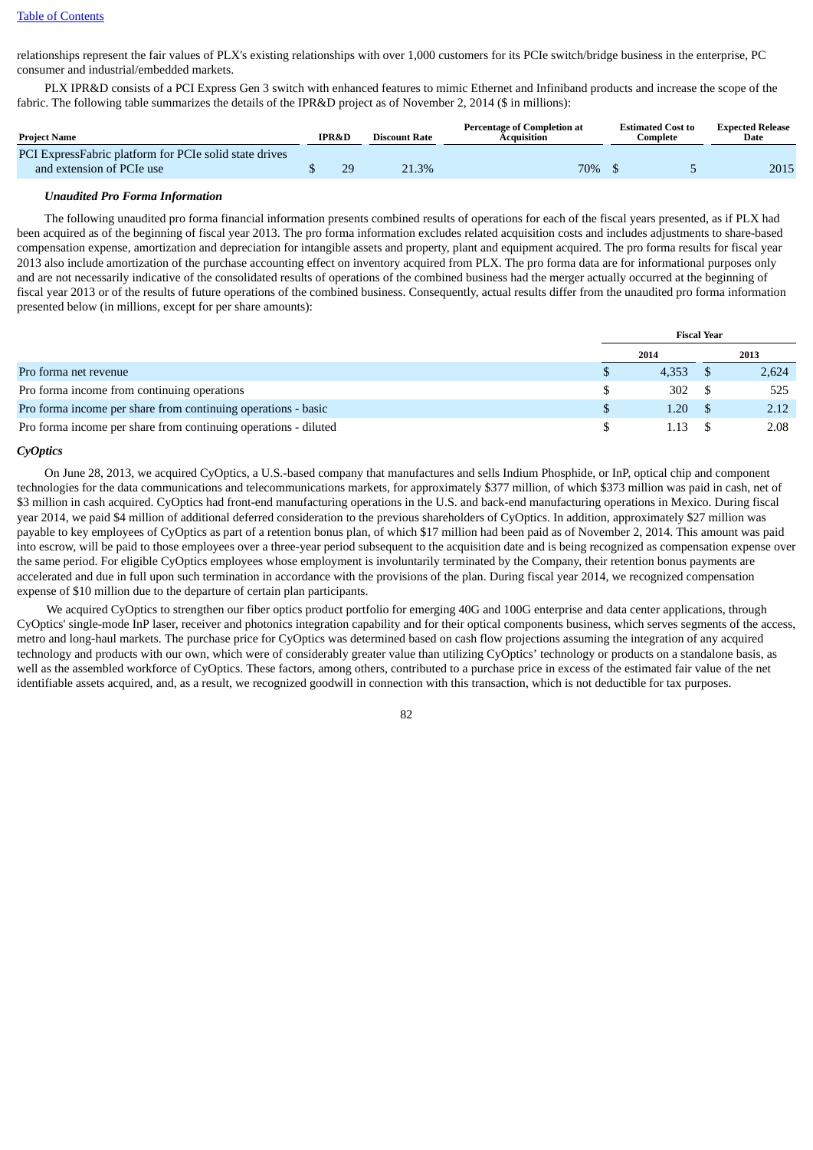relationships represent the fair values of PLX's existing relationships with over 1,000 customers for its PCIe switch/bridge business in the enterprise, PC consumer and industrial/embedded markets.

PLX IPR&D consists of a PCI Express Gen 3 switch with enhanced features to mimic Ethernet and Infiniband products and increase the scope of the fabric. The following table summarizes the details of the IPR&D project as of November 2, 2014 (\$ in millions):

| <b>Project Name</b>                                                                 | <b>IPR&amp;D</b> | <b>Discount Rate</b> | Percentage of Completion at<br>Acquisition | <b>Estimated Cost to</b><br>Complete | <b>Expected Release</b><br>Date |
|-------------------------------------------------------------------------------------|------------------|----------------------|--------------------------------------------|--------------------------------------|---------------------------------|
| PCI ExpressFabric platform for PCIe solid state drives<br>and extension of PCIe use | ንባ               | 21.3%                | 70%                                        |                                      | 2015                            |

#### *Unaudited Pro Forma Information*

The following unaudited pro forma financial information presents combined results of operations for each of the fiscal years presented, as if PLX had been acquired as of the beginning of fiscal year 2013. The pro forma information excludes related acquisition costs and includes adjustments to share-based compensation expense, amortization and depreciation for intangible assets and property, plant and equipment acquired. The pro forma results for fiscal year 2013 also include amortization of the purchase accounting effect on inventory acquired from PLX. The pro forma data are for informational purposes only and are not necessarily indicative of the consolidated results of operations of the combined business had the merger actually occurred at the beginning of fiscal year 2013 or of the results of future operations of the combined business. Consequently, actual results differ from the unaudited pro forma information presented below (in millions, except for per share amounts):

|                                                                 | <b>Fiscal Year</b> |       |  |       |  |
|-----------------------------------------------------------------|--------------------|-------|--|-------|--|
|                                                                 |                    | 2014  |  | 2013  |  |
| Pro forma net revenue                                           |                    | 4.353 |  | 2,624 |  |
| Pro forma income from continuing operations                     |                    | 302   |  | 525   |  |
| Pro forma income per share from continuing operations - basic   |                    | 1.20  |  | 2.12  |  |
| Pro forma income per share from continuing operations - diluted |                    | 1.13  |  | 2.08  |  |

## *CyOptics*

On June 28, 2013, we acquired CyOptics, a U.S.-based company that manufactures and sells Indium Phosphide, or InP, optical chip and component technologies for the data communications and telecommunications markets, for approximately \$377 million, of which \$373 million was paid in cash, net of \$3 million in cash acquired. CyOptics had front-end manufacturing operations in the U.S. and back-end manufacturing operations in Mexico. During fiscal year 2014, we paid \$4 million of additional deferred consideration to the previous shareholders of CyOptics. In addition, approximately \$27 million was payable to key employees of CyOptics as part of a retention bonus plan, of which \$17 million had been paid as of November 2, 2014. This amount was paid into escrow, will be paid to those employees over a three-year period subsequent to the acquisition date and is being recognized as compensation expense over the same period. For eligible CyOptics employees whose employment is involuntarily terminated by the Company, their retention bonus payments are accelerated and due in full upon such termination in accordance with the provisions of the plan. During fiscal year 2014, we recognized compensation expense of \$10 million due to the departure of certain plan participants.

We acquired CyOptics to strengthen our fiber optics product portfolio for emerging 40G and 100G enterprise and data center applications, through CyOptics' single-mode InP laser, receiver and photonics integration capability and for their optical components business, which serves segments of the access, metro and long-haul markets. The purchase price for CyOptics was determined based on cash flow projections assuming the integration of any acquired technology and products with our own, which were of considerably greater value than utilizing CyOptics' technology or products on a standalone basis, as well as the assembled workforce of CyOptics. These factors, among others, contributed to a purchase price in excess of the estimated fair value of the net identifiable assets acquired, and, as a result, we recognized goodwill in connection with this transaction, which is not deductible for tax purposes.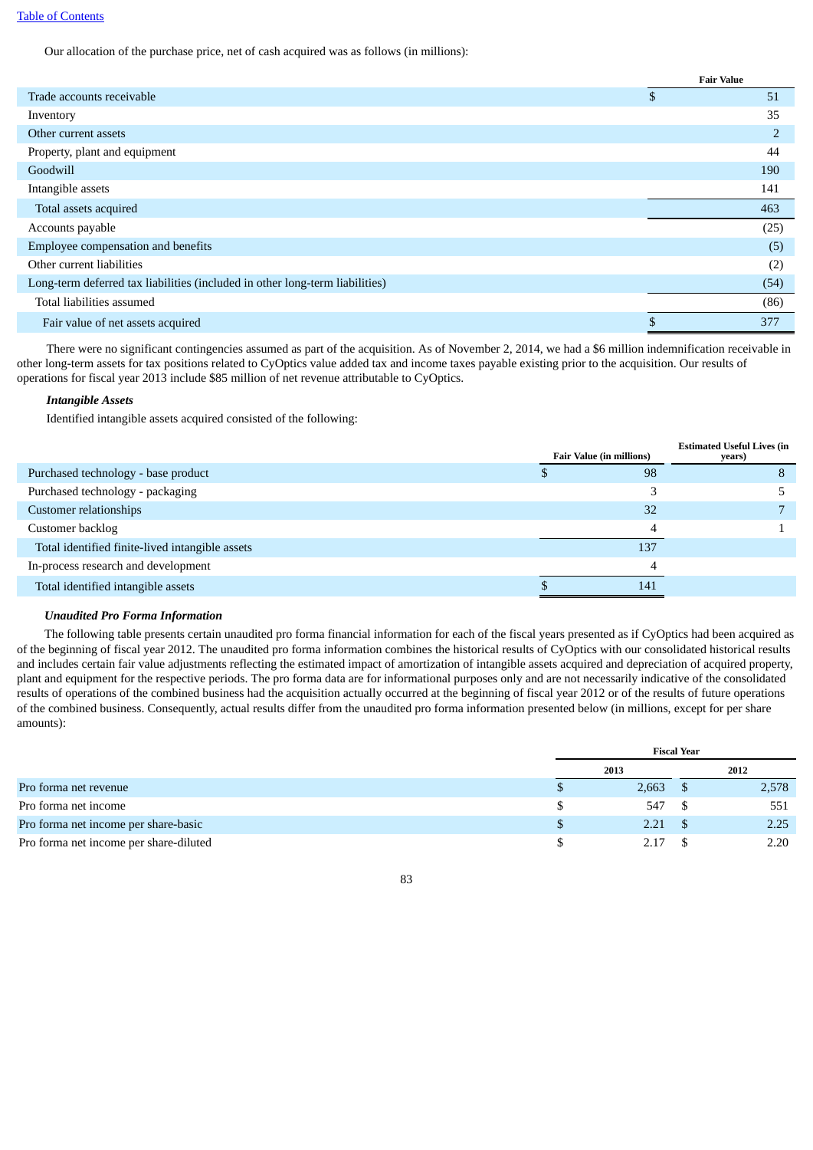Our allocation of the purchase price, net of cash acquired was as follows (in millions):

|                                                                              | <b>Fair Value</b> |
|------------------------------------------------------------------------------|-------------------|
| Trade accounts receivable                                                    | \$<br>51          |
| Inventory                                                                    | 35                |
| Other current assets                                                         | $\overline{2}$    |
| Property, plant and equipment                                                | 44                |
| Goodwill                                                                     | 190               |
| Intangible assets                                                            | 141               |
| Total assets acquired                                                        | 463               |
| Accounts payable                                                             | (25)              |
| Employee compensation and benefits                                           | (5)               |
| Other current liabilities                                                    | (2)               |
| Long-term deferred tax liabilities (included in other long-term liabilities) | (54)              |
| Total liabilities assumed                                                    | (86)              |
| Fair value of net assets acquired                                            | 377               |

There were no significant contingencies assumed as part of the acquisition. As of November 2, 2014, we had a \$6 million indemnification receivable in other long-term assets for tax positions related to CyOptics value added tax and income taxes payable existing prior to the acquisition. Our results of operations for fiscal year 2013 include \$85 million of net revenue attributable to CyOptics.

## *Intangible Assets*

Identified intangible assets acquired consisted of the following:

|                                                 | <b>Fair Value (in millions)</b> |     | <b>Estimated Useful Lives (in</b><br>years) |
|-------------------------------------------------|---------------------------------|-----|---------------------------------------------|
| Purchased technology - base product             |                                 | 98  |                                             |
| Purchased technology - packaging                |                                 |     |                                             |
| Customer relationships                          |                                 | 32  |                                             |
| Customer backlog                                |                                 |     |                                             |
| Total identified finite-lived intangible assets |                                 | 137 |                                             |
| In-process research and development             |                                 |     |                                             |
| Total identified intangible assets              |                                 | 141 |                                             |
|                                                 |                                 |     |                                             |

#### *Unaudited Pro Forma Information*

The following table presents certain unaudited pro forma financial information for each of the fiscal years presented as if CyOptics had been acquired as of the beginning of fiscal year 2012. The unaudited pro forma information combines the historical results of CyOptics with our consolidated historical results and includes certain fair value adjustments reflecting the estimated impact of amortization of intangible assets acquired and depreciation of acquired property, plant and equipment for the respective periods. The pro forma data are for informational purposes only and are not necessarily indicative of the consolidated results of operations of the combined business had the acquisition actually occurred at the beginning of fiscal year 2012 or of the results of future operations of the combined business. Consequently, actual results differ from the unaudited pro forma information presented below (in millions, except for per share amounts):

|                                        | <b>Fiscal Year</b> |      |       |  |  |  |  |
|----------------------------------------|--------------------|------|-------|--|--|--|--|
|                                        | 2013               | 2012 |       |  |  |  |  |
| Pro forma net revenue                  | 2,663              |      | 2,578 |  |  |  |  |
| Pro forma net income                   | 547                |      | 551   |  |  |  |  |
| Pro forma net income per share-basic   | $2.21 \quad$ \$    |      | 2.25  |  |  |  |  |
| Pro forma net income per share-diluted |                    |      | 2.20  |  |  |  |  |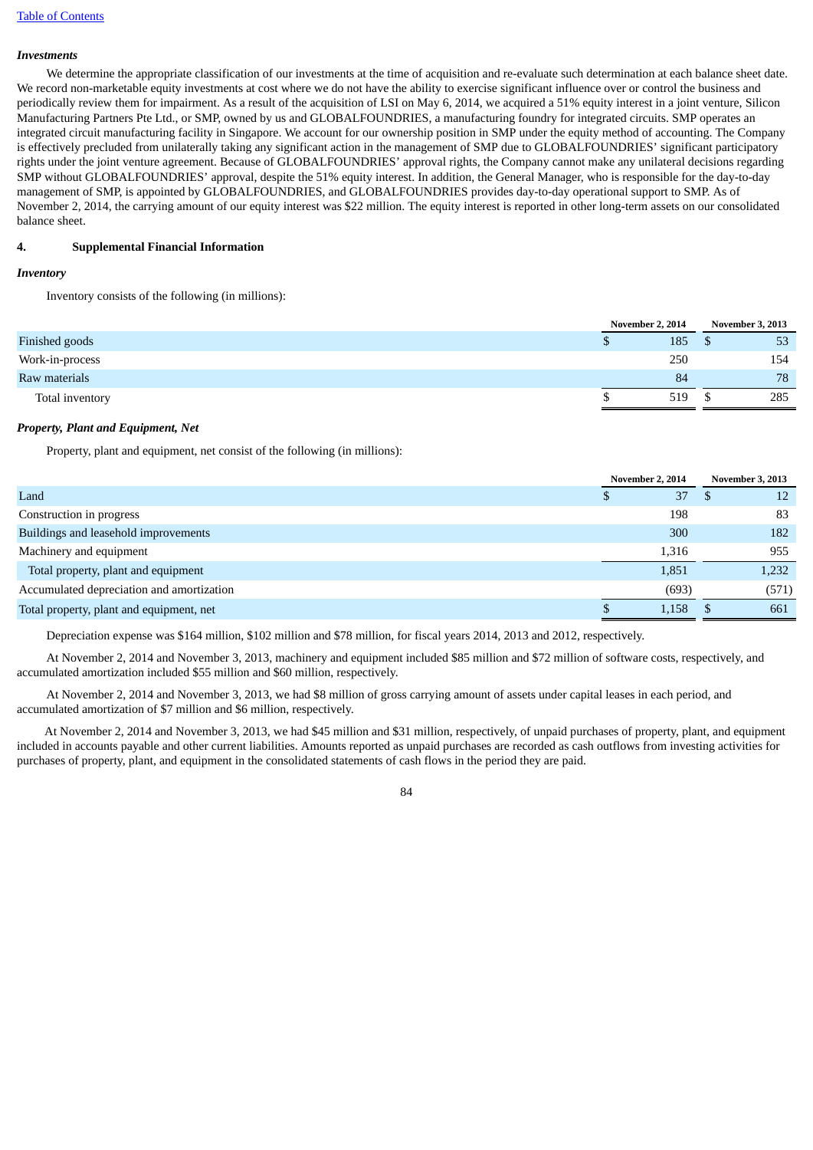#### *Investments*

We determine the appropriate classification of our investments at the time of acquisition and re-evaluate such determination at each balance sheet date. We record non-marketable equity investments at cost where we do not have the ability to exercise significant influence over or control the business and periodically review them for impairment. As a result of the acquisition of LSI on May 6, 2014, we acquired a 51% equity interest in a joint venture, Silicon Manufacturing Partners Pte Ltd., or SMP, owned by us and GLOBALFOUNDRIES, a manufacturing foundry for integrated circuits. SMP operates an integrated circuit manufacturing facility in Singapore. We account for our ownership position in SMP under the equity method of accounting. The Company is effectively precluded from unilaterally taking any significant action in the management of SMP due to GLOBALFOUNDRIES' significant participatory rights under the joint venture agreement. Because of GLOBALFOUNDRIES' approval rights, the Company cannot make any unilateral decisions regarding SMP without GLOBALFOUNDRIES' approval, despite the 51% equity interest. In addition, the General Manager, who is responsible for the day-to-day management of SMP, is appointed by GLOBALFOUNDRIES, and GLOBALFOUNDRIES provides day-to-day operational support to SMP. As of November 2, 2014, the carrying amount of our equity interest was \$22 million. The equity interest is reported in other long-term assets on our consolidated balance sheet.

## **4. Supplemental Financial Information**

#### *Inventory*

Inventory consists of the following (in millions):

|                 | <b>November 2, 2014</b> |  | <b>November 3, 2013</b> |
|-----------------|-------------------------|--|-------------------------|
| Finished goods  | 185                     |  | 53                      |
| Work-in-process | 250                     |  | 154                     |
| Raw materials   | 84                      |  | 78                      |
| Total inventory | 519                     |  | 285                     |

## *Property, Plant and Equipment, Net*

Property, plant and equipment, net consist of the following (in millions):

|                                           |  | <b>November 2, 2014</b> |  |       |  |  |  | <b>November 3, 2013</b> |
|-------------------------------------------|--|-------------------------|--|-------|--|--|--|-------------------------|
| Land                                      |  | 37                      |  | 12    |  |  |  |                         |
| Construction in progress                  |  | 198                     |  | 83    |  |  |  |                         |
| Buildings and leasehold improvements      |  | 300                     |  | 182   |  |  |  |                         |
| Machinery and equipment                   |  | 1,316                   |  | 955   |  |  |  |                         |
| Total property, plant and equipment       |  | 1,851                   |  | 1,232 |  |  |  |                         |
| Accumulated depreciation and amortization |  | (693)                   |  | (571) |  |  |  |                         |
| Total property, plant and equipment, net  |  | 1,158                   |  | 661   |  |  |  |                         |

Depreciation expense was \$164 million, \$102 million and \$78 million, for fiscal years 2014, 2013 and 2012, respectively.

At November 2, 2014 and November 3, 2013, machinery and equipment included \$85 million and \$72 million of software costs, respectively, and accumulated amortization included \$55 million and \$60 million, respectively.

At November 2, 2014 and November 3, 2013, we had \$8 million of gross carrying amount of assets under capital leases in each period, and accumulated amortization of \$7 million and \$6 million, respectively.

At November 2, 2014 and November 3, 2013, we had \$45 million and \$31 million, respectively, of unpaid purchases of property, plant, and equipment included in accounts payable and other current liabilities. Amounts reported as unpaid purchases are recorded as cash outflows from investing activities for purchases of property, plant, and equipment in the consolidated statements of cash flows in the period they are paid.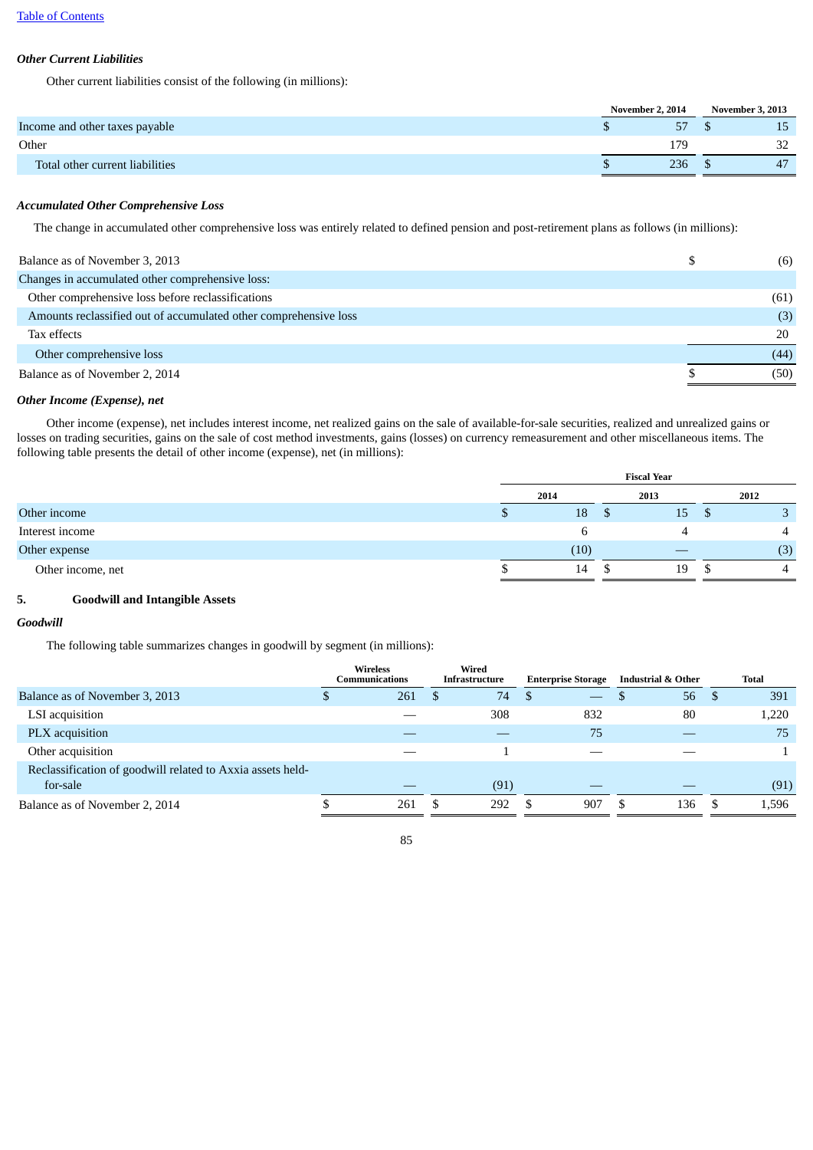## *Other Current Liabilities*

Other current liabilities consist of the following (in millions):

|                                 | November 2, 2014 | <b>November 3, 2013</b> |
|---------------------------------|------------------|-------------------------|
| Income and other taxes payable  |                  |                         |
| Other                           |                  | 32                      |
| Total other current liabilities | 236              | 47                      |

## *Accumulated Other Comprehensive Loss*

The change in accumulated other comprehensive loss was entirely related to defined pension and post-retirement plans as follows (in millions):

| Balance as of November 3, 2013                                   | (6)  |
|------------------------------------------------------------------|------|
| Changes in accumulated other comprehensive loss:                 |      |
| Other comprehensive loss before reclassifications                | (61) |
| Amounts reclassified out of accumulated other comprehensive loss | (3)  |
| Tax effects                                                      | 20   |
| Other comprehensive loss                                         | (44) |
| Balance as of November 2, 2014                                   | (50) |
|                                                                  |      |

# *Other Income (Expense), net*

Other income (expense), net includes interest income, net realized gains on the sale of available-for-sale securities, realized and unrealized gains or losses on trading securities, gains on the sale of cost method investments, gains (losses) on currency remeasurement and other miscellaneous items. The following table presents the detail of other income (expense), net (in millions):

|                   | <b>Fiscal Year</b> |      |  |      |   |      |  |
|-------------------|--------------------|------|--|------|---|------|--|
|                   | 2014               |      |  | 2013 |   | 2012 |  |
| Other income      |                    | 18   |  | 15   | D |      |  |
| Interest income   |                    |      |  | 4    |   |      |  |
| Other expense     |                    | (10) |  |      |   | (3)  |  |
| Other income, net |                    | 14   |  | 19   |   |      |  |

# **5. Goodwill and Intangible Assets**

# *Goodwill*

The following table summarizes changes in goodwill by segment (in millions):

|                                                                        | <b>Wireless</b><br><b>Communications</b> |     | Wired<br>Infrastructure |    | <b>Enterprise Storage</b> |   | <b>Industrial &amp; Other</b> |     | Total |
|------------------------------------------------------------------------|------------------------------------------|-----|-------------------------|----|---------------------------|---|-------------------------------|-----|-------|
| Balance as of November 3, 2013                                         | 261                                      | -\$ | 74                      | -S |                           | J | 56                            | - S | 391   |
| LSI acquisition                                                        |                                          |     | 308                     |    | 832                       |   | 80                            |     | 1,220 |
| PLX acquisition                                                        |                                          |     |                         |    | 75                        |   |                               |     | 75    |
| Other acquisition                                                      |                                          |     |                         |    |                           |   |                               |     |       |
| Reclassification of goodwill related to Axxia assets held-<br>for-sale |                                          |     | (91)                    |    |                           |   |                               |     | (91)  |
| Balance as of November 2, 2014                                         | 261                                      |     | 292                     |    | 907                       |   | 136                           |     | 1,596 |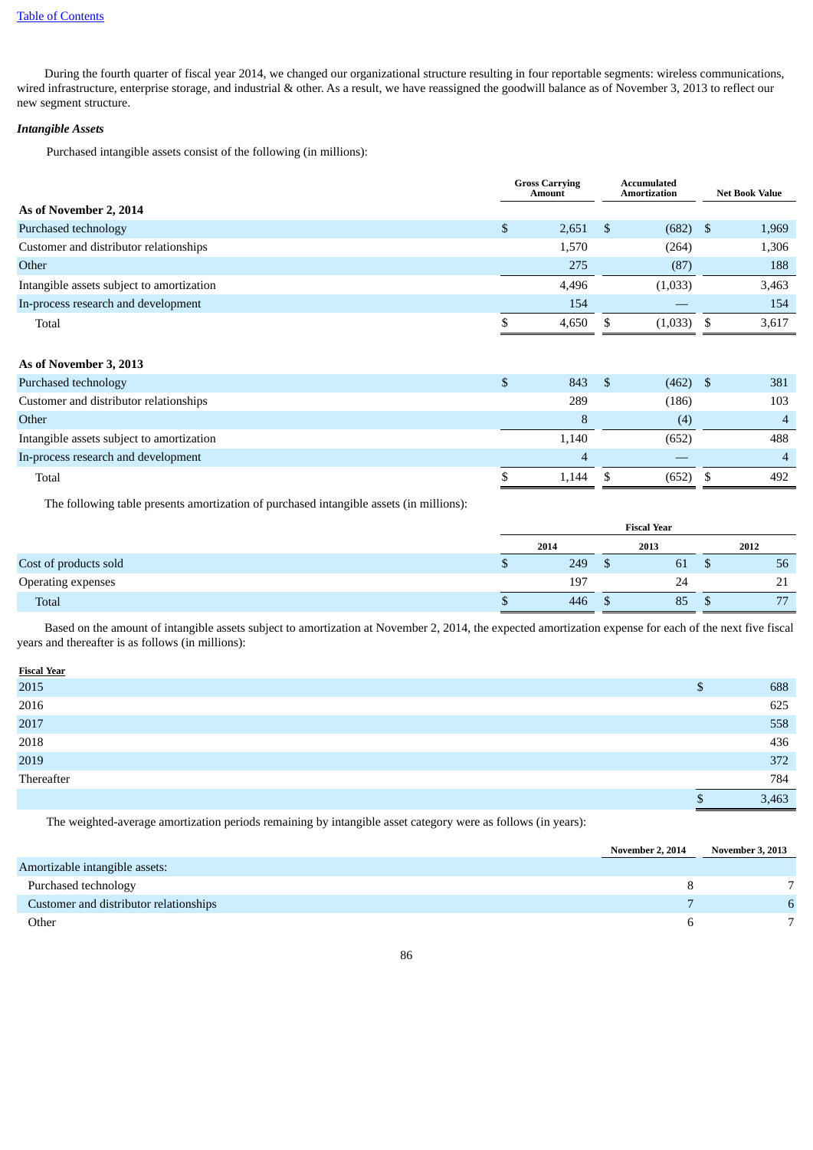During the fourth quarter of fiscal year 2014, we changed our organizational structure resulting in four reportable segments: wireless communications, wired infrastructure, enterprise storage, and industrial & other. As a result, we have reassigned the goodwill balance as of November 3, 2013 to reflect our new segment structure.

## *Intangible Assets*

Purchased intangible assets consist of the following (in millions):

|                                           | <b>Gross Carrying</b><br>Amount |     | <b>Accumulated</b><br>Amortization |  | <b>Net Book Value</b> |  |
|-------------------------------------------|---------------------------------|-----|------------------------------------|--|-----------------------|--|
| As of November 2, 2014                    |                                 |     |                                    |  |                       |  |
| Purchased technology                      | \$<br>2,651                     | - S | $(682)$ \$                         |  | 1,969                 |  |
| Customer and distributor relationships    | 1,570                           |     | (264)                              |  | 1,306                 |  |
| Other                                     | 275                             |     | (87)                               |  | 188                   |  |
| Intangible assets subject to amortization | 4,496                           |     | (1,033)                            |  | 3,463                 |  |
| In-process research and development       | 154                             |     |                                    |  | 154                   |  |
| Total                                     | 4.650                           |     | (1,033)                            |  | 3,617                 |  |

#### **As of November 3, 2013**

| Purchased technology                      | 843   | (462) | 381            |
|-------------------------------------------|-------|-------|----------------|
| Customer and distributor relationships    | 289   | (186) | 103            |
| Other                                     |       | (4)   | $\overline{4}$ |
| Intangible assets subject to amortization | 1,140 | (652) | 488            |
| In-process research and development       | 4     |       | $\overline{4}$ |
| Total                                     | 1,144 | (652) | 492            |

The following table presents amortization of purchased intangible assets (in millions):

|                       | <b>Fiscal Year</b> |      |  |      |      |    |  |  |
|-----------------------|--------------------|------|--|------|------|----|--|--|
|                       |                    | 2014 |  | 2013 | 2012 |    |  |  |
| Cost of products sold |                    | 249  |  | 61   |      | 56 |  |  |
| Operating expenses    |                    | 197  |  | 24   |      | 21 |  |  |
| Total                 |                    | 446  |  | 85   |      | 77 |  |  |

Based on the amount of intangible assets subject to amortization at November 2, 2014, the expected amortization expense for each of the next five fiscal years and thereafter is as follows (in millions):

| <b>Fiscal Year</b> |             |
|--------------------|-------------|
| 2015               | \$<br>688   |
| 2016               | 625         |
| 2017               | 558         |
| 2018               | 436         |
| 2019               | 372         |
| Thereafter         | 784         |
|                    | \$<br>3,463 |

The weighted-average amortization periods remaining by intangible asset category were as follows (in years):

|                                        | November 2, 2014 | <b>November 3, 2013</b> |
|----------------------------------------|------------------|-------------------------|
| Amortizable intangible assets:         |                  |                         |
| Purchased technology                   |                  |                         |
| Customer and distributor relationships |                  |                         |
| Other                                  |                  |                         |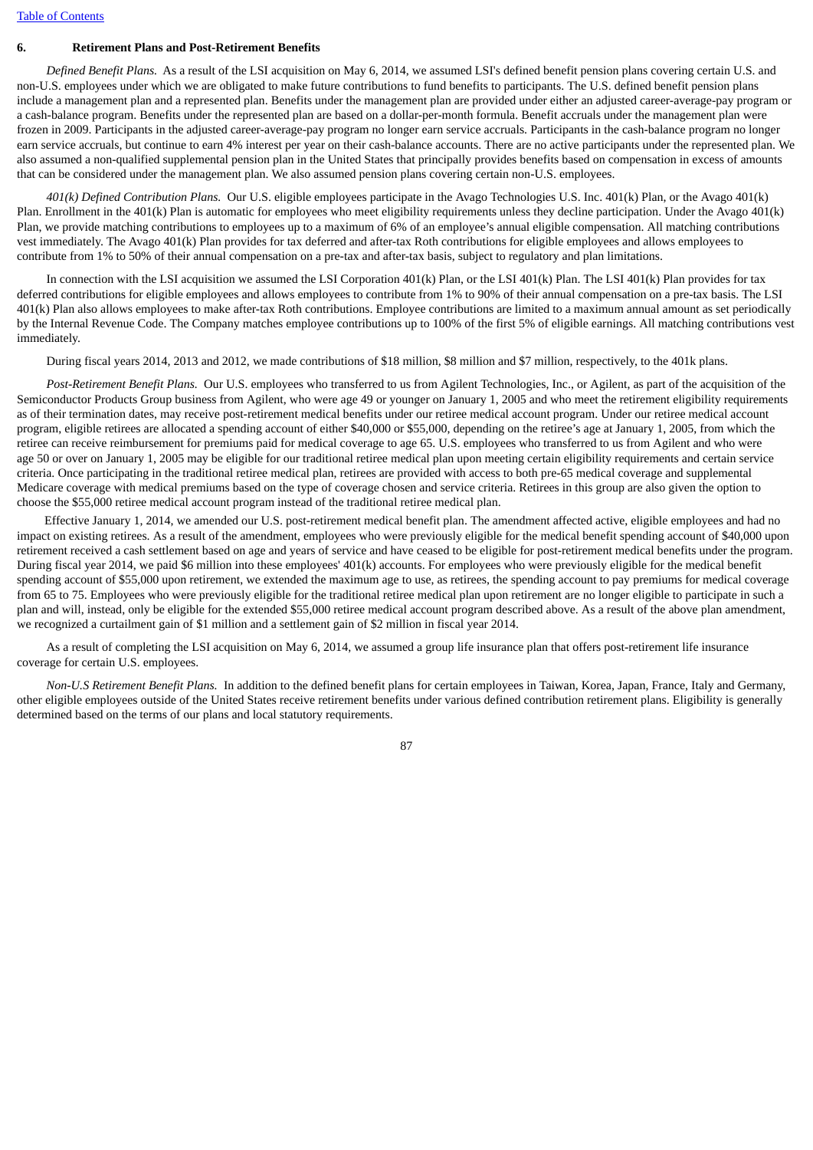#### **6. Retirement Plans and Post-Retirement Benefits**

*Defined Benefit Plans.* As a result of the LSI acquisition on May 6, 2014, we assumed LSI's defined benefit pension plans covering certain U.S. and non-U.S. employees under which we are obligated to make future contributions to fund benefits to participants. The U.S. defined benefit pension plans include a management plan and a represented plan. Benefits under the management plan are provided under either an adjusted career-average-pay program or a cash-balance program. Benefits under the represented plan are based on a dollar-per-month formula. Benefit accruals under the management plan were frozen in 2009. Participants in the adjusted career-average-pay program no longer earn service accruals. Participants in the cash-balance program no longer earn service accruals, but continue to earn 4% interest per year on their cash-balance accounts. There are no active participants under the represented plan. We also assumed a non-qualified supplemental pension plan in the United States that principally provides benefits based on compensation in excess of amounts that can be considered under the management plan. We also assumed pension plans covering certain non-U.S. employees.

*401(k) Defined Contribution Plans.* Our U.S. eligible employees participate in the Avago Technologies U.S. Inc. 401(k) Plan, or the Avago 401(k) Plan. Enrollment in the 401(k) Plan is automatic for employees who meet eligibility requirements unless they decline participation. Under the Avago 401(k) Plan, we provide matching contributions to employees up to a maximum of 6% of an employee's annual eligible compensation. All matching contributions vest immediately. The Avago 401(k) Plan provides for tax deferred and after-tax Roth contributions for eligible employees and allows employees to contribute from 1% to 50% of their annual compensation on a pre-tax and after-tax basis, subject to regulatory and plan limitations.

In connection with the LSI acquisition we assumed the LSI Corporation 401(k) Plan, or the LSI 401(k) Plan. The LSI 401(k) Plan provides for tax deferred contributions for eligible employees and allows employees to contribute from 1% to 90% of their annual compensation on a pre-tax basis. The LSI 401(k) Plan also allows employees to make after-tax Roth contributions. Employee contributions are limited to a maximum annual amount as set periodically by the Internal Revenue Code. The Company matches employee contributions up to 100% of the first 5% of eligible earnings. All matching contributions vest immediately.

During fiscal years 2014, 2013 and 2012, we made contributions of \$18 million, \$8 million and \$7 million, respectively, to the 401k plans.

*Post-Retirement Benefit Plans.* Our U.S. employees who transferred to us from Agilent Technologies, Inc., or Agilent, as part of the acquisition of the Semiconductor Products Group business from Agilent, who were age 49 or younger on January 1, 2005 and who meet the retirement eligibility requirements as of their termination dates, may receive post-retirement medical benefits under our retiree medical account program. Under our retiree medical account program, eligible retirees are allocated a spending account of either \$40,000 or \$55,000, depending on the retiree's age at January 1, 2005, from which the retiree can receive reimbursement for premiums paid for medical coverage to age 65. U.S. employees who transferred to us from Agilent and who were age 50 or over on January 1, 2005 may be eligible for our traditional retiree medical plan upon meeting certain eligibility requirements and certain service criteria. Once participating in the traditional retiree medical plan, retirees are provided with access to both pre-65 medical coverage and supplemental Medicare coverage with medical premiums based on the type of coverage chosen and service criteria. Retirees in this group are also given the option to choose the \$55,000 retiree medical account program instead of the traditional retiree medical plan.

Effective January 1, 2014, we amended our U.S. post-retirement medical benefit plan. The amendment affected active, eligible employees and had no impact on existing retirees. As a result of the amendment, employees who were previously eligible for the medical benefit spending account of \$40,000 upon retirement received a cash settlement based on age and years of service and have ceased to be eligible for post-retirement medical benefits under the program. During fiscal year 2014, we paid \$6 million into these employees' 401(k) accounts. For employees who were previously eligible for the medical benefit spending account of \$55,000 upon retirement, we extended the maximum age to use, as retirees, the spending account to pay premiums for medical coverage from 65 to 75. Employees who were previously eligible for the traditional retiree medical plan upon retirement are no longer eligible to participate in such a plan and will, instead, only be eligible for the extended \$55,000 retiree medical account program described above. As a result of the above plan amendment, we recognized a curtailment gain of \$1 million and a settlement gain of \$2 million in fiscal year 2014.

As a result of completing the LSI acquisition on May 6, 2014, we assumed a group life insurance plan that offers post-retirement life insurance coverage for certain U.S. employees.

*Non-U.S Retirement Benefit Plans.* In addition to the defined benefit plans for certain employees in Taiwan, Korea, Japan, France, Italy and Germany, other eligible employees outside of the United States receive retirement benefits under various defined contribution retirement plans. Eligibility is generally determined based on the terms of our plans and local statutory requirements.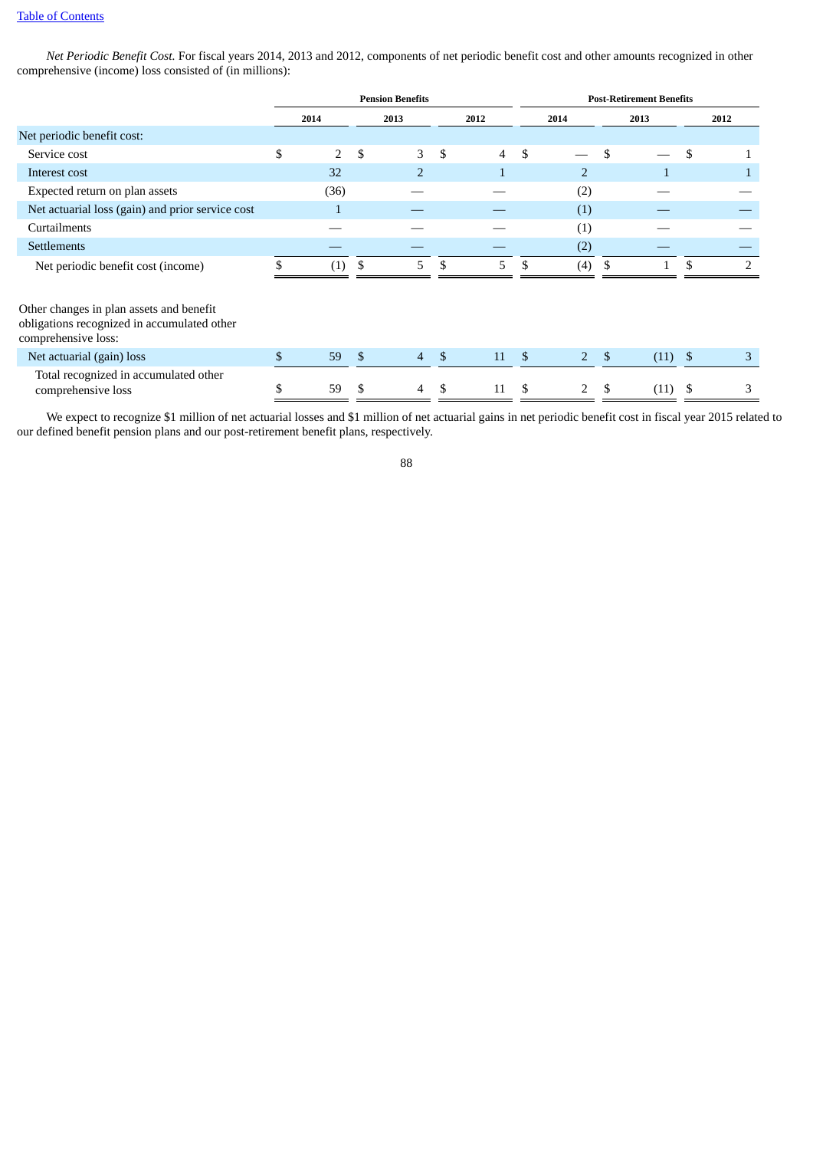# Table of [Contents](#page-0-0)

*Net Periodic Benefit Cost.* For fiscal years 2014, 2013 and 2012, components of net periodic benefit cost and other amounts recognized in other comprehensive (income) loss consisted of (in millions):

|                                                                                                                | <b>Pension Benefits</b> |                |               |                |    |                | <b>Post-Retirement Benefits</b> |                |    |      |            |                |
|----------------------------------------------------------------------------------------------------------------|-------------------------|----------------|---------------|----------------|----|----------------|---------------------------------|----------------|----|------|------------|----------------|
|                                                                                                                |                         | 2014           |               | 2013           |    | 2012           |                                 | 2014           |    | 2013 |            | 2012           |
| Net periodic benefit cost:                                                                                     |                         |                |               |                |    |                |                                 |                |    |      |            |                |
| Service cost                                                                                                   | \$                      | $\overline{2}$ | \$            | 3              | \$ | $\overline{4}$ | \$                              |                | \$ |      | \$         |                |
| Interest cost                                                                                                  |                         | 32             |               | 2              |    |                |                                 | 2              |    |      |            | 1              |
| Expected return on plan assets                                                                                 |                         | (36)           |               |                |    |                |                                 | (2)            |    |      |            |                |
| Net actuarial loss (gain) and prior service cost                                                               |                         | 1              |               |                |    |                |                                 | (1)            |    |      |            |                |
| Curtailments                                                                                                   |                         |                |               |                |    |                |                                 | (1)            |    |      |            |                |
| <b>Settlements</b>                                                                                             |                         |                |               |                |    |                |                                 | (2)            |    |      |            |                |
| Net periodic benefit cost (income)                                                                             | \$                      | (1)            | -S            | 5              | \$ | 5              | \$.                             | (4)            | \$ |      | \$         | $\overline{2}$ |
| Other changes in plan assets and benefit<br>obligations recognized in accumulated other<br>comprehensive loss: |                         |                |               |                |    |                |                                 |                |    |      |            |                |
| Net actuarial (gain) loss                                                                                      | \$                      | 59             | <sup>\$</sup> | $\overline{4}$ | \$ | 11             | $\mathfrak{s}$                  | 2 <sup>1</sup> | \$ | (11) | $^{\circ}$ | 3              |
| Total recognized in accumulated other<br>comprehensive loss                                                    | \$                      | 59             | S             | 4              | S  | 11             | S                               | 2              | \$ | (11) | -\$        | 3              |

We expect to recognize \$1 million of net actuarial losses and \$1 million of net actuarial gains in net periodic benefit cost in fiscal year 2015 related to our defined benefit pension plans and our post-retirement benefit plans, respectively.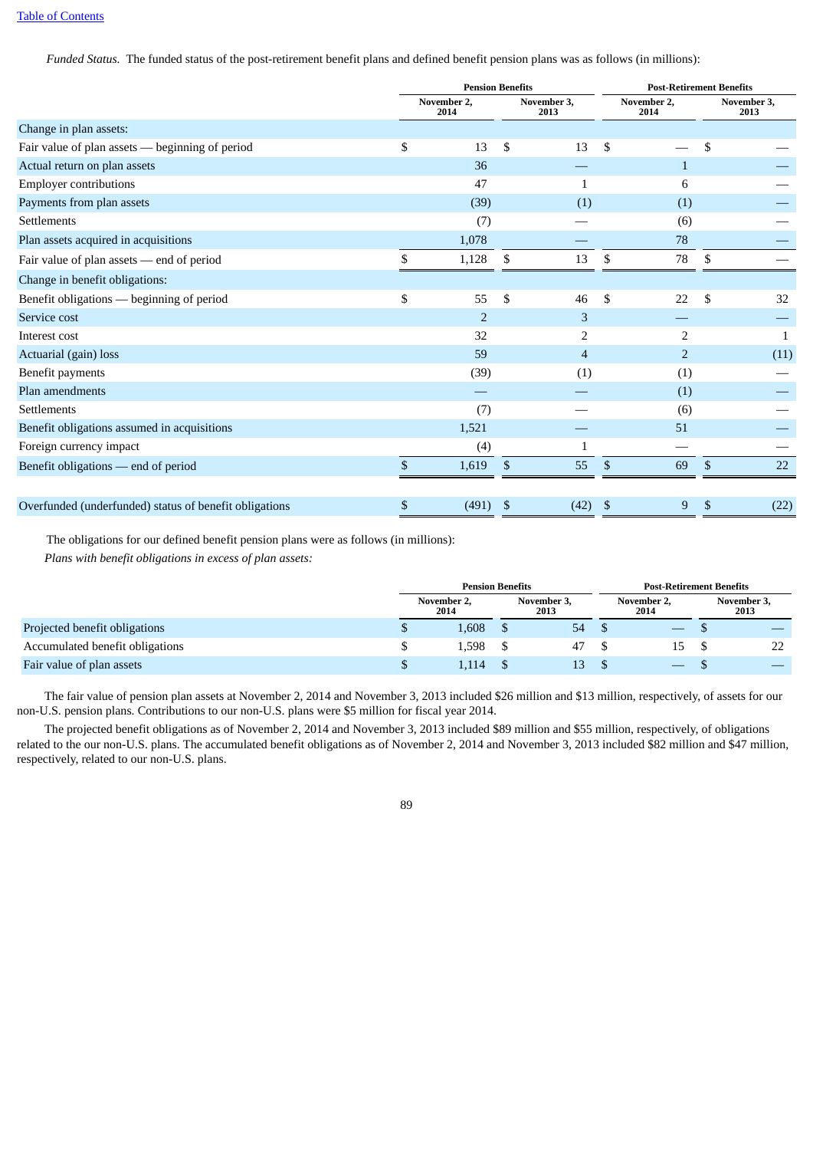*Funded Status.* The funded status of the post-retirement benefit plans and defined benefit pension plans was as follows (in millions):

|                                                        |              | <b>Pension Benefits</b> |    |                     |     | <b>Post-Retirement Benefits</b> |    |                     |  |
|--------------------------------------------------------|--------------|-------------------------|----|---------------------|-----|---------------------------------|----|---------------------|--|
|                                                        |              | November 2,<br>2014     |    | November 3,<br>2013 |     | November 2,<br>2014             |    | November 3,<br>2013 |  |
| Change in plan assets:                                 |              |                         |    |                     |     |                                 |    |                     |  |
| Fair value of plan assets - beginning of period        | \$           | 13                      | \$ | 13                  | \$  |                                 | \$ |                     |  |
| Actual return on plan assets                           |              | 36                      |    |                     |     | $\mathbf{1}$                    |    |                     |  |
| <b>Employer contributions</b>                          |              | 47                      |    | 1                   |     | 6                               |    |                     |  |
| Payments from plan assets                              |              | (39)                    |    | (1)                 |     | (1)                             |    |                     |  |
| <b>Settlements</b>                                     |              | (7)                     |    |                     |     | (6)                             |    |                     |  |
| Plan assets acquired in acquisitions                   |              | 1,078                   |    |                     |     | 78                              |    |                     |  |
| Fair value of plan assets - end of period              | \$           | 1,128                   | \$ | 13                  | \$  | ${\bf 78}$                      | \$ |                     |  |
| Change in benefit obligations:                         |              |                         |    |                     |     |                                 |    |                     |  |
| Benefit obligations - beginning of period              | \$           | 55                      | \$ | 46                  | \$  | 22                              | \$ | 32                  |  |
| Service cost                                           |              | $\overline{2}$          |    | 3                   |     |                                 |    |                     |  |
| Interest cost                                          |              | 32                      |    | 2                   |     | $\overline{2}$                  |    | 1                   |  |
| Actuarial (gain) loss                                  |              | 59                      |    | $\overline{4}$      |     | $\overline{2}$                  |    | (11)                |  |
| <b>Benefit payments</b>                                |              | (39)                    |    | (1)                 |     | (1)                             |    |                     |  |
| Plan amendments                                        |              |                         |    |                     |     | (1)                             |    |                     |  |
| Settlements                                            |              | (7)                     |    |                     |     | (6)                             |    |                     |  |
| Benefit obligations assumed in acquisitions            |              | 1,521                   |    |                     |     | 51                              |    |                     |  |
| Foreign currency impact                                |              | (4)                     |    | 1                   |     |                                 |    |                     |  |
| Benefit obligations - end of period                    | $\mathbb{S}$ | 1,619                   | \$ | 55                  | \$  | 69                              | \$ | 22                  |  |
|                                                        |              |                         |    |                     |     |                                 |    |                     |  |
| Overfunded (underfunded) status of benefit obligations | \$           | (491)                   | \$ | (42)                | -\$ | 9                               | \$ | (22)                |  |

The obligations for our defined benefit pension plans were as follows (in millions):

*Plans with benefit obligations in excess of plan assets:*

|                                 | <b>Pension Benefits</b> |                     |  |                     |                     | <b>Post-Retirement Benefits</b> |                     |
|---------------------------------|-------------------------|---------------------|--|---------------------|---------------------|---------------------------------|---------------------|
|                                 |                         | November 2,<br>2014 |  | November 3,<br>2013 | November 2,<br>2014 |                                 | November 3,<br>2013 |
| Projected benefit obligations   |                         | 1,608               |  | 54                  |                     |                                 |                     |
| Accumulated benefit obligations |                         | 1.598               |  | 47                  | 15                  |                                 | 22                  |
| Fair value of plan assets       |                         | 1,114               |  | 13                  |                     |                                 |                     |

The fair value of pension plan assets at November 2, 2014 and November 3, 2013 included \$26 million and \$13 million, respectively, of assets for our non-U.S. pension plans. Contributions to our non-U.S. plans were \$5 million for fiscal year 2014.

The projected benefit obligations as of November 2, 2014 and November 3, 2013 included \$89 million and \$55 million, respectively, of obligations related to the our non-U.S. plans. The accumulated benefit obligations as of November 2, 2014 and November 3, 2013 included \$82 million and \$47 million, respectively, related to our non-U.S. plans.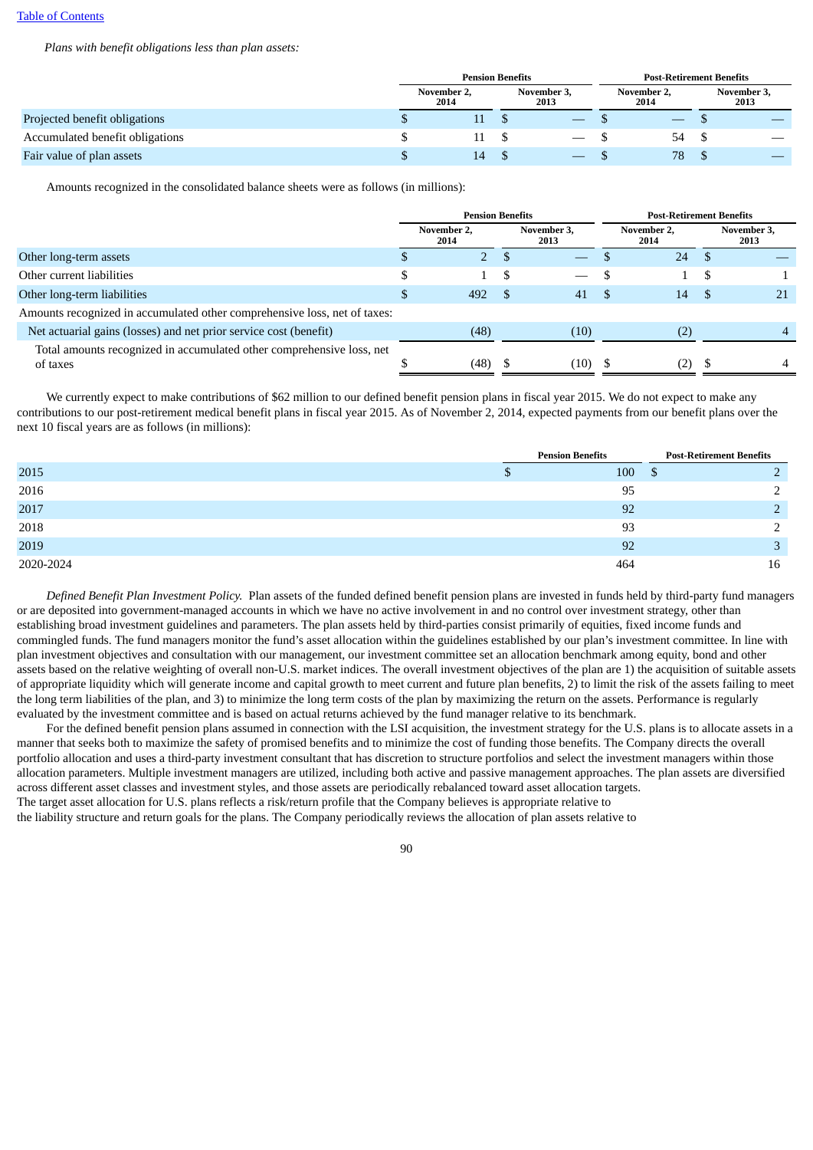*Plans with benefit obligations less than plan assets:*

|                                 | <b>Pension Benefits</b> |  |                     |  |                     | <b>Post-Retirement Benefits</b> |                          |
|---------------------------------|-------------------------|--|---------------------|--|---------------------|---------------------------------|--------------------------|
|                                 | November 2,<br>2014     |  | November 3.<br>2013 |  | November 2,<br>2014 |                                 | November 3,<br>2013      |
| Projected benefit obligations   | 11                      |  |                     |  |                     |                                 |                          |
| Accumulated benefit obligations | 11                      |  | $\hspace{0.05cm}$   |  | 54                  |                                 | $\overline{\phantom{a}}$ |
| Fair value of plan assets       | 14                      |  |                     |  | 78                  |                                 |                          |

Amounts recognized in the consolidated balance sheets were as follows (in millions):

|                                                                                   | <b>Pension Benefits</b> |                     |  |                     |     | <b>Post-Retirement Benefits</b> |      |                     |
|-----------------------------------------------------------------------------------|-------------------------|---------------------|--|---------------------|-----|---------------------------------|------|---------------------|
|                                                                                   |                         | November 2.<br>2014 |  | November 3.<br>2013 |     | November 2.<br>2014             |      | November 3,<br>2013 |
| Other long-term assets                                                            |                         |                     |  |                     |     | 24                              | - 76 |                     |
| Other current liabilities                                                         | D                       | $\mathbf{1}$        |  |                     |     |                                 | S    |                     |
| Other long-term liabilities                                                       |                         | 492                 |  | 41                  | - S | 14                              | - \$ | 21                  |
| Amounts recognized in accumulated other comprehensive loss, net of taxes:         |                         |                     |  |                     |     |                                 |      |                     |
| Net actuarial gains (losses) and net prior service cost (benefit)                 |                         | (48)                |  | (10)                |     | $\left( 2\right)$               |      |                     |
| Total amounts recognized in accumulated other comprehensive loss, net<br>of taxes |                         | (48)                |  | (10)                |     | (2)                             |      | 4                   |

We currently expect to make contributions of \$62 million to our defined benefit pension plans in fiscal year 2015. We do not expect to make any contributions to our post-retirement medical benefit plans in fiscal year 2015. As of November 2, 2014, expected payments from our benefit plans over the next 10 fiscal years are as follows (in millions):

|           | <b>Pension Benefits</b> | <b>Post-Retirement Benefits</b> |
|-----------|-------------------------|---------------------------------|
| 2015      | 100                     | P                               |
| 2016      | 95                      |                                 |
| 2017      | 92                      |                                 |
| 2018      | 93                      |                                 |
| 2019      | 92                      |                                 |
| 2020-2024 | 464                     | 16                              |

*Defined Benefit Plan Investment Policy.* Plan assets of the funded defined benefit pension plans are invested in funds held by third-party fund managers or are deposited into government-managed accounts in which we have no active involvement in and no control over investment strategy, other than establishing broad investment guidelines and parameters. The plan assets held by third-parties consist primarily of equities, fixed income funds and commingled funds. The fund managers monitor the fund's asset allocation within the guidelines established by our plan's investment committee. In line with plan investment objectives and consultation with our management, our investment committee set an allocation benchmark among equity, bond and other assets based on the relative weighting of overall non-U.S. market indices. The overall investment objectives of the plan are 1) the acquisition of suitable assets of appropriate liquidity which will generate income and capital growth to meet current and future plan benefits, 2) to limit the risk of the assets failing to meet the long term liabilities of the plan, and 3) to minimize the long term costs of the plan by maximizing the return on the assets. Performance is regularly evaluated by the investment committee and is based on actual returns achieved by the fund manager relative to its benchmark.

For the defined benefit pension plans assumed in connection with the LSI acquisition, the investment strategy for the U.S. plans is to allocate assets in a manner that seeks both to maximize the safety of promised benefits and to minimize the cost of funding those benefits. The Company directs the overall portfolio allocation and uses a third-party investment consultant that has discretion to structure portfolios and select the investment managers within those allocation parameters. Multiple investment managers are utilized, including both active and passive management approaches. The plan assets are diversified across different asset classes and investment styles, and those assets are periodically rebalanced toward asset allocation targets. The target asset allocation for U.S. plans reflects a risk/return profile that the Company believes is appropriate relative to

the liability structure and return goals for the plans. The Company periodically reviews the allocation of plan assets relative to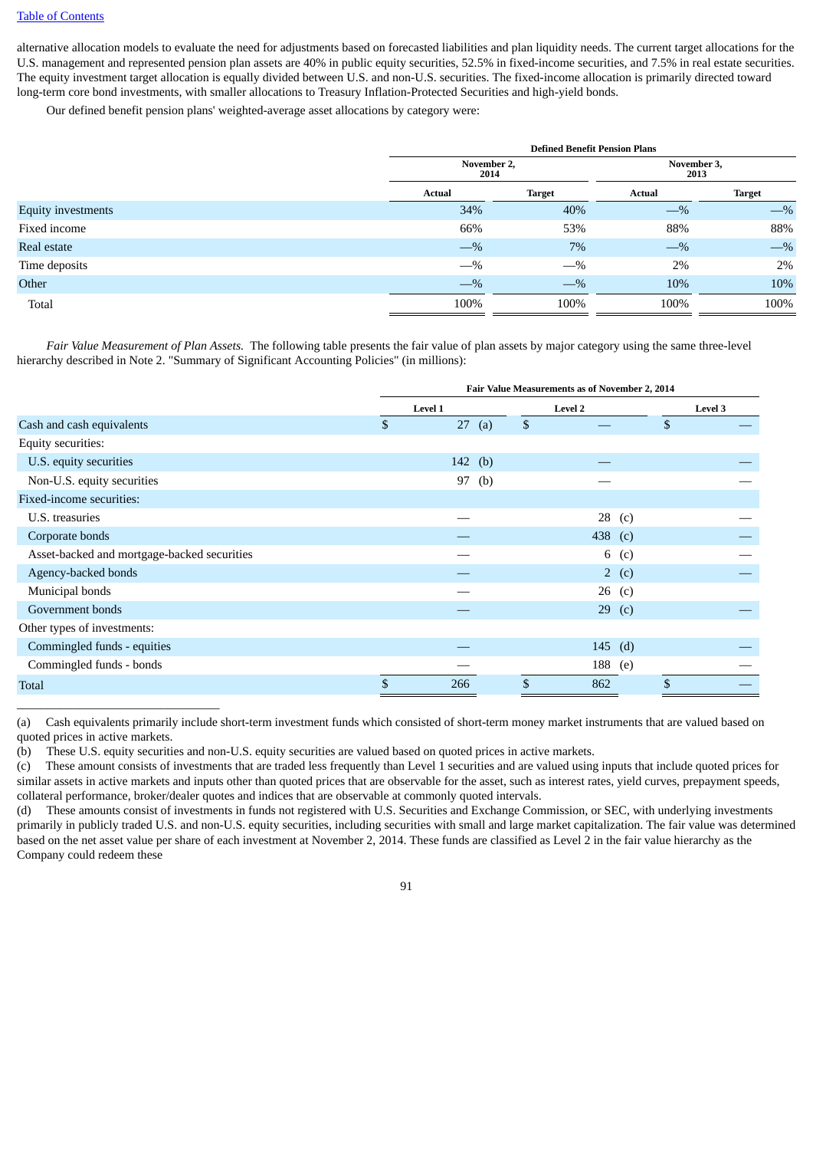## Table of [Contents](#page-0-0)

alternative allocation models to evaluate the need for adjustments based on forecasted liabilities and plan liquidity needs. The current target allocations for the U.S. management and represented pension plan assets are 40% in public equity securities, 52.5% in fixed-income securities, and 7.5% in real estate securities. The equity investment target allocation is equally divided between U.S. and non-U.S. securities. The fixed-income allocation is primarily directed toward long-term core bond investments, with smaller allocations to Treasury Inflation-Protected Securities and high-yield bonds.

Our defined benefit pension plans' weighted-average asset allocations by category were:

|                           | <b>Defined Benefit Pension Plans</b> |               |                     |               |  |  |  |  |  |
|---------------------------|--------------------------------------|---------------|---------------------|---------------|--|--|--|--|--|
|                           | November 2,                          | 2014          | November 3,<br>2013 |               |  |  |  |  |  |
|                           | Actual                               | <b>Target</b> | <b>Actual</b>       | <b>Target</b> |  |  |  |  |  |
| <b>Equity investments</b> | 34%                                  | 40%           | $-$ %               | $-$ %         |  |  |  |  |  |
| Fixed income              | 66%                                  | 53%           | 88%                 | 88%           |  |  |  |  |  |
| Real estate               | $-$ %                                | 7%            | $-$ %               | $-$ %         |  |  |  |  |  |
| Time deposits             | $-$ %                                | $-$ %         | 2%                  | 2%            |  |  |  |  |  |
| Other                     | $-$ %                                | $-$ %         | 10%                 | 10%           |  |  |  |  |  |
| Total                     | 100%                                 | 100%          | 100%                | 100%          |  |  |  |  |  |

*Fair Value Measurement of Plan Assets.* The following table presents the fair value of plan assets by major category using the same three-level hierarchy described in Note 2. "Summary of Significant Accounting Policies" (in millions):

|                                             | Fair Value Measurements as of November 2, 2014 |         |     |    |                |          |                |  |  |
|---------------------------------------------|------------------------------------------------|---------|-----|----|----------------|----------|----------------|--|--|
|                                             |                                                | Level 1 |     |    | <b>Level 2</b> |          | <b>Level 3</b> |  |  |
| Cash and cash equivalents                   | \$                                             | 27      | (a) | \$ |                |          | $\mathbb{S}$   |  |  |
| Equity securities:                          |                                                |         |     |    |                |          |                |  |  |
| U.S. equity securities                      |                                                | 142 (b) |     |    |                |          |                |  |  |
| Non-U.S. equity securities                  |                                                | 97      | (b) |    |                |          |                |  |  |
| Fixed-income securities:                    |                                                |         |     |    |                |          |                |  |  |
| U.S. treasuries                             |                                                |         |     |    |                | 28 (c)   |                |  |  |
| Corporate bonds                             |                                                |         |     |    | 438 (c)        |          |                |  |  |
| Asset-backed and mortgage-backed securities |                                                |         |     |    |                | 6 (c)    |                |  |  |
| Agency-backed bonds                         |                                                |         |     |    |                | 2 (c)    |                |  |  |
| Municipal bonds                             |                                                |         |     |    |                | $26$ (c) |                |  |  |
| Government bonds                            |                                                |         |     |    |                | $29$ (c) |                |  |  |
| Other types of investments:                 |                                                |         |     |    |                |          |                |  |  |
| Commingled funds - equities                 |                                                |         |     |    | 145 (d)        |          |                |  |  |
| Commingled funds - bonds                    |                                                |         |     |    | 188 (e)        |          |                |  |  |
| Total                                       | S                                              | 266     |     | \$ | 862            |          | \$             |  |  |

(a) Cash equivalents primarily include short-term investment funds which consisted of short-term money market instruments that are valued based on quoted prices in active markets.

(b) These U.S. equity securities and non-U.S. equity securities are valued based on quoted prices in active markets.

\_\_\_\_\_\_\_\_\_\_\_\_\_\_\_\_\_\_\_\_\_\_\_\_\_\_\_\_\_\_\_\_\_

(c) These amount consists of investments that are traded less frequently than Level 1 securities and are valued using inputs that include quoted prices for similar assets in active markets and inputs other than quoted prices that are observable for the asset, such as interest rates, yield curves, prepayment speeds, collateral performance, broker/dealer quotes and indices that are observable at commonly quoted intervals.

(d) These amounts consist of investments in funds not registered with U.S. Securities and Exchange Commission, or SEC, with underlying investments primarily in publicly traded U.S. and non-U.S. equity securities, including securities with small and large market capitalization. The fair value was determined based on the net asset value per share of each investment at November 2, 2014. These funds are classified as Level 2 in the fair value hierarchy as the Company could redeem these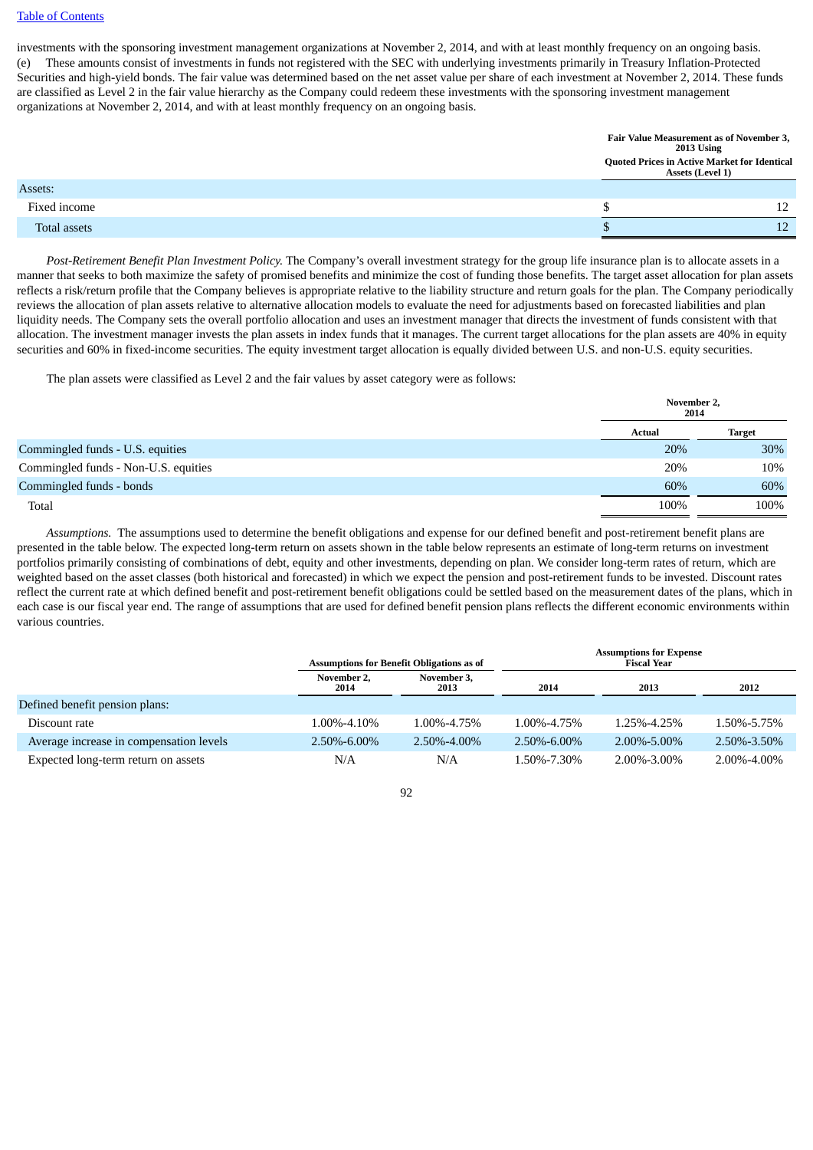# Table of [Contents](#page-0-0)

investments with the sponsoring investment management organizations at November 2, 2014, and with at least monthly frequency on an ongoing basis. (e) These amounts consist of investments in funds not registered with the SEC with underlying investments primarily in Treasury Inflation-Protected Securities and high-yield bonds. The fair value was determined based on the net asset value per share of each investment at November 2, 2014. These funds are classified as Level 2 in the fair value hierarchy as the Company could redeem these investments with the sponsoring investment management organizations at November 2, 2014, and with at least monthly frequency on an ongoing basis.

|              | <b>Fair Value Measurement as of November 3,</b><br>2013 Using           |             |
|--------------|-------------------------------------------------------------------------|-------------|
|              | Quoted Prices in Active Market for Identical<br><b>Assets (Level 1)</b> |             |
| Assets:      |                                                                         |             |
| Fixed income |                                                                         |             |
| Total assets | ື                                                                       | $1^{\circ}$ |

*Post-Retirement Benefit Plan Investment Policy.* The Company's overall investment strategy for the group life insurance plan is to allocate assets in a manner that seeks to both maximize the safety of promised benefits and minimize the cost of funding those benefits. The target asset allocation for plan assets reflects a risk/return profile that the Company believes is appropriate relative to the liability structure and return goals for the plan. The Company periodically reviews the allocation of plan assets relative to alternative allocation models to evaluate the need for adjustments based on forecasted liabilities and plan liquidity needs. The Company sets the overall portfolio allocation and uses an investment manager that directs the investment of funds consistent with that allocation. The investment manager invests the plan assets in index funds that it manages. The current target allocations for the plan assets are 40% in equity securities and 60% in fixed-income securities. The equity investment target allocation is equally divided between U.S. and non-U.S. equity securities.

The plan assets were classified as Level 2 and the fair values by asset category were as follows:

|                                      | November 2,<br>2014 |               |
|--------------------------------------|---------------------|---------------|
|                                      | Actual              | <b>Target</b> |
| Commingled funds - U.S. equities     | 20%                 | 30%           |
| Commingled funds - Non-U.S. equities | 20%                 | 10%           |
| Commingled funds - bonds             | 60%                 | 60%           |
| Total                                | 100%                | 100%          |

*Assumptions.* The assumptions used to determine the benefit obligations and expense for our defined benefit and post-retirement benefit plans are presented in the table below. The expected long-term return on assets shown in the table below represents an estimate of long-term returns on investment portfolios primarily consisting of combinations of debt, equity and other investments, depending on plan. We consider long-term rates of return, which are weighted based on the asset classes (both historical and forecasted) in which we expect the pension and post-retirement funds to be invested. Discount rates reflect the current rate at which defined benefit and post-retirement benefit obligations could be settled based on the measurement dates of the plans, which in each case is our fiscal year end. The range of assumptions that are used for defined benefit pension plans reflects the different economic environments within various countries.

|                                         |                     | <b>Assumptions for Benefit Obligations as of</b> |                   | <b>Assumptions for Expense</b> |             |
|-----------------------------------------|---------------------|--------------------------------------------------|-------------------|--------------------------------|-------------|
|                                         | November 2.<br>2014 | November 3.<br>2013                              | 2014              | 2013                           | 2012        |
| Defined benefit pension plans:          |                     |                                                  |                   |                                |             |
| Discount rate                           | 1.00%-4.10%         | 1.00%-4.75%                                      | 1.00%-4.75%       | 1.25%-4.25%                    | 1.50%-5.75% |
| Average increase in compensation levels | $2.50\% - 6.00\%$   | 2.50%-4.00%                                      | $2.50\% - 6.00\%$ | 2.00%-5.00%                    | 2.50%-3.50% |
| Expected long-term return on assets     | N/A                 | N/A                                              | 1.50%-7.30%       | 2.00%-3.00%                    | 2.00%-4.00% |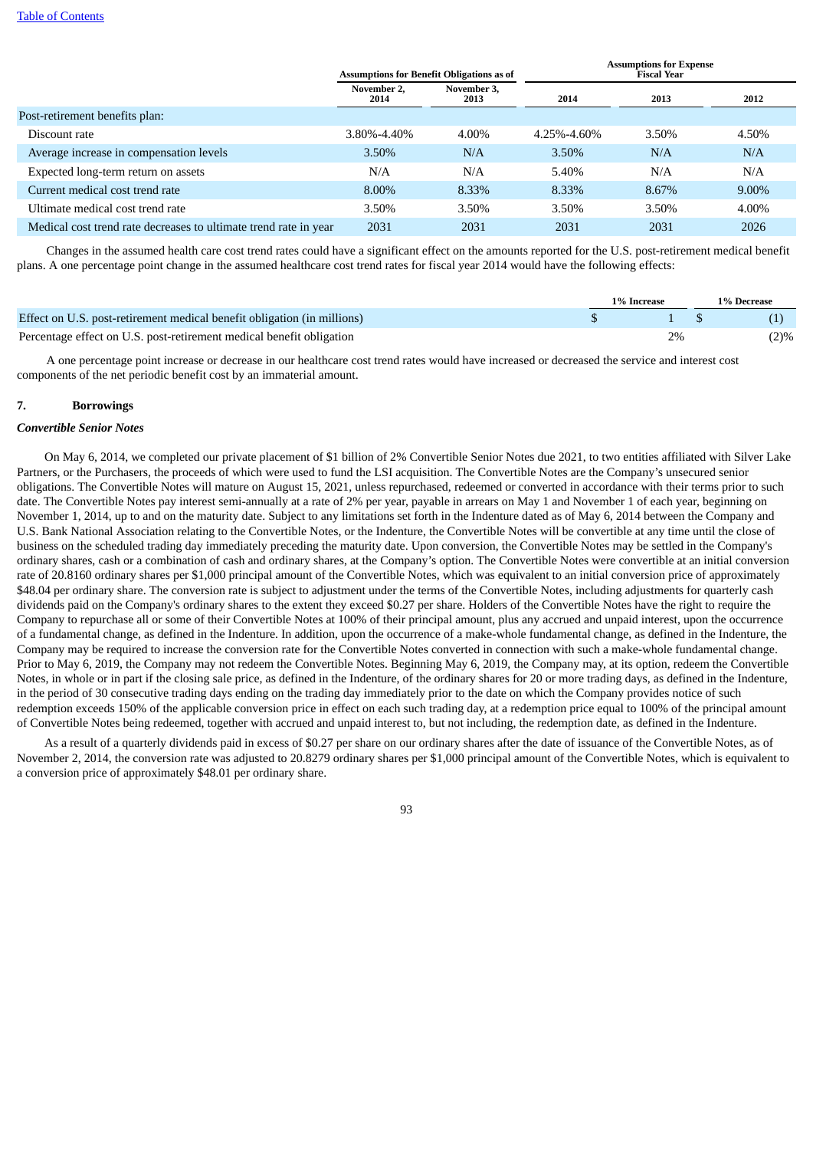|                                                                  | <b>Assumptions for Benefit Obligations as of</b> |                     | <b>Assumptions for Expense</b><br><b>Fiscal Year</b> |       |          |
|------------------------------------------------------------------|--------------------------------------------------|---------------------|------------------------------------------------------|-------|----------|
|                                                                  | November 2.<br>2014                              | November 3.<br>2013 | 2014                                                 | 2013  | 2012     |
| Post-retirement benefits plan:                                   |                                                  |                     |                                                      |       |          |
| Discount rate                                                    | 3.80%-4.40%                                      | 4.00%               | 4.25%-4.60%                                          | 3.50% | 4.50%    |
| Average increase in compensation levels                          | 3.50%                                            | N/A                 | 3.50%                                                | N/A   | N/A      |
| Expected long-term return on assets                              | N/A                                              | N/A                 | 5.40%                                                | N/A   | N/A      |
| Current medical cost trend rate                                  | 8.00%                                            | 8.33%               | 8.33%                                                | 8.67% | $9.00\%$ |
| Ultimate medical cost trend rate                                 | 3.50%                                            | 3.50%               | 3.50%                                                | 3.50% | 4.00%    |
| Medical cost trend rate decreases to ultimate trend rate in year | 2031                                             | 2031                | 2031                                                 | 2031  | 2026     |

Changes in the assumed health care cost trend rates could have a significant effect on the amounts reported for the U.S. post-retirement medical benefit plans. A one percentage point change in the assumed healthcare cost trend rates for fiscal year 2014 would have the following effects:

|                                                                         | 1% Increase | 1% Decrease |
|-------------------------------------------------------------------------|-------------|-------------|
| Effect on U.S. post-retirement medical benefit obligation (in millions) | $1 \quad S$ |             |
| Percentage effect on U.S. post-retirement medical benefit obligation    |             | $(2)\%$     |

A one percentage point increase or decrease in our healthcare cost trend rates would have increased or decreased the service and interest cost components of the net periodic benefit cost by an immaterial amount.

## **7. Borrowings**

#### *Convertible Senior Notes*

On May 6, 2014, we completed our private placement of \$1 billion of 2% Convertible Senior Notes due 2021, to two entities affiliated with Silver Lake Partners, or the Purchasers, the proceeds of which were used to fund the LSI acquisition. The Convertible Notes are the Company's unsecured senior obligations. The Convertible Notes will mature on August 15, 2021, unless repurchased, redeemed or converted in accordance with their terms prior to such date. The Convertible Notes pay interest semi-annually at a rate of 2% per year, payable in arrears on May 1 and November 1 of each year, beginning on November 1, 2014, up to and on the maturity date. Subject to any limitations set forth in the Indenture dated as of May 6, 2014 between the Company and U.S. Bank National Association relating to the Convertible Notes, or the Indenture, the Convertible Notes will be convertible at any time until the close of business on the scheduled trading day immediately preceding the maturity date. Upon conversion, the Convertible Notes may be settled in the Company's ordinary shares, cash or a combination of cash and ordinary shares, at the Company's option. The Convertible Notes were convertible at an initial conversion rate of 20.8160 ordinary shares per \$1,000 principal amount of the Convertible Notes, which was equivalent to an initial conversion price of approximately \$48.04 per ordinary share. The conversion rate is subject to adjustment under the terms of the Convertible Notes, including adjustments for quarterly cash dividends paid on the Company's ordinary shares to the extent they exceed \$0.27 per share. Holders of the Convertible Notes have the right to require the Company to repurchase all or some of their Convertible Notes at 100% of their principal amount, plus any accrued and unpaid interest, upon the occurrence of a fundamental change, as defined in the Indenture. In addition, upon the occurrence of a make-whole fundamental change, as defined in the Indenture, the Company may be required to increase the conversion rate for the Convertible Notes converted in connection with such a make-whole fundamental change. Prior to May 6, 2019, the Company may not redeem the Convertible Notes. Beginning May 6, 2019, the Company may, at its option, redeem the Convertible Notes, in whole or in part if the closing sale price, as defined in the Indenture, of the ordinary shares for 20 or more trading days, as defined in the Indenture, in the period of 30 consecutive trading days ending on the trading day immediately prior to the date on which the Company provides notice of such redemption exceeds 150% of the applicable conversion price in effect on each such trading day, at a redemption price equal to 100% of the principal amount of Convertible Notes being redeemed, together with accrued and unpaid interest to, but not including, the redemption date, as defined in the Indenture.

As a result of a quarterly dividends paid in excess of \$0.27 per share on our ordinary shares after the date of issuance of the Convertible Notes, as of November 2, 2014, the conversion rate was adjusted to 20.8279 ordinary shares per \$1,000 principal amount of the Convertible Notes, which is equivalent to a conversion price of approximately \$48.01 per ordinary share.

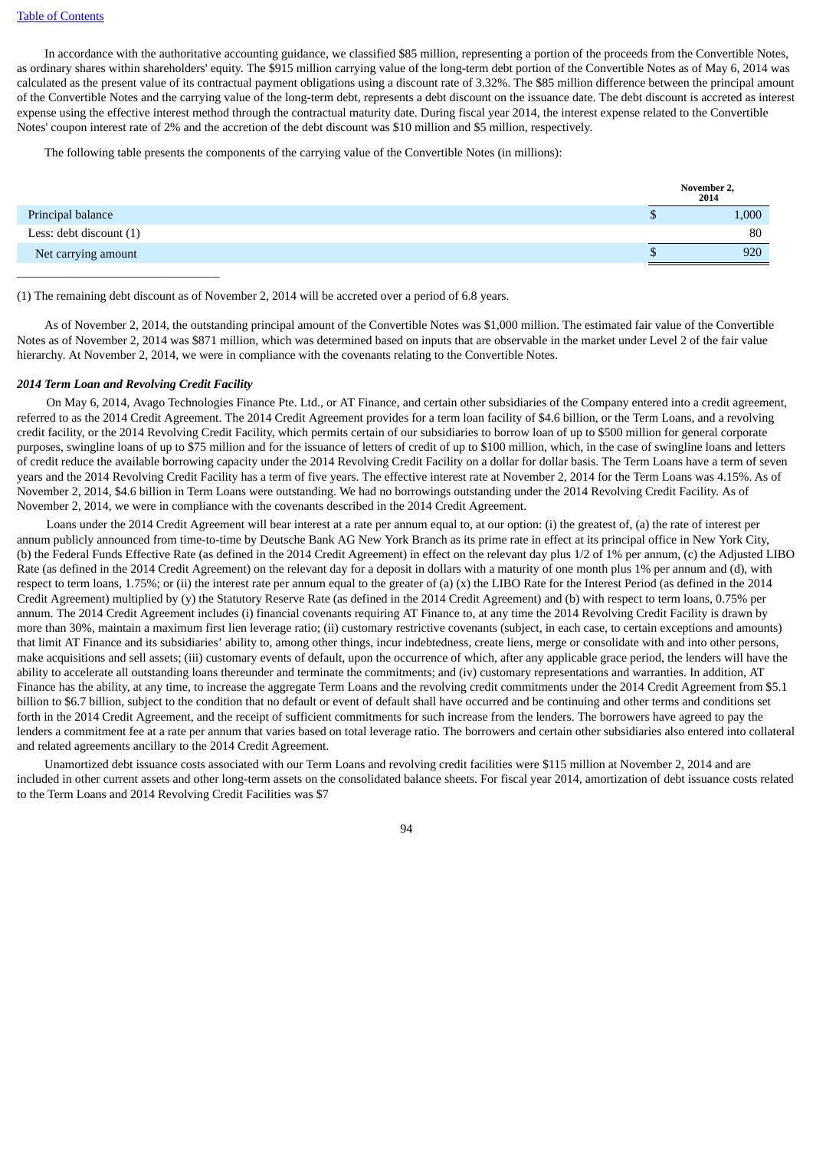In accordance with the authoritative accounting guidance, we classified \$85 million, representing a portion of the proceeds from the Convertible Notes, as ordinary shares within shareholders' equity. The \$915 million carrying value of the long-term debt portion of the Convertible Notes as of May 6, 2014 was calculated as the present value of its contractual payment obligations using a discount rate of 3.32%. The \$85 million difference between the principal amount of the Convertible Notes and the carrying value of the long-term debt, represents a debt discount on the issuance date. The debt discount is accreted as interest expense using the effective interest method through the contractual maturity date. During fiscal year 2014, the interest expense related to the Convertible Notes' coupon interest rate of 2% and the accretion of the debt discount was \$10 million and \$5 million, respectively.

The following table presents the components of the carrying value of the Convertible Notes (in millions):

|                         | November 2,<br>2014 |
|-------------------------|---------------------|
| Principal balance       | 1,000               |
| Less: debt discount (1) | 80                  |
| Net carrying amount     | 920                 |
|                         |                     |

(1) The remaining debt discount as of November 2, 2014 will be accreted over a period of 6.8 years.

As of November 2, 2014, the outstanding principal amount of the Convertible Notes was \$1,000 million. The estimated fair value of the Convertible Notes as of November 2, 2014 was \$871 million, which was determined based on inputs that are observable in the market under Level 2 of the fair value hierarchy. At November 2, 2014, we were in compliance with the covenants relating to the Convertible Notes.

#### *2014 Term Loan and Revolving Credit Facility*

On May 6, 2014, Avago Technologies Finance Pte. Ltd., or AT Finance, and certain other subsidiaries of the Company entered into a credit agreement, referred to as the 2014 Credit Agreement. The 2014 Credit Agreement provides for a term loan facility of \$4.6 billion, or the Term Loans, and a revolving credit facility, or the 2014 Revolving Credit Facility, which permits certain of our subsidiaries to borrow loan of up to \$500 million for general corporate purposes, swingline loans of up to \$75 million and for the issuance of letters of credit of up to \$100 million, which, in the case of swingline loans and letters of credit reduce the available borrowing capacity under the 2014 Revolving Credit Facility on a dollar for dollar basis. The Term Loans have a term of seven years and the 2014 Revolving Credit Facility has a term of five years. The effective interest rate at November 2, 2014 for the Term Loans was 4.15%. As of November 2, 2014, \$4.6 billion in Term Loans were outstanding. We had no borrowings outstanding under the 2014 Revolving Credit Facility. As of November 2, 2014, we were in compliance with the covenants described in the 2014 Credit Agreement.

Loans under the 2014 Credit Agreement will bear interest at a rate per annum equal to, at our option: (i) the greatest of, (a) the rate of interest per annum publicly announced from time-to-time by Deutsche Bank AG New York Branch as its prime rate in effect at its principal office in New York City, (b) the Federal Funds Effective Rate (as defined in the 2014 Credit Agreement) in effect on the relevant day plus 1/2 of 1% per annum, (c) the Adjusted LIBO Rate (as defined in the 2014 Credit Agreement) on the relevant day for a deposit in dollars with a maturity of one month plus 1% per annum and (d), with respect to term loans, 1.75%; or (ii) the interest rate per annum equal to the greater of (a) (x) the LIBO Rate for the Interest Period (as defined in the 2014 Credit Agreement) multiplied by (y) the Statutory Reserve Rate (as defined in the 2014 Credit Agreement) and (b) with respect to term loans, 0.75% per annum. The 2014 Credit Agreement includes (i) financial covenants requiring AT Finance to, at any time the 2014 Revolving Credit Facility is drawn by more than 30%, maintain a maximum first lien leverage ratio; (ii) customary restrictive covenants (subject, in each case, to certain exceptions and amounts) that limit AT Finance and its subsidiaries' ability to, among other things, incur indebtedness, create liens, merge or consolidate with and into other persons, make acquisitions and sell assets; (iii) customary events of default, upon the occurrence of which, after any applicable grace period, the lenders will have the ability to accelerate all outstanding loans thereunder and terminate the commitments; and (iv) customary representations and warranties. In addition, AT Finance has the ability, at any time, to increase the aggregate Term Loans and the revolving credit commitments under the 2014 Credit Agreement from \$5.1 billion to \$6.7 billion, subject to the condition that no default or event of default shall have occurred and be continuing and other terms and conditions set forth in the 2014 Credit Agreement, and the receipt of sufficient commitments for such increase from the lenders. The borrowers have agreed to pay the lenders a commitment fee at a rate per annum that varies based on total leverage ratio. The borrowers and certain other subsidiaries also entered into collateral and related agreements ancillary to the 2014 Credit Agreement.

Unamortized debt issuance costs associated with our Term Loans and revolving credit facilities were \$115 million at November 2, 2014 and are included in other current assets and other long-term assets on the consolidated balance sheets. For fiscal year 2014, amortization of debt issuance costs related to the Term Loans and 2014 Revolving Credit Facilities was \$7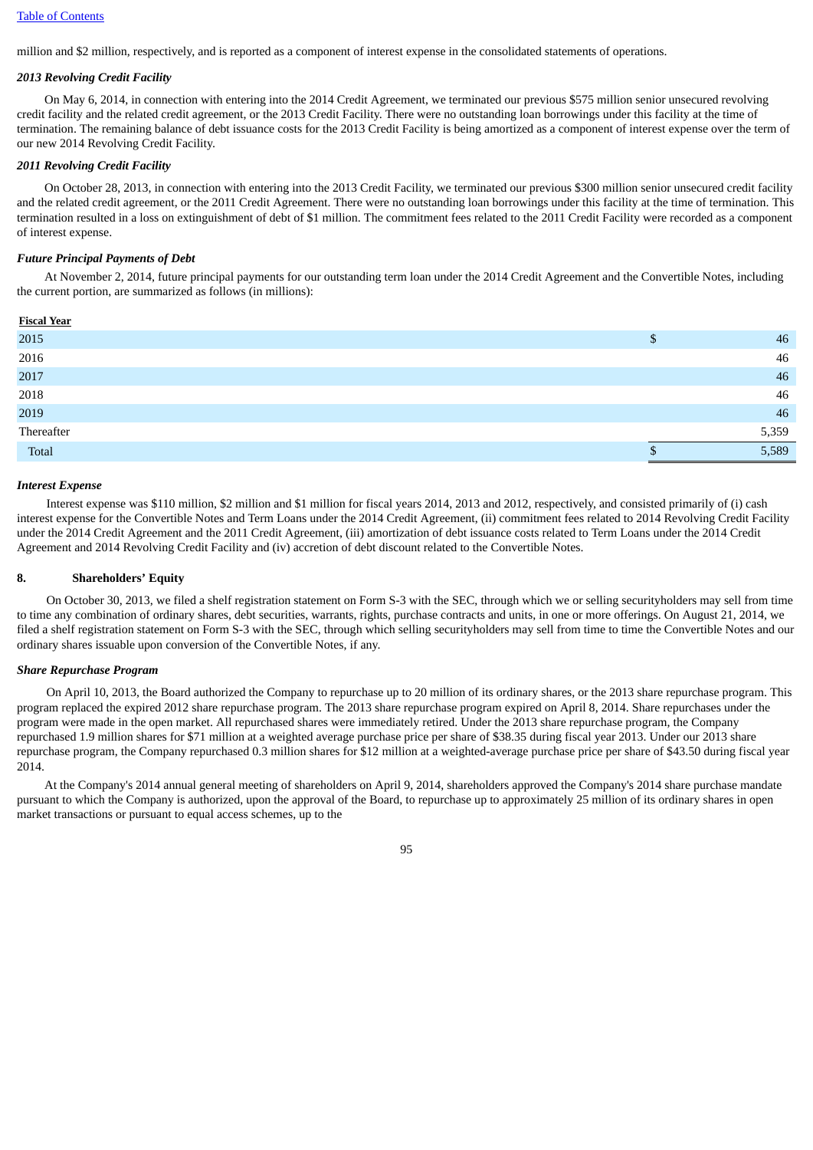million and \$2 million, respectively, and is reported as a component of interest expense in the consolidated statements of operations.

## *2013 Revolving Credit Facility*

On May 6, 2014, in connection with entering into the 2014 Credit Agreement, we terminated our previous \$575 million senior unsecured revolving credit facility and the related credit agreement, or the 2013 Credit Facility. There were no outstanding loan borrowings under this facility at the time of termination. The remaining balance of debt issuance costs for the 2013 Credit Facility is being amortized as a component of interest expense over the term of our new 2014 Revolving Credit Facility.

#### *2011 Revolving Credit Facility*

On October 28, 2013, in connection with entering into the 2013 Credit Facility, we terminated our previous \$300 million senior unsecured credit facility and the related credit agreement, or the 2011 Credit Agreement. There were no outstanding loan borrowings under this facility at the time of termination. This termination resulted in a loss on extinguishment of debt of \$1 million. The commitment fees related to the 2011 Credit Facility were recorded as a component of interest expense.

## *Future Principal Payments of Debt*

At November 2, 2014, future principal payments for our outstanding term loan under the 2014 Credit Agreement and the Convertible Notes, including the current portion, are summarized as follows (in millions):

| <b>Fiscal Year</b> |               |       |
|--------------------|---------------|-------|
| 2015               | <sup>\$</sup> | 46    |
| 2016               |               | 46    |
| 2017               |               | 46    |
| 2018               |               | 46    |
| 2019               |               | 46    |
| Thereafter         |               | 5,359 |
| <b>Total</b>       |               | 5,589 |

#### *Interest Expense*

Interest expense was \$110 million, \$2 million and \$1 million for fiscal years 2014, 2013 and 2012, respectively, and consisted primarily of (i) cash interest expense for the Convertible Notes and Term Loans under the 2014 Credit Agreement, (ii) commitment fees related to 2014 Revolving Credit Facility under the 2014 Credit Agreement and the 2011 Credit Agreement, (iii) amortization of debt issuance costs related to Term Loans under the 2014 Credit Agreement and 2014 Revolving Credit Facility and (iv) accretion of debt discount related to the Convertible Notes.

## **8. Shareholders' Equity**

On October 30, 2013, we filed a shelf registration statement on Form S-3 with the SEC, through which we or selling securityholders may sell from time to time any combination of ordinary shares, debt securities, warrants, rights, purchase contracts and units, in one or more offerings. On August 21, 2014, we filed a shelf registration statement on Form S-3 with the SEC, through which selling securityholders may sell from time to time the Convertible Notes and our ordinary shares issuable upon conversion of the Convertible Notes, if any.

#### *Share Repurchase Program*

On April 10, 2013, the Board authorized the Company to repurchase up to 20 million of its ordinary shares, or the 2013 share repurchase program. This program replaced the expired 2012 share repurchase program. The 2013 share repurchase program expired on April 8, 2014. Share repurchases under the program were made in the open market. All repurchased shares were immediately retired. Under the 2013 share repurchase program, the Company repurchased 1.9 million shares for \$71 million at a weighted average purchase price per share of \$38.35 during fiscal year 2013. Under our 2013 share repurchase program, the Company repurchased 0.3 million shares for \$12 million at a weighted-average purchase price per share of \$43.50 during fiscal year 2014.

At the Company's 2014 annual general meeting of shareholders on April 9, 2014, shareholders approved the Company's 2014 share purchase mandate pursuant to which the Company is authorized, upon the approval of the Board, to repurchase up to approximately 25 million of its ordinary shares in open market transactions or pursuant to equal access schemes, up to the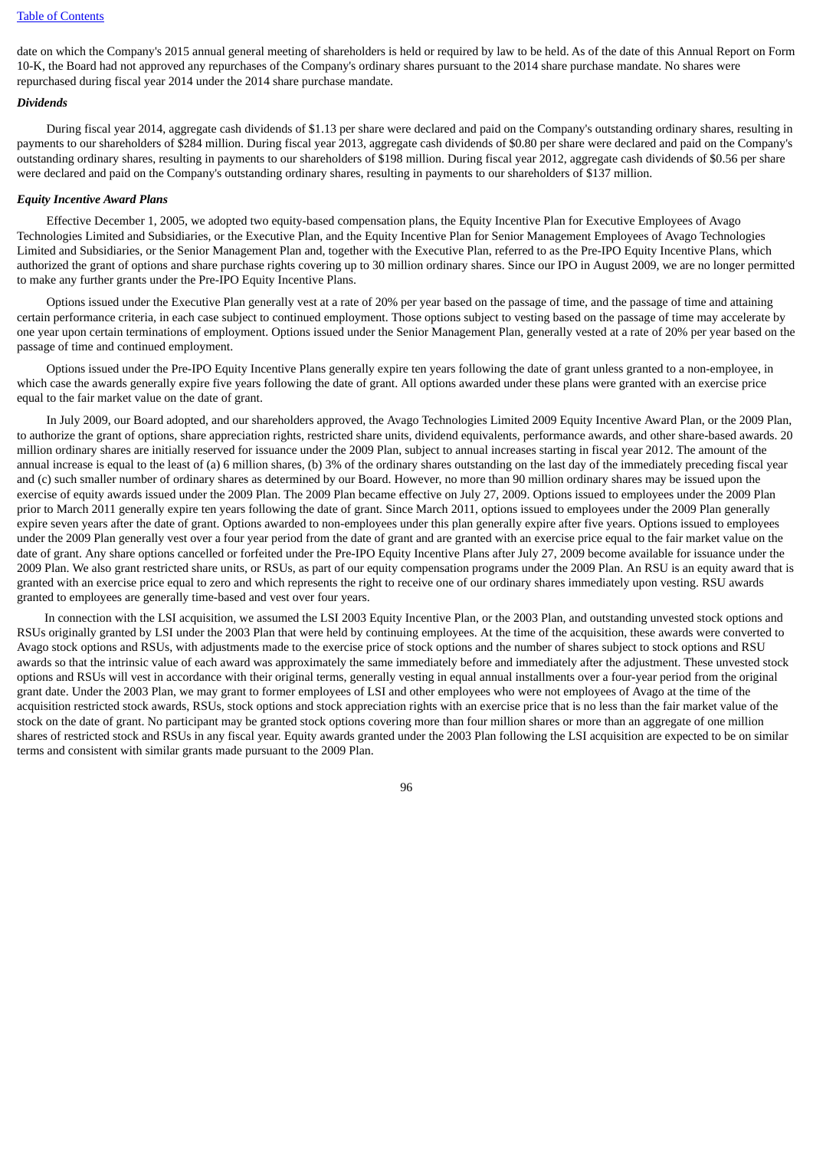date on which the Company's 2015 annual general meeting of shareholders is held or required by law to be held. As of the date of this Annual Report on Form 10-K, the Board had not approved any repurchases of the Company's ordinary shares pursuant to the 2014 share purchase mandate. No shares were repurchased during fiscal year 2014 under the 2014 share purchase mandate.

## *Dividends*

During fiscal year 2014, aggregate cash dividends of \$1.13 per share were declared and paid on the Company's outstanding ordinary shares, resulting in payments to our shareholders of \$284 million. During fiscal year 2013, aggregate cash dividends of \$0.80 per share were declared and paid on the Company's outstanding ordinary shares, resulting in payments to our shareholders of \$198 million. During fiscal year 2012, aggregate cash dividends of \$0.56 per share were declared and paid on the Company's outstanding ordinary shares, resulting in payments to our shareholders of \$137 million.

#### *Equity Incentive Award Plans*

Effective December 1, 2005, we adopted two equity-based compensation plans, the Equity Incentive Plan for Executive Employees of Avago Technologies Limited and Subsidiaries, or the Executive Plan, and the Equity Incentive Plan for Senior Management Employees of Avago Technologies Limited and Subsidiaries, or the Senior Management Plan and, together with the Executive Plan, referred to as the Pre-IPO Equity Incentive Plans, which authorized the grant of options and share purchase rights covering up to 30 million ordinary shares. Since our IPO in August 2009, we are no longer permitted to make any further grants under the Pre-IPO Equity Incentive Plans.

Options issued under the Executive Plan generally vest at a rate of 20% per year based on the passage of time, and the passage of time and attaining certain performance criteria, in each case subject to continued employment. Those options subject to vesting based on the passage of time may accelerate by one year upon certain terminations of employment. Options issued under the Senior Management Plan, generally vested at a rate of 20% per year based on the passage of time and continued employment.

Options issued under the Pre-IPO Equity Incentive Plans generally expire ten years following the date of grant unless granted to a non-employee, in which case the awards generally expire five years following the date of grant. All options awarded under these plans were granted with an exercise price equal to the fair market value on the date of grant.

In July 2009, our Board adopted, and our shareholders approved, the Avago Technologies Limited 2009 Equity Incentive Award Plan, or the 2009 Plan, to authorize the grant of options, share appreciation rights, restricted share units, dividend equivalents, performance awards, and other share-based awards. 20 million ordinary shares are initially reserved for issuance under the 2009 Plan, subject to annual increases starting in fiscal year 2012. The amount of the annual increase is equal to the least of (a) 6 million shares, (b) 3% of the ordinary shares outstanding on the last day of the immediately preceding fiscal year and (c) such smaller number of ordinary shares as determined by our Board. However, no more than 90 million ordinary shares may be issued upon the exercise of equity awards issued under the 2009 Plan. The 2009 Plan became effective on July 27, 2009. Options issued to employees under the 2009 Plan prior to March 2011 generally expire ten years following the date of grant. Since March 2011, options issued to employees under the 2009 Plan generally expire seven years after the date of grant. Options awarded to non-employees under this plan generally expire after five years. Options issued to employees under the 2009 Plan generally vest over a four year period from the date of grant and are granted with an exercise price equal to the fair market value on the date of grant. Any share options cancelled or forfeited under the Pre-IPO Equity Incentive Plans after July 27, 2009 become available for issuance under the 2009 Plan. We also grant restricted share units, or RSUs, as part of our equity compensation programs under the 2009 Plan. An RSU is an equity award that is granted with an exercise price equal to zero and which represents the right to receive one of our ordinary shares immediately upon vesting. RSU awards granted to employees are generally time-based and vest over four years.

In connection with the LSI acquisition, we assumed the LSI 2003 Equity Incentive Plan, or the 2003 Plan, and outstanding unvested stock options and RSUs originally granted by LSI under the 2003 Plan that were held by continuing employees. At the time of the acquisition, these awards were converted to Avago stock options and RSUs, with adjustments made to the exercise price of stock options and the number of shares subject to stock options and RSU awards so that the intrinsic value of each award was approximately the same immediately before and immediately after the adjustment. These unvested stock options and RSUs will vest in accordance with their original terms, generally vesting in equal annual installments over a four-year period from the original grant date. Under the 2003 Plan, we may grant to former employees of LSI and other employees who were not employees of Avago at the time of the acquisition restricted stock awards, RSUs, stock options and stock appreciation rights with an exercise price that is no less than the fair market value of the stock on the date of grant. No participant may be granted stock options covering more than four million shares or more than an aggregate of one million shares of restricted stock and RSUs in any fiscal year. Equity awards granted under the 2003 Plan following the LSI acquisition are expected to be on similar terms and consistent with similar grants made pursuant to the 2009 Plan.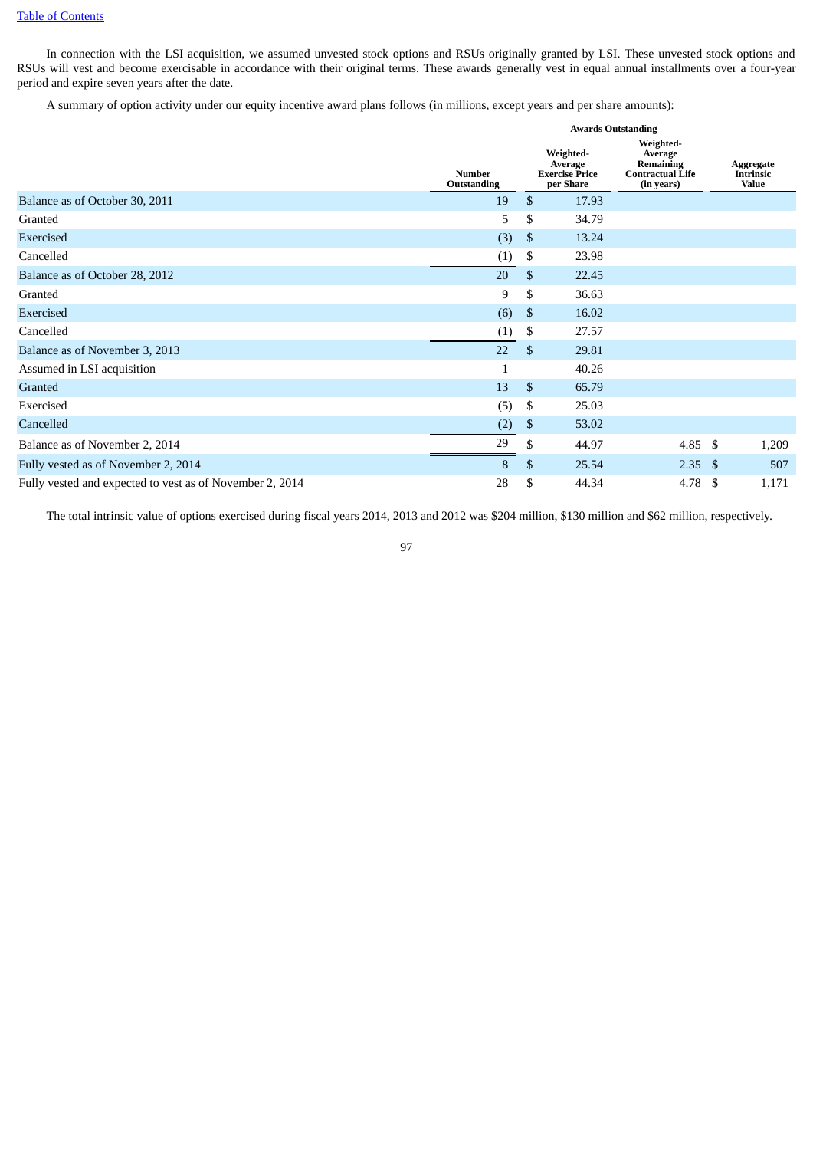In connection with the LSI acquisition, we assumed unvested stock options and RSUs originally granted by LSI. These unvested stock options and RSUs will vest and become exercisable in accordance with their original terms. These awards generally vest in equal annual installments over a four-year period and expire seven years after the date.

A summary of option activity under our equity incentive award plans follows (in millions, except years and per share amounts):

|                                                          | <b>Awards Outstanding</b>    |    |                                                            |                                                                                   |      |                                        |
|----------------------------------------------------------|------------------------------|----|------------------------------------------------------------|-----------------------------------------------------------------------------------|------|----------------------------------------|
|                                                          | <b>Number</b><br>Outstanding |    | Weighted-<br>Average<br><b>Exercise Price</b><br>per Share | Weighted-<br>Average<br><b>Remaining</b><br><b>Contractual Life</b><br>(in years) |      | Aggregate<br><b>Intrinsic</b><br>Value |
| Balance as of October 30, 2011                           | 19                           | \$ | 17.93                                                      |                                                                                   |      |                                        |
| Granted                                                  | 5                            | \$ | 34.79                                                      |                                                                                   |      |                                        |
| Exercised                                                | (3)                          | \$ | 13.24                                                      |                                                                                   |      |                                        |
| Cancelled                                                | (1)                          | \$ | 23.98                                                      |                                                                                   |      |                                        |
| Balance as of October 28, 2012                           | 20                           | \$ | 22.45                                                      |                                                                                   |      |                                        |
| Granted                                                  | 9                            | \$ | 36.63                                                      |                                                                                   |      |                                        |
| Exercised                                                | (6)                          | \$ | 16.02                                                      |                                                                                   |      |                                        |
| Cancelled                                                | (1)                          | \$ | 27.57                                                      |                                                                                   |      |                                        |
| Balance as of November 3, 2013                           | 22                           | \$ | 29.81                                                      |                                                                                   |      |                                        |
| Assumed in LSI acquisition                               | $\mathbf{1}$                 |    | 40.26                                                      |                                                                                   |      |                                        |
| Granted                                                  | 13                           | \$ | 65.79                                                      |                                                                                   |      |                                        |
| Exercised                                                | (5)                          | \$ | 25.03                                                      |                                                                                   |      |                                        |
| Cancelled                                                | (2)                          | \$ | 53.02                                                      |                                                                                   |      |                                        |
| Balance as of November 2, 2014                           | 29                           | \$ | 44.97                                                      | 4.85 \$                                                                           |      | 1,209                                  |
| Fully vested as of November 2, 2014                      | 8                            | \$ | 25.54                                                      | $2.35$ \$                                                                         |      | 507                                    |
| Fully vested and expected to vest as of November 2, 2014 | 28                           | \$ | 44.34                                                      | 4.78                                                                              | - \$ | 1,171                                  |

The total intrinsic value of options exercised during fiscal years 2014, 2013 and 2012 was \$204 million, \$130 million and \$62 million, respectively.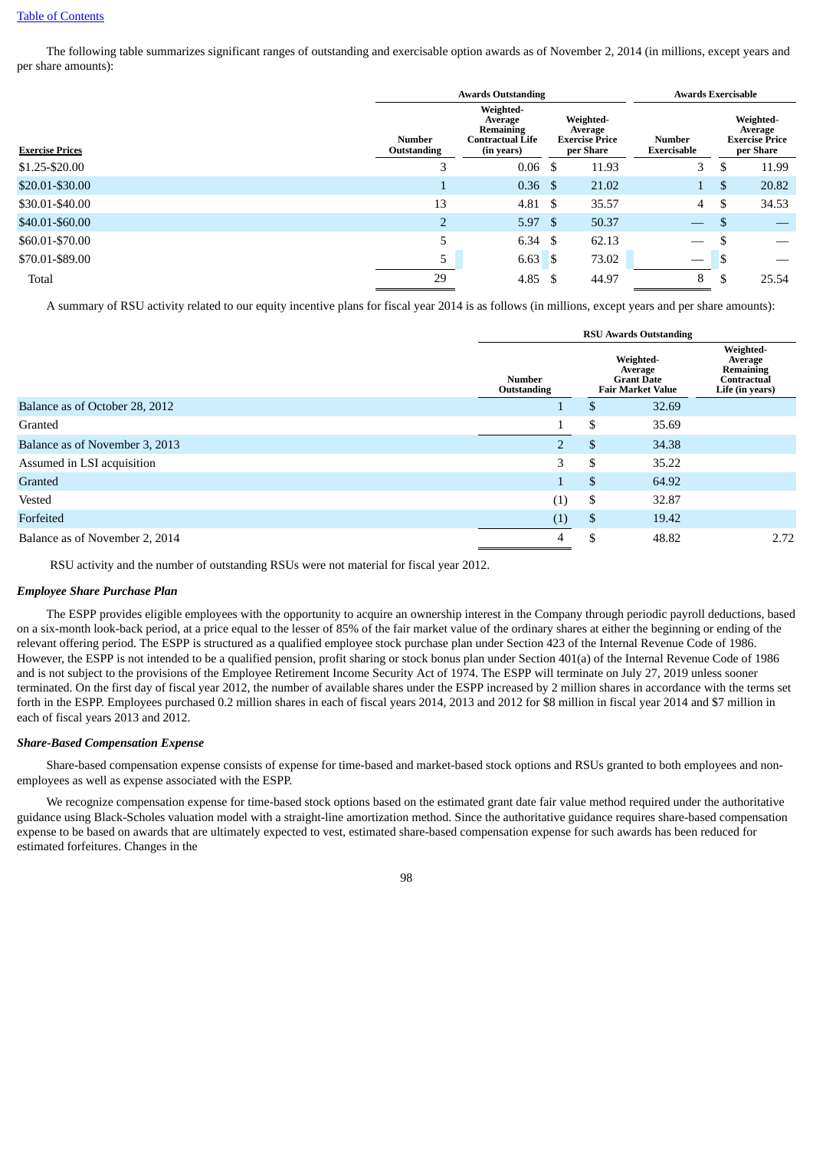The following table summarizes significant ranges of outstanding and exercisable option awards as of November 2, 2014 (in millions, except years and per share amounts):

|                        | <b>Awards Outstanding</b> |                                                                            |  |                                                            | <b>Awards Exercisable</b>    |               |                                                            |
|------------------------|---------------------------|----------------------------------------------------------------------------|--|------------------------------------------------------------|------------------------------|---------------|------------------------------------------------------------|
| <b>Exercise Prices</b> | Number<br>Outstanding     | Weighted-<br>Average<br>Remaining<br><b>Contractual Life</b><br>(in years) |  | Weighted-<br>Average<br><b>Exercise Price</b><br>per Share | <b>Number</b><br>Exercisable |               | Weighted-<br>Average<br><b>Exercise Price</b><br>per Share |
| \$1.25-\$20.00         | 3                         | 0.06 <sup>5</sup>                                                          |  | 11.93                                                      | 3                            | \$            | 11.99                                                      |
| \$20.01-\$30.00        |                           | $0.36$ \$                                                                  |  | 21.02                                                      | 1                            | \$            | 20.82                                                      |
| \$30.01-\$40.00        | 13                        | 4.81 \$                                                                    |  | 35.57                                                      | $\overline{4}$               | \$            | 34.53                                                      |
| \$40.01-\$60.00        | $\overline{2}$            | 5.97S                                                                      |  | 50.37                                                      | $\overline{\phantom{m}}$     | \$            |                                                            |
| \$60.01-\$70.00        | 5                         | 6.34 \$                                                                    |  | 62.13                                                      |                              | \$            |                                                            |
| \$70.01-\$89.00        | 5.                        | $6.63$ \$                                                                  |  | 73.02                                                      |                              | <sup>\$</sup> |                                                            |
| Total                  | 29                        | 4.85 \$                                                                    |  | 44.97                                                      | 8                            | S             | 25.54                                                      |

A summary of RSU activity related to our equity incentive plans for fiscal year 2014 is as follows (in millions, except years and per share amounts):

|                                | <b>RSU Awards Outstanding</b> |          |                                                                       |                                                                     |  |
|--------------------------------|-------------------------------|----------|-----------------------------------------------------------------------|---------------------------------------------------------------------|--|
|                                | <b>Number</b><br>Outstanding  |          | Weighted-<br>Average<br><b>Grant Date</b><br><b>Fair Market Value</b> | Weighted-<br>Average<br>Remaining<br>Contractual<br>Life (in years) |  |
| Balance as of October 28, 2012 |                               | S        | 32.69                                                                 |                                                                     |  |
| Granted                        |                               | \$       | 35.69                                                                 |                                                                     |  |
| Balance as of November 3, 2013 | $\mathcal{P}$                 | \$.      | 34.38                                                                 |                                                                     |  |
| Assumed in LSI acquisition     | 3                             | \$       | 35.22                                                                 |                                                                     |  |
| Granted                        |                               | \$       | 64.92                                                                 |                                                                     |  |
| Vested                         | (1)                           | \$       | 32.87                                                                 |                                                                     |  |
| Forfeited                      | (1)                           | \$       | 19.42                                                                 |                                                                     |  |
| Balance as of November 2, 2014 | 4                             | ــه<br>э | 48.82                                                                 | 2.72                                                                |  |

RSU activity and the number of outstanding RSUs were not material for fiscal year 2012.

#### *Employee Share Purchase Plan*

The ESPP provides eligible employees with the opportunity to acquire an ownership interest in the Company through periodic payroll deductions, based on a six-month look-back period, at a price equal to the lesser of 85% of the fair market value of the ordinary shares at either the beginning or ending of the relevant offering period. The ESPP is structured as a qualified employee stock purchase plan under Section 423 of the Internal Revenue Code of 1986. However, the ESPP is not intended to be a qualified pension, profit sharing or stock bonus plan under Section 401(a) of the Internal Revenue Code of 1986 and is not subject to the provisions of the Employee Retirement Income Security Act of 1974. The ESPP will terminate on July 27, 2019 unless sooner terminated. On the first day of fiscal year 2012, the number of available shares under the ESPP increased by 2 million shares in accordance with the terms set forth in the ESPP. Employees purchased 0.2 million shares in each of fiscal years 2014, 2013 and 2012 for \$8 million in fiscal year 2014 and \$7 million in each of fiscal years 2013 and 2012.

#### *Share-Based Compensation Expense*

Share-based compensation expense consists of expense for time-based and market-based stock options and RSUs granted to both employees and nonemployees as well as expense associated with the ESPP.

We recognize compensation expense for time-based stock options based on the estimated grant date fair value method required under the authoritative guidance using Black-Scholes valuation model with a straight-line amortization method. Since the authoritative guidance requires share-based compensation expense to be based on awards that are ultimately expected to vest, estimated share-based compensation expense for such awards has been reduced for estimated forfeitures. Changes in the

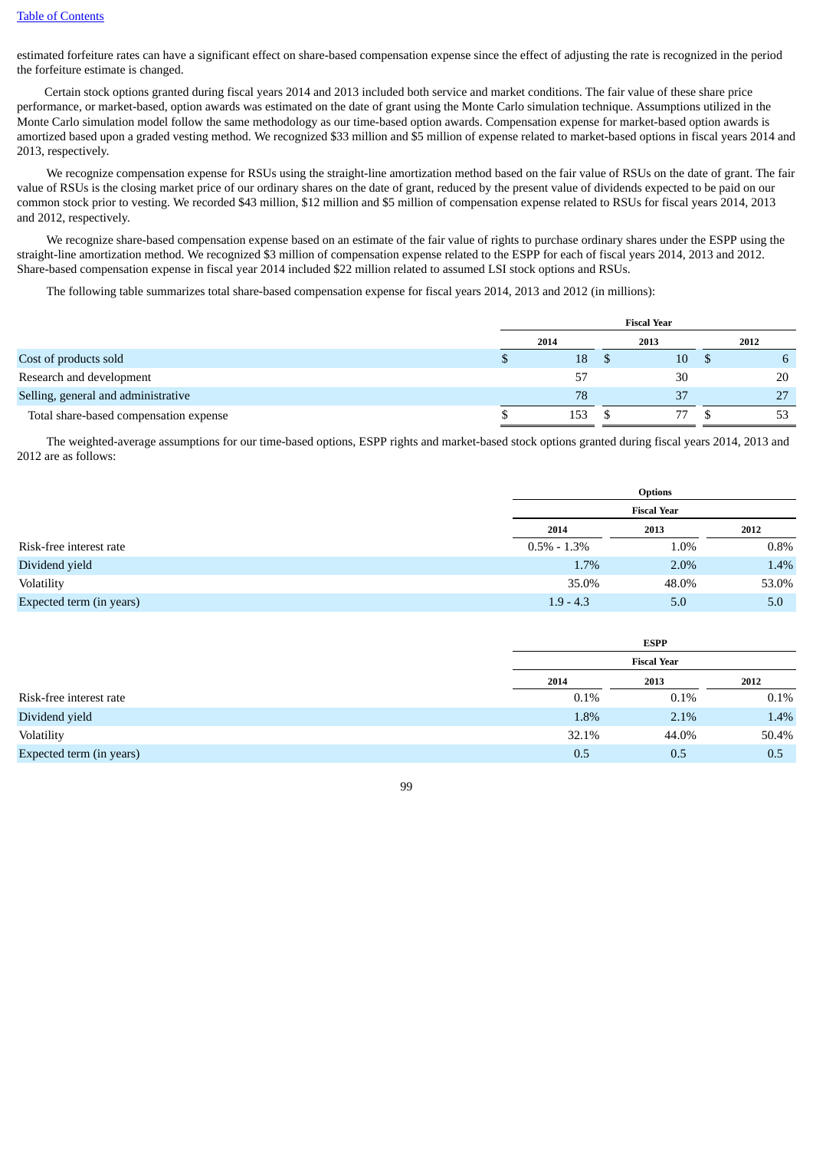estimated forfeiture rates can have a significant effect on share-based compensation expense since the effect of adjusting the rate is recognized in the period the forfeiture estimate is changed.

Certain stock options granted during fiscal years 2014 and 2013 included both service and market conditions. The fair value of these share price performance, or market-based, option awards was estimated on the date of grant using the Monte Carlo simulation technique. Assumptions utilized in the Monte Carlo simulation model follow the same methodology as our time-based option awards. Compensation expense for market-based option awards is amortized based upon a graded vesting method. We recognized \$33 million and \$5 million of expense related to market-based options in fiscal years 2014 and 2013, respectively.

We recognize compensation expense for RSUs using the straight-line amortization method based on the fair value of RSUs on the date of grant. The fair value of RSUs is the closing market price of our ordinary shares on the date of grant, reduced by the present value of dividends expected to be paid on our common stock prior to vesting. We recorded \$43 million, \$12 million and \$5 million of compensation expense related to RSUs for fiscal years 2014, 2013 and 2012, respectively.

We recognize share-based compensation expense based on an estimate of the fair value of rights to purchase ordinary shares under the ESPP using the straight-line amortization method. We recognized \$3 million of compensation expense related to the ESPP for each of fiscal years 2014, 2013 and 2012. Share-based compensation expense in fiscal year 2014 included \$22 million related to assumed LSI stock options and RSUs.

The following table summarizes total share-based compensation expense for fiscal years 2014, 2013 and 2012 (in millions):

|                                        |      | <b>Fiscal Year</b> |      |
|----------------------------------------|------|--------------------|------|
|                                        | 2014 | 2013               | 2012 |
| Cost of products sold                  | 18   | 10                 | 6    |
| Research and development               | 57   | 30                 | 20   |
| Selling, general and administrative    | 78   | 37                 | 27   |
| Total share-based compensation expense | 153  |                    | 53   |

The weighted-average assumptions for our time-based options, ESPP rights and market-based stock options granted during fiscal years 2014, 2013 and 2012 are as follows:

|                          |                 | <b>Options</b><br><b>Fiscal Year</b> |         |  |  |  |
|--------------------------|-----------------|--------------------------------------|---------|--|--|--|
|                          |                 |                                      |         |  |  |  |
|                          | 2014            | 2013                                 | 2012    |  |  |  |
| Risk-free interest rate  | $0.5\% - 1.3\%$ | 1.0%                                 | $0.8\%$ |  |  |  |
| Dividend yield           | 1.7%            | 2.0%                                 | 1.4%    |  |  |  |
| Volatility               | 35.0%           | 48.0%                                | 53.0%   |  |  |  |
| Expected term (in years) | $1.9 - 4.3$     | 5.0                                  | 5.0     |  |  |  |

|                          |       | <b>ESPP</b>        |       |  |  |  |
|--------------------------|-------|--------------------|-------|--|--|--|
|                          |       | <b>Fiscal Year</b> |       |  |  |  |
|                          | 2014  | 2013               | 2012  |  |  |  |
| Risk-free interest rate  | 0.1%  | 0.1%               | 0.1%  |  |  |  |
| Dividend yield           | 1.8%  | 2.1%               | 1.4%  |  |  |  |
| Volatility               | 32.1% | 44.0%              | 50.4% |  |  |  |
| Expected term (in years) | 0.5   | 0.5                | 0.5   |  |  |  |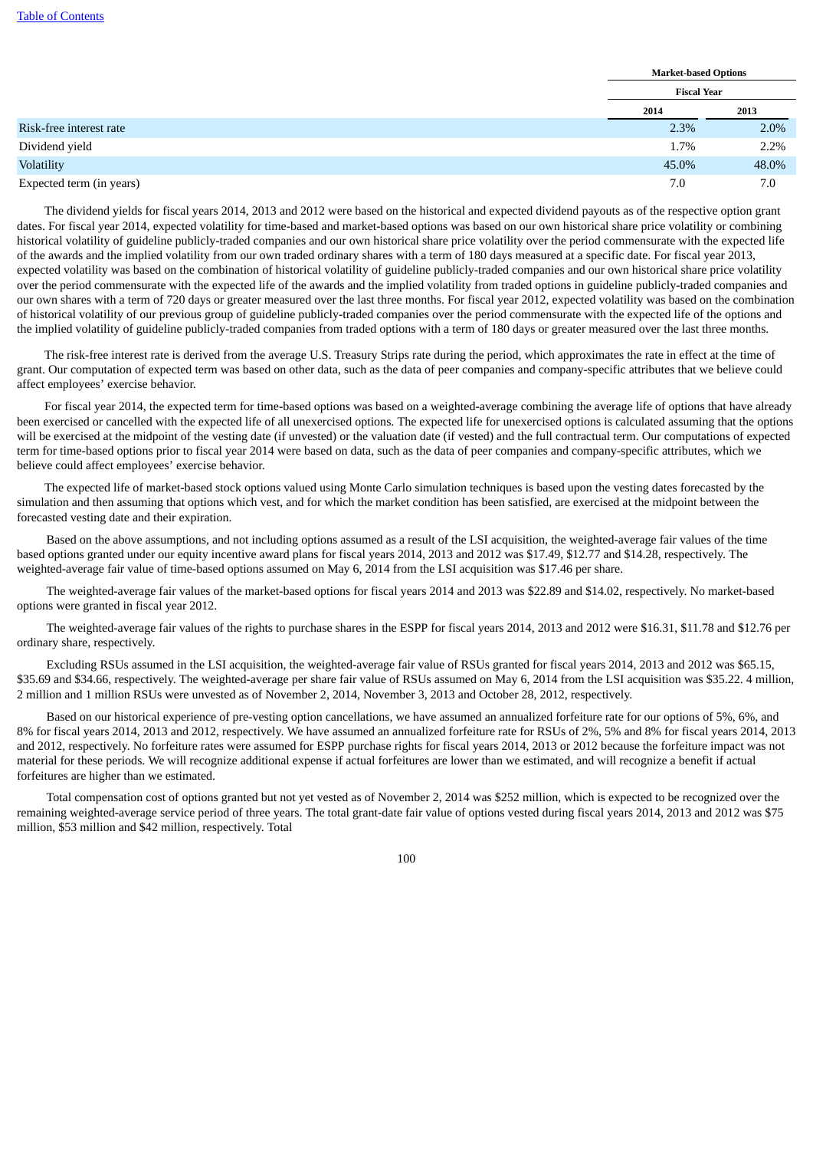|                          | <b>Market-based Options</b> |       |  |
|--------------------------|-----------------------------|-------|--|
|                          | Fiscal Year                 |       |  |
|                          | 2014                        | 2013  |  |
| Risk-free interest rate  | 2.3%                        | 2.0%  |  |
| Dividend yield           | 1.7%                        | 2.2%  |  |
| Volatility               | 45.0%                       | 48.0% |  |
| Expected term (in years) | 7.0                         | 7.0   |  |

The dividend yields for fiscal years 2014, 2013 and 2012 were based on the historical and expected dividend payouts as of the respective option grant dates. For fiscal year 2014, expected volatility for time-based and market-based options was based on our own historical share price volatility or combining historical volatility of guideline publicly-traded companies and our own historical share price volatility over the period commensurate with the expected life of the awards and the implied volatility from our own traded ordinary shares with a term of 180 days measured at a specific date. For fiscal year 2013, expected volatility was based on the combination of historical volatility of guideline publicly-traded companies and our own historical share price volatility over the period commensurate with the expected life of the awards and the implied volatility from traded options in guideline publicly-traded companies and our own shares with a term of 720 days or greater measured over the last three months. For fiscal year 2012, expected volatility was based on the combination of historical volatility of our previous group of guideline publicly-traded companies over the period commensurate with the expected life of the options and the implied volatility of guideline publicly-traded companies from traded options with a term of 180 days or greater measured over the last three months.

The risk-free interest rate is derived from the average U.S. Treasury Strips rate during the period, which approximates the rate in effect at the time of grant. Our computation of expected term was based on other data, such as the data of peer companies and company-specific attributes that we believe could affect employees' exercise behavior.

For fiscal year 2014, the expected term for time-based options was based on a weighted-average combining the average life of options that have already been exercised or cancelled with the expected life of all unexercised options. The expected life for unexercised options is calculated assuming that the options will be exercised at the midpoint of the vesting date (if unvested) or the valuation date (if vested) and the full contractual term. Our computations of expected term for time-based options prior to fiscal year 2014 were based on data, such as the data of peer companies and company-specific attributes, which we believe could affect employees' exercise behavior.

The expected life of market-based stock options valued using Monte Carlo simulation techniques is based upon the vesting dates forecasted by the simulation and then assuming that options which vest, and for which the market condition has been satisfied, are exercised at the midpoint between the forecasted vesting date and their expiration.

Based on the above assumptions, and not including options assumed as a result of the LSI acquisition, the weighted-average fair values of the time based options granted under our equity incentive award plans for fiscal years 2014, 2013 and 2012 was \$17.49, \$12.77 and \$14.28, respectively. The weighted-average fair value of time-based options assumed on May 6, 2014 from the LSI acquisition was \$17.46 per share.

The weighted-average fair values of the market-based options for fiscal years 2014 and 2013 was \$22.89 and \$14.02, respectively. No market-based options were granted in fiscal year 2012.

The weighted-average fair values of the rights to purchase shares in the ESPP for fiscal years 2014, 2013 and 2012 were \$16.31, \$11.78 and \$12.76 per ordinary share, respectively.

Excluding RSUs assumed in the LSI acquisition, the weighted-average fair value of RSUs granted for fiscal years 2014, 2013 and 2012 was \$65.15, \$35.69 and \$34.66, respectively. The weighted-average per share fair value of RSUs assumed on May 6, 2014 from the LSI acquisition was \$35.22. 4 million, 2 million and 1 million RSUs were unvested as of November 2, 2014, November 3, 2013 and October 28, 2012, respectively.

Based on our historical experience of pre-vesting option cancellations, we have assumed an annualized forfeiture rate for our options of 5%, 6%, and 8% for fiscal years 2014, 2013 and 2012, respectively. We have assumed an annualized forfeiture rate for RSUs of 2%, 5% and 8% for fiscal years 2014, 2013 and 2012, respectively. No forfeiture rates were assumed for ESPP purchase rights for fiscal years 2014, 2013 or 2012 because the forfeiture impact was not material for these periods. We will recognize additional expense if actual forfeitures are lower than we estimated, and will recognize a benefit if actual forfeitures are higher than we estimated.

Total compensation cost of options granted but not yet vested as of November 2, 2014 was \$252 million, which is expected to be recognized over the remaining weighted-average service period of three years. The total grant-date fair value of options vested during fiscal years 2014, 2013 and 2012 was \$75 million, \$53 million and \$42 million, respectively. Total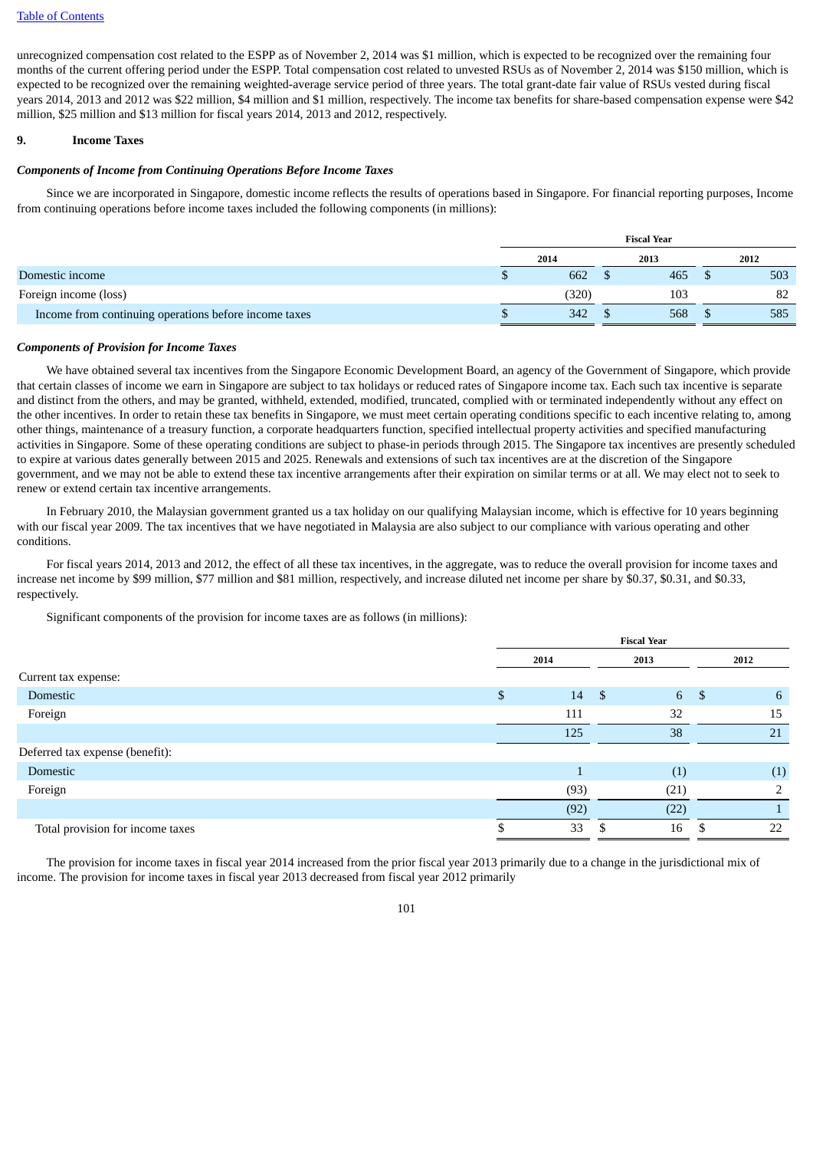unrecognized compensation cost related to the ESPP as of November 2, 2014 was \$1 million, which is expected to be recognized over the remaining four months of the current offering period under the ESPP. Total compensation cost related to unvested RSUs as of November 2, 2014 was \$150 million, which is expected to be recognized over the remaining weighted-average service period of three years. The total grant-date fair value of RSUs vested during fiscal years 2014, 2013 and 2012 was \$22 million, \$4 million and \$1 million, respectively. The income tax benefits for share-based compensation expense were \$42 million, \$25 million and \$13 million for fiscal years 2014, 2013 and 2012, respectively.

### **9. Income Taxes**

## *Components of Income from Continuing Operations Before Income Taxes*

Since we are incorporated in Singapore, domestic income reflects the results of operations based in Singapore. For financial reporting purposes, Income from continuing operations before income taxes included the following components (in millions):

|                                                       | <b>Fiscal Year</b> |       |  |      |      |     |  |  |  |
|-------------------------------------------------------|--------------------|-------|--|------|------|-----|--|--|--|
|                                                       | 2014               |       |  | 2013 | 2012 |     |  |  |  |
| Domestic income                                       |                    | 662   |  | 465  |      | 503 |  |  |  |
| Foreign income (loss)                                 |                    | (320) |  | 103  |      | 82  |  |  |  |
| Income from continuing operations before income taxes |                    | 342   |  | 568  |      | 585 |  |  |  |

#### *Components of Provision for Income Taxes*

We have obtained several tax incentives from the Singapore Economic Development Board, an agency of the Government of Singapore, which provide that certain classes of income we earn in Singapore are subject to tax holidays or reduced rates of Singapore income tax. Each such tax incentive is separate and distinct from the others, and may be granted, withheld, extended, modified, truncated, complied with or terminated independently without any effect on the other incentives. In order to retain these tax benefits in Singapore, we must meet certain operating conditions specific to each incentive relating to, among other things, maintenance of a treasury function, a corporate headquarters function, specified intellectual property activities and specified manufacturing activities in Singapore. Some of these operating conditions are subject to phase-in periods through 2015. The Singapore tax incentives are presently scheduled to expire at various dates generally between 2015 and 2025. Renewals and extensions of such tax incentives are at the discretion of the Singapore government, and we may not be able to extend these tax incentive arrangements after their expiration on similar terms or at all. We may elect not to seek to renew or extend certain tax incentive arrangements.

In February 2010, the Malaysian government granted us a tax holiday on our qualifying Malaysian income, which is effective for 10 years beginning with our fiscal year 2009. The tax incentives that we have negotiated in Malaysia are also subject to our compliance with various operating and other conditions.

For fiscal years 2014, 2013 and 2012, the effect of all these tax incentives, in the aggregate, was to reduce the overall provision for income taxes and increase net income by \$99 million, \$77 million and \$81 million, respectively, and increase diluted net income per share by \$0.37, \$0.31, and \$0.33, respectively.

Significant components of the provision for income taxes are as follows (in millions):

|                                  |    | <b>Fiscal Year</b> |                        |                     |  |  |  |  |  |  |  |
|----------------------------------|----|--------------------|------------------------|---------------------|--|--|--|--|--|--|--|
| Current tax expense:             |    | 2014               | 2013                   | 2012                |  |  |  |  |  |  |  |
|                                  |    |                    |                        |                     |  |  |  |  |  |  |  |
| Domestic                         | \$ | 14                 | 6 <sup>1</sup><br>- \$ | $\mathfrak{s}$<br>6 |  |  |  |  |  |  |  |
| Foreign                          |    | 111                | 32                     | 15                  |  |  |  |  |  |  |  |
|                                  |    | 125                | 38                     | 21                  |  |  |  |  |  |  |  |
| Deferred tax expense (benefit):  |    |                    |                        |                     |  |  |  |  |  |  |  |
| Domestic                         |    |                    | (1)                    | (1)                 |  |  |  |  |  |  |  |
| Foreign                          |    | (93)               | (21)                   | 2                   |  |  |  |  |  |  |  |
|                                  |    | (92)               | (22)                   |                     |  |  |  |  |  |  |  |
| Total provision for income taxes |    | 33                 | 16                     | 22                  |  |  |  |  |  |  |  |
|                                  |    |                    |                        |                     |  |  |  |  |  |  |  |

The provision for income taxes in fiscal year 2014 increased from the prior fiscal year 2013 primarily due to a change in the jurisdictional mix of income. The provision for income taxes in fiscal year 2013 decreased from fiscal year 2012 primarily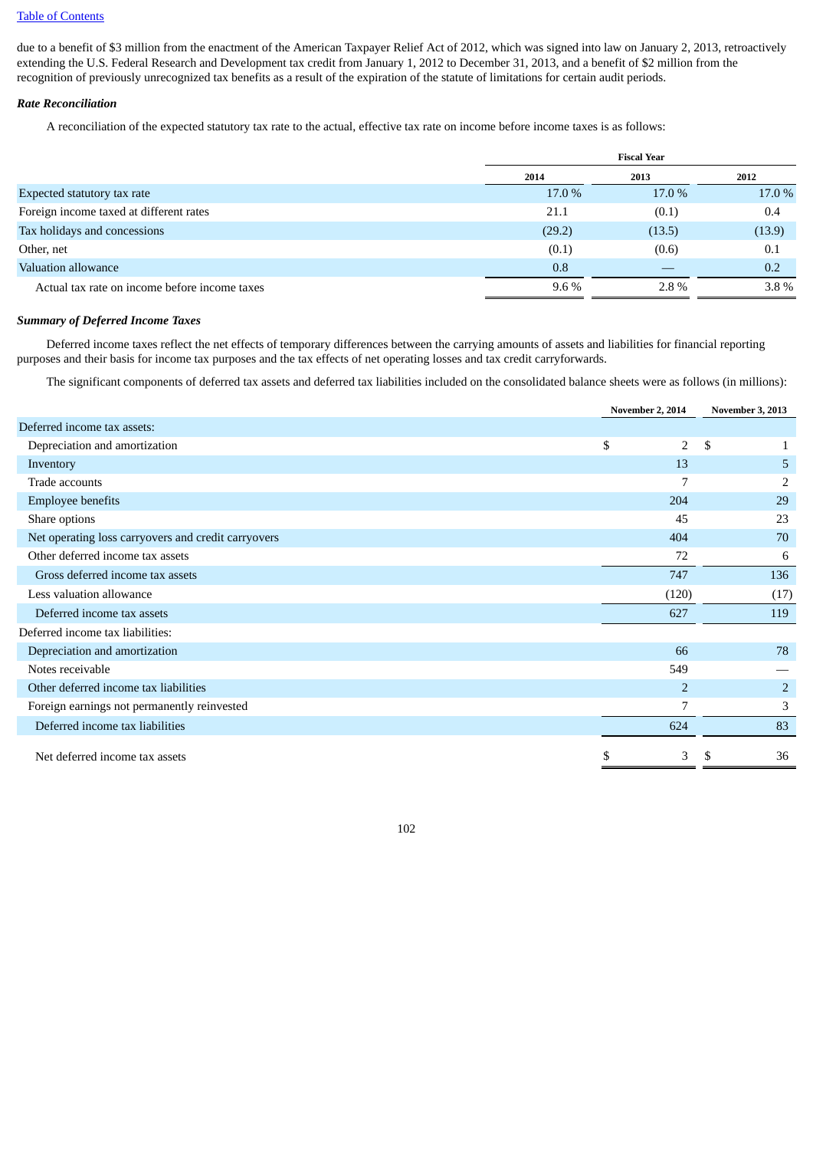## Table of [Contents](#page-0-0)

due to a benefit of \$3 million from the enactment of the American Taxpayer Relief Act of 2012, which was signed into law on January 2, 2013, retroactively extending the U.S. Federal Research and Development tax credit from January 1, 2012 to December 31, 2013, and a benefit of \$2 million from the recognition of previously unrecognized tax benefits as a result of the expiration of the statute of limitations for certain audit periods.

## *Rate Reconciliation*

A reconciliation of the expected statutory tax rate to the actual, effective tax rate on income before income taxes is as follows:

|                                               |         | <b>Fiscal Year</b> |        |  |  |  |  |  |
|-----------------------------------------------|---------|--------------------|--------|--|--|--|--|--|
|                                               | 2014    | 2013               | 2012   |  |  |  |  |  |
| Expected statutory tax rate                   | 17.0 %  | 17.0 %             | 17.0 % |  |  |  |  |  |
| Foreign income taxed at different rates       | 21.1    | (0.1)              | 0.4    |  |  |  |  |  |
| Tax holidays and concessions                  | (29.2)  | (13.5)             | (13.9) |  |  |  |  |  |
| Other, net                                    | (0.1)   | (0.6)              | 0.1    |  |  |  |  |  |
| Valuation allowance                           | 0.8     |                    | 0.2    |  |  |  |  |  |
| Actual tax rate on income before income taxes | $9.6\%$ | 2.8%               | 3.8%   |  |  |  |  |  |

## *Summary of Deferred Income Taxes*

Deferred income taxes reflect the net effects of temporary differences between the carrying amounts of assets and liabilities for financial reporting purposes and their basis for income tax purposes and the tax effects of net operating losses and tax credit carryforwards.

The significant components of deferred tax assets and deferred tax liabilities included on the consolidated balance sheets were as follows (in millions):

|                                                     | <b>November 2, 2014</b> | <b>November 3, 2013</b> |
|-----------------------------------------------------|-------------------------|-------------------------|
| Deferred income tax assets:                         |                         |                         |
| Depreciation and amortization                       | \$<br>2                 | \$<br>1                 |
| Inventory                                           | 13                      | 5                       |
| Trade accounts                                      |                         | $\overline{2}$          |
| <b>Employee benefits</b>                            | 204                     | 29                      |
| Share options                                       | 45                      | 23                      |
| Net operating loss carryovers and credit carryovers | 404                     | 70                      |
| Other deferred income tax assets                    | 72                      | 6                       |
| Gross deferred income tax assets                    | 747                     | 136                     |
| Less valuation allowance                            | (120)                   | (17)                    |
| Deferred income tax assets                          | 627                     | 119                     |
| Deferred income tax liabilities:                    |                         |                         |
| Depreciation and amortization                       | 66                      | 78                      |
| Notes receivable                                    | 549                     |                         |
| Other deferred income tax liabilities               | $\overline{2}$          | 2                       |
| Foreign earnings not permanently reinvested         | 7                       | 3                       |
| Deferred income tax liabilities                     | 624                     | 83                      |
| Net deferred income tax assets                      | 3                       | 36                      |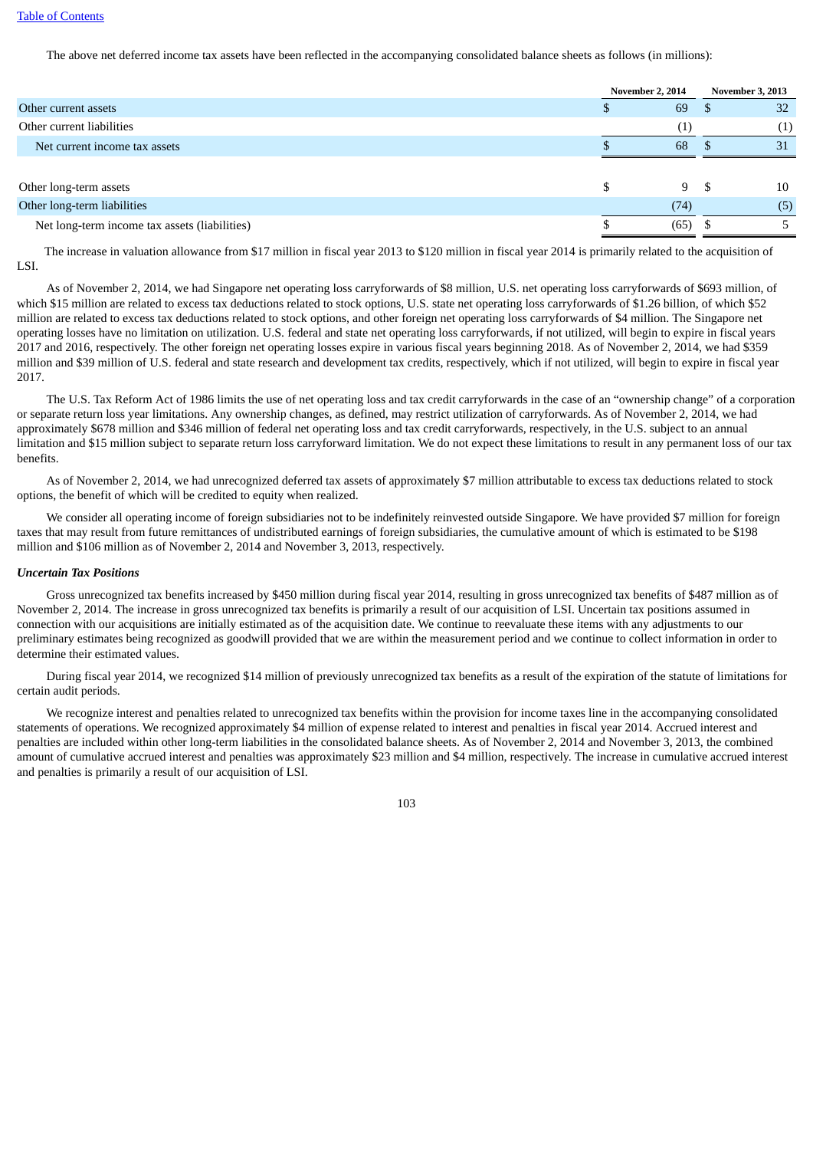The above net deferred income tax assets have been reflected in the accompanying consolidated balance sheets as follows (in millions):

|                                               | <b>November 2, 2014</b> | <b>November 3, 2013</b> |     |
|-----------------------------------------------|-------------------------|-------------------------|-----|
| Other current assets                          | 69                      |                         | 32  |
| Other current liabilities                     | (1)                     |                         | (1) |
| Net current income tax assets                 | 68                      |                         | 31  |
|                                               |                         |                         |     |
| Other long-term assets                        | 9                       |                         | 10  |
| Other long-term liabilities                   | (74)                    |                         | (5) |
| Net long-term income tax assets (liabilities) | (65)                    |                         | 5.  |

The increase in valuation allowance from \$17 million in fiscal year 2013 to \$120 million in fiscal year 2014 is primarily related to the acquisition of LSI.

As of November 2, 2014, we had Singapore net operating loss carryforwards of \$8 million, U.S. net operating loss carryforwards of \$693 million, of which \$15 million are related to excess tax deductions related to stock options, U.S. state net operating loss carryforwards of \$1.26 billion, of which \$52 million are related to excess tax deductions related to stock options, and other foreign net operating loss carryforwards of \$4 million. The Singapore net operating losses have no limitation on utilization. U.S. federal and state net operating loss carryforwards, if not utilized, will begin to expire in fiscal years 2017 and 2016, respectively. The other foreign net operating losses expire in various fiscal years beginning 2018. As of November 2, 2014, we had \$359 million and \$39 million of U.S. federal and state research and development tax credits, respectively, which if not utilized, will begin to expire in fiscal year 2017.

The U.S. Tax Reform Act of 1986 limits the use of net operating loss and tax credit carryforwards in the case of an "ownership change" of a corporation or separate return loss year limitations. Any ownership changes, as defined, may restrict utilization of carryforwards. As of November 2, 2014, we had approximately \$678 million and \$346 million of federal net operating loss and tax credit carryforwards, respectively, in the U.S. subject to an annual limitation and \$15 million subject to separate return loss carryforward limitation. We do not expect these limitations to result in any permanent loss of our tax benefits.

As of November 2, 2014, we had unrecognized deferred tax assets of approximately \$7 million attributable to excess tax deductions related to stock options, the benefit of which will be credited to equity when realized.

We consider all operating income of foreign subsidiaries not to be indefinitely reinvested outside Singapore. We have provided \$7 million for foreign taxes that may result from future remittances of undistributed earnings of foreign subsidiaries, the cumulative amount of which is estimated to be \$198 million and \$106 million as of November 2, 2014 and November 3, 2013, respectively.

#### *Uncertain Tax Positions*

Gross unrecognized tax benefits increased by \$450 million during fiscal year 2014, resulting in gross unrecognized tax benefits of \$487 million as of November 2, 2014. The increase in gross unrecognized tax benefits is primarily a result of our acquisition of LSI. Uncertain tax positions assumed in connection with our acquisitions are initially estimated as of the acquisition date. We continue to reevaluate these items with any adjustments to our preliminary estimates being recognized as goodwill provided that we are within the measurement period and we continue to collect information in order to determine their estimated values.

During fiscal year 2014, we recognized \$14 million of previously unrecognized tax benefits as a result of the expiration of the statute of limitations for certain audit periods.

We recognize interest and penalties related to unrecognized tax benefits within the provision for income taxes line in the accompanying consolidated statements of operations. We recognized approximately \$4 million of expense related to interest and penalties in fiscal year 2014. Accrued interest and penalties are included within other long-term liabilities in the consolidated balance sheets. As of November 2, 2014 and November 3, 2013, the combined amount of cumulative accrued interest and penalties was approximately \$23 million and \$4 million, respectively. The increase in cumulative accrued interest and penalties is primarily a result of our acquisition of LSI.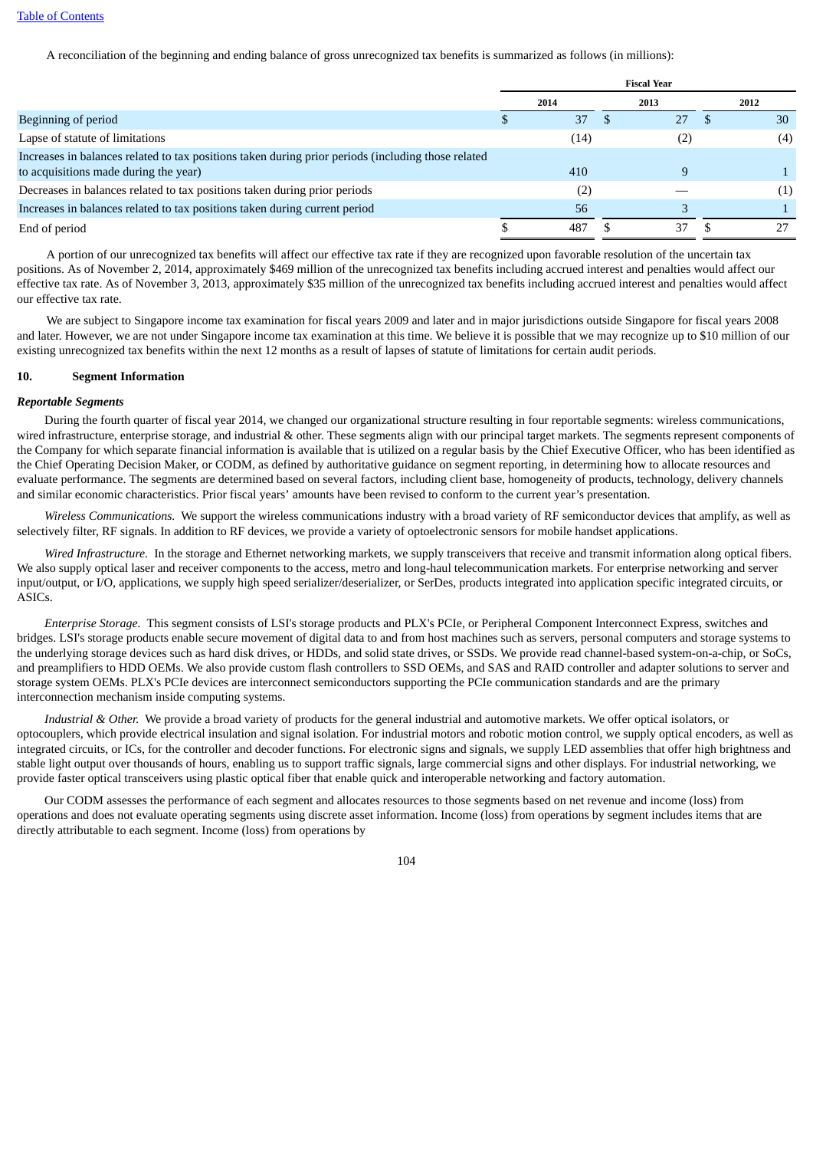A reconciliation of the beginning and ending balance of gross unrecognized tax benefits is summarized as follows (in millions):

|                                                                                                                                             | <b>Fiscal Year</b> |      |  |      |  |      |  |  |
|---------------------------------------------------------------------------------------------------------------------------------------------|--------------------|------|--|------|--|------|--|--|
|                                                                                                                                             |                    | 2014 |  | 2013 |  | 2012 |  |  |
| Beginning of period                                                                                                                         |                    | 37   |  | 27   |  | 30   |  |  |
| Lapse of statute of limitations                                                                                                             |                    | (14) |  | (2)  |  | (4)  |  |  |
| Increases in balances related to tax positions taken during prior periods (including those related<br>to acquisitions made during the year) |                    | 410  |  |      |  |      |  |  |
| Decreases in balances related to tax positions taken during prior periods                                                                   |                    | (2)  |  |      |  | (1)  |  |  |
| Increases in balances related to tax positions taken during current period                                                                  |                    | 56   |  |      |  |      |  |  |
| End of period                                                                                                                               |                    | 487  |  | 37   |  | 27   |  |  |

A portion of our unrecognized tax benefits will affect our effective tax rate if they are recognized upon favorable resolution of the uncertain tax positions. As of November 2, 2014, approximately \$469 million of the unrecognized tax benefits including accrued interest and penalties would affect our effective tax rate. As of November 3, 2013, approximately \$35 million of the unrecognized tax benefits including accrued interest and penalties would affect our effective tax rate.

We are subject to Singapore income tax examination for fiscal years 2009 and later and in major jurisdictions outside Singapore for fiscal years 2008 and later. However, we are not under Singapore income tax examination at this time. We believe it is possible that we may recognize up to \$10 million of our existing unrecognized tax benefits within the next 12 months as a result of lapses of statute of limitations for certain audit periods.

#### **10. Segment Information**

#### *Reportable Segments*

During the fourth quarter of fiscal year 2014, we changed our organizational structure resulting in four reportable segments: wireless communications, wired infrastructure, enterprise storage, and industrial & other. These segments align with our principal target markets. The segments represent components of the Company for which separate financial information is available that is utilized on a regular basis by the Chief Executive Officer, who has been identified as the Chief Operating Decision Maker, or CODM, as defined by authoritative guidance on segment reporting, in determining how to allocate resources and evaluate performance. The segments are determined based on several factors, including client base, homogeneity of products, technology, delivery channels and similar economic characteristics. Prior fiscal years' amounts have been revised to conform to the current year's presentation.

*Wireless Communications.* We support the wireless communications industry with a broad variety of RF semiconductor devices that amplify, as well as selectively filter, RF signals. In addition to RF devices, we provide a variety of optoelectronic sensors for mobile handset applications.

*Wired Infrastructure.* In the storage and Ethernet networking markets, we supply transceivers that receive and transmit information along optical fibers. We also supply optical laser and receiver components to the access, metro and long-haul telecommunication markets. For enterprise networking and server input/output, or I/O, applications, we supply high speed serializer/deserializer, or SerDes, products integrated into application specific integrated circuits, or ASICs.

*Enterprise Storage.* This segment consists of LSI's storage products and PLX's PCIe, or Peripheral Component Interconnect Express, switches and bridges. LSI's storage products enable secure movement of digital data to and from host machines such as servers, personal computers and storage systems to the underlying storage devices such as hard disk drives, or HDDs, and solid state drives, or SSDs. We provide read channel-based system-on-a-chip, or SoCs, and preamplifiers to HDD OEMs. We also provide custom flash controllers to SSD OEMs, and SAS and RAID controller and adapter solutions to server and storage system OEMs. PLX's PCIe devices are interconnect semiconductors supporting the PCIe communication standards and are the primary interconnection mechanism inside computing systems.

*Industrial & Other.* We provide a broad variety of products for the general industrial and automotive markets. We offer optical isolators, or optocouplers, which provide electrical insulation and signal isolation. For industrial motors and robotic motion control, we supply optical encoders, as well as integrated circuits, or ICs, for the controller and decoder functions. For electronic signs and signals, we supply LED assemblies that offer high brightness and stable light output over thousands of hours, enabling us to support traffic signals, large commercial signs and other displays. For industrial networking, we provide faster optical transceivers using plastic optical fiber that enable quick and interoperable networking and factory automation.

Our CODM assesses the performance of each segment and allocates resources to those segments based on net revenue and income (loss) from operations and does not evaluate operating segments using discrete asset information. Income (loss) from operations by segment includes items that are directly attributable to each segment. Income (loss) from operations by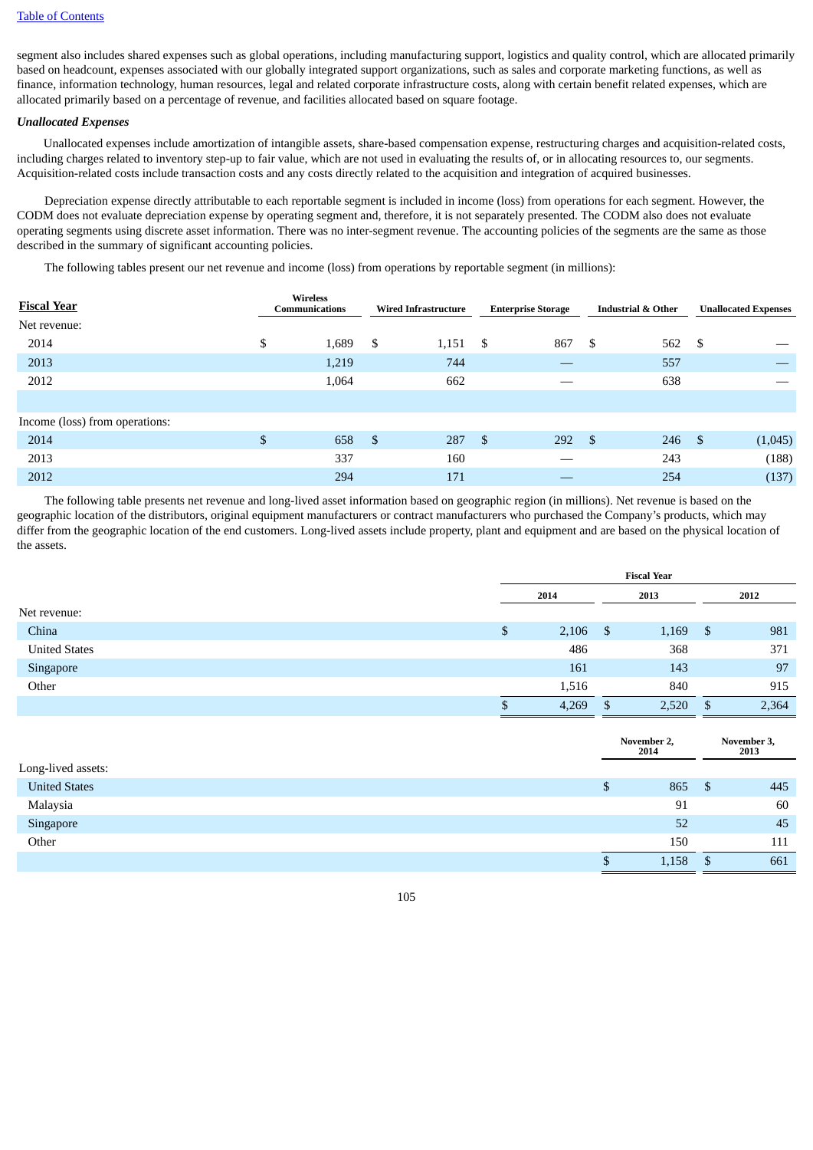segment also includes shared expenses such as global operations, including manufacturing support, logistics and quality control, which are allocated primarily based on headcount, expenses associated with our globally integrated support organizations, such as sales and corporate marketing functions, as well as finance, information technology, human resources, legal and related corporate infrastructure costs, along with certain benefit related expenses, which are allocated primarily based on a percentage of revenue, and facilities allocated based on square footage.

#### *Unallocated Expenses*

Unallocated expenses include amortization of intangible assets, share-based compensation expense, restructuring charges and acquisition-related costs, including charges related to inventory step-up to fair value, which are not used in evaluating the results of, or in allocating resources to, our segments. Acquisition-related costs include transaction costs and any costs directly related to the acquisition and integration of acquired businesses.

Depreciation expense directly attributable to each reportable segment is included in income (loss) from operations for each segment. However, the CODM does not evaluate depreciation expense by operating segment and, therefore, it is not separately presented. The CODM also does not evaluate operating segments using discrete asset information. There was no inter-segment revenue. The accounting policies of the segments are the same as those described in the summary of significant accounting policies.

The following tables present our net revenue and income (loss) from operations by reportable segment (in millions):

| <b>Fiscal Year</b>             |              | <b>Wireless</b><br><b>Communications</b> | <b>Wired Infrastructure</b> |     | <b>Enterprise Storage</b> | <b>Industrial &amp; Other</b> |     | <b>Unallocated Expenses</b> |
|--------------------------------|--------------|------------------------------------------|-----------------------------|-----|---------------------------|-------------------------------|-----|-----------------------------|
| Net revenue:                   |              |                                          |                             |     |                           |                               |     |                             |
| 2014                           | \$           | 1,689                                    | \$<br>1,151                 | -\$ | 867                       | \$<br>562                     | -S  |                             |
| 2013                           |              | 1,219                                    | 744                         |     |                           | 557                           |     | –                           |
| 2012                           |              | 1,064                                    | 662                         |     |                           | 638                           |     |                             |
|                                |              |                                          |                             |     |                           |                               |     |                             |
| Income (loss) from operations: |              |                                          |                             |     |                           |                               |     |                             |
| 2014                           | $\mathbb{S}$ | 658                                      | \$<br>287                   | -\$ | 292                       | \$<br>246                     | -\$ | (1,045)                     |
| 2013                           |              | 337                                      | 160                         |     |                           | 243                           |     | (188)                       |
| 2012                           |              | 294                                      | 171                         |     |                           | 254                           |     | (137)                       |

The following table presents net revenue and long-lived asset information based on geographic region (in millions). Net revenue is based on the geographic location of the distributors, original equipment manufacturers or contract manufacturers who purchased the Company's products, which may differ from the geographic location of the end customers. Long-lived assets include property, plant and equipment and are based on the physical location of the assets.

|                      | <b>Fiscal Year</b> |       |          |       |      |       |  |  |  |  |  |
|----------------------|--------------------|-------|----------|-------|------|-------|--|--|--|--|--|
|                      |                    | 2014  |          | 2013  |      | 2012  |  |  |  |  |  |
| Net revenue:         |                    |       |          |       |      |       |  |  |  |  |  |
| China                | <sup>\$</sup>      | 2,106 | <b>S</b> | 1,169 | - \$ | 981   |  |  |  |  |  |
| <b>United States</b> |                    | 486   |          | 368   |      | 371   |  |  |  |  |  |
| Singapore            |                    | 161   |          | 143   |      | 97    |  |  |  |  |  |
| Other                |                    | 1,516 |          | 840   |      | 915   |  |  |  |  |  |
|                      | D                  | 4,269 |          | 2,520 |      | 2,364 |  |  |  |  |  |

|                      |    | November 2,<br>2014 | November 3,<br>2013 |
|----------------------|----|---------------------|---------------------|
| Long-lived assets:   |    |                     |                     |
| <b>United States</b> | \$ | 865                 | \$<br>445           |
| Malaysia             |    | 91                  | 60                  |
| Singapore            |    | 52                  | 45                  |
| Other                |    | 150                 | 111                 |
|                      | Φ  | 1,158               | 661                 |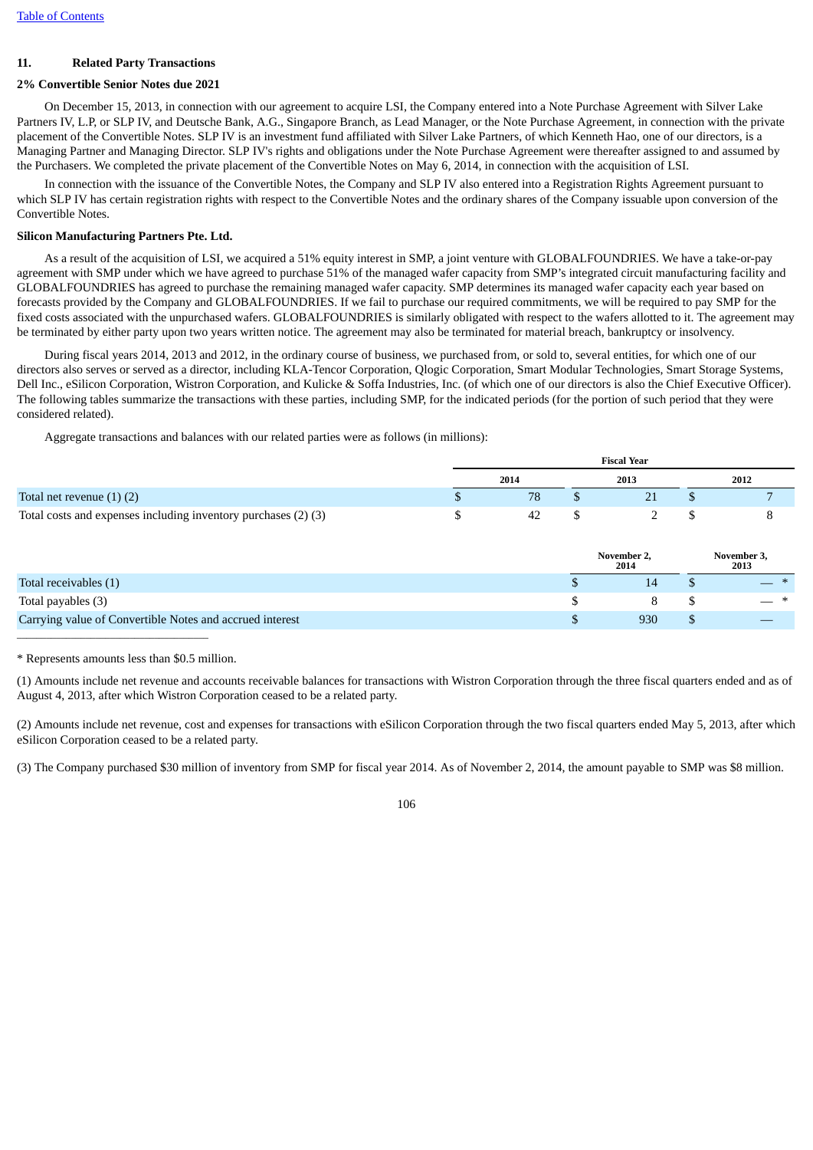# **11. Related Party Transactions**

# **2% Convertible Senior Notes due 2021**

On December 15, 2013, in connection with our agreement to acquire LSI, the Company entered into a Note Purchase Agreement with Silver Lake Partners IV, L.P, or SLP IV, and Deutsche Bank, A.G., Singapore Branch, as Lead Manager, or the Note Purchase Agreement, in connection with the private placement of the Convertible Notes. SLP IV is an investment fund affiliated with Silver Lake Partners, of which Kenneth Hao, one of our directors, is a Managing Partner and Managing Director. SLP IV's rights and obligations under the Note Purchase Agreement were thereafter assigned to and assumed by the Purchasers. We completed the private placement of the Convertible Notes on May 6, 2014, in connection with the acquisition of LSI.

In connection with the issuance of the Convertible Notes, the Company and SLP IV also entered into a Registration Rights Agreement pursuant to which SLP IV has certain registration rights with respect to the Convertible Notes and the ordinary shares of the Company issuable upon conversion of the Convertible Notes.

# **Silicon Manufacturing Partners Pte. Ltd.**

As a result of the acquisition of LSI, we acquired a 51% equity interest in SMP, a joint venture with GLOBALFOUNDRIES. We have a take-or-pay agreement with SMP under which we have agreed to purchase 51% of the managed wafer capacity from SMP's integrated circuit manufacturing facility and GLOBALFOUNDRIES has agreed to purchase the remaining managed wafer capacity. SMP determines its managed wafer capacity each year based on forecasts provided by the Company and GLOBALFOUNDRIES. If we fail to purchase our required commitments, we will be required to pay SMP for the fixed costs associated with the unpurchased wafers. GLOBALFOUNDRIES is similarly obligated with respect to the wafers allotted to it. The agreement may be terminated by either party upon two years written notice. The agreement may also be terminated for material breach, bankruptcy or insolvency.

During fiscal years 2014, 2013 and 2012, in the ordinary course of business, we purchased from, or sold to, several entities, for which one of our directors also serves or served as a director, including KLA-Tencor Corporation, Qlogic Corporation, Smart Modular Technologies, Smart Storage Systems, Dell Inc., eSilicon Corporation, Wistron Corporation, and Kulicke & Soffa Industries, Inc. (of which one of our directors is also the Chief Executive Officer). The following tables summarize the transactions with these parties, including SMP, for the indicated periods (for the portion of such period that they were considered related).

Aggregate transactions and balances with our related parties were as follows (in millions):

| <b>Fiscal Year</b> |  |      |  |      |  |  |  |  |  |
|--------------------|--|------|--|------|--|--|--|--|--|
| 2014               |  | 2013 |  | 2012 |  |  |  |  |  |
| 78                 |  |      |  |      |  |  |  |  |  |
| 42                 |  |      |  |      |  |  |  |  |  |
|                    |  |      |  |      |  |  |  |  |  |

|                                                          | November 2, | November 3,<br>2013 |   |
|----------------------------------------------------------|-------------|---------------------|---|
| Total receivables (1)                                    |             |                     |   |
| Total payables (3)                                       |             |                     | ∗ |
| Carrying value of Convertible Notes and accrued interest |             | 930                 |   |
|                                                          |             |                     |   |

\* Represents amounts less than \$0.5 million.

(1) Amounts include net revenue and accounts receivable balances for transactions with Wistron Corporation through the three fiscal quarters ended and as of August 4, 2013, after which Wistron Corporation ceased to be a related party.

(2) Amounts include net revenue, cost and expenses for transactions with eSilicon Corporation through the two fiscal quarters ended May 5, 2013, after which eSilicon Corporation ceased to be a related party.

(3) The Company purchased \$30 million of inventory from SMP for fiscal year 2014. As of November 2, 2014, the amount payable to SMP was \$8 million.

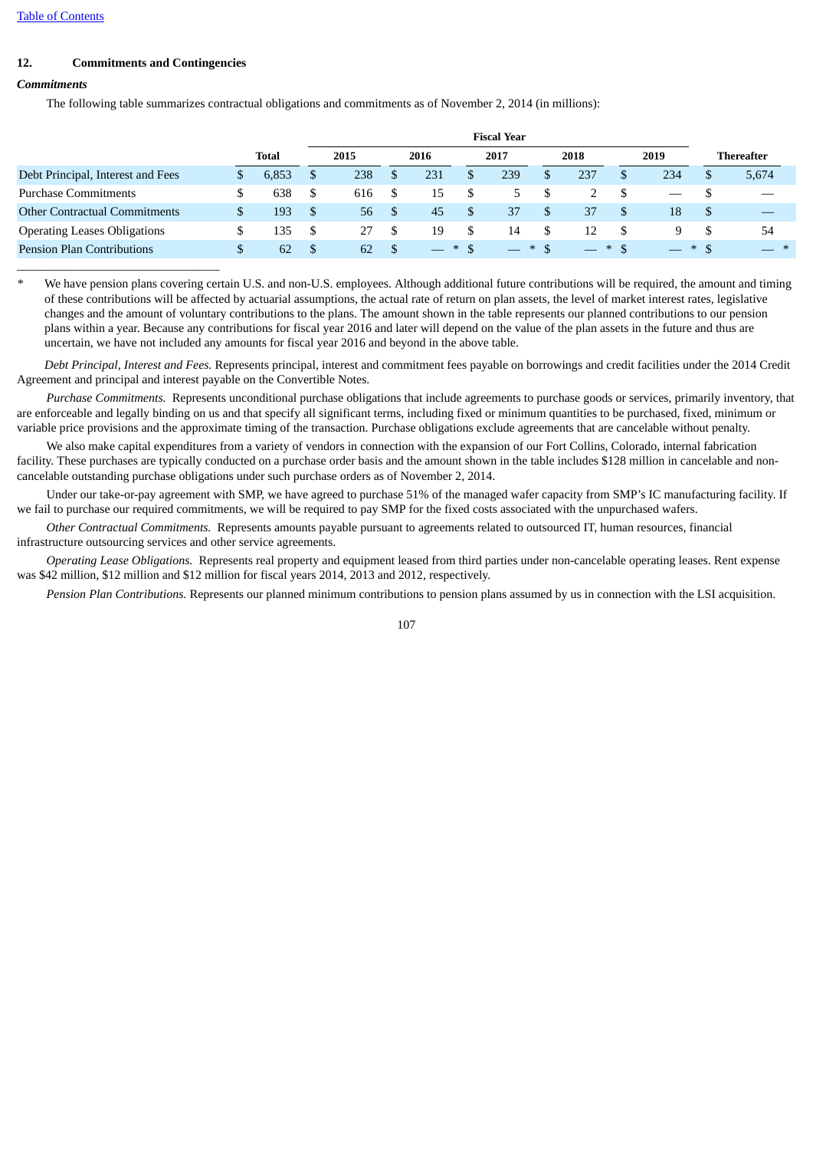## **12. Commitments and Contingencies**

\_\_\_\_\_\_\_\_\_\_\_\_\_\_\_\_\_\_\_\_\_\_\_\_\_\_\_\_\_\_\_\_\_

# *Commitments*

The following table summarizes contractual obligations and commitments as of November 2, 2014 (in millions):

|                                      | <b>Fiscal Year</b> |      |      |               |        |        |      |        |      |        |                          |        |            |
|--------------------------------------|--------------------|------|------|---------------|--------|--------|------|--------|------|--------|--------------------------|--------|------------|
|                                      | <b>Total</b>       |      | 2015 |               | 2016   |        | 2017 |        | 2018 |        | 2019                     |        | Thereafter |
| Debt Principal, Interest and Fees    | 6.853              |      | 238  | <sup>\$</sup> | 231    |        | 239  |        | 237  |        | 234                      |        | 5,674      |
| <b>Purchase Commitments</b>          | 638                | \$.  | 616  | S             | 15     |        |      |        |      | -5     | __                       |        |            |
| <b>Other Contractual Commitments</b> | 193                | - \$ | 56   | -S            | 45     |        | 37   |        | 37   | -S     | 18                       |        |            |
| <b>Operating Leases Obligations</b>  | 135                | S    | 27   | S             | 19     |        | 14   |        | 12   | -S     | 9                        |        | 54         |
| <b>Pension Plan Contributions</b>    | 62                 | - \$ | 62   | <sup>\$</sup> | المستد | $*$ \$ |      | $*$ \$ |      | $*$ \$ | $\overline{\phantom{0}}$ | $*$ \$ | $\ast$     |

We have pension plans covering certain U.S. and non-U.S. employees. Although additional future contributions will be required, the amount and timing of these contributions will be affected by actuarial assumptions, the actual rate of return on plan assets, the level of market interest rates, legislative changes and the amount of voluntary contributions to the plans. The amount shown in the table represents our planned contributions to our pension plans within a year. Because any contributions for fiscal year 2016 and later will depend on the value of the plan assets in the future and thus are uncertain, we have not included any amounts for fiscal year 2016 and beyond in the above table.

*Debt Principal, Interest and Fees.* Represents principal, interest and commitment fees payable on borrowings and credit facilities under the 2014 Credit Agreement and principal and interest payable on the Convertible Notes.

*Purchase Commitments.* Represents unconditional purchase obligations that include agreements to purchase goods or services, primarily inventory, that are enforceable and legally binding on us and that specify all significant terms, including fixed or minimum quantities to be purchased, fixed, minimum or variable price provisions and the approximate timing of the transaction. Purchase obligations exclude agreements that are cancelable without penalty.

We also make capital expenditures from a variety of vendors in connection with the expansion of our Fort Collins, Colorado, internal fabrication facility. These purchases are typically conducted on a purchase order basis and the amount shown in the table includes \$128 million in cancelable and noncancelable outstanding purchase obligations under such purchase orders as of November 2, 2014.

Under our take-or-pay agreement with SMP, we have agreed to purchase 51% of the managed wafer capacity from SMP's IC manufacturing facility. If we fail to purchase our required commitments, we will be required to pay SMP for the fixed costs associated with the unpurchased wafers.

*Other Contractual Commitments.* Represents amounts payable pursuant to agreements related to outsourced IT, human resources, financial infrastructure outsourcing services and other service agreements.

*Operating Lease Obligations.* Represents real property and equipment leased from third parties under non-cancelable operating leases. Rent expense was \$42 million, \$12 million and \$12 million for fiscal years 2014, 2013 and 2012, respectively.

*Pension Plan Contributions.* Represents our planned minimum contributions to pension plans assumed by us in connection with the LSI acquisition.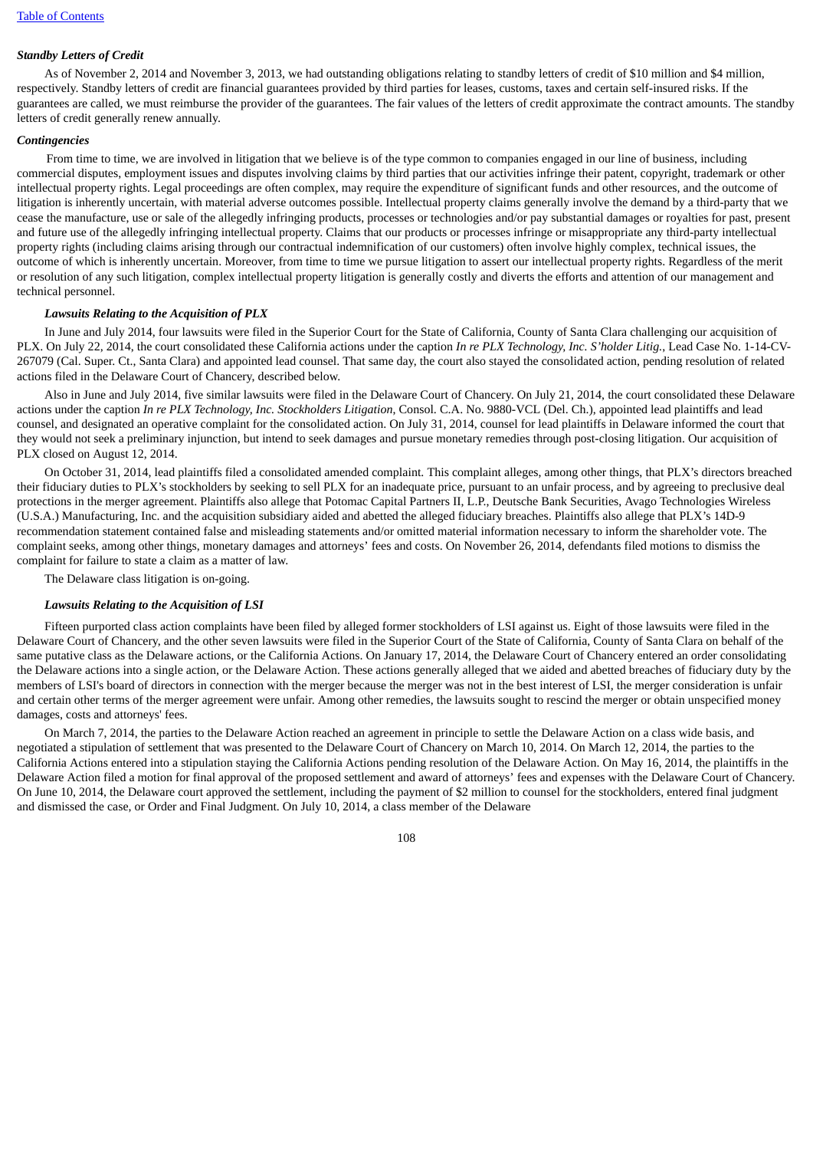## *Standby Letters of Credit*

As of November 2, 2014 and November 3, 2013, we had outstanding obligations relating to standby letters of credit of \$10 million and \$4 million, respectively. Standby letters of credit are financial guarantees provided by third parties for leases, customs, taxes and certain self-insured risks. If the guarantees are called, we must reimburse the provider of the guarantees. The fair values of the letters of credit approximate the contract amounts. The standby letters of credit generally renew annually.

## *Contingencies*

From time to time, we are involved in litigation that we believe is of the type common to companies engaged in our line of business, including commercial disputes, employment issues and disputes involving claims by third parties that our activities infringe their patent, copyright, trademark or other intellectual property rights. Legal proceedings are often complex, may require the expenditure of significant funds and other resources, and the outcome of litigation is inherently uncertain, with material adverse outcomes possible. Intellectual property claims generally involve the demand by a third-party that we cease the manufacture, use or sale of the allegedly infringing products, processes or technologies and/or pay substantial damages or royalties for past, present and future use of the allegedly infringing intellectual property. Claims that our products or processes infringe or misappropriate any third-party intellectual property rights (including claims arising through our contractual indemnification of our customers) often involve highly complex, technical issues, the outcome of which is inherently uncertain. Moreover, from time to time we pursue litigation to assert our intellectual property rights. Regardless of the merit or resolution of any such litigation, complex intellectual property litigation is generally costly and diverts the efforts and attention of our management and technical personnel.

#### *Lawsuits Relating to the Acquisition of PLX*

In June and July 2014, four lawsuits were filed in the Superior Court for the State of California, County of Santa Clara challenging our acquisition of PLX. On July 22, 2014, the court consolidated these California actions under the caption *In re PLX Technology, Inc. S'holder Litig.*, Lead Case No. 1-14-CV-267079 (Cal. Super. Ct., Santa Clara) and appointed lead counsel. That same day, the court also stayed the consolidated action, pending resolution of related actions filed in the Delaware Court of Chancery, described below.

Also in June and July 2014, five similar lawsuits were filed in the Delaware Court of Chancery. On July 21, 2014, the court consolidated these Delaware actions under the caption *In re PLX Technology, Inc. Stockholders Litigation*, Consol. C.A. No. 9880-VCL (Del. Ch.), appointed lead plaintiffs and lead counsel, and designated an operative complaint for the consolidated action. On July 31, 2014, counsel for lead plaintiffs in Delaware informed the court that they would not seek a preliminary injunction, but intend to seek damages and pursue monetary remedies through post-closing litigation. Our acquisition of PLX closed on August 12, 2014.

On October 31, 2014, lead plaintiffs filed a consolidated amended complaint. This complaint alleges, among other things, that PLX's directors breached their fiduciary duties to PLX's stockholders by seeking to sell PLX for an inadequate price, pursuant to an unfair process, and by agreeing to preclusive deal protections in the merger agreement. Plaintiffs also allege that Potomac Capital Partners II, L.P., Deutsche Bank Securities, Avago Technologies Wireless (U.S.A.) Manufacturing, Inc. and the acquisition subsidiary aided and abetted the alleged fiduciary breaches. Plaintiffs also allege that PLX's 14D-9 recommendation statement contained false and misleading statements and/or omitted material information necessary to inform the shareholder vote. The complaint seeks, among other things, monetary damages and attorneys' fees and costs. On November 26, 2014, defendants filed motions to dismiss the complaint for failure to state a claim as a matter of law.

The Delaware class litigation is on-going.

## *Lawsuits Relating to the Acquisition of LSI*

Fifteen purported class action complaints have been filed by alleged former stockholders of LSI against us. Eight of those lawsuits were filed in the Delaware Court of Chancery, and the other seven lawsuits were filed in the Superior Court of the State of California, County of Santa Clara on behalf of the same putative class as the Delaware actions, or the California Actions. On January 17, 2014, the Delaware Court of Chancery entered an order consolidating the Delaware actions into a single action, or the Delaware Action. These actions generally alleged that we aided and abetted breaches of fiduciary duty by the members of LSI's board of directors in connection with the merger because the merger was not in the best interest of LSI, the merger consideration is unfair and certain other terms of the merger agreement were unfair. Among other remedies, the lawsuits sought to rescind the merger or obtain unspecified money damages, costs and attorneys' fees.

On March 7, 2014, the parties to the Delaware Action reached an agreement in principle to settle the Delaware Action on a class wide basis, and negotiated a stipulation of settlement that was presented to the Delaware Court of Chancery on March 10, 2014. On March 12, 2014, the parties to the California Actions entered into a stipulation staying the California Actions pending resolution of the Delaware Action. On May 16, 2014, the plaintiffs in the Delaware Action filed a motion for final approval of the proposed settlement and award of attorneys' fees and expenses with the Delaware Court of Chancery. On June 10, 2014, the Delaware court approved the settlement, including the payment of \$2 million to counsel for the stockholders, entered final judgment and dismissed the case, or Order and Final Judgment. On July 10, 2014, a class member of the Delaware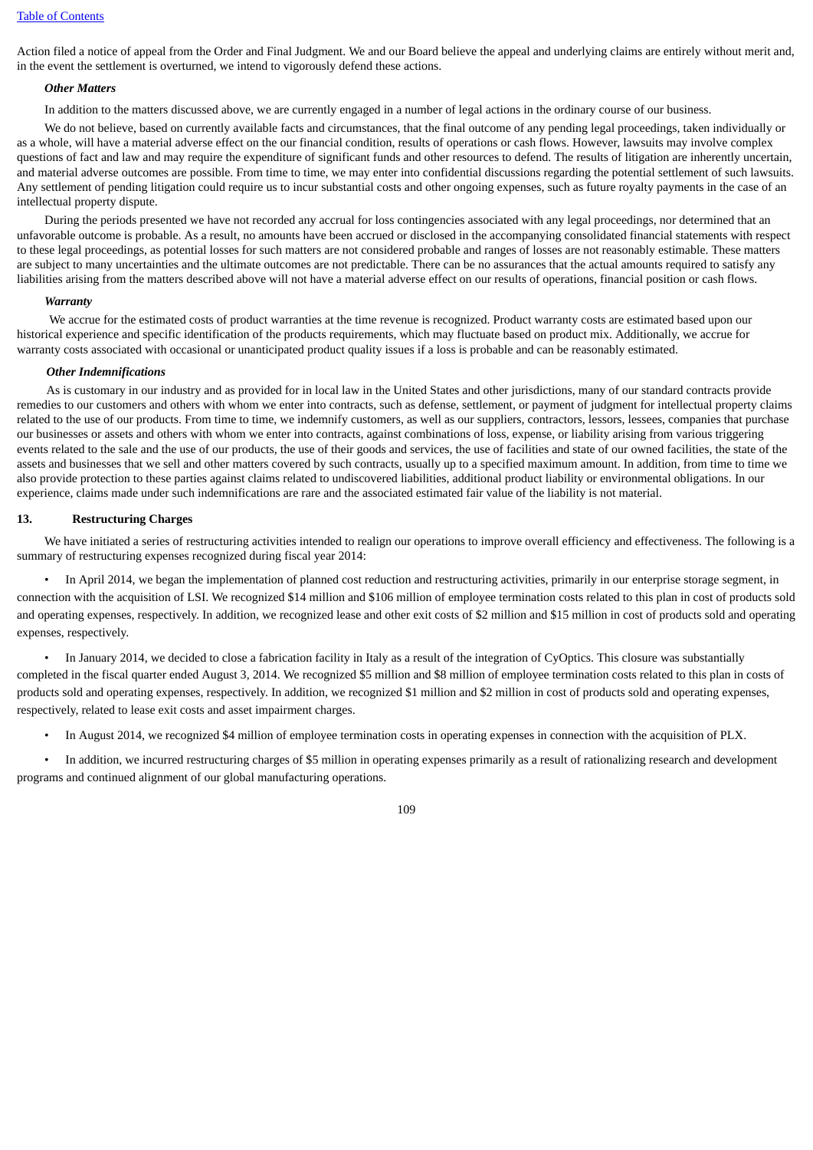Action filed a notice of appeal from the Order and Final Judgment. We and our Board believe the appeal and underlying claims are entirely without merit and, in the event the settlement is overturned, we intend to vigorously defend these actions.

#### *Other Matters*

In addition to the matters discussed above, we are currently engaged in a number of legal actions in the ordinary course of our business.

We do not believe, based on currently available facts and circumstances, that the final outcome of any pending legal proceedings, taken individually or as a whole, will have a material adverse effect on the our financial condition, results of operations or cash flows. However, lawsuits may involve complex questions of fact and law and may require the expenditure of significant funds and other resources to defend. The results of litigation are inherently uncertain, and material adverse outcomes are possible. From time to time, we may enter into confidential discussions regarding the potential settlement of such lawsuits. Any settlement of pending litigation could require us to incur substantial costs and other ongoing expenses, such as future royalty payments in the case of an intellectual property dispute.

During the periods presented we have not recorded any accrual for loss contingencies associated with any legal proceedings, nor determined that an unfavorable outcome is probable. As a result, no amounts have been accrued or disclosed in the accompanying consolidated financial statements with respect to these legal proceedings, as potential losses for such matters are not considered probable and ranges of losses are not reasonably estimable. These matters are subject to many uncertainties and the ultimate outcomes are not predictable. There can be no assurances that the actual amounts required to satisfy any liabilities arising from the matters described above will not have a material adverse effect on our results of operations, financial position or cash flows.

#### *Warranty*

We accrue for the estimated costs of product warranties at the time revenue is recognized. Product warranty costs are estimated based upon our historical experience and specific identification of the products requirements, which may fluctuate based on product mix. Additionally, we accrue for warranty costs associated with occasional or unanticipated product quality issues if a loss is probable and can be reasonably estimated.

#### *Other Indemnifications*

As is customary in our industry and as provided for in local law in the United States and other jurisdictions, many of our standard contracts provide remedies to our customers and others with whom we enter into contracts, such as defense, settlement, or payment of judgment for intellectual property claims related to the use of our products. From time to time, we indemnify customers, as well as our suppliers, contractors, lessors, lessees, companies that purchase our businesses or assets and others with whom we enter into contracts, against combinations of loss, expense, or liability arising from various triggering events related to the sale and the use of our products, the use of their goods and services, the use of facilities and state of our owned facilities, the state of the assets and businesses that we sell and other matters covered by such contracts, usually up to a specified maximum amount. In addition, from time to time we also provide protection to these parties against claims related to undiscovered liabilities, additional product liability or environmental obligations. In our experience, claims made under such indemnifications are rare and the associated estimated fair value of the liability is not material.

### **13. Restructuring Charges**

We have initiated a series of restructuring activities intended to realign our operations to improve overall efficiency and effectiveness. The following is a summary of restructuring expenses recognized during fiscal year 2014:

• In April 2014, we began the implementation of planned cost reduction and restructuring activities, primarily in our enterprise storage segment, in connection with the acquisition of LSI. We recognized \$14 million and \$106 million of employee termination costs related to this plan in cost of products sold and operating expenses, respectively. In addition, we recognized lease and other exit costs of \$2 million and \$15 million in cost of products sold and operating expenses, respectively.

• In January 2014, we decided to close a fabrication facility in Italy as a result of the integration of CyOptics. This closure was substantially completed in the fiscal quarter ended August 3, 2014. We recognized \$5 million and \$8 million of employee termination costs related to this plan in costs of products sold and operating expenses, respectively. In addition, we recognized \$1 million and \$2 million in cost of products sold and operating expenses, respectively, related to lease exit costs and asset impairment charges.

• In August 2014, we recognized \$4 million of employee termination costs in operating expenses in connection with the acquisition of PLX.

• In addition, we incurred restructuring charges of \$5 million in operating expenses primarily as a result of rationalizing research and development programs and continued alignment of our global manufacturing operations.

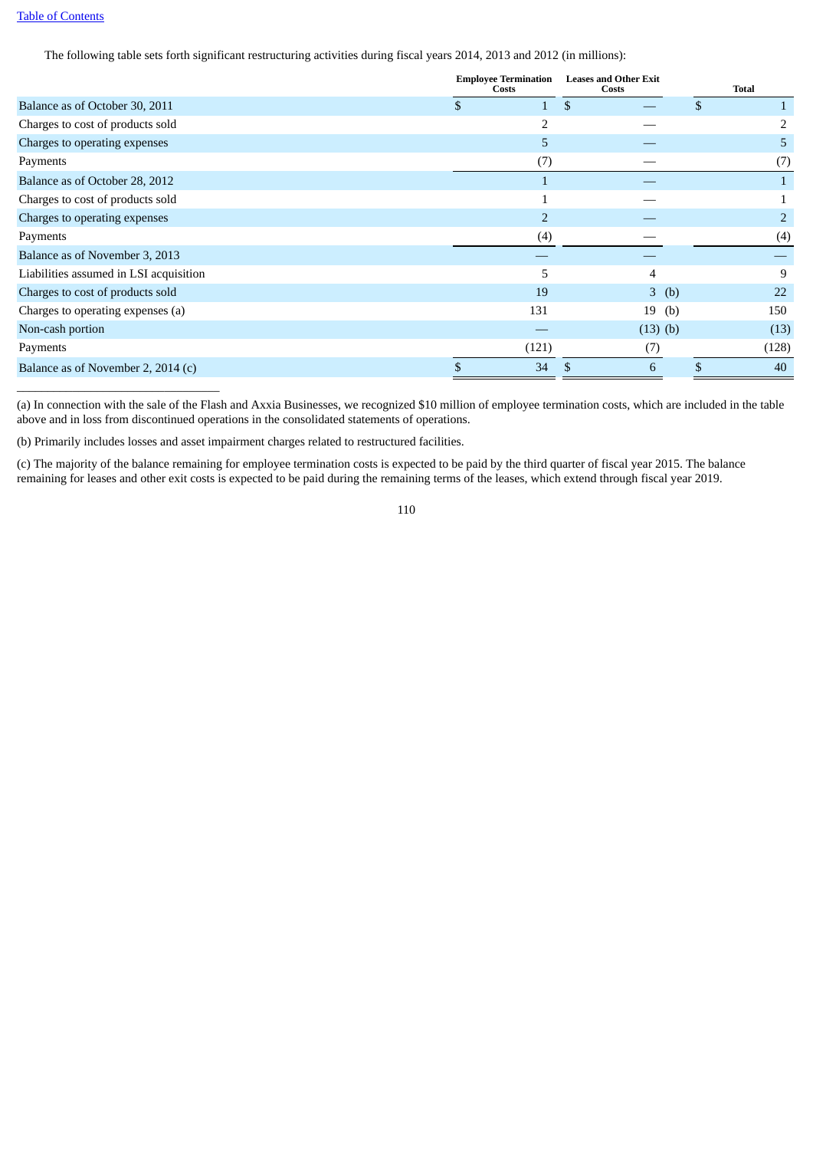The following table sets forth significant restructuring activities during fiscal years 2014, 2013 and 2012 (in millions):

|                                        | <b>Employee Termination</b><br>Costs | <b>Leases and Other Exit</b><br>Costs |      | <b>Total</b> |
|----------------------------------------|--------------------------------------|---------------------------------------|------|--------------|
| Balance as of October 30, 2011         | \$<br>$\mathbf{1}$                   | $\mathbf{s}$                          | \$   |              |
| Charges to cost of products sold       | 2                                    |                                       |      | 2            |
| Charges to operating expenses          | 5.                                   |                                       |      | 5.           |
| Payments                               | (7)                                  |                                       |      | (7)          |
| Balance as of October 28, 2012         | $\mathbf{1}$                         |                                       |      |              |
| Charges to cost of products sold       | $\mathbf{1}$                         |                                       |      |              |
| Charges to operating expenses          | $\overline{2}$                       |                                       |      | 2            |
| Payments                               | (4)                                  |                                       |      | (4)          |
| Balance as of November 3, 2013         |                                      |                                       |      |              |
| Liabilities assumed in LSI acquisition | 5                                    | 4                                     |      | 9            |
| Charges to cost of products sold       | 19                                   |                                       | 3(b) | 22           |
| Charges to operating expenses (a)      | 131                                  | 19                                    | (b)  | 150          |
| Non-cash portion                       |                                      | $(13)$ $(b)$                          |      | (13)         |
| Payments                               | (121)                                | (7)                                   |      | (128)        |
| Balance as of November 2, 2014 (c)     | \$<br>34                             | 6                                     | \$   | 40           |

(a) In connection with the sale of the Flash and Axxia Businesses, we recognized \$10 million of employee termination costs, which are included in the table above and in loss from discontinued operations in the consolidated statements of operations.

(b) Primarily includes losses and asset impairment charges related to restructured facilities.

\_\_\_\_\_\_\_\_\_\_\_\_\_\_\_\_\_\_\_\_\_\_\_\_\_\_\_\_\_\_\_\_\_

(c) The majority of the balance remaining for employee termination costs is expected to be paid by the third quarter of fiscal year 2015. The balance remaining for leases and other exit costs is expected to be paid during the remaining terms of the leases, which extend through fiscal year 2019.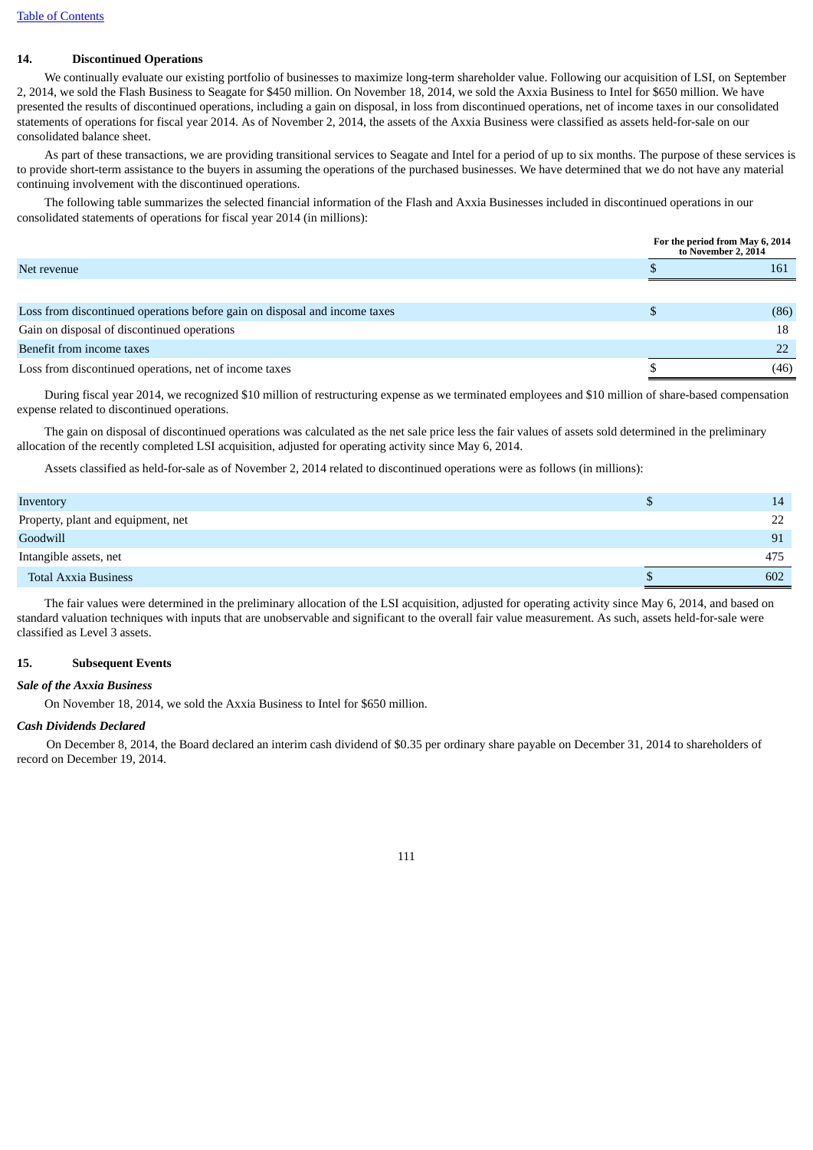## **14. Discontinued Operations**

We continually evaluate our existing portfolio of businesses to maximize long-term shareholder value. Following our acquisition of LSI, on September 2, 2014, we sold the Flash Business to Seagate for \$450 million. On November 18, 2014, we sold the Axxia Business to Intel for \$650 million. We have presented the results of discontinued operations, including a gain on disposal, in loss from discontinued operations, net of income taxes in our consolidated statements of operations for fiscal year 2014. As of November 2, 2014, the assets of the Axxia Business were classified as assets held-for-sale on our consolidated balance sheet.

As part of these transactions, we are providing transitional services to Seagate and Intel for a period of up to six months. The purpose of these services is to provide short-term assistance to the buyers in assuming the operations of the purchased businesses. We have determined that we do not have any material continuing involvement with the discontinued operations.

The following table summarizes the selected financial information of the Flash and Axxia Businesses included in discontinued operations in our consolidated statements of operations for fiscal year 2014 (in millions):

|                                                                            | For the period from May 6, 2014<br>to November 2, 2014 |
|----------------------------------------------------------------------------|--------------------------------------------------------|
| Net revenue                                                                | 161                                                    |
|                                                                            |                                                        |
| Loss from discontinued operations before gain on disposal and income taxes | (86)                                                   |
| Gain on disposal of discontinued operations                                | 18                                                     |
| Benefit from income taxes                                                  | 22                                                     |
| Loss from discontinued operations, net of income taxes                     | (46)                                                   |

During fiscal year 2014, we recognized \$10 million of restructuring expense as we terminated employees and \$10 million of share-based compensation expense related to discontinued operations.

The gain on disposal of discontinued operations was calculated as the net sale price less the fair values of assets sold determined in the preliminary allocation of the recently completed LSI acquisition, adjusted for operating activity since May 6, 2014.

Assets classified as held-for-sale as of November 2, 2014 related to discontinued operations were as follows (in millions):

| Inventory                          | 14               |
|------------------------------------|------------------|
| Property, plant and equipment, net | つつ<br>$\epsilon$ |
| Goodwill                           | 91               |
| Intangible assets, net             | 475              |
| <b>Total Axxia Business</b>        | 602              |

The fair values were determined in the preliminary allocation of the LSI acquisition, adjusted for operating activity since May 6, 2014, and based on standard valuation techniques with inputs that are unobservable and significant to the overall fair value measurement. As such, assets held-for-sale were classified as Level 3 assets.

### **15. Subsequent Events**

#### *Sale of the Axxia Business*

On November 18, 2014, we sold the Axxia Business to Intel for \$650 million.

#### *Cash Dividends Declared*

On December 8, 2014, the Board declared an interim cash dividend of \$0.35 per ordinary share payable on December 31, 2014 to shareholders of record on December 19, 2014.

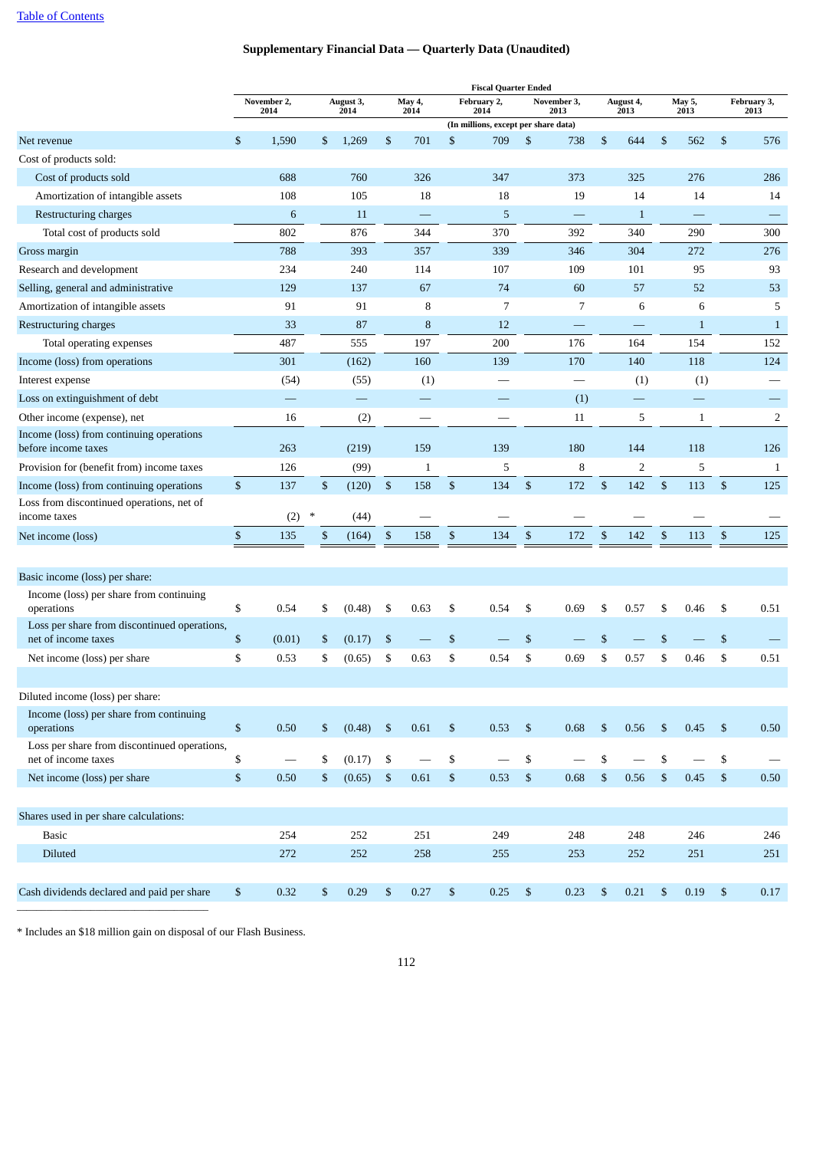# **Supplementary Financial Data — Quarterly Data (Unaudited)**

|                                                                 |              |                          |               |                   |                |                   |              |                                      | <b>Fiscal Quarter Ended</b> |                     |               |                   |                |                |                           |                     |
|-----------------------------------------------------------------|--------------|--------------------------|---------------|-------------------|----------------|-------------------|--------------|--------------------------------------|-----------------------------|---------------------|---------------|-------------------|----------------|----------------|---------------------------|---------------------|
|                                                                 |              | November 2,<br>2014      |               | August 3,<br>2014 |                | May 4,<br>2014    |              | February 2,<br>2014                  |                             | November 3,<br>2013 |               | August 4,<br>2013 |                | May 5,<br>2013 |                           | February 3,<br>2013 |
|                                                                 |              |                          |               |                   |                |                   |              | (In millions, except per share data) |                             |                     |               |                   |                |                |                           |                     |
| Net revenue                                                     | \$           | 1,590                    | \$            | 1,269             | \$             | 701               | \$           | 709                                  | \$                          | 738                 | \$            | 644               | \$             | 562            | \$                        | 576                 |
| Cost of products sold:                                          |              |                          |               |                   |                |                   |              |                                      |                             |                     |               |                   |                |                |                           |                     |
| Cost of products sold                                           |              | 688                      |               | 760               |                | 326               |              | 347                                  |                             | 373                 |               | 325               |                | 276            |                           | 286                 |
| Amortization of intangible assets                               |              | 108                      |               | 105               |                | 18                |              | 18                                   |                             | 19                  |               | 14                |                | 14             |                           | 14                  |
| Restructuring charges                                           |              | 6                        |               | 11                |                | $\qquad \qquad -$ |              | 5                                    |                             | -                   |               | $\mathbf{1}$      |                |                |                           |                     |
| Total cost of products sold                                     |              | 802                      |               | 876               |                | 344               |              | 370                                  |                             | 392                 |               | 340               |                | 290            |                           | 300                 |
| Gross margin                                                    |              | 788                      |               | 393               |                | 357               |              | 339                                  |                             | 346                 |               | 304               |                | 272            |                           | 276                 |
| Research and development                                        |              | 234                      |               | 240               |                | 114               |              | 107                                  |                             | 109                 |               | 101               |                | 95             |                           | 93                  |
| Selling, general and administrative                             |              | 129                      |               | 137               |                | 67                |              | 74                                   |                             | 60                  |               | 57                |                | 52             |                           | 53                  |
| Amortization of intangible assets                               |              | 91                       |               | 91                |                | 8                 |              | 7                                    |                             | 7                   |               | 6                 |                | 6              |                           | 5                   |
| Restructuring charges                                           |              | 33                       |               | 87                |                | 8                 |              | 12                                   |                             |                     |               |                   |                | $\mathbf{1}$   |                           | $\mathbf{1}$        |
| Total operating expenses                                        |              | 487                      |               | 555               |                | 197               |              | 200                                  |                             | 176                 |               | 164               |                | 154            |                           | 152                 |
| Income (loss) from operations                                   |              | 301                      |               | (162)             |                | 160               |              | 139                                  |                             | 170                 |               | 140               |                | 118            |                           | 124                 |
| Interest expense                                                |              | (54)                     |               | (55)              |                | (1)               |              |                                      |                             |                     |               | (1)               |                | (1)            |                           |                     |
| Loss on extinguishment of debt                                  |              |                          |               |                   |                |                   |              |                                      |                             | (1)                 |               |                   |                |                |                           |                     |
| Other income (expense), net                                     |              | 16                       |               | (2)               |                |                   |              |                                      |                             | 11                  |               | 5                 |                | $\mathbf{1}$   |                           | 2                   |
| Income (loss) from continuing operations<br>before income taxes |              | 263                      |               | (219)             |                | 159               |              | 139                                  |                             | 180                 |               | 144               |                | 118            |                           | 126                 |
| Provision for (benefit from) income taxes                       |              | 126                      |               | (99)              |                | $\mathbf{1}$      |              | 5                                    |                             | 8                   |               | 2                 |                | 5              |                           | $\mathbf{1}$        |
| Income (loss) from continuing operations                        | $\mathbb{S}$ | 137                      | ${\mathbb S}$ | (120)             | $\mathbb{S}$   | 158               | $\mathbb{S}$ | 134                                  | $\mathfrak{S}$              | 172                 | ${\mathbb S}$ | 142               | $\mathsf{\$}$  | 113            | $\mathfrak{S}$            | 125                 |
| Loss from discontinued operations, net of                       |              |                          |               |                   |                |                   |              |                                      |                             |                     |               |                   |                |                |                           |                     |
| income taxes                                                    |              | (2)                      |               | (44)              |                |                   |              |                                      |                             |                     |               |                   |                |                |                           |                     |
| Net income (loss)                                               | \$           | 135                      | \$            | (164)             | \$             | 158               | \$           | 134                                  | $\mathbb{S}$                | 172                 | ${\mathbb S}$ | 142               | $\,$           | 113            | \$                        | 125                 |
|                                                                 |              |                          |               |                   |                |                   |              |                                      |                             |                     |               |                   |                |                |                           |                     |
| Basic income (loss) per share:                                  |              |                          |               |                   |                |                   |              |                                      |                             |                     |               |                   |                |                |                           |                     |
| Income (loss) per share from continuing<br>operations           | \$           | 0.54                     | \$            | (0.48)            | \$             | 0.63              | \$           | 0.54                                 | \$                          | 0.69                | \$            | 0.57              | \$             | 0.46           | \$                        | 0.51                |
| Loss per share from discontinued operations,                    |              |                          |               |                   |                |                   |              |                                      |                             |                     |               |                   |                |                |                           |                     |
| net of income taxes                                             | \$           | (0.01)                   | \$            | (0.17)            | \$             |                   | \$           |                                      | \$                          |                     | \$            |                   | \$             |                | \$                        |                     |
| Net income (loss) per share                                     | \$           | 0.53                     | \$            | (0.65)            | \$             | 0.63              | \$           | 0.54                                 | \$                          | 0.69                | \$            | 0.57              | \$             | 0.46           | \$                        | 0.51                |
|                                                                 |              |                          |               |                   |                |                   |              |                                      |                             |                     |               |                   |                |                |                           |                     |
| Diluted income (loss) per share:                                |              |                          |               |                   |                |                   |              |                                      |                             |                     |               |                   |                |                |                           |                     |
| Income (loss) per share from continuing<br>operations           | $\mathbb{S}$ | 0.50                     | \$            | (0.48)            | $\mathfrak{s}$ | 0.61              | \$           | 0.53                                 | $\mathfrak{S}$              | 0.68                | \$            | 0.56              | $\mathfrak{S}$ | 0.45           | $\sqrt{5}$                | 0.50                |
| Loss per share from discontinued operations,                    |              |                          |               |                   |                |                   |              |                                      |                             |                     |               |                   |                |                |                           |                     |
| net of income taxes                                             | \$           | $\overline{\phantom{m}}$ | \$            | (0.17)            | \$             |                   | \$           |                                      | \$                          |                     | \$            |                   | \$             |                | \$                        |                     |
| Net income (loss) per share                                     | $\mathbb{S}$ | $0.50\,$                 | \$            | (0.65)            | $$\mathbb{S}$$ | 0.61              | \$           | 0.53                                 | $\mathbb{S}$                | 0.68                | ${\mathbb S}$ | 0.56              | $\mathbb{S}$   | 0.45           | $\boldsymbol{\mathsf{S}}$ | 0.50                |
|                                                                 |              |                          |               |                   |                |                   |              |                                      |                             |                     |               |                   |                |                |                           |                     |
| Shares used in per share calculations:                          |              |                          |               |                   |                |                   |              |                                      |                             |                     |               |                   |                |                |                           |                     |
| <b>Basic</b>                                                    |              | 254                      |               | 252               |                | 251               |              | 249                                  |                             | 248                 |               | 248               |                | 246            |                           | 246                 |
| Diluted                                                         |              | 272                      |               | 252               |                | 258               |              | 255                                  |                             | 253                 |               | 252               |                | 251            |                           | 251                 |
|                                                                 |              |                          |               |                   |                |                   |              |                                      |                             |                     |               |                   |                |                |                           |                     |
| Cash dividends declared and paid per share                      | \$           | 0.32                     | \$            | 0.29              | \$             | 0.27              | \$           | 0.25                                 | $\$$                        | 0.23                | \$            | 0.21              | \$             | 0.19           | $\sqrt{5}$                | 0.17                |
|                                                                 |              |                          |               |                   |                |                   |              |                                      |                             |                     |               |                   |                |                |                           |                     |

 $\hspace{0.1mm}^*$  Includes an \$18 million gain on disposal of our Flash Business.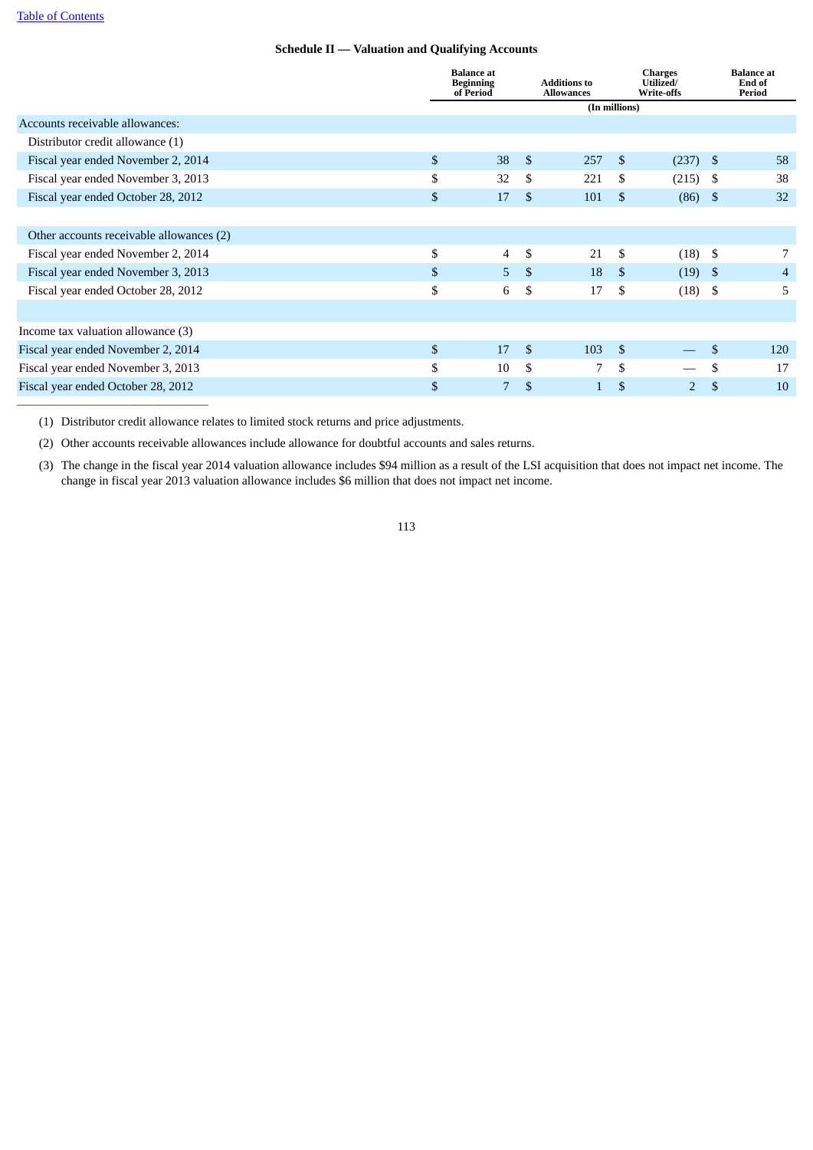### **Schedule II — Valuation and Qualifying Accounts**

|                                          | <b>Balance</b> at<br><b>Beginning</b><br>of Period |                | <b>Additions to</b><br><b>Allowances</b> |              | <b>Charges</b><br>Utilized/<br><b>Write-offs</b> |     | <b>Balance</b> at<br>End of<br>Period |
|------------------------------------------|----------------------------------------------------|----------------|------------------------------------------|--------------|--------------------------------------------------|-----|---------------------------------------|
|                                          |                                                    |                | (In millions)                            |              |                                                  |     |                                       |
| Accounts receivable allowances:          |                                                    |                |                                          |              |                                                  |     |                                       |
| Distributor credit allowance (1)         |                                                    |                |                                          |              |                                                  |     |                                       |
| Fiscal year ended November 2, 2014       | \$<br>38                                           | \$             | 257                                      | \$           | $(237)$ \$                                       |     | 58                                    |
| Fiscal year ended November 3, 2013       | \$<br>32                                           | \$             | 221                                      | \$           | (215)                                            | -S  | 38                                    |
| Fiscal year ended October 28, 2012       | \$<br>17                                           | $\mathfrak{S}$ | 101                                      | \$           | (86)                                             | -\$ | 32                                    |
|                                          |                                                    |                |                                          |              |                                                  |     |                                       |
| Other accounts receivable allowances (2) |                                                    |                |                                          |              |                                                  |     |                                       |
| Fiscal year ended November 2, 2014       | \$<br>$\overline{4}$                               | \$             | 21                                       | \$           | (18)                                             | \$  |                                       |
| Fiscal year ended November 3, 2013       | \$<br>5 <sup>1</sup>                               | $\mathbf{\$}$  | 18                                       | $\mathbb{S}$ | (19)                                             | -\$ | $\overline{4}$                        |
| Fiscal year ended October 28, 2012       | \$<br>6                                            | \$             | 17                                       | \$           | (18)                                             | \$  | 5                                     |
|                                          |                                                    |                |                                          |              |                                                  |     |                                       |
| Income tax valuation allowance (3)       |                                                    |                |                                          |              |                                                  |     |                                       |
| Fiscal year ended November 2, 2014       | \$<br>17                                           | $\mathfrak{S}$ | 103                                      | \$           |                                                  | \$  | 120                                   |
| Fiscal year ended November 3, 2013       | \$<br>10                                           | \$             | 7                                        | \$           |                                                  | \$  | 17                                    |
| Fiscal year ended October 28, 2012       | \$<br>7 <sup>1</sup>                               | <sup>\$</sup>  |                                          | $\mathbb{S}$ | $\overline{2}$                                   | \$  | 10                                    |
|                                          |                                                    |                |                                          |              |                                                  |     |                                       |

(1) Distributor credit allowance relates to limited stock returns and price adjustments.

(2) Other accounts receivable allowances include allowance for doubtful accounts and sales returns.

(3) The change in the fiscal year 2014 valuation allowance includes \$94 million as a result of the LSI acquisition that does not impact net income. The change in fiscal year 2013 valuation allowance includes \$6 million that does not impact net income.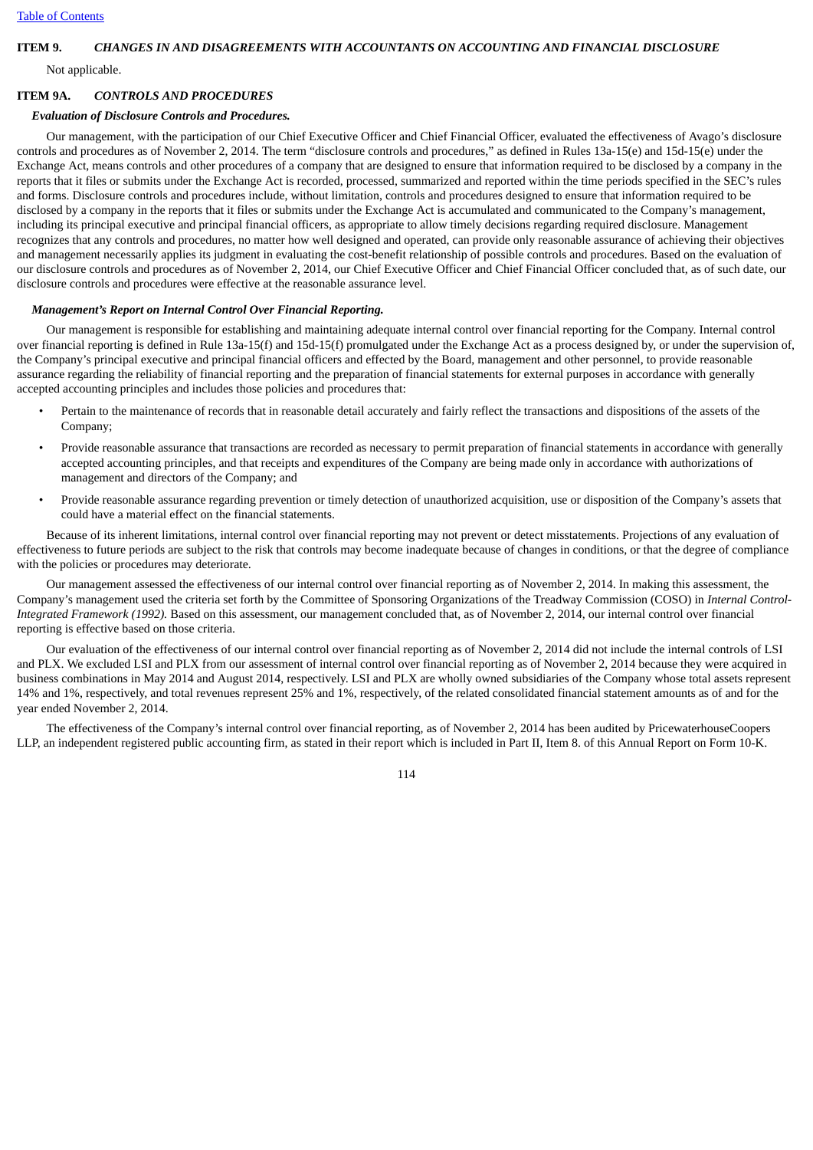### **ITEM 9.** *CHANGES IN AND DISAGREEMENTS WITH ACCOUNTANTS ON ACCOUNTING AND FINANCIAL DISCLOSURE*

Not applicable.

### **ITEM 9A.** *CONTROLS AND PROCEDURES*

### *Evaluation of Disclosure Controls and Procedures.*

Our management, with the participation of our Chief Executive Officer and Chief Financial Officer, evaluated the effectiveness of Avago's disclosure controls and procedures as of November 2, 2014. The term "disclosure controls and procedures," as defined in Rules 13a-15(e) and 15d-15(e) under the Exchange Act, means controls and other procedures of a company that are designed to ensure that information required to be disclosed by a company in the reports that it files or submits under the Exchange Act is recorded, processed, summarized and reported within the time periods specified in the SEC's rules and forms. Disclosure controls and procedures include, without limitation, controls and procedures designed to ensure that information required to be disclosed by a company in the reports that it files or submits under the Exchange Act is accumulated and communicated to the Company's management, including its principal executive and principal financial officers, as appropriate to allow timely decisions regarding required disclosure. Management recognizes that any controls and procedures, no matter how well designed and operated, can provide only reasonable assurance of achieving their objectives and management necessarily applies its judgment in evaluating the cost-benefit relationship of possible controls and procedures. Based on the evaluation of our disclosure controls and procedures as of November 2, 2014, our Chief Executive Officer and Chief Financial Officer concluded that, as of such date, our disclosure controls and procedures were effective at the reasonable assurance level.

### *Management's Report on Internal Control Over Financial Reporting.*

Our management is responsible for establishing and maintaining adequate internal control over financial reporting for the Company. Internal control over financial reporting is defined in Rule 13a-15(f) and 15d-15(f) promulgated under the Exchange Act as a process designed by, or under the supervision of, the Company's principal executive and principal financial officers and effected by the Board, management and other personnel, to provide reasonable assurance regarding the reliability of financial reporting and the preparation of financial statements for external purposes in accordance with generally accepted accounting principles and includes those policies and procedures that:

- Pertain to the maintenance of records that in reasonable detail accurately and fairly reflect the transactions and dispositions of the assets of the Company;
- Provide reasonable assurance that transactions are recorded as necessary to permit preparation of financial statements in accordance with generally accepted accounting principles, and that receipts and expenditures of the Company are being made only in accordance with authorizations of management and directors of the Company; and
- Provide reasonable assurance regarding prevention or timely detection of unauthorized acquisition, use or disposition of the Company's assets that could have a material effect on the financial statements.

Because of its inherent limitations, internal control over financial reporting may not prevent or detect misstatements. Projections of any evaluation of effectiveness to future periods are subject to the risk that controls may become inadequate because of changes in conditions, or that the degree of compliance with the policies or procedures may deteriorate.

Our management assessed the effectiveness of our internal control over financial reporting as of November 2, 2014. In making this assessment, the Company's management used the criteria set forth by the Committee of Sponsoring Organizations of the Treadway Commission (COSO) in *Internal Control-Integrated Framework (1992).* Based on this assessment, our management concluded that, as of November 2, 2014, our internal control over financial reporting is effective based on those criteria.

Our evaluation of the effectiveness of our internal control over financial reporting as of November 2, 2014 did not include the internal controls of LSI and PLX. We excluded LSI and PLX from our assessment of internal control over financial reporting as of November 2, 2014 because they were acquired in business combinations in May 2014 and August 2014, respectively. LSI and PLX are wholly owned subsidiaries of the Company whose total assets represent 14% and 1%, respectively, and total revenues represent 25% and 1%, respectively, of the related consolidated financial statement amounts as of and for the year ended November 2, 2014.

The effectiveness of the Company's internal control over financial reporting, as of November 2, 2014 has been audited by PricewaterhouseCoopers LLP, an independent registered public accounting firm, as stated in their report which is included in Part II, Item 8. of this Annual Report on Form 10-K.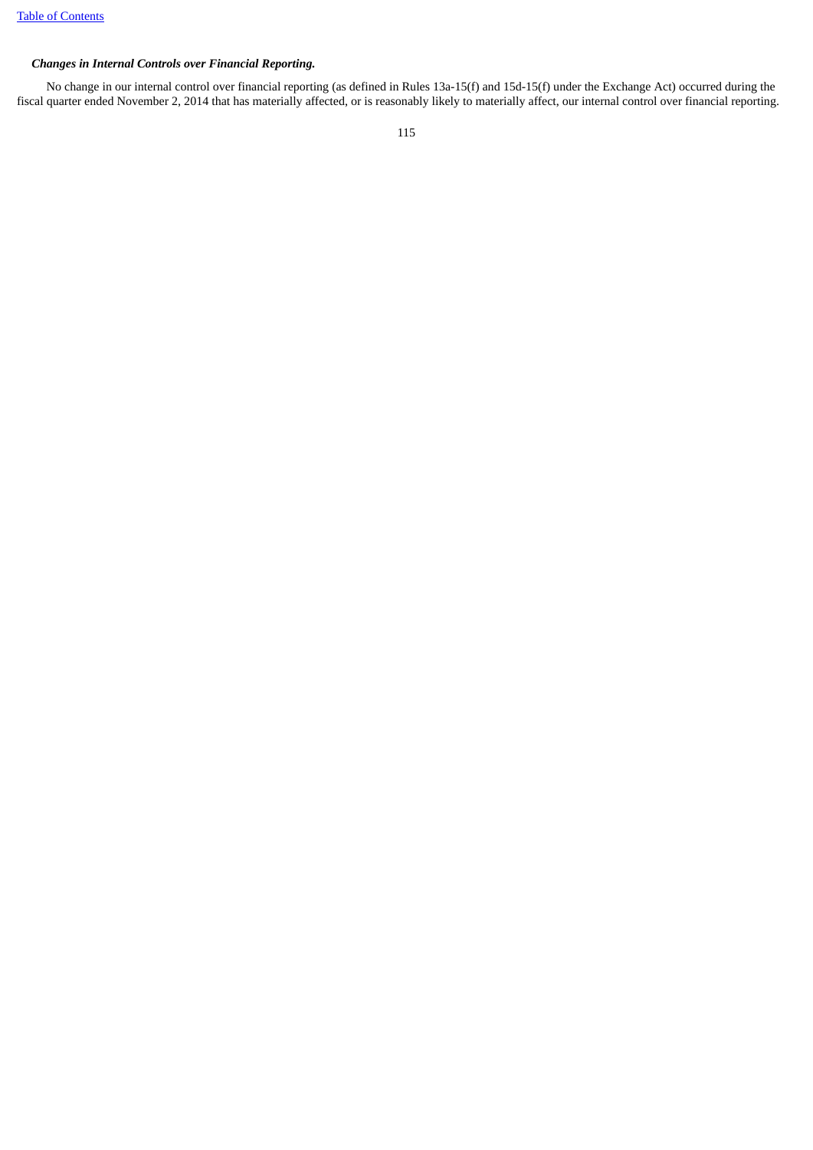### *Changes in Internal Controls over Financial Reporting.*

No change in our internal control over financial reporting (as defined in Rules 13a-15(f) and 15d-15(f) under the Exchange Act) occurred during the fiscal quarter ended November 2, 2014 that has materially affected, or is reasonably likely to materially affect, our internal control over financial reporting.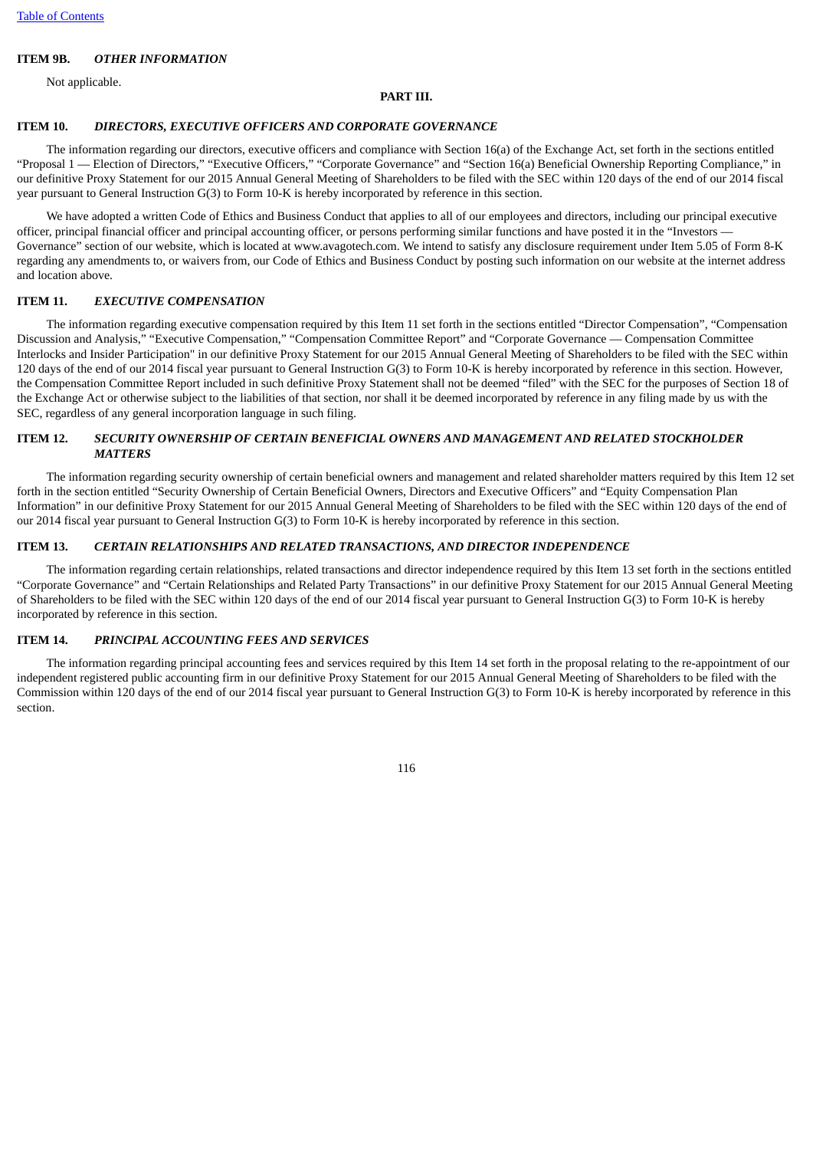## **ITEM 9B.** *OTHER INFORMATION*

Not applicable.

### **PART III.**

# **ITEM 10.** *DIRECTORS, EXECUTIVE OFFICERS AND CORPORATE GOVERNANCE*

The information regarding our directors, executive officers and compliance with Section 16(a) of the Exchange Act, set forth in the sections entitled "Proposal 1 — Election of Directors," "Executive Officers," "Corporate Governance" and "Section 16(a) Beneficial Ownership Reporting Compliance," in our definitive Proxy Statement for our 2015 Annual General Meeting of Shareholders to be filed with the SEC within 120 days of the end of our 2014 fiscal year pursuant to General Instruction G(3) to Form 10-K is hereby incorporated by reference in this section.

We have adopted a written Code of Ethics and Business Conduct that applies to all of our employees and directors, including our principal executive officer, principal financial officer and principal accounting officer, or persons performing similar functions and have posted it in the "Investors -Governance" section of our website, which is located at www.avagotech.com. We intend to satisfy any disclosure requirement under Item 5.05 of Form 8-K regarding any amendments to, or waivers from, our Code of Ethics and Business Conduct by posting such information on our website at the internet address and location above.

# **ITEM 11.** *EXECUTIVE COMPENSATION*

The information regarding executive compensation required by this Item 11 set forth in the sections entitled "Director Compensation", "Compensation Discussion and Analysis," "Executive Compensation," "Compensation Committee Report" and "Corporate Governance — Compensation Committee Interlocks and Insider Participation" in our definitive Proxy Statement for our 2015 Annual General Meeting of Shareholders to be filed with the SEC within 120 days of the end of our 2014 fiscal year pursuant to General Instruction G(3) to Form 10-K is hereby incorporated by reference in this section. However, the Compensation Committee Report included in such definitive Proxy Statement shall not be deemed "filed" with the SEC for the purposes of Section 18 of the Exchange Act or otherwise subject to the liabilities of that section, nor shall it be deemed incorporated by reference in any filing made by us with the SEC, regardless of any general incorporation language in such filing.

### **ITEM 12.** *SECURITY OWNERSHIP OF CERTAIN BENEFICIAL OWNERS AND MANAGEMENT AND RELATED STOCKHOLDER MATTERS*

The information regarding security ownership of certain beneficial owners and management and related shareholder matters required by this Item 12 set forth in the section entitled "Security Ownership of Certain Beneficial Owners, Directors and Executive Officers" and "Equity Compensation Plan Information" in our definitive Proxy Statement for our 2015 Annual General Meeting of Shareholders to be filed with the SEC within 120 days of the end of our 2014 fiscal year pursuant to General Instruction G(3) to Form 10-K is hereby incorporated by reference in this section.

# **ITEM 13.** *CERTAIN RELATIONSHIPS AND RELATED TRANSACTIONS, AND DIRECTOR INDEPENDENCE*

The information regarding certain relationships, related transactions and director independence required by this Item 13 set forth in the sections entitled "Corporate Governance" and "Certain Relationships and Related Party Transactions" in our definitive Proxy Statement for our 2015 Annual General Meeting of Shareholders to be filed with the SEC within 120 days of the end of our 2014 fiscal year pursuant to General Instruction G(3) to Form 10-K is hereby incorporated by reference in this section.

# **ITEM 14.** *PRINCIPAL ACCOUNTING FEES AND SERVICES*

The information regarding principal accounting fees and services required by this Item 14 set forth in the proposal relating to the re-appointment of our independent registered public accounting firm in our definitive Proxy Statement for our 2015 Annual General Meeting of Shareholders to be filed with the Commission within 120 days of the end of our 2014 fiscal year pursuant to General Instruction G(3) to Form 10-K is hereby incorporated by reference in this section.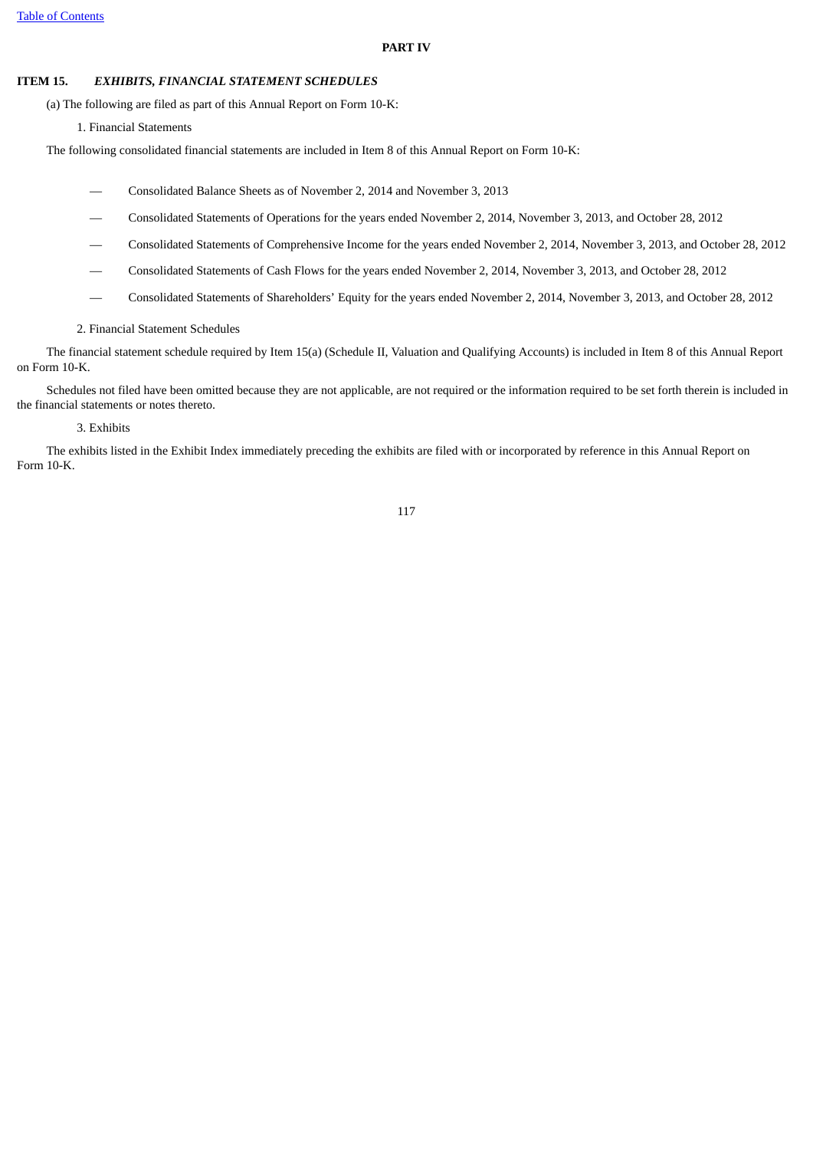### **PART IV**

### **ITEM 15.** *EXHIBITS, FINANCIAL STATEMENT SCHEDULES*

(a) The following are filed as part of this Annual Report on Form 10-K:

1. Financial Statements

The following consolidated financial statements are included in Item 8 of this Annual Report on Form 10-K:

- Consolidated Balance Sheets as of November 2, 2014 and November 3, 2013
- Consolidated Statements of Operations for the years ended November 2, 2014, November 3, 2013, and October 28, 2012
- Consolidated Statements of Comprehensive Income for the years ended November 2, 2014, November 3, 2013, and October 28, 2012
- Consolidated Statements of Cash Flows for the years ended November 2, 2014, November 3, 2013, and October 28, 2012
- Consolidated Statements of Shareholders' Equity for the years ended November 2, 2014, November 3, 2013, and October 28, 2012
- 2. Financial Statement Schedules

The financial statement schedule required by Item 15(a) (Schedule II, Valuation and Qualifying Accounts) is included in Item 8 of this Annual Report on Form 10-K.

Schedules not filed have been omitted because they are not applicable, are not required or the information required to be set forth therein is included in the financial statements or notes thereto.

### 3. Exhibits

The exhibits listed in the Exhibit Index immediately preceding the exhibits are filed with or incorporated by reference in this Annual Report on Form 10-K.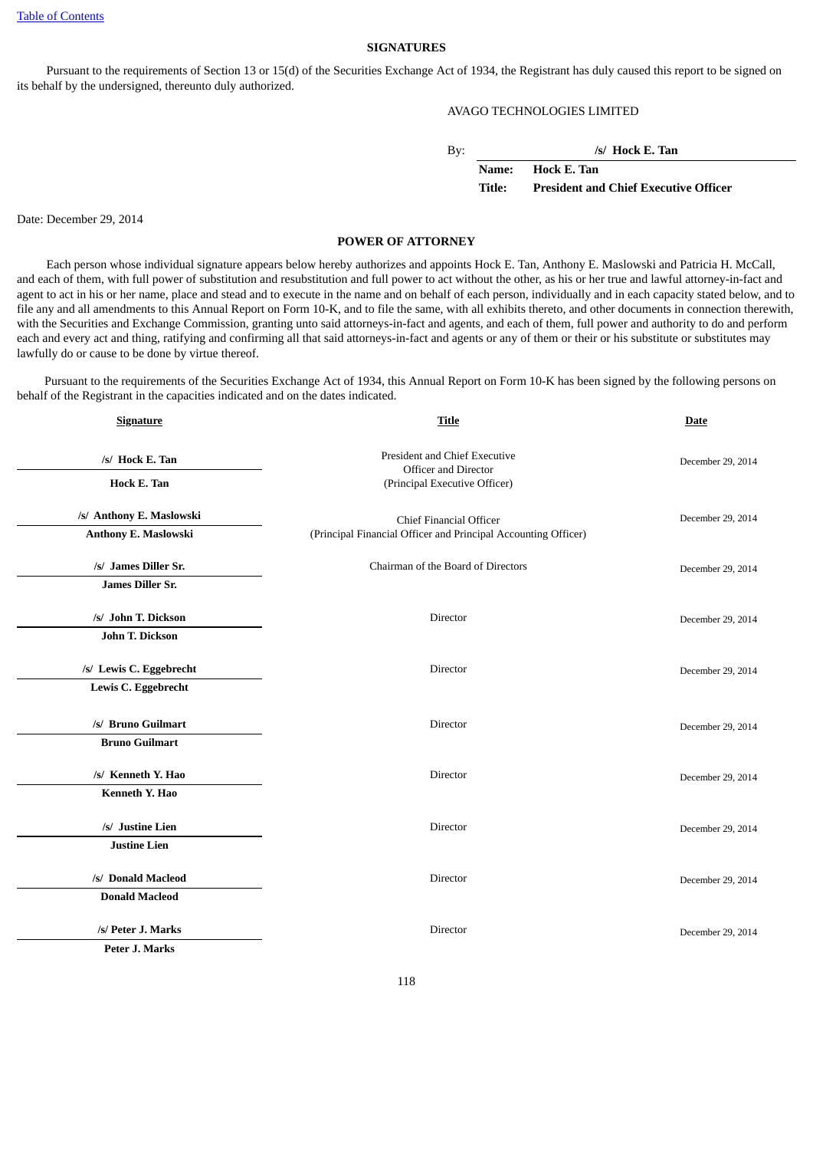#### **SIGNATURES**

Pursuant to the requirements of Section 13 or 15(d) of the Securities Exchange Act of 1934, the Registrant has duly caused this report to be signed on its behalf by the undersigned, thereunto duly authorized.

### AVAGO TECHNOLOGIES LIMITED

| By: | /s/ Hock E. Tan |                                              |  |  |  |  |
|-----|-----------------|----------------------------------------------|--|--|--|--|
|     |                 | Name: Hock E. Tan                            |  |  |  |  |
|     | Title:          | <b>President and Chief Executive Officer</b> |  |  |  |  |

Date: December 29, 2014

### **POWER OF ATTORNEY**

Each person whose individual signature appears below hereby authorizes and appoints Hock E. Tan, Anthony E. Maslowski and Patricia H. McCall, and each of them, with full power of substitution and resubstitution and full power to act without the other, as his or her true and lawful attorney-in-fact and agent to act in his or her name, place and stead and to execute in the name and on behalf of each person, individually and in each capacity stated below, and to file any and all amendments to this Annual Report on Form 10-K, and to file the same, with all exhibits thereto, and other documents in connection therewith, with the Securities and Exchange Commission, granting unto said attorneys-in-fact and agents, and each of them, full power and authority to do and perform each and every act and thing, ratifying and confirming all that said attorneys-in-fact and agents or any of them or their or his substitute or substitutes may lawfully do or cause to be done by virtue thereof.

Pursuant to the requirements of the Securities Exchange Act of 1934, this Annual Report on Form 10-K has been signed by the following persons on behalf of the Registrant in the capacities indicated and on the dates indicated.

| <b>Signature</b>                                 | <b>Title</b>                                                                                  | <b>Date</b>       |
|--------------------------------------------------|-----------------------------------------------------------------------------------------------|-------------------|
| /s/ Hock E. Tan<br>Hock E. Tan                   | President and Chief Executive<br><b>Officer and Director</b><br>(Principal Executive Officer) | December 29, 2014 |
| /s/ Anthony E. Maslowski<br>Anthony E. Maslowski | Chief Financial Officer<br>(Principal Financial Officer and Principal Accounting Officer)     | December 29, 2014 |
| /s/ James Diller Sr.<br><b>James Diller Sr.</b>  | Chairman of the Board of Directors                                                            | December 29, 2014 |
| /s/ John T. Dickson<br>John T. Dickson           | Director                                                                                      | December 29, 2014 |
| /s/ Lewis C. Eggebrecht<br>Lewis C. Eggebrecht   | Director                                                                                      | December 29, 2014 |
| /s/ Bruno Guilmart<br><b>Bruno Guilmart</b>      | Director                                                                                      | December 29, 2014 |
| /s/ Kenneth Y. Hao<br><b>Kenneth Y. Hao</b>      | Director                                                                                      | December 29, 2014 |
| /s/ Justine Lien<br><b>Justine Lien</b>          | Director                                                                                      | December 29, 2014 |
| /s/ Donald Macleod<br><b>Donald Macleod</b>      | Director                                                                                      | December 29, 2014 |
| /s/ Peter J. Marks<br>Peter J. Marks             | Director                                                                                      | December 29, 2014 |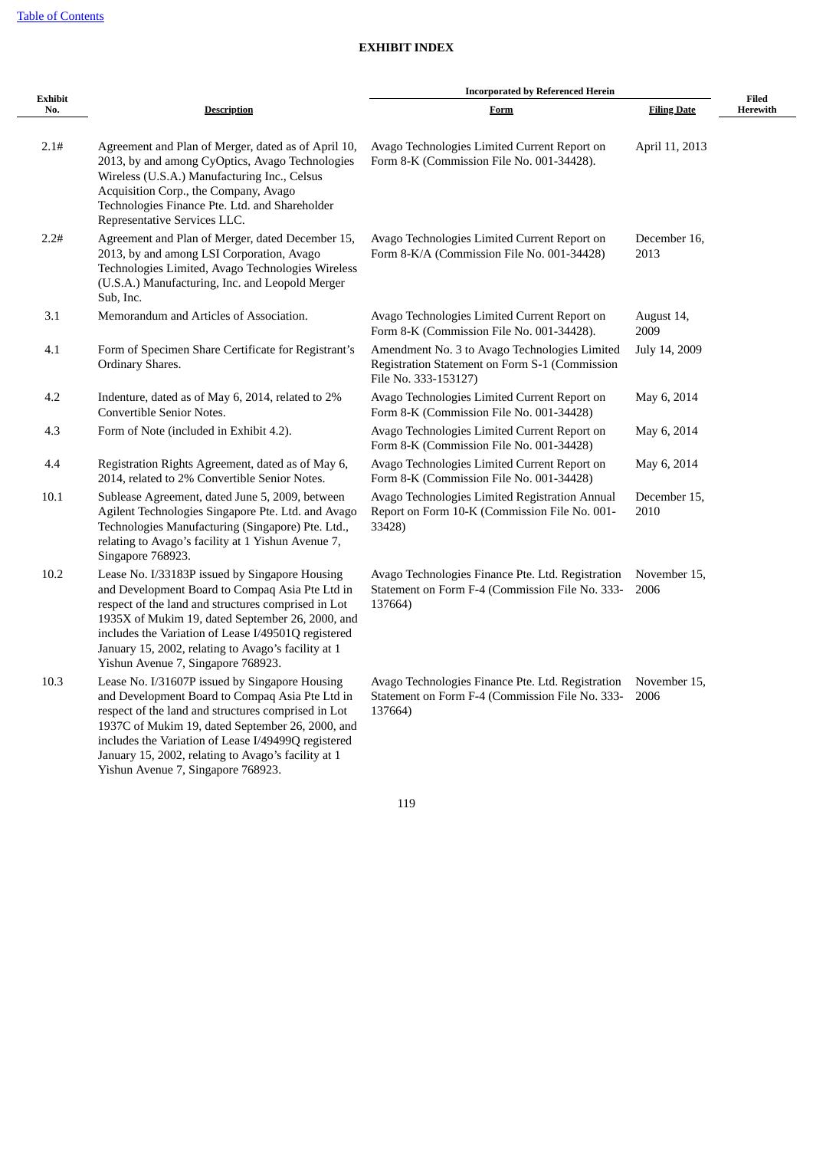## **EXHIBIT INDEX**

|                |                                                                                                                                                                                                                                                                                                                                                                  | <b>Incorporated by Referenced Herein</b>                                                                                |                      |                   |
|----------------|------------------------------------------------------------------------------------------------------------------------------------------------------------------------------------------------------------------------------------------------------------------------------------------------------------------------------------------------------------------|-------------------------------------------------------------------------------------------------------------------------|----------------------|-------------------|
| Exhibit<br>No. | <b>Description</b>                                                                                                                                                                                                                                                                                                                                               | Form                                                                                                                    | <b>Filing Date</b>   | Filed<br>Herewith |
| 2.1#           | Agreement and Plan of Merger, dated as of April 10,<br>2013, by and among CyOptics, Avago Technologies<br>Wireless (U.S.A.) Manufacturing Inc., Celsus<br>Acquisition Corp., the Company, Avago<br>Technologies Finance Pte. Ltd. and Shareholder<br>Representative Services LLC.                                                                                | Avago Technologies Limited Current Report on<br>Form 8-K (Commission File No. 001-34428).                               | April 11, 2013       |                   |
| 2.2#           | Agreement and Plan of Merger, dated December 15,<br>2013, by and among LSI Corporation, Avago<br>Technologies Limited, Avago Technologies Wireless<br>(U.S.A.) Manufacturing, Inc. and Leopold Merger<br>Sub, Inc.                                                                                                                                               | Avago Technologies Limited Current Report on<br>Form 8-K/A (Commission File No. 001-34428)                              | December 16,<br>2013 |                   |
| 3.1            | Memorandum and Articles of Association.                                                                                                                                                                                                                                                                                                                          | Avago Technologies Limited Current Report on<br>Form 8-K (Commission File No. 001-34428).                               | August 14,<br>2009   |                   |
| 4.1            | Form of Specimen Share Certificate for Registrant's<br>Ordinary Shares.                                                                                                                                                                                                                                                                                          | Amendment No. 3 to Avago Technologies Limited<br>Registration Statement on Form S-1 (Commission<br>File No. 333-153127) | July 14, 2009        |                   |
| 4.2            | Indenture, dated as of May 6, 2014, related to 2%<br>Convertible Senior Notes.                                                                                                                                                                                                                                                                                   | Avago Technologies Limited Current Report on<br>Form 8-K (Commission File No. 001-34428)                                | May 6, 2014          |                   |
| 4.3            | Form of Note (included in Exhibit 4.2).                                                                                                                                                                                                                                                                                                                          | Avago Technologies Limited Current Report on<br>Form 8-K (Commission File No. 001-34428)                                | May 6, 2014          |                   |
| 4.4            | Registration Rights Agreement, dated as of May 6,<br>2014, related to 2% Convertible Senior Notes.                                                                                                                                                                                                                                                               | Avago Technologies Limited Current Report on<br>Form 8-K (Commission File No. 001-34428)                                | May 6, 2014          |                   |
| 10.1           | Sublease Agreement, dated June 5, 2009, between<br>Agilent Technologies Singapore Pte. Ltd. and Avago<br>Technologies Manufacturing (Singapore) Pte. Ltd.,<br>relating to Avago's facility at 1 Yishun Avenue 7,<br>Singapore 768923.                                                                                                                            | Avago Technologies Limited Registration Annual<br>Report on Form 10-K (Commission File No. 001-<br>33428)               | December 15,<br>2010 |                   |
| 10.2           | Lease No. I/33183P issued by Singapore Housing<br>and Development Board to Compaq Asia Pte Ltd in<br>respect of the land and structures comprised in Lot<br>1935X of Mukim 19, dated September 26, 2000, and<br>includes the Variation of Lease I/49501Q registered<br>January 15, 2002, relating to Avago's facility at 1<br>Yishun Avenue 7, Singapore 768923. | Avago Technologies Finance Pte. Ltd. Registration<br>Statement on Form F-4 (Commission File No. 333-<br>137664)         | November 15,<br>2006 |                   |
| 10.3           | Lease No. I/31607P issued by Singapore Housing<br>and Development Board to Compaq Asia Pte Ltd in<br>respect of the land and structures comprised in Lot<br>1937C of Mukim 19, dated September 26, 2000, and<br>includes the Variation of Lease I/49499Q registered<br>January 15, 2002, relating to Avago's facility at 1<br>Yishun Avenue 7, Singapore 768923. | Avago Technologies Finance Pte. Ltd. Registration<br>Statement on Form F-4 (Commission File No. 333-<br>137664)         | November 15,<br>2006 |                   |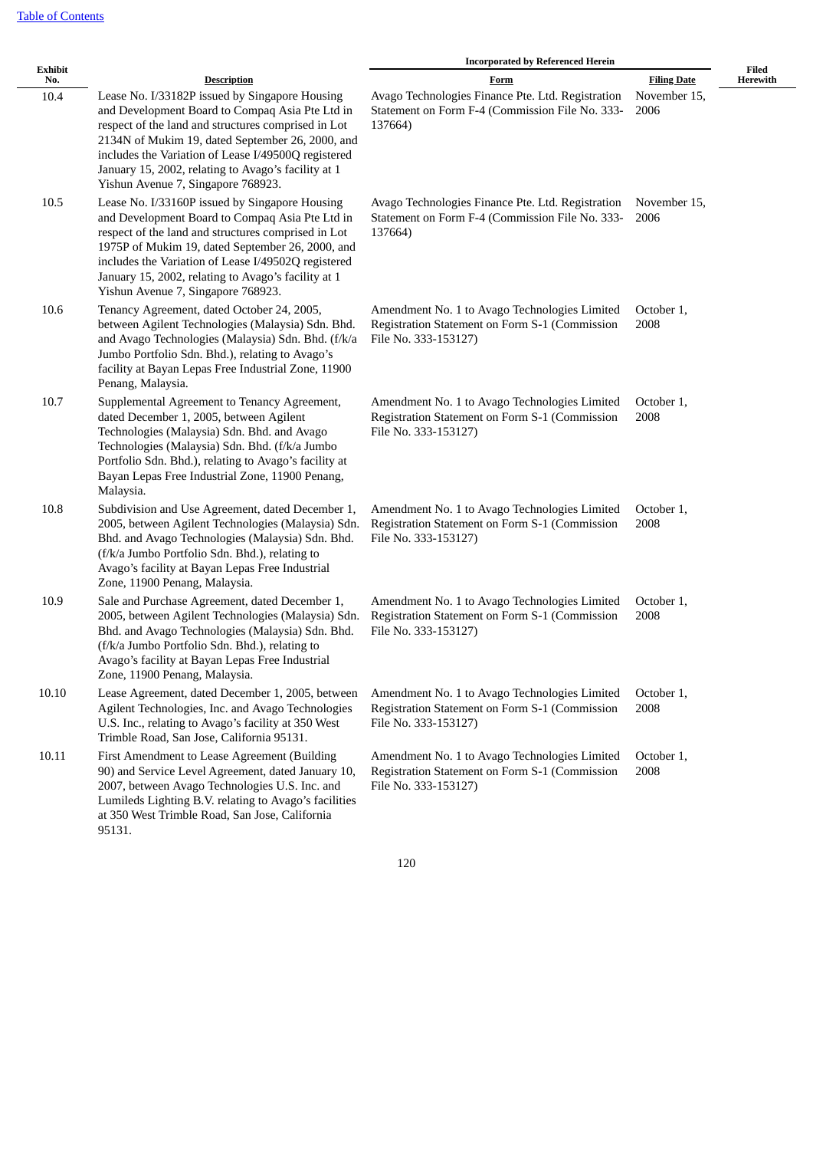| Exhibit |                                                                                                                                                                                                                                                                                                                                                                  | <b>Incorporated by Referenced Herein</b>                                                                                |                      | Filed    |
|---------|------------------------------------------------------------------------------------------------------------------------------------------------------------------------------------------------------------------------------------------------------------------------------------------------------------------------------------------------------------------|-------------------------------------------------------------------------------------------------------------------------|----------------------|----------|
| No.     | <b>Description</b>                                                                                                                                                                                                                                                                                                                                               | <u>Form</u>                                                                                                             | <b>Filing Date</b>   | Herewith |
| 10.4    | Lease No. I/33182P issued by Singapore Housing<br>and Development Board to Compaq Asia Pte Ltd in<br>respect of the land and structures comprised in Lot<br>2134N of Mukim 19, dated September 26, 2000, and<br>includes the Variation of Lease I/49500Q registered<br>January 15, 2002, relating to Avago's facility at 1<br>Yishun Avenue 7, Singapore 768923. | Avago Technologies Finance Pte. Ltd. Registration<br>Statement on Form F-4 (Commission File No. 333-<br>137664)         | November 15,<br>2006 |          |
| 10.5    | Lease No. I/33160P issued by Singapore Housing<br>and Development Board to Compaq Asia Pte Ltd in<br>respect of the land and structures comprised in Lot<br>1975P of Mukim 19, dated September 26, 2000, and<br>includes the Variation of Lease I/49502Q registered<br>January 15, 2002, relating to Avago's facility at 1<br>Yishun Avenue 7, Singapore 768923. | Avago Technologies Finance Pte. Ltd. Registration<br>Statement on Form F-4 (Commission File No. 333-<br>137664)         | November 15,<br>2006 |          |
| 10.6    | Tenancy Agreement, dated October 24, 2005,<br>between Agilent Technologies (Malaysia) Sdn. Bhd.<br>and Avago Technologies (Malaysia) Sdn. Bhd. (f/k/a<br>Jumbo Portfolio Sdn. Bhd.), relating to Avago's<br>facility at Bayan Lepas Free Industrial Zone, 11900<br>Penang, Malaysia.                                                                             | Amendment No. 1 to Avago Technologies Limited<br>Registration Statement on Form S-1 (Commission<br>File No. 333-153127) | October 1,<br>2008   |          |
| 10.7    | Supplemental Agreement to Tenancy Agreement,<br>dated December 1, 2005, between Agilent<br>Technologies (Malaysia) Sdn. Bhd. and Avago<br>Technologies (Malaysia) Sdn. Bhd. (f/k/a Jumbo<br>Portfolio Sdn. Bhd.), relating to Avago's facility at<br>Bayan Lepas Free Industrial Zone, 11900 Penang,<br>Malaysia.                                                | Amendment No. 1 to Avago Technologies Limited<br>Registration Statement on Form S-1 (Commission<br>File No. 333-153127) | October 1,<br>2008   |          |
| 10.8    | Subdivision and Use Agreement, dated December 1,<br>2005, between Agilent Technologies (Malaysia) Sdn.<br>Bhd. and Avago Technologies (Malaysia) Sdn. Bhd.<br>(f/k/a Jumbo Portfolio Sdn. Bhd.), relating to<br>Avago's facility at Bayan Lepas Free Industrial<br>Zone, 11900 Penang, Malaysia.                                                                 | Amendment No. 1 to Avago Technologies Limited<br>Registration Statement on Form S-1 (Commission<br>File No. 333-153127) | October 1,<br>2008   |          |
| 10.9    | Sale and Purchase Agreement, dated December 1,<br>2005, between Agilent Technologies (Malaysia) Sdn.<br>Bhd. and Avago Technologies (Malaysia) Sdn. Bhd.<br>(f/k/a Jumbo Portfolio Sdn. Bhd.), relating to<br>Avago's facility at Bayan Lepas Free Industrial<br>Zone, 11900 Penang, Malaysia.                                                                   | Amendment No. 1 to Avago Technologies Limited<br>Registration Statement on Form S-1 (Commission<br>File No. 333-153127) | October 1,<br>2008   |          |
| 10.10   | Lease Agreement, dated December 1, 2005, between<br>Agilent Technologies, Inc. and Avago Technologies<br>U.S. Inc., relating to Avago's facility at 350 West<br>Trimble Road, San Jose, California 95131.                                                                                                                                                        | Amendment No. 1 to Avago Technologies Limited<br>Registration Statement on Form S-1 (Commission<br>File No. 333-153127) | October 1,<br>2008   |          |
| 10.11   | First Amendment to Lease Agreement (Building<br>90) and Service Level Agreement, dated January 10,<br>2007, between Avago Technologies U.S. Inc. and<br>Lumileds Lighting B.V. relating to Avago's facilities<br>at 350 West Trimble Road, San Jose, California<br>95131.                                                                                        | Amendment No. 1 to Avago Technologies Limited<br>Registration Statement on Form S-1 (Commission<br>File No. 333-153127) | October 1,<br>2008   |          |

 $\overline{\phantom{a}}$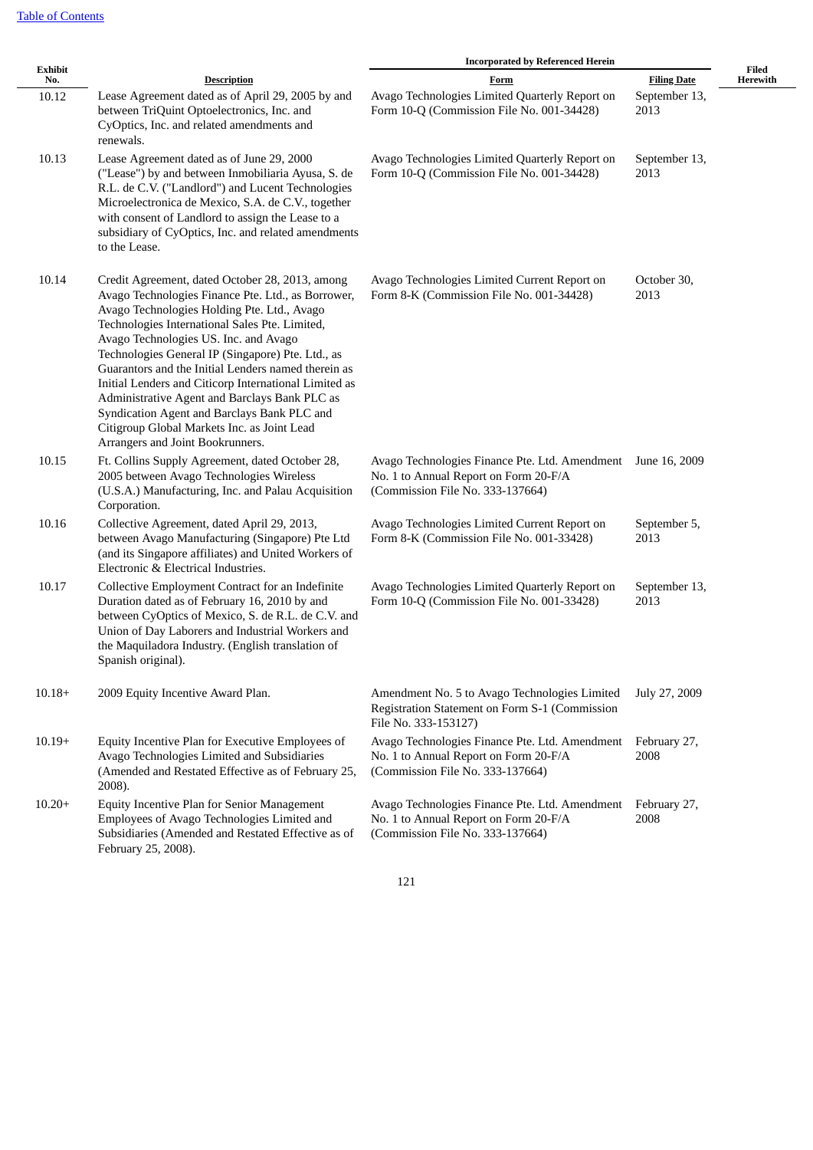| Exhibit  |                                                                                                                                                                                                                                                                                                                                                                                                                                                                                                                                                                                                         | <b>Incorporated by Referenced Herein</b>                                                                                    |                       | Filed    |
|----------|---------------------------------------------------------------------------------------------------------------------------------------------------------------------------------------------------------------------------------------------------------------------------------------------------------------------------------------------------------------------------------------------------------------------------------------------------------------------------------------------------------------------------------------------------------------------------------------------------------|-----------------------------------------------------------------------------------------------------------------------------|-----------------------|----------|
| No.      | <b>Description</b>                                                                                                                                                                                                                                                                                                                                                                                                                                                                                                                                                                                      | <u>Form</u>                                                                                                                 | <b>Filing Date</b>    | Herewith |
| 10.12    | Lease Agreement dated as of April 29, 2005 by and<br>between TriQuint Optoelectronics, Inc. and<br>CyOptics, Inc. and related amendments and<br>renewals.                                                                                                                                                                                                                                                                                                                                                                                                                                               | Avago Technologies Limited Quarterly Report on<br>Form 10-Q (Commission File No. 001-34428)                                 | September 13,<br>2013 |          |
| 10.13    | Lease Agreement dated as of June 29, 2000<br>("Lease") by and between Inmobiliaria Ayusa, S. de<br>R.L. de C.V. ("Landlord") and Lucent Technologies<br>Microelectronica de Mexico, S.A. de C.V., together<br>with consent of Landlord to assign the Lease to a<br>subsidiary of CyOptics, Inc. and related amendments<br>to the Lease.                                                                                                                                                                                                                                                                 | Avago Technologies Limited Quarterly Report on<br>Form 10-Q (Commission File No. 001-34428)                                 | September 13,<br>2013 |          |
| 10.14    | Credit Agreement, dated October 28, 2013, among<br>Avago Technologies Finance Pte. Ltd., as Borrower,<br>Avago Technologies Holding Pte. Ltd., Avago<br>Technologies International Sales Pte. Limited,<br>Avago Technologies US. Inc. and Avago<br>Technologies General IP (Singapore) Pte. Ltd., as<br>Guarantors and the Initial Lenders named therein as<br>Initial Lenders and Citicorp International Limited as<br>Administrative Agent and Barclays Bank PLC as<br>Syndication Agent and Barclays Bank PLC and<br>Citigroup Global Markets Inc. as Joint Lead<br>Arrangers and Joint Bookrunners. | Avago Technologies Limited Current Report on<br>Form 8-K (Commission File No. 001-34428)                                    | October 30,<br>2013   |          |
| 10.15    | Ft. Collins Supply Agreement, dated October 28,<br>2005 between Avago Technologies Wireless<br>(U.S.A.) Manufacturing, Inc. and Palau Acquisition<br>Corporation.                                                                                                                                                                                                                                                                                                                                                                                                                                       | Avago Technologies Finance Pte. Ltd. Amendment<br>No. 1 to Annual Report on Form 20-F/A<br>(Commission File No. 333-137664) | June 16, 2009         |          |
| 10.16    | Collective Agreement, dated April 29, 2013,<br>between Avago Manufacturing (Singapore) Pte Ltd<br>(and its Singapore affiliates) and United Workers of<br>Electronic & Electrical Industries.                                                                                                                                                                                                                                                                                                                                                                                                           | Avago Technologies Limited Current Report on<br>Form 8-K (Commission File No. 001-33428)                                    | September 5,<br>2013  |          |
| 10.17    | Collective Employment Contract for an Indefinite<br>Duration dated as of February 16, 2010 by and<br>between CyOptics of Mexico, S. de R.L. de C.V. and<br>Union of Day Laborers and Industrial Workers and<br>the Maquiladora Industry. (English translation of<br>Spanish original).                                                                                                                                                                                                                                                                                                                  | Avago Technologies Limited Quarterly Report on<br>Form 10-Q (Commission File No. 001-33428)                                 | September 13,<br>2013 |          |
| $10.18+$ | 2009 Equity Incentive Award Plan.                                                                                                                                                                                                                                                                                                                                                                                                                                                                                                                                                                       | Amendment No. 5 to Avago Technologies Limited<br>Registration Statement on Form S-1 (Commission<br>File No. 333-153127)     | July 27, 2009         |          |
| $10.19+$ | Equity Incentive Plan for Executive Employees of<br>Avago Technologies Limited and Subsidiaries<br>(Amended and Restated Effective as of February 25,<br>2008).                                                                                                                                                                                                                                                                                                                                                                                                                                         | Avago Technologies Finance Pte. Ltd. Amendment<br>No. 1 to Annual Report on Form 20-F/A<br>(Commission File No. 333-137664) | February 27,<br>2008  |          |
| $10.20+$ | Equity Incentive Plan for Senior Management<br>Employees of Avago Technologies Limited and<br>Subsidiaries (Amended and Restated Effective as of<br>February 25, 2008).                                                                                                                                                                                                                                                                                                                                                                                                                                 | Avago Technologies Finance Pte. Ltd. Amendment<br>No. 1 to Annual Report on Form 20-F/A<br>(Commission File No. 333-137664) | February 27,<br>2008  |          |

 $\overline{\phantom{a}}$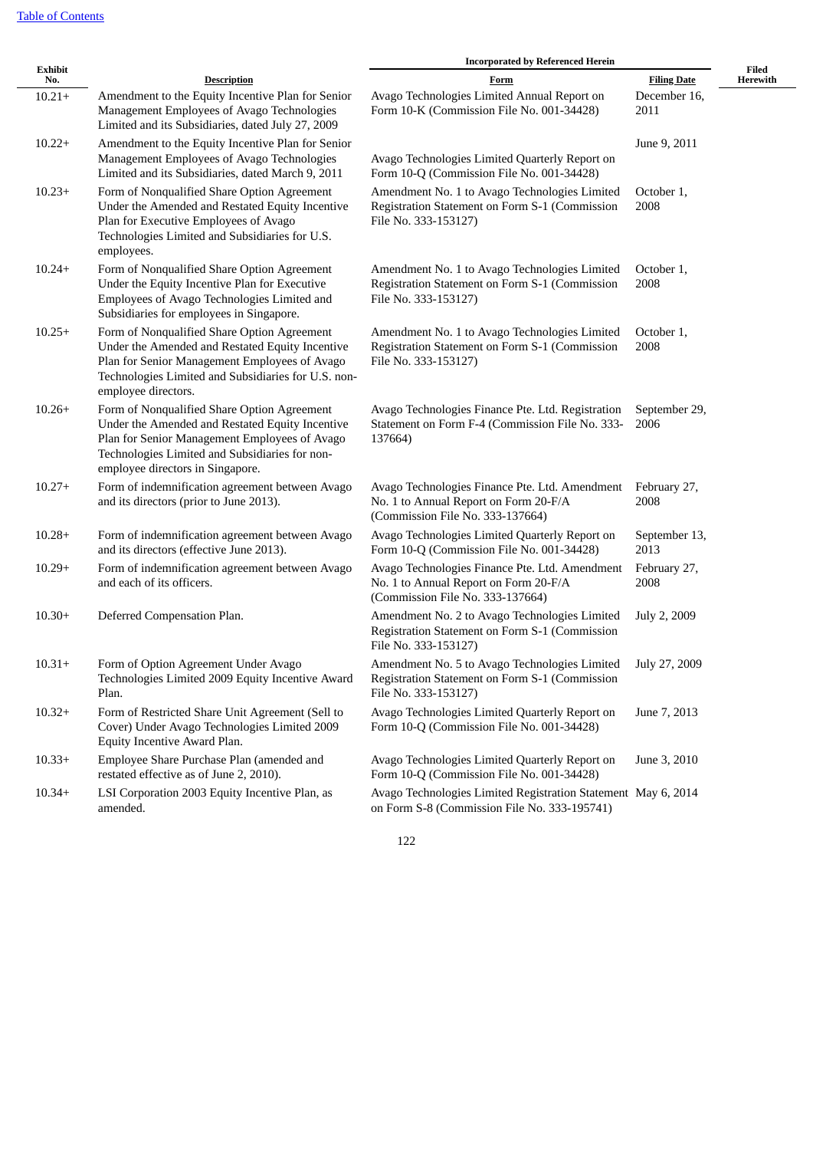|                |                                                                                                                                                                                                                                       | <b>Incorporated by Referenced Herein</b>                                                                                    |                       |                   |
|----------------|---------------------------------------------------------------------------------------------------------------------------------------------------------------------------------------------------------------------------------------|-----------------------------------------------------------------------------------------------------------------------------|-----------------------|-------------------|
| Exhibit<br>No. | <b>Description</b>                                                                                                                                                                                                                    | Form                                                                                                                        | <b>Filing Date</b>    | Filed<br>Herewith |
| $10.21 +$      | Amendment to the Equity Incentive Plan for Senior<br>Management Employees of Avago Technologies<br>Limited and its Subsidiaries, dated July 27, 2009                                                                                  | Avago Technologies Limited Annual Report on<br>Form 10-K (Commission File No. 001-34428)                                    | December 16,<br>2011  |                   |
| $10.22+$       | Amendment to the Equity Incentive Plan for Senior<br>Management Employees of Avago Technologies<br>Limited and its Subsidiaries, dated March 9, 2011                                                                                  | Avago Technologies Limited Quarterly Report on<br>Form 10-Q (Commission File No. 001-34428)                                 | June 9, 2011          |                   |
| $10.23+$       | Form of Nonqualified Share Option Agreement<br>Under the Amended and Restated Equity Incentive<br>Plan for Executive Employees of Avago<br>Technologies Limited and Subsidiaries for U.S.<br>employees.                               | Amendment No. 1 to Avago Technologies Limited<br>Registration Statement on Form S-1 (Commission<br>File No. 333-153127)     | October 1,<br>2008    |                   |
| $10.24+$       | Form of Nonqualified Share Option Agreement<br>Under the Equity Incentive Plan for Executive<br>Employees of Avago Technologies Limited and<br>Subsidiaries for employees in Singapore.                                               | Amendment No. 1 to Avago Technologies Limited<br>Registration Statement on Form S-1 (Commission<br>File No. 333-153127)     | October 1,<br>2008    |                   |
| $10.25+$       | Form of Nonqualified Share Option Agreement<br>Under the Amended and Restated Equity Incentive<br>Plan for Senior Management Employees of Avago<br>Technologies Limited and Subsidiaries for U.S. non-<br>employee directors.         | Amendment No. 1 to Avago Technologies Limited<br>Registration Statement on Form S-1 (Commission<br>File No. 333-153127)     | October 1,<br>2008    |                   |
| $10.26+$       | Form of Nonqualified Share Option Agreement<br>Under the Amended and Restated Equity Incentive<br>Plan for Senior Management Employees of Avago<br>Technologies Limited and Subsidiaries for non-<br>employee directors in Singapore. | Avago Technologies Finance Pte. Ltd. Registration<br>Statement on Form F-4 (Commission File No. 333-<br>137664)             | September 29,<br>2006 |                   |
| $10.27+$       | Form of indemnification agreement between Avago<br>and its directors (prior to June 2013).                                                                                                                                            | Avago Technologies Finance Pte. Ltd. Amendment<br>No. 1 to Annual Report on Form 20-F/A<br>(Commission File No. 333-137664) | February 27,<br>2008  |                   |
| $10.28+$       | Form of indemnification agreement between Avago<br>and its directors (effective June 2013).                                                                                                                                           | Avago Technologies Limited Quarterly Report on<br>Form 10-Q (Commission File No. 001-34428)                                 | September 13,<br>2013 |                   |
| $10.29+$       | Form of indemnification agreement between Avago<br>and each of its officers.                                                                                                                                                          | Avago Technologies Finance Pte. Ltd. Amendment<br>No. 1 to Annual Report on Form 20-F/A<br>(Commission File No. 333-137664) | February 27,<br>2008  |                   |
| $10.30+$       | Deferred Compensation Plan.                                                                                                                                                                                                           | Amendment No. 2 to Avago Technologies Limited<br>Registration Statement on Form S-1 (Commission<br>File No. 333-153127)     | July 2, 2009          |                   |
| $10.31+$       | Form of Option Agreement Under Avago<br>Technologies Limited 2009 Equity Incentive Award<br>Plan.                                                                                                                                     | Amendment No. 5 to Avago Technologies Limited<br>Registration Statement on Form S-1 (Commission<br>File No. 333-153127)     | July 27, 2009         |                   |
| $10.32+$       | Form of Restricted Share Unit Agreement (Sell to<br>Cover) Under Avago Technologies Limited 2009<br>Equity Incentive Award Plan.                                                                                                      | Avago Technologies Limited Quarterly Report on<br>Form 10-Q (Commission File No. 001-34428)                                 | June 7, 2013          |                   |
| $10.33+$       | Employee Share Purchase Plan (amended and<br>restated effective as of June 2, 2010).                                                                                                                                                  | Avago Technologies Limited Quarterly Report on<br>Form 10-Q (Commission File No. 001-34428)                                 | June 3, 2010          |                   |
| $10.34+$       | LSI Corporation 2003 Equity Incentive Plan, as<br>amended.                                                                                                                                                                            | Avago Technologies Limited Registration Statement May 6, 2014<br>on Form S-8 (Commission File No. 333-195741)               |                       |                   |

 $\overline{\phantom{a}}$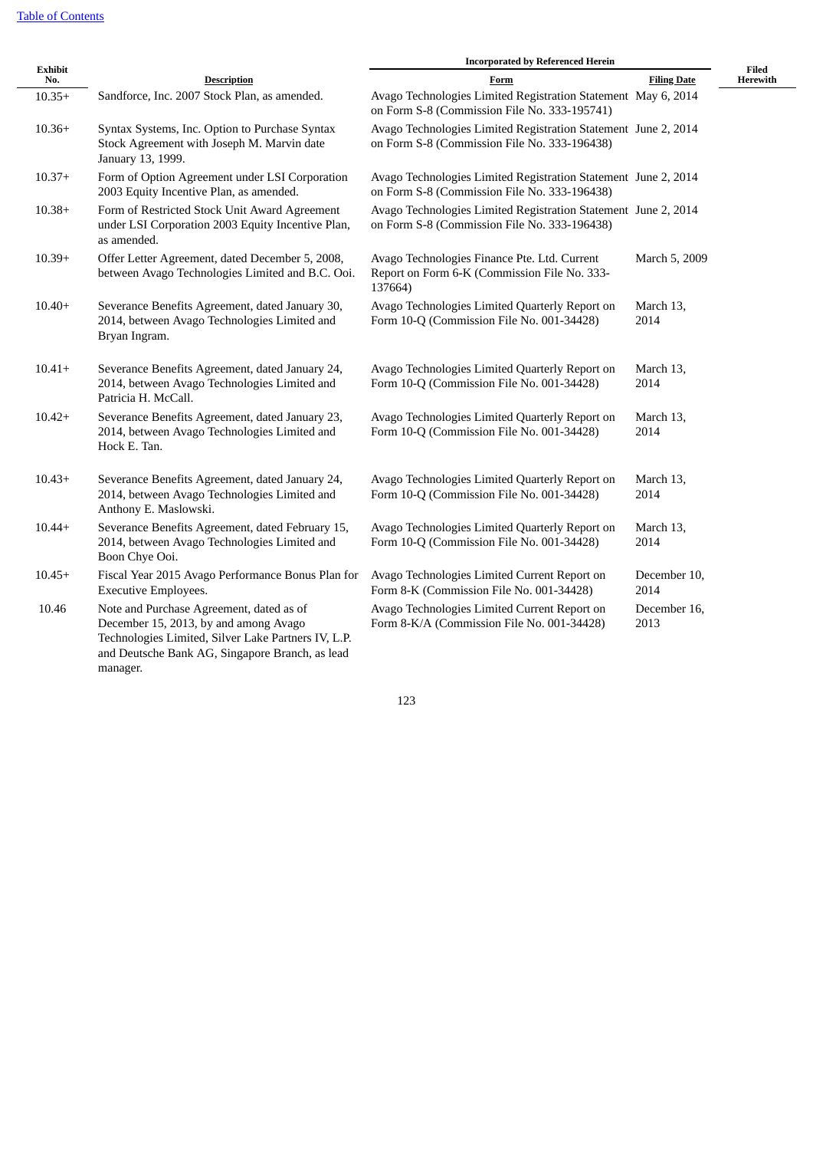# Table of [Contents](#page-0-0)

 $\overline{\phantom{0}}$ 

|                       |                                                                                                                                                                                                         | <b>Incorporated by Referenced Herein</b>                                                                       |                      | Filed    |
|-----------------------|---------------------------------------------------------------------------------------------------------------------------------------------------------------------------------------------------------|----------------------------------------------------------------------------------------------------------------|----------------------|----------|
| <b>Exhibit</b><br>No. | <b>Description</b>                                                                                                                                                                                      | <b>Form</b>                                                                                                    | <b>Filing Date</b>   | Herewith |
| $10.35+$              | Sandforce, Inc. 2007 Stock Plan, as amended.                                                                                                                                                            | Avago Technologies Limited Registration Statement May 6, 2014<br>on Form S-8 (Commission File No. 333-195741)  |                      |          |
| $10.36+$              | Syntax Systems, Inc. Option to Purchase Syntax<br>Stock Agreement with Joseph M. Marvin date<br>January 13, 1999.                                                                                       | Avago Technologies Limited Registration Statement June 2, 2014<br>on Form S-8 (Commission File No. 333-196438) |                      |          |
| $10.37+$              | Form of Option Agreement under LSI Corporation<br>2003 Equity Incentive Plan, as amended.                                                                                                               | Avago Technologies Limited Registration Statement June 2, 2014<br>on Form S-8 (Commission File No. 333-196438) |                      |          |
| $10.38 +$             | Form of Restricted Stock Unit Award Agreement<br>under LSI Corporation 2003 Equity Incentive Plan,<br>as amended.                                                                                       | Avago Technologies Limited Registration Statement June 2, 2014<br>on Form S-8 (Commission File No. 333-196438) |                      |          |
| $10.39+$              | Offer Letter Agreement, dated December 5, 2008,<br>between Avago Technologies Limited and B.C. Ooi.                                                                                                     | Avago Technologies Finance Pte. Ltd. Current<br>Report on Form 6-K (Commission File No. 333-<br>137664)        | March 5, 2009        |          |
| $10.40+$              | Severance Benefits Agreement, dated January 30,<br>2014, between Avago Technologies Limited and<br>Bryan Ingram.                                                                                        | Avago Technologies Limited Quarterly Report on<br>Form 10-Q (Commission File No. 001-34428)                    | March 13,<br>2014    |          |
| $10.41+$              | Severance Benefits Agreement, dated January 24,<br>2014, between Avago Technologies Limited and<br>Patricia H. McCall.                                                                                  | Avago Technologies Limited Quarterly Report on<br>Form 10-Q (Commission File No. 001-34428)                    | March 13,<br>2014    |          |
| $10.42+$              | Severance Benefits Agreement, dated January 23,<br>2014, between Avago Technologies Limited and<br>Hock E. Tan.                                                                                         | Avago Technologies Limited Quarterly Report on<br>Form 10-Q (Commission File No. 001-34428)                    | March 13,<br>2014    |          |
| $10.43+$              | Severance Benefits Agreement, dated January 24,<br>2014, between Avago Technologies Limited and<br>Anthony E. Maslowski.                                                                                | Avago Technologies Limited Quarterly Report on<br>Form 10-Q (Commission File No. 001-34428)                    | March 13,<br>2014    |          |
| $10.44+$              | Severance Benefits Agreement, dated February 15,<br>2014, between Avago Technologies Limited and<br>Boon Chye Ooi.                                                                                      | Avago Technologies Limited Quarterly Report on<br>Form 10-Q (Commission File No. 001-34428)                    | March 13,<br>2014    |          |
| $10.45+$              | Fiscal Year 2015 Avago Performance Bonus Plan for<br><b>Executive Employees.</b>                                                                                                                        | Avago Technologies Limited Current Report on<br>Form 8-K (Commission File No. 001-34428)                       | December 10,<br>2014 |          |
| 10.46                 | Note and Purchase Agreement, dated as of<br>December 15, 2013, by and among Avago<br>Technologies Limited, Silver Lake Partners IV, L.P.<br>and Deutsche Bank AG, Singapore Branch, as lead<br>manager. | Avago Technologies Limited Current Report on<br>Form 8-K/A (Commission File No. 001-34428)                     | December 16,<br>2013 |          |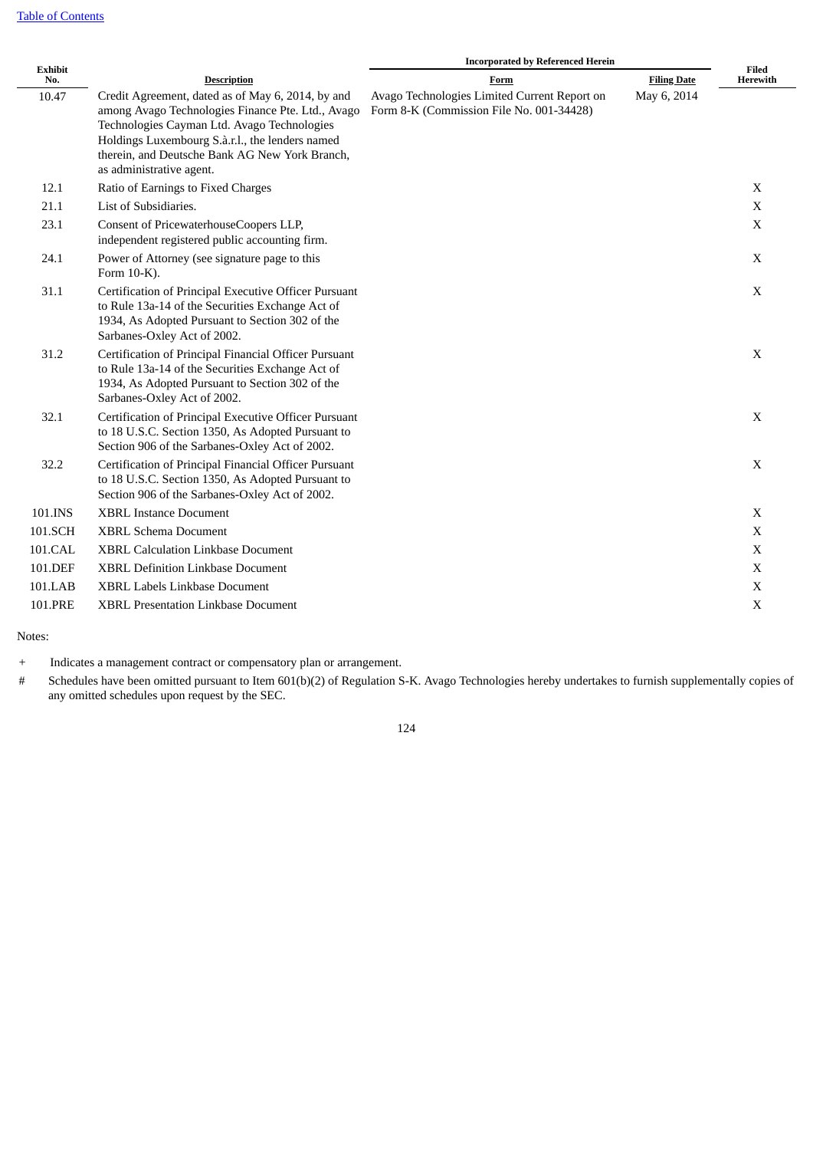$\overline{\phantom{0}}$ 

| <b>Exhibit</b> |                                                                                                                                                                                                                                                                                        | <b>Incorporated by Referenced Herein</b>                                                 | Filed              |             |
|----------------|----------------------------------------------------------------------------------------------------------------------------------------------------------------------------------------------------------------------------------------------------------------------------------------|------------------------------------------------------------------------------------------|--------------------|-------------|
| No.            | <b>Description</b>                                                                                                                                                                                                                                                                     | <b>Form</b>                                                                              | <b>Filing Date</b> | Herewith    |
| 10.47          | Credit Agreement, dated as of May 6, 2014, by and<br>among Avago Technologies Finance Pte. Ltd., Avago<br>Technologies Cayman Ltd. Avago Technologies<br>Holdings Luxembourg S.à.r.l., the lenders named<br>therein, and Deutsche Bank AG New York Branch,<br>as administrative agent. | Avago Technologies Limited Current Report on<br>Form 8-K (Commission File No. 001-34428) | May 6, 2014        |             |
| 12.1           | Ratio of Earnings to Fixed Charges                                                                                                                                                                                                                                                     |                                                                                          |                    | X           |
| 21.1           | List of Subsidiaries.                                                                                                                                                                                                                                                                  |                                                                                          |                    | $\mathbf X$ |
| 23.1           | Consent of PricewaterhouseCoopers LLP,<br>independent registered public accounting firm.                                                                                                                                                                                               |                                                                                          |                    | X           |
| 24.1           | Power of Attorney (see signature page to this<br>Form 10-K).                                                                                                                                                                                                                           |                                                                                          |                    | X           |
| 31.1           | Certification of Principal Executive Officer Pursuant<br>to Rule 13a-14 of the Securities Exchange Act of<br>1934, As Adopted Pursuant to Section 302 of the<br>Sarbanes-Oxley Act of 2002.                                                                                            |                                                                                          |                    | $\mathbf X$ |
| 31.2           | Certification of Principal Financial Officer Pursuant<br>to Rule 13a-14 of the Securities Exchange Act of<br>1934, As Adopted Pursuant to Section 302 of the<br>Sarbanes-Oxley Act of 2002.                                                                                            |                                                                                          |                    | X           |
| 32.1           | Certification of Principal Executive Officer Pursuant<br>to 18 U.S.C. Section 1350, As Adopted Pursuant to<br>Section 906 of the Sarbanes-Oxley Act of 2002.                                                                                                                           |                                                                                          |                    | X           |
| 32.2           | Certification of Principal Financial Officer Pursuant<br>to 18 U.S.C. Section 1350, As Adopted Pursuant to<br>Section 906 of the Sarbanes-Oxley Act of 2002.                                                                                                                           |                                                                                          |                    | X           |
| 101.INS        | <b>XBRL Instance Document</b>                                                                                                                                                                                                                                                          |                                                                                          |                    | X           |
| 101.SCH        | <b>XBRL Schema Document</b>                                                                                                                                                                                                                                                            |                                                                                          |                    | $\mathbf X$ |
| 101.CAL        | <b>XBRL Calculation Linkbase Document</b>                                                                                                                                                                                                                                              |                                                                                          |                    | X           |
| 101.DEF        | <b>XBRL Definition Linkbase Document</b>                                                                                                                                                                                                                                               |                                                                                          |                    | $\mathbf X$ |
| 101.LAB        | XBRL Labels Linkbase Document                                                                                                                                                                                                                                                          |                                                                                          |                    | $\mathbf X$ |
| 101.PRE        | <b>XBRL Presentation Linkbase Document</b>                                                                                                                                                                                                                                             |                                                                                          |                    | $\mathbf X$ |

### Notes:

- + Indicates a management contract or compensatory plan or arrangement.
- # Schedules have been omitted pursuant to Item 601(b)(2) of Regulation S-K. Avago Technologies hereby undertakes to furnish supplementally copies of any omitted schedules upon request by the SEC.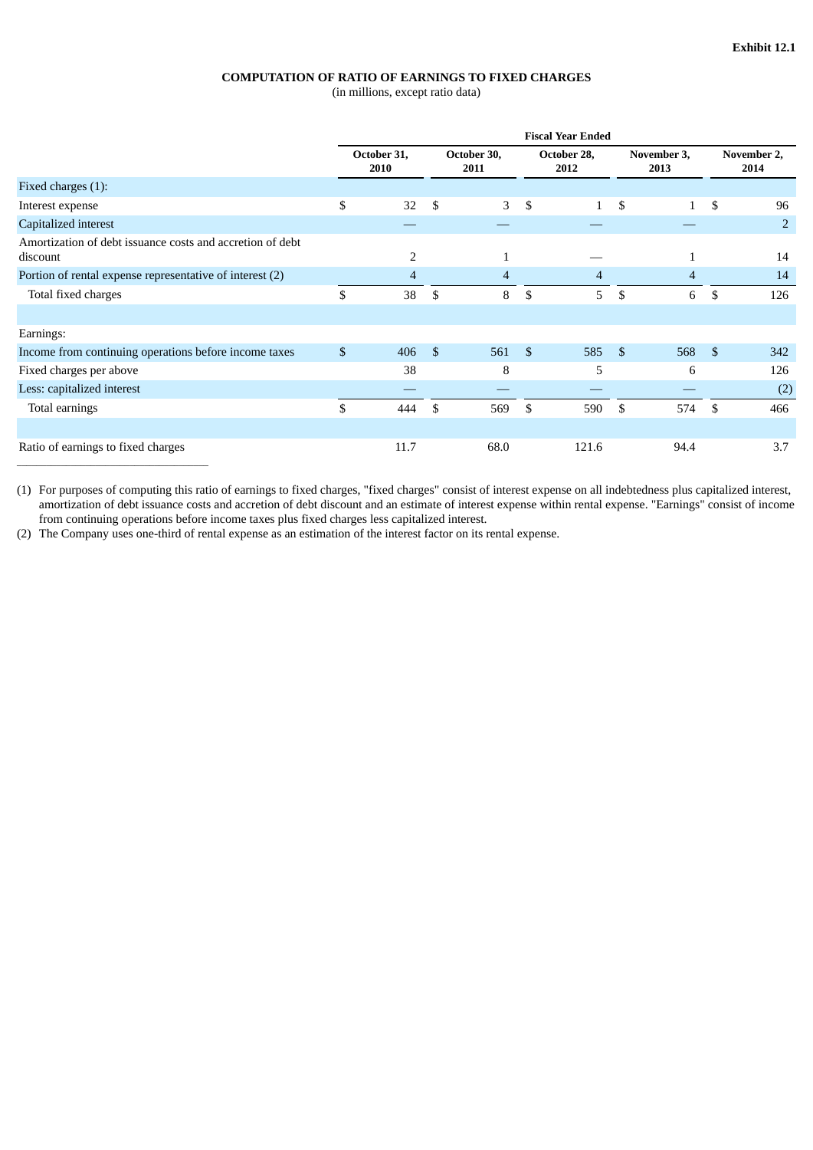# **COMPUTATION OF RATIO OF EARNINGS TO FIXED CHARGES**

(in millions, except ratio data)

|                                                                       | <b>Fiscal Year Ended</b> |                     |                |                     |               |                     |              |                     |                     |
|-----------------------------------------------------------------------|--------------------------|---------------------|----------------|---------------------|---------------|---------------------|--------------|---------------------|---------------------|
|                                                                       |                          | October 31,<br>2010 |                | October 30,<br>2011 |               | October 28,<br>2012 |              | November 3,<br>2013 | November 2,<br>2014 |
| Fixed charges (1):                                                    |                          |                     |                |                     |               |                     |              |                     |                     |
| Interest expense                                                      | \$                       | 32                  | \$             | 3                   | \$            |                     | \$           | $\mathbf{1}$        | \$<br>96            |
| Capitalized interest                                                  |                          |                     |                |                     |               |                     |              |                     | $\overline{2}$      |
| Amortization of debt issuance costs and accretion of debt<br>discount |                          | 2                   |                |                     |               |                     |              |                     | 14                  |
| Portion of rental expense representative of interest (2)              |                          | 4                   |                | 4                   |               | $\overline{4}$      |              | 4                   | 14                  |
| Total fixed charges                                                   | \$                       | 38                  | \$             | 8                   | \$            | 5                   | \$           | 6                   | \$<br>126           |
|                                                                       |                          |                     |                |                     |               |                     |              |                     |                     |
| Earnings:                                                             |                          |                     |                |                     |               |                     |              |                     |                     |
| Income from continuing operations before income taxes                 | $\mathbb{S}$             | 406                 | $\mathfrak{S}$ | 561                 | <sup>\$</sup> | 585                 | $\mathbb{S}$ | 568                 | \$<br>342           |
| Fixed charges per above                                               |                          | 38                  |                | 8                   |               | 5                   |              | 6                   | 126                 |
| Less: capitalized interest                                            |                          |                     |                |                     |               |                     |              |                     | (2)                 |
| Total earnings                                                        | \$                       | 444                 | \$             | 569                 | \$            | 590                 | \$           | 574                 | \$<br>466           |
|                                                                       |                          |                     |                |                     |               |                     |              |                     |                     |
| Ratio of earnings to fixed charges                                    |                          | 11.7                |                | 68.0                |               | 121.6               |              | 94.4                | 3.7                 |

(1) For purposes of computing this ratio of earnings to fixed charges, "fixed charges" consist of interest expense on all indebtedness plus capitalized interest, amortization of debt issuance costs and accretion of debt discount and an estimate of interest expense within rental expense. "Earnings" consist of income from continuing operations before income taxes plus fixed charges less capitalized interest.

(2) The Company uses one-third of rental expense as an estimation of the interest factor on its rental expense.

 $\mathcal{L}_\text{max}$  , and the set of the set of the set of the set of the set of the set of the set of the set of the set of the set of the set of the set of the set of the set of the set of the set of the set of the set of the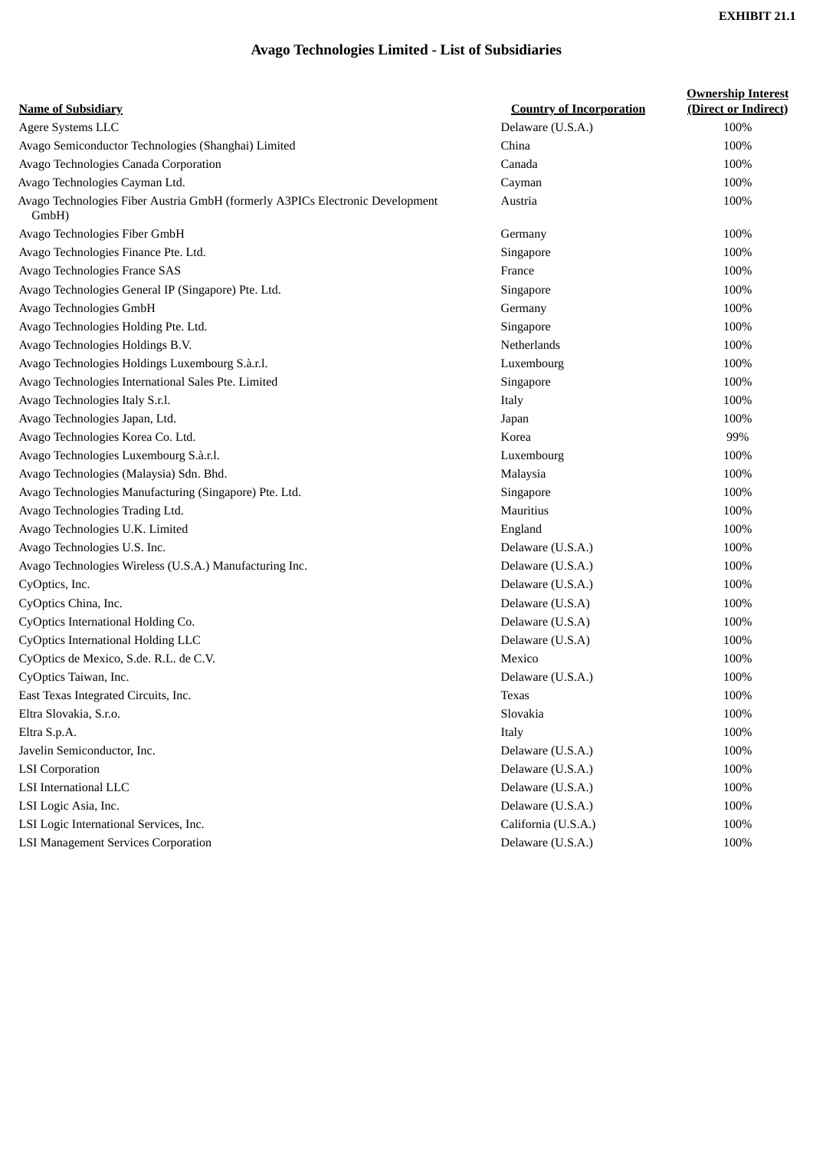# **EXHIBIT 21.1**

# **Avago Technologies Limited - List of Subsidiaries**

| <b>Name of Subsidiary</b>                                                              | <b>Country of Incorporation</b> | <b>Ownership Interest</b><br>(Direct or Indirect) |
|----------------------------------------------------------------------------------------|---------------------------------|---------------------------------------------------|
| Agere Systems LLC                                                                      | Delaware (U.S.A.)               | 100%                                              |
| Avago Semiconductor Technologies (Shanghai) Limited                                    | China                           | 100%                                              |
| Avago Technologies Canada Corporation                                                  | Canada                          | 100%                                              |
| Avago Technologies Cayman Ltd.                                                         | Cayman                          | 100%                                              |
| Avago Technologies Fiber Austria GmbH (formerly A3PICs Electronic Development<br>GmbH) | Austria                         | 100%                                              |
| Avago Technologies Fiber GmbH                                                          | Germany                         | 100%                                              |
| Avago Technologies Finance Pte. Ltd.                                                   | Singapore                       | 100%                                              |
| Avago Technologies France SAS                                                          | France                          | 100%                                              |
| Avago Technologies General IP (Singapore) Pte. Ltd.                                    | Singapore                       | 100%                                              |
| Avago Technologies GmbH                                                                | Germany                         | 100%                                              |
| Avago Technologies Holding Pte. Ltd.                                                   | Singapore                       | 100%                                              |
| Avago Technologies Holdings B.V.                                                       | Netherlands                     | 100%                                              |
| Avago Technologies Holdings Luxembourg S.à.r.l.                                        | Luxembourg                      | 100%                                              |
| Avago Technologies International Sales Pte. Limited                                    | Singapore                       | 100%                                              |
| Avago Technologies Italy S.r.l.                                                        | Italy                           | 100%                                              |
| Avago Technologies Japan, Ltd.                                                         | Japan                           | 100%                                              |
| Avago Technologies Korea Co. Ltd.                                                      | Korea                           | 99%                                               |
| Avago Technologies Luxembourg S.à.r.l.                                                 | Luxembourg                      | 100%                                              |
| Avago Technologies (Malaysia) Sdn. Bhd.                                                | Malaysia                        | 100%                                              |
| Avago Technologies Manufacturing (Singapore) Pte. Ltd.                                 | Singapore                       | 100%                                              |
| Avago Technologies Trading Ltd.                                                        | Mauritius                       | 100%                                              |
| Avago Technologies U.K. Limited                                                        | England                         | 100%                                              |
| Avago Technologies U.S. Inc.                                                           | Delaware (U.S.A.)               | 100%                                              |
| Avago Technologies Wireless (U.S.A.) Manufacturing Inc.                                | Delaware (U.S.A.)               | 100%                                              |
| CyOptics, Inc.                                                                         | Delaware (U.S.A.)               | 100%                                              |
| CyOptics China, Inc.                                                                   | Delaware (U.S.A)                | 100%                                              |
| CyOptics International Holding Co.                                                     | Delaware (U.S.A)                | 100%                                              |
| CyOptics International Holding LLC                                                     | Delaware (U.S.A)                | 100%                                              |
| CyOptics de Mexico, S.de. R.L. de C.V.                                                 | Mexico                          | 100%                                              |
| CyOptics Taiwan, Inc.                                                                  | Delaware (U.S.A.)               | 100%                                              |
| East Texas Integrated Circuits, Inc.                                                   | <b>Texas</b>                    | 100%                                              |
| Eltra Slovakia, S.r.o.                                                                 | Slovakia                        | 100%                                              |
| Eltra S.p.A.                                                                           | Italy                           | 100%                                              |
| Javelin Semiconductor, Inc.                                                            | Delaware (U.S.A.)               | 100%                                              |
| <b>LSI</b> Corporation                                                                 | Delaware (U.S.A.)               | 100%                                              |
| LSI International LLC                                                                  | Delaware (U.S.A.)               | 100%                                              |
| LSI Logic Asia, Inc.                                                                   | Delaware (U.S.A.)               | 100%                                              |
| LSI Logic International Services, Inc.                                                 | California (U.S.A.)             | 100%                                              |
| <b>LSI Management Services Corporation</b>                                             | Delaware (U.S.A.)               | 100%                                              |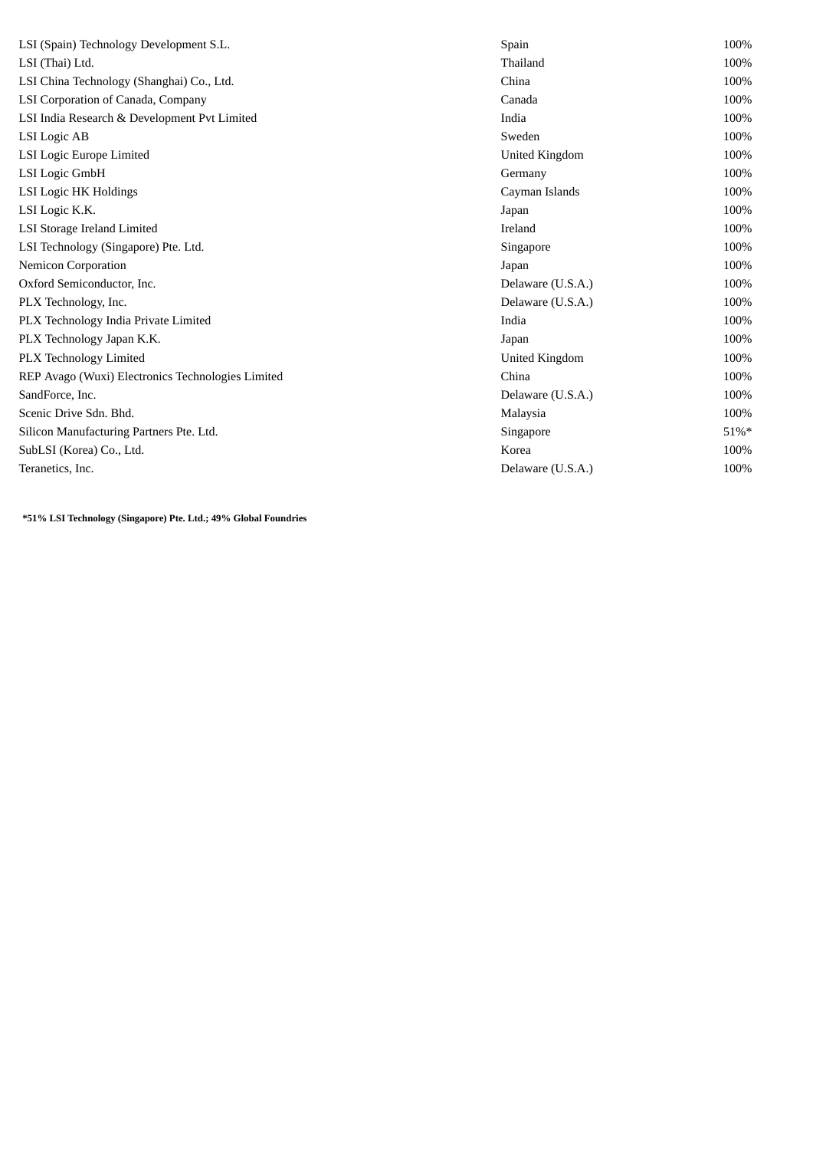LSI (Spain) Technology Development S.L. Special set of the set of the set of the set of the set of the set of the set of the set of the set of the set of the set of the set of the set of the set of the set of the set of the set of the set of the set of the LSI (Thai) Lt d. LSI China Technology (Shanghai) Co., Lto d. Channels are the contract of the contract of the contract of the contract of the contract of the contract of the contract of the contract of the contract of the contract of the contract of the contract of the contract o LSI Corporation of Canada, Company LSI India Research & Development Pvt Limited LSI Logic AB LSI Logic Europe Limited LSI Logic GmbH LSI Logic HK Holdings LSI Logic K.K. January 1988. The settlement of the settlement of the settlement of the settlement of the settlement of the settlement of the settlement of the settlement of the settlement of the settlement of the settlement of the s LSI Storage Ireland Limited LSI Technology (Singapore) Pte. Lto d. Si Nemicon Corporation Oxford Semiconductor, Ind  $\mathbb{C}$ . PLX Technology, Inc c.  $\Box$ PLX Technology India Private Limited PLX Technology Japan K.K. January 1988. The set of the set of the set of the set of the set of the set of the set of the set of the set of the set of the set of the set of the set of the set of the set of the set of the set of the set of the s PLX Technology Limited REP Avago (Wuxi) Electronics Technologies Limited SandForce, Ind c.  $\Box$ Scenic Drive Sdn. Bho d. The contract of the contract of the contract of the contract of the contract of the contract of the contract of the contract of the contract of the contract of the contract of the contract of the contract of the contrac Silicon Manufacturing Partners Pte. Lto d. Si SubLSI (Korea) Co., Lto d. Ko Teranetics, Ind c. De

| Spain                 | 100% |
|-----------------------|------|
| Thailand              | 100% |
| China                 | 100% |
| Canada                | 100% |
| India                 | 100% |
| Sweden                | 100% |
| United Kingdom        | 100% |
| Germany               | 100% |
| Cayman Islands        | 100% |
| Japan                 | 100% |
| <b>Ireland</b>        | 100% |
| Singapore             | 100% |
| Japan                 | 100% |
| Delaware (U.S.A.)     | 100% |
| Delaware (U.S.A.)     | 100% |
| India                 | 100% |
| Japan                 | 100% |
| <b>United Kingdom</b> | 100% |
| China                 | 100% |
| Delaware (U.S.A.)     | 100% |
| Malaysia              | 100% |
| Singapore             | 51%* |
| Korea                 | 100% |
| Delaware (U.S.A.)     | 100% |

\*51% LSI Technology (Singapore) Pte. Ltd.; 49% Global Foundries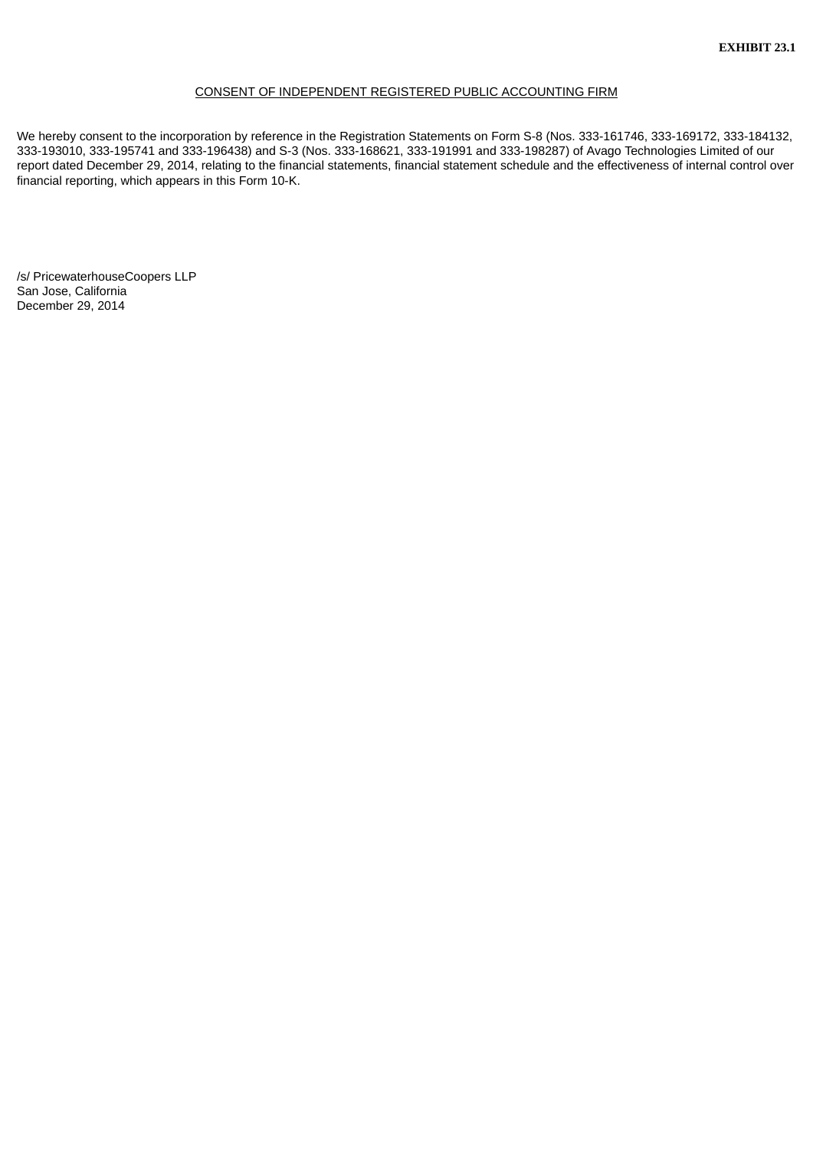### CONSENT OF INDEPENDENT REGISTERED PUBLIC ACCOUNTING FIRM

We hereby consent to the incorporation by reference in the Registration Statements on Form S-8 (Nos. 333-161746, 333-169172, 333-184132, 333-193010, 333-195741 and 333-196438) and S-3 (Nos. 333-168621, 333-191991 and 333-198287) of Avago Technologies Limited of our report dated December 29, 2014, relating to the financial statements, financial statement schedule and the effectiveness of internal control over financial reporting, which appears in this Form 10-K.

/s/ PricewaterhouseCoopers LLP San Jose, California December 29, 2014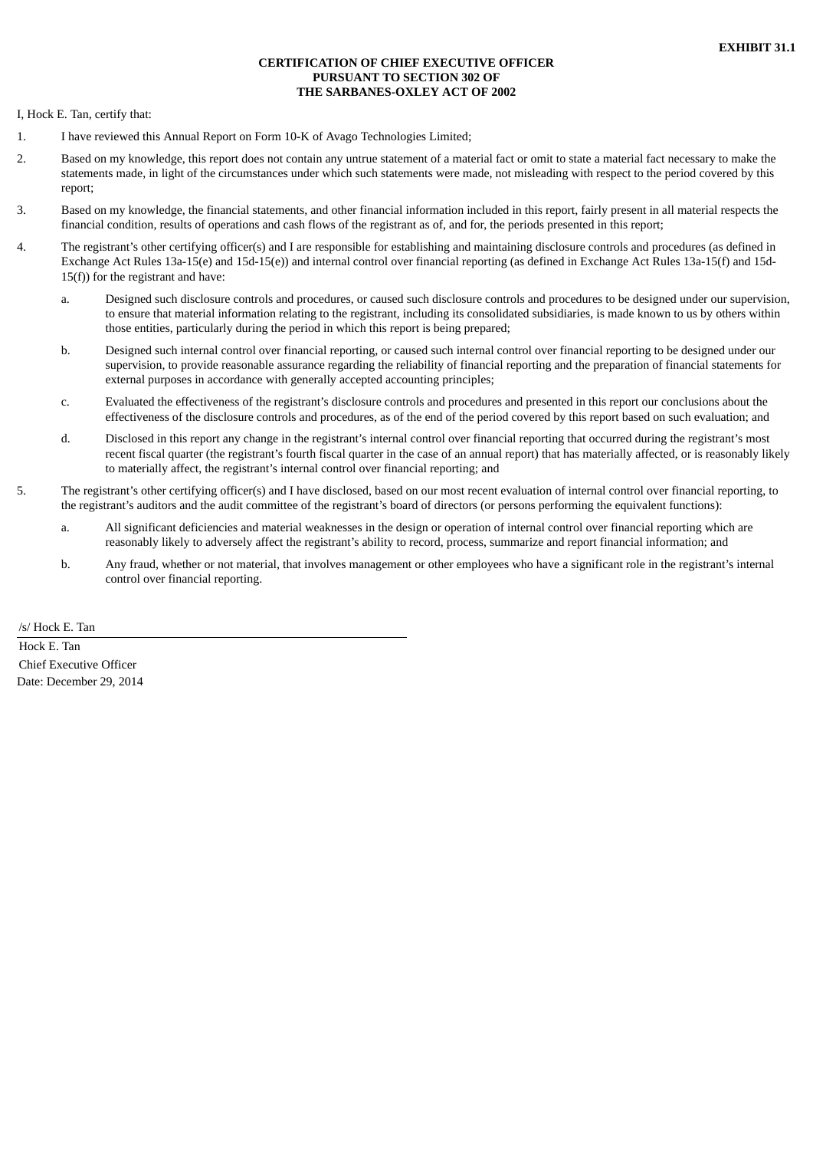### **CERTIFICATION OF CHIEF EXECUTIVE OFFICER PURSUANT TO SECTION 302 OF THE SARBANES-OXLEY ACT OF 2002**

I, Hock E. Tan, certify that:

- 1. I have reviewed this Annual Report on Form 10-K of Avago Technologies Limited;
- 2. Based on my knowledge, this report does not contain any untrue statement of a material fact or omit to state a material fact necessary to make the statements made, in light of the circumstances under which such statements were made, not misleading with respect to the period covered by this report;
- 3. Based on my knowledge, the financial statements, and other financial information included in this report, fairly present in all material respects the financial condition, results of operations and cash flows of the registrant as of, and for, the periods presented in this report;
- 4. The registrant's other certifying officer(s) and I are responsible for establishing and maintaining disclosure controls and procedures (as defined in Exchange Act Rules 13a-15(e) and 15d-15(e)) and internal control over financial reporting (as defined in Exchange Act Rules 13a-15(f) and 15d-15(f)) for the registrant and have:
	- a. Designed such disclosure controls and procedures, or caused such disclosure controls and procedures to be designed under our supervision, to ensure that material information relating to the registrant, including its consolidated subsidiaries, is made known to us by others within those entities, particularly during the period in which this report is being prepared;
	- b. Designed such internal control over financial reporting, or caused such internal control over financial reporting to be designed under our supervision, to provide reasonable assurance regarding the reliability of financial reporting and the preparation of financial statements for external purposes in accordance with generally accepted accounting principles;
	- c. Evaluated the effectiveness of the registrant's disclosure controls and procedures and presented in this report our conclusions about the effectiveness of the disclosure controls and procedures, as of the end of the period covered by this report based on such evaluation; and
	- d. Disclosed in this report any change in the registrant's internal control over financial reporting that occurred during the registrant's most recent fiscal quarter (the registrant's fourth fiscal quarter in the case of an annual report) that has materially affected, or is reasonably likely to materially affect, the registrant's internal control over financial reporting; and
- 5. The registrant's other certifying officer(s) and I have disclosed, based on our most recent evaluation of internal control over financial reporting, to the registrant's auditors and the audit committee of the registrant's board of directors (or persons performing the equivalent functions):
	- a. All significant deficiencies and material weaknesses in the design or operation of internal control over financial reporting which are reasonably likely to adversely affect the registrant's ability to record, process, summarize and report financial information; and
	- b. Any fraud, whether or not material, that involves management or other employees who have a significant role in the registrant's internal control over financial reporting.

/s/ Hock E. Tan

Hock E. Tan Chief Executive Officer Date: December 29, 2014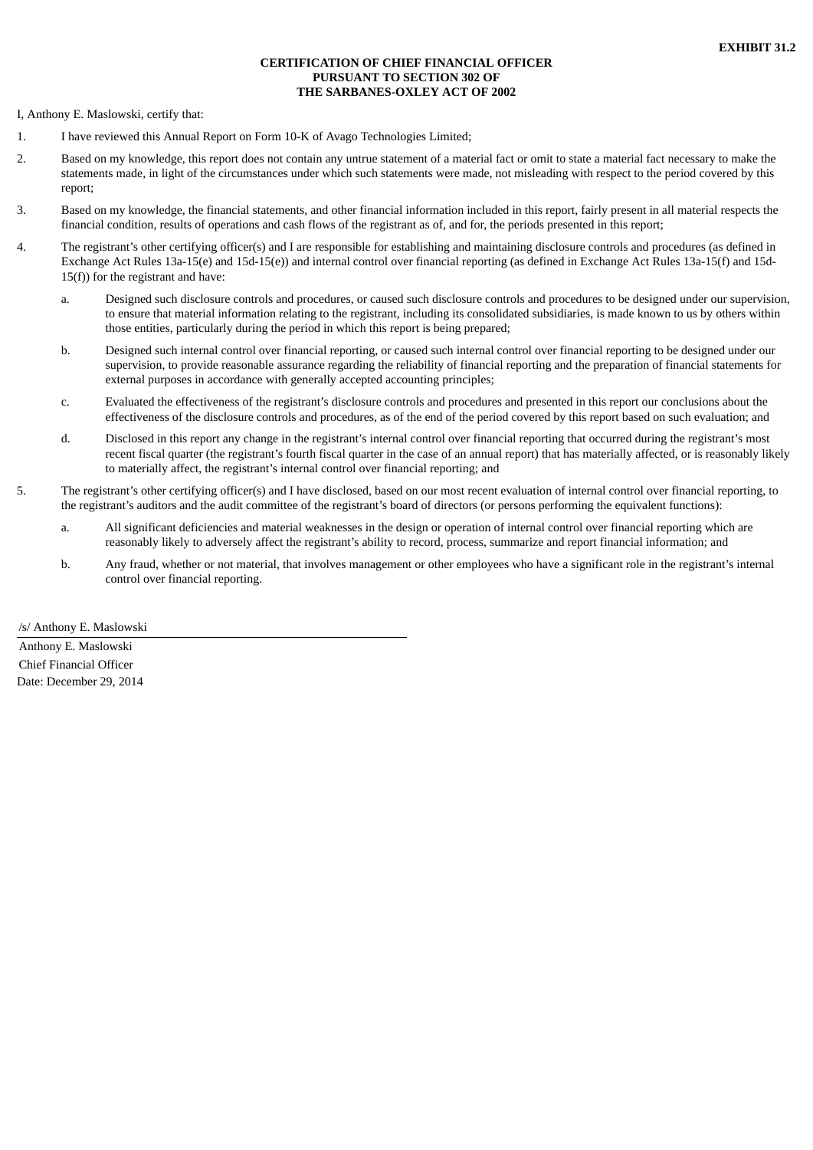### **CERTIFICATION OF CHIEF FINANCIAL OFFICER PURSUANT TO SECTION 302 OF THE SARBANES-OXLEY ACT OF 2002**

I, Anthony E. Maslowski, certify that:

- 1. I have reviewed this Annual Report on Form 10-K of Avago Technologies Limited;
- 2. Based on my knowledge, this report does not contain any untrue statement of a material fact or omit to state a material fact necessary to make the statements made, in light of the circumstances under which such statements were made, not misleading with respect to the period covered by this report;
- 3. Based on my knowledge, the financial statements, and other financial information included in this report, fairly present in all material respects the financial condition, results of operations and cash flows of the registrant as of, and for, the periods presented in this report;
- 4. The registrant's other certifying officer(s) and I are responsible for establishing and maintaining disclosure controls and procedures (as defined in Exchange Act Rules 13a-15(e) and 15d-15(e)) and internal control over financial reporting (as defined in Exchange Act Rules 13a-15(f) and 15d-15(f)) for the registrant and have:
	- a. Designed such disclosure controls and procedures, or caused such disclosure controls and procedures to be designed under our supervision, to ensure that material information relating to the registrant, including its consolidated subsidiaries, is made known to us by others within those entities, particularly during the period in which this report is being prepared;
	- b. Designed such internal control over financial reporting, or caused such internal control over financial reporting to be designed under our supervision, to provide reasonable assurance regarding the reliability of financial reporting and the preparation of financial statements for external purposes in accordance with generally accepted accounting principles;
	- c. Evaluated the effectiveness of the registrant's disclosure controls and procedures and presented in this report our conclusions about the effectiveness of the disclosure controls and procedures, as of the end of the period covered by this report based on such evaluation; and
	- d. Disclosed in this report any change in the registrant's internal control over financial reporting that occurred during the registrant's most recent fiscal quarter (the registrant's fourth fiscal quarter in the case of an annual report) that has materially affected, or is reasonably likely to materially affect, the registrant's internal control over financial reporting; and
- 5. The registrant's other certifying officer(s) and I have disclosed, based on our most recent evaluation of internal control over financial reporting, to the registrant's auditors and the audit committee of the registrant's board of directors (or persons performing the equivalent functions):
	- a. All significant deficiencies and material weaknesses in the design or operation of internal control over financial reporting which are reasonably likely to adversely affect the registrant's ability to record, process, summarize and report financial information; and
	- b. Any fraud, whether or not material, that involves management or other employees who have a significant role in the registrant's internal control over financial reporting.

/s/ Anthony E. Maslowski

Anthony E. Maslowski Chief Financial Officer Date: December 29, 2014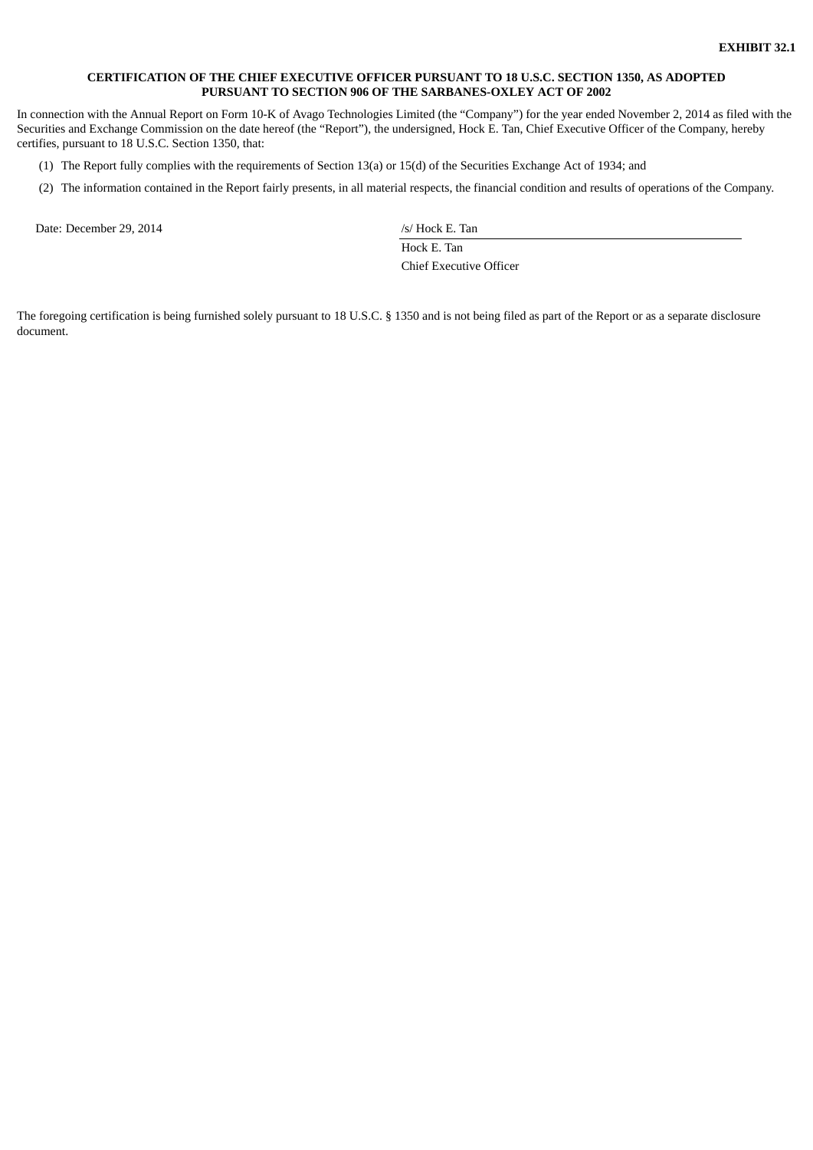### **CERTIFICATION OF THE CHIEF EXECUTIVE OFFICER PURSUANT TO 18 U.S.C. SECTION 1350, AS ADOPTED PURSUANT TO SECTION 906 OF THE SARBANES-OXLEY ACT OF 2002**

In connection with the Annual Report on Form 10-K of Avago Technologies Limited (the "Company") for the year ended November 2, 2014 as filed with the Securities and Exchange Commission on the date hereof (the "Report"), the undersigned, Hock E. Tan, Chief Executive Officer of the Company, hereby certifies, pursuant to 18 U.S.C. Section 1350, that:

- (1) The Report fully complies with the requirements of Section 13(a) or 15(d) of the Securities Exchange Act of 1934; and
- (2) The information contained in the Report fairly presents, in all material respects, the financial condition and results of operations of the Company.

Date: December 29, 2014 /s/ Hock E. Tan

Hock E. Tan Chief Executive Officer

The foregoing certification is being furnished solely pursuant to 18 U.S.C. § 1350 and is not being filed as part of the Report or as a separate disclosure document.